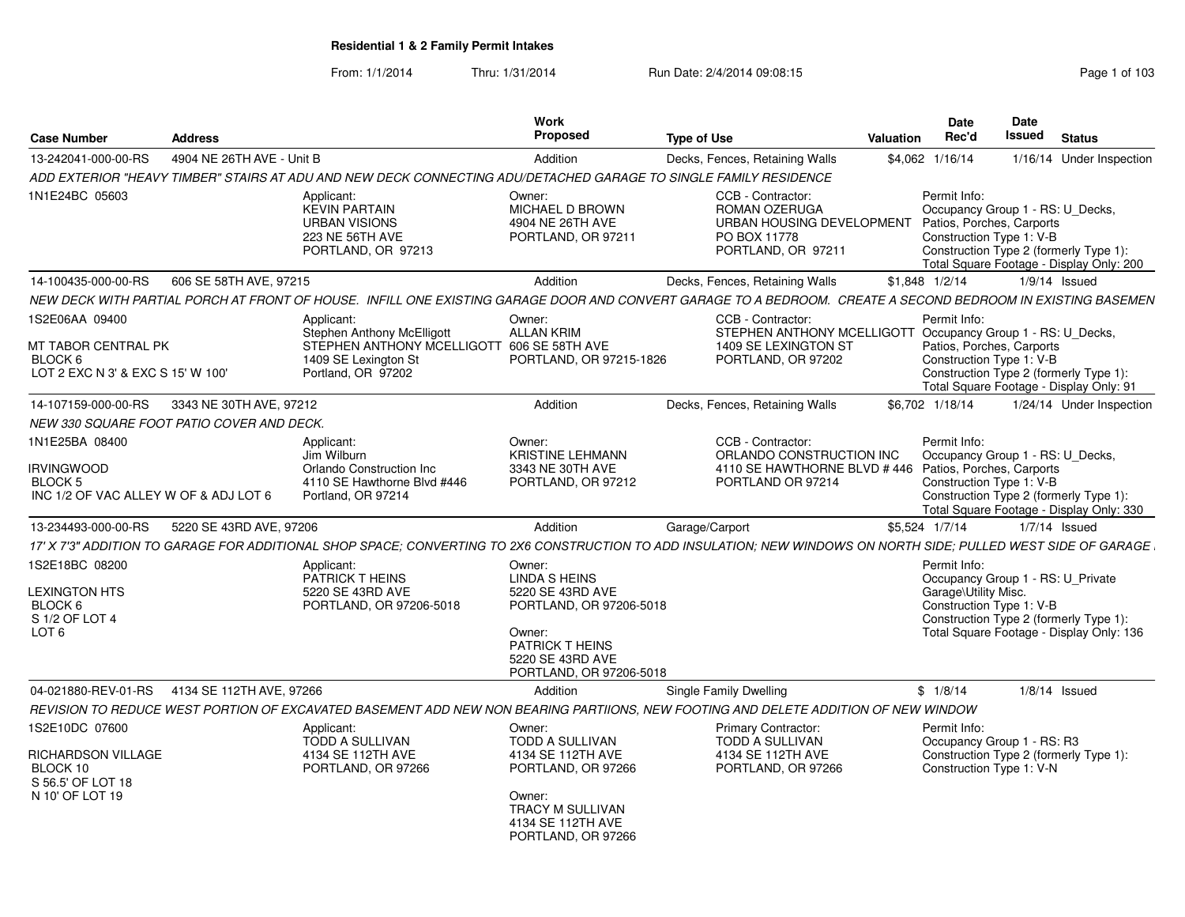From: 1/1/2014Thru: 1/31/2014 Run Date: 2/4/2014 09:08:15 Research 2010 103

| <b>Case Number</b>                                                                             | <b>Address</b>            |                                                                                                                                                                  | Work<br><b>Proposed</b>                                                                                                                                 | <b>Type of Use</b>                                                                                                             | Valuation | Date<br>Rec'd                        | Date<br>Issued                                                                            | <b>Status</b>                                                                      |
|------------------------------------------------------------------------------------------------|---------------------------|------------------------------------------------------------------------------------------------------------------------------------------------------------------|---------------------------------------------------------------------------------------------------------------------------------------------------------|--------------------------------------------------------------------------------------------------------------------------------|-----------|--------------------------------------|-------------------------------------------------------------------------------------------|------------------------------------------------------------------------------------|
| 13-242041-000-00-RS                                                                            | 4904 NE 26TH AVE - Unit B |                                                                                                                                                                  | Addition                                                                                                                                                | Decks, Fences, Retaining Walls                                                                                                 |           | \$4,062 1/16/14                      |                                                                                           | 1/16/14 Under Inspection                                                           |
|                                                                                                |                           | ADD EXTERIOR "HEAVY TIMBER" STAIRS AT ADU AND NEW DECK CONNECTING ADU/DETACHED GARAGE TO SINGLE FAMILY RESIDENCE                                                 |                                                                                                                                                         |                                                                                                                                |           |                                      |                                                                                           |                                                                                    |
| 1N1E24BC 05603                                                                                 |                           | Applicant:<br><b>KEVIN PARTAIN</b><br><b>URBAN VISIONS</b><br><b>223 NE 56TH AVE</b><br>PORTLAND, OR 97213                                                       | Owner:<br><b>MICHAEL D BROWN</b><br>4904 NE 26TH AVE<br>PORTLAND, OR 97211                                                                              | CCB - Contractor:<br><b>ROMAN OZERUGA</b><br>URBAN HOUSING DEVELOPMENT<br>PO BOX 11778<br>PORTLAND, OR 97211                   |           | Permit Info:                         | Occupancy Group 1 - RS: U_Decks,<br>Patios, Porches, Carports<br>Construction Type 1: V-B | Construction Type 2 (formerly Type 1):<br>Total Square Footage - Display Only: 200 |
| 14-100435-000-00-RS                                                                            | 606 SE 58TH AVE, 97215    |                                                                                                                                                                  | Addition                                                                                                                                                | Decks, Fences, Retaining Walls                                                                                                 |           | $$1,848$ $1/2/14$                    |                                                                                           | $1/9/14$ Issued                                                                    |
|                                                                                                |                           | NEW DECK WITH PARTIAL PORCH AT FRONT OF HOUSE. INFILL ONE EXISTING GARAGE DOOR AND CONVERT GARAGE TO A BEDROOM. CREATE A SECOND BEDROOM IN EXISTING BASEMEN      |                                                                                                                                                         |                                                                                                                                |           |                                      |                                                                                           |                                                                                    |
| 1S2E06AA 09400<br>MT TABOR CENTRAL PK<br>BLOCK 6<br>LOT 2 EXC N 3' & EXC S 15' W 100'          |                           | Applicant:<br>Stephen Anthony McElligott<br>STEPHEN ANTHONY MCELLIGOTT<br>1409 SE Lexington St<br>Portland, OR 97202                                             | Owner:<br><b>ALLAN KRIM</b><br>606 SE 58TH AVE<br>PORTLAND, OR 97215-1826                                                                               | CCB - Contractor:<br>STEPHEN ANTHONY MCELLIGOTT Occupancy Group 1 - RS: U_Decks,<br>1409 SE LEXINGTON ST<br>PORTLAND, OR 97202 |           | Permit Info:                         | Patios, Porches, Carports<br>Construction Type 1: V-B                                     | Construction Type 2 (formerly Type 1):<br>Total Square Footage - Display Only: 91  |
| 14-107159-000-00-RS                                                                            | 3343 NE 30TH AVE, 97212   |                                                                                                                                                                  | Addition                                                                                                                                                | Decks, Fences, Retaining Walls                                                                                                 |           | \$6.702 1/18/14                      |                                                                                           | 1/24/14 Under Inspection                                                           |
| NEW 330 SQUARE FOOT PATIO COVER AND DECK.                                                      |                           |                                                                                                                                                                  |                                                                                                                                                         |                                                                                                                                |           |                                      |                                                                                           |                                                                                    |
| 1N1E25BA 08400<br><b>IRVINGWOOD</b><br><b>BLOCK 5</b><br>INC 1/2 OF VAC ALLEY W OF & ADJ LOT 6 |                           | Applicant:<br>Jim Wilburn<br>Orlando Construction Inc<br>4110 SE Hawthorne Blvd #446<br>Portland, OR 97214                                                       | Owner:<br><b>KRISTINE LEHMANN</b><br>3343 NE 30TH AVE<br>PORTLAND, OR 97212                                                                             | CCB - Contractor:<br>ORLANDO CONSTRUCTION INC<br>4110 SE HAWTHORNE BLVD # 446 Patios, Porches, Carports<br>PORTLAND OR 97214   |           | Permit Info:                         | Occupancy Group 1 - RS: U Decks,<br>Construction Type 1: V-B                              | Construction Type 2 (formerly Type 1):<br>Total Square Footage - Display Only: 330 |
| 13-234493-000-00-RS                                                                            | 5220 SE 43RD AVE, 97206   |                                                                                                                                                                  | Addition                                                                                                                                                | Garage/Carport                                                                                                                 |           | \$5.524 1/7/14                       |                                                                                           | $1/7/14$ Issued                                                                    |
|                                                                                                |                           | 17' X 7'3" ADDITION TO GARAGE FOR ADDITIONAL SHOP SPACE; CONVERTING TO 2X6 CONSTRUCTION TO ADD INSULATION; NEW WINDOWS ON NORTH SIDE; PULLED WEST SIDE OF GARAGE |                                                                                                                                                         |                                                                                                                                |           |                                      |                                                                                           |                                                                                    |
| 1S2E18BC 08200<br>LEXINGTON HTS<br>BLOCK 6<br>S 1/2 OF LOT 4<br>LOT <sub>6</sub>               |                           | Applicant:<br><b>PATRICK THEINS</b><br>5220 SE 43RD AVE<br>PORTLAND, OR 97206-5018                                                                               | Owner:<br>LINDA SHEINS<br>5220 SE 43RD AVE<br>PORTLAND, OR 97206-5018<br>Owner:<br><b>PATRICK THEINS</b><br>5220 SE 43RD AVE<br>PORTLAND, OR 97206-5018 |                                                                                                                                |           | Permit Info:<br>Garage\Utility Misc. | Occupancy Group 1 - RS: U Private<br>Construction Type 1: V-B                             | Construction Type 2 (formerly Type 1):<br>Total Square Footage - Display Only: 136 |
| 04-021880-REV-01-RS 4134 SE 112TH AVE, 97266                                                   |                           |                                                                                                                                                                  | Addition                                                                                                                                                | Single Family Dwelling                                                                                                         |           | \$1/8/14                             |                                                                                           | $1/8/14$ Issued                                                                    |
|                                                                                                |                           | REVISION TO REDUCE WEST PORTION OF EXCAVATED BASEMENT ADD NEW NON BEARING PARTIIONS. NEW FOOTING AND DELETE ADDITION OF NEW WINDOW                               |                                                                                                                                                         |                                                                                                                                |           |                                      |                                                                                           |                                                                                    |
| 1S2E10DC 07600<br>RICHARDSON VILLAGE<br>BLOCK 10<br>S 56.5' OF LOT 18<br>N 10' OF LOT 19       |                           | Applicant:<br>TODD A SULLIVAN<br>4134 SE 112TH AVE<br>PORTLAND, OR 97266                                                                                         | Owner:<br>TODD A SULLIVAN<br>4134 SE 112TH AVE<br>PORTLAND, OR 97266<br>Owner:<br>TRACY M SULLIVAN<br>4134 SE 112TH AVE<br>PORTLAND, OR 97266           | <b>Primary Contractor:</b><br>TODD A SULLIVAN<br>4134 SE 112TH AVE<br>PORTLAND, OR 97266                                       |           | Permit Info:                         | Occupancy Group 1 - RS: R3<br>Construction Type 1: V-N                                    | Construction Type 2 (formerly Type 1):                                             |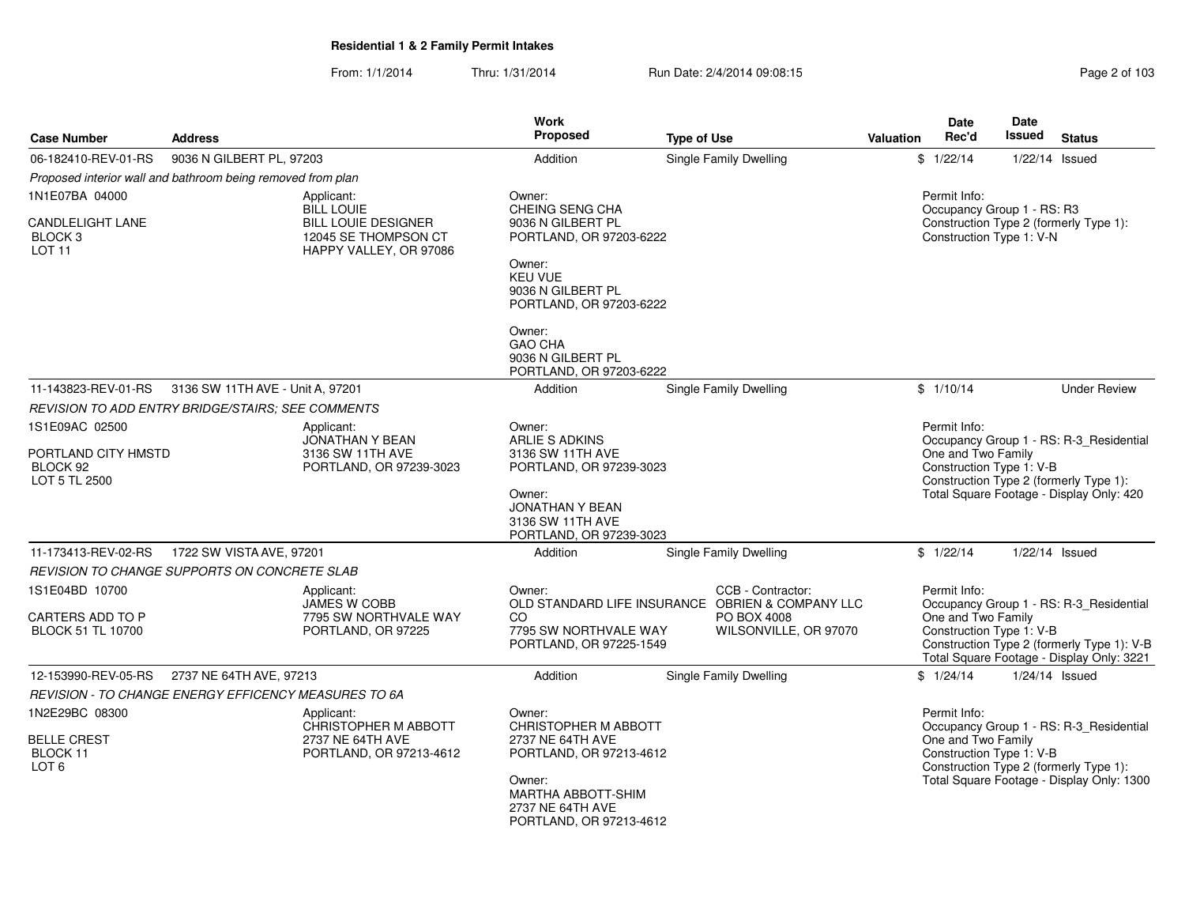From: 1/1/2014Thru: 1/31/2014 Run Date: 2/4/2014 09:08:15 Research 2010 2 of 103

| <b>Case Number</b>                                  | <b>Address</b>                                              |                                                                                            | <b>Work</b><br>Proposed                                                         | <b>Type of Use</b>                                                    | Valuation | Date<br>Rec'd      | <b>Date</b><br>Issued                                  | <b>Status</b>                                                                           |
|-----------------------------------------------------|-------------------------------------------------------------|--------------------------------------------------------------------------------------------|---------------------------------------------------------------------------------|-----------------------------------------------------------------------|-----------|--------------------|--------------------------------------------------------|-----------------------------------------------------------------------------------------|
| 06-182410-REV-01-RS                                 | 9036 N GILBERT PL, 97203                                    |                                                                                            | Addition                                                                        | Single Family Dwelling                                                |           | \$1/22/14          |                                                        | $1/22/14$ Issued                                                                        |
|                                                     | Proposed interior wall and bathroom being removed from plan |                                                                                            |                                                                                 |                                                                       |           |                    |                                                        |                                                                                         |
| 1N1E07BA 04000                                      |                                                             | Applicant:                                                                                 | Owner:                                                                          |                                                                       |           | Permit Info:       |                                                        |                                                                                         |
| <b>CANDLELIGHT LANE</b><br>BLOCK 3<br><b>LOT 11</b> |                                                             | <b>BILL LOUIE</b><br>BILL LOUIE DESIGNER<br>12045 SE THOMPSON CT<br>HAPPY VALLEY, OR 97086 | CHEING SENG CHA<br>9036 N GILBERT PL<br>PORTLAND, OR 97203-6222                 |                                                                       |           |                    | Occupancy Group 1 - RS: R3<br>Construction Type 1: V-N | Construction Type 2 (formerly Type 1):                                                  |
|                                                     |                                                             |                                                                                            | Owner:<br><b>KEU VUE</b><br>9036 N GILBERT PL<br>PORTLAND, OR 97203-6222        |                                                                       |           |                    |                                                        |                                                                                         |
|                                                     |                                                             |                                                                                            | Owner:<br><b>GAO CHA</b><br>9036 N GILBERT PL<br>PORTLAND, OR 97203-6222        |                                                                       |           |                    |                                                        |                                                                                         |
| 11-143823-REV-01-RS                                 | 3136 SW 11TH AVE - Unit A, 97201                            |                                                                                            | Addition                                                                        | <b>Single Family Dwelling</b>                                         |           | \$1/10/14          |                                                        | <b>Under Review</b>                                                                     |
|                                                     | <b>REVISION TO ADD ENTRY BRIDGE/STAIRS: SEE COMMENTS</b>    |                                                                                            |                                                                                 |                                                                       |           |                    |                                                        |                                                                                         |
| 1S1E09AC 02500                                      |                                                             | Applicant:                                                                                 | Owner:                                                                          |                                                                       |           | Permit Info:       |                                                        |                                                                                         |
| PORTLAND CITY HMSTD<br>BLOCK 92<br>LOT 5 TL 2500    |                                                             | JONATHAN Y BEAN<br>3136 SW 11TH AVE<br>PORTLAND, OR 97239-3023                             | ARLIE S ADKINS<br>3136 SW 11TH AVE<br>PORTLAND, OR 97239-3023                   |                                                                       |           | One and Two Family | Construction Type 1: V-B                               | Occupancy Group 1 - RS: R-3_Residential<br>Construction Type 2 (formerly Type 1):       |
|                                                     |                                                             |                                                                                            | Owner:<br><b>JONATHAN Y BEAN</b><br>3136 SW 11TH AVE<br>PORTLAND, OR 97239-3023 |                                                                       |           |                    |                                                        | Total Square Footage - Display Only: 420                                                |
| 11-173413-REV-02-RS                                 | 1722 SW VISTA AVE, 97201                                    |                                                                                            | Addition                                                                        | <b>Single Family Dwelling</b>                                         |           | \$1/22/14          |                                                        | $1/22/14$ Issued                                                                        |
|                                                     | REVISION TO CHANGE SUPPORTS ON CONCRETE SLAB                |                                                                                            |                                                                                 |                                                                       |           |                    |                                                        |                                                                                         |
| 1S1E04BD 10700                                      |                                                             | Applicant:<br>JAMES W COBB                                                                 | Owner:                                                                          | CCB - Contractor:<br>OLD STANDARD LIFE INSURANCE OBRIEN & COMPANY LLC |           | Permit Info:       |                                                        | Occupancy Group 1 - RS: R-3_Residential                                                 |
| CARTERS ADD TO P<br><b>BLOCK 51 TL 10700</b>        |                                                             | 7795 SW NORTHVALE WAY<br>PORTLAND, OR 97225                                                | CO<br>7795 SW NORTHVALE WAY<br>PORTLAND, OR 97225-1549                          | PO BOX 4008<br>WILSONVILLE, OR 97070                                  |           | One and Two Family | Construction Type 1: V-B                               | Construction Type 2 (formerly Type 1): V-B<br>Total Square Footage - Display Only: 3221 |
| 12-153990-REV-05-RS                                 | 2737 NE 64TH AVE, 97213                                     |                                                                                            | Addition                                                                        | Single Family Dwelling                                                |           | \$1/24/14          |                                                        | $1/24/14$ Issued                                                                        |
|                                                     | REVISION - TO CHANGE ENERGY EFFICENCY MEASURES TO 6A        |                                                                                            |                                                                                 |                                                                       |           |                    |                                                        |                                                                                         |
| 1N2E29BC 08300                                      |                                                             | Applicant:<br>CHRISTOPHER M ABBOTT                                                         | Owner:<br>CHRISTOPHER M ABBOTT                                                  |                                                                       |           | Permit Info:       |                                                        | Occupancy Group 1 - RS: R-3_Residential                                                 |
| <b>BELLE CREST</b><br>BLOCK 11<br>LOT <sub>6</sub>  |                                                             | 2737 NE 64TH AVE<br>PORTLAND, OR 97213-4612                                                | 2737 NE 64TH AVE<br>PORTLAND, OR 97213-4612                                     |                                                                       |           | One and Two Family | Construction Type 1: V-B                               | Construction Type 2 (formerly Type 1):                                                  |
|                                                     |                                                             |                                                                                            | Owner:<br>MARTHA ABBOTT-SHIM<br>2737 NE 64TH AVE<br>PORTLAND, OR 97213-4612     |                                                                       |           |                    |                                                        | Total Square Footage - Display Only: 1300                                               |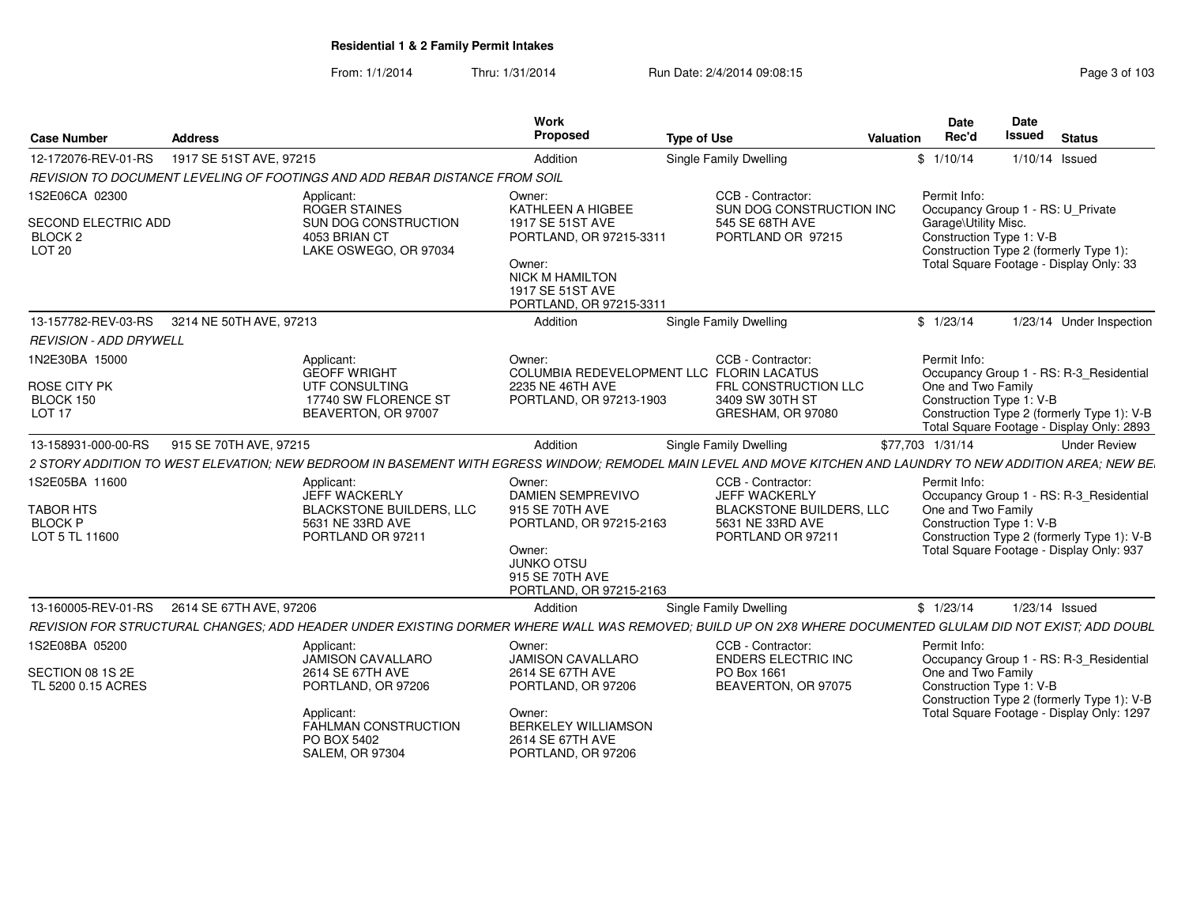From: 1/1/2014Thru: 1/31/2014 Run Date: 2/4/2014 09:08:15 Research 2010 103

| <b>Case Number</b>                                                               | <b>Address</b>          |                                                                                                                                                          | Work<br>Proposed                                                                                                                                               | <b>Type of Use</b>                                                                                                                                           | Valuation | Date<br>Rec'd                                                                                         | Date<br><b>Issued</b> | <b>Status</b>                                                                                                                      |
|----------------------------------------------------------------------------------|-------------------------|----------------------------------------------------------------------------------------------------------------------------------------------------------|----------------------------------------------------------------------------------------------------------------------------------------------------------------|--------------------------------------------------------------------------------------------------------------------------------------------------------------|-----------|-------------------------------------------------------------------------------------------------------|-----------------------|------------------------------------------------------------------------------------------------------------------------------------|
| 12-172076-REV-01-RS                                                              | 1917 SE 51ST AVE, 97215 |                                                                                                                                                          | Addition                                                                                                                                                       | Single Family Dwelling                                                                                                                                       |           | \$1/10/14                                                                                             | 1/10/14 Issued        |                                                                                                                                    |
|                                                                                  |                         | REVISION TO DOCUMENT LEVELING OF FOOTINGS AND ADD REBAR DISTANCE FROM SOIL                                                                               |                                                                                                                                                                |                                                                                                                                                              |           |                                                                                                       |                       |                                                                                                                                    |
| 1S2E06CA 02300<br>SECOND ELECTRIC ADD<br>BLOCK <sub>2</sub><br>LOT <sub>20</sub> |                         | Applicant:<br>ROGER STAINES<br>SUN DOG CONSTRUCTION<br>4053 BRIAN CT<br>LAKE OSWEGO, OR 97034                                                            | Owner:<br>KATHLEEN A HIGBEE<br>1917 SE 51ST AVE<br>PORTLAND, OR 97215-3311<br>Owner:<br><b>NICK M HAMILTON</b><br>1917 SE 51ST AVE<br>PORTLAND, OR 97215-3311  | CCB - Contractor:<br>SUN DOG CONSTRUCTION INC<br>545 SE 68TH AVE<br>PORTLAND OR 97215                                                                        |           | Permit Info:<br>Occupancy Group 1 - RS: U_Private<br>Garage\Utility Misc.<br>Construction Type 1: V-B |                       | Construction Type 2 (formerly Type 1):<br>Total Square Footage - Display Only: 33                                                  |
| 13-157782-REV-03-RS                                                              | 3214 NE 50TH AVE, 97213 |                                                                                                                                                          | Addition                                                                                                                                                       | Single Family Dwelling                                                                                                                                       |           | \$1/23/14                                                                                             |                       | 1/23/14 Under Inspection                                                                                                           |
| <b>REVISION - ADD DRYWELL</b>                                                    |                         |                                                                                                                                                          |                                                                                                                                                                |                                                                                                                                                              |           |                                                                                                       |                       |                                                                                                                                    |
| 1N2E30BA 15000<br>ROSE CITY PK<br>BLOCK 150<br><b>LOT 17</b>                     |                         | Applicant:<br><b>GEOFF WRIGHT</b><br>UTF CONSULTING<br>17740 SW FLORENCE ST<br>BEAVERTON, OR 97007                                                       | Owner:<br>COLUMBIA REDEVELOPMENT LLC FLORIN LACATUS<br>2235 NE 46TH AVE<br>PORTLAND, OR 97213-1903                                                             | CCB - Contractor:<br>FRL CONSTRUCTION LLC<br>3409 SW 30TH ST<br>GRESHAM, OR 97080                                                                            |           | Permit Info:<br>One and Two Family<br>Construction Type 1: V-B                                        |                       | Occupancy Group 1 - RS: R-3 Residential<br>Construction Type 2 (formerly Type 1): V-B<br>Total Square Footage - Display Only: 2893 |
| 13-158931-000-00-RS                                                              | 915 SE 70TH AVE, 97215  |                                                                                                                                                          | Addition                                                                                                                                                       | <b>Single Family Dwelling</b>                                                                                                                                |           | \$77,703 1/31/14                                                                                      |                       | <b>Under Review</b>                                                                                                                |
|                                                                                  |                         |                                                                                                                                                          |                                                                                                                                                                | 2 STORY ADDITION TO WEST ELEVATION; NEW BEDROOM IN BASEMENT WITH EGRESS WINDOW; REMODEL MAIN LEVEL AND MOVE KITCHEN AND LAUNDRY TO NEW ADDITION AREA; NEW BE |           |                                                                                                       |                       |                                                                                                                                    |
| 1S2E05BA 11600<br><b>TABOR HTS</b><br><b>BLOCK P</b><br>LOT 5 TL 11600           |                         | Applicant:<br>JEFF WACKERLY<br><b>BLACKSTONE BUILDERS, LLC</b><br>5631 NE 33RD AVE<br>PORTLAND OR 97211                                                  | Owner:<br><b>DAMIEN SEMPREVIVO</b><br>915 SE 70TH AVE<br>PORTLAND, OR 97215-2163<br>Owner:<br><b>JUNKO OTSU</b><br>915 SE 70TH AVE<br>PORTLAND, OR 97215-2163  | CCB - Contractor:<br>JEFF WACKERLY<br><b>BLACKSTONE BUILDERS, LLC</b><br>5631 NE 33RD AVE<br>PORTLAND OR 97211                                               |           | Permit Info:<br>One and Two Family<br>Construction Type 1: V-B                                        |                       | Occupancy Group 1 - RS: R-3_Residential<br>Construction Type 2 (formerly Type 1): V-B<br>Total Square Footage - Display Only: 937  |
| 13-160005-REV-01-RS                                                              | 2614 SE 67TH AVE, 97206 |                                                                                                                                                          | Addition                                                                                                                                                       | Single Family Dwelling                                                                                                                                       |           | \$1/23/14                                                                                             |                       | 1/23/14 Issued                                                                                                                     |
|                                                                                  |                         |                                                                                                                                                          |                                                                                                                                                                | REVISION FOR STRUCTURAL CHANGES; ADD HEADER UNDER EXISTING DORMER WHERE WALL WAS REMOVED; BUILD UP ON 2X8 WHERE DOCUMENTED GLULAM DID NOT EXIST; ADD DOUBL   |           |                                                                                                       |                       |                                                                                                                                    |
| 1S2E08BA 05200<br>SECTION 08 1S 2E<br>TL 5200 0.15 ACRES                         |                         | Applicant:<br>JAMISON CAVALLARO<br>2614 SE 67TH AVE<br>PORTLAND, OR 97206<br>Applicant:<br>FAHLMAN CONSTRUCTION<br>PO BOX 5402<br><b>SALEM, OR 97304</b> | Owner:<br><b>JAMISON CAVALLARO</b><br>2614 SE 67TH AVE<br>PORTLAND, OR 97206<br>Owner:<br><b>BERKELEY WILLIAMSON</b><br>2614 SE 67TH AVE<br>PORTLAND, OR 97206 | CCB - Contractor:<br><b>ENDERS ELECTRIC INC</b><br>PO Box 1661<br>BEAVERTON, OR 97075                                                                        |           | Permit Info:<br>One and Two Family<br>Construction Type 1: V-B                                        |                       | Occupancy Group 1 - RS: R-3_Residential<br>Construction Type 2 (formerly Type 1): V-B<br>Total Square Footage - Display Only: 1297 |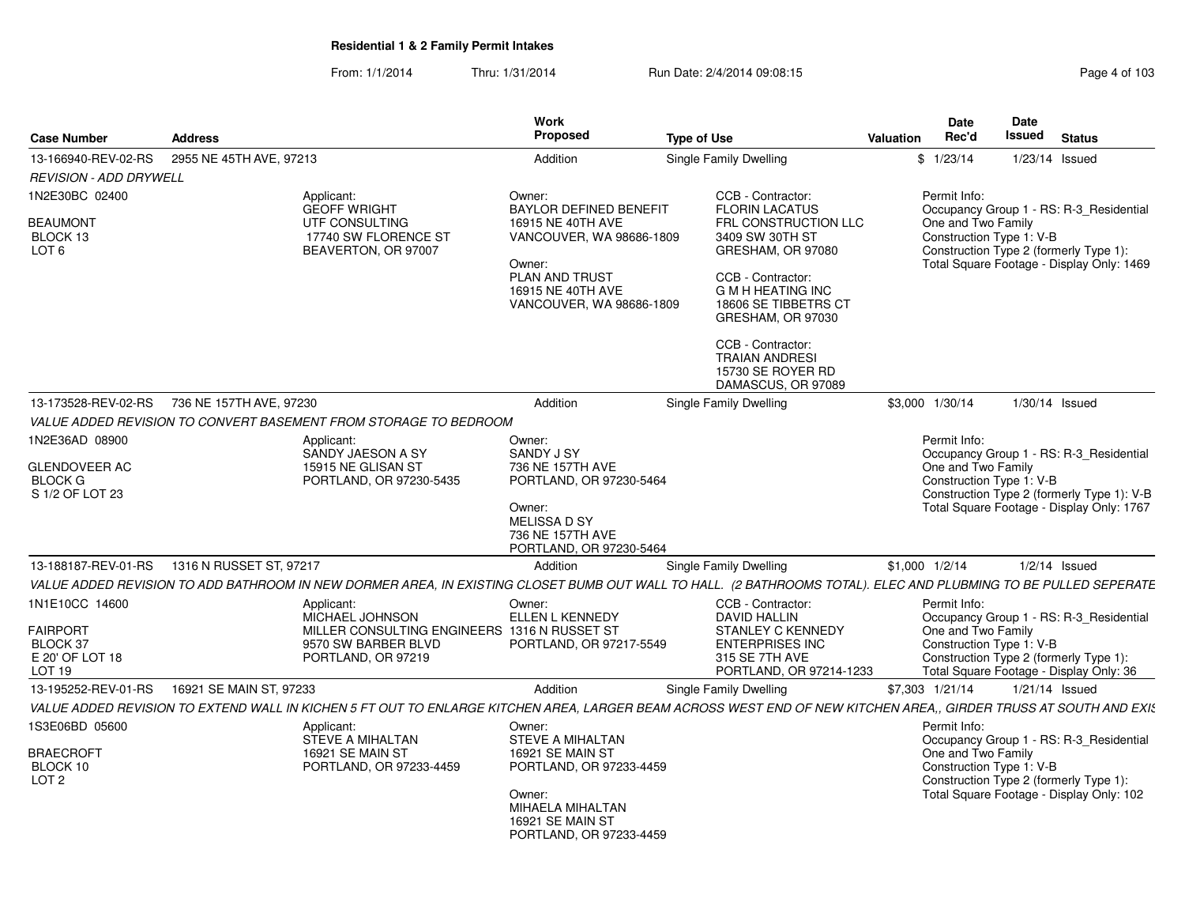| <b>Case Number</b>                                                                    | <b>Address</b>                                                                                                                                                   | Work<br>Proposed                                                                                                            | <b>Type of Use</b>                                                                                                                                         | Valuation       | <b>Date</b><br>Rec'd                                                                                                                      | Date<br>Issued | <b>Status</b>                                                                                                                |
|---------------------------------------------------------------------------------------|------------------------------------------------------------------------------------------------------------------------------------------------------------------|-----------------------------------------------------------------------------------------------------------------------------|------------------------------------------------------------------------------------------------------------------------------------------------------------|-----------------|-------------------------------------------------------------------------------------------------------------------------------------------|----------------|------------------------------------------------------------------------------------------------------------------------------|
| 13-166940-REV-02-RS                                                                   | 2955 NE 45TH AVE, 97213                                                                                                                                          | Addition                                                                                                                    | Single Family Dwelling                                                                                                                                     |                 | \$1/23/14                                                                                                                                 |                | $1/23/14$ Issued                                                                                                             |
| <b>REVISION - ADD DRYWELL</b>                                                         |                                                                                                                                                                  |                                                                                                                             |                                                                                                                                                            |                 |                                                                                                                                           |                |                                                                                                                              |
| 1N2E30BC 02400                                                                        | Applicant:<br><b>GEOFF WRIGHT</b>                                                                                                                                | Owner:<br><b>BAYLOR DEFINED BENEFIT</b>                                                                                     | CCB - Contractor:<br><b>FLORIN LACATUS</b>                                                                                                                 |                 | Permit Info:                                                                                                                              |                | Occupancy Group 1 - RS: R-3_Residential                                                                                      |
| <b>BEAUMONT</b><br>BLOCK 13<br>LOT <sub>6</sub>                                       | UTF CONSULTING<br>17740 SW FLORENCE ST<br>BEAVERTON, OR 97007                                                                                                    | 16915 NE 40TH AVE<br>VANCOUVER, WA 98686-1809<br>Owner:<br>PLAN AND TRUST<br>16915 NE 40TH AVE<br>VANCOUVER, WA 98686-1809  | FRL CONSTRUCTION LLC<br>3409 SW 30TH ST<br>GRESHAM, OR 97080<br>CCB - Contractor:<br><b>G M H HEATING INC</b><br>18606 SE TIBBETRS CT<br>GRESHAM, OR 97030 |                 | One and Two Family<br>Construction Type 1: V-B                                                                                            |                | Construction Type 2 (formerly Type 1):<br>Total Square Footage - Display Only: 1469                                          |
|                                                                                       |                                                                                                                                                                  |                                                                                                                             | CCB - Contractor:<br><b>TRAIAN ANDRESI</b><br>15730 SE ROYER RD<br>DAMASCUS, OR 97089                                                                      |                 |                                                                                                                                           |                |                                                                                                                              |
| 13-173528-REV-02-RS                                                                   | 736 NE 157TH AVE, 97230                                                                                                                                          | Addition                                                                                                                    | Single Family Dwelling                                                                                                                                     | \$3,000 1/30/14 |                                                                                                                                           |                | 1/30/14 Issued                                                                                                               |
|                                                                                       | VALUE ADDED REVISION TO CONVERT BASEMENT FROM STORAGE TO BEDROOM                                                                                                 |                                                                                                                             |                                                                                                                                                            |                 |                                                                                                                                           |                |                                                                                                                              |
| 1N2E36AD 08900                                                                        | Applicant:<br>SANDY JAESON A SY                                                                                                                                  | Owner:<br><b>SANDY J SY</b>                                                                                                 |                                                                                                                                                            |                 | Permit Info:                                                                                                                              |                | Occupancy Group 1 - RS: R-3_Residential                                                                                      |
| <b>GLENDOVEER AC</b><br><b>BLOCK G</b><br>S 1/2 OF LOT 23                             | 15915 NE GLISAN ST<br>PORTLAND, OR 97230-5435                                                                                                                    | 736 NE 157TH AVE<br>PORTLAND, OR 97230-5464<br>Owner:<br><b>MELISSA D SY</b><br>736 NE 157TH AVE<br>PORTLAND, OR 97230-5464 |                                                                                                                                                            |                 | One and Two Family<br>Construction Type 1: V-B<br>Construction Type 2 (formerly Type 1): V-B<br>Total Square Footage - Display Only: 1767 |                |                                                                                                                              |
| 13-188187-REV-01-RS                                                                   | 1316 N RUSSET ST, 97217                                                                                                                                          | Addition                                                                                                                    | Single Family Dwelling                                                                                                                                     | \$1,000 1/2/14  |                                                                                                                                           |                | $1/2/14$ Issued                                                                                                              |
|                                                                                       | VALUE ADDED REVISION TO ADD BATHROOM IN NEW DORMER AREA, IN EXISTING CLOSET BUMB OUT WALL TO HALL. (2 BATHROOMS TOTAL). ELEC AND PLUBMING TO BE PULLED SEPERATE  |                                                                                                                             |                                                                                                                                                            |                 |                                                                                                                                           |                |                                                                                                                              |
| 1N1E10CC 14600<br><b>FAIRPORT</b><br>BLOCK 37<br>E 20' OF LOT 18<br>LOT <sub>19</sub> | Applicant:<br>MICHAEL JOHNSON<br>MILLER CONSULTING ENGINEERS 1316 N RUSSET ST<br>9570 SW BARBER BLVD<br>PORTLAND, OR 97219                                       | Owner:<br>ELLEN L KENNEDY<br>PORTLAND, OR 97217-5549                                                                        | CCB - Contractor:<br><b>DAVID HALLIN</b><br><b>STANLEY C KENNEDY</b><br><b>ENTERPRISES INC</b><br>315 SE 7TH AVE<br>PORTLAND, OR 97214-1233                |                 | Permit Info:<br>One and Two Family<br>Construction Type 1: V-B                                                                            |                | Occupancy Group 1 - RS: R-3_Residential<br>Construction Type 2 (formerly Type 1):<br>Total Square Footage - Display Only: 36 |
| 13-195252-REV-01-RS                                                                   | 16921 SE MAIN ST, 97233                                                                                                                                          | Addition                                                                                                                    | Single Family Dwelling                                                                                                                                     | \$7,303 1/21/14 |                                                                                                                                           |                | $1/21/14$ Issued                                                                                                             |
|                                                                                       | VALUE ADDED REVISION TO EXTEND WALL IN KICHEN 5 FT OUT TO ENLARGE KITCHEN AREA, LARGER BEAM ACROSS WEST END OF NEW KITCHEN AREA,, GIRDER TRUSS AT SOUTH AND EXIS |                                                                                                                             |                                                                                                                                                            |                 |                                                                                                                                           |                |                                                                                                                              |
| 1S3E06BD 05600                                                                        | Applicant:<br><b>STEVE A MIHALTAN</b>                                                                                                                            | Owner:<br>STEVE A MIHALTAN                                                                                                  |                                                                                                                                                            |                 | Permit Info:                                                                                                                              |                | Occupancy Group 1 - RS: R-3 Residential                                                                                      |
| <b>BRAECROFT</b><br>BLOCK 10<br>LOT <sub>2</sub>                                      | 16921 SE MAIN ST<br>PORTLAND, OR 97233-4459                                                                                                                      | 16921 SE MAIN ST<br>PORTLAND, OR 97233-4459<br>Owner:<br>MIHAELA MIHALTAN<br>16921 SE MAIN ST<br>PORTLAND, OR 97233-4459    |                                                                                                                                                            |                 | One and Two Family<br>Construction Type 1: V-B                                                                                            |                | Construction Type 2 (formerly Type 1):<br>Total Square Footage - Display Only: 102                                           |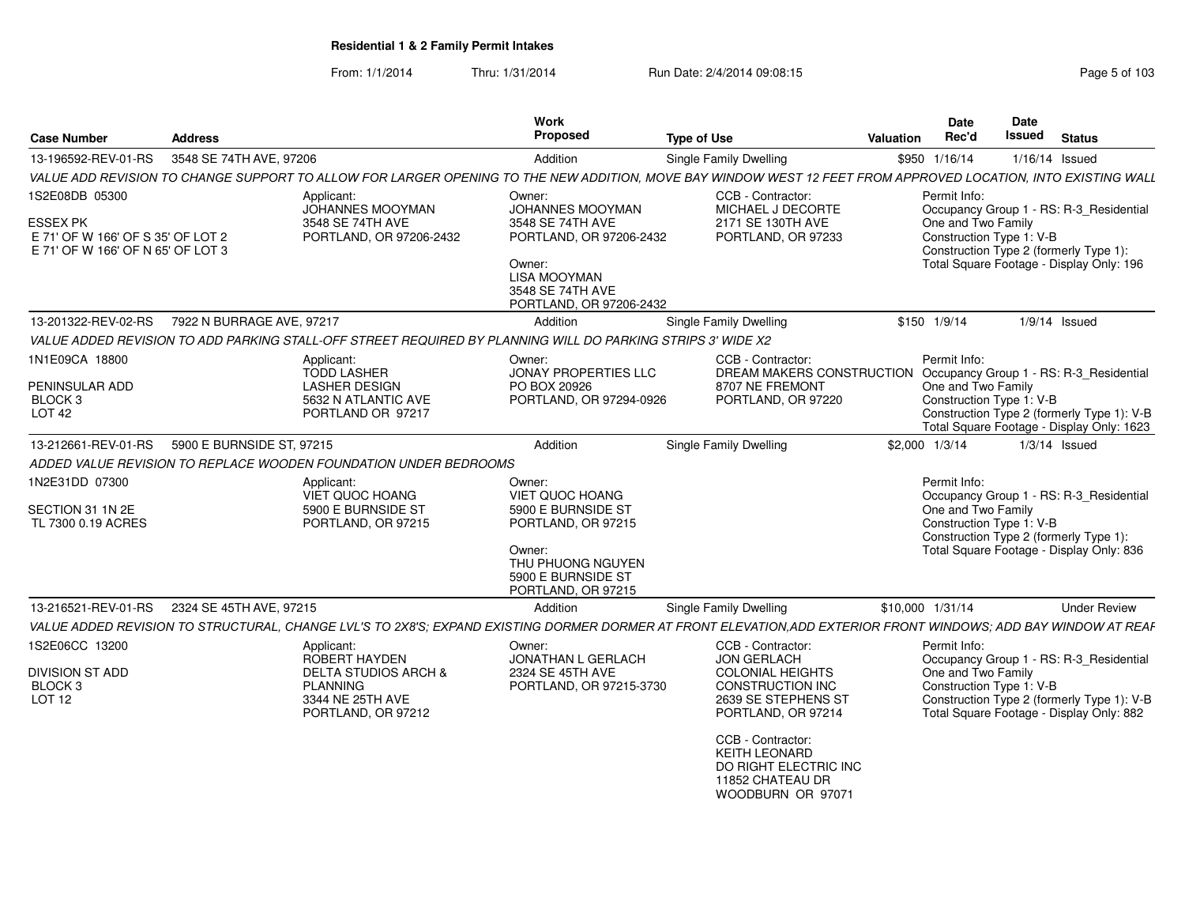| <b>Case Number</b>                                                                 | <b>Address</b>            |                                                                                                             | <b>Work</b><br>Proposed                                                          | <b>Type of Use</b>                                                                                                                                             | Valuation        | Date<br>Date<br>Issued<br>Rec'd                                | <b>Status</b>                                                                                                                      |
|------------------------------------------------------------------------------------|---------------------------|-------------------------------------------------------------------------------------------------------------|----------------------------------------------------------------------------------|----------------------------------------------------------------------------------------------------------------------------------------------------------------|------------------|----------------------------------------------------------------|------------------------------------------------------------------------------------------------------------------------------------|
| 13-196592-REV-01-RS                                                                | 3548 SE 74TH AVE, 97206   |                                                                                                             | Addition                                                                         | Single Family Dwelling                                                                                                                                         | \$950 1/16/14    |                                                                | $1/16/14$ Issued                                                                                                                   |
|                                                                                    |                           |                                                                                                             |                                                                                  | VALUE ADD REVISION TO CHANGE SUPPORT TO ALLOW FOR LARGER OPENING TO THE NEW ADDITION, MOVE BAY WINDOW WEST 12 FEET FROM APPROVED LOCATION, INTO EXISTING WALL  |                  |                                                                |                                                                                                                                    |
| 1S2E08DB 05300                                                                     |                           | Applicant:<br>JOHANNES MOOYMAN                                                                              | Owner:<br>JOHANNES MOOYMAN                                                       | CCB - Contractor:<br>MICHAEL J DECORTE                                                                                                                         |                  | Permit Info:                                                   | Occupancy Group 1 - RS: R-3_Residential                                                                                            |
| ESSEX PK<br>E 71' OF W 166' OF S 35' OF LOT 2<br>E 71' OF W 166' OF N 65' OF LOT 3 |                           | 3548 SE 74TH AVE<br>PORTLAND, OR 97206-2432                                                                 | 3548 SE 74TH AVE<br>PORTLAND, OR 97206-2432                                      | 2171 SE 130TH AVE<br>PORTLAND, OR 97233                                                                                                                        |                  | One and Two Family<br>Construction Type 1: V-B                 | Construction Type 2 (formerly Type 1):                                                                                             |
|                                                                                    |                           |                                                                                                             | Owner:<br><b>LISA MOOYMAN</b><br>3548 SE 74TH AVE<br>PORTLAND, OR 97206-2432     |                                                                                                                                                                |                  |                                                                | Total Square Footage - Display Only: 196                                                                                           |
| 13-201322-REV-02-RS                                                                | 7922 N BURRAGE AVE, 97217 |                                                                                                             | Addition                                                                         | Single Family Dwelling                                                                                                                                         | \$150 1/9/14     |                                                                | $1/9/14$ Issued                                                                                                                    |
|                                                                                    |                           | VALUE ADDED REVISION TO ADD PARKING STALL-OFF STREET REQUIRED BY PLANNING WILL DO PARKING STRIPS 3' WIDE X2 |                                                                                  |                                                                                                                                                                |                  |                                                                |                                                                                                                                    |
| 1N1E09CA 18800<br>PENINSULAR ADD<br>BLOCK 3<br>LOT <sub>42</sub>                   |                           | Applicant:<br><b>TODD LASHER</b><br><b>LASHER DESIGN</b><br>5632 N ATLANTIC AVE<br>PORTLAND OR 97217        | Owner:<br><b>JONAY PROPERTIES LLC</b><br>PO BOX 20926<br>PORTLAND, OR 97294-0926 | CCB - Contractor:<br>DREAM MAKERS CONSTRUCTION<br>8707 NE FREMONT<br>PORTLAND, OR 97220                                                                        |                  | Permit Info:<br>One and Two Family<br>Construction Type 1: V-B | Occupancy Group 1 - RS: R-3_Residential<br>Construction Type 2 (formerly Type 1): V-B<br>Total Square Footage - Display Only: 1623 |
| 13-212661-REV-01-RS                                                                | 5900 E BURNSIDE ST, 97215 |                                                                                                             | Addition                                                                         | <b>Single Family Dwelling</b>                                                                                                                                  | \$2,000 1/3/14   |                                                                | $1/3/14$ Issued                                                                                                                    |
|                                                                                    |                           | ADDED VALUE REVISION TO REPLACE WOODEN FOUNDATION UNDER BEDROOMS                                            |                                                                                  |                                                                                                                                                                |                  |                                                                |                                                                                                                                    |
| 1N2E31DD 07300<br>SECTION 31 1N 2E<br>TL 7300 0.19 ACRES                           |                           | Applicant:<br>VIET QUOC HOANG<br>5900 E BURNSIDE ST<br>PORTLAND, OR 97215                                   | Owner:<br>VIET QUOC HOANG<br>5900 E BURNSIDE ST<br>PORTLAND, OR 97215            |                                                                                                                                                                |                  | Permit Info:<br>One and Two Family<br>Construction Type 1: V-B | Occupancy Group 1 - RS: R-3_Residential                                                                                            |
|                                                                                    |                           |                                                                                                             | Owner:<br>THU PHUONG NGUYEN<br>5900 E BURNSIDE ST<br>PORTLAND, OR 97215          |                                                                                                                                                                |                  |                                                                | Construction Type 2 (formerly Type 1):<br>Total Square Footage - Display Only: 836                                                 |
| 13-216521-REV-01-RS                                                                | 2324 SE 45TH AVE, 97215   |                                                                                                             | Addition                                                                         | Single Family Dwelling                                                                                                                                         | \$10,000 1/31/14 |                                                                | <b>Under Review</b>                                                                                                                |
|                                                                                    |                           |                                                                                                             |                                                                                  | VALUE ADDED REVISION TO STRUCTURAL, CHANGE LVL'S TO 2X8'S; EXPAND EXISTING DORMER DORMER AT FRONT ELEVATION,ADD EXTERIOR FRONT WINDOWS; ADD BAY WINDOW AT REAF |                  |                                                                |                                                                                                                                    |
| 1S2E06CC 13200                                                                     |                           | Applicant:<br>ROBERT HAYDEN                                                                                 | Owner:<br><b>JONATHAN L GERLACH</b>                                              | CCB - Contractor:<br><b>JON GERLACH</b>                                                                                                                        |                  | Permit Info:                                                   | Occupancy Group 1 - RS: R-3_Residential                                                                                            |
| DIVISION ST ADD<br>BLOCK <sub>3</sub><br>LOT <sub>12</sub>                         |                           | <b>DELTA STUDIOS ARCH &amp;</b><br><b>PLANNING</b><br>3344 NE 25TH AVE<br>PORTLAND, OR 97212                | 2324 SE 45TH AVE<br>PORTLAND, OR 97215-3730                                      | <b>COLONIAL HEIGHTS</b><br>CONSTRUCTION INC<br>2639 SE STEPHENS ST<br>PORTLAND, OR 97214                                                                       |                  | One and Two Family<br>Construction Type 1: V-B                 | Construction Type 2 (formerly Type 1): V-B<br>Total Square Footage - Display Only: 882                                             |
|                                                                                    |                           |                                                                                                             |                                                                                  | CCB - Contractor:<br><b>KEITH LEONARD</b><br>DO RIGHT ELECTRIC INC<br>11852 CHATEAU DR<br>WOODBURN OR 97071                                                    |                  |                                                                |                                                                                                                                    |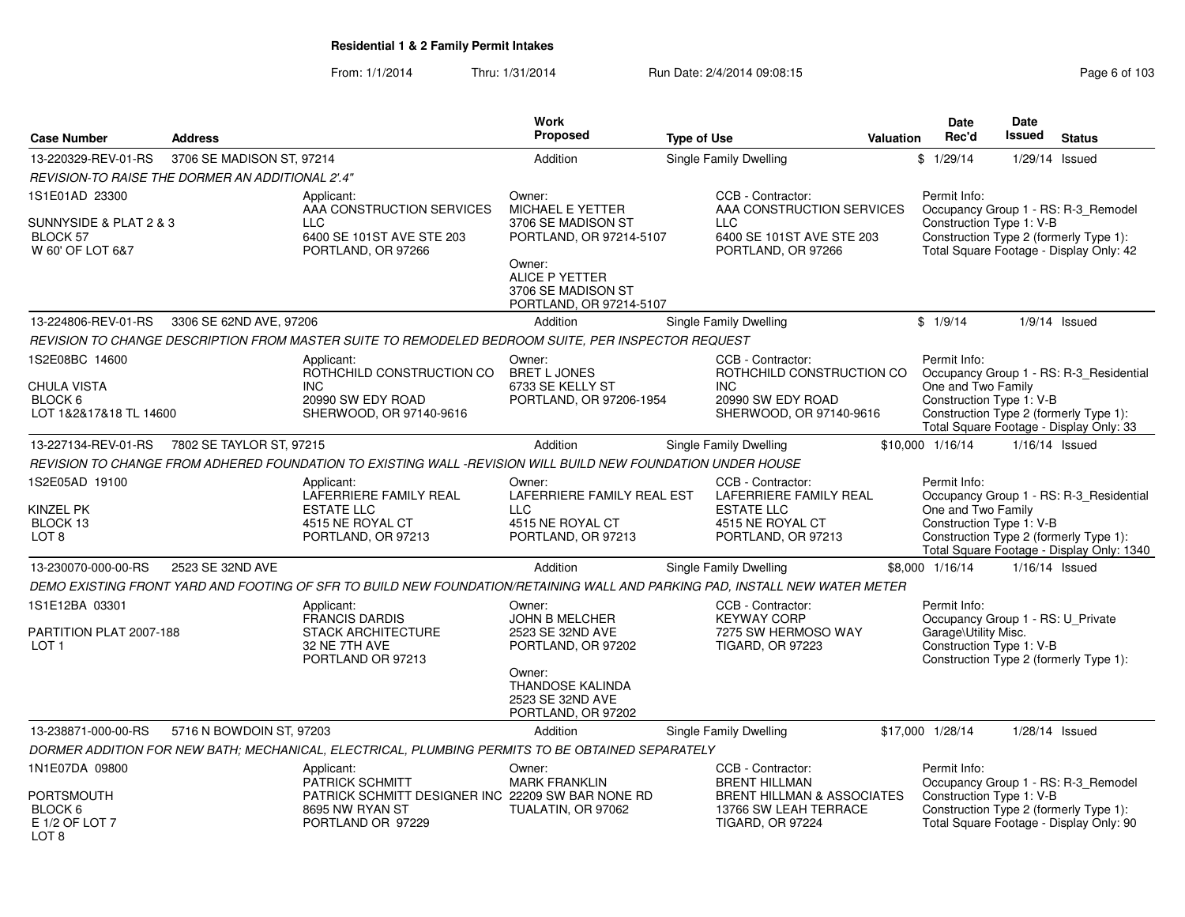|                                                                          |                           |                                                                                                                                   | <b>Work</b>                                                                                                                                                     |                               |                                                                                                                             | Date                                                                                                  | Date             |                                                                                                                                |
|--------------------------------------------------------------------------|---------------------------|-----------------------------------------------------------------------------------------------------------------------------------|-----------------------------------------------------------------------------------------------------------------------------------------------------------------|-------------------------------|-----------------------------------------------------------------------------------------------------------------------------|-------------------------------------------------------------------------------------------------------|------------------|--------------------------------------------------------------------------------------------------------------------------------|
| <b>Case Number</b>                                                       | <b>Address</b>            |                                                                                                                                   | Proposed                                                                                                                                                        | <b>Type of Use</b>            | <b>Valuation</b>                                                                                                            | Rec'd                                                                                                 | <b>Issued</b>    | <b>Status</b>                                                                                                                  |
| 13-220329-REV-01-RS                                                      | 3706 SE MADISON ST, 97214 |                                                                                                                                   | Addition                                                                                                                                                        | Single Family Dwelling        |                                                                                                                             | \$1/29/14                                                                                             | 1/29/14          | Issued                                                                                                                         |
| REVISION-TO RAISE THE DORMER AN ADDITIONAL 2'.4"                         |                           |                                                                                                                                   |                                                                                                                                                                 |                               |                                                                                                                             |                                                                                                       |                  |                                                                                                                                |
| 1S1E01AD 23300<br>SUNNYSIDE & PLAT 2 & 3<br>BLOCK 57<br>W 60' OF LOT 6&7 |                           | Applicant:<br>AAA CONSTRUCTION SERVICES<br><b>LLC</b><br>6400 SE 101ST AVE STE 203<br>PORTLAND, OR 97266                          | Owner:<br><b>MICHAEL E YETTER</b><br>3706 SE MADISON ST<br>PORTLAND, OR 97214-5107<br>Owner:<br>ALICE P YETTER<br>3706 SE MADISON ST<br>PORTLAND, OR 97214-5107 | <b>LLC</b>                    | CCB - Contractor:<br>AAA CONSTRUCTION SERVICES<br>6400 SE 101ST AVE STE 203<br>PORTLAND, OR 97266                           | Permit Info:<br>Construction Type 1: V-B                                                              |                  | Occupancy Group 1 - RS: R-3_Remodel<br>Construction Type 2 (formerly Type 1):<br>Total Square Footage - Display Only: 42       |
| 13-224806-REV-01-RS                                                      | 3306 SE 62ND AVE, 97206   |                                                                                                                                   | Addition                                                                                                                                                        | Single Family Dwelling        |                                                                                                                             | \$1/9/14                                                                                              |                  | $1/9/14$ Issued                                                                                                                |
|                                                                          |                           | REVISION TO CHANGE DESCRIPTION FROM MASTER SUITE TO REMODELED BEDROOM SUITE, PER INSPECTOR REQUEST                                |                                                                                                                                                                 |                               |                                                                                                                             |                                                                                                       |                  |                                                                                                                                |
| 1S2E08BC 14600<br>CHULA VISTA<br>BLOCK 6<br>LOT 1&2&17&18 TL 14600       |                           | Applicant:<br>ROTHCHILD CONSTRUCTION CO<br><b>INC</b><br>20990 SW EDY ROAD<br>SHERWOOD, OR 97140-9616                             | Owner:<br><b>BRET L JONES</b><br>6733 SE KELLY ST<br>PORTLAND, OR 97206-1954                                                                                    | <b>INC</b>                    | CCB - Contractor:<br>ROTHCHILD CONSTRUCTION CO<br>20990 SW EDY ROAD<br>SHERWOOD, OR 97140-9616                              | Permit Info:<br>One and Two Family<br>Construction Type 1: V-B                                        |                  | Occupancy Group 1 - RS: R-3_Residential<br>Construction Type 2 (formerly Type 1):<br>Total Square Footage - Display Only: 33   |
| 13-227134-REV-01-RS                                                      | 7802 SE TAYLOR ST, 97215  |                                                                                                                                   | Addition                                                                                                                                                        | Single Family Dwelling        |                                                                                                                             | \$10,000 1/16/14                                                                                      | 1/16/14 Issued   |                                                                                                                                |
|                                                                          |                           | REVISION TO CHANGE FROM ADHERED FOUNDATION TO EXISTING WALL -REVISION WILL BUILD NEW FOUNDATION UNDER HOUSE                       |                                                                                                                                                                 |                               |                                                                                                                             |                                                                                                       |                  |                                                                                                                                |
| 1S2E05AD 19100<br>KINZEL PK<br>BLOCK 13<br>LOT <sub>8</sub>              |                           | Applicant:<br>LAFERRIERE FAMILY REAL<br><b>ESTATE LLC</b><br>4515 NE ROYAL CT<br>PORTLAND, OR 97213                               | Owner:<br>LAFERRIERE FAMILY REAL EST<br><b>LLC</b><br>4515 NE ROYAL CT<br>PORTLAND, OR 97213                                                                    |                               | CCB - Contractor:<br>LAFERRIERE FAMILY REAL<br><b>ESTATE LLC</b><br>4515 NE ROYAL CT<br>PORTLAND, OR 97213                  | Permit Info:<br>One and Two Family<br>Construction Type 1: V-B                                        |                  | Occupancy Group 1 - RS: R-3 Residential<br>Construction Type 2 (formerly Type 1):<br>Total Square Footage - Display Only: 1340 |
| 13-230070-000-00-RS                                                      | 2523 SE 32ND AVE          |                                                                                                                                   | Addition                                                                                                                                                        | Single Family Dwelling        |                                                                                                                             | \$8,000 1/16/14                                                                                       | $1/16/14$ Issued |                                                                                                                                |
|                                                                          |                           | DEMO EXISTING FRONT YARD AND FOOTING OF SFR TO BUILD NEW FOUNDATION/RETAINING WALL AND PARKING PAD, INSTALL NEW WATER METER       |                                                                                                                                                                 |                               |                                                                                                                             |                                                                                                       |                  |                                                                                                                                |
| 1S1E12BA 03301<br>PARTITION PLAT 2007-188<br>LOT <sub>1</sub>            |                           | Applicant:<br><b>FRANCIS DARDIS</b><br><b>STACK ARCHITECTURE</b><br>32 NE 7TH AVE<br>PORTLAND OR 97213                            | Owner:<br><b>JOHN B MELCHER</b><br>2523 SE 32ND AVE<br>PORTLAND, OR 97202<br>Owner:                                                                             |                               | CCB - Contractor:<br><b>KEYWAY CORP</b><br>7275 SW HERMOSO WAY<br><b>TIGARD, OR 97223</b>                                   | Permit Info:<br>Occupancy Group 1 - RS: U_Private<br>Garage\Utility Misc.<br>Construction Type 1: V-B |                  | Construction Type 2 (formerly Type 1):                                                                                         |
|                                                                          |                           |                                                                                                                                   | <b>THANDOSE KALINDA</b><br>2523 SE 32ND AVE<br>PORTLAND, OR 97202                                                                                               |                               |                                                                                                                             |                                                                                                       |                  |                                                                                                                                |
| 13-238871-000-00-RS                                                      | 5716 N BOWDOIN ST, 97203  |                                                                                                                                   | Addition                                                                                                                                                        | <b>Single Family Dwelling</b> |                                                                                                                             | \$17,000 1/28/14                                                                                      |                  | $1/28/14$ Issued                                                                                                               |
|                                                                          |                           | DORMER ADDITION FOR NEW BATH; MECHANICAL, ELECTRICAL, PLUMBING PERMITS TO BE OBTAINED SEPARATELY                                  |                                                                                                                                                                 |                               |                                                                                                                             |                                                                                                       |                  |                                                                                                                                |
| 1N1E07DA 09800<br>PORTSMOUTH<br>BLOCK 6<br>E 1/2 OF LOT 7<br>LOT 8       |                           | Applicant:<br><b>PATRICK SCHMITT</b><br>PATRICK SCHMITT DESIGNER INC 22209 SW BAR NONE RD<br>8695 NW RYAN ST<br>PORTLAND OR 97229 | Owner:<br><b>MARK FRANKLIN</b><br>TUALATIN, OR 97062                                                                                                            |                               | CCB - Contractor:<br><b>BRENT HILLMAN</b><br>BRENT HILLMAN & ASSOCIATES<br>13766 SW LEAH TERRACE<br><b>TIGARD, OR 97224</b> | Permit Info:<br>Construction Type 1: V-B                                                              |                  | Occupancy Group 1 - RS: R-3 Remodel<br>Construction Type 2 (formerly Type 1):<br>Total Square Footage - Display Only: 90       |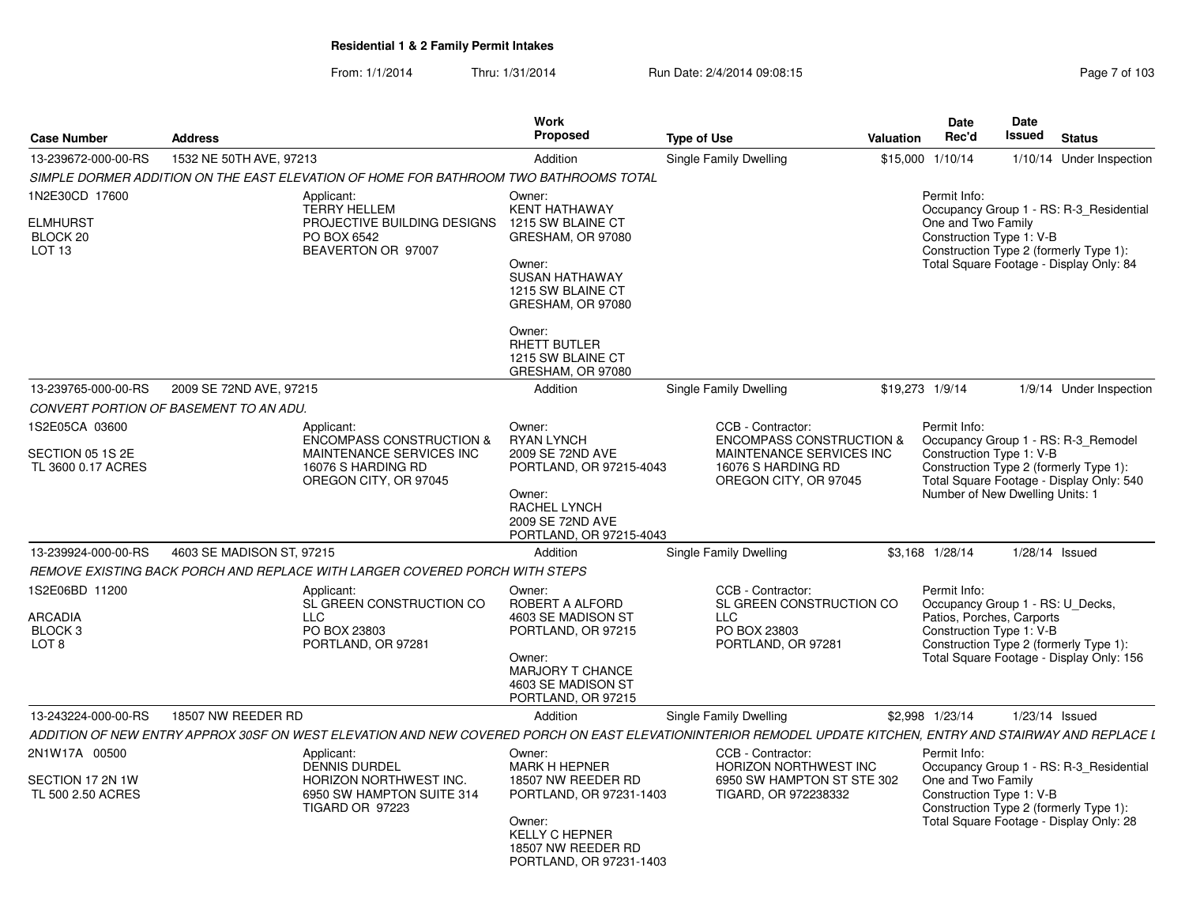From: 1/1/2014Thru: 1/31/2014 Run Date: 2/4/2014 09:08:15 Research 2010 103

| <b>Case Number</b>                                                            | <b>Address</b>                         |                                                                                                                                                              | Work<br><b>Proposed</b>                                                                                                                                             | <b>Type of Use</b> |                                                                                                                                     | <b>Valuation</b>                                                                                                                                                                                         | <b>Date</b><br>Rec'd               | <b>Date</b><br>Issued                                                                     | <b>Status</b>                                                                                                                |
|-------------------------------------------------------------------------------|----------------------------------------|--------------------------------------------------------------------------------------------------------------------------------------------------------------|---------------------------------------------------------------------------------------------------------------------------------------------------------------------|--------------------|-------------------------------------------------------------------------------------------------------------------------------------|----------------------------------------------------------------------------------------------------------------------------------------------------------------------------------------------------------|------------------------------------|-------------------------------------------------------------------------------------------|------------------------------------------------------------------------------------------------------------------------------|
| 13-239672-000-00-RS                                                           | 1532 NE 50TH AVE, 97213                |                                                                                                                                                              | Addition                                                                                                                                                            |                    | Single Family Dwelling                                                                                                              |                                                                                                                                                                                                          | \$15,000 1/10/14                   |                                                                                           | 1/10/14 Under Inspection                                                                                                     |
|                                                                               |                                        | SIMPLE DORMER ADDITION ON THE EAST ELEVATION OF HOME FOR BATHROOM TWO BATHROOMS TOTAL                                                                        |                                                                                                                                                                     |                    |                                                                                                                                     |                                                                                                                                                                                                          |                                    |                                                                                           |                                                                                                                              |
| 1N2E30CD 17600<br><b>ELMHURST</b><br>BLOCK <sub>20</sub><br>LOT <sub>13</sub> |                                        | Applicant:<br><b>TERRY HELLEM</b><br>PROJECTIVE BUILDING DESIGNS<br>PO BOX 6542<br>BEAVERTON OR 97007                                                        | Owner:<br><b>KENT HATHAWAY</b><br>1215 SW BLAINE CT<br>GRESHAM, OR 97080<br>Owner:<br><b>SUSAN HATHAWAY</b><br>1215 SW BLAINE CT<br>GRESHAM, OR 97080               |                    |                                                                                                                                     |                                                                                                                                                                                                          | Permit Info:<br>One and Two Family | Construction Type 1: V-B                                                                  | Occupancy Group 1 - RS: R-3_Residential<br>Construction Type 2 (formerly Type 1):<br>Total Square Footage - Display Only: 84 |
|                                                                               |                                        |                                                                                                                                                              | Owner:<br>RHETT BUTLER<br>1215 SW BLAINE CT<br>GRESHAM, OR 97080                                                                                                    |                    |                                                                                                                                     |                                                                                                                                                                                                          |                                    |                                                                                           |                                                                                                                              |
| 13-239765-000-00-RS                                                           | 2009 SE 72ND AVE, 97215                |                                                                                                                                                              | Addition                                                                                                                                                            |                    | Single Family Dwelling                                                                                                              |                                                                                                                                                                                                          | \$19,273 1/9/14                    |                                                                                           | 1/9/14 Under Inspection                                                                                                      |
|                                                                               | CONVERT PORTION OF BASEMENT TO AN ADU. |                                                                                                                                                              |                                                                                                                                                                     |                    |                                                                                                                                     |                                                                                                                                                                                                          |                                    |                                                                                           |                                                                                                                              |
| 1S2E05CA 03600<br>SECTION 05 1S 2E<br>TL 3600 0.17 ACRES                      |                                        | Applicant:<br><b>ENCOMPASS CONSTRUCTION &amp;</b><br>MAINTENANCE SERVICES INC<br>16076 S HARDING RD<br>OREGON CITY, OR 97045                                 | Owner:<br><b>RYAN LYNCH</b><br>2009 SE 72ND AVE<br>PORTLAND, OR 97215-4043<br>Owner:<br>RACHEL LYNCH<br>2009 SE 72ND AVE<br>PORTLAND, OR 97215-4043                 |                    | CCB - Contractor:<br><b>ENCOMPASS CONSTRUCTION &amp;</b><br>MAINTENANCE SERVICES INC<br>16076 S HARDING RD<br>OREGON CITY, OR 97045 | Permit Info:<br>Occupancy Group 1 - RS: R-3_Remodel<br>Construction Type 1: V-B<br>Construction Type 2 (formerly Type 1):<br>Total Square Footage - Display Only: 540<br>Number of New Dwelling Units: 1 |                                    |                                                                                           |                                                                                                                              |
| 13-239924-000-00-RS                                                           | 4603 SE MADISON ST, 97215              |                                                                                                                                                              | Addition                                                                                                                                                            |                    | Single Family Dwelling                                                                                                              |                                                                                                                                                                                                          | \$3,168 1/28/14                    | $1/28/14$ Issued                                                                          |                                                                                                                              |
|                                                                               |                                        | REMOVE EXISTING BACK PORCH AND REPLACE WITH LARGER COVERED PORCH WITH STEPS                                                                                  |                                                                                                                                                                     |                    |                                                                                                                                     |                                                                                                                                                                                                          |                                    |                                                                                           |                                                                                                                              |
| 1S2E06BD 11200<br><b>ARCADIA</b><br>BLOCK <sub>3</sub><br>LOT <sub>8</sub>    |                                        | Applicant:<br>SL GREEN CONSTRUCTION CO<br><b>LLC</b><br>PO BOX 23803<br>PORTLAND, OR 97281                                                                   | Owner:<br>ROBERT A ALFORD<br>4603 SE MADISON ST<br>PORTLAND, OR 97215<br>Owner:<br>MARJORY T CHANCE<br>4603 SE MADISON ST<br>PORTLAND, OR 97215                     |                    | CCB - Contractor:<br>SL GREEN CONSTRUCTION CO<br><b>LLC</b><br>PO BOX 23803<br>PORTLAND, OR 97281                                   |                                                                                                                                                                                                          | Permit Info:                       | Occupancy Group 1 - RS: U_Decks,<br>Patios, Porches, Carports<br>Construction Type 1: V-B | Construction Type 2 (formerly Type 1):<br>Total Square Footage - Display Only: 156                                           |
| 13-243224-000-00-RS                                                           | 18507 NW REEDER RD                     |                                                                                                                                                              | Addition                                                                                                                                                            |                    | Single Family Dwelling                                                                                                              |                                                                                                                                                                                                          | \$2,998 1/23/14                    | 1/23/14 Issued                                                                            |                                                                                                                              |
|                                                                               |                                        | ADDITION OF NEW ENTRY APPROX 30SF ON WEST ELEVATION AND NEW COVERED PORCH ON EAST ELEVATIONINTERIOR REMODEL UPDATE KITCHEN. ENTRY AND STAIRWAY AND REPLACE L |                                                                                                                                                                     |                    |                                                                                                                                     |                                                                                                                                                                                                          |                                    |                                                                                           |                                                                                                                              |
| 2N1W17A 00500<br>SECTION 17 2N 1W<br>TL 500 2.50 ACRES                        |                                        | Applicant:<br><b>DENNIS DURDEL</b><br>HORIZON NORTHWEST INC.<br>6950 SW HAMPTON SUITE 314<br>TIGARD OR 97223                                                 | Owner:<br><b>MARK H HEPNER</b><br>18507 NW REEDER RD<br>PORTLAND, OR 97231-1403<br>Owner:<br><b>KELLY C HEPNER</b><br>18507 NW REEDER RD<br>PORTLAND, OR 97231-1403 |                    | CCB - Contractor:<br>HORIZON NORTHWEST INC<br>6950 SW HAMPTON ST STE 302<br>TIGARD, OR 972238332                                    |                                                                                                                                                                                                          | Permit Info:<br>One and Two Family | Construction Type 1: V-B                                                                  | Occupancy Group 1 - RS: R-3_Residential<br>Construction Type 2 (formerly Type 1):<br>Total Square Footage - Display Only: 28 |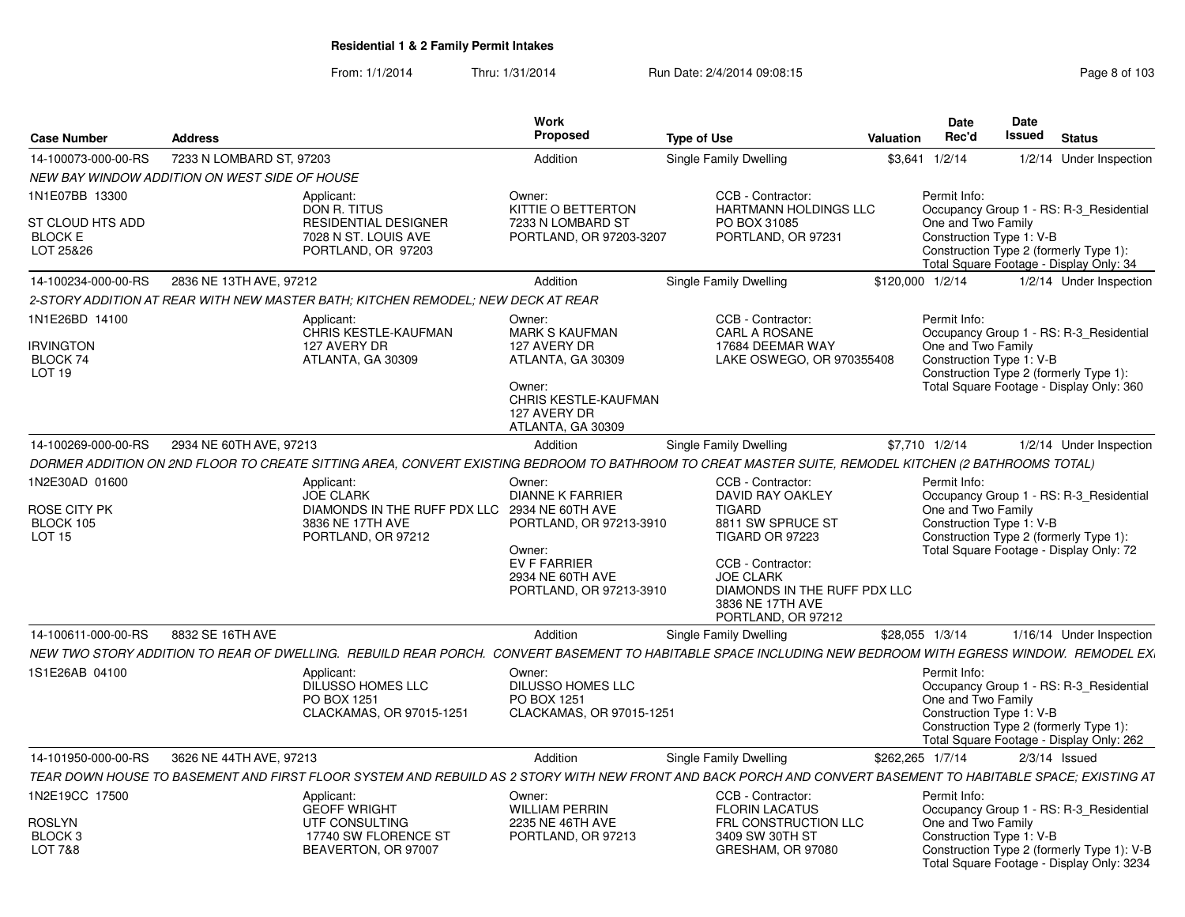| <b>Case Number</b>                                                   | <b>Address</b>                                |                                                                                                                                                              | Work<br><b>Proposed</b>                                                                                                                                   | <b>Type of Use</b>                                                                                                                                                                                                       | Valuation        | <b>Date</b><br>Rec'd               | Date<br>Issued<br><b>Status</b>                                                                                                                                |
|----------------------------------------------------------------------|-----------------------------------------------|--------------------------------------------------------------------------------------------------------------------------------------------------------------|-----------------------------------------------------------------------------------------------------------------------------------------------------------|--------------------------------------------------------------------------------------------------------------------------------------------------------------------------------------------------------------------------|------------------|------------------------------------|----------------------------------------------------------------------------------------------------------------------------------------------------------------|
| 14-100073-000-00-RS                                                  | 7233 N LOMBARD ST, 97203                      |                                                                                                                                                              | Addition                                                                                                                                                  | Single Family Dwelling                                                                                                                                                                                                   |                  | \$3,641 1/2/14                     | 1/2/14 Under Inspection                                                                                                                                        |
|                                                                      | NEW BAY WINDOW ADDITION ON WEST SIDE OF HOUSE |                                                                                                                                                              |                                                                                                                                                           |                                                                                                                                                                                                                          |                  |                                    |                                                                                                                                                                |
| 1N1E07BB 13300<br>ST CLOUD HTS ADD<br><b>BLOCK E</b><br>LOT 25&26    |                                               | Applicant:<br>DON R. TITUS<br><b>RESIDENTIAL DESIGNER</b><br>7028 N ST. LOUIS AVE<br>PORTLAND, OR 97203                                                      | Owner:<br>KITTIE O BETTERTON<br>7233 N LOMBARD ST<br>PORTLAND, OR 97203-3207                                                                              | CCB - Contractor:<br><b>HARTMANN HOLDINGS LLC</b><br>PO BOX 31085<br>PORTLAND, OR 97231                                                                                                                                  |                  | Permit Info:<br>One and Two Family | Occupancy Group 1 - RS: R-3_Residential<br>Construction Type 1: V-B<br>Construction Type 2 (formerly Type 1):                                                  |
|                                                                      |                                               |                                                                                                                                                              |                                                                                                                                                           |                                                                                                                                                                                                                          |                  |                                    | Total Square Footage - Display Only: 34                                                                                                                        |
| 14-100234-000-00-RS                                                  | 2836 NE 13TH AVE, 97212                       |                                                                                                                                                              | Addition                                                                                                                                                  | Single Family Dwelling                                                                                                                                                                                                   | \$120,000 1/2/14 |                                    | 1/2/14 Under Inspection                                                                                                                                        |
|                                                                      |                                               | 2-STORY ADDITION AT REAR WITH NEW MASTER BATH; KITCHEN REMODEL; NEW DECK AT REAR                                                                             |                                                                                                                                                           |                                                                                                                                                                                                                          |                  |                                    |                                                                                                                                                                |
| 1N1E26BD 14100<br><b>IRVINGTON</b><br>BLOCK 74<br>LOT <sub>19</sub>  |                                               | Applicant:<br>CHRIS KESTLE-KAUFMAN<br>127 AVERY DR<br>ATLANTA, GA 30309                                                                                      | Owner:<br><b>MARK S KAUFMAN</b><br>127 AVERY DR<br>ATLANTA, GA 30309<br>Owner:<br><b>CHRIS KESTLE-KAUFMAN</b><br>127 AVERY DR<br>ATLANTA, GA 30309        | CCB - Contractor:<br>CARL A ROSANE<br>17684 DEEMAR WAY<br>LAKE OSWEGO, OR 970355408                                                                                                                                      |                  | Permit Info:<br>One and Two Family | Occupancy Group 1 - RS: R-3_Residential<br>Construction Type 1: V-B<br>Construction Type 2 (formerly Type 1):<br>Total Square Footage - Display Only: 360      |
| 14-100269-000-00-RS                                                  | 2934 NE 60TH AVE, 97213                       |                                                                                                                                                              | Addition                                                                                                                                                  | Single Family Dwelling                                                                                                                                                                                                   |                  | \$7,710 1/2/14                     | 1/2/14 Under Inspection                                                                                                                                        |
|                                                                      |                                               | DORMER ADDITION ON 2ND FLOOR TO CREATE SITTING AREA. CONVERT EXISTING BEDROOM TO BATHROOM TO CREAT MASTER SUITE, REMODEL KITCHEN (2 BATHROOMS TOTAL)         |                                                                                                                                                           |                                                                                                                                                                                                                          |                  |                                    |                                                                                                                                                                |
| 1N2E30AD 01600<br>ROSE CITY PK<br>BLOCK 105<br><b>LOT 15</b>         |                                               | Applicant:<br><b>JOE CLARK</b><br>DIAMONDS IN THE RUFF PDX LLC<br>3836 NE 17TH AVE<br>PORTLAND, OR 97212                                                     | Owner:<br><b>DIANNE K FARRIER</b><br>2934 NE 60TH AVE<br>PORTLAND, OR 97213-3910<br>Owner:<br>EV F FARRIER<br>2934 NE 60TH AVE<br>PORTLAND, OR 97213-3910 | CCB - Contractor:<br>DAVID RAY OAKLEY<br><b>TIGARD</b><br>8811 SW SPRUCE ST<br><b>TIGARD OR 97223</b><br>CCB - Contractor:<br><b>JOE CLARK</b><br>DIAMONDS IN THE RUFF PDX LLC<br>3836 NE 17TH AVE<br>PORTLAND, OR 97212 |                  | Permit Info:<br>One and Two Family | Occupancy Group 1 - RS: R-3 Residential<br>Construction Type 1: V-B<br>Construction Type 2 (formerly Type 1):<br>Total Square Footage - Display Only: 72       |
| 14-100611-000-00-RS                                                  | 8832 SE 16TH AVE                              |                                                                                                                                                              | Addition                                                                                                                                                  | <b>Single Family Dwelling</b>                                                                                                                                                                                            |                  | \$28,055 1/3/14                    | 1/16/14 Under Inspection                                                                                                                                       |
|                                                                      |                                               | NEW TWO STORY ADDITION TO REAR OF DWELLING. REBUILD REAR PORCH. CONVERT BASEMENT TO HABITABLE SPACE INCLUDING NEW BEDROOM WITH EGRESS WINDOW. REMODEL EX.    |                                                                                                                                                           |                                                                                                                                                                                                                          |                  |                                    |                                                                                                                                                                |
| 1S1E26AB 04100                                                       |                                               | Applicant:<br><b>DILUSSO HOMES LLC</b><br>PO BOX 1251<br>CLACKAMAS, OR 97015-1251                                                                            | Owner:<br><b>DILUSSO HOMES LLC</b><br>PO BOX 1251<br>CLACKAMAS, OR 97015-1251                                                                             |                                                                                                                                                                                                                          |                  | Permit Info:<br>One and Two Family | Occupancy Group 1 - RS: R-3 Residential<br>Construction Type 1: V-B<br>Construction Type 2 (formerly Type 1):<br>Total Square Footage - Display Only: 262      |
| 14-101950-000-00-RS                                                  | 3626 NE 44TH AVE, 97213                       |                                                                                                                                                              | Addition                                                                                                                                                  | <b>Single Family Dwelling</b>                                                                                                                                                                                            | \$262,265 1/7/14 |                                    | $2/3/14$ Issued                                                                                                                                                |
|                                                                      |                                               | TEAR DOWN HOUSE TO BASEMENT AND FIRST FLOOR SYSTEM AND REBUILD AS 2 STORY WITH NEW FRONT AND BACK PORCH AND CONVERT BASEMENT TO HABITABLE SPACE; EXISTING AT |                                                                                                                                                           |                                                                                                                                                                                                                          |                  |                                    |                                                                                                                                                                |
| 1N2E19CC 17500<br>ROSLYN<br>BLOCK <sub>3</sub><br><b>LOT 7&amp;8</b> |                                               | Applicant:<br><b>GEOFF WRIGHT</b><br>UTF CONSULTING<br>17740 SW FLORENCE ST<br>BEAVERTON, OR 97007                                                           | Owner:<br><b>WILLIAM PERRIN</b><br>2235 NE 46TH AVE<br>PORTLAND, OR 97213                                                                                 | CCB - Contractor:<br><b>FLORIN LACATUS</b><br>FRL CONSTRUCTION LLC<br>3409 SW 30TH ST<br>GRESHAM, OR 97080                                                                                                               |                  | Permit Info:<br>One and Two Family | Occupancy Group 1 - RS: R-3 Residential<br>Construction Type 1: V-B<br>Construction Type 2 (formerly Type 1): V-B<br>Total Square Footage - Display Only: 3234 |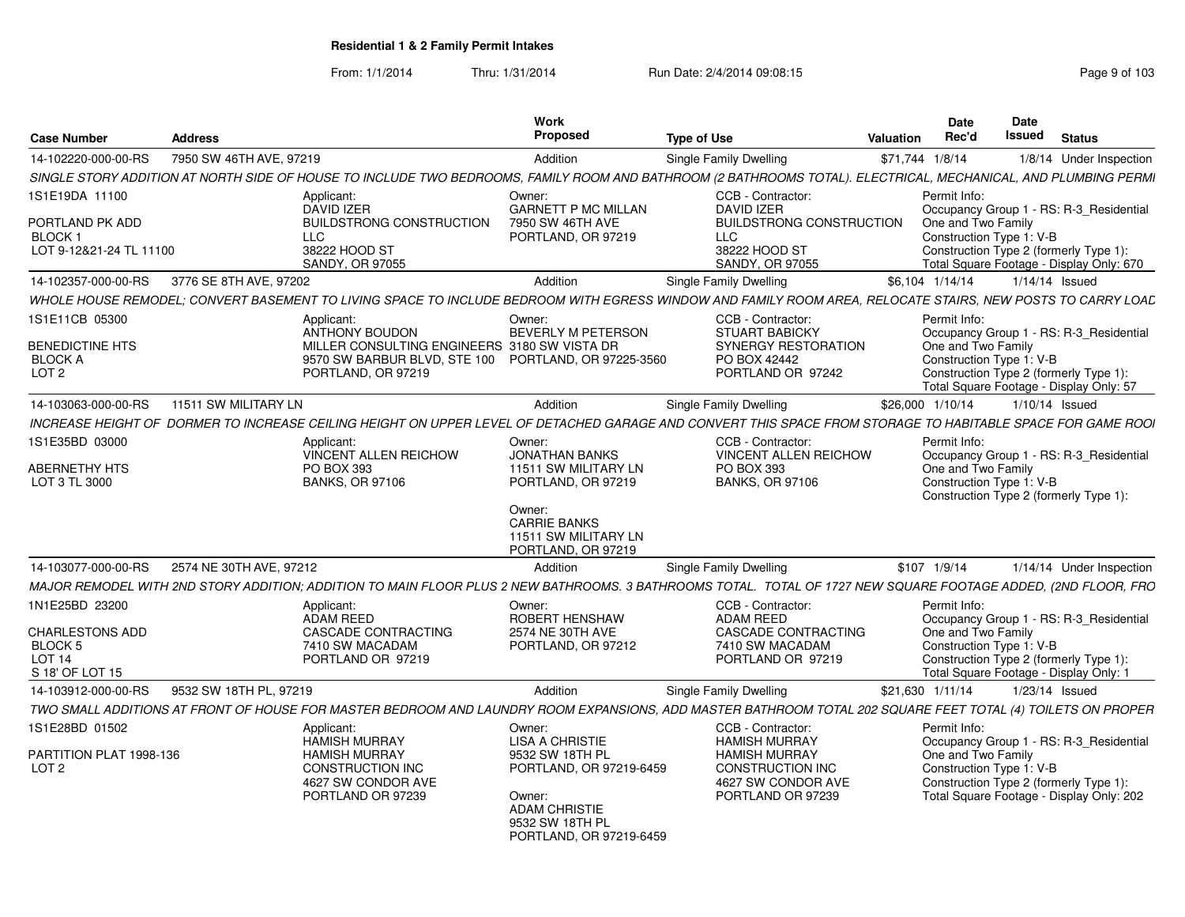From: 1/1/2014Thru: 1/31/2014 Run Date: 2/4/2014 09:08:15 Research 2010 103

| <b>Case Number</b>                     | <b>Address</b>                                                                                                                                                 | Work<br>Propose                                                    | <b>Type of Use</b>                              | Date<br>Rec'd<br>Valuation | Date<br>Issued<br><b>Status</b>                                                    |
|----------------------------------------|----------------------------------------------------------------------------------------------------------------------------------------------------------------|--------------------------------------------------------------------|-------------------------------------------------|----------------------------|------------------------------------------------------------------------------------|
| 14-102220-000-00-RS                    | 7950 SW 46TH AVE, 97219                                                                                                                                        | Addition                                                           | Single Family Dwelling                          | \$71,744 1/8/14            | 1/8/14 Under Inspection                                                            |
|                                        | SINGLE STORY ADDITION AT NORTH SIDE OF HOUSE TO INCLUDE TWO BEDROOMS, FAMILY ROOM AND BATHROOM (2 BATHROOMS TOTAL). ELECTRICAL, MECHANICAL, AND PLUMBING PERMI |                                                                    |                                                 |                            |                                                                                    |
| 1S1E19DA 11100                         | Applicant:                                                                                                                                                     | Owner:                                                             | CCB - Contractor:                               | Permit Info:               |                                                                                    |
|                                        | DAVID IZER                                                                                                                                                     | <b>GARNETT P MC MILLAN</b>                                         | DAVID IZER                                      |                            | Occupancy Group 1 - RS: R-3_Residential                                            |
| PORTLAND PK ADD<br>BLOCK 1             | LLC -                                                                                                                                                          | BUILDSTRONG CONSTRUCTION 7950 SW 46TH AVE<br>PORTLAND, OR 97219    | <b>BUILDSTRONG CONSTRUCTION</b><br>LLC.         | One and Two Family         | Construction Type 1: V-B                                                           |
| LOT 9-12&21-24 TL 11100                | 38222 HOOD ST<br><b>SANDY, OR 97055</b>                                                                                                                        |                                                                    | 38222 HOOD ST<br>SANDY, OR 97055                |                            | Construction Type 2 (formerly Type 1):<br>Total Square Footage - Display Only: 670 |
|                                        | 14-102357-000-00-RS 3776 SE 8TH AVE, 97202                                                                                                                     | Addition                                                           | Single Family Dwelling                          | \$6.104 1/14/14            | 1/14/14 Issued                                                                     |
|                                        | WHOLE HOUSE REMODEL; CONVERT BASEMENT TO LIVING SPACE TO INCLUDE BEDROOM WITH EGRESS WINDOW AND FAMILY ROOM AREA, RELOCATE STAIRS, NEW POSTS TO CARRY LOAL     |                                                                    |                                                 |                            |                                                                                    |
| 1S1E11CB 05300                         | Applicant:                                                                                                                                                     | Owner:                                                             | CCB - Contractor:                               | Permit Info:               |                                                                                    |
| <b>BENEDICTINE HTS</b>                 | ANTHONY BOUDON                                                                                                                                                 | BEVERLY M PETERSON<br>MILLER CONSULTING ENGINEERS 3180 SW VISTA DR | <b>STUART BABICKY</b><br>SYNERGY RESTORATION    | One and Two Family         | Occupancy Group 1 - RS: R-3 Residential                                            |
| BLOCK A                                |                                                                                                                                                                | 9570 SW BARBUR BLVD, STE 100 PORTLAND, OR 97225-3560               | PO BOX 42442                                    |                            | Construction Type 1: V-B                                                           |
| LOT <sub>2</sub>                       | PORTLAND, OR 97219                                                                                                                                             |                                                                    | PORTLAND OR 97242                               |                            | Construction Type 2 (formerly Type 1):<br>Total Square Footage - Display Only: 57  |
|                                        |                                                                                                                                                                | Addition                                                           | Single Family Dwelling                          | \$26,000 1/10/14           | 1/10/14 Issued                                                                     |
|                                        | INCREASE HEIGHT OF DORMER TO INCREASE CEILING HEIGHT ON UPPER LEVEL OF DETACHED GARAGE AND CONVERT THIS SPACE FROM STORAGE TO HABITABLE SPACE FOR GAME ROOI    |                                                                    |                                                 |                            |                                                                                    |
| 1S1E35BD 03000                         | Applicant:                                                                                                                                                     | Owner:                                                             | CCB - Contractor:                               | Permit Info:               |                                                                                    |
| <b>ABERNETHY HTS</b>                   | VINCENT ALLEN REICHOW<br>PO BOX 393                                                                                                                            | JONATHAN BANKS<br>11511 SW MILITARY LN                             | <b>VINCENT ALLEN REICHOW</b><br>PO BOX 393      | One and Two Family         | Occupancy Group 1 - RS: R-3_Residential                                            |
| LOT 3 TL 3000                          | <b>BANKS, OR 97106</b>                                                                                                                                         | PORTLAND, OR 97219                                                 | <b>BANKS, OR 97106</b>                          |                            | Construction Type 1: V-B                                                           |
|                                        |                                                                                                                                                                | Owner:                                                             |                                                 |                            | Construction Type 2 (formerly Type 1):                                             |
|                                        |                                                                                                                                                                | <b>CARRIE BANKS</b>                                                |                                                 |                            |                                                                                    |
|                                        |                                                                                                                                                                | 11511 SW MILITARY LN<br>PORTLAND, OR 97219                         |                                                 |                            |                                                                                    |
|                                        | 14-103077-000-00-RS 2574 NE 30TH AVE, 97212                                                                                                                    | Addition                                                           | Single Family Dwelling                          | \$107 1/9/14               | 1/14/14 Under Inspection                                                           |
|                                        | MAJOR REMODEL WITH 2ND STORY ADDITION; ADDITION TO MAIN FLOOR PLUS 2 NEW BATHROOMS. 3 BATHROOMS TOTAL. TOTAL OF 1727 NEW SQUARE FOOTAGE ADDED, (2ND FLOOR, FRO |                                                                    |                                                 |                            |                                                                                    |
| 1N1E25BD 23200                         | Applicant:                                                                                                                                                     | Owner:                                                             | CCB - Contractor:                               | Permit Info:               |                                                                                    |
|                                        | ADAM REED                                                                                                                                                      | <b>ROBERT HENSHAW</b>                                              | ADAM REED                                       |                            | Occupancy Group 1 - RS: R-3_Residential                                            |
| <b>CHARLESTONS ADD</b><br>BLOCK 5      | CASCADE CONTRACTING<br>7410 SW MACADAM                                                                                                                         | 2574 NE 30TH AVE<br>PORTLAND, OR 97212                             | CASCADE CONTRACTING<br>7410 SW MACADAM          | One and Two Family         | Construction Type 1: V-B                                                           |
| <b>LOT 14</b>                          | PORTLAND OR 97219                                                                                                                                              |                                                                    | PORTLAND OR 97219                               |                            | Construction Type 2 (formerly Type 1):                                             |
| S 18' OF LOT 15<br>14-103912-000-00-RS | 9532 SW 18TH PL. 97219                                                                                                                                         | Addition                                                           | Single Family Dwelling                          | \$21.630 1/11/14           | Total Square Footage - Display Only: 1<br>1/23/14 Issued                           |
|                                        | TWO SMALL ADDITIONS AT FRONT OF HOUSE FOR MASTER BEDROOM AND LAUNDRY ROOM EXPANSIONS, ADD MASTER BATHROOM TOTAL 202 SQUARE FEET TOTAL (4) TOILETS ON PROPER    |                                                                    |                                                 |                            |                                                                                    |
| 1S1E28BD 01502                         | Applicant:                                                                                                                                                     | Owner:                                                             | CCB - Contractor:                               | Permit Info:               |                                                                                    |
|                                        | <b>HAMISH MURRAY</b>                                                                                                                                           | <b>LISA A CHRISTIE</b>                                             | <b>HAMISH MURRAY</b>                            |                            | Occupancy Group 1 - RS: R-3_Residential                                            |
| PARTITION PLAT 1998-136<br>LOT 2       | <b>HAMISH MURRAY</b><br><b>CONSTRUCTION INC</b>                                                                                                                | 9532 SW 18TH PL<br>PORTLAND, OR 97219-6459                         | <b>HAMISH MURRAY</b><br><b>CONSTRUCTION INC</b> | One and Two Family         | Construction Type 1: V-B                                                           |
|                                        | 4627 SW CONDOR AVE                                                                                                                                             |                                                                    | 4627 SW CONDOR AVE                              |                            | Construction Type 2 (formerly Type 1):                                             |
|                                        | PORTLAND OR 97239                                                                                                                                              | Owner:<br><b>ADAM CHRISTIE</b>                                     | PORTLAND OR 97239                               |                            | Total Square Footage - Display Only: 202                                           |
|                                        |                                                                                                                                                                | 9532 SW 18TH PL                                                    |                                                 |                            |                                                                                    |
|                                        |                                                                                                                                                                | PORTLAND, OR 97219-6459                                            |                                                 |                            |                                                                                    |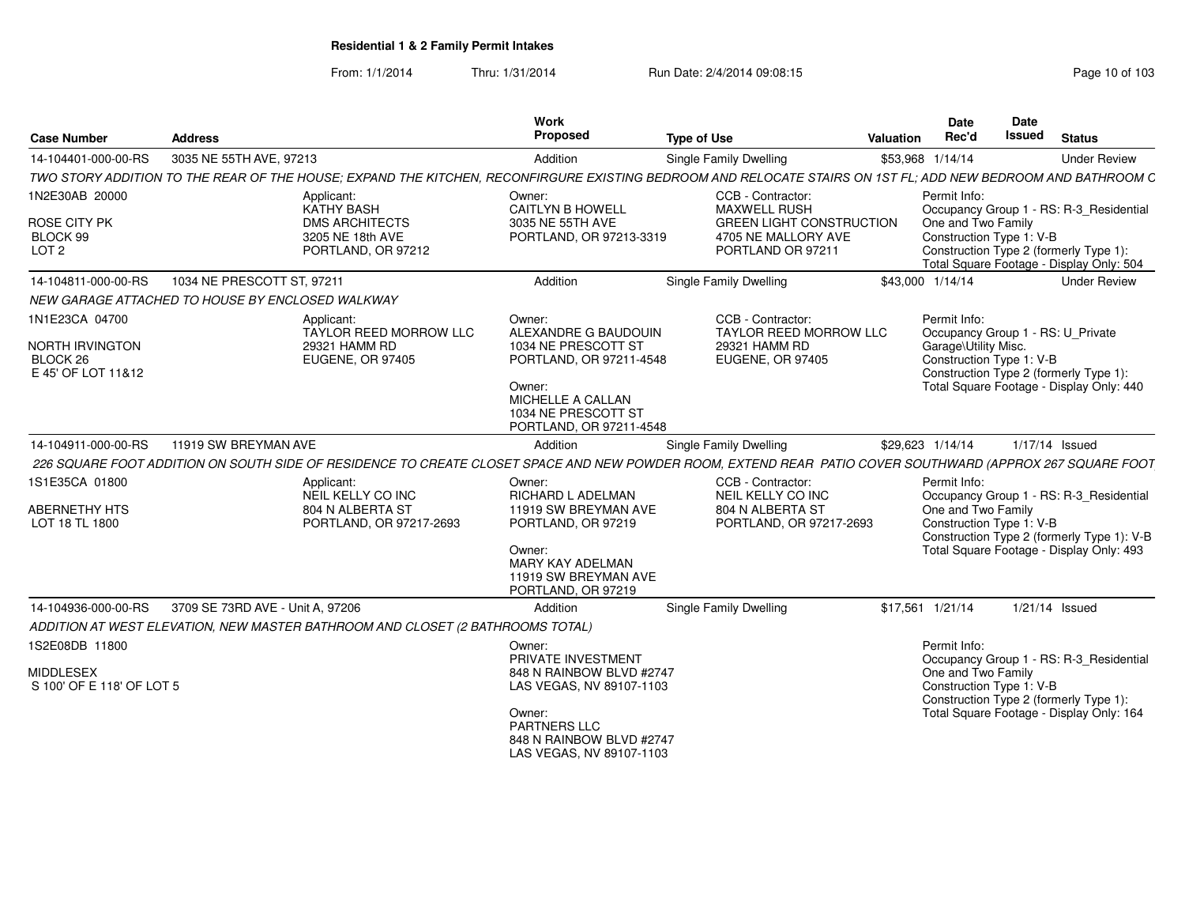| <b>Case Number</b>                                             | <b>Address</b>                                                                                                                                               | Work<br>Proposed                                                                                                              | <b>Type of Use</b>                                                                                               | Valuation | Date<br>Rec'd                                                             | Date<br><b>Issued</b> | <b>Status</b>                                                                          |
|----------------------------------------------------------------|--------------------------------------------------------------------------------------------------------------------------------------------------------------|-------------------------------------------------------------------------------------------------------------------------------|------------------------------------------------------------------------------------------------------------------|-----------|---------------------------------------------------------------------------|-----------------------|----------------------------------------------------------------------------------------|
| 14-104401-000-00-RS                                            | 3035 NE 55TH AVE, 97213                                                                                                                                      | Addition                                                                                                                      | Single Family Dwelling                                                                                           |           | \$53,968 1/14/14                                                          |                       | <b>Under Review</b>                                                                    |
|                                                                | TWO STORY ADDITION TO THE REAR OF THE HOUSE: EXPAND THE KITCHEN. RECONFIRGURE EXISTING BEDROOM AND RELOCATE STAIRS ON 1ST FL: ADD NEW BEDROOM AND BATHROOM C |                                                                                                                               |                                                                                                                  |           |                                                                           |                       |                                                                                        |
| 1N2E30AB 20000<br>ROSE CITY PK<br>BLOCK 99<br>LOT <sub>2</sub> | Applicant:<br><b>KATHY BASH</b><br><b>DMS ARCHITECTS</b><br>3205 NE 18th AVE<br>PORTLAND, OR 97212                                                           | Owner:<br><b>CAITLYN B HOWELL</b><br>3035 NE 55TH AVE<br>PORTLAND, OR 97213-3319                                              | CCB - Contractor:<br>MAXWELL RUSH<br><b>GREEN LIGHT CONSTRUCTION</b><br>4705 NE MALLORY AVE<br>PORTLAND OR 97211 |           | Permit Info:<br>One and Two Family<br>Construction Type 1: V-B            |                       | Occupancy Group 1 - RS: R-3 Residential<br>Construction Type 2 (formerly Type 1):      |
|                                                                |                                                                                                                                                              |                                                                                                                               |                                                                                                                  |           |                                                                           |                       | Total Square Footage - Display Only: 504                                               |
| 14-104811-000-00-RS                                            | 1034 NE PRESCOTT ST, 97211                                                                                                                                   | Addition                                                                                                                      | Single Family Dwelling                                                                                           |           | \$43,000 1/14/14                                                          |                       | <b>Under Review</b>                                                                    |
|                                                                | NEW GARAGE ATTACHED TO HOUSE BY ENCLOSED WALKWAY                                                                                                             |                                                                                                                               |                                                                                                                  |           |                                                                           |                       |                                                                                        |
| 1N1E23CA 04700<br><b>NORTH IRVINGTON</b>                       | Applicant:<br>TAYLOR REED MORROW LLC<br>29321 HAMM RD                                                                                                        | Owner:<br>ALEXANDRE G BAUDOUIN<br>1034 NE PRESCOTT ST                                                                         | CCB - Contractor:<br><b>TAYLOR REED MORROW LLC</b><br>29321 HAMM RD                                              |           | Permit Info:<br>Occupancy Group 1 - RS: U Private<br>Garage\Utility Misc. |                       |                                                                                        |
| BLOCK 26<br>E 45' OF LOT 11&12                                 | <b>EUGENE, OR 97405</b>                                                                                                                                      | PORTLAND, OR 97211-4548<br>Owner:<br>MICHELLE A CALLAN<br>1034 NE PRESCOTT ST<br>PORTLAND, OR 97211-4548                      | <b>EUGENE, OR 97405</b>                                                                                          |           | Construction Type 1: V-B                                                  |                       | Construction Type 2 (formerly Type 1):<br>Total Square Footage - Display Only: 440     |
| 14-104911-000-00-RS                                            | 11919 SW BREYMAN AVE                                                                                                                                         | Addition                                                                                                                      | Single Family Dwelling                                                                                           |           | \$29,623 1/14/14                                                          |                       | 1/17/14 Issued                                                                         |
|                                                                | 226 SQUARE FOOT ADDITION ON SOUTH SIDE OF RESIDENCE TO CREATE CLOSET SPACE AND NEW POWDER ROOM, EXTEND REAR PATIO COVER SOUTHWARD (APPROX 267 SQUARE FOOT    |                                                                                                                               |                                                                                                                  |           |                                                                           |                       |                                                                                        |
| 1S1E35CA 01800                                                 | Applicant:                                                                                                                                                   | Owner:                                                                                                                        | CCB - Contractor:                                                                                                |           | Permit Info:                                                              |                       |                                                                                        |
|                                                                | NEIL KELLY CO INC                                                                                                                                            | <b>RICHARD L ADELMAN</b>                                                                                                      | NEIL KELLY CO INC                                                                                                |           |                                                                           |                       | Occupancy Group 1 - RS: R-3_Residential                                                |
| <b>ABERNETHY HTS</b><br>LOT 18 TL 1800                         | 804 N ALBERTA ST<br>PORTLAND, OR 97217-2693                                                                                                                  | 11919 SW BREYMAN AVE<br>PORTLAND, OR 97219<br>Owner:<br><b>MARY KAY ADELMAN</b><br>11919 SW BREYMAN AVE<br>PORTLAND, OR 97219 | 804 N ALBERTA ST<br>PORTLAND, OR 97217-2693                                                                      |           | One and Two Family<br>Construction Type 1: V-B                            |                       | Construction Type 2 (formerly Type 1): V-B<br>Total Square Footage - Display Only: 493 |
| 14-104936-000-00-RS                                            | 3709 SE 73RD AVE - Unit A, 97206                                                                                                                             | Addition                                                                                                                      | <b>Single Family Dwelling</b>                                                                                    |           | \$17.561 1/21/14                                                          |                       | 1/21/14 Issued                                                                         |
|                                                                | ADDITION AT WEST ELEVATION, NEW MASTER BATHROOM AND CLOSET (2 BATHROOMS TOTAL)                                                                               |                                                                                                                               |                                                                                                                  |           |                                                                           |                       |                                                                                        |
| 1S2E08DB 11800                                                 |                                                                                                                                                              | Owner:                                                                                                                        |                                                                                                                  |           | Permit Info:                                                              |                       |                                                                                        |
|                                                                |                                                                                                                                                              | PRIVATE INVESTMENT                                                                                                            |                                                                                                                  |           |                                                                           |                       | Occupancy Group 1 - RS: R-3 Residential                                                |
| <b>MIDDLESEX</b>                                               |                                                                                                                                                              | 848 N RAINBOW BLVD #2747                                                                                                      |                                                                                                                  |           | One and Two Family                                                        |                       |                                                                                        |
| S 100' OF E 118' OF LOT 5                                      |                                                                                                                                                              | LAS VEGAS, NV 89107-1103                                                                                                      |                                                                                                                  |           | Construction Type 1: V-B                                                  |                       | Construction Type 2 (formerly Type 1):                                                 |
|                                                                |                                                                                                                                                              | Owner:<br>PARTNERS LLC<br>848 N RAINBOW BLVD #2747<br>LAS VEGAS, NV 89107-1103                                                |                                                                                                                  |           |                                                                           |                       | Total Square Footage - Display Only: 164                                               |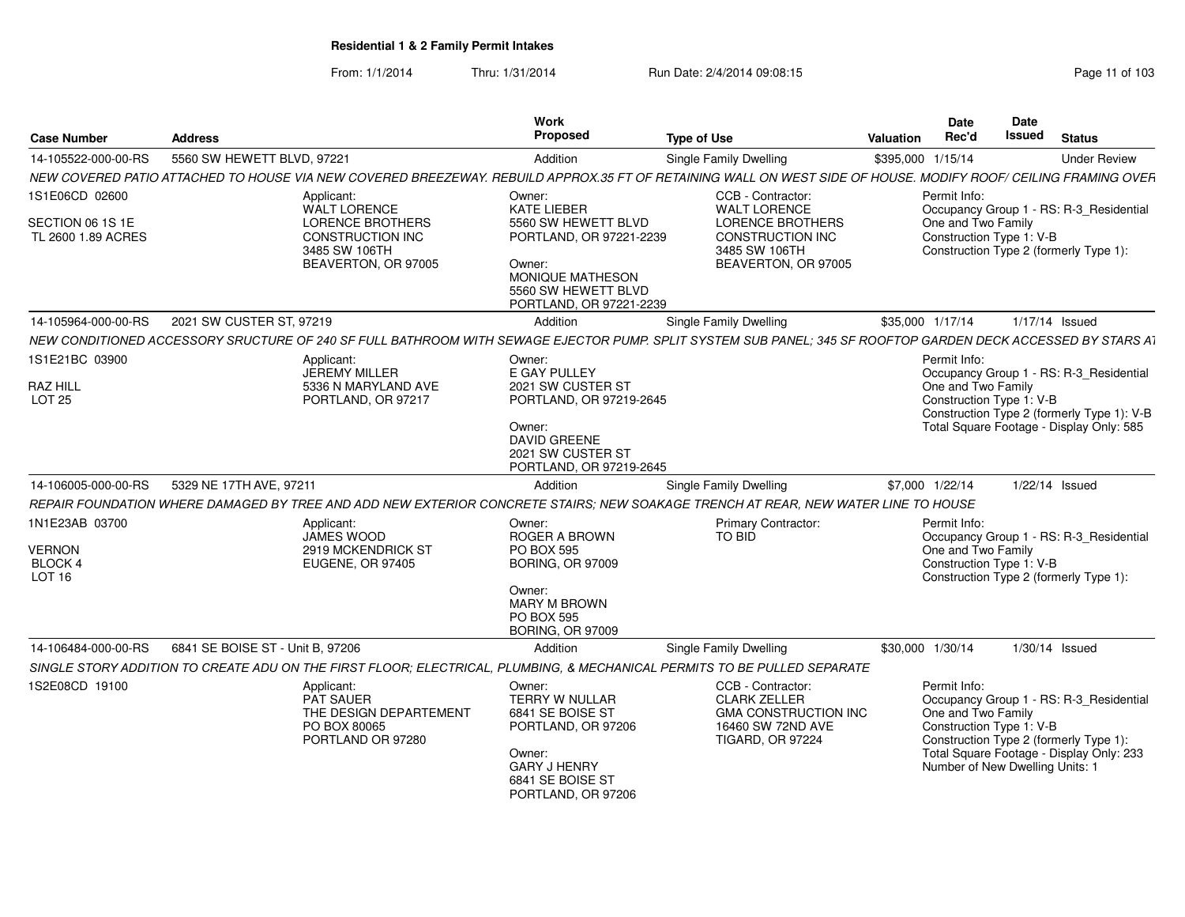| <b>Case Number</b>                                              | <b>Address</b>                                                                                                                                                 | Work<br>Proposed                                                                                                                                         | <b>Type of Use</b>                                                                                                      | Valuation         | Date<br>Rec'd                      | Date<br><b>Issued</b>                                       | <b>Status</b>                                                                                                                     |
|-----------------------------------------------------------------|----------------------------------------------------------------------------------------------------------------------------------------------------------------|----------------------------------------------------------------------------------------------------------------------------------------------------------|-------------------------------------------------------------------------------------------------------------------------|-------------------|------------------------------------|-------------------------------------------------------------|-----------------------------------------------------------------------------------------------------------------------------------|
| 14-105522-000-00-RS                                             | 5560 SW HEWETT BLVD, 97221                                                                                                                                     | Addition                                                                                                                                                 | <b>Single Family Dwelling</b>                                                                                           | \$395,000 1/15/14 |                                    |                                                             | <b>Under Review</b>                                                                                                               |
|                                                                 | NEW COVERED PATIO ATTACHED TO HOUSE VIA NEW COVERED BREEZEWAY. REBUILD APPROX.35 FT OF RETAINING WALL ON WEST SIDE OF HOUSE. MODIFY ROOF/ CEILING FRAMING OVER |                                                                                                                                                          |                                                                                                                         |                   |                                    |                                                             |                                                                                                                                   |
| 1S1E06CD 02600                                                  | Applicant:<br>WALT LORENCE                                                                                                                                     | Owner:<br><b>KATE LIEBER</b>                                                                                                                             | CCB - Contractor:<br><b>WALT LORENCE</b>                                                                                |                   | Permit Info:                       |                                                             | Occupancy Group 1 - RS: R-3_Residential                                                                                           |
| SECTION 06 1S 1E<br>TL 2600 1.89 ACRES                          | <b>LORENCE BROTHERS</b><br><b>CONSTRUCTION INC</b><br>3485 SW 106TH<br>BEAVERTON, OR 97005                                                                     | 5560 SW HEWETT BLVD<br>PORTLAND, OR 97221-2239<br>Owner:<br><b>MONIQUE MATHESON</b><br>5560 SW HEWETT BLVD<br>PORTLAND, OR 97221-2239                    | <b>LORENCE BROTHERS</b><br>CONSTRUCTION INC<br>3485 SW 106TH<br>BEAVERTON, OR 97005                                     |                   | One and Two Family                 | Construction Type 1: V-B                                    | Construction Type 2 (formerly Type 1):                                                                                            |
| 14-105964-000-00-RS                                             | 2021 SW CUSTER ST, 97219                                                                                                                                       | Addition                                                                                                                                                 | <b>Single Family Dwelling</b>                                                                                           | \$35,000 1/17/14  |                                    |                                                             | 1/17/14 Issued                                                                                                                    |
|                                                                 | NEW CONDITIONED ACCESSORY SRUCTURE OF 240 SF FULL BATHROOM WITH SEWAGE EJECTOR PUMP. SPLIT SYSTEM SUB PANEL; 345 SF ROOFTOP GARDEN DECK ACCESSED BY STARS AT   |                                                                                                                                                          |                                                                                                                         |                   |                                    |                                                             |                                                                                                                                   |
| 1S1E21BC 03900<br><b>RAZ HILL</b><br><b>LOT 25</b>              | Applicant:<br>JEREMY MILLER<br>5336 N MARYLAND AVE<br>PORTLAND, OR 97217                                                                                       | Owner:<br>E GAY PULLEY<br>2021 SW CUSTER ST<br>PORTLAND, OR 97219-2645<br>Owner:<br>DAVID GREENE<br>2021 SW CUSTER ST<br>PORTLAND, OR 97219-2645         |                                                                                                                         |                   | Permit Info:<br>One and Two Family | Construction Type 1: V-B                                    | Occupancy Group 1 - RS: R-3_Residential<br>Construction Type 2 (formerly Type 1): V-B<br>Total Square Footage - Display Only: 585 |
| 14-106005-000-00-RS                                             | 5329 NE 17TH AVE, 97211                                                                                                                                        | Addition                                                                                                                                                 | Single Family Dwelling                                                                                                  | \$7,000 1/22/14   |                                    |                                                             | $1/22/14$ Issued                                                                                                                  |
|                                                                 | REPAIR FOUNDATION WHERE DAMAGED BY TREE AND ADD NEW EXTERIOR CONCRETE STAIRS; NEW SOAKAGE TRENCH AT REAR, NEW WATER LINE TO HOUSE                              |                                                                                                                                                          |                                                                                                                         |                   |                                    |                                                             |                                                                                                                                   |
| 1N1E23AB 03700<br><b>VERNON</b><br>BLOCK 4<br>LOT <sub>16</sub> | Applicant:<br>JAMES WOOD<br>2919 MCKENDRICK ST<br>EUGENE, OR 97405                                                                                             | Owner:<br><b>ROGER A BROWN</b><br>PO BOX 595<br><b>BORING, OR 97009</b><br>Owner:<br><b>MARY M BROWN</b><br><b>PO BOX 595</b><br><b>BORING, OR 97009</b> | <b>Primary Contractor:</b><br><b>TO BID</b>                                                                             |                   | Permit Info:<br>One and Two Family | Construction Type 1: V-B                                    | Occupancy Group 1 - RS: R-3_Residential<br>Construction Type 2 (formerly Type 1):                                                 |
| 14-106484-000-00-RS                                             | 6841 SE BOISE ST - Unit B, 97206                                                                                                                               | Addition                                                                                                                                                 | Single Family Dwelling                                                                                                  | \$30,000 1/30/14  |                                    |                                                             | 1/30/14 Issued                                                                                                                    |
|                                                                 | SINGLE STORY ADDITION TO CREATE ADU ON THE FIRST FLOOR; ELECTRICAL, PLUMBING, & MECHANICAL PERMITS TO BE PULLED SEPARATE                                       |                                                                                                                                                          |                                                                                                                         |                   |                                    |                                                             |                                                                                                                                   |
| 1S2E08CD 19100                                                  | Applicant:<br>PAT SAUER<br>THE DESIGN DEPARTEMENT<br>PO BOX 80065<br>PORTLAND OR 97280                                                                         | Owner:<br>TERRY W NULLAR<br>6841 SE BOISE ST<br>PORTLAND, OR 97206<br>Owner:<br><b>GARY J HENRY</b>                                                      | CCB - Contractor:<br><b>CLARK ZELLER</b><br><b>GMA CONSTRUCTION INC</b><br>16460 SW 72ND AVE<br><b>TIGARD, OR 97224</b> |                   | Permit Info:<br>One and Two Family | Construction Type 1: V-B<br>Number of New Dwelling Units: 1 | Occupancy Group 1 - RS: R-3 Residential<br>Construction Type 2 (formerly Type 1):<br>Total Square Footage - Display Only: 233     |
|                                                                 |                                                                                                                                                                | 6841 SE BOISE ST<br>PORTLAND, OR 97206                                                                                                                   |                                                                                                                         |                   |                                    |                                                             |                                                                                                                                   |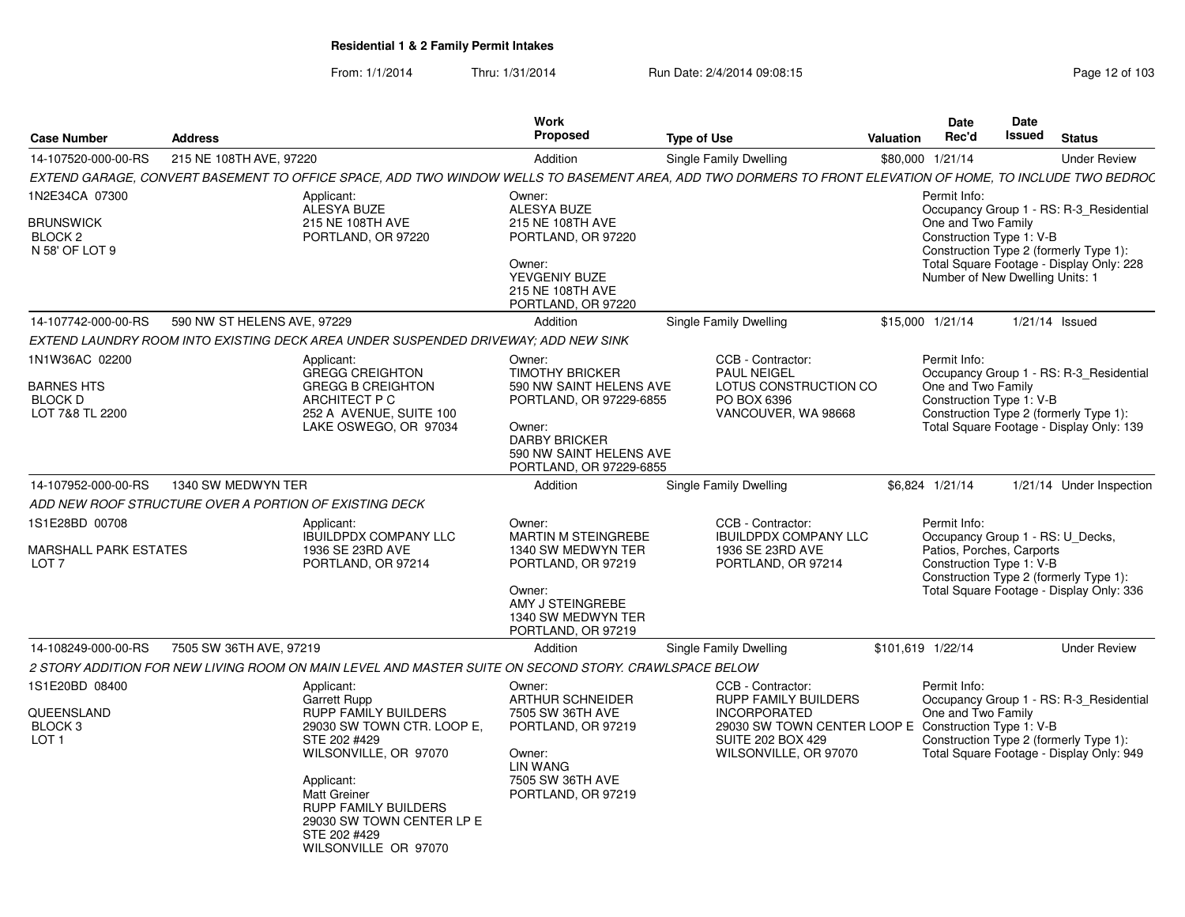| Page 12 of 103 |  |  |
|----------------|--|--|
|----------------|--|--|

| 14-107520-000-00-RS<br>215 NE 108TH AVE, 97220<br>Addition<br><b>Single Family Dwelling</b><br>\$80,000 1/21/14<br><b>Under Review</b><br>1N2E34CA 07300<br>Permit Info:<br>Applicant:<br>Owner:<br>ALESYA BUZE<br>ALESYA BUZE<br>Occupancy Group 1 - RS: R-3 Residential<br>215 NE 108TH AVE<br>One and Two Family<br><b>BRUNSWICK</b><br>215 NE 108TH AVE<br>Construction Type 1: V-B<br>BLOCK <sub>2</sub><br>PORTLAND, OR 97220<br>PORTLAND, OR 97220<br>Construction Type 2 (formerly Type 1):<br>N 58' OF LOT 9<br>Total Square Footage - Display Only: 228<br>Owner:<br>Number of New Dwelling Units: 1<br>YEVGENIY BUZE<br>215 NE 108TH AVE<br>PORTLAND, OR 97220<br>14-107742-000-00-RS<br>590 NW ST HELENS AVE, 97229<br>\$15,000 1/21/14<br>$1/21/14$ Issued<br>Addition<br>Single Family Dwelling<br>EXTEND LAUNDRY ROOM INTO EXISTING DECK AREA UNDER SUSPENDED DRIVEWAY; ADD NEW SINK<br>1N1W36AC 02200<br>CCB - Contractor:<br>Permit Info:<br>Applicant:<br>Owner:<br><b>GREGG CREIGHTON</b><br><b>TIMOTHY BRICKER</b><br><b>PAUL NEIGEL</b><br>One and Two Family<br><b>GREGG B CREIGHTON</b><br><b>BARNES HTS</b><br>590 NW SAINT HELENS AVE<br>LOTUS CONSTRUCTION CO<br>Construction Type 1: V-B<br><b>BLOCK D</b><br>ARCHITECT P C<br>PORTLAND, OR 97229-6855<br>PO BOX 6396<br>Construction Type 2 (formerly Type 1):<br>LOT 7&8 TL 2200<br>252 A AVENUE, SUITE 100<br>VANCOUVER, WA 98668<br>Total Square Footage - Display Only: 139<br>LAKE OSWEGO, OR 97034<br>Owner:<br><b>DARBY BRICKER</b><br>590 NW SAINT HELENS AVE<br>PORTLAND, OR 97229-6855<br>1340 SW MEDWYN TER<br>14-107952-000-00-RS<br>\$6,824 1/21/14<br>Addition<br>Single Family Dwelling<br>ADD NEW ROOF STRUCTURE OVER A PORTION OF EXISTING DECK<br>1S1E28BD 00708<br>Permit Info:<br>Owner:<br>CCB - Contractor:<br>Applicant:<br><b>MARTIN M STEINGREBE</b><br>Occupancy Group 1 - RS: U_Decks,<br><b>IBUILDPDX COMPANY LLC</b><br><b>IBUILDPDX COMPANY LLC</b><br>Patios, Porches, Carports<br><b>MARSHALL PARK ESTATES</b><br>1936 SE 23RD AVE<br>1340 SW MEDWYN TER<br>1936 SE 23RD AVE<br>Construction Type 1: V-B<br>PORTLAND, OR 97214<br>PORTLAND, OR 97219<br>PORTLAND, OR 97214<br>LOT 7<br>Construction Type 2 (formerly Type 1):<br>Total Square Footage - Display Only: 336<br>Owner:<br>AMY J STEINGREBE<br>1340 SW MEDWYN TER<br>PORTLAND, OR 97219<br>14-108249-000-00-RS<br>7505 SW 36TH AVE, 97219<br>\$101,619 1/22/14<br>Addition<br>Single Family Dwelling<br><b>Under Review</b><br>2 STORY ADDITION FOR NEW LIVING ROOM ON MAIN LEVEL AND MASTER SUITE ON SECOND STORY. CRAWLSPACE BELOW<br>1S1E20BD 08400<br>Permit Info:<br>Applicant:<br>Owner:<br>CCB - Contractor:<br><b>ARTHUR SCHNEIDER</b><br><b>RUPP FAMILY BUILDERS</b><br>Occupancy Group 1 - RS: R-3 Residential<br>Garrett Rupp<br><b>RUPP FAMILY BUILDERS</b><br>One and Two Family<br><b>QUEENSLAND</b><br>7505 SW 36TH AVE<br><b>INCORPORATED</b><br>29030 SW TOWN CENTER LOOP E Construction Type 1: V-B<br>BLOCK <sub>3</sub><br>29030 SW TOWN CTR. LOOP E.<br>PORTLAND, OR 97219<br>Construction Type 2 (formerly Type 1):<br>LOT <sub>1</sub><br>STE 202 #429<br><b>SUITE 202 BOX 429</b><br>Total Square Footage - Display Only: 949<br>WILSONVILLE, OR 97070<br>WILSONVILLE, OR 97070<br>Owner:<br><b>LIN WANG</b><br>7505 SW 36TH AVE<br>Applicant: | <b>Case Number</b> | <b>Address</b> | <b>Work</b><br><b>Proposed</b> | <b>Type of Use</b> | <b>Valuation</b> | Date<br>Rec'd | Date<br>Issued | <b>Status</b> |
|------------------------------------------------------------------------------------------------------------------------------------------------------------------------------------------------------------------------------------------------------------------------------------------------------------------------------------------------------------------------------------------------------------------------------------------------------------------------------------------------------------------------------------------------------------------------------------------------------------------------------------------------------------------------------------------------------------------------------------------------------------------------------------------------------------------------------------------------------------------------------------------------------------------------------------------------------------------------------------------------------------------------------------------------------------------------------------------------------------------------------------------------------------------------------------------------------------------------------------------------------------------------------------------------------------------------------------------------------------------------------------------------------------------------------------------------------------------------------------------------------------------------------------------------------------------------------------------------------------------------------------------------------------------------------------------------------------------------------------------------------------------------------------------------------------------------------------------------------------------------------------------------------------------------------------------------------------------------------------------------------------------------------------------------------------------------------------------------------------------------------------------------------------------------------------------------------------------------------------------------------------------------------------------------------------------------------------------------------------------------------------------------------------------------------------------------------------------------------------------------------------------------------------------------------------------------------------------------------------------------------------------------------------------------------------------------------------------------------------------------------------------------------------------------------------------------------------------------------------------------------------------------------------------------------------------------------------------------------------------------------------------------------------------------------------------------------------------------------------------------------------------------------------------------------------------------------------------------------------------------------------------------------------------------------------------------------------------------|--------------------|----------------|--------------------------------|--------------------|------------------|---------------|----------------|---------------|
| EXTEND GARAGE, CONVERT BASEMENT TO OFFICE SPACE, ADD TWO WINDOW WELLS TO BASEMENT AREA, ADD TWO DORMERS TO FRONT ELEVATION OF HOME, TO INCLUDE TWO BEDROC<br>Occupancy Group 1 - RS: R-3_Residential                                                                                                                                                                                                                                                                                                                                                                                                                                                                                                                                                                                                                                                                                                                                                                                                                                                                                                                                                                                                                                                                                                                                                                                                                                                                                                                                                                                                                                                                                                                                                                                                                                                                                                                                                                                                                                                                                                                                                                                                                                                                                                                                                                                                                                                                                                                                                                                                                                                                                                                                                                                                                                                                                                                                                                                                                                                                                                                                                                                                                                                                                                                                           |                    |                |                                |                    |                  |               |                |               |
|                                                                                                                                                                                                                                                                                                                                                                                                                                                                                                                                                                                                                                                                                                                                                                                                                                                                                                                                                                                                                                                                                                                                                                                                                                                                                                                                                                                                                                                                                                                                                                                                                                                                                                                                                                                                                                                                                                                                                                                                                                                                                                                                                                                                                                                                                                                                                                                                                                                                                                                                                                                                                                                                                                                                                                                                                                                                                                                                                                                                                                                                                                                                                                                                                                                                                                                                                |                    |                |                                |                    |                  |               |                |               |
|                                                                                                                                                                                                                                                                                                                                                                                                                                                                                                                                                                                                                                                                                                                                                                                                                                                                                                                                                                                                                                                                                                                                                                                                                                                                                                                                                                                                                                                                                                                                                                                                                                                                                                                                                                                                                                                                                                                                                                                                                                                                                                                                                                                                                                                                                                                                                                                                                                                                                                                                                                                                                                                                                                                                                                                                                                                                                                                                                                                                                                                                                                                                                                                                                                                                                                                                                |                    |                |                                |                    |                  |               |                |               |
|                                                                                                                                                                                                                                                                                                                                                                                                                                                                                                                                                                                                                                                                                                                                                                                                                                                                                                                                                                                                                                                                                                                                                                                                                                                                                                                                                                                                                                                                                                                                                                                                                                                                                                                                                                                                                                                                                                                                                                                                                                                                                                                                                                                                                                                                                                                                                                                                                                                                                                                                                                                                                                                                                                                                                                                                                                                                                                                                                                                                                                                                                                                                                                                                                                                                                                                                                |                    |                |                                |                    |                  |               |                |               |
| 1/21/14 Under Inspection                                                                                                                                                                                                                                                                                                                                                                                                                                                                                                                                                                                                                                                                                                                                                                                                                                                                                                                                                                                                                                                                                                                                                                                                                                                                                                                                                                                                                                                                                                                                                                                                                                                                                                                                                                                                                                                                                                                                                                                                                                                                                                                                                                                                                                                                                                                                                                                                                                                                                                                                                                                                                                                                                                                                                                                                                                                                                                                                                                                                                                                                                                                                                                                                                                                                                                                       |                    |                |                                |                    |                  |               |                |               |
|                                                                                                                                                                                                                                                                                                                                                                                                                                                                                                                                                                                                                                                                                                                                                                                                                                                                                                                                                                                                                                                                                                                                                                                                                                                                                                                                                                                                                                                                                                                                                                                                                                                                                                                                                                                                                                                                                                                                                                                                                                                                                                                                                                                                                                                                                                                                                                                                                                                                                                                                                                                                                                                                                                                                                                                                                                                                                                                                                                                                                                                                                                                                                                                                                                                                                                                                                |                    |                |                                |                    |                  |               |                |               |
|                                                                                                                                                                                                                                                                                                                                                                                                                                                                                                                                                                                                                                                                                                                                                                                                                                                                                                                                                                                                                                                                                                                                                                                                                                                                                                                                                                                                                                                                                                                                                                                                                                                                                                                                                                                                                                                                                                                                                                                                                                                                                                                                                                                                                                                                                                                                                                                                                                                                                                                                                                                                                                                                                                                                                                                                                                                                                                                                                                                                                                                                                                                                                                                                                                                                                                                                                |                    |                |                                |                    |                  |               |                |               |
|                                                                                                                                                                                                                                                                                                                                                                                                                                                                                                                                                                                                                                                                                                                                                                                                                                                                                                                                                                                                                                                                                                                                                                                                                                                                                                                                                                                                                                                                                                                                                                                                                                                                                                                                                                                                                                                                                                                                                                                                                                                                                                                                                                                                                                                                                                                                                                                                                                                                                                                                                                                                                                                                                                                                                                                                                                                                                                                                                                                                                                                                                                                                                                                                                                                                                                                                                |                    |                |                                |                    |                  |               |                |               |
|                                                                                                                                                                                                                                                                                                                                                                                                                                                                                                                                                                                                                                                                                                                                                                                                                                                                                                                                                                                                                                                                                                                                                                                                                                                                                                                                                                                                                                                                                                                                                                                                                                                                                                                                                                                                                                                                                                                                                                                                                                                                                                                                                                                                                                                                                                                                                                                                                                                                                                                                                                                                                                                                                                                                                                                                                                                                                                                                                                                                                                                                                                                                                                                                                                                                                                                                                |                    |                |                                |                    |                  |               |                |               |
|                                                                                                                                                                                                                                                                                                                                                                                                                                                                                                                                                                                                                                                                                                                                                                                                                                                                                                                                                                                                                                                                                                                                                                                                                                                                                                                                                                                                                                                                                                                                                                                                                                                                                                                                                                                                                                                                                                                                                                                                                                                                                                                                                                                                                                                                                                                                                                                                                                                                                                                                                                                                                                                                                                                                                                                                                                                                                                                                                                                                                                                                                                                                                                                                                                                                                                                                                |                    |                |                                |                    |                  |               |                |               |
|                                                                                                                                                                                                                                                                                                                                                                                                                                                                                                                                                                                                                                                                                                                                                                                                                                                                                                                                                                                                                                                                                                                                                                                                                                                                                                                                                                                                                                                                                                                                                                                                                                                                                                                                                                                                                                                                                                                                                                                                                                                                                                                                                                                                                                                                                                                                                                                                                                                                                                                                                                                                                                                                                                                                                                                                                                                                                                                                                                                                                                                                                                                                                                                                                                                                                                                                                |                    |                |                                |                    |                  |               |                |               |
| <b>Matt Greiner</b><br><b>RUPP FAMILY BUILDERS</b><br>29030 SW TOWN CENTER LP E<br>STE 202 #429<br>WILSONVILLE OR 97070                                                                                                                                                                                                                                                                                                                                                                                                                                                                                                                                                                                                                                                                                                                                                                                                                                                                                                                                                                                                                                                                                                                                                                                                                                                                                                                                                                                                                                                                                                                                                                                                                                                                                                                                                                                                                                                                                                                                                                                                                                                                                                                                                                                                                                                                                                                                                                                                                                                                                                                                                                                                                                                                                                                                                                                                                                                                                                                                                                                                                                                                                                                                                                                                                        |                    |                | PORTLAND, OR 97219             |                    |                  |               |                |               |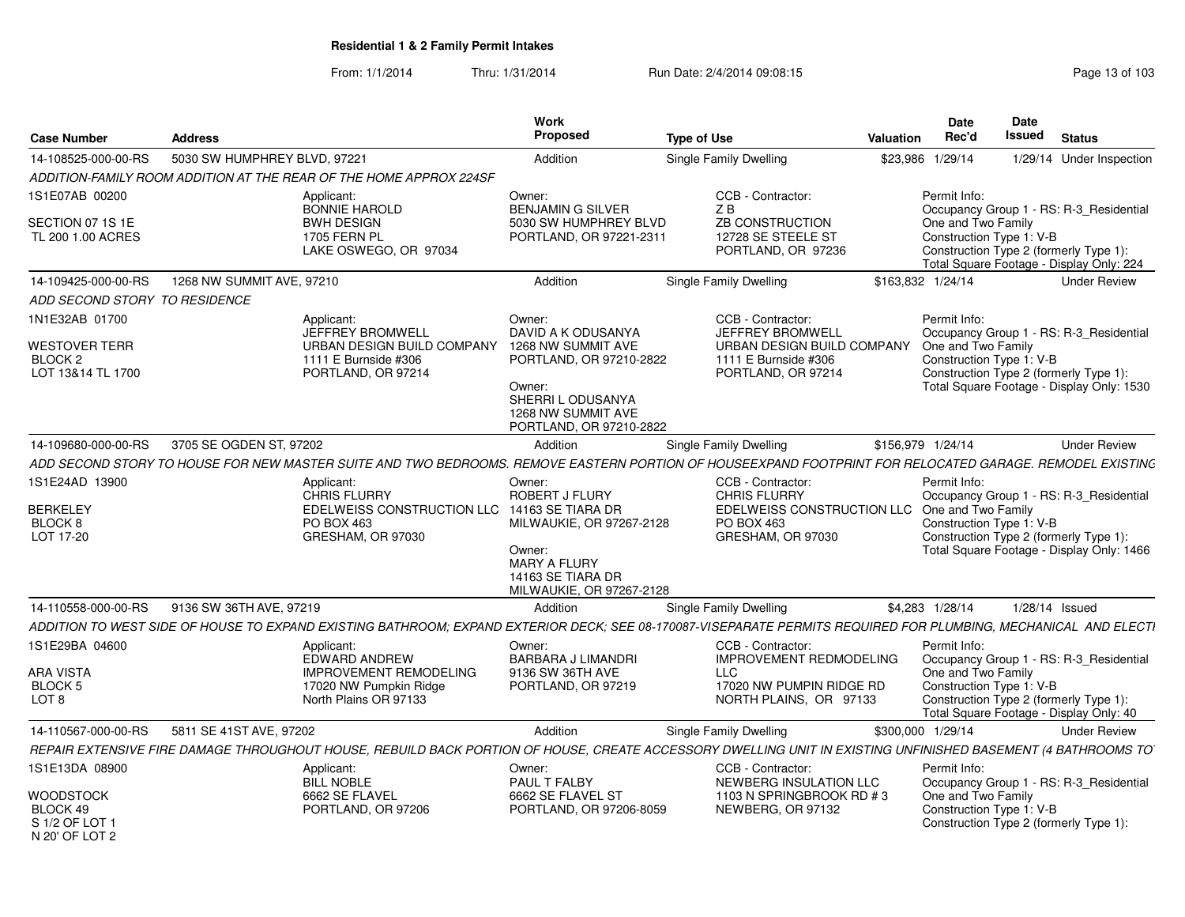From: 1/1/2014Thru: 1/31/2014 Run Date: 2/4/2014 09:08:15 Research 2010 103

| <b>Case Number</b>                                              | <b>Address</b>               |                                                                                                                                                                 | <b>Work</b><br>Proposed                                                                                                         | <b>Type of Use</b>                                                       | <b>Valuation</b> | <b>Date</b><br>Rec'd                           | <b>Date</b><br><b>Issued</b> | <b>Status</b>                                                                       |
|-----------------------------------------------------------------|------------------------------|-----------------------------------------------------------------------------------------------------------------------------------------------------------------|---------------------------------------------------------------------------------------------------------------------------------|--------------------------------------------------------------------------|------------------|------------------------------------------------|------------------------------|-------------------------------------------------------------------------------------|
| 14-108525-000-00-RS                                             | 5030 SW HUMPHREY BLVD, 97221 |                                                                                                                                                                 | Addition                                                                                                                        | Single Family Dwelling                                                   | \$23,986         | 1/29/14                                        |                              | 1/29/14 Under Inspection                                                            |
|                                                                 |                              | ADDITION-FAMILY ROOM ADDITION AT THE REAR OF THE HOME APPROX 224SF                                                                                              |                                                                                                                                 |                                                                          |                  |                                                |                              |                                                                                     |
| 1S1E07AB 00200                                                  |                              | Applicant:<br><b>BONNIE HAROLD</b>                                                                                                                              | Owner:<br><b>BENJAMIN G SILVER</b>                                                                                              | CCB - Contractor:<br>ZB                                                  |                  | Permit Info:                                   |                              | Occupancy Group 1 - RS: R-3_Residential                                             |
| SECTION 07 1S 1E<br>TL 200 1.00 ACRES                           |                              | <b>BWH DESIGN</b><br><b>1705 FERN PL</b><br>LAKE OSWEGO, OR 97034                                                                                               | 5030 SW HUMPHREY BLVD<br>PORTLAND, OR 97221-2311                                                                                | ZB CONSTRUCTION<br>12728 SE STEELE ST<br>PORTLAND, OR 97236              |                  | One and Two Family<br>Construction Type 1: V-B |                              | Construction Type 2 (formerly Type 1):<br>Total Square Footage - Display Only: 224  |
| 14-109425-000-00-RS                                             | 1268 NW SUMMIT AVE, 97210    |                                                                                                                                                                 | Addition                                                                                                                        | <b>Single Family Dwelling</b>                                            |                  | \$163,832 1/24/14                              |                              | <b>Under Review</b>                                                                 |
| ADD SECOND STORY TO RESIDENCE                                   |                              |                                                                                                                                                                 |                                                                                                                                 |                                                                          |                  |                                                |                              |                                                                                     |
| 1N1E32AB 01700                                                  |                              | Applicant:<br><b>JEFFREY BROMWELL</b>                                                                                                                           | Owner:<br>DAVID A K ODUSANYA                                                                                                    | CCB - Contractor:<br><b>JEFFREY BROMWELL</b>                             |                  | Permit Info:                                   |                              | Occupancy Group 1 - RS: R-3 Residential                                             |
| <b>WESTOVER TERR</b><br>BLOCK <sub>2</sub><br>LOT 13&14 TL 1700 |                              | URBAN DESIGN BUILD COMPANY<br>1111 E Burnside #306<br>PORTLAND, OR 97214                                                                                        | 1268 NW SUMMIT AVE<br>PORTLAND, OR 97210-2822<br>Owner:<br>SHERRI L ODUSANYA<br>1268 NW SUMMIT AVE<br>PORTLAND, OR 97210-2822   | URBAN DESIGN BUILD COMPANY<br>1111 E Burnside #306<br>PORTLAND, OR 97214 |                  | One and Two Family<br>Construction Type 1: V-B |                              | Construction Type 2 (formerly Type 1):<br>Total Square Footage - Display Only: 1530 |
| 14-109680-000-00-RS                                             | 3705 SE OGDEN ST, 97202      |                                                                                                                                                                 | Addition                                                                                                                        | Single Family Dwelling                                                   |                  | \$156,979 1/24/14                              |                              | <b>Under Review</b>                                                                 |
|                                                                 |                              | ADD SECOND STORY TO HOUSE FOR NEW MASTER SUITE AND TWO BEDROOMS. REMOVE EASTERN PORTION OF HOUSEEXPAND FOOTPRINT FOR RELOCATED GARAGE. REMODEL EXISTING         |                                                                                                                                 |                                                                          |                  |                                                |                              |                                                                                     |
| 1S1E24AD 13900                                                  |                              | Applicant:<br><b>CHRIS FLURRY</b>                                                                                                                               | Owner:<br><b>ROBERT J FLURY</b>                                                                                                 | CCB - Contractor:<br><b>CHRIS FLURRY</b>                                 |                  | Permit Info:                                   |                              | Occupancy Group 1 - RS: R-3 Residential                                             |
| <b>BERKELEY</b><br>BLOCK 8<br>LOT 17-20                         |                              | EDELWEISS CONSTRUCTION LLC<br>PO BOX 463<br>GRESHAM, OR 97030                                                                                                   | 14163 SE TIARA DR<br>MILWAUKIE, OR 97267-2128<br>Owner:<br><b>MARY A FLURY</b><br>14163 SE TIARA DR<br>MILWAUKIE, OR 97267-2128 | EDELWEISS CONSTRUCTION LLC<br><b>PO BOX 463</b><br>GRESHAM, OR 97030     |                  | One and Two Family                             | Construction Type 1: V-B     | Construction Type 2 (formerly Type 1):<br>Total Square Footage - Display Only: 1466 |
| 14-110558-000-00-RS                                             | 9136 SW 36TH AVE, 97219      |                                                                                                                                                                 | Addition                                                                                                                        | Single Family Dwelling                                                   |                  | \$4,283 1/28/14                                | $1/28/14$ Issued             |                                                                                     |
|                                                                 |                              | ADDITION TO WEST SIDE OF HOUSE TO EXPAND EXISTING BATHROOM; EXPAND EXTERIOR DECK; SEE 08-170087-VISEPARATE PERMITS REQUIRED FOR PLUMBING, MECHANICAL AND ELECTI |                                                                                                                                 |                                                                          |                  |                                                |                              |                                                                                     |
| 1S1E29BA 04600                                                  |                              | Applicant:<br><b>EDWARD ANDREW</b>                                                                                                                              | Owner:<br>BARBARA J LIMANDRI                                                                                                    | CCB - Contractor:<br><b>IMPROVEMENT REDMODELING</b>                      |                  | Permit Info:                                   |                              | Occupancy Group 1 - RS: R-3_Residential                                             |
| <b>ARA VISTA</b>                                                |                              | <b>IMPROVEMENT REMODELING</b>                                                                                                                                   | 9136 SW 36TH AVE                                                                                                                | <b>LLC</b>                                                               |                  | One and Two Family                             |                              |                                                                                     |
| BLOCK 5                                                         |                              | 17020 NW Pumpkin Ridge                                                                                                                                          | PORTLAND, OR 97219                                                                                                              | 17020 NW PUMPIN RIDGE RD                                                 |                  | Construction Type 1: V-B                       |                              |                                                                                     |
| LOT <sub>8</sub>                                                |                              | North Plains OR 97133                                                                                                                                           |                                                                                                                                 | NORTH PLAINS, OR 97133                                                   |                  |                                                |                              | Construction Type 2 (formerly Type 1):<br>Total Square Footage - Display Only: 40   |
| 14-110567-000-00-RS                                             | 5811 SE 41ST AVE, 97202      |                                                                                                                                                                 | Addition                                                                                                                        | Single Family Dwelling                                                   |                  | \$300,000 1/29/14                              |                              | <b>Under Review</b>                                                                 |
|                                                                 |                              | REPAIR EXTENSIVE FIRE DAMAGE THROUGHOUT HOUSE, REBUILD BACK PORTION OF HOUSE, CREATE ACCESSORY DWELLING UNIT IN EXISTING UNFINISHED BASEMENT (4 BATHROOMS TO    |                                                                                                                                 |                                                                          |                  |                                                |                              |                                                                                     |
| 1S1E13DA 08900                                                  |                              | Applicant:<br><b>BILL NOBLE</b>                                                                                                                                 | Owner:<br>PAUL T FALBY                                                                                                          | CCB - Contractor:<br>NEWBERG INSULATION LLC                              |                  | Permit Info:                                   |                              | Occupancy Group 1 - RS: R-3_Residential                                             |
| WOODSTOCK<br>BLOCK 49<br>S 1/2 OF LOT 1<br>$N$ 20' OF LOT 2     |                              | 6662 SE FLAVEL<br>PORTLAND, OR 97206                                                                                                                            | 6662 SE FLAVEL ST<br>PORTLAND, OR 97206-8059                                                                                    | 1103 N SPRINGBROOK RD # 3<br>NEWBERG, OR 97132                           |                  | One and Two Family                             | Construction Type 1: V-B     | Construction Type 2 (formerly Type 1):                                              |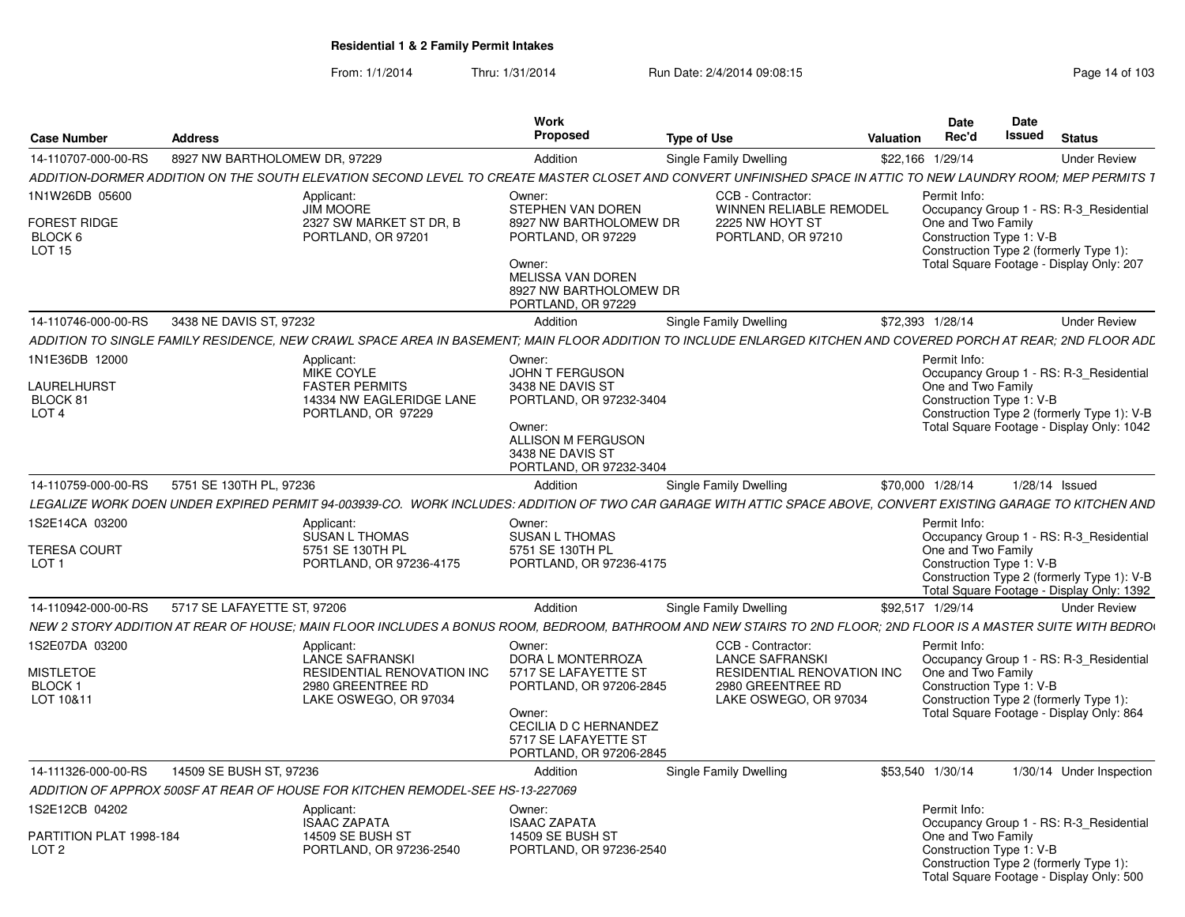|                                             |                               |                                                                                | <b>Work</b><br><b>Proposed</b>                                                     |                                                                                                                                                                 |                  | Date<br>Rec'd                                  | Date<br>Issued |                                                                                         |
|---------------------------------------------|-------------------------------|--------------------------------------------------------------------------------|------------------------------------------------------------------------------------|-----------------------------------------------------------------------------------------------------------------------------------------------------------------|------------------|------------------------------------------------|----------------|-----------------------------------------------------------------------------------------|
| <b>Case Number</b>                          | <b>Address</b>                |                                                                                |                                                                                    | <b>Type of Use</b>                                                                                                                                              | <b>Valuation</b> |                                                |                | <b>Status</b>                                                                           |
| 14-110707-000-00-RS                         | 8927 NW BARTHOLOMEW DR, 97229 |                                                                                | Addition                                                                           | Single Family Dwelling                                                                                                                                          |                  | \$22,166 1/29/14                               |                | <b>Under Review</b>                                                                     |
|                                             |                               |                                                                                |                                                                                    | ADDITION-DORMER ADDITION ON THE SOUTH ELEVATION SECOND LEVEL TO CREATE MASTER CLOSET AND CONVERT UNFINISHED SPACE IN ATTIC TO NEW LAUNDRY ROOM; MEP PERMITS 1   |                  |                                                |                |                                                                                         |
| 1N1W26DB 05600<br><b>FOREST RIDGE</b>       |                               | Applicant:<br><b>JIM MOORE</b><br>2327 SW MARKET ST DR. B                      | Owner:<br>STEPHEN VAN DOREN<br>8927 NW BARTHOLOMEW DR                              | CCB - Contractor:<br><b>WINNEN RELIABLE REMODEL</b><br>2225 NW HOYT ST                                                                                          |                  | Permit Info:<br>One and Two Family             |                | Occupancy Group 1 - RS: R-3_Residential                                                 |
| BLOCK 6<br>LOT <sub>15</sub>                |                               | PORTLAND, OR 97201                                                             | PORTLAND, OR 97229<br>Owner:<br>MELISSA VAN DOREN                                  | PORTLAND, OR 97210                                                                                                                                              |                  | Construction Type 1: V-B                       |                | Construction Type 2 (formerly Type 1):<br>Total Square Footage - Display Only: 207      |
|                                             |                               |                                                                                | 8927 NW BARTHOLOMEW DR<br>PORTLAND, OR 97229                                       |                                                                                                                                                                 |                  |                                                |                |                                                                                         |
| 14-110746-000-00-RS                         | 3438 NE DAVIS ST, 97232       |                                                                                | Addition                                                                           | <b>Single Family Dwelling</b>                                                                                                                                   |                  | \$72,393 1/28/14                               |                | <b>Under Review</b>                                                                     |
|                                             |                               |                                                                                |                                                                                    | ADDITION TO SINGLE FAMILY RESIDENCE. NEW CRAWL SPACE AREA IN BASEMENT: MAIN FLOOR ADDITION TO INCLUDE ENLARGED KITCHEN AND COVERED PORCH AT REAR: 2ND FLOOR ADL |                  |                                                |                |                                                                                         |
| 1N1E36DB 12000                              |                               | Applicant:                                                                     | Owner:                                                                             |                                                                                                                                                                 |                  | Permit Info:                                   |                |                                                                                         |
| <b>LAURELHURST</b>                          |                               | <b>MIKE COYLE</b><br><b>FASTER PERMITS</b>                                     | <b>JOHN T FERGUSON</b><br>3438 NE DAVIS ST                                         |                                                                                                                                                                 |                  | One and Two Family                             |                | Occupancy Group 1 - RS: R-3 Residential                                                 |
| BLOCK 81                                    |                               | 14334 NW EAGLERIDGE LANE                                                       | PORTLAND, OR 97232-3404                                                            |                                                                                                                                                                 |                  | Construction Type 1: V-B                       |                |                                                                                         |
| LOT <sub>4</sub>                            |                               | PORTLAND, OR 97229                                                             |                                                                                    |                                                                                                                                                                 |                  |                                                |                | Construction Type 2 (formerly Type 1): V-B                                              |
|                                             |                               |                                                                                | Owner:<br>ALLISON M FERGUSON<br>3438 NE DAVIS ST<br>PORTLAND, OR 97232-3404        |                                                                                                                                                                 |                  |                                                |                | Total Square Footage - Display Only: 1042                                               |
| 14-110759-000-00-RS                         | 5751 SE 130TH PL, 97236       |                                                                                | Addition                                                                           | Single Family Dwelling                                                                                                                                          |                  | \$70,000 1/28/14                               |                | 1/28/14 Issued                                                                          |
|                                             |                               |                                                                                |                                                                                    | LEGALIZE WORK DOEN UNDER EXPIRED PERMIT 94-003939-CO. WORK INCLUDES: ADDITION OF TWO CAR GARAGE WITH ATTIC SPACE ABOVE, CONVERT EXISTING GARAGE TO KITCHEN AND  |                  |                                                |                |                                                                                         |
| 1S2E14CA 03200                              |                               | Applicant:                                                                     | Owner:                                                                             |                                                                                                                                                                 |                  | Permit Info:                                   |                |                                                                                         |
|                                             |                               | <b>SUSAN L THOMAS</b>                                                          | <b>SUSAN L THOMAS</b>                                                              |                                                                                                                                                                 |                  |                                                |                | Occupancy Group 1 - RS: R-3 Residential                                                 |
| <b>TERESA COURT</b>                         |                               | 5751 SE 130TH PL                                                               | 5751 SE 130TH PL                                                                   |                                                                                                                                                                 |                  | One and Two Family                             |                |                                                                                         |
| LOT <sub>1</sub>                            |                               | PORTLAND, OR 97236-4175                                                        | PORTLAND, OR 97236-4175                                                            |                                                                                                                                                                 |                  | Construction Type 1: V-B                       |                | Construction Type 2 (formerly Type 1): V-B<br>Total Square Footage - Display Only: 1392 |
| 14-110942-000-00-RS                         | 5717 SE LAFAYETTE ST, 97206   |                                                                                | Addition                                                                           | Single Family Dwelling                                                                                                                                          |                  | \$92,517 1/29/14                               |                | <b>Under Review</b>                                                                     |
|                                             |                               |                                                                                |                                                                                    | NEW 2 STORY ADDITION AT REAR OF HOUSE; MAIN FLOOR INCLUDES A BONUS ROOM, BEDROOM, BATHROOM AND NEW STAIRS TO 2ND FLOOR; 2ND FLOOR IS A MASTER SUITE WITH BEDRO  |                  |                                                |                |                                                                                         |
| 1S2E07DA 03200                              |                               | Applicant:                                                                     | Owner:                                                                             | CCB - Contractor:                                                                                                                                               |                  | Permit Info:                                   |                |                                                                                         |
|                                             |                               | LANCE SAFRANSKI                                                                | DORA L MONTERROZA                                                                  | <b>LANCE SAFRANSKI</b>                                                                                                                                          |                  |                                                |                | Occupancy Group 1 - RS: R-3 Residential                                                 |
| MISTLETOE<br><b>BLOCK1</b>                  |                               | <b>RESIDENTIAL RENOVATION INC.</b><br>2980 GREENTREE RD                        | 5717 SE LAFAYETTE ST<br>PORTLAND, OR 97206-2845                                    | <b>RESIDENTIAL RENOVATION INC</b><br>2980 GREENTREE RD                                                                                                          |                  | One and Two Family<br>Construction Type 1: V-B |                |                                                                                         |
| LOT 10&11                                   |                               | LAKE OSWEGO, OR 97034                                                          |                                                                                    | LAKE OSWEGO, OR 97034                                                                                                                                           |                  |                                                |                | Construction Type 2 (formerly Type 1):                                                  |
|                                             |                               |                                                                                | Owner:<br>CECILIA D C HERNANDEZ<br>5717 SE LAFAYETTE ST<br>PORTLAND, OR 97206-2845 |                                                                                                                                                                 |                  |                                                |                | Total Square Footage - Display Only: 864                                                |
| 14-111326-000-00-RS                         | 14509 SE BUSH ST, 97236       |                                                                                | Addition                                                                           | <b>Single Family Dwelling</b>                                                                                                                                   |                  | \$53.540 1/30/14                               |                | 1/30/14 Under Inspection                                                                |
|                                             |                               | ADDITION OF APPROX 500SF AT REAR OF HOUSE FOR KITCHEN REMODEL-SEE HS-13-227069 |                                                                                    |                                                                                                                                                                 |                  |                                                |                |                                                                                         |
| 1S2E12CB 04202                              |                               | Applicant:                                                                     | Owner:                                                                             |                                                                                                                                                                 |                  | Permit Info:                                   |                |                                                                                         |
|                                             |                               | <b>ISAAC ZAPATA</b>                                                            | <b>ISAAC ZAPATA</b>                                                                |                                                                                                                                                                 |                  |                                                |                | Occupancy Group 1 - RS: R-3 Residential                                                 |
| PARTITION PLAT 1998-184<br>LOT <sub>2</sub> |                               | <b>14509 SE BUSH ST</b><br>PORTLAND, OR 97236-2540                             | 14509 SE BUSH ST<br>PORTLAND, OR 97236-2540                                        |                                                                                                                                                                 |                  | One and Two Family<br>Construction Type 1: V-B |                |                                                                                         |
|                                             |                               |                                                                                |                                                                                    |                                                                                                                                                                 |                  |                                                |                | Construction Type 2 (formerly Type 1):<br>Total Square Footage - Display Only: 500      |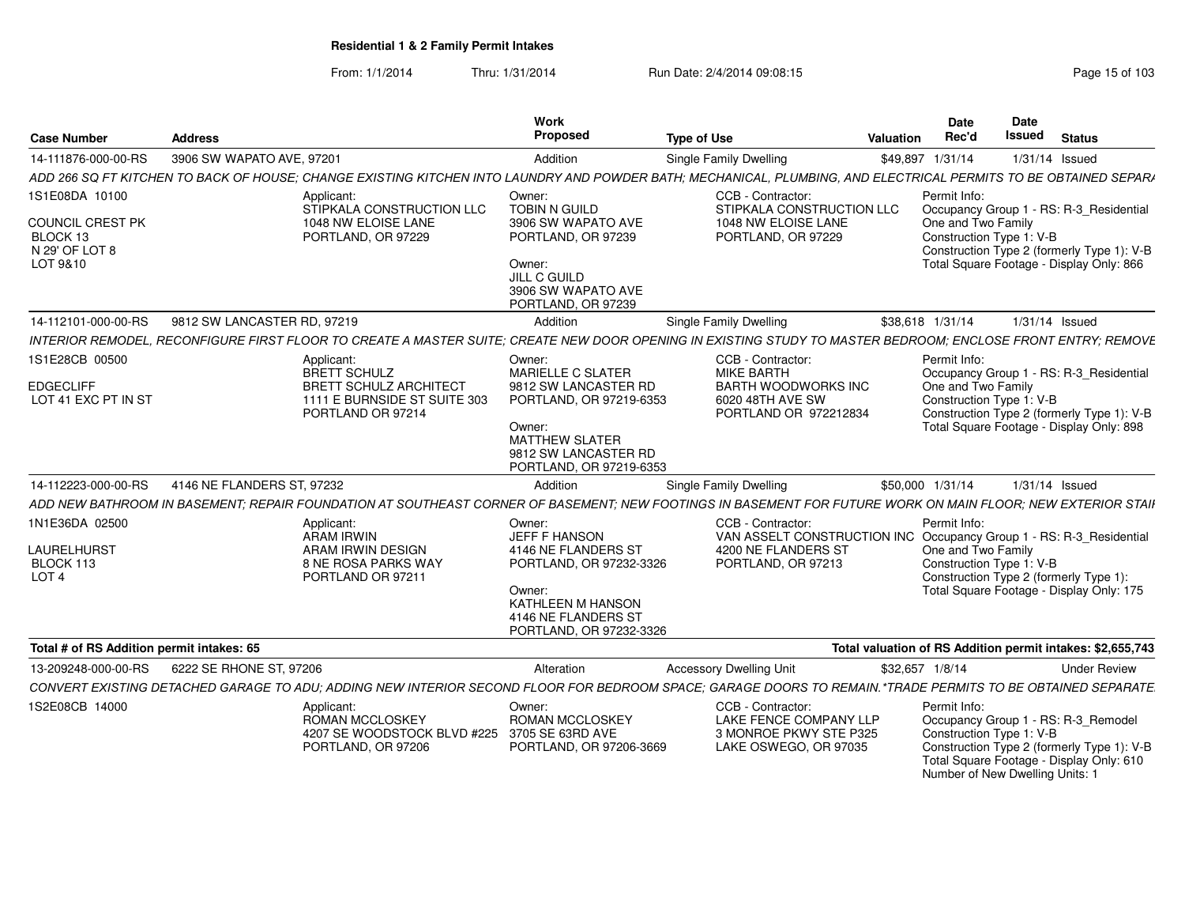From: 1/1/2014Thru: 1/31/2014 Run Date: 2/4/2014 09:08:15 Run Date: 2/4/2014 09:08:15

| <b>Case Number</b>                                                           | <b>Address</b>                                                                                                                                                   | Work<br>Proposed                                                                                                                                                     | <b>Type of Use</b>                                                                                                                    | <b>Date</b><br>Rec'd<br>Valuation | <b>Date</b><br>Issued<br><b>Status</b>                                                                                                                                              |                     |
|------------------------------------------------------------------------------|------------------------------------------------------------------------------------------------------------------------------------------------------------------|----------------------------------------------------------------------------------------------------------------------------------------------------------------------|---------------------------------------------------------------------------------------------------------------------------------------|-----------------------------------|-------------------------------------------------------------------------------------------------------------------------------------------------------------------------------------|---------------------|
| 14-111876-000-00-RS                                                          | 3906 SW WAPATO AVE, 97201                                                                                                                                        | Addition                                                                                                                                                             | <b>Single Family Dwelling</b>                                                                                                         | \$49,897 1/31/14                  | 1/31/14 Issued                                                                                                                                                                      |                     |
|                                                                              | ADD 266 SQ FT KITCHEN TO BACK OF HOUSE; CHANGE EXISTING KITCHEN INTO LAUNDRY AND POWDER BATH; MECHANICAL, PLUMBING, AND ELECTRICAL PERMITS TO BE OBTAINED SEPARA |                                                                                                                                                                      |                                                                                                                                       |                                   |                                                                                                                                                                                     |                     |
| 1S1E08DA 10100<br>COUNCIL CREST PK<br>BLOCK 13<br>N 29' OF LOT 8<br>LOT 9&10 | Applicant:<br>STIPKALA CONSTRUCTION LLC<br>1048 NW ELOISE LANE<br>PORTLAND, OR 97229                                                                             | Owner:<br><b>TOBIN N GUILD</b><br>3906 SW WAPATO AVE<br>PORTLAND, OR 97239<br>Owner:<br>JILL C GUILD<br>3906 SW WAPATO AVE<br>PORTLAND, OR 97239                     | CCB - Contractor:<br>STIPKALA CONSTRUCTION LLC<br>1048 NW ELOISE LANE<br>PORTLAND, OR 97229                                           | Permit Info:                      | Occupancy Group 1 - RS: R-3_Residential<br>One and Two Family<br>Construction Type 1: V-B<br>Construction Type 2 (formerly Type 1): V-B<br>Total Square Footage - Display Only: 866 |                     |
| 14-112101-000-00-RS                                                          | 9812 SW LANCASTER RD, 97219                                                                                                                                      | Addition                                                                                                                                                             | <b>Single Family Dwelling</b>                                                                                                         | \$38.618 1/31/14                  | 1/31/14 Issued                                                                                                                                                                      |                     |
|                                                                              | INTERIOR REMODEL, RECONFIGURE FIRST FLOOR TO CREATE A MASTER SUITE; CREATE NEW DOOR OPENING IN EXISTING STUDY TO MASTER BEDROOM; ENCLOSE FRONT ENTRY; REMOVE     |                                                                                                                                                                      |                                                                                                                                       |                                   |                                                                                                                                                                                     |                     |
| 1S1E28CB 00500<br><b>EDGECLIFF</b><br>LOT 41 EXC PT IN ST                    | Applicant:<br>BRETT SCHULZ<br><b>BRETT SCHULZ ARCHITECT</b><br>1111 E BURNSIDE ST SUITE 303<br>PORTLAND OR 97214                                                 | Owner:<br>MARIELLE C SLATER<br>9812 SW LANCASTER RD<br>PORTLAND, OR 97219-6353<br>Owner:<br><b>MATTHEW SLATER</b><br>9812 SW LANCASTER RD<br>PORTLAND, OR 97219-6353 | <b>CCB - Contractor:</b><br><b>MIKE BARTH</b><br><b>BARTH WOODWORKS INC</b><br>6020 48TH AVE SW<br>PORTLAND OR 972212834              | Permit Info:                      | Occupancy Group 1 - RS: R-3_Residential<br>One and Two Family<br>Construction Type 1: V-B<br>Construction Type 2 (formerly Type 1): V-B<br>Total Square Footage - Display Only: 898 |                     |
| 14-112223-000-00-RS                                                          | 4146 NE FLANDERS ST, 97232                                                                                                                                       | Addition                                                                                                                                                             | <b>Single Family Dwelling</b>                                                                                                         | \$50,000 1/31/14                  | 1/31/14 Issued                                                                                                                                                                      |                     |
|                                                                              | ADD NEW BATHROOM IN BASEMENT; REPAIR FOUNDATION AT SOUTHEAST CORNER OF BASEMENT; NEW FOOTINGS IN BASEMENT FOR FUTURE WORK ON MAIN FLOOR; NEW EXTERIOR STAII      |                                                                                                                                                                      |                                                                                                                                       |                                   |                                                                                                                                                                                     |                     |
| 1N1E36DA 02500<br>LAURELHURST<br>BLOCK 113<br>LOT <sub>4</sub>               | Applicant:<br>ARAM IRWIN<br>ARAM IRWIN DESIGN<br>8 NE ROSA PARKS WAY<br>PORTLAND OR 97211                                                                        | Owner:<br>JEFF F HANSON<br>4146 NE FLANDERS ST<br>PORTLAND, OR 97232-3326<br>Owner:<br><b>KATHLEEN M HANSON</b><br>4146 NE FLANDERS ST<br>PORTLAND, OR 97232-3326    | CCB - Contractor:<br>VAN ASSELT CONSTRUCTION INC Occupancy Group 1 - RS: R-3_Residential<br>4200 NE FLANDERS ST<br>PORTLAND, OR 97213 | Permit Info:                      | One and Two Family<br>Construction Type 1: V-B<br>Construction Type 2 (formerly Type 1):<br>Total Square Footage - Display Only: 175                                                |                     |
| Total # of RS Addition permit intakes: 65                                    |                                                                                                                                                                  |                                                                                                                                                                      |                                                                                                                                       |                                   | Total valuation of RS Addition permit intakes: \$2,655,743                                                                                                                          |                     |
| 13-209248-000-00-RS                                                          | 6222 SE RHONE ST, 97206                                                                                                                                          | Alteration                                                                                                                                                           | <b>Accessory Dwelling Unit</b>                                                                                                        | \$32,657 1/8/14                   |                                                                                                                                                                                     | <b>Under Review</b> |
|                                                                              | CONVERT EXISTING DETACHED GARAGE TO ADU; ADDING NEW INTERIOR SECOND FLOOR FOR BEDROOM SPACE; GARAGE DOORS TO REMAIN.*TRADE PERMITS TO BE OBTAINED SEPARATE       |                                                                                                                                                                      |                                                                                                                                       |                                   |                                                                                                                                                                                     |                     |
| 1S2E08CB 14000                                                               | Applicant:<br>ROMAN MCCLOSKEY<br>4207 SE WOODSTOCK BLVD #225 3705 SE 63RD AVE<br>PORTLAND, OR 97206                                                              | Owner:<br><b>ROMAN MCCLOSKEY</b><br>PORTLAND, OR 97206-3669                                                                                                          | CCB - Contractor:<br>LAKE FENCE COMPANY LLP<br>3 MONROE PKWY STE P325<br>LAKE OSWEGO, OR 97035                                        | Permit Info:                      | Occupancy Group 1 - RS: R-3_Remodel<br>Construction Type 1: V-B<br>Construction Type 2 (formerly Type 1): V-B<br>Total Square Footage - Display Only: 610                           |                     |

Number of New Dwelling Units: 1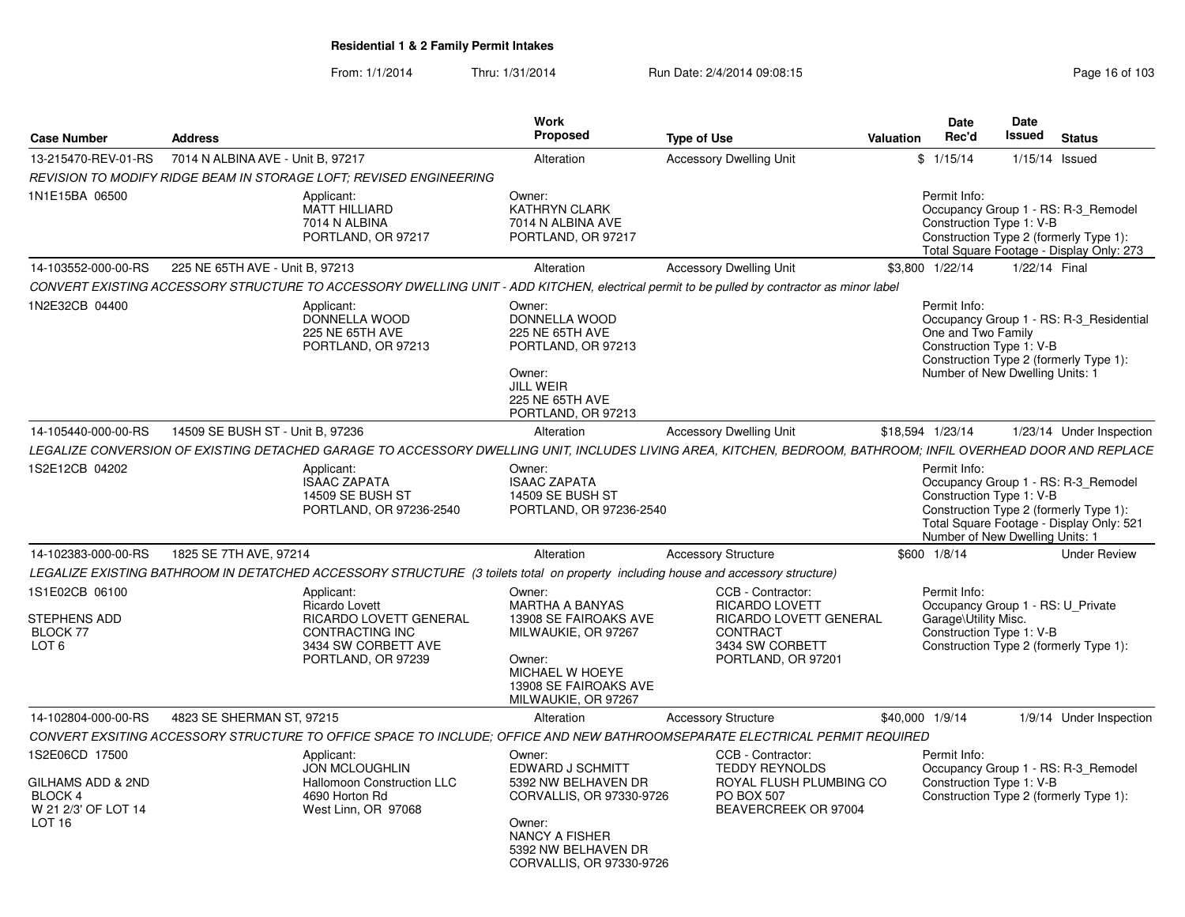| 7014 N ALBINA AVE - Unit B. 97217<br>1/15/14 Issued<br>13-215470-REV-01-RS<br><b>Accessory Dwelling Unit</b><br>\$1/15/14<br>Alteration<br>REVISION TO MODIFY RIDGE BEAM IN STORAGE LOFT: REVISED ENGINEERING<br>1N1E15BA 06500<br>Owner:<br>Permit Info:<br>Applicant:<br>MATT HILLIARD<br>KATHRYN CLARK<br>Occupancy Group 1 - RS: R-3 Remodel<br>7014 N ALBINA<br>7014 N ALBINA AVE<br>Construction Type 1: V-B<br>PORTLAND, OR 97217<br>Construction Type 2 (formerly Type 1):<br>PORTLAND, OR 97217<br>Total Square Footage - Display Only: 273<br>14-103552-000-00-RS<br>225 NE 65TH AVE - Unit B, 97213<br><b>Accessory Dwelling Unit</b><br>\$3,800 1/22/14<br>1/22/14 Final<br>Alteration<br>CONVERT EXISTING ACCESSORY STRUCTURE TO ACCESSORY DWELLING UNIT - ADD KITCHEN, electrical permit to be pulled by contractor as minor label<br>1N2E32CB 04400<br>Applicant:<br>Owner:<br>Permit Info:<br>DONNELLA WOOD<br>DONNELLA WOOD<br>Occupancy Group 1 - RS: R-3 Residential<br>225 NE 65TH AVE<br>225 NE 65TH AVE<br>One and Two Family<br>Construction Type 1: V-B<br>PORTLAND, OR 97213<br>PORTLAND, OR 97213<br>Construction Type 2 (formerly Type 1):<br>Number of New Dwelling Units: 1<br>Owner:<br><b>JILL WEIR</b><br>225 NE 65TH AVE<br>PORTLAND, OR 97213<br>14509 SE BUSH ST - Unit B, 97236<br>14-105440-000-00-RS<br>\$18,594 1/23/14<br><b>Accessory Dwelling Unit</b><br>1/23/14 Under Inspection<br>Alteration<br>LEGALIZE CONVERSION OF EXISTING DETACHED GARAGE TO ACCESSORY DWELLING UNIT, INCLUDES LIVING AREA, KITCHEN, BEDROOM, BATHROOM; INFIL OVERHEAD DOOR AND REPLACE<br>1S2E12CB 04202<br>Permit Info:<br>Applicant:<br>Owner:<br><b>ISAAC ZAPATA</b><br><b>ISAAC ZAPATA</b><br>Occupancy Group 1 - RS: R-3_Remodel<br><b>14509 SE BUSH ST</b><br><b>14509 SE BUSH ST</b><br>Construction Type 1: V-B<br>PORTLAND, OR 97236-2540<br>Construction Type 2 (formerly Type 1):<br>PORTLAND, OR 97236-2540<br>Total Square Footage - Display Only: 521<br>Number of New Dwelling Units: 1<br>14-102383-000-00-RS<br>1825 SE 7TH AVE, 97214<br>Alteration<br><b>Accessory Structure</b><br>\$600 1/8/14<br><b>Under Review</b><br>LEGALIZE EXISTING BATHROOM IN DETATCHED ACCESSORY STRUCTURE (3 toilets total on property including house and accessory structure)<br>1S1E02CB 06100<br>Owner:<br>CCB - Contractor:<br>Permit Info:<br>Applicant:<br><b>MARTHA A BANYAS</b><br><b>RICARDO LOVETT</b><br>Occupancy Group 1 - RS: U Private<br><b>Ricardo Lovett</b><br>RICARDO LOVETT GENERAL<br><b>STEPHENS ADD</b><br>13908 SE FAIROAKS AVE<br>RICARDO LOVETT GENERAL<br>Garage\Utility Misc.<br>Construction Type 1: V-B<br><b>BLOCK 77</b><br>CONTRACTING INC<br>MILWAUKIE, OR 97267<br><b>CONTRACT</b><br>LOT 6<br>3434 SW CORBETT AVE<br>3434 SW CORBETT<br>Construction Type 2 (formerly Type 1):<br>PORTLAND, OR 97239<br>PORTLAND, OR 97201<br>Owner:<br>MICHAEL W HOEYE<br>13908 SE FAIROAKS AVE<br>MILWAUKIE, OR 97267<br>14-102804-000-00-RS<br>4823 SE SHERMAN ST, 97215<br>Alteration<br><b>Accessory Structure</b><br>\$40,000 1/9/14<br>1/9/14 Under Inspection<br>CONVERT EXSITING ACCESSORY STRUCTURE TO OFFICE SPACE TO INCLUDE; OFFICE AND NEW BATHROOMSEPARATE ELECTRICAL PERMIT REQUIRED<br>1S2E06CD 17500<br>CCB - Contractor:<br>Applicant:<br>Owner:<br>Permit Info:<br>EDWARD J SCHMITT<br>Occupancy Group 1 - RS: R-3_Remodel<br><b>JON MCLOUGHLIN</b><br><b>TEDDY REYNOLDS</b><br>GILHAMS ADD & 2ND<br>Hallomoon Construction LLC<br>5392 NW BELHAVEN DR<br>ROYAL FLUSH PLUMBING CO<br>Construction Type 1: V-B<br><b>BLOCK 4</b><br>4690 Horton Rd<br>CORVALLIS, OR 97330-9726<br>PO BOX 507<br>Construction Type 2 (formerly Type 1):<br>W 21 2/3' OF LOT 14<br>West Linn, OR 97068<br>BEAVERCREEK OR 97004<br>LOT <sub>16</sub><br>Owner:<br>NANCY A FISHER<br>5392 NW BELHAVEN DR | <b>Case Number</b> | <b>Address</b> | Work<br><b>Proposed</b> | <b>Type of Use</b> | <b>Date</b><br>Rec'd<br>Valuation | Date<br>Issued | <b>Status</b> |
|----------------------------------------------------------------------------------------------------------------------------------------------------------------------------------------------------------------------------------------------------------------------------------------------------------------------------------------------------------------------------------------------------------------------------------------------------------------------------------------------------------------------------------------------------------------------------------------------------------------------------------------------------------------------------------------------------------------------------------------------------------------------------------------------------------------------------------------------------------------------------------------------------------------------------------------------------------------------------------------------------------------------------------------------------------------------------------------------------------------------------------------------------------------------------------------------------------------------------------------------------------------------------------------------------------------------------------------------------------------------------------------------------------------------------------------------------------------------------------------------------------------------------------------------------------------------------------------------------------------------------------------------------------------------------------------------------------------------------------------------------------------------------------------------------------------------------------------------------------------------------------------------------------------------------------------------------------------------------------------------------------------------------------------------------------------------------------------------------------------------------------------------------------------------------------------------------------------------------------------------------------------------------------------------------------------------------------------------------------------------------------------------------------------------------------------------------------------------------------------------------------------------------------------------------------------------------------------------------------------------------------------------------------------------------------------------------------------------------------------------------------------------------------------------------------------------------------------------------------------------------------------------------------------------------------------------------------------------------------------------------------------------------------------------------------------------------------------------------------------------------------------------------------------------------------------------------------------------------------------------------------------------------------------------------------------------------------------------------------------------------------------------------------------------------------------------------------------------------------------------------------------------------------------------------------------------------------------------------------------------------------------------------------------------------------------------------------------------------------------------------------------------------------------------------------------------------------------------------|--------------------|----------------|-------------------------|--------------------|-----------------------------------|----------------|---------------|
|                                                                                                                                                                                                                                                                                                                                                                                                                                                                                                                                                                                                                                                                                                                                                                                                                                                                                                                                                                                                                                                                                                                                                                                                                                                                                                                                                                                                                                                                                                                                                                                                                                                                                                                                                                                                                                                                                                                                                                                                                                                                                                                                                                                                                                                                                                                                                                                                                                                                                                                                                                                                                                                                                                                                                                                                                                                                                                                                                                                                                                                                                                                                                                                                                                                                                                                                                                                                                                                                                                                                                                                                                                                                                                                                                                                                                                                    |                    |                |                         |                    |                                   |                |               |
|                                                                                                                                                                                                                                                                                                                                                                                                                                                                                                                                                                                                                                                                                                                                                                                                                                                                                                                                                                                                                                                                                                                                                                                                                                                                                                                                                                                                                                                                                                                                                                                                                                                                                                                                                                                                                                                                                                                                                                                                                                                                                                                                                                                                                                                                                                                                                                                                                                                                                                                                                                                                                                                                                                                                                                                                                                                                                                                                                                                                                                                                                                                                                                                                                                                                                                                                                                                                                                                                                                                                                                                                                                                                                                                                                                                                                                                    |                    |                |                         |                    |                                   |                |               |
|                                                                                                                                                                                                                                                                                                                                                                                                                                                                                                                                                                                                                                                                                                                                                                                                                                                                                                                                                                                                                                                                                                                                                                                                                                                                                                                                                                                                                                                                                                                                                                                                                                                                                                                                                                                                                                                                                                                                                                                                                                                                                                                                                                                                                                                                                                                                                                                                                                                                                                                                                                                                                                                                                                                                                                                                                                                                                                                                                                                                                                                                                                                                                                                                                                                                                                                                                                                                                                                                                                                                                                                                                                                                                                                                                                                                                                                    |                    |                |                         |                    |                                   |                |               |
|                                                                                                                                                                                                                                                                                                                                                                                                                                                                                                                                                                                                                                                                                                                                                                                                                                                                                                                                                                                                                                                                                                                                                                                                                                                                                                                                                                                                                                                                                                                                                                                                                                                                                                                                                                                                                                                                                                                                                                                                                                                                                                                                                                                                                                                                                                                                                                                                                                                                                                                                                                                                                                                                                                                                                                                                                                                                                                                                                                                                                                                                                                                                                                                                                                                                                                                                                                                                                                                                                                                                                                                                                                                                                                                                                                                                                                                    |                    |                |                         |                    |                                   |                |               |
|                                                                                                                                                                                                                                                                                                                                                                                                                                                                                                                                                                                                                                                                                                                                                                                                                                                                                                                                                                                                                                                                                                                                                                                                                                                                                                                                                                                                                                                                                                                                                                                                                                                                                                                                                                                                                                                                                                                                                                                                                                                                                                                                                                                                                                                                                                                                                                                                                                                                                                                                                                                                                                                                                                                                                                                                                                                                                                                                                                                                                                                                                                                                                                                                                                                                                                                                                                                                                                                                                                                                                                                                                                                                                                                                                                                                                                                    |                    |                |                         |                    |                                   |                |               |
|                                                                                                                                                                                                                                                                                                                                                                                                                                                                                                                                                                                                                                                                                                                                                                                                                                                                                                                                                                                                                                                                                                                                                                                                                                                                                                                                                                                                                                                                                                                                                                                                                                                                                                                                                                                                                                                                                                                                                                                                                                                                                                                                                                                                                                                                                                                                                                                                                                                                                                                                                                                                                                                                                                                                                                                                                                                                                                                                                                                                                                                                                                                                                                                                                                                                                                                                                                                                                                                                                                                                                                                                                                                                                                                                                                                                                                                    |                    |                |                         |                    |                                   |                |               |
|                                                                                                                                                                                                                                                                                                                                                                                                                                                                                                                                                                                                                                                                                                                                                                                                                                                                                                                                                                                                                                                                                                                                                                                                                                                                                                                                                                                                                                                                                                                                                                                                                                                                                                                                                                                                                                                                                                                                                                                                                                                                                                                                                                                                                                                                                                                                                                                                                                                                                                                                                                                                                                                                                                                                                                                                                                                                                                                                                                                                                                                                                                                                                                                                                                                                                                                                                                                                                                                                                                                                                                                                                                                                                                                                                                                                                                                    |                    |                |                         |                    |                                   |                |               |
|                                                                                                                                                                                                                                                                                                                                                                                                                                                                                                                                                                                                                                                                                                                                                                                                                                                                                                                                                                                                                                                                                                                                                                                                                                                                                                                                                                                                                                                                                                                                                                                                                                                                                                                                                                                                                                                                                                                                                                                                                                                                                                                                                                                                                                                                                                                                                                                                                                                                                                                                                                                                                                                                                                                                                                                                                                                                                                                                                                                                                                                                                                                                                                                                                                                                                                                                                                                                                                                                                                                                                                                                                                                                                                                                                                                                                                                    |                    |                |                         |                    |                                   |                |               |
|                                                                                                                                                                                                                                                                                                                                                                                                                                                                                                                                                                                                                                                                                                                                                                                                                                                                                                                                                                                                                                                                                                                                                                                                                                                                                                                                                                                                                                                                                                                                                                                                                                                                                                                                                                                                                                                                                                                                                                                                                                                                                                                                                                                                                                                                                                                                                                                                                                                                                                                                                                                                                                                                                                                                                                                                                                                                                                                                                                                                                                                                                                                                                                                                                                                                                                                                                                                                                                                                                                                                                                                                                                                                                                                                                                                                                                                    |                    |                |                         |                    |                                   |                |               |
|                                                                                                                                                                                                                                                                                                                                                                                                                                                                                                                                                                                                                                                                                                                                                                                                                                                                                                                                                                                                                                                                                                                                                                                                                                                                                                                                                                                                                                                                                                                                                                                                                                                                                                                                                                                                                                                                                                                                                                                                                                                                                                                                                                                                                                                                                                                                                                                                                                                                                                                                                                                                                                                                                                                                                                                                                                                                                                                                                                                                                                                                                                                                                                                                                                                                                                                                                                                                                                                                                                                                                                                                                                                                                                                                                                                                                                                    |                    |                |                         |                    |                                   |                |               |
|                                                                                                                                                                                                                                                                                                                                                                                                                                                                                                                                                                                                                                                                                                                                                                                                                                                                                                                                                                                                                                                                                                                                                                                                                                                                                                                                                                                                                                                                                                                                                                                                                                                                                                                                                                                                                                                                                                                                                                                                                                                                                                                                                                                                                                                                                                                                                                                                                                                                                                                                                                                                                                                                                                                                                                                                                                                                                                                                                                                                                                                                                                                                                                                                                                                                                                                                                                                                                                                                                                                                                                                                                                                                                                                                                                                                                                                    |                    |                |                         |                    |                                   |                |               |
|                                                                                                                                                                                                                                                                                                                                                                                                                                                                                                                                                                                                                                                                                                                                                                                                                                                                                                                                                                                                                                                                                                                                                                                                                                                                                                                                                                                                                                                                                                                                                                                                                                                                                                                                                                                                                                                                                                                                                                                                                                                                                                                                                                                                                                                                                                                                                                                                                                                                                                                                                                                                                                                                                                                                                                                                                                                                                                                                                                                                                                                                                                                                                                                                                                                                                                                                                                                                                                                                                                                                                                                                                                                                                                                                                                                                                                                    |                    |                |                         |                    |                                   |                |               |
|                                                                                                                                                                                                                                                                                                                                                                                                                                                                                                                                                                                                                                                                                                                                                                                                                                                                                                                                                                                                                                                                                                                                                                                                                                                                                                                                                                                                                                                                                                                                                                                                                                                                                                                                                                                                                                                                                                                                                                                                                                                                                                                                                                                                                                                                                                                                                                                                                                                                                                                                                                                                                                                                                                                                                                                                                                                                                                                                                                                                                                                                                                                                                                                                                                                                                                                                                                                                                                                                                                                                                                                                                                                                                                                                                                                                                                                    |                    |                |                         |                    |                                   |                |               |
|                                                                                                                                                                                                                                                                                                                                                                                                                                                                                                                                                                                                                                                                                                                                                                                                                                                                                                                                                                                                                                                                                                                                                                                                                                                                                                                                                                                                                                                                                                                                                                                                                                                                                                                                                                                                                                                                                                                                                                                                                                                                                                                                                                                                                                                                                                                                                                                                                                                                                                                                                                                                                                                                                                                                                                                                                                                                                                                                                                                                                                                                                                                                                                                                                                                                                                                                                                                                                                                                                                                                                                                                                                                                                                                                                                                                                                                    |                    |                |                         |                    |                                   |                |               |
| CORVALLIS, OR 97330-9726                                                                                                                                                                                                                                                                                                                                                                                                                                                                                                                                                                                                                                                                                                                                                                                                                                                                                                                                                                                                                                                                                                                                                                                                                                                                                                                                                                                                                                                                                                                                                                                                                                                                                                                                                                                                                                                                                                                                                                                                                                                                                                                                                                                                                                                                                                                                                                                                                                                                                                                                                                                                                                                                                                                                                                                                                                                                                                                                                                                                                                                                                                                                                                                                                                                                                                                                                                                                                                                                                                                                                                                                                                                                                                                                                                                                                           |                    |                |                         |                    |                                   |                |               |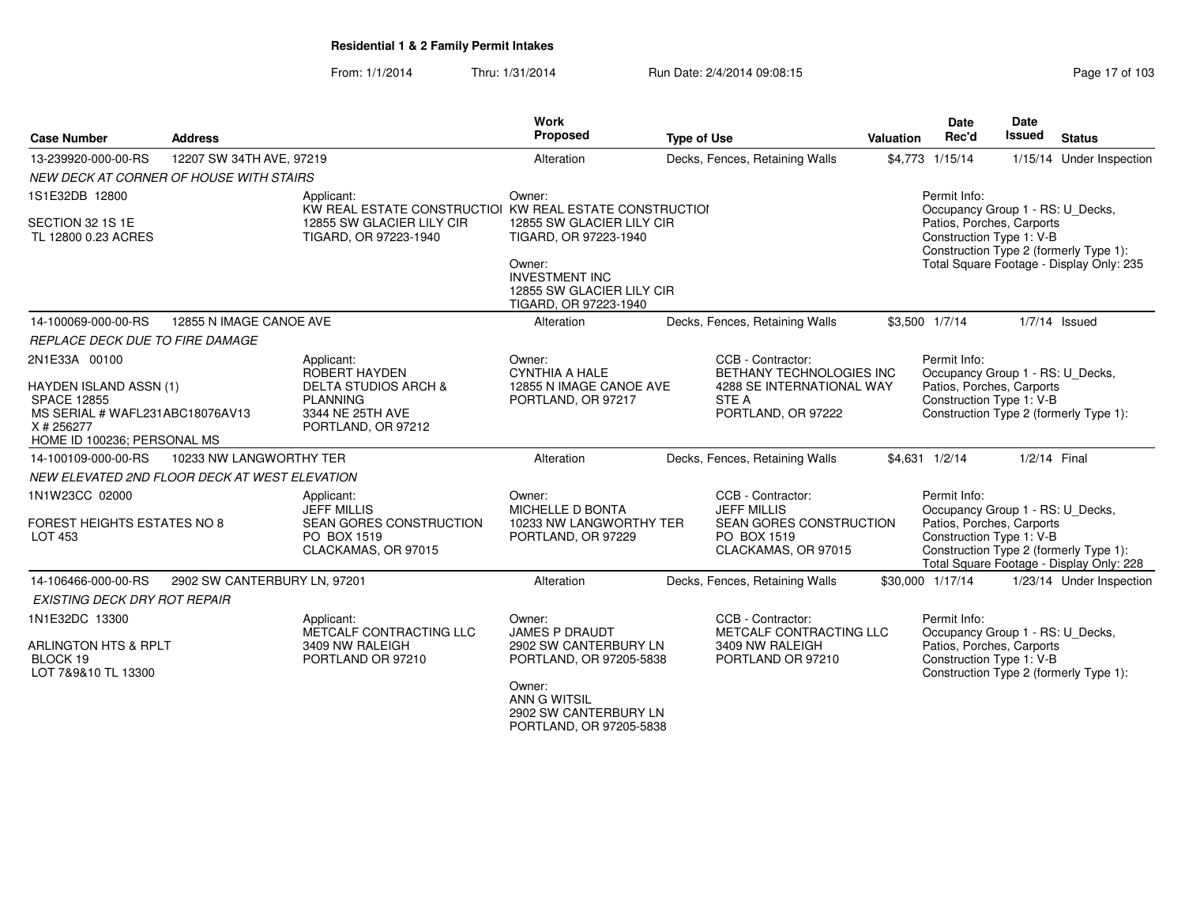| <b>Case Number</b>                                                                                                                  | <b>Address</b>                                |                                                                                                                             | <b>Work</b><br>Proposed                                                            | <b>Type of Use</b> |                                                                                                          | Valuation | Date<br>Rec'd                                                                                             | Date<br>Issued | <b>Status</b>                                                                      |
|-------------------------------------------------------------------------------------------------------------------------------------|-----------------------------------------------|-----------------------------------------------------------------------------------------------------------------------------|------------------------------------------------------------------------------------|--------------------|----------------------------------------------------------------------------------------------------------|-----------|-----------------------------------------------------------------------------------------------------------|----------------|------------------------------------------------------------------------------------|
| 13-239920-000-00-RS                                                                                                                 | 12207 SW 34TH AVE, 97219                      |                                                                                                                             | Alteration                                                                         |                    | Decks, Fences, Retaining Walls                                                                           |           | \$4,773 1/15/14                                                                                           |                | 1/15/14 Under Inspection                                                           |
|                                                                                                                                     | NEW DECK AT CORNER OF HOUSE WITH STAIRS       |                                                                                                                             |                                                                                    |                    |                                                                                                          |           |                                                                                                           |                |                                                                                    |
| 1S1E32DB 12800<br>SECTION 32 1S 1E<br>TL 12800 0.23 ACRES                                                                           |                                               | Applicant:<br>KW REAL ESTATE CONSTRUCTIOI KW REAL ESTATE CONSTRUCTIOI<br>12855 SW GLACIER LILY CIR<br>TIGARD, OR 97223-1940 | Owner:<br>12855 SW GLACIER LILY CIR<br>TIGARD, OR 97223-1940<br>Owner:             |                    |                                                                                                          |           | Permit Info:<br>Occupancy Group 1 - RS: U_Decks,<br>Patios, Porches, Carports<br>Construction Type 1: V-B |                | Construction Type 2 (formerly Type 1):<br>Total Square Footage - Display Only: 235 |
|                                                                                                                                     |                                               |                                                                                                                             | <b>INVESTMENT INC</b><br>12855 SW GLACIER LILY CIR<br>TIGARD, OR 97223-1940        |                    |                                                                                                          |           |                                                                                                           |                |                                                                                    |
| 14-100069-000-00-RS                                                                                                                 | 12855 N IMAGE CANOE AVE                       |                                                                                                                             | Alteration                                                                         |                    | Decks, Fences, Retaining Walls                                                                           |           | \$3,500 1/7/14                                                                                            |                | $1/7/14$ Issued                                                                    |
| REPLACE DECK DUE TO FIRE DAMAGE                                                                                                     |                                               |                                                                                                                             |                                                                                    |                    |                                                                                                          |           |                                                                                                           |                |                                                                                    |
| 2N1E33A 00100                                                                                                                       |                                               | Applicant:<br>ROBERT HAYDEN                                                                                                 | Owner:<br><b>CYNTHIA A HALE</b>                                                    |                    | CCB - Contractor:<br>BETHANY TECHNOLOGIES INC                                                            |           | Permit Info:<br>Occupancy Group 1 - RS: U Decks,                                                          |                |                                                                                    |
| <b>HAYDEN ISLAND ASSN (1)</b><br><b>SPACE 12855</b><br>MS SERIAL # WAFL231ABC18076AV13<br>X # 256277<br>HOME ID 100236; PERSONAL MS |                                               | <b>DELTA STUDIOS ARCH &amp;</b><br><b>PLANNING</b><br>3344 NE 25TH AVE<br>PORTLAND, OR 97212                                | 12855 N IMAGE CANOE AVE<br>PORTLAND, OR 97217                                      |                    | 4288 SE INTERNATIONAL WAY<br>STE A<br>PORTLAND, OR 97222                                                 |           | Patios, Porches, Carports<br>Construction Type 1: V-B                                                     |                | Construction Type 2 (formerly Type 1):                                             |
| 14-100109-000-00-RS                                                                                                                 | 10233 NW LANGWORTHY TER                       |                                                                                                                             | Alteration                                                                         |                    | Decks, Fences, Retaining Walls                                                                           |           | \$4,631 1/2/14                                                                                            | 1/2/14 Final   |                                                                                    |
|                                                                                                                                     | NEW ELEVATED 2ND FLOOR DECK AT WEST ELEVATION |                                                                                                                             |                                                                                    |                    |                                                                                                          |           |                                                                                                           |                |                                                                                    |
| 1N1W23CC 02000<br><b>FOREST HEIGHTS ESTATES NO 8</b><br>LOT 453                                                                     |                                               | Applicant:<br><b>JEFF MILLIS</b><br>SEAN GORES CONSTRUCTION<br>PO BOX 1519<br>CLACKAMAS, OR 97015                           | Owner:<br><b>MICHELLE D BONTA</b><br>10233 NW LANGWORTHY TER<br>PORTLAND, OR 97229 |                    | CCB - Contractor:<br><b>JEFF MILLIS</b><br>SEAN GORES CONSTRUCTION<br>PO BOX 1519<br>CLACKAMAS, OR 97015 |           | Permit Info:<br>Occupancy Group 1 - RS: U_Decks,<br>Patios, Porches, Carports<br>Construction Type 1: V-B |                | Construction Type 2 (formerly Type 1):<br>Total Square Footage - Display Only: 228 |
| 14-106466-000-00-RS                                                                                                                 | 2902 SW CANTERBURY LN, 97201                  |                                                                                                                             | Alteration                                                                         |                    | Decks, Fences, Retaining Walls                                                                           |           | \$30,000 1/17/14                                                                                          |                | 1/23/14 Under Inspection                                                           |
| <b>EXISTING DECK DRY ROT REPAIR</b>                                                                                                 |                                               |                                                                                                                             |                                                                                    |                    |                                                                                                          |           |                                                                                                           |                |                                                                                    |
| 1N1E32DC 13300                                                                                                                      |                                               | Applicant:<br>METCALF CONTRACTING LLC                                                                                       | Owner:<br><b>JAMES P DRAUDT</b>                                                    |                    | CCB - Contractor:<br>METCALF CONTRACTING LLC                                                             |           | Permit Info:<br>Occupancy Group 1 - RS: U_Decks,                                                          |                |                                                                                    |
| ARLINGTON HTS & RPLT<br>BLOCK 19<br>LOT 7&9&10 TL 13300                                                                             |                                               | 3409 NW RALEIGH<br>PORTLAND OR 97210                                                                                        | 2902 SW CANTERBURY LN<br>PORTLAND, OR 97205-5838<br>Owner:                         |                    | 3409 NW RALEIGH<br>PORTLAND OR 97210                                                                     |           | Patios, Porches, Carports<br>Construction Type 1: V-B                                                     |                | Construction Type 2 (formerly Type 1):                                             |
|                                                                                                                                     |                                               |                                                                                                                             | ANN G WITSIL<br>2902 SW CANTERBURY LN<br>PORTLAND, OR 97205-5838                   |                    |                                                                                                          |           |                                                                                                           |                |                                                                                    |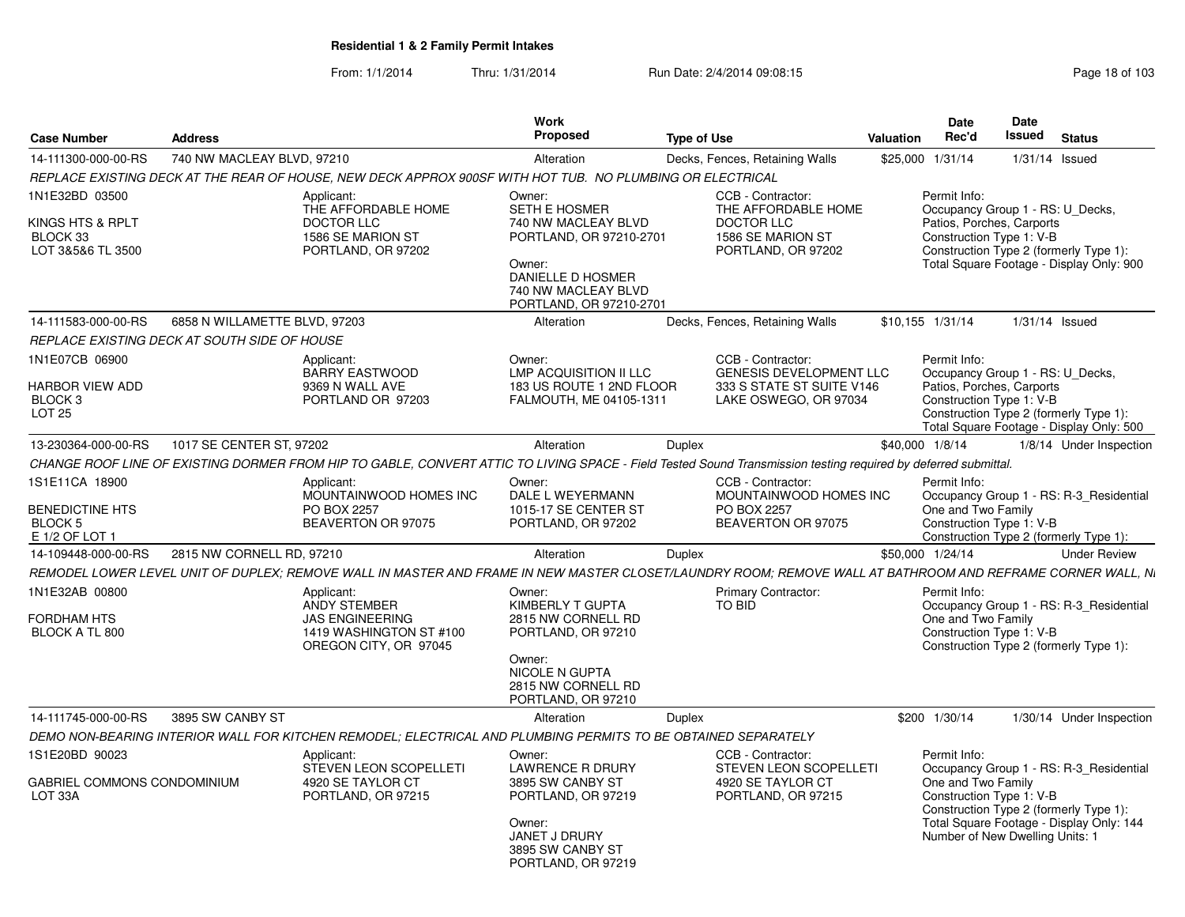|                                                                                  |                                              |                                                                                                                                                                | Work                                                                                                                                                              |                    |                                                                                                           |                  | Date                                                                                                      | Date          |                                                                                                                               |
|----------------------------------------------------------------------------------|----------------------------------------------|----------------------------------------------------------------------------------------------------------------------------------------------------------------|-------------------------------------------------------------------------------------------------------------------------------------------------------------------|--------------------|-----------------------------------------------------------------------------------------------------------|------------------|-----------------------------------------------------------------------------------------------------------|---------------|-------------------------------------------------------------------------------------------------------------------------------|
| <b>Case Number</b>                                                               | <b>Address</b>                               |                                                                                                                                                                | Proposed                                                                                                                                                          | <b>Type of Use</b> |                                                                                                           | <b>Valuation</b> | Rec'd                                                                                                     | <b>Issued</b> | <b>Status</b>                                                                                                                 |
| 14-111300-000-00-RS                                                              | 740 NW MACLEAY BLVD, 97210                   |                                                                                                                                                                | Alteration                                                                                                                                                        |                    | Decks, Fences, Retaining Walls                                                                            |                  | \$25,000 1/31/14                                                                                          |               | 1/31/14 Issued                                                                                                                |
|                                                                                  |                                              | REPLACE EXISTING DECK AT THE REAR OF HOUSE, NEW DECK APPROX 900SF WITH HOT TUB. NO PLUMBING OR ELECTRICAL                                                      |                                                                                                                                                                   |                    |                                                                                                           |                  |                                                                                                           |               |                                                                                                                               |
| 1N1E32BD 03500<br>KINGS HTS & RPLT<br>BLOCK 33<br>LOT 3&5&6 TL 3500              |                                              | Applicant:<br>THE AFFORDABLE HOME<br>DOCTOR LLC<br>1586 SE MARION ST<br>PORTLAND, OR 97202                                                                     | Owner:<br><b>SETH E HOSMER</b><br>740 NW MACLEAY BLVD<br>PORTLAND, OR 97210-2701<br>Owner:<br>DANIELLE D HOSMER<br>740 NW MACLEAY BLVD<br>PORTLAND, OR 97210-2701 |                    | CCB - Contractor:<br>THE AFFORDABLE HOME<br><b>DOCTOR LLC</b><br>1586 SE MARION ST<br>PORTLAND, OR 97202  |                  | Permit Info:<br>Occupancy Group 1 - RS: U_Decks,<br>Patios, Porches, Carports<br>Construction Type 1: V-B |               | Construction Type 2 (formerly Type 1):<br>Total Square Footage - Display Only: 900                                            |
| 14-111583-000-00-RS                                                              | 6858 N WILLAMETTE BLVD, 97203                |                                                                                                                                                                | Alteration                                                                                                                                                        |                    | Decks, Fences, Retaining Walls                                                                            |                  | \$10,155 1/31/14                                                                                          |               | $1/31/14$ Issued                                                                                                              |
|                                                                                  | REPLACE EXISTING DECK AT SOUTH SIDE OF HOUSE |                                                                                                                                                                |                                                                                                                                                                   |                    |                                                                                                           |                  |                                                                                                           |               |                                                                                                                               |
| 1N1E07CB 06900<br>HARBOR VIEW ADD<br>BLOCK <sub>3</sub><br>LOT <sub>25</sub>     |                                              | Applicant:<br><b>BARRY EASTWOOD</b><br>9369 N WALL AVE<br>PORTLAND OR 97203                                                                                    | Owner:<br><b>LMP ACQUISITION II LLC</b><br>183 US ROUTE 1 2ND FLOOR<br>FALMOUTH, ME 04105-1311                                                                    |                    | CCB - Contractor:<br><b>GENESIS DEVELOPMENT LLC</b><br>333 S STATE ST SUITE V146<br>LAKE OSWEGO, OR 97034 |                  | Permit Info:<br>Occupancy Group 1 - RS: U_Decks,<br>Patios, Porches, Carports<br>Construction Type 1: V-B |               | Construction Type 2 (formerly Type 1):<br>Total Square Footage - Display Only: 500                                            |
| 13-230364-000-00-RS                                                              | 1017 SE CENTER ST. 97202                     |                                                                                                                                                                | Alteration                                                                                                                                                        | Duplex             |                                                                                                           |                  | \$40,000 1/8/14                                                                                           |               | 1/8/14 Under Inspection                                                                                                       |
|                                                                                  |                                              | CHANGE ROOF LINE OF EXISTING DORMER FROM HIP TO GABLE, CONVERT ATTIC TO LIVING SPACE - Field Tested Sound Transmission testing required by deferred submittal. |                                                                                                                                                                   |                    |                                                                                                           |                  |                                                                                                           |               |                                                                                                                               |
| 1S1E11CA 18900<br><b>BENEDICTINE HTS</b><br>BLOCK <sub>5</sub><br>E 1/2 OF LOT 1 |                                              | Applicant:<br>MOUNTAINWOOD HOMES INC<br>PO BOX 2257<br>BEAVERTON OR 97075                                                                                      | Owner:<br>DALE L WEYERMANN<br>1015-17 SE CENTER ST<br>PORTLAND, OR 97202                                                                                          |                    | CCB - Contractor:<br>MOUNTAINWOOD HOMES INC<br>PO BOX 2257<br>BEAVERTON OR 97075                          |                  | Permit Info:<br>One and Two Family<br>Construction Type 1: V-B                                            |               | Occupancy Group 1 - RS: R-3_Residential<br>Construction Type 2 (formerly Type 1):                                             |
| 14-109448-000-00-RS                                                              | 2815 NW CORNELL RD, 97210                    |                                                                                                                                                                | Alteration                                                                                                                                                        | Duplex             |                                                                                                           |                  | \$50,000 1/24/14                                                                                          |               | <b>Under Review</b>                                                                                                           |
|                                                                                  |                                              | REMODEL LOWER LEVEL UNIT OF DUPLEX: REMOVE WALL IN MASTER AND FRAME IN NEW MASTER CLOSET/LAUNDRY ROOM: REMOVE WALL AT BATHROOM AND REFRAME CORNER WALL. Ni     |                                                                                                                                                                   |                    |                                                                                                           |                  |                                                                                                           |               |                                                                                                                               |
| 1N1E32AB 00800<br>FORDHAM HTS<br>BLOCK A TL 800                                  |                                              | Applicant:<br><b>ANDY STEMBER</b><br><b>JAS ENGINEERING</b><br>1419 WASHINGTON ST #100<br>OREGON CITY, OR 97045                                                | Owner:<br>KIMBERLY T GUPTA<br>2815 NW CORNELL RD<br>PORTLAND, OR 97210<br>Owner:<br>NICOLE N GUPTA<br>2815 NW CORNELL RD<br>PORTLAND, OR 97210                    |                    | Primary Contractor:<br>TO BID                                                                             |                  | Permit Info:<br>One and Two Family<br>Construction Type 1: V-B                                            |               | Occupancy Group 1 - RS: R-3 Residential<br>Construction Type 2 (formerly Type 1):                                             |
| 14-111745-000-00-RS                                                              | 3895 SW CANBY ST                             |                                                                                                                                                                | Alteration                                                                                                                                                        | Duplex             |                                                                                                           |                  | \$200 1/30/14                                                                                             |               | 1/30/14 Under Inspection                                                                                                      |
|                                                                                  |                                              | DEMO NON-BEARING INTERIOR WALL FOR KITCHEN REMODEL; ELECTRICAL AND PLUMBING PERMITS TO BE OBTAINED SEPARATELY                                                  |                                                                                                                                                                   |                    |                                                                                                           |                  |                                                                                                           |               |                                                                                                                               |
| 1S1E20BD 90023<br>GABRIEL COMMONS CONDOMINIUM<br>LOT 33A                         |                                              | Applicant:<br><b>STEVEN LEON SCOPELLETI</b><br>4920 SE TAYLOR CT<br>PORTLAND, OR 97215                                                                         | Owner:<br><b>LAWRENCE R DRURY</b><br>3895 SW CANBY ST<br>PORTLAND, OR 97219<br>Owner:<br><b>JANET J DRURY</b><br>3895 SW CANBY ST<br>PORTLAND, OR 97219           |                    | CCB - Contractor:<br><b>STEVEN LEON SCOPELLETI</b><br>4920 SE TAYLOR CT<br>PORTLAND, OR 97215             |                  | Permit Info:<br>One and Two Family<br>Construction Type 1: V-B<br>Number of New Dwelling Units: 1         |               | Occupancy Group 1 - RS: R-3 Residential<br>Construction Type 2 (formerly Type 1):<br>Total Square Footage - Display Only: 144 |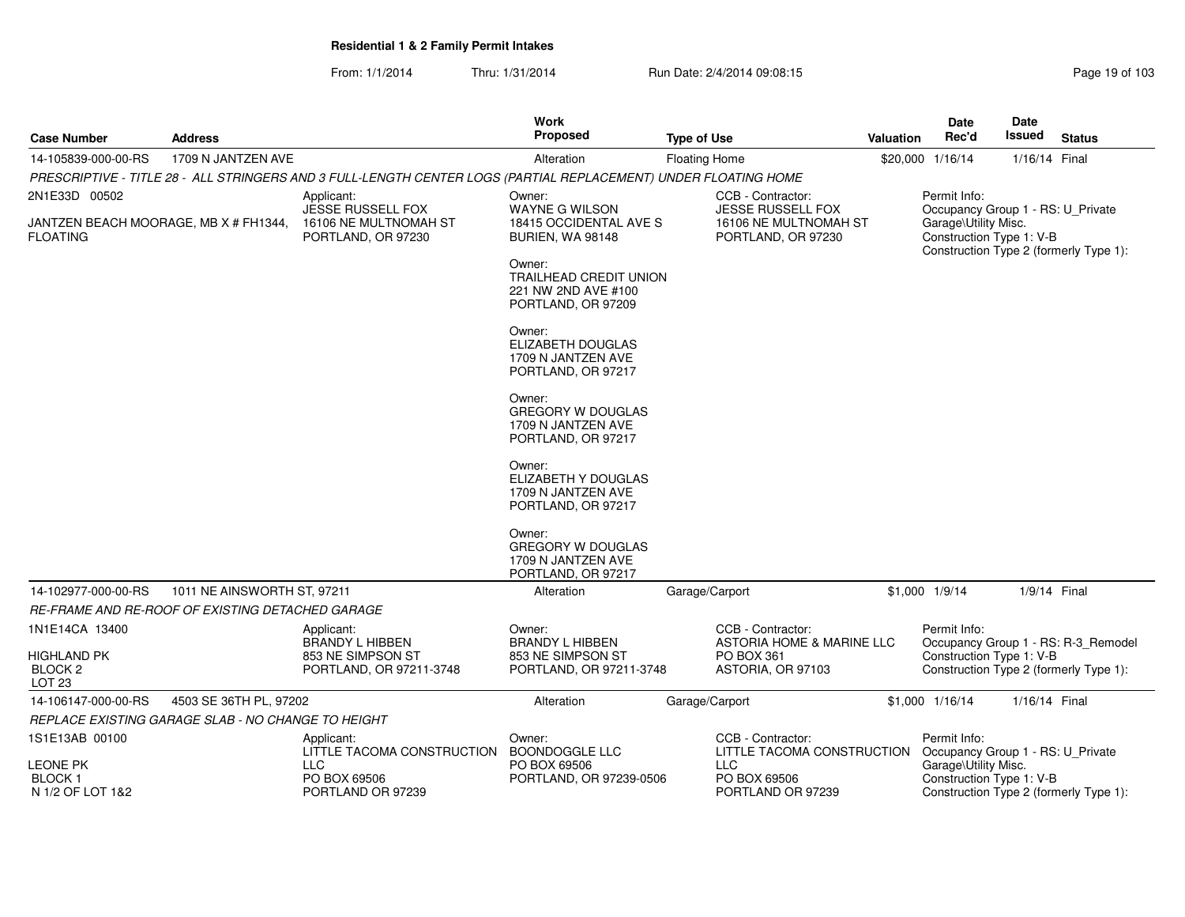| Page 19 of 103 |  |  |  |  |
|----------------|--|--|--|--|
|----------------|--|--|--|--|

| <b>Case Number</b>                                            | <b>Address</b>                                     |                                                                                                                 | Work<br>Proposed                                                                     | <b>Type of Use</b>                              | Valuation | Date<br>Rec'd                                                                              | Date<br>Issued | <b>Status</b>                          |
|---------------------------------------------------------------|----------------------------------------------------|-----------------------------------------------------------------------------------------------------------------|--------------------------------------------------------------------------------------|-------------------------------------------------|-----------|--------------------------------------------------------------------------------------------|----------------|----------------------------------------|
| 14-105839-000-00-RS                                           | 1709 N JANTZEN AVE                                 |                                                                                                                 | Alteration                                                                           | <b>Floating Home</b>                            |           | \$20,000 1/16/14                                                                           | 1/16/14 Final  |                                        |
|                                                               |                                                    | PRESCRIPTIVE - TITLE 28 - ALL STRINGERS AND 3 FULL-LENGTH CENTER LOGS (PARTIAL REPLACEMENT) UNDER FLOATING HOME |                                                                                      |                                                 |           |                                                                                            |                |                                        |
| 2N1E33D 00502                                                 |                                                    | Applicant:<br>JESSE RUSSELL FOX                                                                                 | Owner:<br>WAYNE G WILSON                                                             | CCB - Contractor:<br>JESSE RUSSELL FOX          |           | Permit Info:<br>Occupancy Group 1 - RS: U_Private                                          |                |                                        |
| JANTZEN BEACH MOORAGE, MB X # FH1344,<br><b>FLOATING</b>      |                                                    | 16106 NE MULTNOMAH ST<br>PORTLAND, OR 97230                                                                     | 18415 OCCIDENTAL AVE S<br><b>BURIEN, WA 98148</b>                                    | 16106 NE MULTNOMAH ST<br>PORTLAND, OR 97230     |           | Garage\Utility Misc.<br>Construction Type 1: V-B                                           |                | Construction Type 2 (formerly Type 1): |
|                                                               |                                                    |                                                                                                                 | Owner:<br><b>TRAILHEAD CREDIT UNION</b><br>221 NW 2ND AVE #100<br>PORTLAND, OR 97209 |                                                 |           |                                                                                            |                |                                        |
|                                                               |                                                    |                                                                                                                 | Owner:<br>ELIZABETH DOUGLAS<br>1709 N JANTZEN AVE<br>PORTLAND, OR 97217              |                                                 |           |                                                                                            |                |                                        |
|                                                               |                                                    |                                                                                                                 | Owner:<br><b>GREGORY W DOUGLAS</b><br>1709 N JANTZEN AVE<br>PORTLAND, OR 97217       |                                                 |           |                                                                                            |                |                                        |
|                                                               |                                                    |                                                                                                                 | Owner:<br>ELIZABETH Y DOUGLAS<br>1709 N JANTZEN AVE<br>PORTLAND, OR 97217            |                                                 |           |                                                                                            |                |                                        |
|                                                               |                                                    |                                                                                                                 | Owner:<br><b>GREGORY W DOUGLAS</b><br>1709 N JANTZEN AVE<br>PORTLAND, OR 97217       |                                                 |           |                                                                                            |                |                                        |
| 14-102977-000-00-RS                                           | 1011 NE AINSWORTH ST, 97211                        |                                                                                                                 | Alteration                                                                           | Garage/Carport                                  |           | \$1,000 1/9/14                                                                             | 1/9/14 Final   |                                        |
|                                                               | RE-FRAME AND RE-ROOF OF EXISTING DETACHED GARAGE   |                                                                                                                 |                                                                                      |                                                 |           |                                                                                            |                |                                        |
| 1N1E14CA 13400                                                |                                                    | Applicant:<br>BRANDY L HIBBEN                                                                                   | Owner:<br><b>BRANDY L HIBBEN</b>                                                     | CCB - Contractor:<br>ASTORIA HOME & MARINE LLC  |           | Permit Info:                                                                               |                | Occupancy Group 1 - RS: R-3_Remodel    |
| <b>HIGHLAND PK</b><br>BLOCK <sub>2</sub><br>LOT <sub>23</sub> |                                                    | 853 NE SIMPSON ST<br>PORTLAND, OR 97211-3748                                                                    | 853 NE SIMPSON ST<br>PORTLAND, OR 97211-3748                                         | PO BOX 361<br>ASTORIA, OR 97103                 |           | Construction Type 1: V-B<br>Construction Type 2 (formerly Type 1):                         |                |                                        |
| 14-106147-000-00-RS                                           | 4503 SE 36TH PL, 97202                             |                                                                                                                 | Alteration                                                                           | Garage/Carport                                  |           | \$1,000 1/16/14                                                                            | 1/16/14 Final  |                                        |
|                                                               | REPLACE EXISTING GARAGE SLAB - NO CHANGE TO HEIGHT |                                                                                                                 |                                                                                      |                                                 |           |                                                                                            |                |                                        |
| 1S1E13AB 00100                                                |                                                    | Applicant:<br>LITTLE TACOMA CONSTRUCTION                                                                        | Owner:<br><b>BOONDOGGLE LLC</b>                                                      | CCB - Contractor:<br>LITTLE TACOMA CONSTRUCTION |           | Permit Info:<br>Occupancy Group 1 - RS: U_Private                                          |                |                                        |
| LEONE PK<br>BLOCK 1<br>N 1/2 OF LOT 1&2                       |                                                    | LLC<br>PO BOX 69506<br>PORTLAND OR 97239                                                                        | PO BOX 69506<br>PORTLAND, OR 97239-0506                                              | <b>LLC</b><br>PO BOX 69506<br>PORTLAND OR 97239 |           | Garage\Utility Misc.<br>Construction Type 1: V-B<br>Construction Type 2 (formerly Type 1): |                |                                        |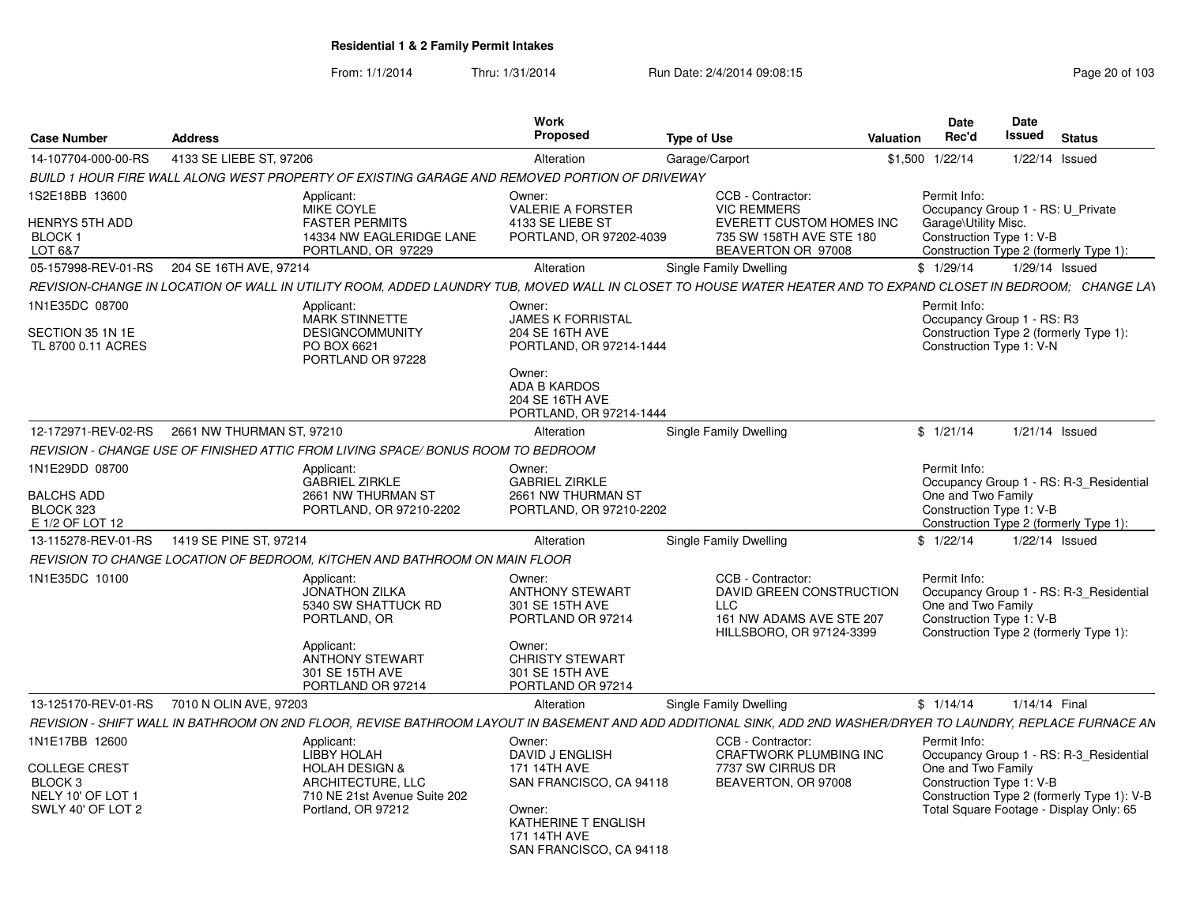| <b>Case Number</b>                                                                          | <b>Address</b>                                                                                                                        | Work<br><b>Proposed</b>                                                                                                                                         | <b>Type of Use</b>                                                                                                    | Valuation | <b>Date</b><br>Rec'd                                                   | Date<br><b>Issued</b> | <b>Status</b>                                                                                                                    |
|---------------------------------------------------------------------------------------------|---------------------------------------------------------------------------------------------------------------------------------------|-----------------------------------------------------------------------------------------------------------------------------------------------------------------|-----------------------------------------------------------------------------------------------------------------------|-----------|------------------------------------------------------------------------|-----------------------|----------------------------------------------------------------------------------------------------------------------------------|
| 14-107704-000-00-RS                                                                         | 4133 SE LIEBE ST, 97206                                                                                                               | Alteration                                                                                                                                                      | Garage/Carport                                                                                                        | \$1,500   | 1/22/14                                                                |                       | $1/22/14$ Issued                                                                                                                 |
|                                                                                             |                                                                                                                                       | BUILD 1 HOUR FIRE WALL ALONG WEST PROPERTY OF EXISTING GARAGE AND REMOVED PORTION OF DRIVEWAY                                                                   |                                                                                                                       |           |                                                                        |                       |                                                                                                                                  |
| 1S2E18BB 13600<br><b>HENRYS 5TH ADD</b><br>BLOCK 1<br>LOT 6&7                               | Applicant:<br>MIKE COYLE<br><b>FASTER PERMITS</b><br>14334 NW EAGLERIDGE LANE<br>PORTLAND, OR 97229                                   | Owner:<br><b>VALERIE A FORSTER</b><br>4133 SE LIEBE ST<br>PORTLAND, OR 97202-4039                                                                               | CCB - Contractor:<br><b>VIC REMMERS</b><br>EVERETT CUSTOM HOMES INC<br>735 SW 158TH AVE STE 180<br>BEAVERTON OR 97008 |           | Permit Info:<br>Garage\Utility Misc.<br>Construction Type 1: V-B       |                       | Occupancy Group 1 - RS: U Private<br>Construction Type 2 (formerly Type 1):                                                      |
| 05-157998-REV-01-RS                                                                         | 204 SE 16TH AVE, 97214                                                                                                                | Alteration                                                                                                                                                      | <b>Single Family Dwelling</b>                                                                                         |           | \$1/29/14                                                              |                       | 1/29/14 Issued                                                                                                                   |
|                                                                                             |                                                                                                                                       | REVISION-CHANGE IN LOCATION OF WALL IN UTILITY ROOM, ADDED LAUNDRY TUB, MOVED WALL IN CLOSET TO HOUSE WATER HEATER AND TO EXPAND CLOSET IN BEDROOM; CHANGE LAY  |                                                                                                                       |           |                                                                        |                       |                                                                                                                                  |
| 1N1E35DC 08700<br>SECTION 35 1N 1E<br>TL 8700 0.11 ACRES                                    | Applicant:<br><b>MARK STINNETTE</b><br>DESIGNCOMMUNITY<br>PO BOX 6621<br>PORTLAND OR 97228                                            | Owner:<br><b>JAMES K FORRISTAL</b><br>204 SE 16TH AVE<br>PORTLAND, OR 97214-1444<br>Owner:<br><b>ADA B KARDOS</b>                                               |                                                                                                                       |           | Permit Info:<br>Occupancy Group 1 - RS: R3<br>Construction Type 1: V-N |                       | Construction Type 2 (formerly Type 1):                                                                                           |
|                                                                                             |                                                                                                                                       | 204 SE 16TH AVE<br>PORTLAND, OR 97214-1444                                                                                                                      |                                                                                                                       |           |                                                                        |                       |                                                                                                                                  |
| 12-172971-REV-02-RS                                                                         | 2661 NW THURMAN ST, 97210                                                                                                             | Alteration                                                                                                                                                      | Single Family Dwelling                                                                                                |           | \$1/21/14                                                              |                       | $1/21/14$ Issued                                                                                                                 |
|                                                                                             | REVISION - CHANGE USE OF FINISHED ATTIC FROM LIVING SPACE/ BONUS ROOM TO BEDROOM                                                      |                                                                                                                                                                 |                                                                                                                       |           |                                                                        |                       |                                                                                                                                  |
| 1N1E29DD 08700<br><b>BALCHS ADD</b><br>BLOCK 323<br>E 1/2 OF LOT 12                         | Applicant:<br><b>GABRIEL ZIRKLE</b><br>2661 NW THURMAN ST<br>PORTLAND, OR 97210-2202                                                  | Owner:<br><b>GABRIEL ZIRKLE</b><br>2661 NW THURMAN ST<br>PORTLAND, OR 97210-2202                                                                                |                                                                                                                       |           | Permit Info:<br>One and Two Family<br>Construction Type 1: V-B         |                       | Occupancy Group 1 - RS: R-3 Residential<br>Construction Type 2 (formerly Type 1):                                                |
| 13-115278-REV-01-RS                                                                         | 1419 SE PINE ST, 97214                                                                                                                | Alteration                                                                                                                                                      | <b>Single Family Dwelling</b>                                                                                         |           | \$1/22/14                                                              |                       | 1/22/14 Issued                                                                                                                   |
|                                                                                             | REVISION TO CHANGE LOCATION OF BEDROOM, KITCHEN AND BATHROOM ON MAIN FLOOR                                                            |                                                                                                                                                                 |                                                                                                                       |           |                                                                        |                       |                                                                                                                                  |
| 1N1E35DC 10100                                                                              | Applicant:<br><b>JONATHON ZILKA</b><br>5340 SW SHATTUCK RD<br>PORTLAND, OR<br>Applicant:<br><b>ANTHONY STEWART</b><br>301 SE 15TH AVE | Owner:<br><b>ANTHONY STEWART</b><br>301 SE 15TH AVE<br>PORTLAND OR 97214<br>Owner:<br><b>CHRISTY STEWART</b><br>301 SE 15TH AVE                                 | CCB - Contractor:<br>DAVID GREEN CONSTRUCTION<br><b>LLC</b><br>161 NW ADAMS AVE STE 207<br>HILLSBORO, OR 97124-3399   |           | Permit Info:<br>One and Two Family<br>Construction Type 1: V-B         |                       | Occupancy Group 1 - RS: R-3_Residential<br>Construction Type 2 (formerly Type 1):                                                |
|                                                                                             | PORTLAND OR 97214                                                                                                                     | PORTLAND OR 97214                                                                                                                                               |                                                                                                                       |           |                                                                        |                       |                                                                                                                                  |
|                                                                                             | 13-125170-REV-01-RS   7010 N OLIN AVE, 97203                                                                                          | Alteration                                                                                                                                                      | Single Family Dwelling                                                                                                |           | \$1/14/14                                                              | 1/14/14 Final         |                                                                                                                                  |
|                                                                                             |                                                                                                                                       | REVISION - SHIFT WALL IN BATHROOM ON 2ND FLOOR, REVISE BATHROOM LAYOUT IN BASEMENT AND ADD ADDITIONAL SINK, ADD 2ND WASHER/DRYER TO LAUNDRY, REPLACE FURNACE AN |                                                                                                                       |           |                                                                        |                       |                                                                                                                                  |
| 1N1E17BB 12600<br><b>COLLEGE CREST</b><br>BLOCK 3<br>NELY 10' OF LOT 1<br>SWLY 40' OF LOT 2 | Applicant:<br>LIBBY HOLAH<br><b>HOLAH DESIGN &amp;</b><br>ARCHITECTURE, LLC<br>710 NE 21st Avenue Suite 202<br>Portland, OR 97212     | Owner:<br>DAVID J ENGLISH<br>171 14TH AVE<br>SAN FRANCISCO, CA 94118<br>Owner:<br><b>KATHERINE T ENGLISH</b><br>171 14TH AVE<br>SAN FRANCISCO, CA 94118         | CCB - Contractor:<br><b>CRAFTWORK PLUMBING INC</b><br>7737 SW CIRRUS DR<br>BEAVERTON, OR 97008                        |           | Permit Info:<br>One and Two Family<br>Construction Type 1: V-B         |                       | Occupancy Group 1 - RS: R-3 Residential<br>Construction Type 2 (formerly Type 1): V-B<br>Total Square Footage - Display Only: 65 |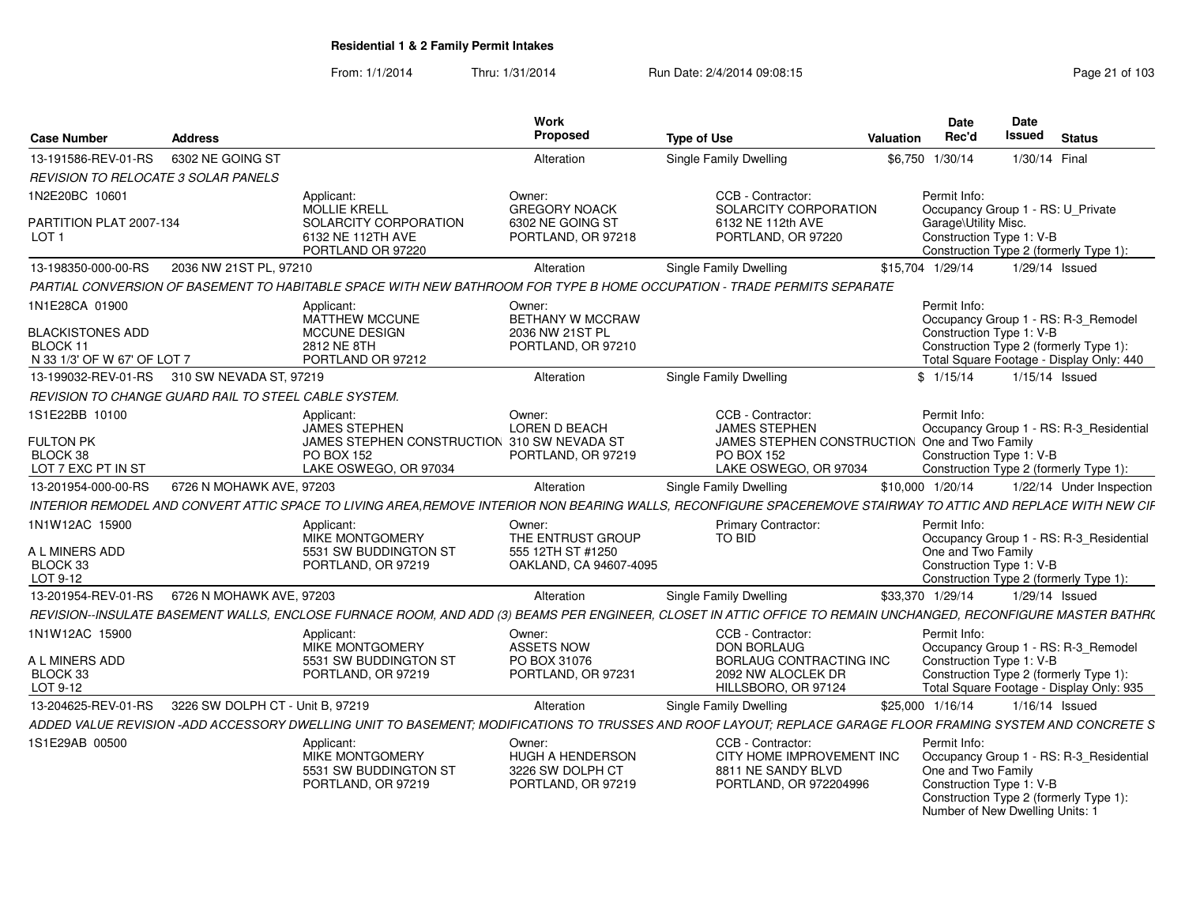From: 1/1/2014Thru: 1/31/2014 Run Date: 2/4/2014 09:08:15 Research 2010 103

| <b>Case Number</b>                                                            | <b>Address</b>                                 |                                                                                                 | Work<br>Proposed                                                            | <b>Type of Use</b>                                                                                                                                             | Valuation        | Date<br>Rec'd                                                                                     | Date<br><b>Issued</b> | <b>Status</b>                                                                                                             |
|-------------------------------------------------------------------------------|------------------------------------------------|-------------------------------------------------------------------------------------------------|-----------------------------------------------------------------------------|----------------------------------------------------------------------------------------------------------------------------------------------------------------|------------------|---------------------------------------------------------------------------------------------------|-----------------------|---------------------------------------------------------------------------------------------------------------------------|
| 13-191586-REV-01-RS                                                           | 6302 NE GOING ST                               |                                                                                                 | Alteration                                                                  | Single Family Dwelling                                                                                                                                         |                  | \$6,750 1/30/14                                                                                   | 1/30/14 Final         |                                                                                                                           |
| REVISION TO RELOCATE 3 SOLAR PANELS                                           |                                                |                                                                                                 |                                                                             |                                                                                                                                                                |                  |                                                                                                   |                       |                                                                                                                           |
| 1N2E20BC 10601                                                                |                                                | Applicant:<br><b>MOLLIE KRELL</b>                                                               | Owner:<br><b>GREGORY NOACK</b>                                              | CCB - Contractor:<br>SOLARCITY CORPORATION                                                                                                                     |                  | Permit Info:<br>Occupancy Group 1 - RS: U Private                                                 |                       |                                                                                                                           |
| PARTITION PLAT 2007-134<br>LOT <sub>1</sub>                                   |                                                | SOLARCITY CORPORATION<br>6132 NE 112TH AVE<br>PORTLAND OR 97220                                 | 6302 NE GOING ST<br>PORTLAND, OR 97218                                      | 6132 NE 112th AVE<br>PORTLAND, OR 97220                                                                                                                        |                  | Garage\Utility Misc.<br>Construction Type 1: V-B                                                  |                       | Construction Type 2 (formerly Type 1):                                                                                    |
| 13-198350-000-00-RS                                                           | 2036 NW 21ST PL, 97210                         |                                                                                                 | Alteration                                                                  | <b>Single Family Dwelling</b>                                                                                                                                  | \$15,704 1/29/14 |                                                                                                   | 1/29/14 Issued        |                                                                                                                           |
|                                                                               |                                                |                                                                                                 |                                                                             | PARTIAL CONVERSION OF BASEMENT TO HABITABLE SPACE WITH NEW BATHROOM FOR TYPE B HOME OCCUPATION - TRADE PERMITS SEPARATE                                        |                  |                                                                                                   |                       |                                                                                                                           |
| 1N1E28CA 01900<br>BLACKISTONES ADD<br>BLOCK 11<br>N 33 1/3' OF W 67' OF LOT 7 |                                                | Applicant:<br><b>MATTHEW MCCUNE</b><br><b>MCCUNE DESIGN</b><br>2812 NE 8TH<br>PORTLAND OR 97212 | Owner:<br><b>BETHANY W MCCRAW</b><br>2036 NW 21ST PL<br>PORTLAND, OR 97210  |                                                                                                                                                                |                  | Permit Info:<br>Construction Type 1: V-B                                                          |                       | Occupancy Group 1 - RS: R-3 Remodel<br>Construction Type 2 (formerly Type 1):<br>Total Square Footage - Display Only: 440 |
| 13-199032-REV-01-RS 310 SW NEVADA ST, 97219                                   |                                                |                                                                                                 | Alteration                                                                  | <b>Single Family Dwelling</b>                                                                                                                                  |                  | \$1/15/14                                                                                         | 1/15/14 Issued        |                                                                                                                           |
| <b>REVISION TO CHANGE GUARD RAIL TO STEEL CABLE SYSTEM.</b>                   |                                                |                                                                                                 |                                                                             |                                                                                                                                                                |                  |                                                                                                   |                       |                                                                                                                           |
| 1S1E22BB 10100                                                                |                                                | Applicant:<br><b>JAMES STEPHEN</b>                                                              | Owner:<br>LOREN D BEACH                                                     | CCB - Contractor:<br><b>JAMES STEPHEN</b>                                                                                                                      |                  | Permit Info:                                                                                      |                       | Occupancy Group 1 - RS: R-3 Residential                                                                                   |
| <b>FULTON PK</b><br>BLOCK 38<br>LOT 7 EXC PT IN ST                            |                                                | JAMES STEPHEN CONSTRUCTION 310 SW NEVADA ST<br>PO BOX 152<br>LAKE OSWEGO, OR 97034              | PORTLAND, OR 97219                                                          | JAMES STEPHEN CONSTRUCTION One and Two Family<br>PO BOX 152<br>LAKE OSWEGO, OR 97034                                                                           |                  | Construction Type 1: V-B                                                                          |                       | Construction Type 2 (formerly Type 1):                                                                                    |
| 13-201954-000-00-RS                                                           | 6726 N MOHAWK AVE, 97203                       |                                                                                                 | Alteration                                                                  | Single Family Dwelling                                                                                                                                         | \$10,000 1/20/14 |                                                                                                   |                       | 1/22/14 Under Inspection                                                                                                  |
|                                                                               |                                                |                                                                                                 |                                                                             | INTERIOR REMODEL AND CONVERT ATTIC SPACE TO LIVING AREA,REMOVE INTERIOR NON BEARING WALLS, RECONFIGURE SPACEREMOVE STAIRWAY TO ATTIC AND REPLACE WITH NEW CIF  |                  |                                                                                                   |                       |                                                                                                                           |
| 1N1W12AC 15900                                                                |                                                | Applicant:<br>MIKE MONTGOMERY                                                                   | Owner:<br>THE ENTRUST GROUP                                                 | <b>Primary Contractor:</b><br>TO BID                                                                                                                           |                  | Permit Info:                                                                                      |                       | Occupancy Group 1 - RS: R-3_Residential                                                                                   |
| A L MINERS ADD<br>BLOCK 33<br>LOT 9-12                                        |                                                | 5531 SW BUDDINGTON ST<br>PORTLAND, OR 97219                                                     | 555 12TH ST #1250<br>OAKLAND, CA 94607-4095                                 |                                                                                                                                                                |                  | One and Two Family<br>Construction Type 1: V-B                                                    |                       | Construction Type 2 (formerly Type 1):                                                                                    |
|                                                                               | 13-201954-REV-01-RS   6726 N MOHAWK AVE, 97203 |                                                                                                 | Alteration                                                                  | <b>Single Family Dwelling</b>                                                                                                                                  | \$33,370 1/29/14 |                                                                                                   | $1/29/14$ Issued      |                                                                                                                           |
|                                                                               |                                                |                                                                                                 |                                                                             | REVISION--INSULATE BASEMENT WALLS, ENCLOSE FURNACE ROOM, AND ADD (3) BEAMS PER ENGINEER, CLOSET IN ATTIC OFFICE TO REMAIN UNCHANGED, RECONFIGURE MASTER BATHR( |                  |                                                                                                   |                       |                                                                                                                           |
| 1N1W12AC 15900                                                                |                                                | Applicant:<br>MIKE MONTGOMERY                                                                   | Owner:<br><b>ASSETS NOW</b>                                                 | CCB - Contractor:<br><b>DON BORLAUG</b>                                                                                                                        |                  | Permit Info:                                                                                      |                       | Occupancy Group 1 - RS: R-3 Remodel                                                                                       |
| A L MINERS ADD<br>BLOCK 33<br>LOT 9-12                                        |                                                | 5531 SW BUDDINGTON ST<br>PORTLAND, OR 97219                                                     | PO BOX 31076<br>PORTLAND, OR 97231                                          | BORLAUG CONTRACTING INC<br>2092 NW ALOCLEK DR<br>HILLSBORO, OR 97124                                                                                           |                  | Construction Type 1: V-B                                                                          |                       | Construction Type 2 (formerly Type 1):<br>Total Square Footage - Display Only: 935                                        |
| 13-204625-REV-01-RS                                                           | 3226 SW DOLPH CT - Unit B, 97219               |                                                                                                 | Alteration                                                                  | Single Family Dwelling                                                                                                                                         | \$25,000 1/16/14 |                                                                                                   |                       | $1/16/14$ Issued                                                                                                          |
|                                                                               |                                                |                                                                                                 |                                                                             | ADDED VALUE REVISION -ADD ACCESSORY DWELLING UNIT TO BASEMENT; MODIFICATIONS TO TRUSSES AND ROOF LAYOUT; REPLACE GARAGE FLOOR FRAMING SYSTEM AND CONCRETE S    |                  |                                                                                                   |                       |                                                                                                                           |
| 1S1E29AB 00500                                                                |                                                | Applicant:<br>MIKE MONTGOMERY<br>5531 SW BUDDINGTON ST<br>PORTLAND, OR 97219                    | Owner:<br><b>HUGH A HENDERSON</b><br>3226 SW DOLPH CT<br>PORTLAND, OR 97219 | CCB - Contractor:<br>CITY HOME IMPROVEMENT INC<br>8811 NE SANDY BLVD<br>PORTLAND, OR 972204996                                                                 |                  | Permit Info:<br>One and Two Family<br>Construction Type 1: V-B<br>Number of New Dwelling Units: 1 |                       | Occupancy Group 1 - RS: R-3 Residential<br>Construction Type 2 (formerly Type 1):                                         |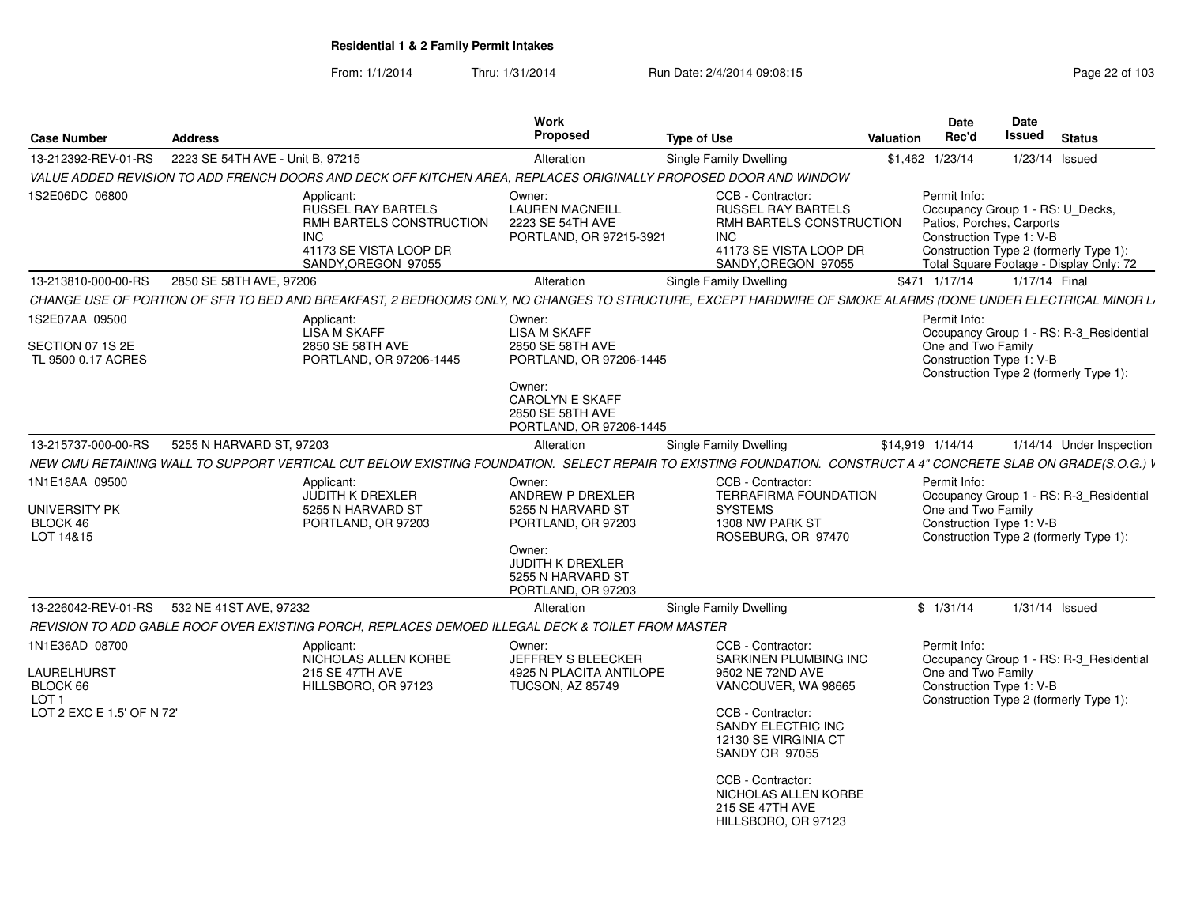| <b>Case Number</b>                                                                                | <b>Address</b>                                                                                        | Work<br>Proposed                                                                                                                                                | <b>Type of Use</b>                                                                                                                                                                                                                                                | <b>Date</b><br>Rec'd<br>Valuation                                     | <b>Date</b><br><b>Issued</b> | <b>Status</b>                                                                                                         |
|---------------------------------------------------------------------------------------------------|-------------------------------------------------------------------------------------------------------|-----------------------------------------------------------------------------------------------------------------------------------------------------------------|-------------------------------------------------------------------------------------------------------------------------------------------------------------------------------------------------------------------------------------------------------------------|-----------------------------------------------------------------------|------------------------------|-----------------------------------------------------------------------------------------------------------------------|
| 13-212392-REV-01-RS                                                                               | 2223 SE 54TH AVE - Unit B, 97215                                                                      | Alteration                                                                                                                                                      | Single Family Dwelling                                                                                                                                                                                                                                            | \$1,462 1/23/14                                                       |                              | $1/23/14$ Issued                                                                                                      |
|                                                                                                   |                                                                                                       | VALUE ADDED REVISION TO ADD FRENCH DOORS AND DECK OFF KITCHEN AREA, REPLACES ORIGINALLY PROPOSED DOOR AND WINDOW                                                |                                                                                                                                                                                                                                                                   |                                                                       |                              |                                                                                                                       |
| 1S2E06DC 06800                                                                                    | Applicant:<br><b>RUSSEL RAY BARTELS</b><br><b>INC</b><br>41173 SE VISTA LOOP DR<br>SANDY.OREGON 97055 | Owner:<br><b>LAUREN MACNEILL</b><br>RMH BARTELS CONSTRUCTION<br>2223 SE 54TH AVE<br>PORTLAND, OR 97215-3921                                                     | CCB - Contractor:<br><b>RUSSEL RAY BARTELS</b><br>RMH BARTELS CONSTRUCTION<br><b>INC</b><br>41173 SE VISTA LOOP DR<br>SANDY, OREGON 97055                                                                                                                         | Permit Info:<br>Patios, Porches, Carports<br>Construction Type 1: V-B |                              | Occupancy Group 1 - RS: U_Decks,<br>Construction Type 2 (formerly Type 1):<br>Total Square Footage - Display Only: 72 |
| 13-213810-000-00-RS                                                                               | 2850 SE 58TH AVE, 97206                                                                               | Alteration                                                                                                                                                      | Single Family Dwelling                                                                                                                                                                                                                                            | \$471 1/17/14                                                         |                              | 1/17/14 Final                                                                                                         |
|                                                                                                   |                                                                                                       | CHANGE USE OF PORTION OF SFR TO BED AND BREAKFAST, 2 BEDROOMS ONLY, NO CHANGES TO STRUCTURE, EXCEPT HARDWIRE OF SMOKE ALARMS (DONE UNDER ELECTRICAL MINOR L.    |                                                                                                                                                                                                                                                                   |                                                                       |                              |                                                                                                                       |
| 1S2E07AA 09500<br>SECTION 07 1S 2E<br>TL 9500 0.17 ACRES                                          | Applicant:<br>LISA M SKAFF<br>2850 SE 58TH AVE<br>PORTLAND, OR 97206-1445                             | Owner:<br><b>LISA M SKAFF</b><br>2850 SE 58TH AVE<br>PORTLAND, OR 97206-1445<br>Owner:<br><b>CAROLYN E SKAFF</b><br>2850 SE 58TH AVE                            |                                                                                                                                                                                                                                                                   | Permit Info:<br>One and Two Family<br>Construction Type 1: V-B        |                              | Occupancy Group 1 - RS: R-3_Residential<br>Construction Type 2 (formerly Type 1):                                     |
|                                                                                                   |                                                                                                       | PORTLAND, OR 97206-1445                                                                                                                                         |                                                                                                                                                                                                                                                                   |                                                                       |                              |                                                                                                                       |
| 13-215737-000-00-RS                                                                               | 5255 N HARVARD ST, 97203                                                                              | Alteration                                                                                                                                                      | Single Family Dwelling                                                                                                                                                                                                                                            | \$14,919 1/14/14                                                      |                              | 1/14/14 Under Inspection                                                                                              |
|                                                                                                   |                                                                                                       | NEW CMU RETAINING WALL TO SUPPORT VERTICAL CUT BELOW EXISTING FOUNDATION. SELECT REPAIR TO EXISTING FOUNDATION. CONSTRUCT A 4" CONCRETE SLAB ON GRADE(S.O.G.) V |                                                                                                                                                                                                                                                                   |                                                                       |                              |                                                                                                                       |
| 1N1E18AA 09500<br><b>UNIVERSITY PK</b><br>BLOCK 46<br>LOT 14&15                                   | Applicant:<br><b>JUDITH K DREXLER</b><br>5255 N HARVARD ST<br>PORTLAND, OR 97203                      | Owner:<br>ANDREW P DREXLER<br>5255 N HARVARD ST<br>PORTLAND, OR 97203<br>Owner:<br><b>JUDITH K DREXLER</b><br>5255 N HARVARD ST<br>PORTLAND, OR 97203           | CCB - Contractor:<br><b>TERRAFIRMA FOUNDATION</b><br><b>SYSTEMS</b><br>1308 NW PARK ST<br>ROSEBURG, OR 97470                                                                                                                                                      | Permit Info:<br>One and Two Family<br>Construction Type 1: V-B        |                              | Occupancy Group 1 - RS: R-3 Residential<br>Construction Type 2 (formerly Type 1):                                     |
| 13-226042-REV-01-RS                                                                               | 532 NE 41ST AVE, 97232                                                                                | Alteration                                                                                                                                                      | Single Family Dwelling                                                                                                                                                                                                                                            | \$1/31/14                                                             |                              | $1/31/14$ Issued                                                                                                      |
|                                                                                                   |                                                                                                       | REVISION TO ADD GABLE ROOF OVER EXISTING PORCH, REPLACES DEMOED ILLEGAL DECK & TOILET FROM MASTER                                                               |                                                                                                                                                                                                                                                                   |                                                                       |                              |                                                                                                                       |
| 1N1E36AD 08700<br><b>LAURELHURST</b><br>BLOCK 66<br>LOT <sub>1</sub><br>LOT 2 EXC E 1.5' OF N 72' | Applicant:<br>NICHOLAS ALLEN KORBE<br>215 SE 47TH AVE<br>HILLSBORO, OR 97123                          | Owner:<br><b>JEFFREY S BLEECKER</b><br>4925 N PLACITA ANTILOPE<br><b>TUCSON, AZ 85749</b>                                                                       | CCB - Contractor:<br>SARKINEN PLUMBING INC<br>9502 NE 72ND AVE<br>VANCOUVER, WA 98665<br>CCB - Contractor:<br>SANDY ELECTRIC INC<br>12130 SE VIRGINIA CT<br>SANDY OR 97055<br>CCB - Contractor:<br>NICHOLAS ALLEN KORBE<br>215 SE 47TH AVE<br>HILLSBORO, OR 97123 | Permit Info:<br>One and Two Family<br>Construction Type 1: V-B        |                              | Occupancy Group 1 - RS: R-3_Residential<br>Construction Type 2 (formerly Type 1):                                     |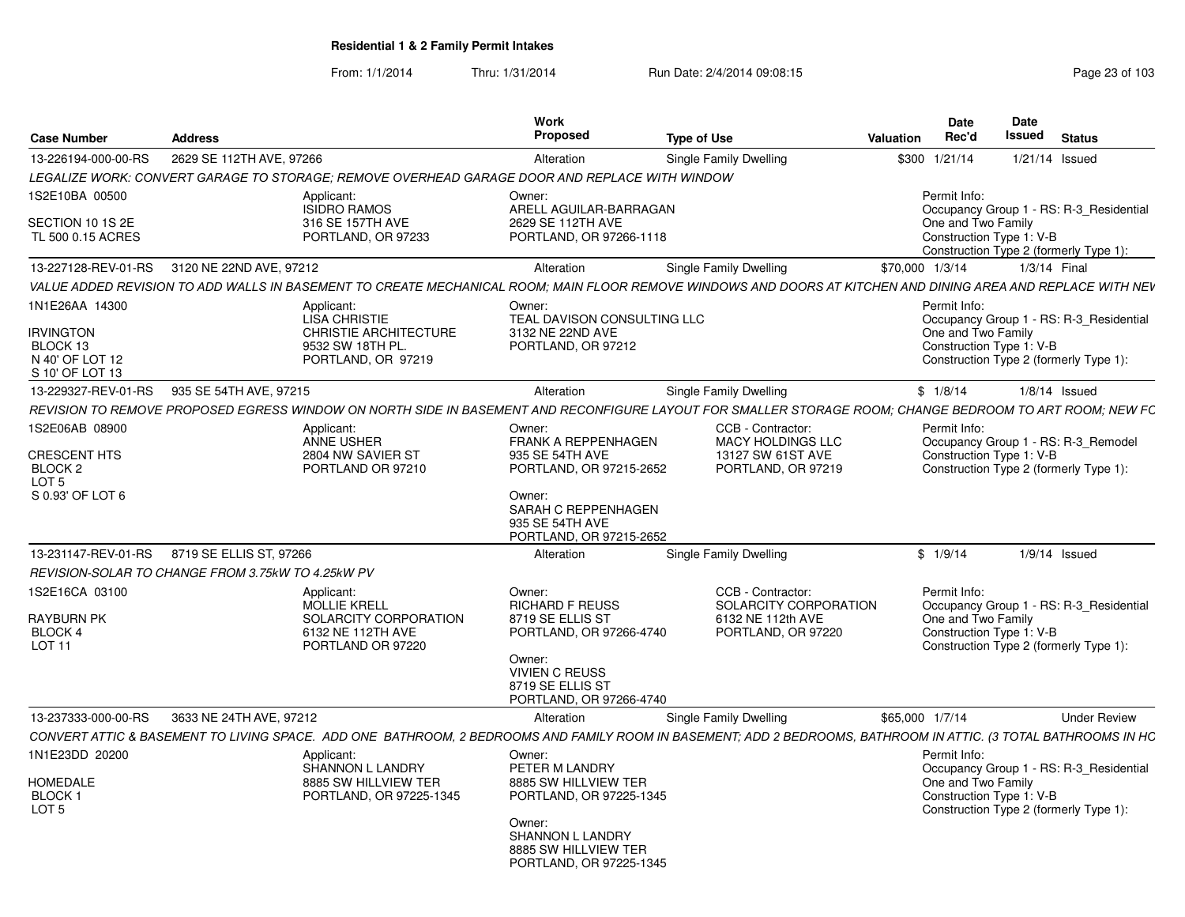| <b>Case Number</b>                                                         | <b>Address</b>                                                                                                                                                  | Work<br><b>Proposed</b>                                                                                                                                             | <b>Type of Use</b>                                                                    | <b>Date</b><br>Rec'd<br>Valuation  | Date<br><b>Issued</b>                          |                 | <b>Status</b>                                                                     |
|----------------------------------------------------------------------------|-----------------------------------------------------------------------------------------------------------------------------------------------------------------|---------------------------------------------------------------------------------------------------------------------------------------------------------------------|---------------------------------------------------------------------------------------|------------------------------------|------------------------------------------------|-----------------|-----------------------------------------------------------------------------------|
| 13-226194-000-00-RS                                                        | 2629 SE 112TH AVE, 97266                                                                                                                                        | Alteration                                                                                                                                                          | Single Family Dwelling                                                                | \$300 1/21/14                      |                                                | 1/21/14 Issued  |                                                                                   |
|                                                                            | LEGALIZE WORK: CONVERT GARAGE TO STORAGE; REMOVE OVERHEAD GARAGE DOOR AND REPLACE WITH WINDOW                                                                   |                                                                                                                                                                     |                                                                                       |                                    |                                                |                 |                                                                                   |
| 1S2E10BA 00500<br>SECTION 10 1S 2E<br>TL 500 0.15 ACRES                    | Applicant:<br>ISIDRO RAMOS<br>316 SE 157TH AVE<br>PORTLAND, OR 97233                                                                                            | Owner:<br>ARELL AGUILAR-BARRAGAN<br>2629 SE 112TH AVE<br>PORTLAND, OR 97266-1118                                                                                    |                                                                                       | Permit Info:<br>One and Two Family | Construction Type 1: V-B                       |                 | Occupancy Group 1 - RS: R-3 Residential<br>Construction Type 2 (formerly Type 1): |
|                                                                            | 13-227128-REV-01-RS 3120 NE 22ND AVE, 97212                                                                                                                     | Alteration                                                                                                                                                          | Single Family Dwelling                                                                | \$70,000 1/3/14                    |                                                | $1/3/14$ Final  |                                                                                   |
|                                                                            | VALUE ADDED REVISION TO ADD WALLS IN BASEMENT TO CREATE MECHANICAL ROOM; MAIN FLOOR REMOVE WINDOWS AND DOORS AT KITCHEN AND DINING AREA AND REPLACE WITH NEV    |                                                                                                                                                                     |                                                                                       |                                    |                                                |                 |                                                                                   |
| 1N1E26AA 14300                                                             | Applicant:                                                                                                                                                      | Owner                                                                                                                                                               |                                                                                       | Permit Info:                       |                                                |                 |                                                                                   |
| <b>IRVINGTON</b><br>BLOCK 13<br>N 40' OF LOT 12<br>S 10' OF LOT 13         | <b>LISA CHRISTIE</b><br><b>CHRISTIE ARCHITECTURE</b><br>9532 SW 18TH PL.<br>PORTLAND, OR 97219                                                                  | TEAL DAVISON CONSULTING LLC<br>3132 NE 22ND AVE<br>PORTLAND, OR 97212                                                                                               |                                                                                       | One and Two Family                 | Construction Type 1: V-B                       |                 | Occupancy Group 1 - RS: R-3_Residential<br>Construction Type 2 (formerly Type 1): |
|                                                                            | 13-229327-REV-01-RS 935 SE 54TH AVE, 97215                                                                                                                      | Alteration                                                                                                                                                          | <b>Single Family Dwelling</b>                                                         | \$1/8/14                           |                                                | $1/8/14$ Issued |                                                                                   |
|                                                                            | REVISION TO REMOVE PROPOSED EGRESS WINDOW ON NORTH SIDE IN BASEMENT AND RECONFIGURE LAYOUT FOR SMALLER STORAGE ROOM; CHANGE BEDROOM TO ART ROOM; NEW FC         |                                                                                                                                                                     |                                                                                       |                                    |                                                |                 |                                                                                   |
| 1S2E06AB 08900                                                             | Applicant:                                                                                                                                                      | Owner:                                                                                                                                                              | CCB - Contractor:                                                                     | Permit Info:                       |                                                |                 |                                                                                   |
| <b>CRESCENT HTS</b><br>BLOCK <sub>2</sub><br>LOT 5<br>S 0.93' OF LOT 6     | ANNE USHER<br>2804 NW SAVIER ST<br>PORTLAND OR 97210                                                                                                            | <b>FRANK A REPPENHAGEN</b><br>935 SE 54TH AVE<br>PORTLAND, OR 97215-2652<br>Owner:<br>SARAH C REPPENHAGEN<br>935 SE 54TH AVE<br>PORTLAND, OR 97215-2652             | MACY HOLDINGS LLC<br>13127 SW 61ST AVE<br>PORTLAND, OR 97219                          |                                    | Construction Type 1: V-B                       |                 | Occupancy Group 1 - RS: R-3_Remodel<br>Construction Type 2 (formerly Type 1):     |
|                                                                            | 13-231147-REV-01-RS 8719 SE ELLIS ST. 97266                                                                                                                     | Alteration                                                                                                                                                          | Single Family Dwelling                                                                | \$1/9/14                           |                                                | $1/9/14$ Issued |                                                                                   |
|                                                                            | REVISION-SOLAR TO CHANGE FROM 3.75kW TO 4.25kW PV                                                                                                               |                                                                                                                                                                     |                                                                                       |                                    |                                                |                 |                                                                                   |
| 1S2E16CA 03100<br><b>RAYBURN PK</b><br><b>BLOCK 4</b><br>LOT <sub>11</sub> | Applicant:<br>MOLLIE KRELL<br>SOLARCITY CORPORATION<br>6132 NE 112TH AVE<br>PORTLAND OR 97220                                                                   | Owner:<br><b>RICHARD F REUSS</b><br>8719 SE ELLIS ST<br>PORTLAND, OR 97266-4740<br>Owner:<br><b>VIVIEN C REUSS</b><br>8719 SE ELLIS ST<br>PORTLAND, OR 97266-4740   | CCB - Contractor:<br>SOLARCITY CORPORATION<br>6132 NE 112th AVE<br>PORTLAND, OR 97220 | Permit Info:<br>One and Two Family | Construction Type 1: V-B                       |                 | Occupancy Group 1 - RS: R-3_Residential<br>Construction Type 2 (formerly Type 1): |
| 13-237333-000-00-RS                                                        | 3633 NE 24TH AVE, 97212                                                                                                                                         | Alteration                                                                                                                                                          | Single Family Dwelling                                                                | \$65,000 1/7/14                    |                                                |                 | <b>Under Review</b>                                                               |
|                                                                            | CONVERT ATTIC & BASEMENT TO LIVING SPACE. ADD ONE BATHROOM, 2 BEDROOMS AND FAMILY ROOM IN BASEMENT; ADD 2 BEDROOMS, BATHROOM IN ATTIC. (3 TOTAL BATHROOMS IN HC |                                                                                                                                                                     |                                                                                       |                                    |                                                |                 |                                                                                   |
| 1N1E23DD 20200<br><b>HOMEDALE</b><br>BLOCK 1<br>LOT <sub>5</sub>           | Applicant:<br>SHANNON L LANDRY<br>8885 SW HILLVIEW TER<br>PORTLAND, OR 97225-1345                                                                               | Owner:<br>PETER M LANDRY<br>8885 SW HILLVIEW TER<br>PORTLAND, OR 97225-1345<br>Owner:<br><b>SHANNON L LANDRY</b><br>8885 SW HILLVIEW TER<br>PORTLAND, OR 97225-1345 |                                                                                       | Permit Info:                       | One and Two Family<br>Construction Type 1: V-B |                 | Occupancy Group 1 - RS: R-3 Residential<br>Construction Type 2 (formerly Type 1): |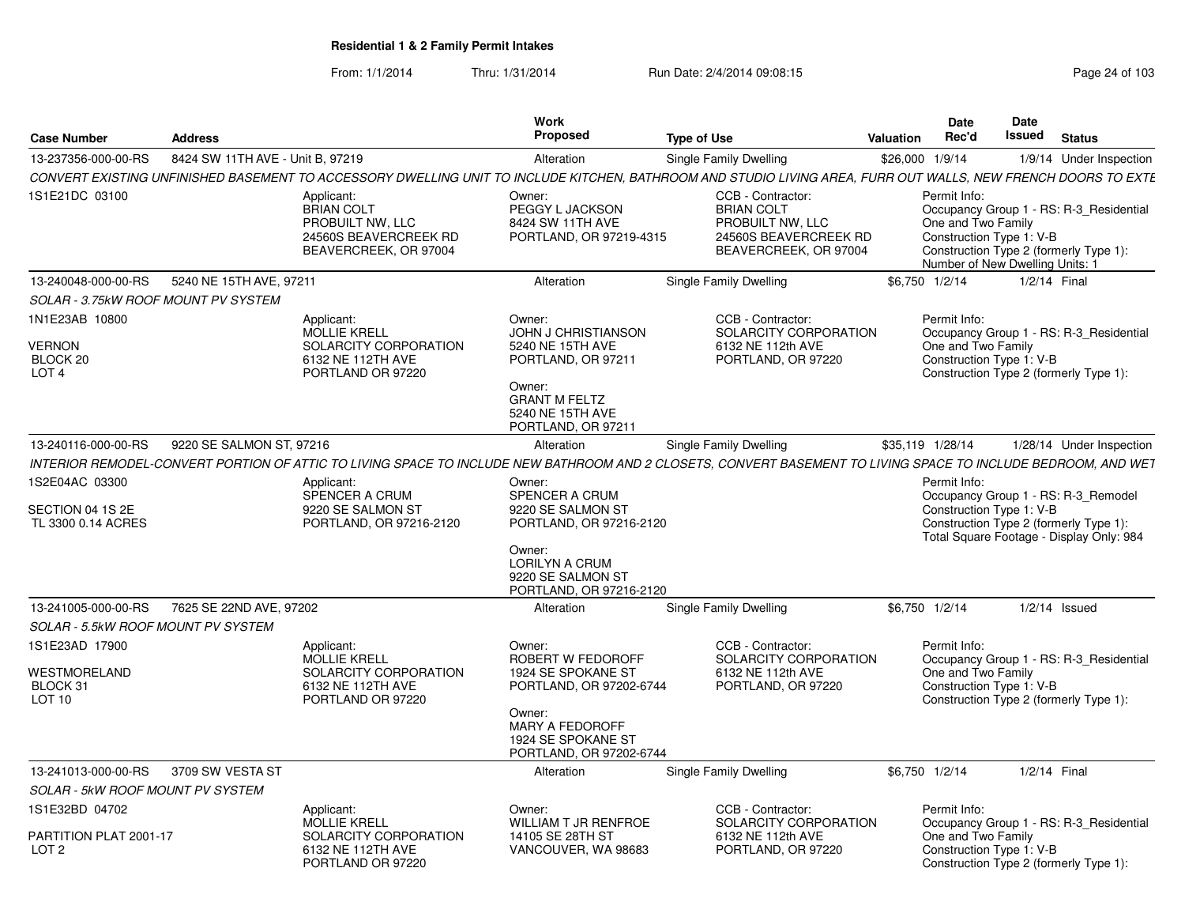| <b>Case Number</b>                                              | <b>Address</b>                   |                                                                                                                                                               | Work<br><b>Proposed</b>                                                                                                                                            | <b>Type of Use</b> |                                                                                                              | Valuation       | <b>Date</b><br>Rec'd                                                                              | Date<br>Issued | <b>Status</b>                                                                                                             |
|-----------------------------------------------------------------|----------------------------------|---------------------------------------------------------------------------------------------------------------------------------------------------------------|--------------------------------------------------------------------------------------------------------------------------------------------------------------------|--------------------|--------------------------------------------------------------------------------------------------------------|-----------------|---------------------------------------------------------------------------------------------------|----------------|---------------------------------------------------------------------------------------------------------------------------|
| 13-237356-000-00-RS                                             | 8424 SW 11TH AVE - Unit B, 97219 |                                                                                                                                                               | Alteration                                                                                                                                                         |                    | Single Family Dwelling                                                                                       | \$26,000 1/9/14 |                                                                                                   |                | 1/9/14 Under Inspection                                                                                                   |
|                                                                 |                                  | CONVERT EXISTING UNFINISHED BASEMENT TO ACCESSORY DWELLING UNIT TO INCLUDE KITCHEN, BATHROOM AND STUDIO LIVING AREA, FURR OUT WALLS, NEW FRENCH DOORS TO EXTE |                                                                                                                                                                    |                    |                                                                                                              |                 |                                                                                                   |                |                                                                                                                           |
| 1S1E21DC 03100                                                  |                                  | Applicant:<br><b>BRIAN COLT</b><br>PROBUILT NW, LLC<br>24560S BEAVERCREEK RD<br>BEAVERCREEK, OR 97004                                                         | Owner:<br>PEGGY L JACKSON<br>8424 SW 11TH AVE<br>PORTLAND, OR 97219-4315                                                                                           |                    | CCB - Contractor:<br><b>BRIAN COLT</b><br>PROBUILT NW, LLC<br>24560S BEAVERCREEK RD<br>BEAVERCREEK, OR 97004 |                 | Permit Info:<br>One and Two Family<br>Construction Type 1: V-B<br>Number of New Dwelling Units: 1 |                | Occupancy Group 1 - RS: R-3 Residential<br>Construction Type 2 (formerly Type 1):                                         |
| 13-240048-000-00-RS                                             | 5240 NE 15TH AVE, 97211          |                                                                                                                                                               | Alteration                                                                                                                                                         |                    | Single Family Dwelling                                                                                       |                 | \$6,750 1/2/14                                                                                    |                | $1/2/14$ Final                                                                                                            |
| SOLAR - 3.75kW ROOF MOUNT PV SYSTEM                             |                                  |                                                                                                                                                               |                                                                                                                                                                    |                    |                                                                                                              |                 |                                                                                                   |                |                                                                                                                           |
| 1N1E23AB 10800<br><b>VERNON</b><br>BLOCK 20<br>LOT <sub>4</sub> |                                  | Applicant:<br><b>MOLLIE KRELL</b><br>SOLARCITY CORPORATION<br>6132 NE 112TH AVE<br>PORTLAND OR 97220                                                          | Owner:<br><b>JOHN J CHRISTIANSON</b><br>5240 NE 15TH AVE<br>PORTLAND, OR 97211<br>Owner:<br><b>GRANT M FELTZ</b><br>5240 NE 15TH AVE<br>PORTLAND, OR 97211         |                    | CCB - Contractor:<br>SOLARCITY CORPORATION<br>6132 NE 112th AVE<br>PORTLAND, OR 97220                        |                 | Permit Info:<br>One and Two Family<br>Construction Type 1: V-B                                    |                | Occupancy Group 1 - RS: R-3_Residential<br>Construction Type 2 (formerly Type 1):                                         |
| 13-240116-000-00-RS                                             | 9220 SE SALMON ST, 97216         |                                                                                                                                                               | Alteration                                                                                                                                                         |                    | Single Family Dwelling                                                                                       |                 | \$35,119 1/28/14                                                                                  |                | 1/28/14 Under Inspection                                                                                                  |
|                                                                 |                                  | INTERIOR REMODEL-CONVERT PORTION OF ATTIC TO LIVING SPACE TO INCLUDE NEW BATHROOM AND 2 CLOSETS, CONVERT BASEMENT TO LIVING SPACE TO INCLUDE BEDROOM, AND WET |                                                                                                                                                                    |                    |                                                                                                              |                 |                                                                                                   |                |                                                                                                                           |
| 1S2E04AC 03300<br>SECTION 04 1S 2E<br>TL 3300 0.14 ACRES        |                                  | Applicant:<br>SPENCER A CRUM<br>9220 SE SALMON ST<br>PORTLAND, OR 97216-2120                                                                                  | Owner:<br><b>SPENCER A CRUM</b><br>9220 SE SALMON ST<br>PORTLAND, OR 97216-2120<br>Owner:<br><b>LORILYN A CRUM</b><br>9220 SE SALMON ST<br>PORTLAND, OR 97216-2120 |                    |                                                                                                              |                 | Permit Info:<br>Construction Type 1: V-B                                                          |                | Occupancy Group 1 - RS: R-3 Remodel<br>Construction Type 2 (formerly Type 1):<br>Total Square Footage - Display Only: 984 |
| 13-241005-000-00-RS                                             | 7625 SE 22ND AVE, 97202          |                                                                                                                                                               | Alteration                                                                                                                                                         |                    | Single Family Dwelling                                                                                       |                 | \$6.750 1/2/14                                                                                    |                | $1/2/14$ Issued                                                                                                           |
| SOLAR - 5.5kW ROOF MOUNT PV SYSTEM                              |                                  |                                                                                                                                                               |                                                                                                                                                                    |                    |                                                                                                              |                 |                                                                                                   |                |                                                                                                                           |
| 1S1E23AD 17900<br>WESTMORELAND<br>BLOCK 31<br>LOT 10            |                                  | Applicant:<br><b>MOLLIE KRELL</b><br>SOLARCITY CORPORATION<br>6132 NE 112TH AVE<br>PORTLAND OR 97220                                                          | Owner:<br>ROBERT W FEDOROFF<br>1924 SE SPOKANE ST<br>PORTLAND, OR 97202-6744<br>Owner:<br>MARY A FEDOROFF<br>1924 SE SPOKANE ST<br>PORTLAND, OR 97202-6744         |                    | CCB - Contractor:<br>SOLARCITY CORPORATION<br>6132 NE 112th AVE<br>PORTLAND, OR 97220                        |                 | Permit Info:<br>One and Two Family<br>Construction Type 1: V-B                                    |                | Occupancy Group 1 - RS: R-3_Residential<br>Construction Type 2 (formerly Type 1):                                         |
| 13-241013-000-00-RS                                             | 3709 SW VESTA ST                 |                                                                                                                                                               | Alteration                                                                                                                                                         |                    | Single Family Dwelling                                                                                       |                 | \$6,750 1/2/14                                                                                    |                | $1/2/14$ Final                                                                                                            |
| <b>SOLAR - 5kW ROOF MOUNT PV SYSTEM</b>                         |                                  |                                                                                                                                                               |                                                                                                                                                                    |                    |                                                                                                              |                 |                                                                                                   |                |                                                                                                                           |
| 1S1E32BD 04702<br>PARTITION PLAT 2001-17<br>LOT <sub>2</sub>    |                                  | Applicant:<br><b>MOLLIE KRELL</b><br>SOLARCITY CORPORATION<br>6132 NE 112TH AVE<br>PORTLAND OR 97220                                                          | Owner:<br><b>WILLIAM T JR RENFROE</b><br>14105 SE 28TH ST<br>VANCOUVER, WA 98683                                                                                   |                    | CCB - Contractor:<br>SOLARCITY CORPORATION<br>6132 NE 112th AVE<br>PORTLAND, OR 97220                        |                 | Permit Info:<br>One and Two Family<br>Construction Type 1: V-B                                    |                | Occupancy Group 1 - RS: R-3 Residential<br>Construction Type 2 (formerly Type 1):                                         |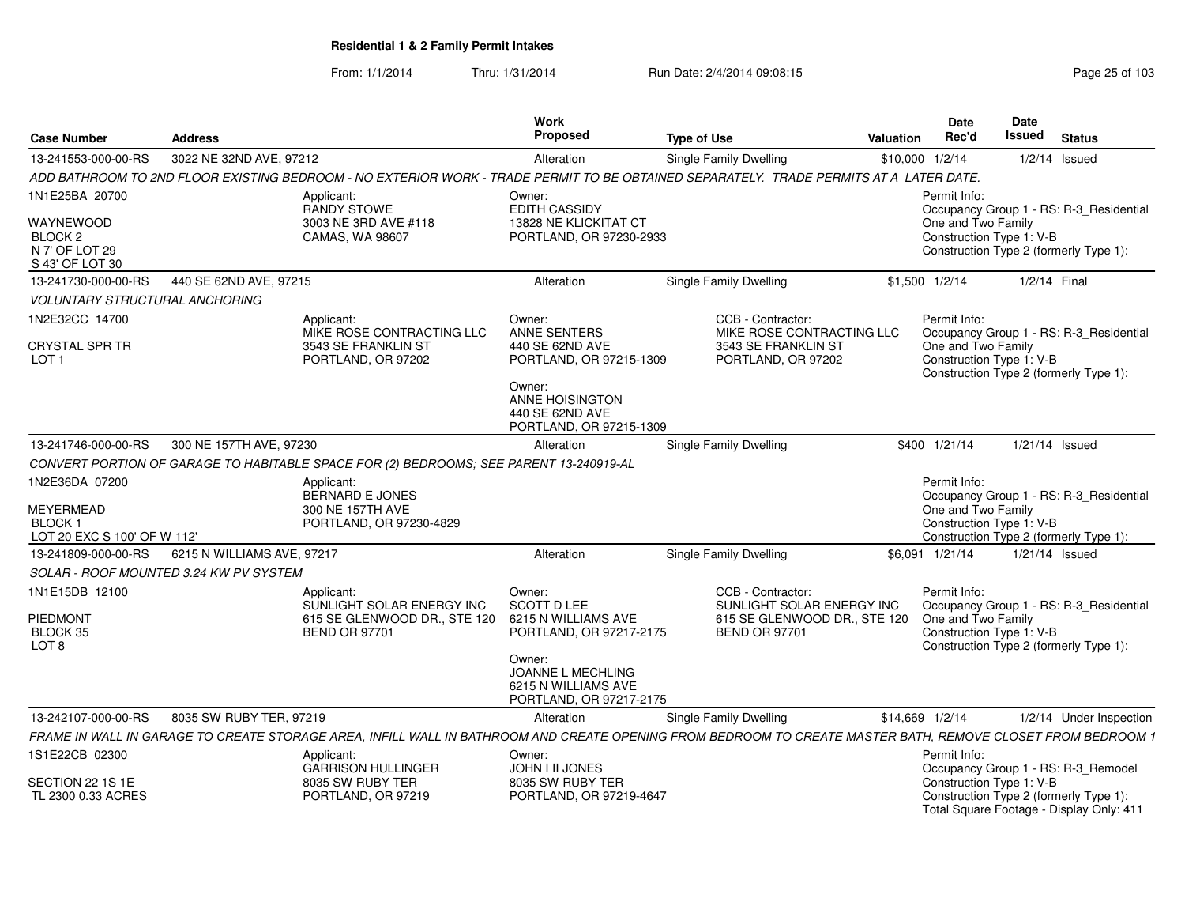#### From: 1/1/2014Thru: 1/31/2014 Run Date: 2/4/2014 09:08:15 Research 2010 103

| <b>Case Number</b><br>Address                    |                                                                                        | Work<br><b>Proposed</b>                        | <b>Type of Use</b>                                         | Date<br>Date<br><b>Issued Status</b><br><b>Valuation Rec'd</b>                                                                                            |
|--------------------------------------------------|----------------------------------------------------------------------------------------|------------------------------------------------|------------------------------------------------------------|-----------------------------------------------------------------------------------------------------------------------------------------------------------|
| 13-241553-000-00-RS 3022 NE 32ND AVE, 97212      |                                                                                        | Alteration                                     | Single Family Dwelling                                     | the control of the control of the control of<br>\$10,000 1/2/14<br>$1/2/14$ Issued                                                                        |
|                                                  | ADD BATHROOM TO 2ND FLOOR EXISTING BEDROOM - NO EXTERIOR WORK - TRADE PERMIT TO BE O   |                                                | <b>DBTAINED SEPARATELY. TRADE PERMITS AT A LATER DATE.</b> |                                                                                                                                                           |
| 1N1E25BA 20700                                   | Applicant:                                                                             | Owner:                                         |                                                            | Permit Info:                                                                                                                                              |
|                                                  | <b>RANDY STOWE</b>                                                                     | EDITH CASSIDY                                  |                                                            | Occupancy Group 1 - RS: R-3 Residential                                                                                                                   |
| WAYNEWOOD                                        | 3003 NE 3RD AVE #118                                                                   | 13828 NE KLICKITAT CT                          |                                                            | One and Two Family                                                                                                                                        |
| BLOCK 2<br>N 7' OF LOT 29                        | CAMAS, WA 98607                                                                        | PORTLAND, OR 97230-2933                        |                                                            | Construction Type 1: V-B<br>Construction Type 2 (formerly Type 1):                                                                                        |
| S 43' OF LOT 30                                  |                                                                                        |                                                |                                                            |                                                                                                                                                           |
| 13-241730-000-00-RS 440 SE 62ND AVE, 97215       |                                                                                        | Alteration                                     | Single Family Dwelling                                     | \$1,500 1/2/14<br>1/2/14 Final                                                                                                                            |
| <b>VOLUNTARY STRUCTURAL ANCHORING</b>            |                                                                                        |                                                |                                                            |                                                                                                                                                           |
| 1N2E32CC 14700                                   | Applicant:                                                                             | Owner:                                         | CCB - Contractor:                                          | Permit Info:                                                                                                                                              |
|                                                  | MIKE ROSE CONTRACTING LLC                                                              | ANNE SENTERS                                   | MIKE ROSE CONTRACTING LLC                                  | Occupancy Group 1 - RS: R-3 Residential                                                                                                                   |
| CRYSTAL SPR TR<br>LOT 1                          | 3543 SE FRANKLIN ST<br>PORTLAND, OR 97202                                              | 440 SE 62ND AVE<br>PORTLAND, OR 97215-1309     | 3543 SE FRANKLIN ST<br>PORTLAND, OR 97202                  | One and Two Family<br>Construction Type 1: V-B                                                                                                            |
|                                                  |                                                                                        |                                                |                                                            | Construction Type 2 (formerly Type 1):                                                                                                                    |
|                                                  |                                                                                        | Owner:                                         |                                                            |                                                                                                                                                           |
|                                                  |                                                                                        | ANNE HOISINGTON<br>440 SE 62ND AVE             |                                                            |                                                                                                                                                           |
|                                                  |                                                                                        | PORTLAND, OR 97215-1309                        |                                                            |                                                                                                                                                           |
| 13-241746-000-00-RS 300 NE 157TH AVE, 97230      |                                                                                        | Alteration                                     | <b>Single Family Dwelling</b>                              | \$400 1/21/14<br>1/21/14 Issued                                                                                                                           |
|                                                  | CONVERT PORTION OF GARAGE TO HABITABLE SPACE FOR (2) BEDROOMS; SEE PARENT 13-240919-AL |                                                |                                                            |                                                                                                                                                           |
| 1N2E36DA 07200                                   | Applicant:                                                                             |                                                |                                                            | Permit Info:                                                                                                                                              |
|                                                  | BERNARD E JONES                                                                        |                                                |                                                            | Occupancy Group 1 - RS: R-3_Residential                                                                                                                   |
| MEYERMEAD<br>BLOCK 1                             | 300 NE 157TH AVE                                                                       |                                                |                                                            | One and Two Family<br>Construction Type 1: V-B                                                                                                            |
| LOT 20 EXC S 100' OF W 112'                      | PORTLAND, OR 97230-4829                                                                |                                                |                                                            | Construction Type 2 (formerly Type 1):                                                                                                                    |
| 13-241809-000-00-RS   6215 N WILLIAMS AVE, 97217 |                                                                                        | Alteration                                     | Single Family Dwelling                                     | \$6,091 1/21/14   1/21/14   Issued                                                                                                                        |
| SOLAR - ROOF MOUNTED 3.24 KW PV SYSTEM           |                                                                                        |                                                |                                                            |                                                                                                                                                           |
| 1N1E15DB 12100                                   | Applicant:                                                                             | Owner:                                         | CCB - Contractor:                                          | Permit Info:                                                                                                                                              |
|                                                  | SUNLIGHT SOLAR ENERGY INC SCOTT D LEE                                                  |                                                |                                                            | SUNLIGHT SOLAR ENERGY INC  Occupancy Group 1 - RS: R-3_Residential                                                                                        |
| PIEDMONT                                         | 615 SE GLENWOOD DR., STE 120 6215 N WILLIAMS AVE                                       |                                                |                                                            | 615 SE GLENWOOD DR., STE 120 One and Two Family                                                                                                           |
| BLOCK 35<br>LOT 8                                | <b>BEND OR 97701</b>                                                                   | PORTLAND, OR 97217-2175                        | <b>BEND OR 97701</b>                                       | Construction Type 1: V-B<br>Construction Type 2 (formerly Type 1):                                                                                        |
|                                                  |                                                                                        | Owner:                                         |                                                            |                                                                                                                                                           |
|                                                  |                                                                                        | JOANNE L MECHLING                              |                                                            |                                                                                                                                                           |
|                                                  |                                                                                        | 6215 N WILLIAMS AVE<br>PORTLAND, OR 97217-2175 |                                                            |                                                                                                                                                           |
| 13-242107-000-00-RS  8035 SW RUBY TER, 97219     |                                                                                        | Alteration                                     | Single Family Dwelling                                     | \$14,669 1/2/14<br>1/2/14 Under Inspection                                                                                                                |
|                                                  |                                                                                        |                                                |                                                            | FRAME IN WALL IN GARAGE TO CREATE STORAGE AREA, INFILL WALL IN BATHROOM AND CREATE OPENING FROM BEDROOM TO CREATE MASTER BATH, REMOVE CLOSET FROM BEDROOM |
| 1S1E22CB 02300                                   | Applicant:                                                                             | Owner:                                         |                                                            | Permit Info:                                                                                                                                              |
|                                                  | <b>GARRISON HULLINGER</b>                                                              | JOHN I II JONES                                |                                                            | Occupancy Group 1 - RS: R-3_Remodel                                                                                                                       |
| SECTION 22 1S 1E                                 | 8035 SW RUBY TER                                                                       | 8035 SW RUBY TER                               |                                                            | Construction Type 1: V-B                                                                                                                                  |
| TL 2300 0.33 ACRES                               | PORTLAND, OR 97219                                                                     | PORTLAND, OR 97219-4647                        |                                                            | Construction Type 2 (formerly Type 1):<br>Total Square Footage - Display Only: 411                                                                        |
|                                                  |                                                                                        |                                                |                                                            |                                                                                                                                                           |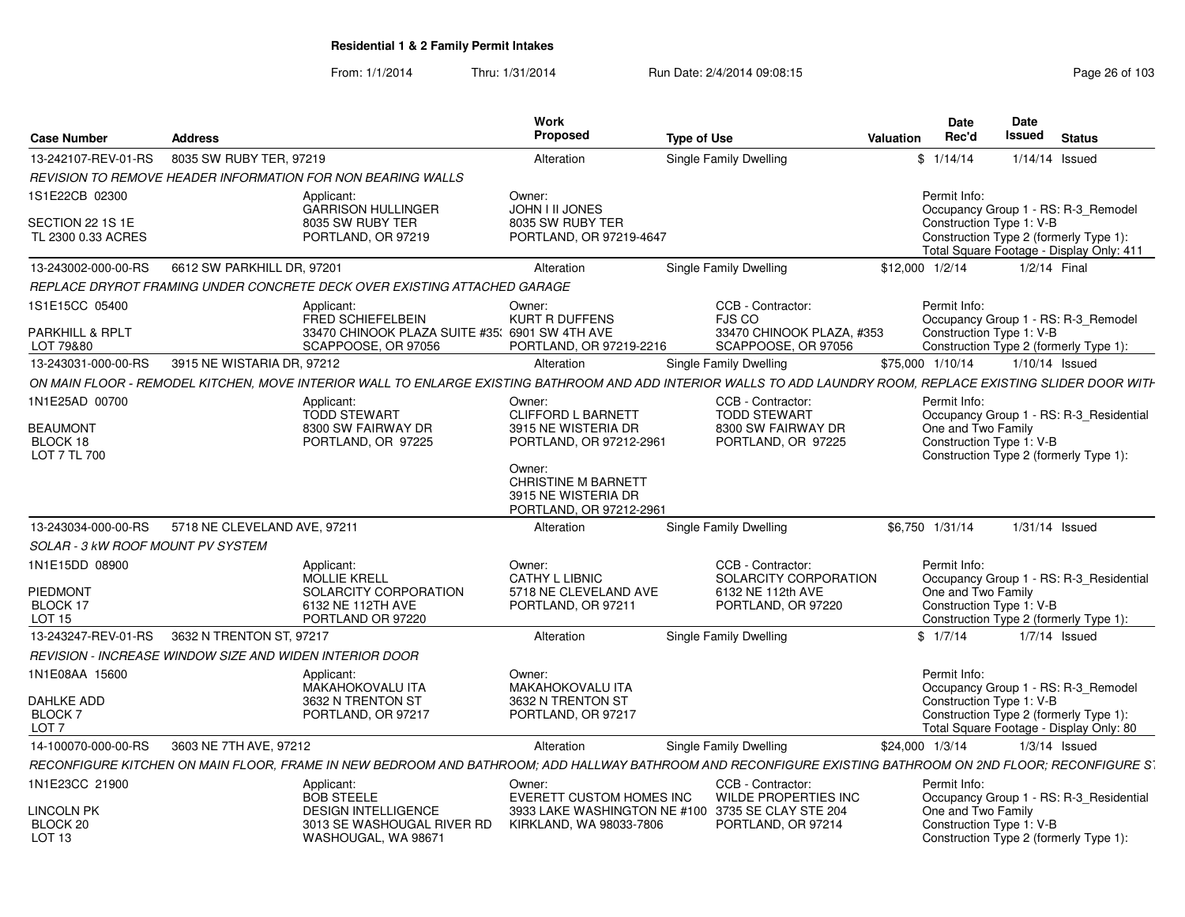| <b>Case Number</b>                          | <b>Address</b>                                                           |                                                                            | Work<br><b>Proposed</b>                                                         | <b>Type of Use</b>                                                                                                                                                                         | Date<br>Rec'd<br>Valuation | Date<br>Issued<br><b>Status</b>                                                                                |
|---------------------------------------------|--------------------------------------------------------------------------|----------------------------------------------------------------------------|---------------------------------------------------------------------------------|--------------------------------------------------------------------------------------------------------------------------------------------------------------------------------------------|----------------------------|----------------------------------------------------------------------------------------------------------------|
| 13-242107-REV-01-RS                         | 8035 SW RUBY TER, 97219                                                  |                                                                            | Alteration                                                                      | Single Family Dwelling                                                                                                                                                                     | \$1/14/14                  | 1/14/14 Issued                                                                                                 |
|                                             | REVISION TO REMOVE HEADER INFORMATION FOR NON BEARING WALLS              |                                                                            |                                                                                 |                                                                                                                                                                                            |                            |                                                                                                                |
| 1S1E22CB 02300                              | Applicant:                                                               | GARRISON HULLINGER                                                         | Owner:<br>JOHN I II JONES                                                       |                                                                                                                                                                                            | Permit Info:               | Occupancy Group 1 - RS: R-3_Remodel                                                                            |
| SECTION 22 1S 1E<br>TL 2300 0.33 ACRES      | 8035 SW RUBY TER                                                         | PORTLAND, OR 97219                                                         | 8035 SW RUBY TER<br>PORTLAND, OR 97219-4647                                     |                                                                                                                                                                                            |                            | Construction Type 1: V-B<br>Construction Type 2 (formerly Type 1):<br>Total Square Footage - Display Only: 411 |
| 13-243002-000-00-RS                         | 6612 SW PARKHILL DR. 97201                                               |                                                                            | Alteration                                                                      | <b>Single Family Dwelling</b>                                                                                                                                                              | \$12,000 1/2/14            | 1/2/14 Final                                                                                                   |
|                                             | REPLACE DRYROT FRAMING UNDER CONCRETE DECK OVER EXISTING ATTACHED GARAGE |                                                                            |                                                                                 |                                                                                                                                                                                            |                            |                                                                                                                |
| 1S1E15CC 05400                              | Applicant                                                                |                                                                            | Owner:                                                                          | CCB - Contractor:                                                                                                                                                                          | Permit Info:               |                                                                                                                |
| PARKHILL & RPLT                             |                                                                          | <b>FRED SCHIEFELBEIN</b><br>33470 CHINOOK PLAZA SUITE #35' 6901 SW 4TH AVE | <b>KURT R DUFFENS</b>                                                           | FJS CO<br>33470 CHINOOK PLAZA, #353                                                                                                                                                        |                            | Occupancy Group 1 - RS: R-3 Remodel<br>Construction Type 1: V-B                                                |
| LOT 79&80                                   |                                                                          | SCAPPOOSE, OR 97056                                                        | PORTLAND, OR 97219-2216                                                         | SCAPPOOSE, OR 97056                                                                                                                                                                        |                            | Construction Type 2 (formerly Type 1):                                                                         |
| 13-243031-000-00-RS                         | 3915 NE WISTARIA DR. 97212                                               |                                                                            | Alteration                                                                      | <b>Single Family Dwelling</b>                                                                                                                                                              | \$75,000 1/10/14           | 1/10/14 Issued                                                                                                 |
|                                             |                                                                          |                                                                            |                                                                                 | ON MAIN FLOOR - REMODEL KITCHEN, MOVE INTERIOR WALL TO ENLARGE EXISTING BATHROOM AND ADD INTERIOR WALLS TO ADD LAUNDRY ROOM, REPLACE EXISTING SLIDER DOOR WITH                             |                            |                                                                                                                |
| 1N1E25AD 00700                              | Applicant<br><b>TODD STEWART</b>                                         |                                                                            | Owner:<br><b>CLIFFORD L BARNETT</b>                                             | CCB - Contractor:<br><b>TODD STEWART</b>                                                                                                                                                   | Permit Info:               | Occupancy Group 1 - RS: R-3 Residential                                                                        |
| <b>BEAUMONT</b><br>BLOCK 18<br>LOT 7 TL 700 |                                                                          | 8300 SW FAIRWAY DR<br>PORTLAND, OR 97225                                   | 3915 NE WISTERIA DR<br>PORTLAND, OR 97212-2961                                  | 8300 SW FAIRWAY DR<br>PORTLAND, OR 97225                                                                                                                                                   | One and Two Family         | Construction Type 1: V-B<br>Construction Type 2 (formerly Type 1):                                             |
|                                             |                                                                          |                                                                            | Owner:<br>CHRISTINE M BARNETT<br>3915 NE WISTERIA DR<br>PORTLAND, OR 97212-2961 |                                                                                                                                                                                            |                            |                                                                                                                |
| 13-243034-000-00-RS                         | 5718 NE CLEVELAND AVE, 97211                                             |                                                                            | Alteration                                                                      | Single Family Dwelling                                                                                                                                                                     | \$6.750 1/31/14            | 1/31/14 Issued                                                                                                 |
| SOLAR - 3 kW ROOF MOUNT PV SYSTEM           |                                                                          |                                                                            |                                                                                 |                                                                                                                                                                                            |                            |                                                                                                                |
| 1N1E15DD 08900                              | Applicant:                                                               |                                                                            | Owner:<br>CATHY L LIBNIC                                                        | CCB - Contractor:                                                                                                                                                                          | Permit Info:               |                                                                                                                |
| PIEDMONT                                    | MOLLIE KRELL                                                             | SOLARCITY CORPORATION                                                      | 5718 NE CLEVELAND AVE                                                           | SOLARCITY CORPORATION<br>6132 NE 112th AVE                                                                                                                                                 | One and Two Family         | Occupancy Group 1 - RS: R-3 Residential                                                                        |
| BLOCK 17                                    | 6132 NE 112TH AVE                                                        |                                                                            | PORTLAND, OR 97211                                                              | PORTLAND, OR 97220                                                                                                                                                                         |                            | Construction Type 1: V-B                                                                                       |
| <b>LOT 15</b>                               |                                                                          | PORTLAND OR 97220                                                          |                                                                                 |                                                                                                                                                                                            |                            | Construction Type 2 (formerly Type 1):                                                                         |
|                                             | 13-243247-REV-01-RS 3632 N TRENTON ST, 97217                             |                                                                            | Alteration                                                                      | Single Family Dwelling                                                                                                                                                                     | \$1/7/14                   | $1/7/14$ Issued                                                                                                |
|                                             | REVISION - INCREASE WINDOW SIZE AND WIDEN INTERIOR DOOR                  |                                                                            |                                                                                 |                                                                                                                                                                                            |                            |                                                                                                                |
| 1N1E08AA 15600                              | Applicant:                                                               | MAKAHOKOVALU ITA                                                           | Owner:<br><b>MAKAHOKOVALU ITA</b>                                               |                                                                                                                                                                                            | Permit Info:               | Occupancy Group 1 - RS: R-3 Remodel                                                                            |
| DAHLKE ADD                                  |                                                                          | 3632 N TRENTON ST                                                          | 3632 N TRENTON ST                                                               |                                                                                                                                                                                            | Construction Type 1: V-B   |                                                                                                                |
| <b>BLOCK7</b>                               |                                                                          | PORTLAND, OR 97217                                                         | PORTLAND, OR 97217                                                              |                                                                                                                                                                                            |                            | Construction Type 2 (formerly Type 1):                                                                         |
| LOT <sub>7</sub>                            |                                                                          |                                                                            |                                                                                 |                                                                                                                                                                                            |                            | Total Square Footage - Display Only: 80                                                                        |
| 14-100070-000-00-RS                         | 3603 NE 7TH AVE, 97212                                                   |                                                                            | Alteration                                                                      | <b>Single Family Dwelling</b><br>RECONFIGURE KITCHEN ON MAIN FLOOR. FRAME IN NEW BEDROOM AND BATHROOM; ADD HALLWAY BATHROOM AND RECONFIGURE EXISTING BATHROOM ON 2ND FLOOR; RECONFIGURE S` | \$24,000 1/3/14            | $1/3/14$ Issued                                                                                                |
| 1N1E23CC 21900                              |                                                                          |                                                                            | Owner:                                                                          | CCB - Contractor:                                                                                                                                                                          | Permit Info:               |                                                                                                                |
|                                             | Applicant:<br><b>BOB STEELE</b>                                          |                                                                            | EVERETT CUSTOM HOMES INC                                                        | <b>WILDE PROPERTIES INC</b>                                                                                                                                                                |                            | Occupancy Group 1 - RS: R-3_Residential                                                                        |
| <b>LINCOLN PK</b>                           |                                                                          | <b>DESIGN INTELLIGENCE</b>                                                 |                                                                                 | 3933 LAKE WASHINGTON NE #100 3735 SE CLAY STE 204                                                                                                                                          | One and Two Family         |                                                                                                                |
| BLOCK 20<br>LOT <sub>13</sub>               |                                                                          | 3013 SE WASHOUGAL RIVER RD<br>WASHOUGAL, WA 98671                          | KIRKLAND, WA 98033-7806                                                         | PORTLAND, OR 97214                                                                                                                                                                         | Construction Type 1: V-B   | Construction Type 2 (formerly Type 1):                                                                         |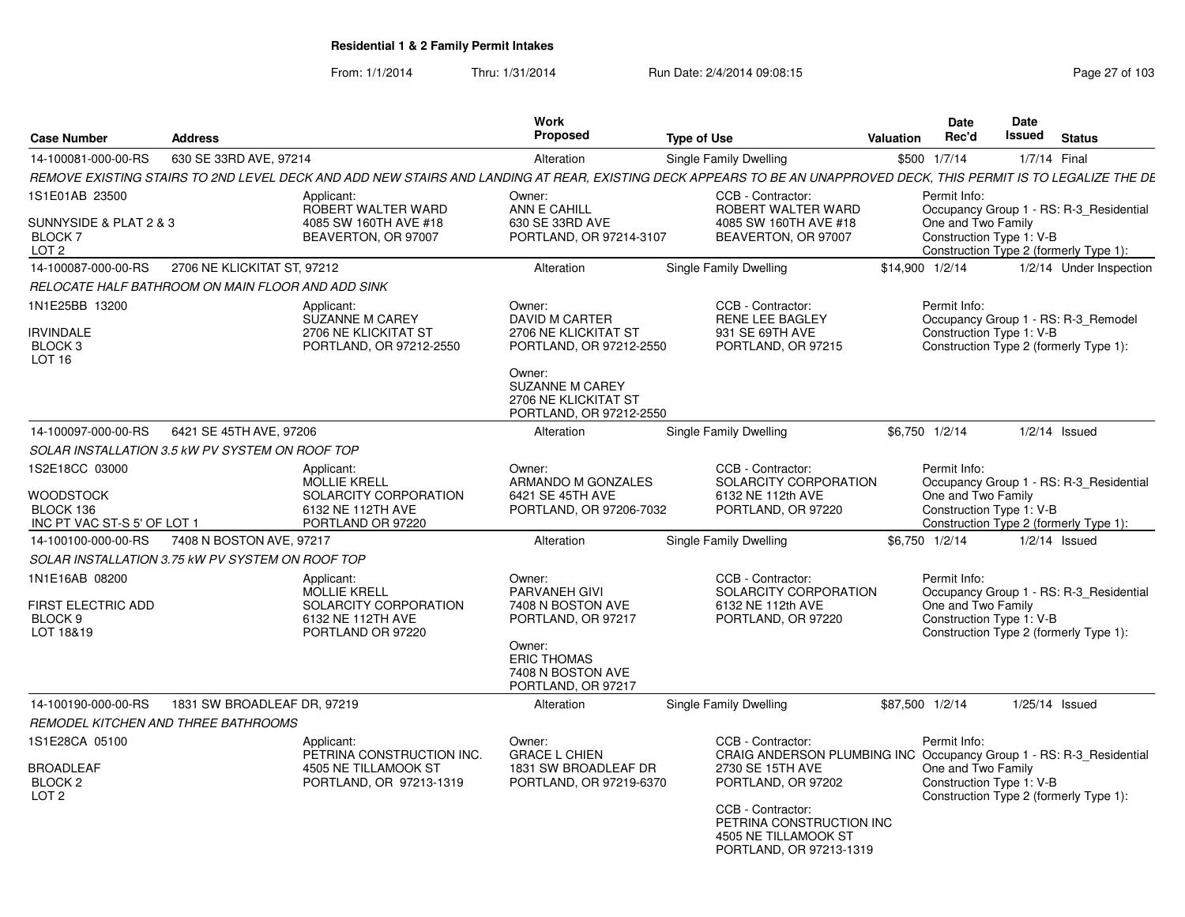| <b>Case Number</b>                                                             | <b>Address</b>                                    |                                                                                                      | Work<br>Proposed                                                                                                                                                          | <b>Type of Use</b>                                                                                                                                                                                                                     | <b>Valuation</b> | Date<br>Rec'd                                                  | Date<br><b>Issued</b> | <b>Status</b>                                                                     |
|--------------------------------------------------------------------------------|---------------------------------------------------|------------------------------------------------------------------------------------------------------|---------------------------------------------------------------------------------------------------------------------------------------------------------------------------|----------------------------------------------------------------------------------------------------------------------------------------------------------------------------------------------------------------------------------------|------------------|----------------------------------------------------------------|-----------------------|-----------------------------------------------------------------------------------|
| 14-100081-000-00-RS                                                            | 630 SE 33RD AVE, 97214                            |                                                                                                      | Alteration                                                                                                                                                                | Single Family Dwelling                                                                                                                                                                                                                 |                  | \$500 1/7/14                                                   | 1/7/14 Final          |                                                                                   |
|                                                                                |                                                   |                                                                                                      |                                                                                                                                                                           | REMOVE EXISTING STAIRS TO 2ND LEVEL DECK AND ADD NEW STAIRS AND LANDING AT REAR, EXISTING DECK APPEARS TO BE AN UNAPPROVED DECK, THIS PERMIT IS TO LEGALIZE THE DE                                                                     |                  |                                                                |                       |                                                                                   |
| 1S1E01AB 23500<br>SUNNYSIDE & PLAT 2 & 3<br><b>BLOCK7</b><br>LOT <sub>2</sub>  |                                                   | Applicant:<br>ROBERT WALTER WARD<br>4085 SW 160TH AVE #18<br>BEAVERTON, OR 97007                     | Owner:<br>ANN E CAHILL<br>630 SE 33RD AVE<br>PORTLAND, OR 97214-3107                                                                                                      | CCB - Contractor:<br>ROBERT WALTER WARD<br>4085 SW 160TH AVE #18<br>BEAVERTON, OR 97007                                                                                                                                                |                  | Permit Info:<br>One and Two Family<br>Construction Type 1: V-B |                       | Occupancy Group 1 - RS: R-3 Residential<br>Construction Type 2 (formerly Type 1): |
| 14-100087-000-00-RS                                                            | 2706 NE KLICKITAT ST, 97212                       |                                                                                                      | Alteration                                                                                                                                                                | <b>Single Family Dwelling</b>                                                                                                                                                                                                          |                  | \$14,900 1/2/14                                                |                       | 1/2/14 Under Inspection                                                           |
|                                                                                | RELOCATE HALF BATHROOM ON MAIN FLOOR AND ADD SINK |                                                                                                      |                                                                                                                                                                           |                                                                                                                                                                                                                                        |                  |                                                                |                       |                                                                                   |
| 1N1E25BB 13200<br><b>IRVINDALE</b><br>BLOCK 3<br>LOT <sub>16</sub>             |                                                   | Applicant:<br><b>SUZANNE M CAREY</b><br>2706 NE KLICKITAT ST<br>PORTLAND, OR 97212-2550              | Owner:<br><b>DAVID M CARTER</b><br>2706 NE KLICKITAT ST<br>PORTLAND, OR 97212-2550<br>Owner:<br><b>SUZANNE M CAREY</b><br>2706 NE KLICKITAT ST<br>PORTLAND, OR 97212-2550 | CCB - Contractor:<br>RENE LEE BAGLEY<br>931 SE 69TH AVE<br>PORTLAND, OR 97215                                                                                                                                                          |                  | Permit Info:<br>Construction Type 1: V-B                       |                       | Occupancy Group 1 - RS: R-3_Remodel<br>Construction Type 2 (formerly Type 1):     |
| 14-100097-000-00-RS                                                            | 6421 SE 45TH AVE, 97206                           |                                                                                                      | Alteration                                                                                                                                                                | Single Family Dwelling                                                                                                                                                                                                                 |                  | \$6,750 1/2/14                                                 |                       | $1/2/14$ Issued                                                                   |
|                                                                                | SOLAR INSTALLATION 3.5 kW PV SYSTEM ON ROOF TOP   |                                                                                                      |                                                                                                                                                                           |                                                                                                                                                                                                                                        |                  |                                                                |                       |                                                                                   |
| 1S2E18CC 03000<br><b>WOODSTOCK</b><br>BLOCK 136<br>INC PT VAC ST-S 5' OF LOT 1 |                                                   | Applicant:<br><b>MOLLIE KRELL</b><br>SOLARCITY CORPORATION<br>6132 NE 112TH AVE<br>PORTLAND OR 97220 | Owner:<br>ARMANDO M GONZALES<br>6421 SE 45TH AVE<br>PORTLAND, OR 97206-7032                                                                                               | CCB - Contractor:<br>SOLARCITY CORPORATION<br>6132 NE 112th AVE<br>PORTLAND, OR 97220                                                                                                                                                  |                  | Permit Info:<br>One and Two Family<br>Construction Type 1: V-B |                       | Occupancy Group 1 - RS: R-3_Residential<br>Construction Type 2 (formerly Type 1): |
| 14-100100-000-00-RS                                                            | 7408 N BOSTON AVE, 97217                          |                                                                                                      | Alteration                                                                                                                                                                | Single Family Dwelling                                                                                                                                                                                                                 |                  | \$6.750 1/2/14                                                 |                       | $1/2/14$ Issued                                                                   |
|                                                                                | SOLAR INSTALLATION 3.75 kW PV SYSTEM ON ROOF TOP  |                                                                                                      |                                                                                                                                                                           |                                                                                                                                                                                                                                        |                  |                                                                |                       |                                                                                   |
| 1N1E16AB 08200<br><b>FIRST ELECTRIC ADD</b><br>BLOCK <sub>9</sub><br>LOT 18&19 |                                                   | Applicant:<br><b>MOLLIE KRELL</b><br>SOLARCITY CORPORATION<br>6132 NE 112TH AVE<br>PORTLAND OR 97220 | Owner:<br><b>PARVANEH GIVI</b><br>7408 N BOSTON AVE<br>PORTLAND, OR 97217<br>Owner:<br><b>ERIC THOMAS</b><br>7408 N BOSTON AVE<br>PORTLAND, OR 97217                      | CCB - Contractor:<br>SOLARCITY CORPORATION<br>6132 NE 112th AVE<br>PORTLAND, OR 97220                                                                                                                                                  |                  | Permit Info:<br>One and Two Family<br>Construction Type 1: V-B |                       | Occupancy Group 1 - RS: R-3 Residential<br>Construction Type 2 (formerly Type 1): |
| 14-100190-000-00-RS                                                            | 1831 SW BROADLEAF DR, 97219                       |                                                                                                      | Alteration                                                                                                                                                                | Single Family Dwelling                                                                                                                                                                                                                 |                  | \$87,500 1/2/14                                                |                       | 1/25/14 Issued                                                                    |
|                                                                                | REMODEL KITCHEN AND THREE BATHROOMS               |                                                                                                      |                                                                                                                                                                           |                                                                                                                                                                                                                                        |                  |                                                                |                       |                                                                                   |
| 1S1E28CA 05100<br><b>BROADLEAF</b><br>BLOCK <sub>2</sub><br>LOT <sub>2</sub>   |                                                   | Applicant:<br>PETRINA CONSTRUCTION INC.<br>4505 NE TILLAMOOK ST<br>PORTLAND, OR 97213-1319           | Owner:<br><b>GRACE L CHIEN</b><br>1831 SW BROADLEAF DR<br>PORTLAND, OR 97219-6370                                                                                         | CCB - Contractor:<br>CRAIG ANDERSON PLUMBING INC Occupancy Group 1 - RS: R-3_Residential<br>2730 SE 15TH AVE<br>PORTLAND, OR 97202<br>CCB - Contractor:<br>PETRINA CONSTRUCTION INC<br>4505 NE TILLAMOOK ST<br>PORTLAND, OR 97213-1319 |                  | Permit Info:<br>One and Two Family<br>Construction Type 1: V-B |                       | Construction Type 2 (formerly Type 1):                                            |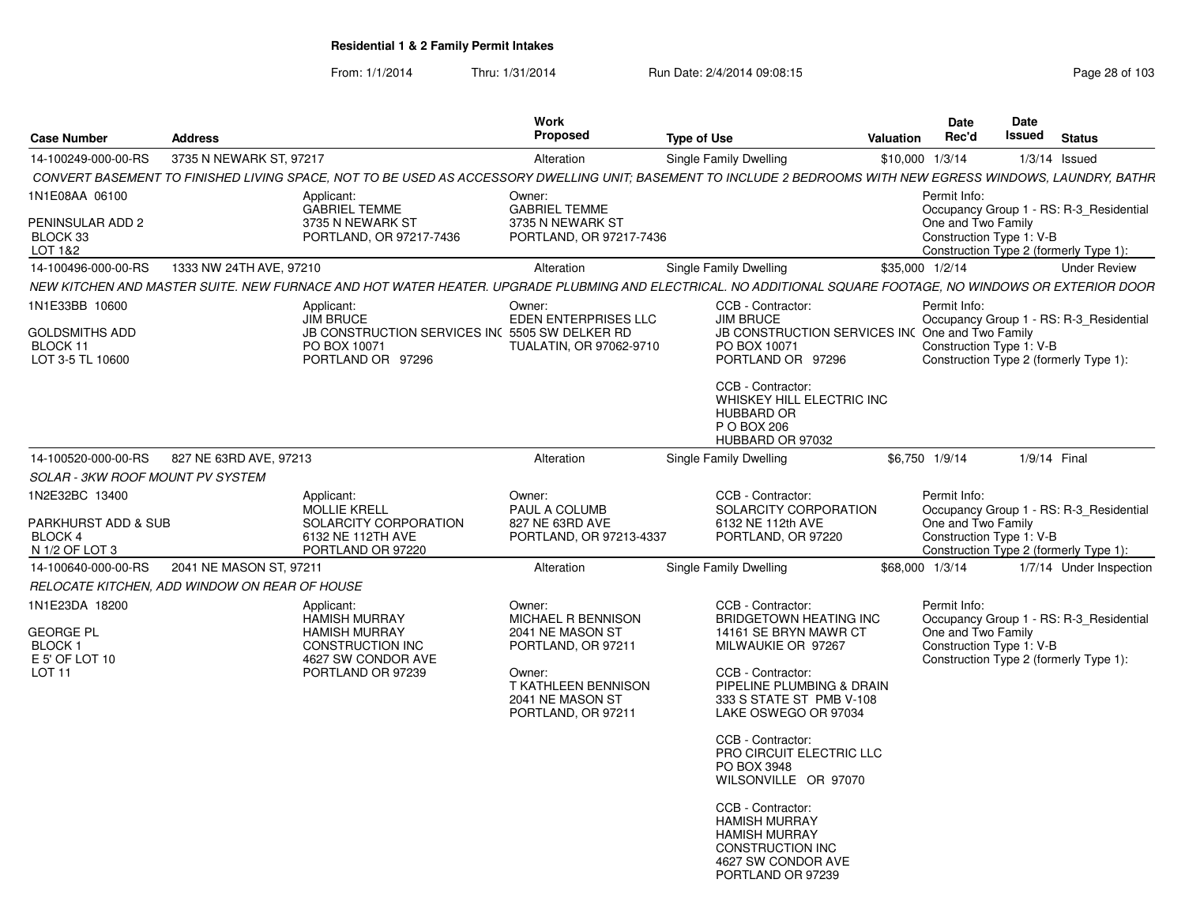|                                                                                      |                                               |                                                                                                                           | Work                                                                                                                                              |                                                                                                                                                                                                                                                                                                                                                                                          |                 | Date                                                           | Date                                                                              |
|--------------------------------------------------------------------------------------|-----------------------------------------------|---------------------------------------------------------------------------------------------------------------------------|---------------------------------------------------------------------------------------------------------------------------------------------------|------------------------------------------------------------------------------------------------------------------------------------------------------------------------------------------------------------------------------------------------------------------------------------------------------------------------------------------------------------------------------------------|-----------------|----------------------------------------------------------------|-----------------------------------------------------------------------------------|
| <b>Case Number</b>                                                                   | <b>Address</b>                                |                                                                                                                           | Proposed                                                                                                                                          | <b>Type of Use</b>                                                                                                                                                                                                                                                                                                                                                                       | Valuation       | Rec'd                                                          | <b>Issued</b><br><b>Status</b>                                                    |
|                                                                                      | 14-100249-000-00-RS 3735 N NEWARK ST, 97217   |                                                                                                                           | Alteration                                                                                                                                        | Single Family Dwelling                                                                                                                                                                                                                                                                                                                                                                   | \$10,000 1/3/14 |                                                                | $1/3/14$ Issued                                                                   |
|                                                                                      |                                               |                                                                                                                           |                                                                                                                                                   | CONVERT BASEMENT TO FINISHED LIVING SPACE, NOT TO BE USED AS ACCESSORY DWELLING UNIT; BASEMENT TO INCLUDE 2 BEDROOMS WITH NEW EGRESS WINDOWS, LAUNDRY, BATHR                                                                                                                                                                                                                             |                 |                                                                |                                                                                   |
| 1N1E08AA 06100<br>PENINSULAR ADD 2<br>BLOCK 33<br>LOT 1&2                            |                                               | Applicant:<br><b>GABRIEL TEMME</b><br>3735 N NEWARK ST<br>PORTLAND, OR 97217-7436                                         | Owner:<br><b>GABRIEL TEMME</b><br>3735 N NEWARK ST<br>PORTLAND, OR 97217-7436                                                                     |                                                                                                                                                                                                                                                                                                                                                                                          |                 | Permit Info:<br>One and Two Family<br>Construction Type 1: V-B | Occupancy Group 1 - RS: R-3 Residential<br>Construction Type 2 (formerly Type 1): |
|                                                                                      |                                               |                                                                                                                           | Alteration                                                                                                                                        | Single Family Dwelling                                                                                                                                                                                                                                                                                                                                                                   | \$35,000 1/2/14 |                                                                | <b>Under Review</b>                                                               |
|                                                                                      |                                               |                                                                                                                           |                                                                                                                                                   | NEW KITCHEN AND MASTER SUITE. NEW FURNACE AND HOT WATER HEATER. UPGRADE PLUBMING AND ELECTRICAL. NO ADDITIONAL SQUARE FOOTAGE, NO WINDOWS OR EXTERIOR DOOR                                                                                                                                                                                                                               |                 |                                                                |                                                                                   |
| 1N1E33BB 10600<br><b>GOLDSMITHS ADD</b><br>BLOCK 11<br>LOT 3-5 TL 10600              |                                               | Applicant:<br><b>JIM BRUCE</b><br>JB CONSTRUCTION SERVICES IN( 5505 SW DELKER RD<br>PO BOX 10071<br>PORTLAND OR 97296     | Owner:<br>EDEN ENTERPRISES LLC<br>TUALATIN, OR 97062-9710                                                                                         | CCB - Contractor:<br><b>JIM BRUCE</b><br>JB CONSTRUCTION SERVICES INC One and Two Family<br>PO BOX 10071<br>PORTLAND OR 97296                                                                                                                                                                                                                                                            |                 | Permit Info:<br>Construction Type 1: V-B                       | Occupancy Group 1 - RS: R-3_Residential<br>Construction Type 2 (formerly Type 1): |
|                                                                                      |                                               |                                                                                                                           |                                                                                                                                                   | CCB - Contractor:<br>WHISKEY HILL ELECTRIC INC<br>HUBBARD OR<br>P O BOX 206<br>HUBBARD OR 97032                                                                                                                                                                                                                                                                                          |                 |                                                                |                                                                                   |
|                                                                                      | 14-100520-000-00-RS 827 NE 63RD AVE, 97213    |                                                                                                                           | Alteration                                                                                                                                        | Single Family Dwelling                                                                                                                                                                                                                                                                                                                                                                   | \$6,750 1/9/14  |                                                                | 1/9/14 Final                                                                      |
| <b>SOLAR - 3KW ROOF MOUNT PV SYSTEM</b>                                              |                                               |                                                                                                                           |                                                                                                                                                   |                                                                                                                                                                                                                                                                                                                                                                                          |                 |                                                                |                                                                                   |
| 1N2E32BC 13400<br>PARKHURST ADD & SUB<br>BLOCK 4<br>N 1/2 OF LOT 3                   |                                               | Applicant:<br>MOLLIE KRELL<br>SOLARCITY CORPORATION<br>6132 NE 112TH AVE<br>PORTLAND OR 97220                             | Owner:<br>PAUL A COLUMB<br>827 NE 63RD AVE<br>PORTLAND, OR 97213-4337                                                                             | CCB - Contractor:<br>SOLARCITY CORPORATION<br>6132 NE 112th AVE<br>PORTLAND, OR 97220                                                                                                                                                                                                                                                                                                    |                 | Permit Info:<br>One and Two Family<br>Construction Type 1: V-B | Occupancy Group 1 - RS: R-3_Residential<br>Construction Type 2 (formerly Type 1): |
|                                                                                      | 14-100640-000-00-RS  2041 NE MASON ST, 97211  |                                                                                                                           | Alteration                                                                                                                                        | Single Family Dwelling                                                                                                                                                                                                                                                                                                                                                                   | \$68,000 1/3/14 |                                                                | 1/7/14 Under Inspection                                                           |
|                                                                                      | RELOCATE KITCHEN. ADD WINDOW ON REAR OF HOUSE |                                                                                                                           |                                                                                                                                                   |                                                                                                                                                                                                                                                                                                                                                                                          |                 |                                                                |                                                                                   |
| 1N1E23DA 18200<br><b>GEORGE PL</b><br>BLOCK 1<br>E 5' OF LOT 10<br>LOT <sub>11</sub> |                                               | Applicant:<br><b>HAMISH MURRAY</b><br><b>HAMISH MURRAY</b><br>CONSTRUCTION INC<br>4627 SW CONDOR AVE<br>PORTLAND OR 97239 | Owner:<br>MICHAEL R BENNISON<br>2041 NE MASON ST<br>PORTLAND, OR 97211<br>Owner:<br>T KATHLEEN BENNISON<br>2041 NE MASON ST<br>PORTLAND, OR 97211 | CCB - Contractor:<br>BRIDGETOWN HEATING INC<br>14161 SE BRYN MAWR CT<br>MILWAUKIE OR 97267<br>CCB - Contractor:<br>PIPELINE PLUMBING & DRAIN<br>333 S STATE ST PMB V-108<br>LAKE OSWEGO OR 97034<br>CCB - Contractor:<br>PRO CIRCUIT ELECTRIC LLC<br>PO BOX 3948<br>WILSONVILLE OR 97070<br>CCB - Contractor:<br><b>HAMISH MURRAY</b><br><b>HAMISH MURRAY</b><br><b>CONSTRUCTION INC</b> |                 | Permit Info:<br>One and Two Family<br>Construction Type 1: V-B | Occupancy Group 1 - RS: R-3_Residential<br>Construction Type 2 (formerly Type 1): |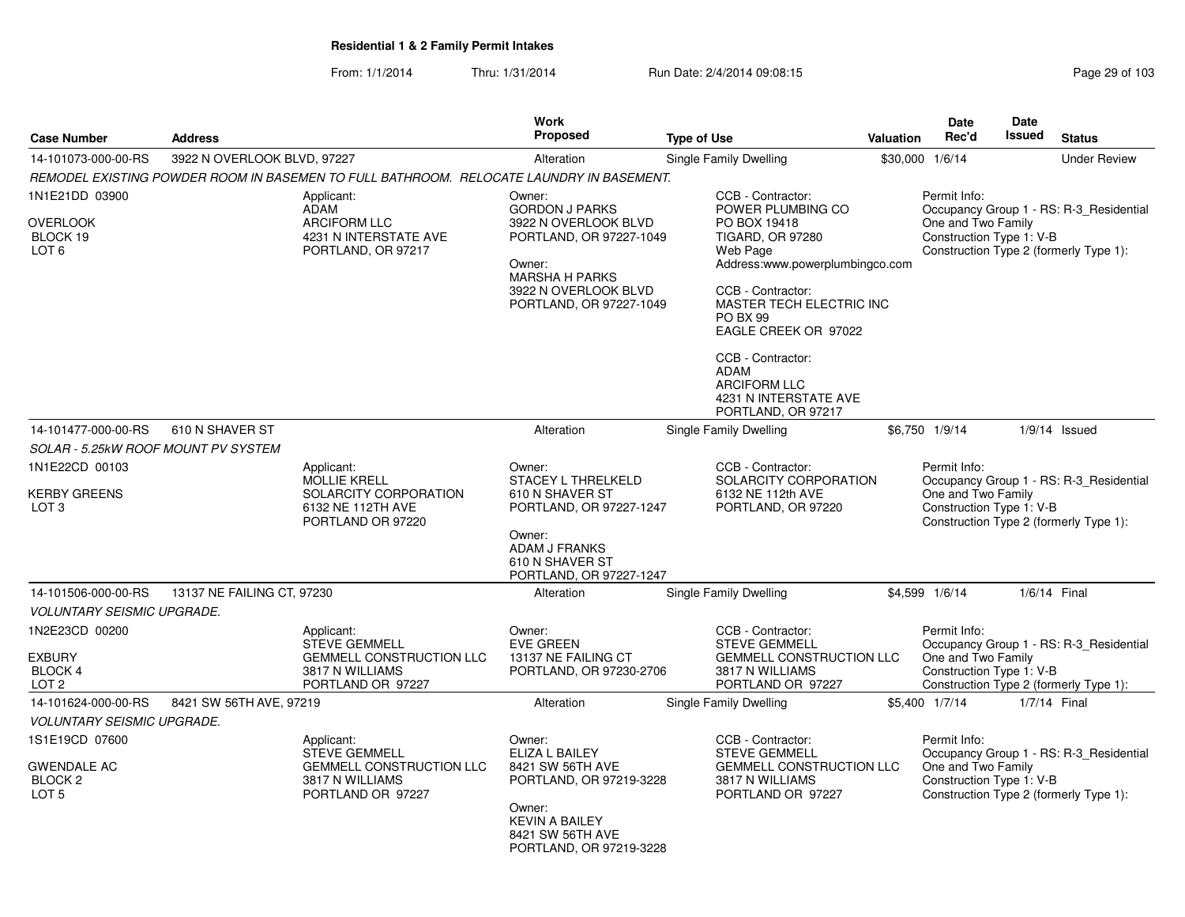|                                                                       |                             |                                                                                                               | Work                                                                                                                                                                     |                                                                                                                                                                                                                                                                                                                                                |           | <b>Date</b>                                                    | Date         |                                                                                   |
|-----------------------------------------------------------------------|-----------------------------|---------------------------------------------------------------------------------------------------------------|--------------------------------------------------------------------------------------------------------------------------------------------------------------------------|------------------------------------------------------------------------------------------------------------------------------------------------------------------------------------------------------------------------------------------------------------------------------------------------------------------------------------------------|-----------|----------------------------------------------------------------|--------------|-----------------------------------------------------------------------------------|
| <b>Case Number</b>                                                    | <b>Address</b>              |                                                                                                               | Proposed                                                                                                                                                                 | <b>Type of Use</b>                                                                                                                                                                                                                                                                                                                             | Valuation | Rec'd                                                          | Issued       | <b>Status</b>                                                                     |
| 14-101073-000-00-RS                                                   | 3922 N OVERLOOK BLVD, 97227 |                                                                                                               | Alteration                                                                                                                                                               | Single Family Dwelling                                                                                                                                                                                                                                                                                                                         |           | \$30,000 1/6/14                                                |              | <b>Under Review</b>                                                               |
|                                                                       |                             | REMODEL EXISTING POWDER ROOM IN BASEMEN TO FULL BATHROOM. RELOCATE LAUNDRY IN BASEMENT.                       |                                                                                                                                                                          |                                                                                                                                                                                                                                                                                                                                                |           |                                                                |              |                                                                                   |
| 1N1E21DD 03900<br>OVERLOOK<br>BLOCK 19<br>LOT <sub>6</sub>            |                             | Applicant:<br><b>ADAM</b><br><b>ARCIFORM LLC</b><br>4231 N INTERSTATE AVE<br>PORTLAND, OR 97217               | Owner:<br><b>GORDON J PARKS</b><br>3922 N OVERLOOK BLVD<br>PORTLAND, OR 97227-1049<br>Owner:<br><b>MARSHA H PARKS</b><br>3922 N OVERLOOK BLVD<br>PORTLAND, OR 97227-1049 | CCB - Contractor:<br>POWER PLUMBING CO<br>PO BOX 19418<br><b>TIGARD, OR 97280</b><br>Web Page<br>Address:www.powerplumbingco.com<br>CCB - Contractor:<br><b>MASTER TECH ELECTRIC INC.</b><br><b>PO BX 99</b><br>EAGLE CREEK OR 97022<br>CCB - Contractor:<br><b>ADAM</b><br><b>ARCIFORM LLC</b><br>4231 N INTERSTATE AVE<br>PORTLAND, OR 97217 |           | Permit Info:<br>One and Two Family<br>Construction Type 1: V-B |              | Occupancy Group 1 - RS: R-3_Residential<br>Construction Type 2 (formerly Type 1): |
| 14-101477-000-00-RS                                                   | 610 N SHAVER ST             |                                                                                                               | Alteration                                                                                                                                                               | Single Family Dwelling                                                                                                                                                                                                                                                                                                                         |           | \$6,750 1/9/14                                                 |              | $1/9/14$ Issued                                                                   |
| SOLAR - 5.25kW ROOF MOUNT PV SYSTEM                                   |                             |                                                                                                               |                                                                                                                                                                          |                                                                                                                                                                                                                                                                                                                                                |           |                                                                |              |                                                                                   |
| 1N1E22CD 00103                                                        |                             | Applicant:                                                                                                    | Owner:                                                                                                                                                                   | CCB - Contractor:                                                                                                                                                                                                                                                                                                                              |           | Permit Info:                                                   |              |                                                                                   |
| <b>KERBY GREENS</b><br>LOT <sub>3</sub>                               |                             | <b>MOLLIE KRELL</b><br>SOLARCITY CORPORATION<br>6132 NE 112TH AVE<br>PORTLAND OR 97220                        | <b>STACEY L THRELKELD</b><br>610 N SHAVER ST<br>PORTLAND, OR 97227-1247<br>Owner:<br>ADAM J FRANKS<br>610 N SHAVER ST<br>PORTLAND, OR 97227-1247                         | SOLARCITY CORPORATION<br>6132 NE 112th AVE<br>PORTLAND, OR 97220                                                                                                                                                                                                                                                                               |           | One and Two Family<br>Construction Type 1: V-B                 |              | Occupancy Group 1 - RS: R-3_Residential<br>Construction Type 2 (formerly Type 1): |
| 14-101506-000-00-RS                                                   | 13137 NE FAILING CT, 97230  |                                                                                                               | Alteration                                                                                                                                                               | Single Family Dwelling                                                                                                                                                                                                                                                                                                                         |           | \$4,599 1/6/14                                                 | 1/6/14 Final |                                                                                   |
| <b>VOLUNTARY SEISMIC UPGRADE.</b>                                     |                             |                                                                                                               |                                                                                                                                                                          |                                                                                                                                                                                                                                                                                                                                                |           |                                                                |              |                                                                                   |
| 1N2E23CD 00200<br><b>EXBURY</b><br><b>BLOCK 4</b><br>LOT <sub>2</sub> |                             | Applicant:<br><b>STEVE GEMMELL</b><br><b>GEMMELL CONSTRUCTION LLC</b><br>3817 N WILLIAMS<br>PORTLAND OR 97227 | Owner:<br><b>EVE GREEN</b><br>13137 NE FAILING CT<br>PORTLAND, OR 97230-2706                                                                                             | CCB - Contractor:<br><b>STEVE GEMMELL</b><br><b>GEMMELL CONSTRUCTION LLC</b><br>3817 N WILLIAMS<br>PORTLAND OR 97227                                                                                                                                                                                                                           |           | Permit Info:<br>One and Two Family<br>Construction Type 1: V-B |              | Occupancy Group 1 - RS: R-3_Residential<br>Construction Type 2 (formerly Type 1): |
| 14-101624-000-00-RS                                                   | 8421 SW 56TH AVE, 97219     |                                                                                                               | Alteration                                                                                                                                                               | Single Family Dwelling                                                                                                                                                                                                                                                                                                                         |           | \$5,400 1/7/14                                                 | 1/7/14 Final |                                                                                   |
| <b>VOLUNTARY SEISMIC UPGRADE.</b>                                     |                             |                                                                                                               |                                                                                                                                                                          |                                                                                                                                                                                                                                                                                                                                                |           |                                                                |              |                                                                                   |
| 1S1E19CD 07600<br><b>GWENDALE AC</b><br>BLOCK 2<br>LOT <sub>5</sub>   |                             | Applicant:<br><b>STEVE GEMMELL</b><br>GEMMELL CONSTRUCTION LLC<br>3817 N WILLIAMS<br>PORTLAND OR 97227        | Owner:<br>ELIZA L BAILEY<br>8421 SW 56TH AVE<br>PORTLAND, OR 97219-3228<br>Owner:<br><b>KEVIN A BAILEY</b><br>8421 SW 56TH AVE<br>PORTLAND, OR 97219-3228                | CCB - Contractor:<br><b>STEVE GEMMELL</b><br>GEMMELL CONSTRUCTION LLC<br>3817 N WILLIAMS<br>PORTLAND OR 97227                                                                                                                                                                                                                                  |           | Permit Info:<br>One and Two Family<br>Construction Type 1: V-B |              | Occupancy Group 1 - RS: R-3_Residential<br>Construction Type 2 (formerly Type 1): |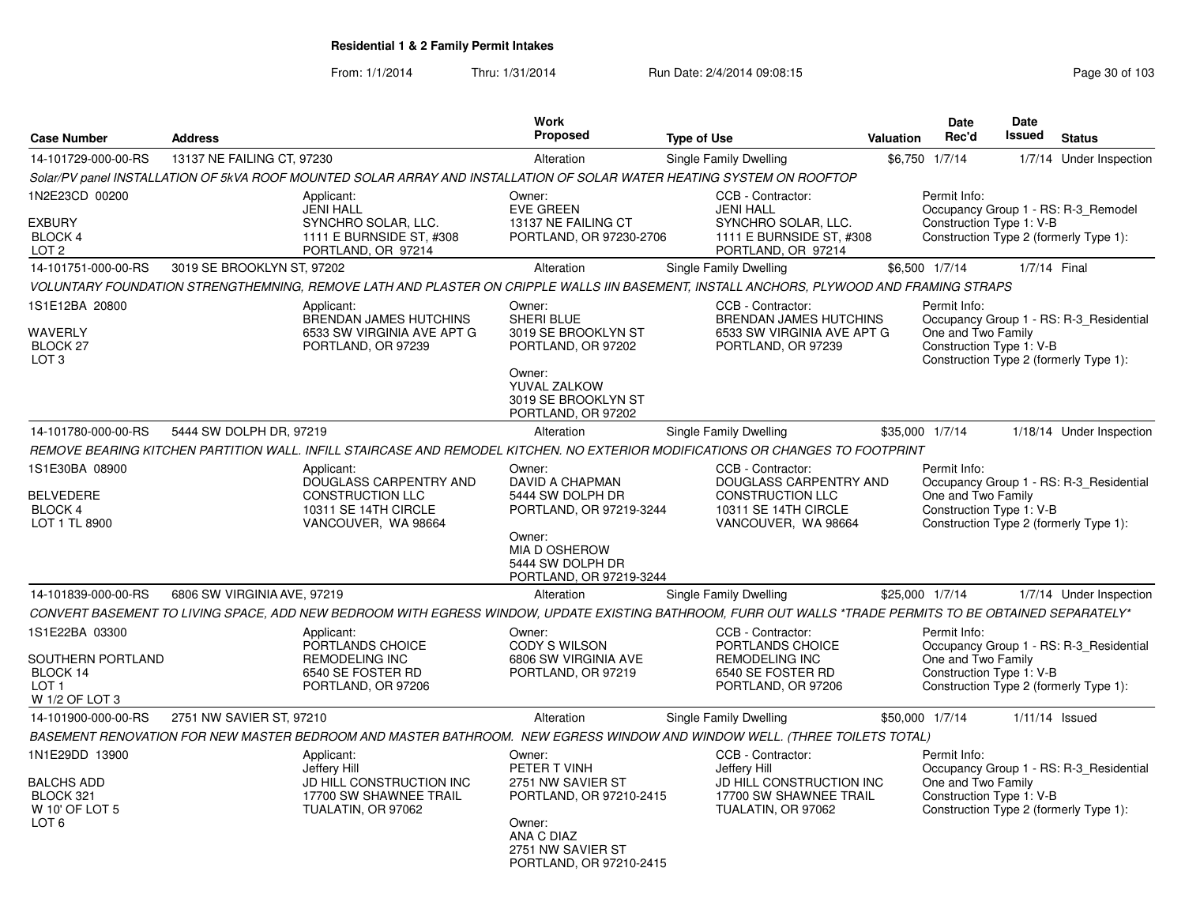| <b>Case Number</b>                                                                     | <b>Address</b>              |                                                                                                                                                                                                                                   | <b>Work</b><br><b>Proposed</b>                                                                                                                 | <b>Type of Use</b>                                                                                                    | Valuation | Date<br>Rec'd                                                                      | <b>Date</b><br><b>Issued</b> | <b>Status</b>                                                                     |
|----------------------------------------------------------------------------------------|-----------------------------|-----------------------------------------------------------------------------------------------------------------------------------------------------------------------------------------------------------------------------------|------------------------------------------------------------------------------------------------------------------------------------------------|-----------------------------------------------------------------------------------------------------------------------|-----------|------------------------------------------------------------------------------------|------------------------------|-----------------------------------------------------------------------------------|
|                                                                                        |                             |                                                                                                                                                                                                                                   |                                                                                                                                                |                                                                                                                       |           |                                                                                    |                              |                                                                                   |
| 14-101729-000-00-RS                                                                    | 13137 NE FAILING CT, 97230  |                                                                                                                                                                                                                                   | Alteration                                                                                                                                     | Single Family Dwelling                                                                                                |           | \$6,750 1/7/14                                                                     |                              | 1/7/14 Under Inspection                                                           |
| 1N2E23CD 00200<br><b>EXBURY</b><br>BLOCK 4<br>LOT <sub>2</sub>                         |                             | Solar/PV panel INSTALLATION OF 5kVA ROOF MOUNTED SOLAR ARRAY AND INSTALLATION OF SOLAR WATER HEATING SYSTEM ON ROOFTOP<br>Applicant:<br><b>JENI HALL</b><br>SYNCHRO SOLAR, LLC.<br>1111 E BURNSIDE ST, #308<br>PORTLAND, OR 97214 | Owner:<br><b>EVE GREEN</b><br>13137 NE FAILING CT<br>PORTLAND, OR 97230-2706                                                                   | CCB - Contractor:<br><b>JENI HALL</b><br>SYNCHRO SOLAR, LLC.<br>1111 E BURNSIDE ST, #308<br>PORTLAND, OR 97214        |           | Permit Info:<br>Construction Type 1: V-B<br>Construction Type 2 (formerly Type 1): |                              | Occupancy Group 1 - RS: R-3 Remodel                                               |
| 14-101751-000-00-RS                                                                    | 3019 SE BROOKLYN ST, 97202  |                                                                                                                                                                                                                                   | Alteration                                                                                                                                     | Single Family Dwelling                                                                                                |           | \$6,500 1/7/14                                                                     | 1/7/14 Final                 |                                                                                   |
|                                                                                        |                             | VOLUNTARY FOUNDATION STRENGTHEMNING. REMOVE LATH AND PLASTER ON CRIPPLE WALLS IIN BASEMENT. INSTALL ANCHORS. PLYWOOD AND FRAMING STRAPS                                                                                           |                                                                                                                                                |                                                                                                                       |           |                                                                                    |                              |                                                                                   |
| 1S1E12BA 20800<br>WAVERLY<br>BLOCK <sub>27</sub><br>LOT <sub>3</sub>                   |                             | Applicant:<br>BRENDAN JAMES HUTCHINS<br>6533 SW VIRGINIA AVE APT G<br>PORTLAND, OR 97239                                                                                                                                          | Owner:<br>SHERI BLUE<br>3019 SE BROOKLYN ST<br>PORTLAND, OR 97202<br>Owner:<br>YUVAL ZALKOW<br>3019 SE BROOKLYN ST<br>PORTLAND, OR 97202       | CCB - Contractor:<br><b>BRENDAN JAMES HUTCHINS</b><br>6533 SW VIRGINIA AVE APT G<br>PORTLAND, OR 97239                |           | Permit Info:<br>One and Two Family<br>Construction Type 1: V-B                     |                              | Occupancy Group 1 - RS: R-3 Residential<br>Construction Type 2 (formerly Type 1): |
| 14-101780-000-00-RS                                                                    | 5444 SW DOLPH DR, 97219     |                                                                                                                                                                                                                                   | Alteration                                                                                                                                     | Single Family Dwelling                                                                                                |           | \$35,000 1/7/14                                                                    |                              | 1/18/14 Under Inspection                                                          |
|                                                                                        |                             | REMOVE BEARING KITCHEN PARTITION WALL. INFILL STAIRCASE AND REMODEL KITCHEN. NO EXTERIOR MODIFICATIONS OR CHANGES TO FOOTPRINT                                                                                                    |                                                                                                                                                |                                                                                                                       |           |                                                                                    |                              |                                                                                   |
| 1S1E30BA 08900<br><b>BELVEDERE</b><br><b>BLOCK 4</b><br>LOT 1 TL 8900                  |                             | Applicant:<br>DOUGLASS CARPENTRY AND<br><b>CONSTRUCTION LLC</b><br>10311 SE 14TH CIRCLE<br>VANCOUVER, WA 98664                                                                                                                    | Owner:<br>DAVID A CHAPMAN<br>5444 SW DOLPH DR<br>PORTLAND, OR 97219-3244<br>Owner:                                                             | CCB - Contractor:<br>DOUGLASS CARPENTRY AND<br><b>CONSTRUCTION LLC</b><br>10311 SE 14TH CIRCLE<br>VANCOUVER, WA 98664 |           | Permit Info:<br>One and Two Family<br>Construction Type 1: V-B                     |                              | Occupancy Group 1 - RS: R-3 Residential<br>Construction Type 2 (formerly Type 1): |
|                                                                                        |                             |                                                                                                                                                                                                                                   | MIA D OSHEROW<br>5444 SW DOLPH DR<br>PORTLAND, OR 97219-3244                                                                                   |                                                                                                                       |           |                                                                                    |                              |                                                                                   |
| 14-101839-000-00-RS                                                                    | 6806 SW VIRGINIA AVE, 97219 |                                                                                                                                                                                                                                   | Alteration                                                                                                                                     | Single Family Dwelling                                                                                                |           | \$25,000 1/7/14                                                                    |                              | 1/7/14 Under Inspection                                                           |
|                                                                                        |                             | CONVERT BASEMENT TO LIVING SPACE, ADD NEW BEDROOM WITH EGRESS WINDOW, UPDATE EXISTING BATHROOM, FURR OUT WALLS *TRADE PERMITS TO BE OBTAINED SEPARATELY*                                                                          |                                                                                                                                                |                                                                                                                       |           |                                                                                    |                              |                                                                                   |
| 1S1E22BA 03300<br>SOUTHERN PORTLAND<br>BLOCK 14<br>LOT <sub>1</sub><br>W 1/2 OF LOT 3  |                             | Applicant:<br>PORTLANDS CHOICE<br><b>REMODELING INC</b><br>6540 SE FOSTER RD<br>PORTLAND, OR 97206                                                                                                                                | Owner:<br>CODY S WILSON<br>6806 SW VIRGINIA AVE<br>PORTLAND, OR 97219                                                                          | CCB - Contractor:<br>PORTLANDS CHOICE<br><b>REMODELING INC</b><br>6540 SE FOSTER RD<br>PORTLAND, OR 97206             |           | Permit Info:<br>One and Two Family<br>Construction Type 1: V-B                     |                              | Occupancy Group 1 - RS: R-3_Residential<br>Construction Type 2 (formerly Type 1): |
| 14-101900-000-00-RS                                                                    | 2751 NW SAVIER ST, 97210    |                                                                                                                                                                                                                                   | Alteration                                                                                                                                     | Single Family Dwelling                                                                                                |           | \$50,000 1/7/14                                                                    | $1/11/14$ Issued             |                                                                                   |
|                                                                                        |                             | BASEMENT RENOVATION FOR NEW MASTER BEDROOM AND MASTER BATHROOM.  NEW EGRESS WINDOW AND WINDOW WELL. (THREE TOILETS TOTAL)                                                                                                         |                                                                                                                                                |                                                                                                                       |           |                                                                                    |                              |                                                                                   |
| 1N1E29DD 13900<br><b>BALCHS ADD</b><br>BLOCK 321<br>W 10' OF LOT 5<br>LOT <sub>6</sub> |                             | Applicant:<br>Jeffery Hill<br>JD HILL CONSTRUCTION INC<br>17700 SW SHAWNEE TRAIL<br>TUALATIN, OR 97062                                                                                                                            | Owner:<br>PETER T VINH<br>2751 NW SAVIER ST<br>PORTLAND, OR 97210-2415<br>Owner:<br>ANA C DIAZ<br>2751 NW SAVIER ST<br>PORTLAND, OR 97210-2415 | CCB - Contractor:<br>Jeffery Hill<br>JD HILL CONSTRUCTION INC<br>17700 SW SHAWNEE TRAIL<br>TUALATIN, OR 97062         |           | Permit Info:<br>One and Two Family<br>Construction Type 1: V-B                     |                              | Occupancy Group 1 - RS: R-3_Residential<br>Construction Type 2 (formerly Type 1): |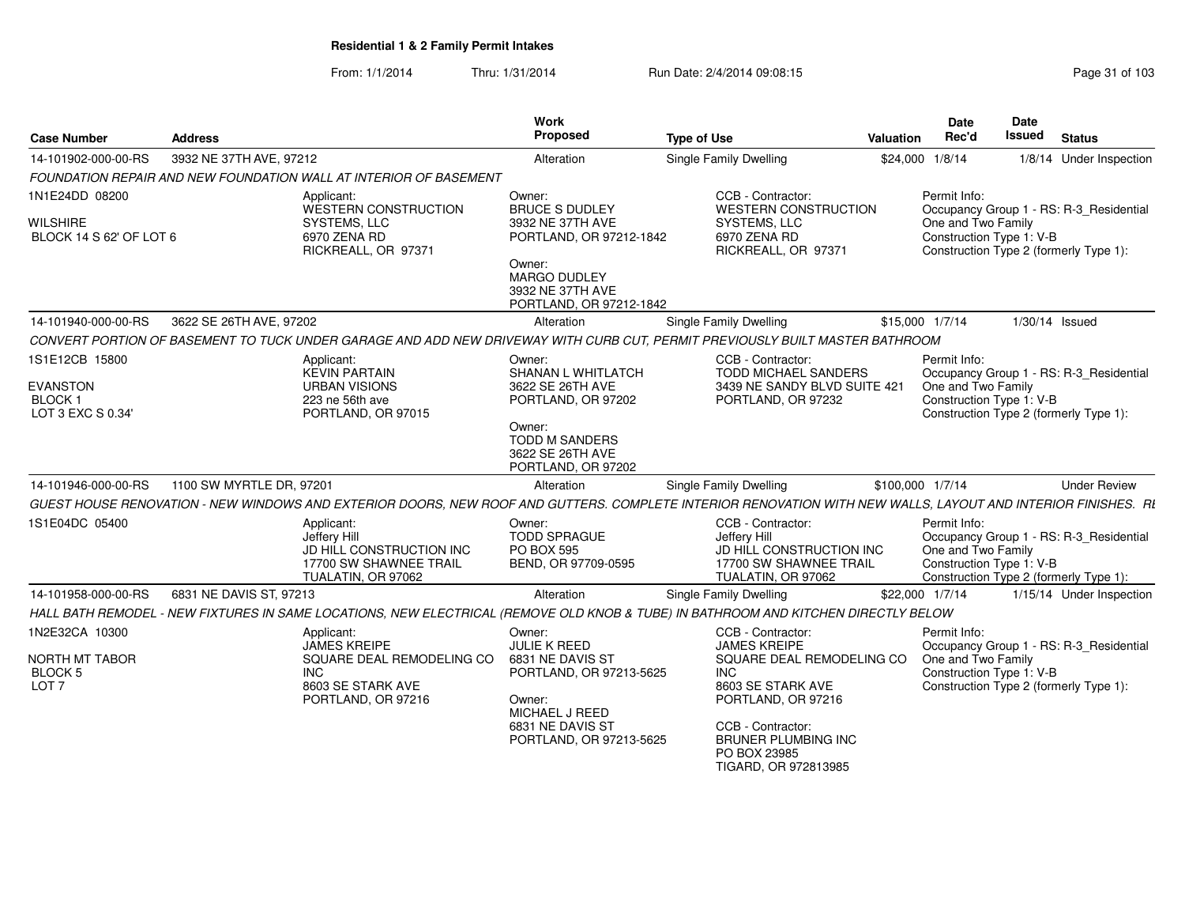| <b>Case Number</b>                                           | <b>Address</b>                                                                                                                                               | Work<br>Proposed                                                               | <b>Type of Use</b>                                                                                                   | Valuation        | <b>Date</b><br>Rec'd               | Date<br><b>Issued</b>    | <b>Status</b>                                                                     |
|--------------------------------------------------------------|--------------------------------------------------------------------------------------------------------------------------------------------------------------|--------------------------------------------------------------------------------|----------------------------------------------------------------------------------------------------------------------|------------------|------------------------------------|--------------------------|-----------------------------------------------------------------------------------|
| 14-101902-000-00-RS                                          | 3932 NE 37TH AVE, 97212                                                                                                                                      | Alteration                                                                     | Single Family Dwelling                                                                                               | \$24,000 1/8/14  |                                    |                          | 1/8/14 Under Inspection                                                           |
|                                                              | <b>FOUNDATION REPAIR AND NEW FOUNDATION WALL AT INTERIOR OF BASEMENT</b>                                                                                     |                                                                                |                                                                                                                      |                  |                                    |                          |                                                                                   |
| 1N1E24DD 08200<br><b>WILSHIRE</b><br>BLOCK 14 S 62' OF LOT 6 | Applicant:<br>WESTERN CONSTRUCTION<br>SYSTEMS, LLC<br>6970 ZENA RD<br>RICKREALL, OR 97371                                                                    | Owner:<br><b>BRUCE S DUDLEY</b><br>3932 NE 37TH AVE<br>PORTLAND, OR 97212-1842 | CCB - Contractor:<br><b>WESTERN CONSTRUCTION</b><br>SYSTEMS, LLC<br>6970 ZENA RD<br>RICKREALL, OR 97371              |                  | Permit Info:<br>One and Two Family | Construction Type 1: V-B | Occupancy Group 1 - RS: R-3 Residential<br>Construction Type 2 (formerly Type 1): |
|                                                              |                                                                                                                                                              | Owner:<br><b>MARGO DUDLEY</b><br>3932 NE 37TH AVE<br>PORTLAND, OR 97212-1842   |                                                                                                                      |                  |                                    |                          |                                                                                   |
| 14-101940-000-00-RS                                          | 3622 SE 26TH AVE, 97202                                                                                                                                      | Alteration                                                                     | Single Family Dwelling                                                                                               | \$15,000 1/7/14  |                                    |                          | 1/30/14 Issued                                                                    |
|                                                              | CONVERT PORTION OF BASEMENT TO TUCK UNDER GARAGE AND ADD NEW DRIVEWAY WITH CURB CUT, PERMIT PREVIOUSLY BUILT MASTER BATHROOM                                 |                                                                                |                                                                                                                      |                  |                                    |                          |                                                                                   |
| 1S1E12CB 15800                                               | Applicant:<br><b>KEVIN PARTAIN</b><br><b>URBAN VISIONS</b>                                                                                                   | Owner:<br>SHANAN L WHITLATCH<br>3622 SE 26TH AVE                               | CCB - Contractor:<br><b>TODD MICHAEL SANDERS</b><br>3439 NE SANDY BLVD SUITE 421                                     |                  | Permit Info:                       |                          | Occupancy Group 1 - RS: R-3_Residential                                           |
| <b>EVANSTON</b><br>BLOCK 1<br>LOT 3 EXC S 0.34'              | 223 ne 56th ave<br>PORTLAND, OR 97015                                                                                                                        | PORTLAND, OR 97202                                                             | PORTLAND, OR 97232                                                                                                   |                  | One and Two Family                 | Construction Type 1: V-B | Construction Type 2 (formerly Type 1):                                            |
|                                                              |                                                                                                                                                              | Owner:<br>TODD M SANDERS<br>3622 SE 26TH AVE<br>PORTLAND, OR 97202             |                                                                                                                      |                  |                                    |                          |                                                                                   |
| 14-101946-000-00-RS                                          | 1100 SW MYRTLE DR. 97201                                                                                                                                     | Alteration                                                                     | Single Family Dwelling                                                                                               | \$100.000 1/7/14 |                                    |                          | <b>Under Review</b>                                                               |
|                                                              | GUEST HOUSE RENOVATION - NEW WINDOWS AND EXTERIOR DOORS. NEW ROOF AND GUTTERS. COMPLETE INTERIOR RENOVATION WITH NEW WALLS. LAYOUT AND INTERIOR FINISHES. RI |                                                                                |                                                                                                                      |                  |                                    |                          |                                                                                   |
| 1S1E04DC 05400                                               | Applicant:<br>Jeffery Hill<br>JD HILL CONSTRUCTION INC<br>17700 SW SHAWNEE TRAIL<br>TUALATIN, OR 97062                                                       | Owner:<br><b>TODD SPRAGUE</b><br><b>PO BOX 595</b><br>BEND, OR 97709-0595      | CCB - Contractor:<br>Jefferv Hill<br><b>JD HILL CONSTRUCTION INC</b><br>17700 SW SHAWNEE TRAIL<br>TUALATIN, OR 97062 |                  | Permit Info:<br>One and Two Family | Construction Type 1: V-B | Occupancy Group 1 - RS: R-3_Residential<br>Construction Type 2 (formerly Type 1): |
| 14-101958-000-00-RS                                          | 6831 NE DAVIS ST, 97213                                                                                                                                      | Alteration                                                                     | Single Family Dwelling                                                                                               | \$22,000 1/7/14  |                                    |                          | 1/15/14 Under Inspection                                                          |
|                                                              | HALL BATH REMODEL - NEW FIXTURES IN SAME LOCATIONS, NEW ELECTRICAL (REMOVE OLD KNOB & TUBE) IN BATHROOM AND KITCHEN DIRECTLY BELOW                           |                                                                                |                                                                                                                      |                  |                                    |                          |                                                                                   |
| 1N2E32CA 10300                                               | Applicant:<br><b>JAMES KREIPE</b>                                                                                                                            | Owner:<br><b>JULIE K REED</b>                                                  | CCB - Contractor:<br><b>JAMES KREIPE</b>                                                                             |                  | Permit Info:                       |                          | Occupancy Group 1 - RS: R-3_Residential                                           |
| NORTH MT TABOR<br>BLOCK 5<br>LOT <sub>7</sub>                | SQUARE DEAL REMODELING CO<br>INC<br>8603 SE STARK AVE<br>PORTLAND, OR 97216                                                                                  | 6831 NE DAVIS ST<br>PORTLAND, OR 97213-5625<br>Owner:<br>MICHAEL J REED        | SQUARE DEAL REMODELING CO<br>INC.<br>8603 SE STARK AVE<br>PORTLAND, OR 97216                                         |                  | One and Two Family                 | Construction Type 1: V-B | Construction Type 2 (formerly Type 1):                                            |
|                                                              |                                                                                                                                                              | 6831 NE DAVIS ST<br>PORTLAND, OR 97213-5625                                    | CCB - Contractor:<br><b>BRUNER PLUMBING INC</b><br>PO BOX 23985<br>TIGARD, OR 972813985                              |                  |                                    |                          |                                                                                   |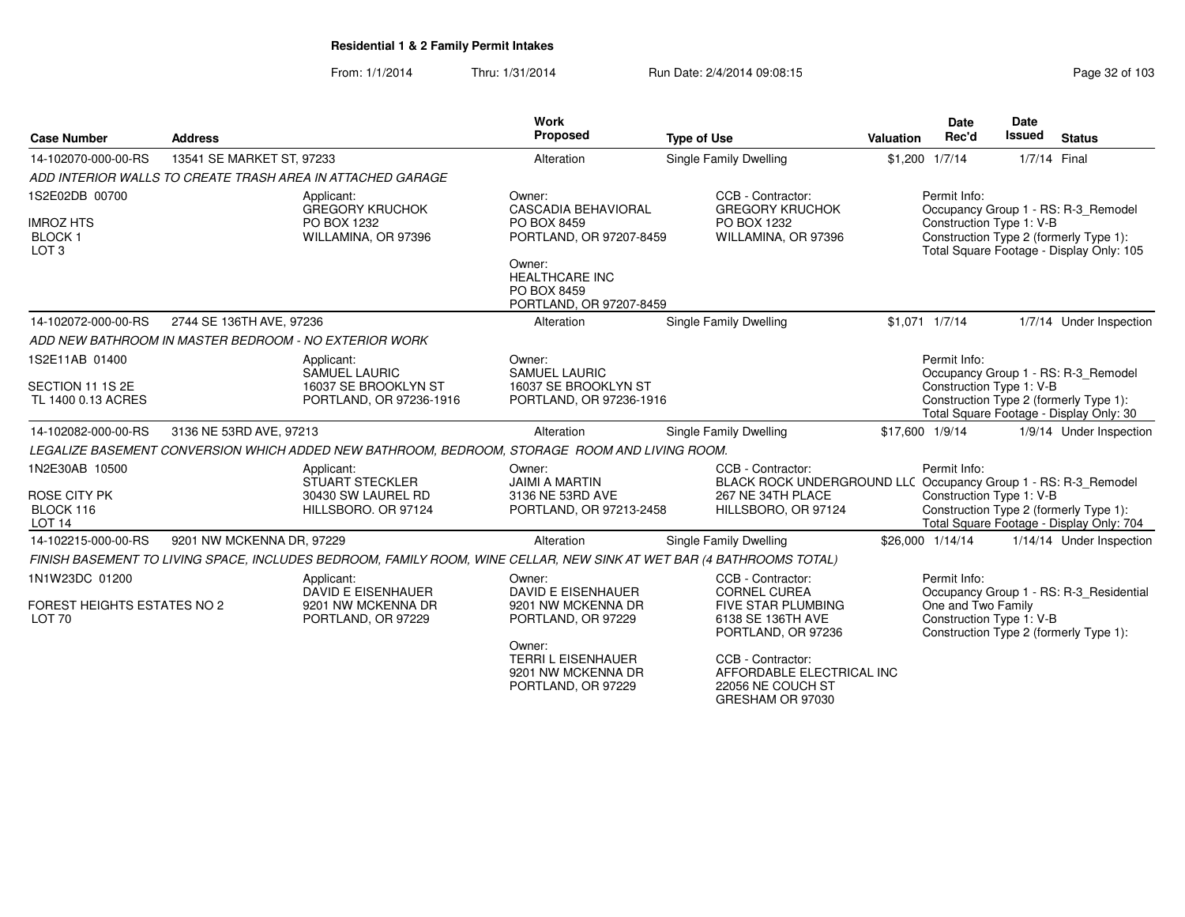|                                                                         |                           |                                                                                                                      | <b>Work</b>                                                                                                                                                 |                                                                                                                                                                    |                  | <b>Date</b>                                                    | <b>Date</b>   |                                                                                                                           |
|-------------------------------------------------------------------------|---------------------------|----------------------------------------------------------------------------------------------------------------------|-------------------------------------------------------------------------------------------------------------------------------------------------------------|--------------------------------------------------------------------------------------------------------------------------------------------------------------------|------------------|----------------------------------------------------------------|---------------|---------------------------------------------------------------------------------------------------------------------------|
| <b>Case Number</b>                                                      | <b>Address</b>            |                                                                                                                      | Proposed                                                                                                                                                    | <b>Type of Use</b>                                                                                                                                                 | <b>Valuation</b> | Rec'd                                                          | <b>Issued</b> | <b>Status</b>                                                                                                             |
| 14-102070-000-00-RS                                                     | 13541 SE MARKET ST, 97233 |                                                                                                                      | Alteration                                                                                                                                                  | Single Family Dwelling                                                                                                                                             |                  | \$1,200 1/7/14                                                 | 1/7/14 Final  |                                                                                                                           |
|                                                                         |                           | ADD INTERIOR WALLS TO CREATE TRASH AREA IN ATTACHED GARAGE                                                           |                                                                                                                                                             |                                                                                                                                                                    |                  |                                                                |               |                                                                                                                           |
| 1S2E02DB 00700<br><b>IMROZ HTS</b><br><b>BLOCK1</b><br>LOT <sub>3</sub> |                           | Applicant:<br><b>GREGORY KRUCHOK</b><br>PO BOX 1232<br>WILLAMINA, OR 97396                                           | Owner:<br><b>CASCADIA BEHAVIORAL</b><br>PO BOX 8459<br>PORTLAND, OR 97207-8459<br>Owner:<br><b>HEALTHCARE INC</b><br>PO BOX 8459<br>PORTLAND, OR 97207-8459 | CCB - Contractor:<br><b>GREGORY KRUCHOK</b><br>PO BOX 1232<br>WILLAMINA, OR 97396                                                                                  |                  | Permit Info:<br>Construction Type 1: V-B                       |               | Occupancy Group 1 - RS: R-3_Remodel<br>Construction Type 2 (formerly Type 1):<br>Total Square Footage - Display Only: 105 |
| 14-102072-000-00-RS                                                     | 2744 SE 136TH AVE, 97236  |                                                                                                                      | Alteration                                                                                                                                                  | Single Family Dwelling                                                                                                                                             |                  | $$1,071$ $1/7/14$                                              |               | 1/7/14 Under Inspection                                                                                                   |
|                                                                         |                           | ADD NEW BATHROOM IN MASTER BEDROOM - NO EXTERIOR WORK                                                                |                                                                                                                                                             |                                                                                                                                                                    |                  |                                                                |               |                                                                                                                           |
| 1S2E11AB 01400<br>SECTION 11 1S 2E<br>TL 1400 0.13 ACRES                |                           | Applicant:<br><b>SAMUEL LAURIC</b><br>16037 SE BROOKLYN ST<br>PORTLAND, OR 97236-1916                                | Owner:<br><b>SAMUEL LAURIC</b><br>16037 SE BROOKLYN ST<br>PORTLAND, OR 97236-1916                                                                           |                                                                                                                                                                    |                  | Permit Info:<br>Construction Type 1: V-B                       |               | Occupancy Group 1 - RS: R-3 Remodel<br>Construction Type 2 (formerly Type 1):<br>Total Square Footage - Display Only: 30  |
| 14-102082-000-00-RS                                                     | 3136 NE 53RD AVE, 97213   |                                                                                                                      | Alteration                                                                                                                                                  | Single Family Dwelling                                                                                                                                             | \$17,600 1/9/14  |                                                                |               | 1/9/14 Under Inspection                                                                                                   |
|                                                                         |                           | LEGALIZE BASEMENT CONVERSION WHICH ADDED NEW BATHROOM, BEDROOM, STORAGE ROOM AND LIVING ROOM.                        |                                                                                                                                                             |                                                                                                                                                                    |                  |                                                                |               |                                                                                                                           |
| 1N2E30AB 10500<br>ROSE CITY PK<br>BLOCK 116<br>LOT <sub>14</sub>        |                           | Applicant:<br><b>STUART STECKLER</b><br>30430 SW LAUREL RD<br>HILLSBORO. OR 97124                                    | Owner:<br><b>JAIMI A MARTIN</b><br>3136 NE 53RD AVE<br>PORTLAND, OR 97213-2458                                                                              | CCB - Contractor:<br>BLACK ROCK UNDERGROUND LLC Occupancy Group 1 - RS: R-3_Remodel<br>267 NE 34TH PLACE<br>HILLSBORO, OR 97124                                    |                  | Permit Info:<br>Construction Type 1: V-B                       |               | Construction Type 2 (formerly Type 1):<br>Total Square Footage - Display Only: 704                                        |
| 14-102215-000-00-RS                                                     | 9201 NW MCKENNA DR, 97229 |                                                                                                                      | Alteration                                                                                                                                                  | Single Family Dwelling                                                                                                                                             |                  | \$26,000 1/14/14                                               |               | 1/14/14 Under Inspection                                                                                                  |
|                                                                         |                           | FINISH BASEMENT TO LIVING SPACE, INCLUDES BEDROOM, FAMILY ROOM, WINE CELLAR, NEW SINK AT WET BAR (4 BATHROOMS TOTAL) |                                                                                                                                                             |                                                                                                                                                                    |                  |                                                                |               |                                                                                                                           |
| 1N1W23DC 01200<br><b>FOREST HEIGHTS ESTATES NO 2</b><br><b>LOT 70</b>   |                           | Applicant:<br>DAVID E EISENHAUER<br>9201 NW MCKENNA DR<br>PORTLAND, OR 97229                                         | Owner:<br><b>DAVID E EISENHAUER</b><br>9201 NW MCKENNA DR<br>PORTLAND, OR 97229<br>Owner:<br><b>TERRI L EISENHAUER</b><br>9201 NW MCKENNA DR                | CCB - Contractor:<br><b>CORNEL CUREA</b><br><b>FIVE STAR PLUMBING</b><br>6138 SE 136TH AVE<br>PORTLAND, OR 97236<br>CCB - Contractor:<br>AFFORDABLE ELECTRICAL INC |                  | Permit Info:<br>One and Two Family<br>Construction Type 1: V-B |               | Occupancy Group 1 - RS: R-3_Residential<br>Construction Type 2 (formerly Type 1):                                         |
|                                                                         |                           |                                                                                                                      | PORTLAND, OR 97229                                                                                                                                          | 22056 NE COUCH ST<br>GRESHAM OR 97030                                                                                                                              |                  |                                                                |               |                                                                                                                           |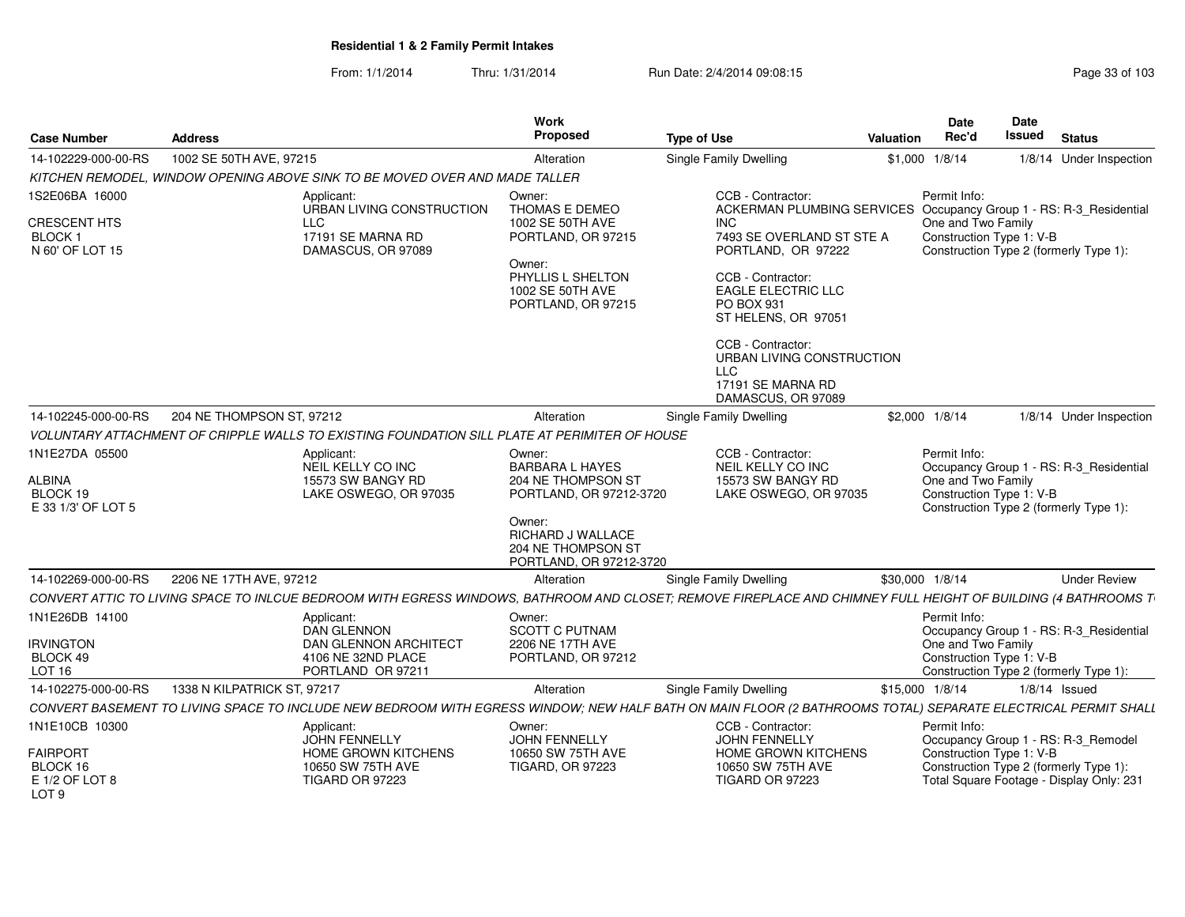| <b>Case Number</b>                                                  | <b>Address</b>                                                                                |                                                                  | Work<br>Proposed                                                                  | <b>Type of Use</b>                                                                                                                                            | Valuation       | <b>Date</b><br>Rec'd                                           | Date<br><b>Issued</b> | <b>Status</b>                                                                     |
|---------------------------------------------------------------------|-----------------------------------------------------------------------------------------------|------------------------------------------------------------------|-----------------------------------------------------------------------------------|---------------------------------------------------------------------------------------------------------------------------------------------------------------|-----------------|----------------------------------------------------------------|-----------------------|-----------------------------------------------------------------------------------|
| 14-102229-000-00-RS                                                 | 1002 SE 50TH AVE, 97215                                                                       |                                                                  | Alteration                                                                        | Single Family Dwelling                                                                                                                                        |                 | \$1,000 1/8/14                                                 |                       | 1/8/14 Under Inspection                                                           |
|                                                                     | KITCHEN REMODEL, WINDOW OPENING ABOVE SINK TO BE MOVED OVER AND MADE TALLER                   |                                                                  |                                                                                   |                                                                                                                                                               |                 |                                                                |                       |                                                                                   |
| 1S2E06BA 16000                                                      | Applicant:                                                                                    | URBAN LIVING CONSTRUCTION                                        | Owner:<br>THOMAS E DEMEO                                                          | CCB - Contractor:<br>ACKERMAN PLUMBING SERVICES Occupancy Group 1 - RS: R-3_Residential                                                                       |                 | Permit Info:                                                   |                       |                                                                                   |
| <b>CRESCENT HTS</b><br>BLOCK 1<br>N 60' OF LOT 15                   | <b>LLC</b>                                                                                    | 17191 SE MARNA RD<br>DAMASCUS, OR 97089                          | 1002 SE 50TH AVE<br>PORTLAND, OR 97215                                            | <b>INC</b><br>7493 SE OVERLAND ST STE A<br>PORTLAND, OR 97222                                                                                                 |                 | One and Two Family<br>Construction Type 1: V-B                 |                       | Construction Type 2 (formerly Type 1):                                            |
|                                                                     |                                                                                               |                                                                  | Owner:<br>PHYLLIS L SHELTON<br>1002 SE 50TH AVE<br>PORTLAND, OR 97215             | CCB - Contractor:<br><b>EAGLE ELECTRIC LLC</b><br>PO BOX 931<br>ST HELENS, OR 97051                                                                           |                 |                                                                |                       |                                                                                   |
|                                                                     |                                                                                               |                                                                  |                                                                                   | CCB - Contractor:<br>URBAN LIVING CONSTRUCTION<br>LLC<br>17191 SE MARNA RD<br>DAMASCUS, OR 97089                                                              |                 |                                                                |                       |                                                                                   |
| 14-102245-000-00-RS                                                 | 204 NE THOMPSON ST, 97212                                                                     |                                                                  | Alteration                                                                        | Single Family Dwelling                                                                                                                                        |                 | \$2,000 1/8/14                                                 |                       | 1/8/14 Under Inspection                                                           |
|                                                                     | VOLUNTARY ATTACHMENT OF CRIPPLE WALLS TO EXISTING FOUNDATION SILL PLATE AT PERIMITER OF HOUSE |                                                                  |                                                                                   |                                                                                                                                                               |                 |                                                                |                       |                                                                                   |
| 1N1E27DA 05500<br>ALBINA<br>BLOCK 19<br>E 33 1/3' OF LOT 5          | Applicant:                                                                                    | NEIL KELLY CO INC<br>15573 SW BANGY RD<br>LAKE OSWEGO, OR 97035  | Owner:<br><b>BARBARA L HAYES</b><br>204 NE THOMPSON ST<br>PORTLAND, OR 97212-3720 | CCB - Contractor:<br>NEIL KELLY CO INC<br>15573 SW BANGY RD<br>LAKE OSWEGO, OR 97035                                                                          |                 | Permit Info:<br>One and Two Family<br>Construction Type 1: V-B |                       | Occupancy Group 1 - RS: R-3_Residential<br>Construction Type 2 (formerly Type 1): |
|                                                                     |                                                                                               |                                                                  | Owner:<br>RICHARD J WALLACE<br>204 NE THOMPSON ST<br>PORTLAND, OR 97212-3720      |                                                                                                                                                               |                 |                                                                |                       |                                                                                   |
| 14-102269-000-00-RS                                                 | 2206 NE 17TH AVE, 97212                                                                       |                                                                  | Alteration                                                                        | Single Family Dwelling                                                                                                                                        | \$30,000 1/8/14 |                                                                |                       | <b>Under Review</b>                                                               |
|                                                                     |                                                                                               |                                                                  |                                                                                   | CONVERT ATTIC TO LIVING SPACE TO INLCUE BEDROOM WITH EGRESS WINDOWS, BATHROOM AND CLOSET; REMOVE FIREPLACE AND CHIMNEY FULL HEIGHT OF BUILDING (4 BATHROOMS T |                 |                                                                |                       |                                                                                   |
| 1N1E26DB 14100<br><b>IRVINGTON</b><br>BLOCK 49<br>LOT <sub>16</sub> | Applicant:<br><b>DAN GLENNON</b>                                                              | DAN GLENNON ARCHITECT<br>4106 NE 32ND PLACE<br>PORTLAND OR 97211 | Owner:<br><b>SCOTT C PUTNAM</b><br>2206 NE 17TH AVE<br>PORTLAND, OR 97212         |                                                                                                                                                               |                 | Permit Info:<br>One and Two Family<br>Construction Type 1: V-B |                       | Occupancy Group 1 - RS: R-3 Residential<br>Construction Type 2 (formerly Type 1): |
| 14-102275-000-00-RS                                                 | 1338 N KILPATRICK ST, 97217                                                                   |                                                                  | Alteration                                                                        | <b>Single Family Dwelling</b>                                                                                                                                 | \$15,000 1/8/14 |                                                                |                       | $1/8/14$ Issued                                                                   |
|                                                                     |                                                                                               |                                                                  |                                                                                   | CONVERT BASEMENT TO LIVING SPACE TO INCLUDE NEW BEDROOM WITH EGRESS WINDOW; NEW HALF BATH ON MAIN FLOOR (2 BATHROOMS TOTAL) SEPARATE ELECTRICAL PERMIT SHALL  |                 |                                                                |                       |                                                                                   |
| 1N1E10CB 10300<br><b>FAIRPORT</b><br>BLOCK 16                       | Applicant:                                                                                    | <b>JOHN FENNELLY</b><br>HOME GROWN KITCHENS<br>10650 SW 75TH AVE | Owner:<br><b>JOHN FENNELLY</b><br>10650 SW 75TH AVE<br><b>TIGARD, OR 97223</b>    | CCB - Contractor:<br>JOHN FENNELLY<br>HOME GROWN KITCHENS<br>10650 SW 75TH AVE                                                                                |                 | Permit Info:<br>Construction Type 1: V-B                       |                       | Occupancy Group 1 - RS: R-3_Remodel<br>Construction Type 2 (formerly Type 1):     |
| E 1/2 OF LOT 8<br>LOT <sub>9</sub>                                  |                                                                                               | TIGARD OR 97223                                                  |                                                                                   | TIGARD OR 97223                                                                                                                                               |                 |                                                                |                       | Total Square Footage - Display Only: 231                                          |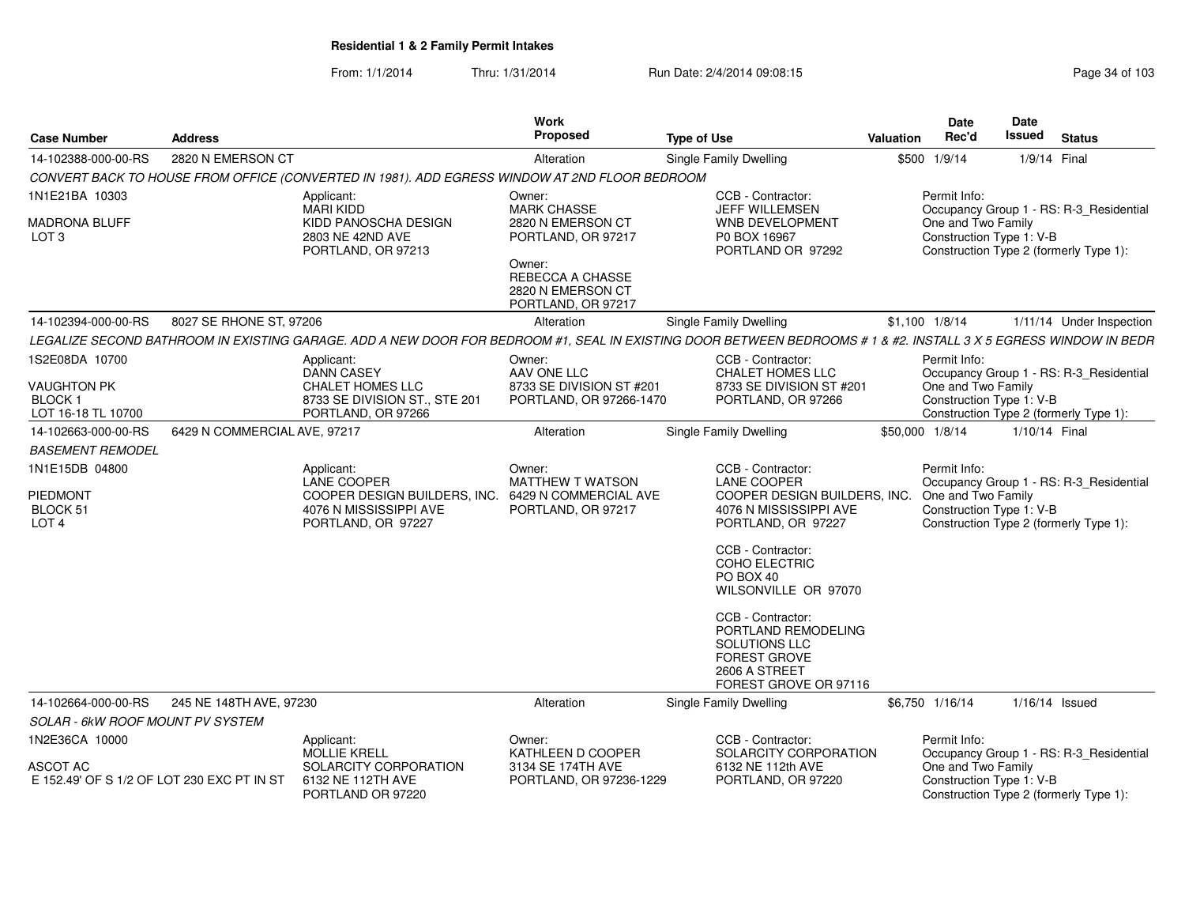| <b>Case Number</b>                                     | <b>Address</b>               |                                                                                                                                                                 | Work<br>Proposed                                                      | <b>Type of Use</b>                                                                                                         | Valuation       | <b>Date</b><br>Rec'd                           | <b>Date</b><br>Issued | <b>Status</b>                           |
|--------------------------------------------------------|------------------------------|-----------------------------------------------------------------------------------------------------------------------------------------------------------------|-----------------------------------------------------------------------|----------------------------------------------------------------------------------------------------------------------------|-----------------|------------------------------------------------|-----------------------|-----------------------------------------|
| 14-102388-000-00-RS                                    | 2820 N EMERSON CT            |                                                                                                                                                                 | Alteration                                                            | <b>Single Family Dwelling</b>                                                                                              |                 | \$500 1/9/14                                   | 1/9/14 Final          |                                         |
|                                                        |                              | CONVERT BACK TO HOUSE FROM OFFICE (CONVERTED IN 1981). ADD EGRESS WINDOW AT 2ND FLOOR BEDROOM                                                                   |                                                                       |                                                                                                                            |                 |                                                |                       |                                         |
| 1N1E21BA 10303                                         |                              | Applicant:<br><b>MARI KIDD</b>                                                                                                                                  | Owner:<br><b>MARK CHASSE</b>                                          | CCB - Contractor:<br>JEFF WILLEMSEN                                                                                        |                 | Permit Info:                                   |                       | Occupancy Group 1 - RS: R-3_Residential |
| <b>MADRONA BLUFF</b><br>LOT <sub>3</sub>               |                              | KIDD PANOSCHA DESIGN<br>2803 NE 42ND AVE<br>PORTLAND, OR 97213                                                                                                  | 2820 N EMERSON CT<br>PORTLAND, OR 97217                               | <b>WNB DEVELOPMENT</b><br>P0 BOX 16967<br>PORTLAND OR 97292                                                                |                 | One and Two Family<br>Construction Type 1: V-B |                       | Construction Type 2 (formerly Type 1):  |
|                                                        |                              |                                                                                                                                                                 | Owner:<br>REBECCA A CHASSE<br>2820 N EMERSON CT<br>PORTLAND, OR 97217 |                                                                                                                            |                 |                                                |                       |                                         |
| 14-102394-000-00-RS                                    | 8027 SE RHONE ST, 97206      |                                                                                                                                                                 | Alteration                                                            | <b>Single Family Dwelling</b>                                                                                              |                 | $$1,100$ $1/8/14$                              |                       | 1/11/14 Under Inspection                |
|                                                        |                              | LEGALIZE SECOND BATHROOM IN EXISTING GARAGE. ADD A NEW DOOR FOR BEDROOM #1, SEAL IN EXISTING DOOR BETWEEN BEDROOMS #1 & #2. INSTALL 3 X 5 EGRESS WINDOW IN BEDR |                                                                       |                                                                                                                            |                 |                                                |                       |                                         |
| 1S2E08DA 10700<br><b>VAUGHTON PK</b>                   |                              | Applicant:<br><b>DANN CASEY</b><br><b>CHALET HOMES LLC</b>                                                                                                      | Owner:<br>AAV ONE LLC<br>8733 SE DIVISION ST #201                     | CCB - Contractor:<br><b>CHALET HOMES LLC</b><br>8733 SE DIVISION ST #201                                                   |                 | Permit Info:<br>One and Two Family             |                       | Occupancy Group 1 - RS: R-3_Residential |
| <b>BLOCK1</b><br>LOT 16-18 TL 10700                    |                              | 8733 SE DIVISION ST., STE 201<br>PORTLAND, OR 97266                                                                                                             | PORTLAND, OR 97266-1470                                               | PORTLAND, OR 97266                                                                                                         |                 | Construction Type 1: V-B                       |                       | Construction Type 2 (formerly Type 1):  |
| 14-102663-000-00-RS                                    | 6429 N COMMERCIAL AVE, 97217 |                                                                                                                                                                 | Alteration                                                            | Single Family Dwelling                                                                                                     | \$50,000 1/8/14 |                                                | 1/10/14 Final         |                                         |
| <b>BASEMENT REMODEL</b>                                |                              |                                                                                                                                                                 |                                                                       |                                                                                                                            |                 |                                                |                       |                                         |
| 1N1E15DB 04800                                         |                              | Applicant:<br>LANE COOPER                                                                                                                                       | Owner:<br>MATTHEW T WATSON                                            | CCB - Contractor:<br>LANE COOPER                                                                                           |                 | Permit Info:                                   |                       | Occupancy Group 1 - RS: R-3_Residential |
| <b>PIEDMONT</b><br>BLOCK 51<br>LOT <sub>4</sub>        |                              | COOPER DESIGN BUILDERS, INC.<br>4076 N MISSISSIPPI AVE<br>PORTLAND, OR 97227                                                                                    | 6429 N COMMERCIAL AVE<br>PORTLAND, OR 97217                           | COOPER DESIGN BUILDERS, INC.<br>4076 N MISSISSIPPI AVE<br>PORTLAND, OR 97227                                               |                 | One and Two Family<br>Construction Type 1: V-B |                       | Construction Type 2 (formerly Type 1):  |
|                                                        |                              |                                                                                                                                                                 |                                                                       | CCB - Contractor:<br>COHO ELECTRIC<br>PO BOX 40<br>WILSONVILLE OR 97070                                                    |                 |                                                |                       |                                         |
|                                                        |                              |                                                                                                                                                                 |                                                                       | CCB - Contractor:<br>PORTLAND REMODELING<br>SOLUTIONS LLC<br><b>FOREST GROVE</b><br>2606 A STREET<br>FOREST GROVE OR 97116 |                 |                                                |                       |                                         |
| 14-102664-000-00-RS                                    | 245 NE 148TH AVE, 97230      |                                                                                                                                                                 | Alteration                                                            | Single Family Dwelling                                                                                                     |                 | \$6,750 1/16/14                                | $1/16/14$ Issued      |                                         |
| SOLAR - 6kW ROOF MOUNT PV SYSTEM                       |                              |                                                                                                                                                                 |                                                                       |                                                                                                                            |                 |                                                |                       |                                         |
| 1N2E36CA 10000                                         |                              | Applicant:<br><b>MOLLIE KRELL</b>                                                                                                                               | Owner:<br>KATHLEEN D COOPER                                           | CCB - Contractor:<br>SOLARCITY CORPORATION                                                                                 |                 | Permit Info:                                   |                       | Occupancy Group 1 - RS: R-3_Residential |
| ASCOT AC<br>E 152.49' OF S 1/2 OF LOT 230 EXC PT IN ST |                              | SOLARCITY CORPORATION<br>6132 NE 112TH AVE<br>PORTLAND OR 97220                                                                                                 | 3134 SE 174TH AVE<br>PORTLAND, OR 97236-1229                          | 6132 NE 112th AVE<br>PORTLAND, OR 97220                                                                                    |                 | One and Two Family<br>Construction Type 1: V-B |                       | Construction Type 2 (formerly Type 1):  |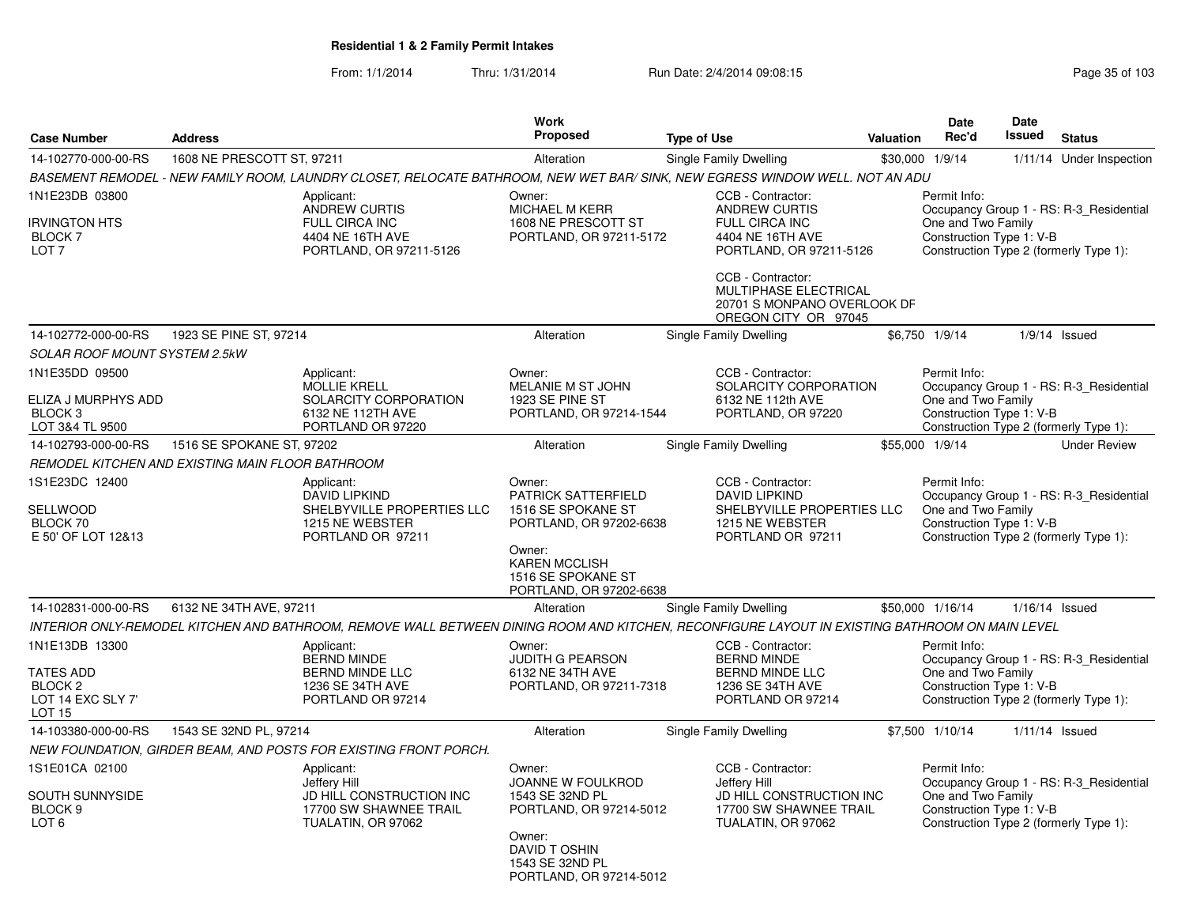|                                                                                         |                                                                                                                              |                                                                                                          | Work                                                                                                                                                                                                                                                                                        |                                                                                                                                                |                                                                                                                                                     | <b>Date</b>                                                                                                                                         | Date          |                                                                                   |  |  |
|-----------------------------------------------------------------------------------------|------------------------------------------------------------------------------------------------------------------------------|----------------------------------------------------------------------------------------------------------|---------------------------------------------------------------------------------------------------------------------------------------------------------------------------------------------------------------------------------------------------------------------------------------------|------------------------------------------------------------------------------------------------------------------------------------------------|-----------------------------------------------------------------------------------------------------------------------------------------------------|-----------------------------------------------------------------------------------------------------------------------------------------------------|---------------|-----------------------------------------------------------------------------------|--|--|
| <b>Case Number</b>                                                                      | <b>Address</b>                                                                                                               |                                                                                                          | <b>Proposed</b>                                                                                                                                                                                                                                                                             | <b>Type of Use</b>                                                                                                                             | Valuation                                                                                                                                           | Rec'd                                                                                                                                               | <b>Issued</b> | <b>Status</b>                                                                     |  |  |
| 14-102770-000-00-RS                                                                     | 1608 NE PRESCOTT ST, 97211                                                                                                   |                                                                                                          | Alteration                                                                                                                                                                                                                                                                                  | Single Family Dwelling                                                                                                                         |                                                                                                                                                     | \$30,000 1/9/14                                                                                                                                     |               | 1/11/14 Under Inspection                                                          |  |  |
|                                                                                         | BASEMENT REMODEL - NEW FAMILY ROOM, LAUNDRY CLOSET, RELOCATE BATHROOM, NEW WET BAR/ SINK, NEW EGRESS WINDOW WELL. NOT AN ADU |                                                                                                          |                                                                                                                                                                                                                                                                                             |                                                                                                                                                |                                                                                                                                                     |                                                                                                                                                     |               |                                                                                   |  |  |
| 1N1E23DB 03800<br><b>IRVINGTON HTS</b><br><b>BLOCK7</b><br>LOT <sub>7</sub>             | Applicant:<br><b>ANDREW CURTIS</b><br><b>FULL CIRCA INC</b><br>4404 NE 16TH AVE<br>PORTLAND, OR 97211-5126                   |                                                                                                          | Owner:<br>MICHAEL M KERR<br>1608 NE PRESCOTT ST<br>PORTLAND, OR 97211-5172                                                                                                                                                                                                                  | CCB - Contractor:<br><b>ANDREW CURTIS</b><br><b>FULL CIRCA INC</b><br>4404 NE 16TH AVE<br>PORTLAND, OR 97211-5126                              |                                                                                                                                                     | Permit Info:<br>Occupancy Group 1 - RS: R-3 Residential<br>One and Two Family<br>Construction Type 1: V-B<br>Construction Type 2 (formerly Type 1): |               |                                                                                   |  |  |
|                                                                                         |                                                                                                                              |                                                                                                          |                                                                                                                                                                                                                                                                                             | CCB - Contractor:<br>MULTIPHASE ELECTRICAL<br>20701 S MONPANO OVERLOOK DF<br>OREGON CITY OR 97045                                              |                                                                                                                                                     |                                                                                                                                                     |               |                                                                                   |  |  |
| 14-102772-000-00-RS                                                                     | 1923 SE PINE ST, 97214                                                                                                       |                                                                                                          | Alteration                                                                                                                                                                                                                                                                                  | Single Family Dwelling                                                                                                                         |                                                                                                                                                     | \$6,750 1/9/14                                                                                                                                      |               | $1/9/14$ Issued                                                                   |  |  |
| <b>SOLAR ROOF MOUNT SYSTEM 2.5kW</b>                                                    |                                                                                                                              |                                                                                                          |                                                                                                                                                                                                                                                                                             |                                                                                                                                                |                                                                                                                                                     |                                                                                                                                                     |               |                                                                                   |  |  |
| 1N1E35DD 09500<br>ELIZA J MURPHYS ADD<br>BLOCK <sub>3</sub>                             |                                                                                                                              | Applicant:<br><b>MOLLIE KRELL</b><br>SOLARCITY CORPORATION<br>6132 NE 112TH AVE                          | Owner:<br>MELANIE M ST JOHN<br>1923 SE PINE ST<br>PORTLAND, OR 97214-1544                                                                                                                                                                                                                   | CCB - Contractor:<br>SOLARCITY CORPORATION<br>6132 NE 112th AVE<br>PORTLAND, OR 97220                                                          |                                                                                                                                                     | Permit Info:<br>One and Two Family<br>Construction Type 1: V-B                                                                                      |               | Occupancy Group 1 - RS: R-3 Residential                                           |  |  |
| LOT 3&4 TL 9500                                                                         |                                                                                                                              | PORTLAND OR 97220                                                                                        |                                                                                                                                                                                                                                                                                             |                                                                                                                                                |                                                                                                                                                     |                                                                                                                                                     |               | Construction Type 2 (formerly Type 1):                                            |  |  |
| 14-102793-000-00-RS                                                                     | 1516 SE SPOKANE ST, 97202                                                                                                    |                                                                                                          | Alteration                                                                                                                                                                                                                                                                                  | Single Family Dwelling                                                                                                                         |                                                                                                                                                     | \$55,000 1/9/14                                                                                                                                     |               | <b>Under Review</b>                                                               |  |  |
|                                                                                         | REMODEL KITCHEN AND EXISTING MAIN FLOOR BATHROOM                                                                             |                                                                                                          |                                                                                                                                                                                                                                                                                             |                                                                                                                                                |                                                                                                                                                     |                                                                                                                                                     |               |                                                                                   |  |  |
| 1S1E23DC 12400<br>SELLWOOD<br>BLOCK 70<br>E 50' OF LOT 12&13                            |                                                                                                                              | Applicant:<br><b>DAVID LIPKIND</b><br>SHELBYVILLE PROPERTIES LLC<br>1215 NE WEBSTER<br>PORTLAND OR 97211 | CCB - Contractor:<br>Owner:<br><b>PATRICK SATTERFIELD</b><br><b>DAVID LIPKIND</b><br>1516 SE SPOKANE ST<br>SHELBYVILLE PROPERTIES LLC<br>1215 NE WEBSTER<br>PORTLAND, OR 97202-6638<br>PORTLAND OR 97211<br>Owner:<br><b>KAREN MCCLISH</b><br>1516 SE SPOKANE ST<br>PORTLAND, OR 97202-6638 |                                                                                                                                                | Permit Info:<br>Occupancy Group 1 - RS: R-3_Residential<br>One and Two Family<br>Construction Type 1: V-B<br>Construction Type 2 (formerly Type 1): |                                                                                                                                                     |               |                                                                                   |  |  |
|                                                                                         |                                                                                                                              |                                                                                                          |                                                                                                                                                                                                                                                                                             |                                                                                                                                                |                                                                                                                                                     |                                                                                                                                                     |               |                                                                                   |  |  |
| 14-102831-000-00-RS                                                                     | 6132 NE 34TH AVE, 97211                                                                                                      |                                                                                                          | Alteration                                                                                                                                                                                                                                                                                  | Single Family Dwelling                                                                                                                         |                                                                                                                                                     | \$50,000 1/16/14                                                                                                                                    |               | 1/16/14 Issued                                                                    |  |  |
|                                                                                         |                                                                                                                              |                                                                                                          |                                                                                                                                                                                                                                                                                             | INTERIOR ONLY-REMODEL KITCHEN AND BATHROOM, REMOVE WALL BETWEEN DINING ROOM AND KITCHEN, RECONFIGURE LAYOUT IN EXISTING BATHROOM ON MAIN LEVEL |                                                                                                                                                     |                                                                                                                                                     |               |                                                                                   |  |  |
| 1N1E13DB 13300<br>TATES ADD<br>BLOCK <sub>2</sub><br>LOT 14 EXC SLY 7'<br><b>LOT 15</b> |                                                                                                                              | Applicant:<br><b>BERND MINDE</b><br><b>BERND MINDE LLC</b><br>1236 SE 34TH AVE<br>PORTLAND OR 97214      | Owner:<br><b>JUDITH G PEARSON</b><br>6132 NE 34TH AVE<br>PORTLAND, OR 97211-7318                                                                                                                                                                                                            | CCB - Contractor:<br><b>BERND MINDE</b><br><b>BERND MINDE LLC</b><br>1236 SE 34TH AVE<br>PORTLAND OR 97214                                     |                                                                                                                                                     | Permit Info:<br>One and Two Family<br>Construction Type 1: V-B                                                                                      |               | Occupancy Group 1 - RS: R-3_Residential<br>Construction Type 2 (formerly Type 1): |  |  |
| 14-103380-000-00-RS                                                                     | 1543 SE 32ND PL, 97214                                                                                                       |                                                                                                          | Alteration                                                                                                                                                                                                                                                                                  | Single Family Dwelling                                                                                                                         |                                                                                                                                                     | \$7,500 1/10/14                                                                                                                                     |               | 1/11/14 Issued                                                                    |  |  |
|                                                                                         |                                                                                                                              | NEW FOUNDATION, GIRDER BEAM, AND POSTS FOR EXISTING FRONT PORCH.                                         |                                                                                                                                                                                                                                                                                             |                                                                                                                                                |                                                                                                                                                     |                                                                                                                                                     |               |                                                                                   |  |  |
| 1S1E01CA 02100<br>SOUTH SUNNYSIDE<br>BLOCK <sub>9</sub><br>LOT <sub>6</sub>             |                                                                                                                              | Applicant:<br>Jefferv Hill<br>JD HILL CONSTRUCTION INC<br>17700 SW SHAWNEE TRAIL<br>TUALATIN, OR 97062   | Owner:<br>JOANNE W FOULKROD<br>1543 SE 32ND PL<br>PORTLAND, OR 97214-5012<br>Owner:<br>DAVID TOSHIN<br>1543 SE 32ND PL<br>PORTLAND, OR 97214-5012                                                                                                                                           | CCB - Contractor:<br>Jefferv Hill<br>JD HILL CONSTRUCTION INC<br>17700 SW SHAWNEE TRAIL<br>TUALATIN, OR 97062                                  |                                                                                                                                                     | Permit Info:<br>One and Two Family<br>Construction Type 1: V-B                                                                                      |               | Occupancy Group 1 - RS: R-3_Residential<br>Construction Type 2 (formerly Type 1): |  |  |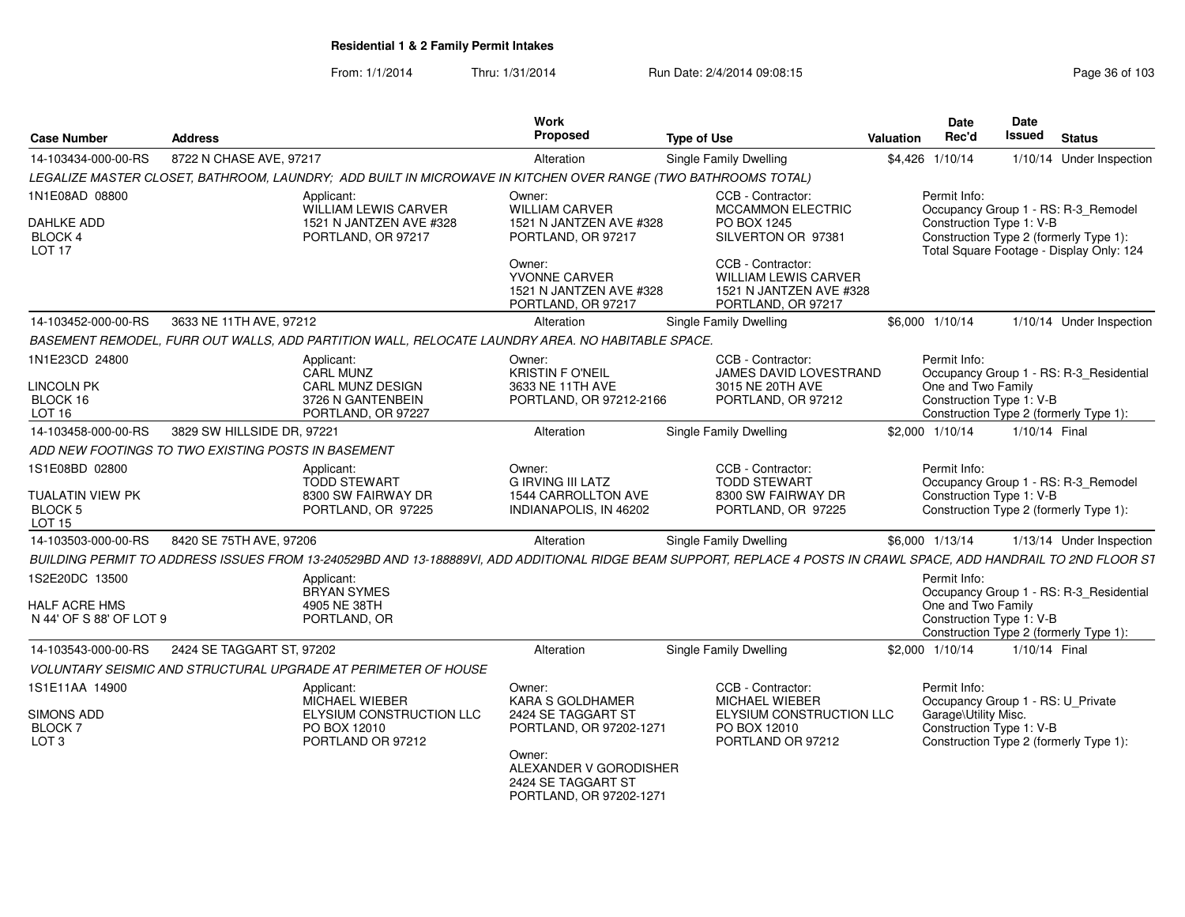| <b>Case Number</b>                                                     | <b>Address</b>             |                                                                                                                                                                     | Work<br>Proposed                                                                  | <b>Type of Use</b>                                                                                   | Valuation | <b>Date</b><br>Rec'd                                                                                                                            | <b>Date</b><br><b>Issued</b> | <b>Status</b>                                                                     |
|------------------------------------------------------------------------|----------------------------|---------------------------------------------------------------------------------------------------------------------------------------------------------------------|-----------------------------------------------------------------------------------|------------------------------------------------------------------------------------------------------|-----------|-------------------------------------------------------------------------------------------------------------------------------------------------|------------------------------|-----------------------------------------------------------------------------------|
| 14-103434-000-00-RS                                                    | 8722 N CHASE AVE, 97217    |                                                                                                                                                                     | Alteration                                                                        | Single Family Dwelling                                                                               |           | \$4,426 1/10/14                                                                                                                                 |                              | 1/10/14 Under Inspection                                                          |
|                                                                        |                            | LEGALIZE MASTER CLOSET, BATHROOM, LAUNDRY; ADD BUILT IN MICROWAVE IN KITCHEN OVER RANGE (TWO BATHROOMS TOTAL)                                                       |                                                                                   |                                                                                                      |           |                                                                                                                                                 |                              |                                                                                   |
| 1N1E08AD 08800                                                         |                            | Applicant:<br>WILLIAM LEWIS CARVER                                                                                                                                  | Owner:<br><b>WILLIAM CARVER</b><br>1521 N JANTZEN AVE #328                        | CCB - Contractor:<br><b>MCCAMMON ELECTRIC</b>                                                        |           | Permit Info:                                                                                                                                    |                              | Occupancy Group 1 - RS: R-3_Remodel                                               |
| <b>DAHLKE ADD</b><br><b>BLOCK 4</b><br>LOT <sub>17</sub>               |                            | 1521 N JANTZEN AVE #328<br>PORTLAND, OR 97217                                                                                                                       |                                                                                   | PO BOX 1245<br>SILVERTON OR 97381                                                                    |           | Construction Type 1: V-B<br>Construction Type 2 (formerly Type 1):<br>Total Square Footage - Display Only: 124                                  |                              |                                                                                   |
|                                                                        |                            |                                                                                                                                                                     | Owner:<br>YVONNE CARVER<br>1521 N JANTZEN AVE #328<br>PORTLAND, OR 97217          | CCB - Contractor:<br><b>WILLIAM LEWIS CARVER</b><br>1521 N JANTZEN AVE #328<br>PORTLAND, OR 97217    |           |                                                                                                                                                 |                              |                                                                                   |
| 14-103452-000-00-RS                                                    | 3633 NE 11TH AVE, 97212    |                                                                                                                                                                     | Alteration                                                                        | <b>Single Family Dwelling</b>                                                                        |           | \$6,000 1/10/14                                                                                                                                 |                              | 1/10/14 Under Inspection                                                          |
|                                                                        |                            | BASEMENT REMODEL, FURR OUT WALLS, ADD PARTITION WALL, RELOCATE LAUNDRY AREA. NO HABITABLE SPACE.                                                                    |                                                                                   |                                                                                                      |           |                                                                                                                                                 |                              |                                                                                   |
| 1N1E23CD 24800<br><b>LINCOLN PK</b><br>BLOCK 16<br>LOT <sub>16</sub>   |                            | Applicant:<br><b>CARL MUNZ</b><br><b>CARL MUNZ DESIGN</b><br>3726 N GANTENBEIN<br>PORTLAND, OR 97227                                                                | Owner:<br><b>KRISTIN F O'NEIL</b><br>3633 NE 11TH AVE<br>PORTLAND, OR 97212-2166  | CCB - Contractor:<br>JAMES DAVID LOVESTRAND<br>3015 NE 20TH AVE<br>PORTLAND, OR 97212                |           | Permit Info:<br>One and Two Family<br>Construction Type 1: V-B                                                                                  |                              | Occupancy Group 1 - RS: R-3_Residential<br>Construction Type 2 (formerly Type 1): |
| 14-103458-000-00-RS                                                    | 3829 SW HILLSIDE DR, 97221 |                                                                                                                                                                     | Alteration                                                                        | Single Family Dwelling                                                                               |           | \$2,000 1/10/14                                                                                                                                 | 1/10/14 Final                |                                                                                   |
| ADD NEW FOOTINGS TO TWO EXISTING POSTS IN BASEMENT                     |                            |                                                                                                                                                                     |                                                                                   |                                                                                                      |           |                                                                                                                                                 |                              |                                                                                   |
| 1S1E08BD 02800                                                         |                            | Applicant:                                                                                                                                                          | Owner:                                                                            | CCB - Contractor:                                                                                    |           | Permit Info:                                                                                                                                    |                              |                                                                                   |
| TUALATIN VIEW PK<br>BLOCK <sub>5</sub><br><b>LOT 15</b>                |                            | <b>TODD STEWART</b><br>8300 SW FAIRWAY DR<br>PORTLAND, OR 97225                                                                                                     | <b>G IRVING III LATZ</b><br>1544 CARROLLTON AVE<br>INDIANAPOLIS, IN 46202         | <b>TODD STEWART</b><br>8300 SW FAIRWAY DR<br>PORTLAND, OR 97225                                      |           | Construction Type 1: V-B                                                                                                                        |                              | Occupancy Group 1 - RS: R-3_Remodel<br>Construction Type 2 (formerly Type 1):     |
| 14-103503-000-00-RS                                                    | 8420 SE 75TH AVE, 97206    |                                                                                                                                                                     | Alteration                                                                        | Single Family Dwelling                                                                               |           | \$6,000 1/13/14                                                                                                                                 |                              | 1/13/14 Under Inspection                                                          |
|                                                                        |                            | BUILDING PERMIT TO ADDRESS ISSUES FROM 13-240529BD AND 13-188889VI, ADD ADDITIONAL RIDGE BEAM SUPPORT, REPLACE 4 POSTS IN CRAWL SPACE, ADD HANDRAIL TO 2ND FLOOR ST |                                                                                   |                                                                                                      |           |                                                                                                                                                 |                              |                                                                                   |
| 1S2E20DC 13500                                                         |                            | Applicant:<br><b>BRYAN SYMES</b>                                                                                                                                    |                                                                                   |                                                                                                      |           | Permit Info:                                                                                                                                    |                              | Occupancy Group 1 - RS: R-3_Residential                                           |
| HALF ACRE HMS<br>N 44' OF S 88' OF LOT 9                               |                            | 4905 NE 38TH<br>PORTLAND, OR                                                                                                                                        |                                                                                   |                                                                                                      |           | One and Two Family<br>Construction Type 1: V-B                                                                                                  |                              | Construction Type 2 (formerly Type 1):                                            |
| 14-103543-000-00-RS                                                    | 2424 SE TAGGART ST, 97202  |                                                                                                                                                                     | Alteration                                                                        | <b>Single Family Dwelling</b>                                                                        |           | \$2,000 1/10/14                                                                                                                                 | 1/10/14 Final                |                                                                                   |
|                                                                        |                            | <b>VOLUNTARY SEISMIC AND STRUCTURAL UPGRADE AT PERIMETER OF HOUSE</b>                                                                                               |                                                                                   |                                                                                                      |           |                                                                                                                                                 |                              |                                                                                   |
| 1S1E11AA 14900<br>SIMONS ADD<br>BLOCK <sub>7</sub><br>LOT <sub>3</sub> |                            | Applicant:<br>MICHAEL WIEBER<br>ELYSIUM CONSTRUCTION LLC<br>PO BOX 12010<br>PORTLAND OR 97212                                                                       | Owner:<br>KARA S GOLDHAMER<br>2424 SE TAGGART ST<br>PORTLAND, OR 97202-1271       | CCB - Contractor:<br>MICHAEL WIEBER<br>ELYSIUM CONSTRUCTION LLC<br>PO BOX 12010<br>PORTLAND OR 97212 |           | Permit Info:<br>Occupancy Group 1 - RS: U_Private<br>Garage\Utility Misc.<br>Construction Type 1: V-B<br>Construction Type 2 (formerly Type 1): |                              |                                                                                   |
|                                                                        |                            |                                                                                                                                                                     | Owner:<br>ALEXANDER V GORODISHER<br>2424 SE TAGGART ST<br>PORTLAND, OR 97202-1271 |                                                                                                      |           |                                                                                                                                                 |                              |                                                                                   |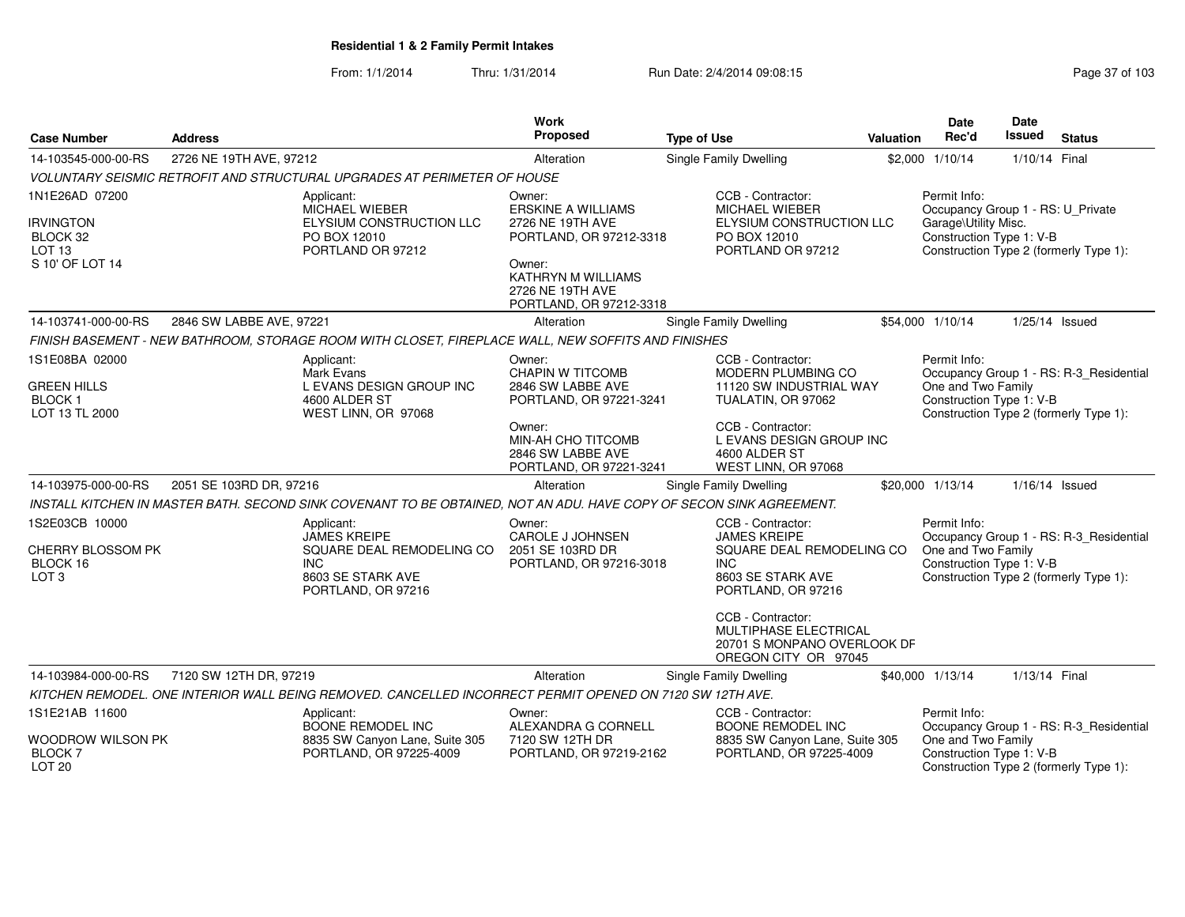| <b>Case Number</b><br><b>Address</b>                     |                          | <b>Work</b><br>Proposed                                                                                             | <b>Type of Use</b>                                                                 | <b>Valuation</b>                                                                                         | <b>Date</b><br>Rec'd                                                                     | <b>Date</b><br><b>Issued</b>                      | <b>Status</b>    |                                                                    |
|----------------------------------------------------------|--------------------------|---------------------------------------------------------------------------------------------------------------------|------------------------------------------------------------------------------------|----------------------------------------------------------------------------------------------------------|------------------------------------------------------------------------------------------|---------------------------------------------------|------------------|--------------------------------------------------------------------|
| 14-103545-000-00-RS                                      | 2726 NE 19TH AVE, 97212  |                                                                                                                     | Alteration                                                                         | <b>Single Family Dwelling</b>                                                                            |                                                                                          | \$2,000 1/10/14                                   | 1/10/14 Final    |                                                                    |
|                                                          |                          | VOLUNTARY SEISMIC RETROFIT AND STRUCTURAL UPGRADES AT PERIMETER OF HOUSE                                            |                                                                                    |                                                                                                          |                                                                                          |                                                   |                  |                                                                    |
| 1N1E26AD 07200                                           |                          | Applicant:<br>MICHAEL WIEBER                                                                                        | Owner:<br><b>ERSKINE A WILLIAMS</b>                                                | CCB - Contractor:<br><b>MICHAEL WIEBER</b>                                                               |                                                                                          | Permit Info:<br>Occupancy Group 1 - RS: U_Private |                  |                                                                    |
| <b>IRVINGTON</b><br>BLOCK 32<br>LOT <sub>13</sub>        |                          | ELYSIUM CONSTRUCTION LLC<br>PO BOX 12010<br>PORTLAND OR 97212                                                       | 2726 NE 19TH AVE<br>PORTLAND, OR 97212-3318                                        | PO BOX 12010<br>PORTLAND OR 97212                                                                        | ELYSIUM CONSTRUCTION LLC                                                                 |                                                   |                  | Construction Type 1: V-B<br>Construction Type 2 (formerly Type 1): |
| S 10' OF LOT 14                                          |                          |                                                                                                                     | Owner:<br><b>KATHRYN M WILLIAMS</b><br>2726 NE 19TH AVE<br>PORTLAND, OR 97212-3318 |                                                                                                          |                                                                                          |                                                   |                  |                                                                    |
| 14-103741-000-00-RS                                      | 2846 SW LABBE AVE, 97221 |                                                                                                                     | Alteration                                                                         | Single Family Dwelling                                                                                   |                                                                                          | \$54,000 1/10/14                                  | $1/25/14$ Issued |                                                                    |
|                                                          |                          | FINISH BASEMENT - NEW BATHROOM, STORAGE ROOM WITH CLOSET, FIREPLACE WALL, NEW SOFFITS AND FINISHES                  |                                                                                    |                                                                                                          |                                                                                          |                                                   |                  |                                                                    |
| 1S1E08BA 02000                                           |                          | Applicant:<br>Mark Evans                                                                                            | Owner:<br><b>CHAPIN W TITCOMB</b>                                                  | CCB - Contractor:<br><b>MODERN PLUMBING CO</b>                                                           |                                                                                          | Permit Info:                                      |                  | Occupancy Group 1 - RS: R-3_Residential                            |
| <b>GREEN HILLS</b><br><b>BLOCK1</b><br>LOT 13 TL 2000    |                          | L EVANS DESIGN GROUP INC<br>4600 ALDER ST<br>WEST LINN, OR 97068                                                    | 2846 SW LABBE AVE<br>PORTLAND, OR 97221-3241                                       | 11120 SW INDUSTRIAL WAY                                                                                  | One and Two Family<br>Construction Type 1: V-B<br>Construction Type 2 (formerly Type 1): |                                                   |                  |                                                                    |
|                                                          |                          |                                                                                                                     | Owner:<br>MIN-AH CHO TITCOMB<br>2846 SW LABBE AVE<br>PORTLAND, OR 97221-3241       | CCB - Contractor:<br>L EVANS DESIGN GROUP INC<br>4600 ALDER ST<br>WEST LINN, OR 97068                    |                                                                                          |                                                   |                  |                                                                    |
| 14-103975-000-00-RS                                      | 2051 SE 103RD DR, 97216  |                                                                                                                     | Alteration                                                                         | <b>Single Family Dwelling</b>                                                                            |                                                                                          | \$20,000 1/13/14                                  | $1/16/14$ Issued |                                                                    |
|                                                          |                          | INSTALL KITCHEN IN MASTER BATH. SECOND SINK COVENANT TO BE OBTAINED, NOT AN ADU. HAVE COPY OF SECON SINK AGREEMENT. |                                                                                    |                                                                                                          |                                                                                          |                                                   |                  |                                                                    |
| 1S2E03CB 10000                                           |                          | Applicant:<br><b>JAMES KREIPE</b>                                                                                   | Owner:<br><b>CAROLE J JOHNSEN</b>                                                  | CCB - Contractor:<br><b>JAMES KREIPE</b>                                                                 |                                                                                          | Permit Info:                                      |                  | Occupancy Group 1 - RS: R-3_Residential                            |
| CHERRY BLOSSOM PK<br>BLOCK 16<br>LOT <sub>3</sub>        |                          | SQUARE DEAL REMODELING CO<br><b>INC</b><br>8603 SE STARK AVE<br>PORTLAND, OR 97216                                  | 2051 SE 103RD DR<br>PORTLAND, OR 97216-3018                                        | SQUARE DEAL REMODELING CO<br>INC.<br>8603 SE STARK AVE<br>PORTLAND, OR 97216                             |                                                                                          | One and Two Family<br>Construction Type 1: V-B    |                  | Construction Type 2 (formerly Type 1):                             |
|                                                          |                          |                                                                                                                     |                                                                                    | CCB - Contractor:<br><b>MULTIPHASE ELECTRICAL</b><br>20701 S MONPANO OVERLOOK DF<br>OREGON CITY OR 97045 |                                                                                          |                                                   |                  |                                                                    |
| 14-103984-000-00-RS                                      | 7120 SW 12TH DR, 97219   |                                                                                                                     | Alteration                                                                         | Single Family Dwelling                                                                                   |                                                                                          | \$40,000 1/13/14                                  | 1/13/14 Final    |                                                                    |
|                                                          |                          | KITCHEN REMODEL. ONE INTERIOR WALL BEING REMOVED. CANCELLED INCORRECT PERMIT OPENED ON 7120 SW 12TH AVE.            |                                                                                    |                                                                                                          |                                                                                          |                                                   |                  |                                                                    |
| 1S1E21AB 11600                                           |                          | Applicant:<br><b>BOONE REMODEL INC</b>                                                                              | Owner:<br>ALEXANDRA G CORNELL                                                      | CCB - Contractor:<br><b>BOONE REMODEL INC</b>                                                            |                                                                                          | Permit Info:                                      |                  | Occupancy Group 1 - RS: R-3 Residential                            |
| WOODROW WILSON PK<br><b>BLOCK 7</b><br>LOT <sub>20</sub> |                          | 8835 SW Canyon Lane, Suite 305<br>PORTLAND, OR 97225-4009                                                           | 7120 SW 12TH DR<br>PORTLAND, OR 97219-2162                                         | 8835 SW Canyon Lane, Suite 305<br>PORTLAND, OR 97225-4009                                                |                                                                                          | One and Two Family<br>Construction Type 1: V-B    |                  | Construction Type 2 (formerly Type 1):                             |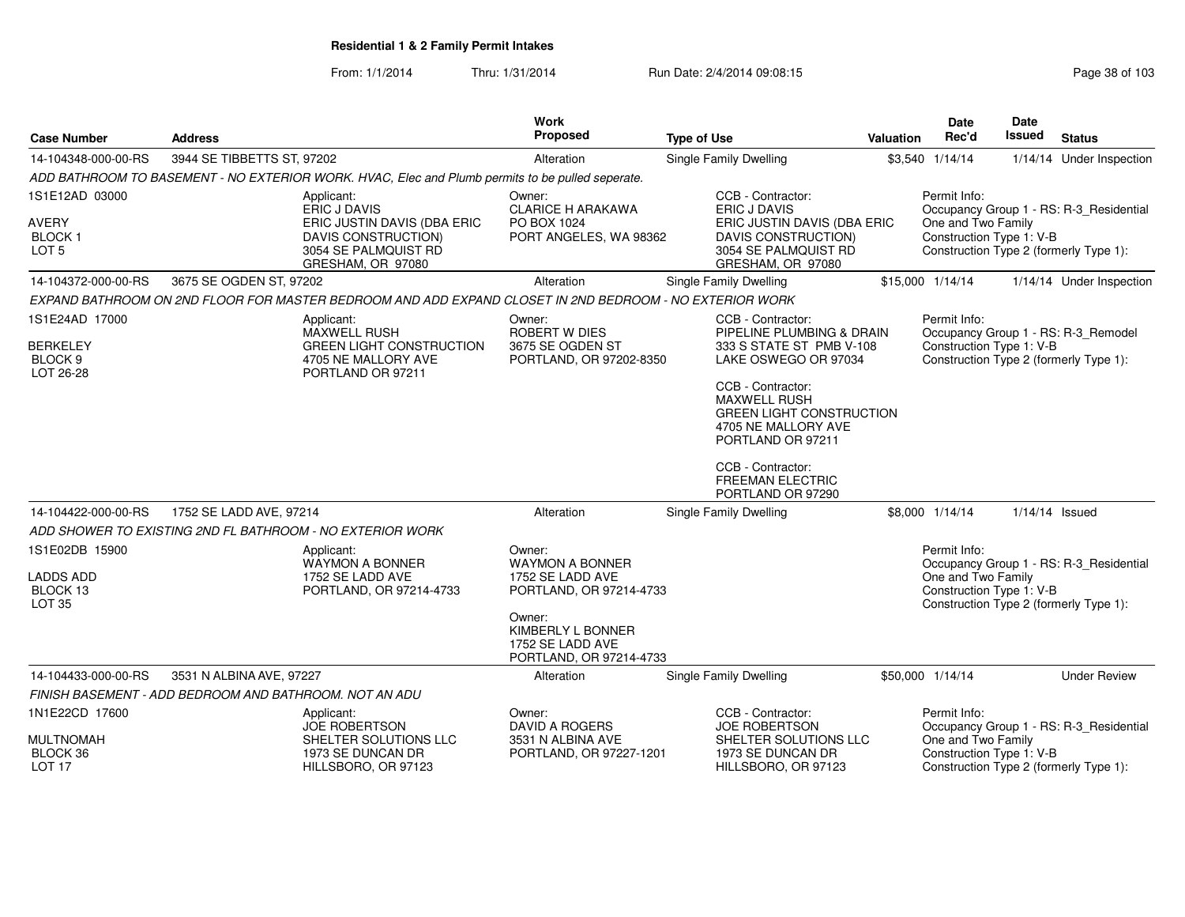| <b>Case Number</b>                                                   | <b>Address</b>                                         |                                                                                                                               | <b>Work</b><br>Proposed                                                                                                                                       | <b>Type of Use</b> |                                                                                                                                                                                                                                                                                                    | Valuation | <b>Date</b><br>Rec'd                                           | Date<br><b>Issued</b> | <b>Status</b>                                                                     |
|----------------------------------------------------------------------|--------------------------------------------------------|-------------------------------------------------------------------------------------------------------------------------------|---------------------------------------------------------------------------------------------------------------------------------------------------------------|--------------------|----------------------------------------------------------------------------------------------------------------------------------------------------------------------------------------------------------------------------------------------------------------------------------------------------|-----------|----------------------------------------------------------------|-----------------------|-----------------------------------------------------------------------------------|
| 14-104348-000-00-RS                                                  | 3944 SE TIBBETTS ST, 97202                             |                                                                                                                               | Alteration                                                                                                                                                    |                    | Single Family Dwelling                                                                                                                                                                                                                                                                             |           | \$3,540 1/14/14                                                |                       | 1/14/14 Under Inspection                                                          |
|                                                                      |                                                        | ADD BATHROOM TO BASEMENT - NO EXTERIOR WORK. HVAC, Elec and Plumb permits to be pulled seperate.                              |                                                                                                                                                               |                    |                                                                                                                                                                                                                                                                                                    |           |                                                                |                       |                                                                                   |
| 1S1E12AD 03000<br><b>AVERY</b><br><b>BLOCK1</b><br>LOT <sub>5</sub>  |                                                        | Applicant:<br>ERIC J DAVIS<br>ERIC JUSTIN DAVIS (DBA ERIC<br>DAVIS CONSTRUCTION)<br>3054 SE PALMQUIST RD<br>GRESHAM, OR 97080 | Owner:<br><b>CLARICE H ARAKAWA</b><br>PO BOX 1024<br>PORT ANGELES, WA 98362                                                                                   |                    | CCB - Contractor:<br>ERIC J DAVIS<br>ERIC JUSTIN DAVIS (DBA ERIC<br>DAVIS CONSTRUCTION)<br>3054 SE PALMQUIST RD<br>GRESHAM, OR 97080                                                                                                                                                               |           | Permit Info:<br>One and Two Family<br>Construction Type 1: V-B |                       | Occupancy Group 1 - RS: R-3_Residential<br>Construction Type 2 (formerly Type 1): |
| 14-104372-000-00-RS                                                  | 3675 SE OGDEN ST, 97202                                |                                                                                                                               | Alteration                                                                                                                                                    |                    | Single Family Dwelling                                                                                                                                                                                                                                                                             |           | \$15,000 1/14/14                                               |                       | 1/14/14 Under Inspection                                                          |
|                                                                      |                                                        | EXPAND BATHROOM ON 2ND FLOOR FOR MASTER BEDROOM AND ADD EXPAND CLOSET IN 2ND BEDROOM - NO EXTERIOR WORK                       |                                                                                                                                                               |                    |                                                                                                                                                                                                                                                                                                    |           |                                                                |                       |                                                                                   |
| 1S1E24AD 17000<br><b>BERKELEY</b><br>BLOCK <sub>9</sub><br>LOT 26-28 |                                                        | Applicant:<br><b>MAXWELL RUSH</b><br><b>GREEN LIGHT CONSTRUCTION</b><br>4705 NE MALLORY AVE<br>PORTLAND OR 97211              | Owner:<br>ROBERT W DIES<br>3675 SE OGDEN ST<br>PORTLAND, OR 97202-8350                                                                                        |                    | CCB - Contractor:<br>PIPELINE PLUMBING & DRAIN<br>333 S STATE ST PMB V-108<br>LAKE OSWEGO OR 97034<br>CCB - Contractor:<br><b>MAXWELL RUSH</b><br><b>GREEN LIGHT CONSTRUCTION</b><br>4705 NE MALLORY AVE<br>PORTLAND OR 97211<br>CCB - Contractor:<br><b>FREEMAN ELECTRIC</b><br>PORTLAND OR 97290 |           | Permit Info:<br>Construction Type 1: V-B                       |                       | Occupancy Group 1 - RS: R-3_Remodel<br>Construction Type 2 (formerly Type 1):     |
| 14-104422-000-00-RS                                                  | 1752 SE LADD AVE, 97214                                |                                                                                                                               | Alteration                                                                                                                                                    |                    | Single Family Dwelling                                                                                                                                                                                                                                                                             |           | \$8,000 1/14/14                                                | $1/14/14$ Issued      |                                                                                   |
|                                                                      |                                                        | ADD SHOWER TO EXISTING 2ND FL BATHROOM - NO EXTERIOR WORK                                                                     |                                                                                                                                                               |                    |                                                                                                                                                                                                                                                                                                    |           |                                                                |                       |                                                                                   |
| 1S1E02DB 15900<br><b>LADDS ADD</b><br>BLOCK 13<br><b>LOT 35</b>      |                                                        | Applicant:<br><b>WAYMON A BONNER</b><br>1752 SE LADD AVE<br>PORTLAND, OR 97214-4733                                           | Owner:<br><b>WAYMON A BONNER</b><br>1752 SE LADD AVE<br>PORTLAND, OR 97214-4733<br>Owner:<br>KIMBERLY L BONNER<br>1752 SE LADD AVE<br>PORTLAND, OR 97214-4733 |                    |                                                                                                                                                                                                                                                                                                    |           | Permit Info:<br>One and Two Family<br>Construction Type 1: V-B |                       | Occupancy Group 1 - RS: R-3_Residential<br>Construction Type 2 (formerly Type 1): |
| 14-104433-000-00-RS                                                  | 3531 N ALBINA AVE, 97227                               |                                                                                                                               | Alteration                                                                                                                                                    |                    | Single Family Dwelling                                                                                                                                                                                                                                                                             |           | \$50,000 1/14/14                                               |                       | <b>Under Review</b>                                                               |
|                                                                      | FINISH BASEMENT - ADD BEDROOM AND BATHROOM. NOT AN ADU |                                                                                                                               |                                                                                                                                                               |                    |                                                                                                                                                                                                                                                                                                    |           |                                                                |                       |                                                                                   |
| 1N1E22CD 17600<br><b>MULTNOMAH</b><br>BLOCK 36<br>LOT <sub>17</sub>  |                                                        | Applicant:<br><b>JOE ROBERTSON</b><br>SHELTER SOLUTIONS LLC<br>1973 SE DUNCAN DR<br>HILLSBORO, OR 97123                       | Owner:<br><b>DAVID A ROGERS</b><br>3531 N ALBINA AVE<br>PORTLAND, OR 97227-1201                                                                               |                    | CCB - Contractor:<br><b>JOE ROBERTSON</b><br>SHELTER SOLUTIONS LLC<br>1973 SE DUNCAN DR<br>HILLSBORO, OR 97123                                                                                                                                                                                     |           | Permit Info:<br>One and Two Family<br>Construction Type 1: V-B |                       | Occupancy Group 1 - RS: R-3_Residential<br>Construction Type 2 (formerly Type 1): |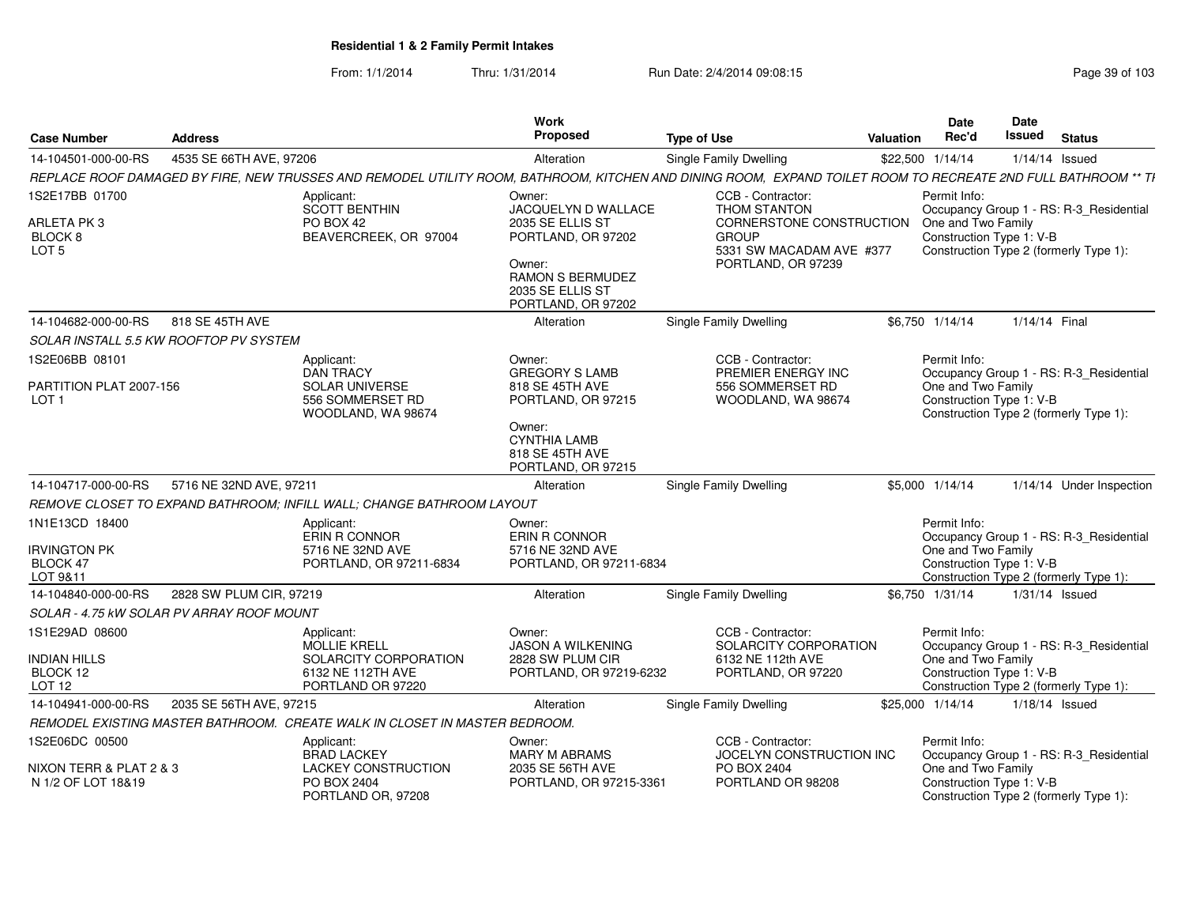| <b>Case Number</b>                                          | <b>Address</b>          |                                                                                                                                                               | <b>Work</b><br><b>Proposed</b>                                                                                 | <b>Type of Use</b>                                                                         | <b>Valuation</b> | Date<br>Rec'd                                  | Date<br><b>Issued</b> | <b>Status</b>                           |
|-------------------------------------------------------------|-------------------------|---------------------------------------------------------------------------------------------------------------------------------------------------------------|----------------------------------------------------------------------------------------------------------------|--------------------------------------------------------------------------------------------|------------------|------------------------------------------------|-----------------------|-----------------------------------------|
| 14-104501-000-00-RS                                         | 4535 SE 66TH AVE, 97206 |                                                                                                                                                               | Alteration                                                                                                     | Single Family Dwelling                                                                     |                  | \$22,500 1/14/14                               |                       | $1/14/14$ Issued                        |
|                                                             |                         | REPLACE ROOF DAMAGED BY FIRE, NEW TRUSSES AND REMODEL UTILITY ROOM, BATHROOM, KITCHEN AND DINING ROOM, EXPAND TOILET ROOM TO RECREATE 2ND FULL BATHROOM ** TH |                                                                                                                |                                                                                            |                  |                                                |                       |                                         |
| 1S2E17BB 01700                                              |                         | Applicant:<br><b>SCOTT BENTHIN</b>                                                                                                                            | Owner:<br>JACQUELYN D WALLACE                                                                                  | CCB - Contractor:<br>THOM STANTON                                                          |                  | Permit Info:                                   |                       | Occupancy Group 1 - RS: R-3_Residential |
| <b>ARLETA PK3</b><br>BLOCK <sub>8</sub><br>LOT <sub>5</sub> |                         | PO BOX 42<br>BEAVERCREEK, OR 97004                                                                                                                            | 2035 SE ELLIS ST<br>PORTLAND, OR 97202<br>Owner:<br>RAMON S BERMUDEZ<br>2035 SE ELLIS ST<br>PORTLAND, OR 97202 | CORNERSTONE CONSTRUCTION<br><b>GROUP</b><br>5331 SW MACADAM AVE #377<br>PORTLAND, OR 97239 |                  | One and Two Family<br>Construction Type 1: V-B |                       | Construction Type 2 (formerly Type 1):  |
| 14-104682-000-00-RS                                         | 818 SE 45TH AVE         |                                                                                                                                                               | Alteration                                                                                                     | Single Family Dwelling                                                                     |                  | \$6.750 1/14/14                                | 1/14/14 Final         |                                         |
| SOLAR INSTALL 5.5 KW ROOFTOP PV SYSTEM                      |                         |                                                                                                                                                               |                                                                                                                |                                                                                            |                  |                                                |                       |                                         |
| 1S2E06BB 08101                                              |                         | Applicant:<br><b>DAN TRACY</b>                                                                                                                                | Owner:<br><b>GREGORY S LAMB</b>                                                                                | CCB - Contractor:<br>PREMIER ENERGY INC                                                    |                  | Permit Info:                                   |                       | Occupancy Group 1 - RS: R-3_Residential |
| PARTITION PLAT 2007-156<br>LOT <sub>1</sub>                 |                         | <b>SOLAR UNIVERSE</b><br>556 SOMMERSET RD<br>WOODLAND, WA 98674                                                                                               | 818 SE 45TH AVE<br>PORTLAND, OR 97215                                                                          | 556 SOMMERSET RD<br>WOODLAND, WA 98674                                                     |                  | One and Two Family<br>Construction Type 1: V-B |                       | Construction Type 2 (formerly Type 1):  |
|                                                             |                         |                                                                                                                                                               | Owner:<br><b>CYNTHIA LAMB</b><br>818 SE 45TH AVE<br>PORTLAND, OR 97215                                         |                                                                                            |                  |                                                |                       |                                         |
| 14-104717-000-00-RS                                         | 5716 NE 32ND AVE, 97211 |                                                                                                                                                               | Alteration                                                                                                     | Single Family Dwelling                                                                     |                  | \$5,000 1/14/14                                |                       | 1/14/14 Under Inspection                |
|                                                             |                         | REMOVE CLOSET TO EXPAND BATHROOM; INFILL WALL; CHANGE BATHROOM LAYOUT                                                                                         |                                                                                                                |                                                                                            |                  |                                                |                       |                                         |
| 1N1E13CD 18400                                              |                         | Applicant:<br>ERIN R CONNOR                                                                                                                                   | Owner:<br>ERIN R CONNOR                                                                                        |                                                                                            |                  | Permit Info:                                   |                       | Occupancy Group 1 - RS: R-3_Residential |
| <b>IRVINGTON PK</b><br>BLOCK 47                             |                         | 5716 NE 32ND AVE                                                                                                                                              | 5716 NE 32ND AVE                                                                                               |                                                                                            |                  | One and Two Family<br>Construction Type 1: V-B |                       |                                         |
| LOT 9&11                                                    |                         | PORTLAND, OR 97211-6834                                                                                                                                       | PORTLAND, OR 97211-6834                                                                                        |                                                                                            |                  |                                                |                       | Construction Type 2 (formerly Type 1):  |
| 14-104840-000-00-RS                                         | 2828 SW PLUM CIR, 97219 |                                                                                                                                                               | Alteration                                                                                                     | Single Family Dwelling                                                                     |                  | \$6,750 1/31/14                                |                       | $1/31/14$ Issued                        |
| SOLAR - 4.75 kW SOLAR PV ARRAY ROOF MOUNT                   |                         |                                                                                                                                                               |                                                                                                                |                                                                                            |                  |                                                |                       |                                         |
| 1S1E29AD 08600                                              |                         | Applicant:<br><b>MOLLIE KRELL</b>                                                                                                                             | Owner:<br><b>JASON A WILKENING</b>                                                                             | CCB - Contractor:<br>SOLARCITY CORPORATION                                                 |                  | Permit Info:                                   |                       | Occupancy Group 1 - RS: R-3_Residential |
| <b>INDIAN HILLS</b><br>BLOCK 12<br>LOT <sub>12</sub>        |                         | SOLARCITY CORPORATION<br>6132 NE 112TH AVE<br>PORTLAND OR 97220                                                                                               | 2828 SW PLUM CIR<br>PORTLAND, OR 97219-6232                                                                    | 6132 NE 112th AVE<br>PORTLAND, OR 97220                                                    |                  | One and Two Family<br>Construction Type 1: V-B |                       | Construction Type 2 (formerly Type 1):  |
| 14-104941-000-00-RS                                         | 2035 SE 56TH AVE, 97215 |                                                                                                                                                               | Alteration                                                                                                     | Single Family Dwelling                                                                     |                  | \$25,000 1/14/14                               |                       | $1/18/14$ Issued                        |
|                                                             |                         | REMODEL EXISTING MASTER BATHROOM. CREATE WALK IN CLOSET IN MASTER BEDROOM.                                                                                    |                                                                                                                |                                                                                            |                  |                                                |                       |                                         |
| 1S2E06DC 00500                                              |                         | Applicant:                                                                                                                                                    | Owner:                                                                                                         | CCB - Contractor:                                                                          |                  | Permit Info:                                   |                       |                                         |
| NIXON TERR & PLAT 2 & 3<br>N 1/2 OF LOT 18&19               |                         | <b>BRAD LACKEY</b><br><b>LACKEY CONSTRUCTION</b><br>PO BOX 2404                                                                                               | MARY M ABRAMS<br>2035 SE 56TH AVE<br>PORTLAND, OR 97215-3361                                                   | JOCELYN CONSTRUCTION INC<br>PO BOX 2404<br>PORTLAND OR 98208                               |                  | One and Two Family<br>Construction Type 1: V-B |                       | Occupancy Group 1 - RS: R-3_Residential |
|                                                             |                         | PORTLAND OR, 97208                                                                                                                                            |                                                                                                                |                                                                                            |                  |                                                |                       | Construction Type 2 (formerly Type 1):  |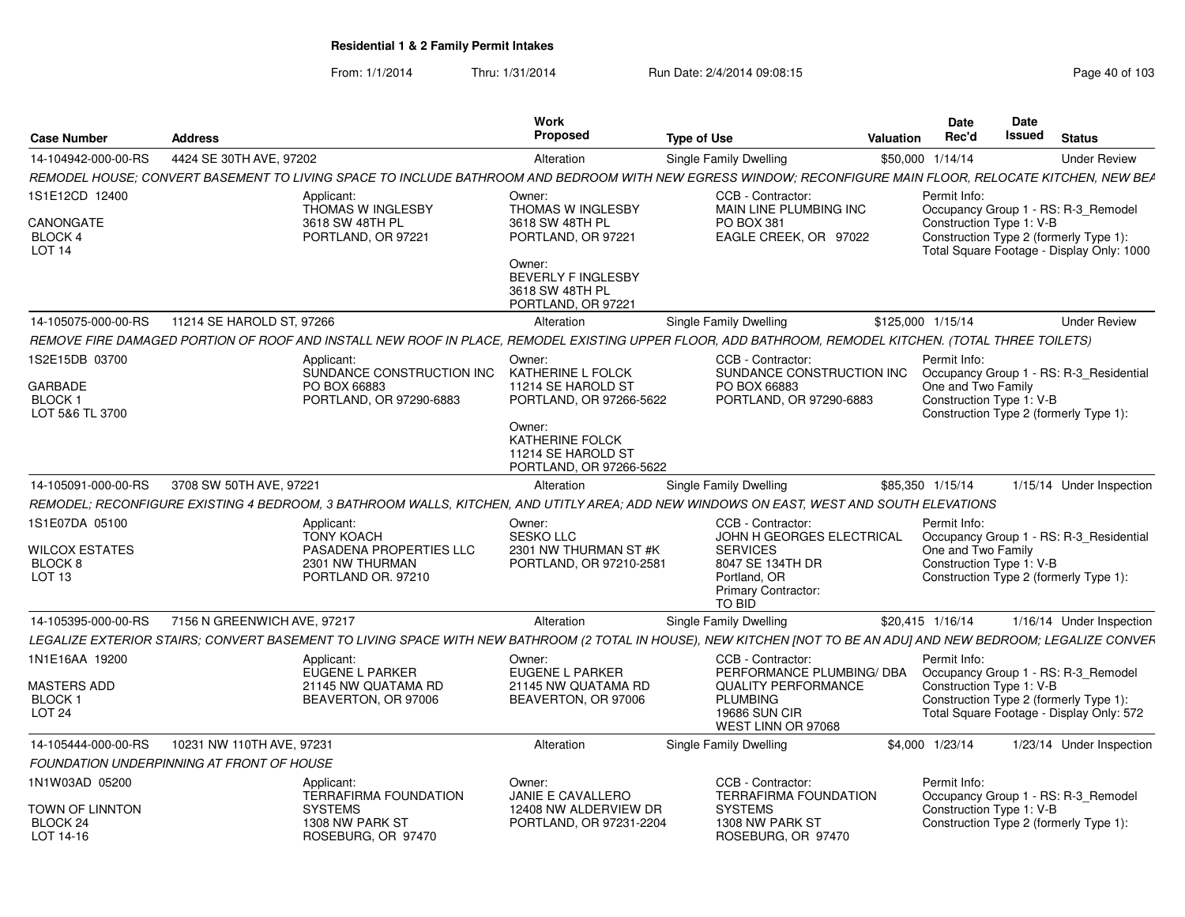| <b>Case Number</b>                                                                 | <b>Address</b>                            |                                                                                                                                                                  | <b>Work</b><br><b>Proposed</b>                                                                                     | <b>Type of Use</b>                                                                                     | Valuation                                               | Date<br>Rec'd                                                  | Date<br><b>Issued</b> | <b>Status</b>                                                                                                              |
|------------------------------------------------------------------------------------|-------------------------------------------|------------------------------------------------------------------------------------------------------------------------------------------------------------------|--------------------------------------------------------------------------------------------------------------------|--------------------------------------------------------------------------------------------------------|---------------------------------------------------------|----------------------------------------------------------------|-----------------------|----------------------------------------------------------------------------------------------------------------------------|
| 14-104942-000-00-RS                                                                | 4424 SE 30TH AVE, 97202                   |                                                                                                                                                                  | Alteration                                                                                                         | <b>Single Family Dwelling</b>                                                                          |                                                         | \$50,000 1/14/14                                               |                       | <b>Under Review</b>                                                                                                        |
|                                                                                    |                                           | REMODEL HOUSE; CONVERT BASEMENT TO LIVING SPACE TO INCLUDE BATHROOM AND BEDROOM WITH NEW EGRESS WINDOW; RECONFIGURE MAIN FLOOR, RELOCATE KITCHEN, NEW BEA        |                                                                                                                    |                                                                                                        |                                                         |                                                                |                       |                                                                                                                            |
| 1S1E12CD 12400<br>CANONGATE<br><b>BLOCK 4</b><br>LOT 14                            |                                           | Applicant:<br>THOMAS W INGLESBY<br>3618 SW 48TH PL<br>PORTLAND, OR 97221                                                                                         | Owner:<br><b>THOMAS W INGLESBY</b><br>3618 SW 48TH PL<br>PORTLAND, OR 97221<br>Owner:<br><b>BEVERLY F INGLESBY</b> | CCB - Contractor:<br>PO BOX 381                                                                        | MAIN LINE PLUMBING INC<br>EAGLE CREEK, OR 97022         | Permit Info:<br>Construction Type 1: V-B                       |                       | Occupancy Group 1 - RS: R-3_Remodel<br>Construction Type 2 (formerly Type 1):<br>Total Square Footage - Display Only: 1000 |
|                                                                                    |                                           |                                                                                                                                                                  | 3618 SW 48TH PL<br>PORTLAND, OR 97221                                                                              |                                                                                                        |                                                         |                                                                |                       |                                                                                                                            |
| 14-105075-000-00-RS                                                                | 11214 SE HAROLD ST, 97266                 |                                                                                                                                                                  | Alteration                                                                                                         | <b>Single Family Dwelling</b>                                                                          |                                                         | \$125,000 1/15/14                                              |                       | <b>Under Review</b>                                                                                                        |
|                                                                                    |                                           | REMOVE FIRE DAMAGED PORTION OF ROOF AND INSTALL NEW ROOF IN PLACE, REMODEL EXISTING UPPER FLOOR, ADD BATHROOM, REMODEL KITCHEN. (TOTAL THREE TOILETS)            |                                                                                                                    |                                                                                                        |                                                         |                                                                |                       |                                                                                                                            |
| 1S2E15DB 03700<br><b>GARBADE</b><br>BLOCK <sub>1</sub>                             |                                           | Applicant:<br>SUNDANCE CONSTRUCTION INC<br>PO BOX 66883<br>PORTLAND, OR 97290-6883                                                                               | Owner:<br>KATHERINE L FOLCK<br>11214 SE HAROLD ST<br>PORTLAND, OR 97266-5622                                       | CCB - Contractor:<br>PO BOX 66883                                                                      | SUNDANCE CONSTRUCTION INC<br>PORTLAND, OR 97290-6883    | Permit Info:<br>One and Two Family<br>Construction Type 1: V-B |                       | Occupancy Group 1 - RS: R-3_Residential                                                                                    |
| LOT 5&6 TL 3700                                                                    |                                           |                                                                                                                                                                  | Owner:<br>KATHERINE FOLCK<br>11214 SE HAROLD ST<br>PORTLAND, OR 97266-5622                                         |                                                                                                        |                                                         |                                                                |                       | Construction Type 2 (formerly Type 1):                                                                                     |
| 14-105091-000-00-RS                                                                | 3708 SW 50TH AVE, 97221                   |                                                                                                                                                                  | Alteration                                                                                                         | <b>Single Family Dwelling</b>                                                                          |                                                         | \$85,350 1/15/14                                               |                       | 1/15/14 Under Inspection                                                                                                   |
|                                                                                    |                                           | REMODEL; RECONFIGURE EXISTING 4 BEDROOM, 3 BATHROOM WALLS, KITCHEN, AND UTITLY AREA; ADD NEW WINDOWS ON EAST, WEST AND SOUTH ELEVATIONS                          |                                                                                                                    |                                                                                                        |                                                         |                                                                |                       |                                                                                                                            |
| 1S1E07DA 05100<br><b>WILCOX ESTATES</b><br>BLOCK <sub>8</sub><br>LOT <sub>13</sub> |                                           | Applicant:<br><b>TONY KOACH</b><br>PASADENA PROPERTIES LLC<br>2301 NW THURMAN<br>PORTLAND OR. 97210                                                              | Owner:<br><b>SESKO LLC</b><br>2301 NW THURMAN ST #K<br>PORTLAND, OR 97210-2581                                     | CCB - Contractor:<br><b>SERVICES</b><br>8047 SE 134TH DR<br>Portland, OR<br><b>Primary Contractor:</b> | JOHN H GEORGES ELECTRICAL                               | Permit Info:<br>One and Two Family<br>Construction Type 1: V-B |                       | Occupancy Group 1 - RS: R-3 Residential<br>Construction Type 2 (formerly Type 1):                                          |
|                                                                                    |                                           |                                                                                                                                                                  |                                                                                                                    | <b>TO BID</b>                                                                                          |                                                         |                                                                |                       |                                                                                                                            |
| 14-105395-000-00-RS                                                                | 7156 N GREENWICH AVE, 97217               | LEGALIZE EXTERIOR STAIRS; CONVERT BASEMENT TO LIVING SPACE WITH NEW BATHROOM (2 TOTAL IN HOUSE), NEW KITCHEN [NOT TO BE AN ADU] AND NEW BEDROOM; LEGALIZE CONVER | Alteration                                                                                                         | Single Family Dwelling                                                                                 |                                                         | \$20,415 1/16/14                                               |                       | 1/16/14 Under Inspection                                                                                                   |
| 1N1E16AA 19200                                                                     |                                           | Applicant:                                                                                                                                                       | Owner:                                                                                                             | CCB - Contractor:                                                                                      |                                                         | Permit Info:                                                   |                       |                                                                                                                            |
| MASTERS ADD<br><b>BLOCK1</b><br>LOT <sub>24</sub>                                  |                                           | <b>EUGENE L PARKER</b><br>21145 NW QUATAMA RD<br>BEAVERTON, OR 97006                                                                                             | EUGENE L PARKER<br>21145 NW QUATAMA RD<br>BEAVERTON, OR 97006                                                      | <b>PLUMBING</b><br><b>19686 SUN CIR</b><br>WEST LINN OR 97068                                          | PERFORMANCE PLUMBING/ DBA<br><b>QUALITY PERFORMANCE</b> | Construction Type 1: V-B                                       |                       | Occupancy Group 1 - RS: R-3 Remodel<br>Construction Type 2 (formerly Type 1):<br>Total Square Footage - Display Only: 572  |
| 14-105444-000-00-RS                                                                | 10231 NW 110TH AVE, 97231                 |                                                                                                                                                                  | Alteration                                                                                                         | Single Family Dwelling                                                                                 |                                                         | \$4,000 1/23/14                                                |                       | 1/23/14 Under Inspection                                                                                                   |
|                                                                                    | FOUNDATION UNDERPINNING AT FRONT OF HOUSE |                                                                                                                                                                  |                                                                                                                    |                                                                                                        |                                                         |                                                                |                       |                                                                                                                            |
| 1N1W03AD 05200<br><b>TOWN OF LINNTON</b>                                           |                                           | Applicant:<br><b>TERRAFIRMA FOUNDATION</b><br><b>SYSTEMS</b>                                                                                                     | Owner:<br><b>JANIE E CAVALLERO</b><br>12408 NW ALDERVIEW DR                                                        | CCB - Contractor:<br><b>SYSTEMS</b>                                                                    | <b>TERRAFIRMA FOUNDATION</b>                            | Permit Info:<br>Construction Type 1: V-B                       |                       | Occupancy Group 1 - RS: R-3_Remodel                                                                                        |
| BLOCK 24<br>LOT 14-16                                                              |                                           | 1308 NW PARK ST<br>ROSEBURG, OR 97470                                                                                                                            | PORTLAND, OR 97231-2204                                                                                            | 1308 NW PARK ST                                                                                        | ROSEBURG, OR 97470                                      |                                                                |                       | Construction Type 2 (formerly Type 1):                                                                                     |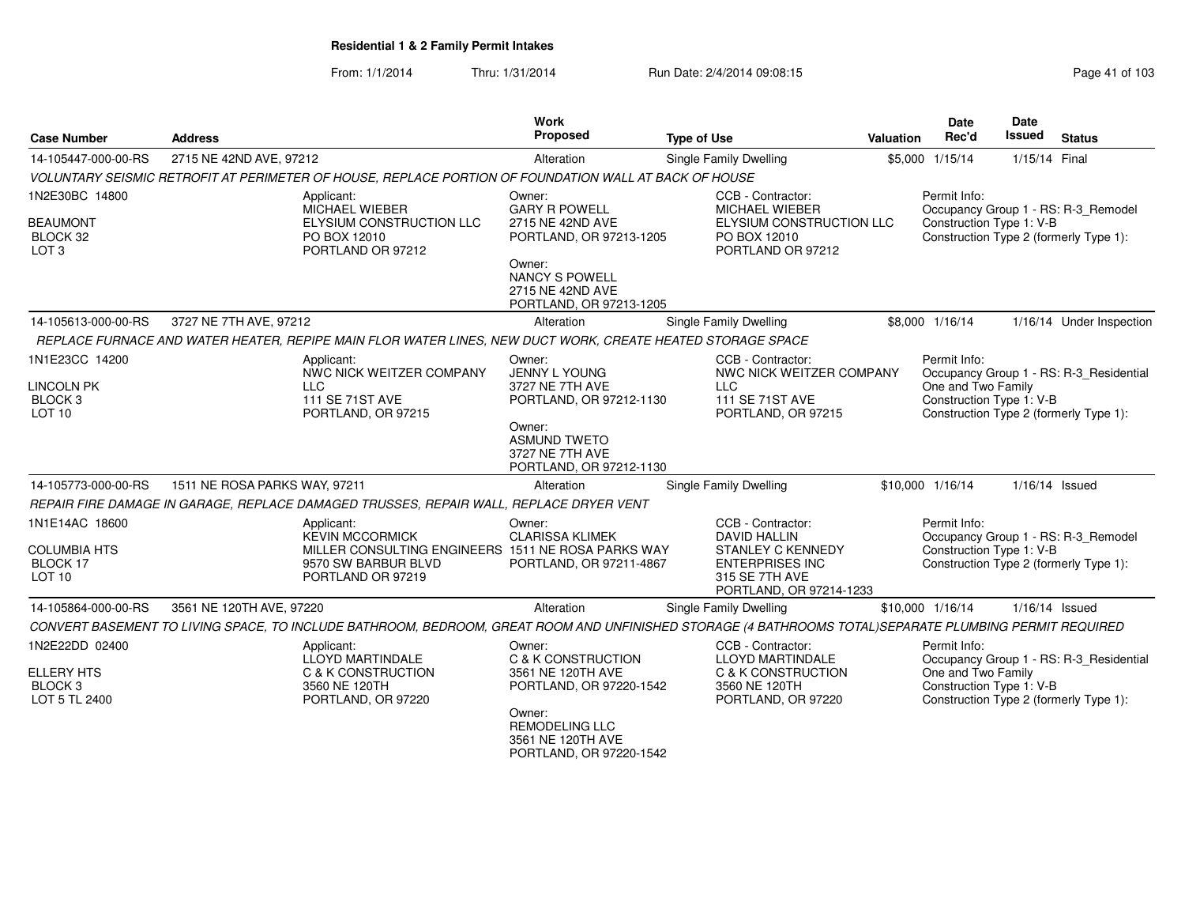From: 1/1/2014Thru: 1/31/2014 Run Date: 2/4/2014 09:08:15 Research 2010 103

| <b>Case Number</b>                                                             | <b>Address</b>                                                                                                                                         | <b>Work</b><br><b>Proposed</b>                                                                                                                                  | <b>Type of Use</b>                                                                                                                          | Valuation | <b>Date</b><br>Rec'd                                           | <b>Date</b><br><b>Issued</b> | <b>Status</b>                                                                     |
|--------------------------------------------------------------------------------|--------------------------------------------------------------------------------------------------------------------------------------------------------|-----------------------------------------------------------------------------------------------------------------------------------------------------------------|---------------------------------------------------------------------------------------------------------------------------------------------|-----------|----------------------------------------------------------------|------------------------------|-----------------------------------------------------------------------------------|
| 14-105447-000-00-RS                                                            | 2715 NE 42ND AVE, 97212                                                                                                                                | Alteration                                                                                                                                                      | Single Family Dwelling                                                                                                                      |           | \$5,000 1/15/14                                                | 1/15/14 Final                |                                                                                   |
|                                                                                | VOLUNTARY SEISMIC RETROFIT AT PERIMETER OF HOUSE, REPLACE PORTION OF FOUNDATION WALL AT BACK OF HOUSE                                                  |                                                                                                                                                                 |                                                                                                                                             |           |                                                                |                              |                                                                                   |
| 1N2E30BC 14800<br><b>BEAUMONT</b><br>BLOCK 32<br>LOT <sub>3</sub>              | Applicant:<br>MICHAEL WIEBER<br>ELYSIUM CONSTRUCTION LLC<br>PO BOX 12010<br>PORTLAND OR 97212                                                          | Owner:<br><b>GARY R POWELL</b><br>2715 NE 42ND AVE<br>PORTLAND, OR 97213-1205<br>Owner:<br><b>NANCY S POWELL</b><br>2715 NE 42ND AVE<br>PORTLAND, OR 97213-1205 | CCB - Contractor:<br>MICHAEL WIEBER<br>ELYSIUM CONSTRUCTION LLC<br>PO BOX 12010<br>PORTLAND OR 97212                                        |           | Permit Info:<br>Construction Type 1: V-B                       |                              | Occupancy Group 1 - RS: R-3_Remodel<br>Construction Type 2 (formerly Type 1):     |
| 14-105613-000-00-RS                                                            | 3727 NE 7TH AVE, 97212                                                                                                                                 | Alteration                                                                                                                                                      | <b>Single Family Dwelling</b>                                                                                                               |           | \$8,000 1/16/14                                                |                              | 1/16/14 Under Inspection                                                          |
|                                                                                | REPLACE FURNACE AND WATER HEATER, REPIPE MAIN FLOR WATER LINES, NEW DUCT WORK, CREATE HEATED STORAGE SPACE                                             |                                                                                                                                                                 |                                                                                                                                             |           |                                                                |                              |                                                                                   |
| 1N1E23CC 14200<br><b>LINCOLN PK</b><br>BLOCK <sub>3</sub><br>LOT <sub>10</sub> | Applicant:<br>NWC NICK WEITZER COMPANY<br><b>LLC</b><br>111 SE 71ST AVE<br>PORTLAND, OR 97215                                                          | Owner:<br>JENNY L YOUNG<br>3727 NE 7TH AVE<br>PORTLAND, OR 97212-1130<br>Owner:<br><b>ASMUND TWETO</b><br>3727 NE 7TH AVE<br>PORTLAND, OR 97212-1130            | CCB - Contractor:<br>NWC NICK WEITZER COMPANY<br><b>LLC</b><br>111 SE 71ST AVE<br>PORTLAND, OR 97215                                        |           | Permit Info:<br>One and Two Family<br>Construction Type 1: V-B |                              | Occupancy Group 1 - RS: R-3_Residential<br>Construction Type 2 (formerly Type 1): |
| 14-105773-000-00-RS                                                            | 1511 NE ROSA PARKS WAY, 97211                                                                                                                          | Alteration                                                                                                                                                      | Single Family Dwelling                                                                                                                      |           | \$10,000 1/16/14                                               | $1/16/14$ Issued             |                                                                                   |
|                                                                                | REPAIR FIRE DAMAGE IN GARAGE, REPLACE DAMAGED TRUSSES, REPAIR WALL, REPLACE DRYER VENT                                                                 |                                                                                                                                                                 |                                                                                                                                             |           |                                                                |                              |                                                                                   |
| 1N1E14AC 18600<br><b>COLUMBIA HTS</b><br>BLOCK 17<br>LOT <sub>10</sub>         | Applicant:<br><b>KEVIN MCCORMICK</b><br>MILLER CONSULTING ENGINEERS 1511 NE ROSA PARKS WAY<br>9570 SW BARBUR BLVD<br>PORTLAND OR 97219                 | Owner:<br><b>CLARISSA KLIMEK</b><br>PORTLAND, OR 97211-4867                                                                                                     | CCB - Contractor:<br><b>DAVID HALLIN</b><br><b>STANLEY C KENNEDY</b><br><b>ENTERPRISES INC</b><br>315 SE 7TH AVE<br>PORTLAND, OR 97214-1233 |           | Permit Info:<br>Construction Type 1: V-B                       |                              | Occupancy Group 1 - RS: R-3_Remodel<br>Construction Type 2 (formerly Type 1):     |
| 14-105864-000-00-RS                                                            | 3561 NE 120TH AVE, 97220                                                                                                                               | Alteration                                                                                                                                                      | <b>Single Family Dwelling</b>                                                                                                               |           | \$10,000 1/16/14                                               | $1/16/14$ Issued             |                                                                                   |
|                                                                                | CONVERT BASEMENT TO LIVING SPACE, TO INCLUDE BATHROOM, BEDROOM, GREAT ROOM AND UNFINISHED STORAGE (4 BATHROOMS TOTAL)SEPARATE PLUMBING PERMIT REQUIRED |                                                                                                                                                                 |                                                                                                                                             |           |                                                                |                              |                                                                                   |
| 1N2E22DD 02400<br><b>ELLERY HTS</b><br>BLOCK <sub>3</sub><br>LOT 5 TL 2400     | Applicant:<br>LLOYD MARTINDALE<br><b>C &amp; K CONSTRUCTION</b><br>3560 NE 120TH<br>PORTLAND, OR 97220                                                 | Owner:<br>C & K CONSTRUCTION<br>3561 NE 120TH AVE<br>PORTLAND, OR 97220-1542<br>Owner:<br><b>REMODELING LLC</b><br>3561 NE 120TH AVE                            | CCB - Contractor:<br>LLOYD MARTINDALE<br><b>C &amp; K CONSTRUCTION</b><br>3560 NE 120TH<br>PORTLAND, OR 97220                               |           | Permit Info:<br>One and Two Family<br>Construction Type 1: V-B |                              | Occupancy Group 1 - RS: R-3_Residential<br>Construction Type 2 (formerly Type 1): |

PORTLAND, OR 97220-1542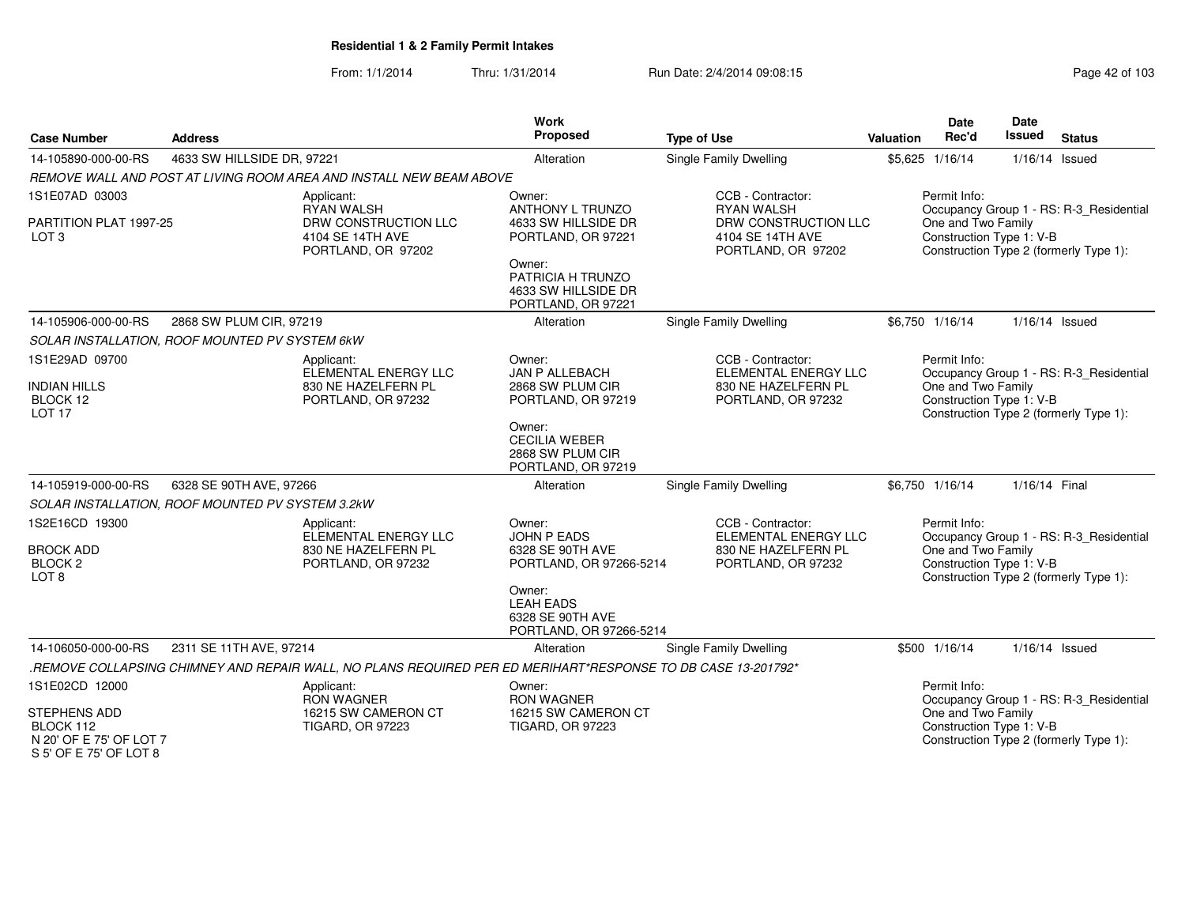| <b>Case Number</b>                                                             | <b>Address</b>                                   |                                                                                                              | Work<br>Proposed                                                          | <b>Type of Use</b>                                             |                                                         | <b>Valuation</b><br>\$5,625 1/16/14                                                      | <b>Date</b><br>Rec'd | Date<br><b>Issued</b>                   | <b>Status</b> |  |
|--------------------------------------------------------------------------------|--------------------------------------------------|--------------------------------------------------------------------------------------------------------------|---------------------------------------------------------------------------|----------------------------------------------------------------|---------------------------------------------------------|------------------------------------------------------------------------------------------|----------------------|-----------------------------------------|---------------|--|
| 14-105890-000-00-RS                                                            | 4633 SW HILLSIDE DR, 97221                       |                                                                                                              | Alteration                                                                | <b>Single Family Dwelling</b>                                  |                                                         |                                                                                          | 1/16/14 Issued       |                                         |               |  |
|                                                                                |                                                  | REMOVE WALL AND POST AT LIVING ROOM AREA AND INSTALL NEW BEAM ABOVE                                          |                                                                           |                                                                |                                                         |                                                                                          |                      |                                         |               |  |
| 1S1E07AD 03003                                                                 |                                                  | Applicant:<br><b>RYAN WALSH</b>                                                                              | Owner:<br>ANTHONY L TRUNZO                                                | CCB - Contractor:<br><b>RYAN WALSH</b>                         | Permit Info:<br>Occupancy Group 1 - RS: R-3_Residential |                                                                                          |                      |                                         |               |  |
| PARTITION PLAT 1997-25<br>LOT <sub>3</sub>                                     |                                                  | DRW CONSTRUCTION LLC<br>4104 SE 14TH AVE<br>PORTLAND, OR 97202                                               | 4633 SW HILLSIDE DR<br>PORTLAND, OR 97221                                 | DRW CONSTRUCTION LLC<br>4104 SE 14TH AVE<br>PORTLAND, OR 97202 | One and Two Family<br>Construction Type 1: V-B          | Construction Type 2 (formerly Type 1):                                                   |                      |                                         |               |  |
|                                                                                |                                                  |                                                                                                              | Owner:<br>PATRICIA H TRUNZO<br>4633 SW HILLSIDE DR<br>PORTLAND, OR 97221  |                                                                |                                                         |                                                                                          |                      |                                         |               |  |
| 14-105906-000-00-RS                                                            | 2868 SW PLUM CIR, 97219                          |                                                                                                              | Alteration                                                                | <b>Single Family Dwelling</b>                                  |                                                         | \$6,750 1/16/14                                                                          | 1/16/14 Issued       |                                         |               |  |
|                                                                                | SOLAR INSTALLATION, ROOF MOUNTED PV SYSTEM 6kW   |                                                                                                              |                                                                           |                                                                |                                                         |                                                                                          |                      |                                         |               |  |
| 1S1E29AD 09700                                                                 |                                                  | Applicant:<br>ELEMENTAL ENERGY LLC                                                                           | Owner:<br><b>JAN P ALLEBACH</b>                                           | CCB - Contractor:<br>ELEMENTAL ENERGY LLC                      |                                                         | Permit Info:                                                                             |                      | Occupancy Group 1 - RS: R-3_Residential |               |  |
| <b>INDIAN HILLS</b><br>BLOCK 12<br>LOT <sub>17</sub>                           |                                                  | 830 NE HAZELFERN PL<br>PORTLAND, OR 97232                                                                    | 2868 SW PLUM CIR<br>PORTLAND, OR 97219                                    | 830 NE HAZELFERN PL<br>PORTLAND, OR 97232                      |                                                         | One and Two Family<br>Construction Type 1: V-B<br>Construction Type 2 (formerly Type 1): |                      |                                         |               |  |
|                                                                                |                                                  |                                                                                                              | Owner:<br><b>CECILIA WEBER</b><br>2868 SW PLUM CIR<br>PORTLAND, OR 97219  |                                                                |                                                         |                                                                                          |                      |                                         |               |  |
| 14-105919-000-00-RS                                                            | 6328 SE 90TH AVE, 97266                          |                                                                                                              | Alteration                                                                | <b>Single Family Dwelling</b>                                  |                                                         | \$6.750 1/16/14                                                                          | 1/16/14 Final        |                                         |               |  |
|                                                                                | SOLAR INSTALLATION, ROOF MOUNTED PV SYSTEM 3.2kW |                                                                                                              |                                                                           |                                                                |                                                         |                                                                                          |                      |                                         |               |  |
| 1S2E16CD 19300                                                                 |                                                  | Applicant:<br>ELEMENTAL ENERGY LLC                                                                           | Owner:<br><b>JOHN P EADS</b>                                              | CCB - Contractor:<br>ELEMENTAL ENERGY LLC                      |                                                         | Permit Info:                                                                             |                      | Occupancy Group 1 - RS: R-3_Residential |               |  |
| <b>BROCK ADD</b><br>BLOCK <sub>2</sub><br>LOT <sub>8</sub>                     |                                                  | 830 NE HAZELFERN PL<br>PORTLAND, OR 97232                                                                    | 6328 SE 90TH AVE<br>PORTLAND, OR 97266-5214                               | 830 NE HAZELFERN PL<br>PORTLAND, OR 97232                      |                                                         | One and Two Family<br>Construction Type 1: V-B                                           |                      | Construction Type 2 (formerly Type 1):  |               |  |
|                                                                                |                                                  |                                                                                                              | Owner:<br><b>LEAH EADS</b><br>6328 SE 90TH AVE<br>PORTLAND, OR 97266-5214 |                                                                |                                                         |                                                                                          |                      |                                         |               |  |
| 14-106050-000-00-RS                                                            | 2311 SE 11TH AVE, 97214                          |                                                                                                              | Alteration                                                                | <b>Single Family Dwelling</b>                                  |                                                         | \$500 1/16/14                                                                            | 1/16/14 Issued       |                                         |               |  |
|                                                                                |                                                  | "REMOVE COLLAPSING CHIMNEY AND REPAIR WALL, NO PLANS REQUIRED PER ED MERIHART*RESPONSE TO DB CASE 13-201792. |                                                                           |                                                                |                                                         |                                                                                          |                      |                                         |               |  |
| 1S1E02CD 12000                                                                 |                                                  | Applicant:<br><b>RON WAGNER</b>                                                                              | Owner:<br><b>RON WAGNER</b>                                               |                                                                |                                                         | Permit Info:                                                                             |                      | Occupancy Group 1 - RS: R-3_Residential |               |  |
| STEPHENS ADD<br>BLOCK 112<br>N 20' OF E 75' OF LOT 7<br>S 5' OF E 75' OF LOT 8 |                                                  | 16215 SW CAMERON CT<br><b>TIGARD, OR 97223</b>                                                               | 16215 SW CAMERON CT<br><b>TIGARD, OR 97223</b>                            |                                                                |                                                         | One and Two Family<br>Construction Type 1: V-B                                           |                      | Construction Type 2 (formerly Type 1):  |               |  |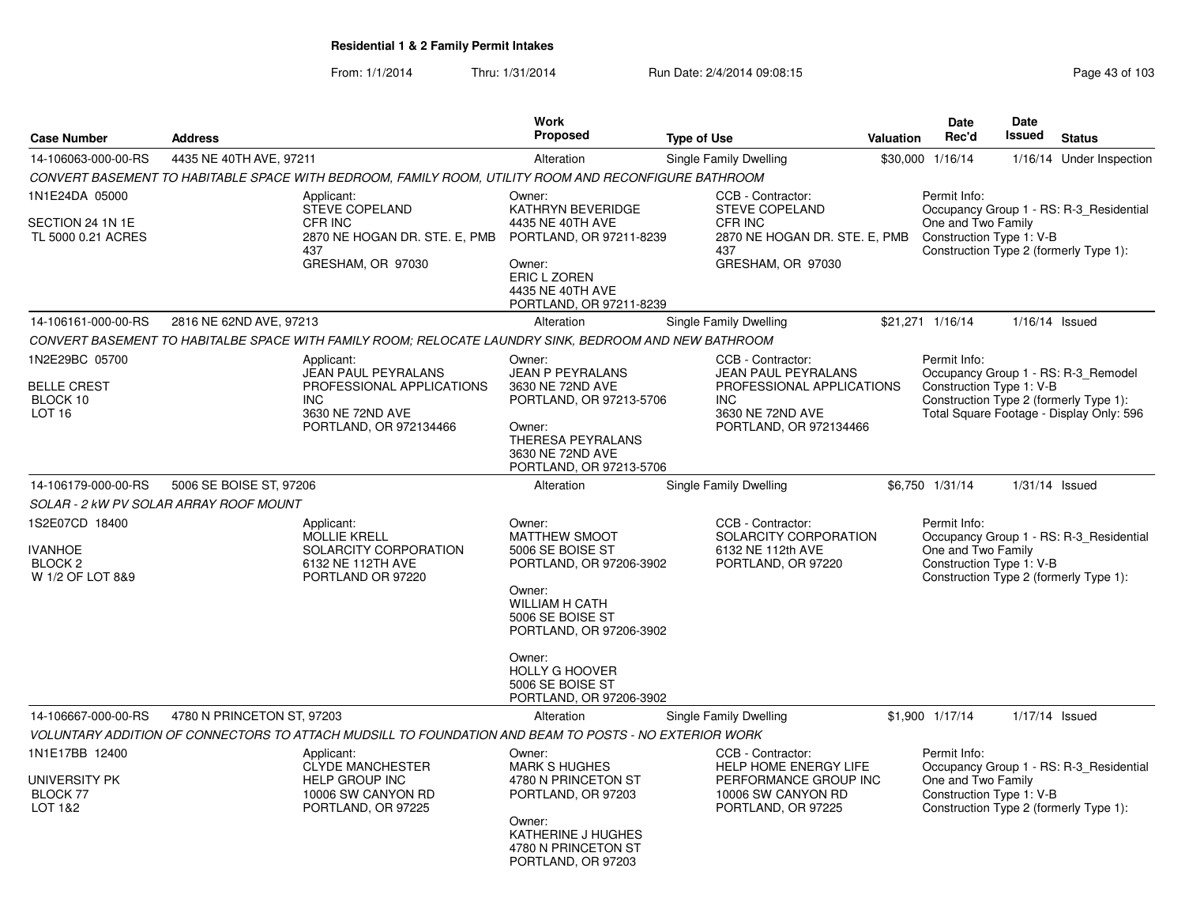|                                                                            |                                                                                                                                   |                                                                                                             | <b>Work</b>                                                                                                                                                                                                                                |                                                                                                                                          |                  | Date                                                                                                     | <b>Date</b>                                                                                                                                           |                                         |  |  |  |
|----------------------------------------------------------------------------|-----------------------------------------------------------------------------------------------------------------------------------|-------------------------------------------------------------------------------------------------------------|--------------------------------------------------------------------------------------------------------------------------------------------------------------------------------------------------------------------------------------------|------------------------------------------------------------------------------------------------------------------------------------------|------------------|----------------------------------------------------------------------------------------------------------|-------------------------------------------------------------------------------------------------------------------------------------------------------|-----------------------------------------|--|--|--|
| <b>Case Number</b>                                                         | <b>Address</b>                                                                                                                    |                                                                                                             | Proposed                                                                                                                                                                                                                                   | <b>Type of Use</b>                                                                                                                       | <b>Valuation</b> | Rec'd                                                                                                    | Issued                                                                                                                                                | <b>Status</b>                           |  |  |  |
| 14-106063-000-00-RS                                                        | 4435 NE 40TH AVE, 97211                                                                                                           |                                                                                                             | Alteration                                                                                                                                                                                                                                 | Single Family Dwelling                                                                                                                   |                  | \$30,000 1/16/14                                                                                         |                                                                                                                                                       | 1/16/14 Under Inspection                |  |  |  |
|                                                                            |                                                                                                                                   | CONVERT BASEMENT TO HABITABLE SPACE WITH BEDROOM, FAMILY ROOM, UTILITY ROOM AND RECONFIGURE BATHROOM        |                                                                                                                                                                                                                                            |                                                                                                                                          |                  |                                                                                                          |                                                                                                                                                       |                                         |  |  |  |
| 1N1E24DA 05000<br>SECTION 24 1N 1E<br>TL 5000 0.21 ACRES                   |                                                                                                                                   | Applicant:<br><b>STEVE COPELAND</b><br>CFR INC<br>2870 NE HOGAN DR. STE. E, PMB<br>437<br>GRESHAM, OR 97030 | Owner:<br>KATHRYN BEVERIDGE<br>4435 NE 40TH AVE<br>PORTLAND, OR 97211-8239<br>Owner:<br>ERIC L ZOREN<br>4435 NE 40TH AVE<br>PORTLAND, OR 97211-8239                                                                                        | CCB - Contractor:<br><b>STEVE COPELAND</b><br>CFR INC<br>2870 NE HOGAN DR. STE. E, PMB<br>437<br>GRESHAM, OR 97030                       |                  | Permit Info:<br>One and Two Family<br>Construction Type 1: V-B<br>Construction Type 2 (formerly Type 1): |                                                                                                                                                       | Occupancy Group 1 - RS: R-3 Residential |  |  |  |
| 14-106161-000-00-RS                                                        | 2816 NE 62ND AVE, 97213                                                                                                           |                                                                                                             | Alteration                                                                                                                                                                                                                                 | Single Family Dwelling                                                                                                                   |                  | \$21,271 1/16/14                                                                                         | $1/16/14$ Issued                                                                                                                                      |                                         |  |  |  |
|                                                                            |                                                                                                                                   | CONVERT BASEMENT TO HABITALBE SPACE WITH FAMILY ROOM; RELOCATE LAUNDRY SINK, BEDROOM AND NEW BATHROOM       |                                                                                                                                                                                                                                            |                                                                                                                                          |                  |                                                                                                          |                                                                                                                                                       |                                         |  |  |  |
| 1N2E29BC 05700<br><b>BELLE CREST</b><br>BLOCK 10<br>LOT <sub>16</sub>      | Applicant:<br><b>JEAN PAUL PEYRALANS</b><br>PROFESSIONAL APPLICATIONS<br><b>INC</b><br>3630 NE 72ND AVE<br>PORTLAND, OR 972134466 |                                                                                                             | Owner:<br><b>JEAN P PEYRALANS</b><br>3630 NE 72ND AVE<br>PORTLAND, OR 97213-5706<br>Owner:<br>THERESA PEYRALANS<br>3630 NE 72ND AVE<br>PORTLAND, OR 97213-5706                                                                             | CCB - Contractor:<br><b>JEAN PAUL PEYRALANS</b><br>PROFESSIONAL APPLICATIONS<br><b>INC</b><br>3630 NE 72ND AVE<br>PORTLAND, OR 972134466 |                  | Permit Info:                                                                                             | Occupancy Group 1 - RS: R-3 Remodel<br>Construction Type 1: V-B<br>Construction Type 2 (formerly Type 1):<br>Total Square Footage - Display Only: 596 |                                         |  |  |  |
| 14-106179-000-00-RS                                                        | 5006 SE BOISE ST, 97206                                                                                                           |                                                                                                             | Alteration                                                                                                                                                                                                                                 | Single Family Dwelling                                                                                                                   |                  | \$6,750 1/31/14                                                                                          | $1/31/14$ Issued                                                                                                                                      |                                         |  |  |  |
|                                                                            | SOLAR - 2 kW PV SOLAR ARRAY ROOF MOUNT                                                                                            |                                                                                                             |                                                                                                                                                                                                                                            |                                                                                                                                          |                  |                                                                                                          |                                                                                                                                                       |                                         |  |  |  |
| 1S2E07CD 18400<br><b>IVANHOE</b><br>BLOCK <sub>2</sub><br>W 1/2 OF LOT 8&9 |                                                                                                                                   | Applicant:<br><b>MOLLIE KRELL</b><br>SOLARCITY CORPORATION<br>6132 NE 112TH AVE<br>PORTLAND OR 97220        | Owner:<br><b>MATTHEW SMOOT</b><br>5006 SE BOISE ST<br>PORTLAND, OR 97206-3902<br>Owner:<br><b>WILLIAM H CATH</b><br>5006 SE BOISE ST<br>PORTLAND, OR 97206-3902<br>Owner:<br>HOLLY G HOOVER<br>5006 SE BOISE ST<br>PORTLAND, OR 97206-3902 | CCB - Contractor:<br>SOLARCITY CORPORATION<br>6132 NE 112th AVE<br>PORTLAND, OR 97220                                                    |                  | Permit Info:<br>One and Two Family<br>Construction Type 1: V-B<br>Construction Type 2 (formerly Type 1): |                                                                                                                                                       | Occupancy Group 1 - RS: R-3_Residential |  |  |  |
| 14-106667-000-00-RS                                                        | 4780 N PRINCETON ST, 97203                                                                                                        |                                                                                                             | Alteration                                                                                                                                                                                                                                 | Single Family Dwelling                                                                                                                   |                  | \$1,900 1/17/14                                                                                          | 1/17/14 Issued                                                                                                                                        |                                         |  |  |  |
|                                                                            |                                                                                                                                   | VOLUNTARY ADDITION OF CONNECTORS TO ATTACH MUDSILL TO FOUNDATION AND BEAM TO POSTS - NO EXTERIOR WORK       |                                                                                                                                                                                                                                            |                                                                                                                                          |                  |                                                                                                          |                                                                                                                                                       |                                         |  |  |  |
| 1N1E17BB 12400<br>UNIVERSITY PK<br><b>BLOCK 77</b><br>LOT 1&2              |                                                                                                                                   | Applicant:<br><b>CLYDE MANCHESTER</b><br><b>HELP GROUP INC</b><br>10006 SW CANYON RD<br>PORTLAND, OR 97225  | Owner:<br><b>MARK S HUGHES</b><br>4780 N PRINCETON ST<br>PORTLAND, OR 97203<br>Owner:<br>KATHERINE J HUGHES<br>4780 N PRINCETON ST<br>PORTLAND, OR 97203                                                                                   | CCB - Contractor:<br><b>HELP HOME ENERGY LIFE</b><br>PERFORMANCE GROUP INC<br>10006 SW CANYON RD<br>PORTLAND, OR 97225                   |                  | Permit Info:<br>One and Two Family<br>Construction Type 1: V-B<br>Construction Type 2 (formerly Type 1): |                                                                                                                                                       | Occupancy Group 1 - RS: R-3_Residential |  |  |  |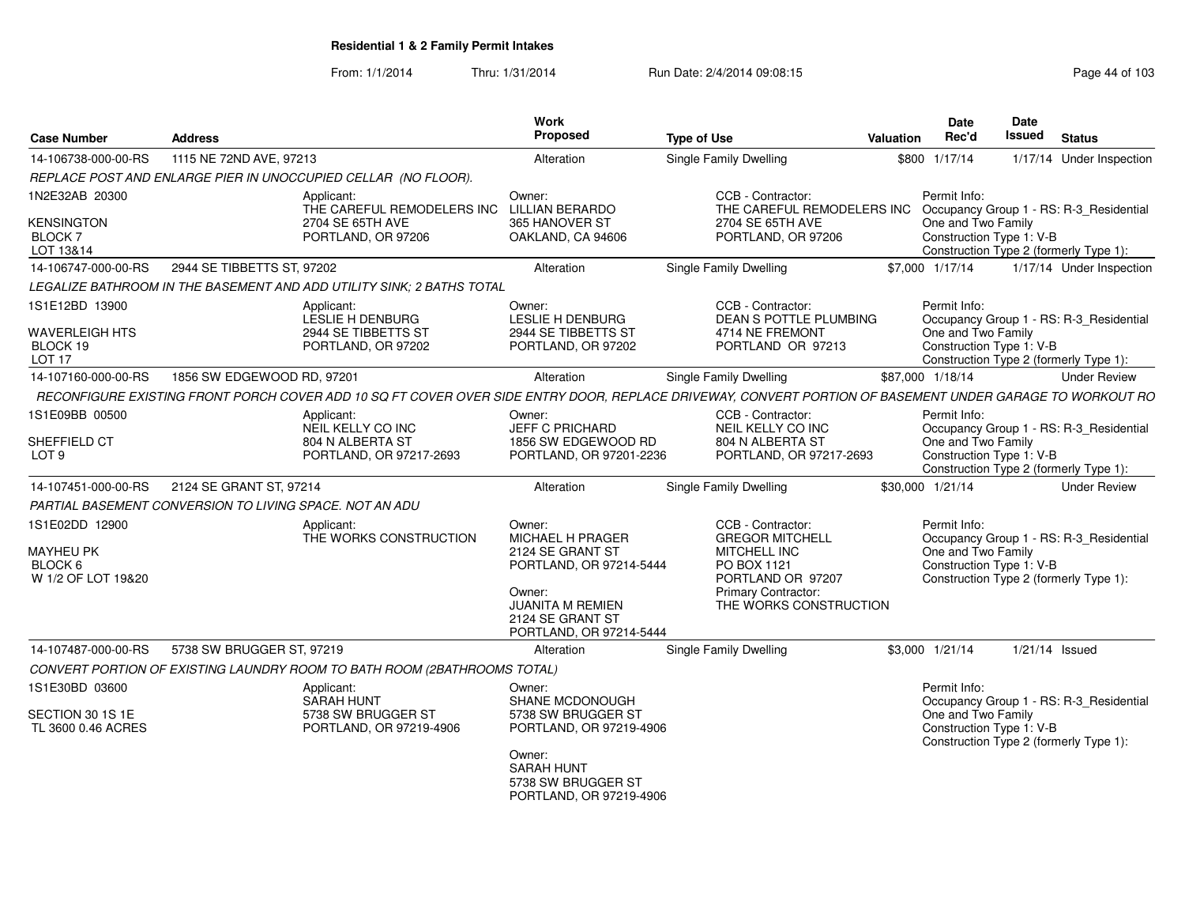| <b>Case Number</b>                                                       | <b>Address</b>                                                                                                                                           | Work<br>Proposed                                                                                                                                                     | <b>Type of Use</b>                                                                                                                               | <b>Valuation</b>                                                                                                                                    | Date<br>Rec'd                                                  | <b>Date</b><br><b>Issued</b> | <b>Status</b>                                                                     |  |
|--------------------------------------------------------------------------|----------------------------------------------------------------------------------------------------------------------------------------------------------|----------------------------------------------------------------------------------------------------------------------------------------------------------------------|--------------------------------------------------------------------------------------------------------------------------------------------------|-----------------------------------------------------------------------------------------------------------------------------------------------------|----------------------------------------------------------------|------------------------------|-----------------------------------------------------------------------------------|--|
| 14-106738-000-00-RS                                                      | 1115 NE 72ND AVE, 97213                                                                                                                                  | Alteration                                                                                                                                                           | <b>Single Family Dwelling</b>                                                                                                                    |                                                                                                                                                     | \$800 1/17/14                                                  |                              | 1/17/14 Under Inspection                                                          |  |
|                                                                          | REPLACE POST AND ENLARGE PIER IN UNOCCUPIED CELLAR (NO FLOOR).                                                                                           |                                                                                                                                                                      |                                                                                                                                                  |                                                                                                                                                     |                                                                |                              |                                                                                   |  |
| 1N2E32AB 20300<br><b>KENSINGTON</b><br><b>BLOCK7</b><br>LOT 13&14        | Applicant:<br>THE CAREFUL REMODELERS INC<br>2704 SE 65TH AVE<br>PORTLAND, OR 97206                                                                       | Owner:<br><b>LILLIAN BERARDO</b><br>365 HANOVER ST<br>OAKLAND, CA 94606                                                                                              | CCB - Contractor:<br>THE CAREFUL REMODELERS INC<br>2704 SE 65TH AVE<br>PORTLAND, OR 97206                                                        | Permit Info:<br>Occupancy Group 1 - RS: R-3_Residential<br>One and Two Family<br>Construction Type 1: V-B<br>Construction Type 2 (formerly Type 1): |                                                                |                              |                                                                                   |  |
| 14-106747-000-00-RS                                                      | 2944 SE TIBBETTS ST, 97202                                                                                                                               | Alteration                                                                                                                                                           | Single Family Dwelling                                                                                                                           |                                                                                                                                                     | \$7,000 1/17/14                                                |                              | 1/17/14 Under Inspection                                                          |  |
|                                                                          | LEGALIZE BATHROOM IN THE BASEMENT AND ADD UTILITY SINK: 2 BATHS TOTAL                                                                                    |                                                                                                                                                                      |                                                                                                                                                  |                                                                                                                                                     |                                                                |                              |                                                                                   |  |
| 1S1E12BD 13900<br><b>WAVERLEIGH HTS</b><br>BLOCK 19<br>LOT <sub>17</sub> | Applicant:<br><b>LESLIE H DENBURG</b><br>2944 SE TIBBETTS ST<br>PORTLAND, OR 97202                                                                       | Owner:<br>LESLIE H DENBURG<br>2944 SE TIBBETTS ST<br>PORTLAND, OR 97202                                                                                              | CCB - Contractor:<br>DEAN S POTTLE PLUMBING<br>4714 NE FREMONT<br>PORTLAND OR 97213                                                              |                                                                                                                                                     | Permit Info:<br>One and Two Family<br>Construction Type 1: V-B |                              | Occupancy Group 1 - RS: R-3_Residential<br>Construction Type 2 (formerly Type 1): |  |
| 14-107160-000-00-RS                                                      | 1856 SW EDGEWOOD RD, 97201                                                                                                                               | Alteration                                                                                                                                                           | Single Family Dwelling                                                                                                                           |                                                                                                                                                     | \$87,000 1/18/14                                               |                              | <b>Under Review</b>                                                               |  |
|                                                                          | RECONFIGURE EXISTING FRONT PORCH COVER ADD 10 SQ FT COVER OVER SIDE ENTRY DOOR, REPLACE DRIVEWAY, CONVERT PORTION OF BASEMENT UNDER GARAGE TO WORKOUT RO |                                                                                                                                                                      |                                                                                                                                                  |                                                                                                                                                     |                                                                |                              |                                                                                   |  |
| 1S1E09BB 00500<br>SHEFFIELD CT<br>LOT 9                                  | Applicant:<br>NEIL KELLY CO INC<br>804 N ALBERTA ST<br>PORTLAND, OR 97217-2693                                                                           | Owner:<br><b>JEFF C PRICHARD</b><br>1856 SW EDGEWOOD RD<br>PORTLAND, OR 97201-2236                                                                                   | CCB - Contractor:<br>NEIL KELLY CO INC<br>804 N ALBERTA ST<br>PORTLAND, OR 97217-2693                                                            |                                                                                                                                                     | Permit Info:<br>One and Two Family<br>Construction Type 1: V-B |                              | Occupancy Group 1 - RS: R-3_Residential<br>Construction Type 2 (formerly Type 1): |  |
| 14-107451-000-00-RS                                                      | 2124 SE GRANT ST, 97214                                                                                                                                  | Alteration                                                                                                                                                           | Single Family Dwelling                                                                                                                           |                                                                                                                                                     | \$30,000 1/21/14                                               |                              | <b>Under Review</b>                                                               |  |
|                                                                          | PARTIAL BASEMENT CONVERSION TO LIVING SPACE. NOT AN ADU                                                                                                  |                                                                                                                                                                      |                                                                                                                                                  |                                                                                                                                                     |                                                                |                              |                                                                                   |  |
| 1S1E02DD 12900<br>MAYHEU PK<br>BLOCK 6<br>W 1/2 OF LOT 19&20             | Applicant:<br>THE WORKS CONSTRUCTION                                                                                                                     | Owner:<br><b>MICHAEL H PRAGER</b><br>2124 SE GRANT ST<br>PORTLAND, OR 97214-5444<br>Owner:<br><b>JUANITA M REMIEN</b><br>2124 SE GRANT ST<br>PORTLAND, OR 97214-5444 | CCB - Contractor:<br><b>GREGOR MITCHELL</b><br>MITCHELL INC<br>PO BOX 1121<br>PORTLAND OR 97207<br>Primary Contractor:<br>THE WORKS CONSTRUCTION |                                                                                                                                                     | Permit Info:<br>One and Two Family<br>Construction Type 1: V-B |                              | Occupancy Group 1 - RS: R-3_Residential<br>Construction Type 2 (formerly Type 1): |  |
| 14-107487-000-00-RS                                                      | 5738 SW BRUGGER ST, 97219                                                                                                                                | Alteration                                                                                                                                                           | <b>Single Family Dwelling</b>                                                                                                                    |                                                                                                                                                     | \$3,000 1/21/14                                                | $1/21/14$ Issued             |                                                                                   |  |
|                                                                          | CONVERT PORTION OF EXISTING LAUNDRY ROOM TO BATH ROOM (2BATHROOMS TOTAL)                                                                                 |                                                                                                                                                                      |                                                                                                                                                  |                                                                                                                                                     |                                                                |                              |                                                                                   |  |
| 1S1E30BD 03600<br>SECTION 30 1S 1E<br>TL 3600 0.46 ACRES                 | Applicant:<br><b>SARAH HUNT</b><br>5738 SW BRUGGER ST<br>PORTLAND, OR 97219-4906                                                                         | Owner:<br><b>SHANE MCDONOUGH</b><br>5738 SW BRUGGER ST<br>PORTLAND, OR 97219-4906<br>Owner:<br><b>SARAH HUNT</b><br>5738 SW BRUGGER ST<br>PORTLAND, OR 97219-4906    |                                                                                                                                                  |                                                                                                                                                     | Permit Info:<br>One and Two Family<br>Construction Type 1: V-B |                              | Occupancy Group 1 - RS: R-3_Residential<br>Construction Type 2 (formerly Type 1): |  |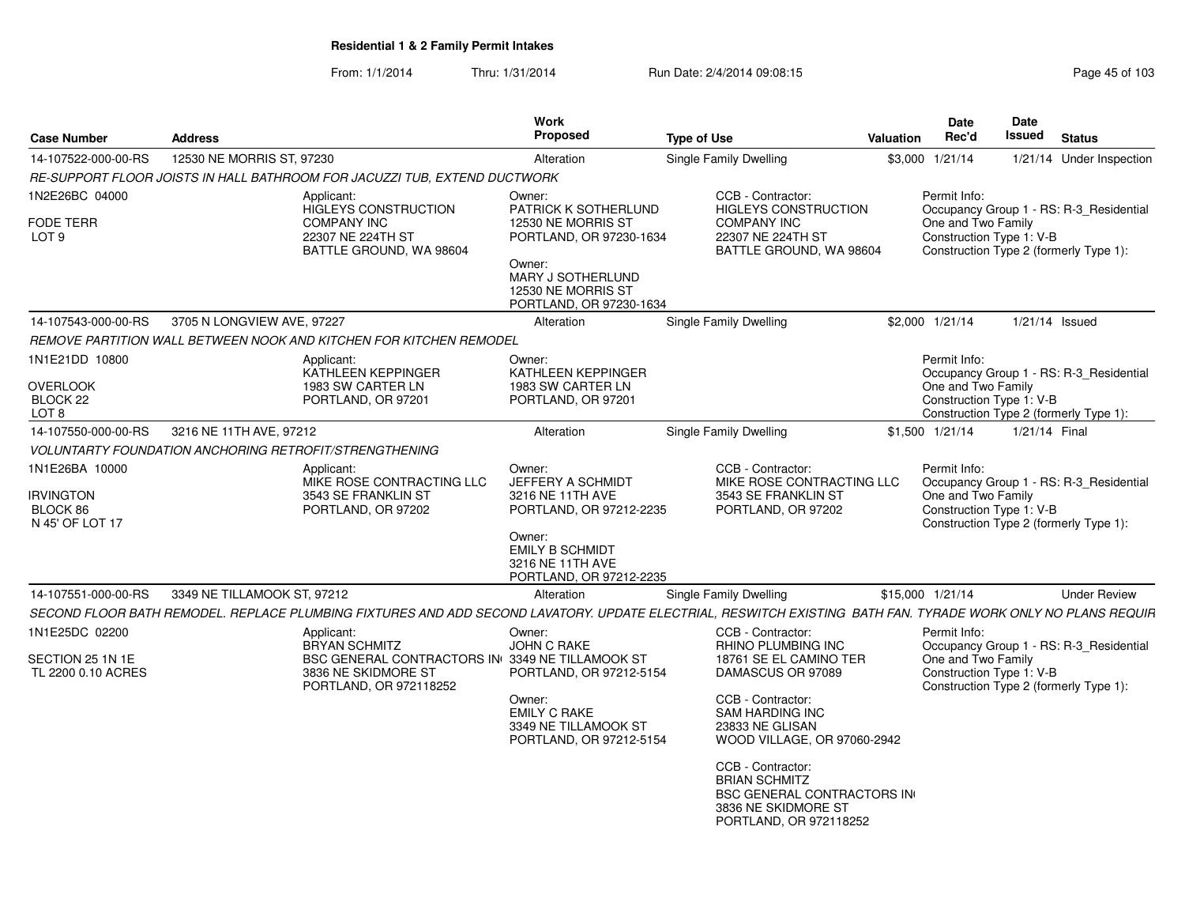|                                                            |                             |                                                                                                                                                              | <b>Work</b><br>Proposed                                                                                                                                         |                                                                                                                                                                                                |                  | <b>Date</b><br>Rec'd                                           | Date<br>Issued   |                                                                                   |  |  |
|------------------------------------------------------------|-----------------------------|--------------------------------------------------------------------------------------------------------------------------------------------------------------|-----------------------------------------------------------------------------------------------------------------------------------------------------------------|------------------------------------------------------------------------------------------------------------------------------------------------------------------------------------------------|------------------|----------------------------------------------------------------|------------------|-----------------------------------------------------------------------------------|--|--|
| <b>Case Number</b>                                         | <b>Address</b>              |                                                                                                                                                              |                                                                                                                                                                 | <b>Type of Use</b>                                                                                                                                                                             | <b>Valuation</b> |                                                                |                  | <b>Status</b>                                                                     |  |  |
| 14-107522-000-00-RS                                        | 12530 NE MORRIS ST, 97230   |                                                                                                                                                              | Alteration                                                                                                                                                      | Single Family Dwelling                                                                                                                                                                         |                  | \$3,000 1/21/14                                                |                  | 1/21/14 Under Inspection                                                          |  |  |
|                                                            |                             | RE-SUPPORT FLOOR JOISTS IN HALL BATHROOM FOR JACUZZI TUB, EXTEND DUCTWORK                                                                                    |                                                                                                                                                                 |                                                                                                                                                                                                |                  |                                                                |                  |                                                                                   |  |  |
| 1N2E26BC 04000<br><b>FODE TERR</b><br>LOT <sub>9</sub>     |                             | Applicant:<br><b>HIGLEYS CONSTRUCTION</b><br><b>COMPANY INC</b><br>22307 NE 224TH ST<br>BATTLE GROUND, WA 98604                                              | Owner:<br>PATRICK K SOTHERLUND<br>12530 NE MORRIS ST<br>PORTLAND, OR 97230-1634<br>Owner:<br>MARY J SOTHERLUND<br>12530 NE MORRIS ST<br>PORTLAND, OR 97230-1634 | CCB - Contractor:<br><b>HIGLEYS CONSTRUCTION</b><br><b>COMPANY INC</b><br>22307 NE 224TH ST<br>BATTLE GROUND, WA 98604                                                                         |                  | Permit Info:<br>One and Two Family<br>Construction Type 1: V-B |                  | Occupancy Group 1 - RS: R-3_Residential<br>Construction Type 2 (formerly Type 1): |  |  |
| 14-107543-000-00-RS                                        | 3705 N LONGVIEW AVE, 97227  |                                                                                                                                                              | Alteration                                                                                                                                                      | <b>Single Family Dwelling</b>                                                                                                                                                                  |                  | \$2,000 1/21/14                                                | $1/21/14$ Issued |                                                                                   |  |  |
|                                                            |                             | REMOVE PARTITION WALL BETWEEN NOOK AND KITCHEN FOR KITCHEN REMODEL                                                                                           |                                                                                                                                                                 |                                                                                                                                                                                                |                  |                                                                |                  |                                                                                   |  |  |
| 1N1E21DD 10800                                             |                             | Applicant:                                                                                                                                                   | Owner:                                                                                                                                                          |                                                                                                                                                                                                |                  | Permit Info:                                                   |                  |                                                                                   |  |  |
| <b>OVERLOOK</b><br>BLOCK 22<br>LOT <sub>8</sub>            |                             | KATHLEEN KEPPINGER<br>1983 SW CARTER LN<br>PORTLAND, OR 97201                                                                                                | KATHLEEN KEPPINGER<br>1983 SW CARTER LN<br>PORTLAND, OR 97201                                                                                                   |                                                                                                                                                                                                |                  | One and Two Family<br>Construction Type 1: V-B                 |                  | Occupancy Group 1 - RS: R-3 Residential<br>Construction Type 2 (formerly Type 1): |  |  |
| 14-107550-000-00-RS                                        | 3216 NE 11TH AVE, 97212     |                                                                                                                                                              | Alteration                                                                                                                                                      | Single Family Dwelling                                                                                                                                                                         |                  | \$1,500 1/21/14                                                | 1/21/14 Final    |                                                                                   |  |  |
|                                                            |                             | <b>VOLUNTARTY FOUNDATION ANCHORING RETROFIT/STRENGTHENING</b>                                                                                                |                                                                                                                                                                 |                                                                                                                                                                                                |                  |                                                                |                  |                                                                                   |  |  |
| 1N1E26BA 10000<br>IRVINGTON<br>BLOCK 86<br>N 45' OF LOT 17 |                             | Applicant:<br>MIKE ROSE CONTRACTING LLC<br>3543 SE FRANKLIN ST<br>PORTLAND, OR 97202                                                                         | Owner:<br>JEFFERY A SCHMIDT<br>3216 NE 11TH AVE<br>PORTLAND, OR 97212-2235<br>Owner:<br><b>EMILY B SCHMIDT</b><br>3216 NE 11TH AVE                              | CCB - Contractor:<br>MIKE ROSE CONTRACTING LLC<br>3543 SE FRANKLIN ST<br>PORTLAND, OR 97202                                                                                                    |                  | Permit Info:<br>One and Two Family<br>Construction Type 1: V-B |                  | Occupancy Group 1 - RS: R-3_Residential<br>Construction Type 2 (formerly Type 1): |  |  |
|                                                            |                             |                                                                                                                                                              | PORTLAND, OR 97212-2235                                                                                                                                         |                                                                                                                                                                                                |                  |                                                                |                  |                                                                                   |  |  |
| 14-107551-000-00-RS                                        | 3349 NE TILLAMOOK ST, 97212 |                                                                                                                                                              | Alteration                                                                                                                                                      | Single Family Dwelling                                                                                                                                                                         |                  | \$15,000 1/21/14                                               |                  | <b>Under Review</b>                                                               |  |  |
|                                                            |                             | SECOND FLOOR BATH REMODEL. REPLACE PLUMBING FIXTURES AND ADD SECOND LAVATORY. UPDATE ELECTRIAL, RESWITCH EXISTING BATH FAN. TYRADE WORK ONLY NO PLANS REQUIR |                                                                                                                                                                 |                                                                                                                                                                                                |                  |                                                                |                  |                                                                                   |  |  |
| 1N1E25DC 02200<br>SECTION 25 1N 1E<br>TL 2200 0.10 ACRES   |                             | Applicant:<br><b>BRYAN SCHMITZ</b><br>BSC GENERAL CONTRACTORS IN 3349 NE TILLAMOOK ST<br>3836 NE SKIDMORE ST<br>PORTLAND, OR 972118252                       | Owner:<br><b>JOHN C RAKE</b><br>PORTLAND, OR 97212-5154<br>Owner:<br><b>EMILY C RAKE</b><br>3349 NE TILLAMOOK ST<br>PORTLAND, OR 97212-5154                     | CCB - Contractor:<br><b>RHINO PLUMBING INC</b><br>18761 SE EL CAMINO TER<br>DAMASCUS OR 97089<br>CCB - Contractor:<br><b>SAM HARDING INC</b><br>23833 NE GLISAN<br>WOOD VILLAGE, OR 97060-2942 |                  | Permit Info:<br>One and Two Family<br>Construction Type 1: V-B |                  | Occupancy Group 1 - RS: R-3 Residential<br>Construction Type 2 (formerly Type 1): |  |  |
|                                                            |                             |                                                                                                                                                              |                                                                                                                                                                 | CCB - Contractor:<br><b>BRIAN SCHMITZ</b><br><b>BSC GENERAL CONTRACTORS IN</b><br>3836 NE SKIDMORE ST<br>PORTLAND, OR 972118252                                                                |                  |                                                                |                  |                                                                                   |  |  |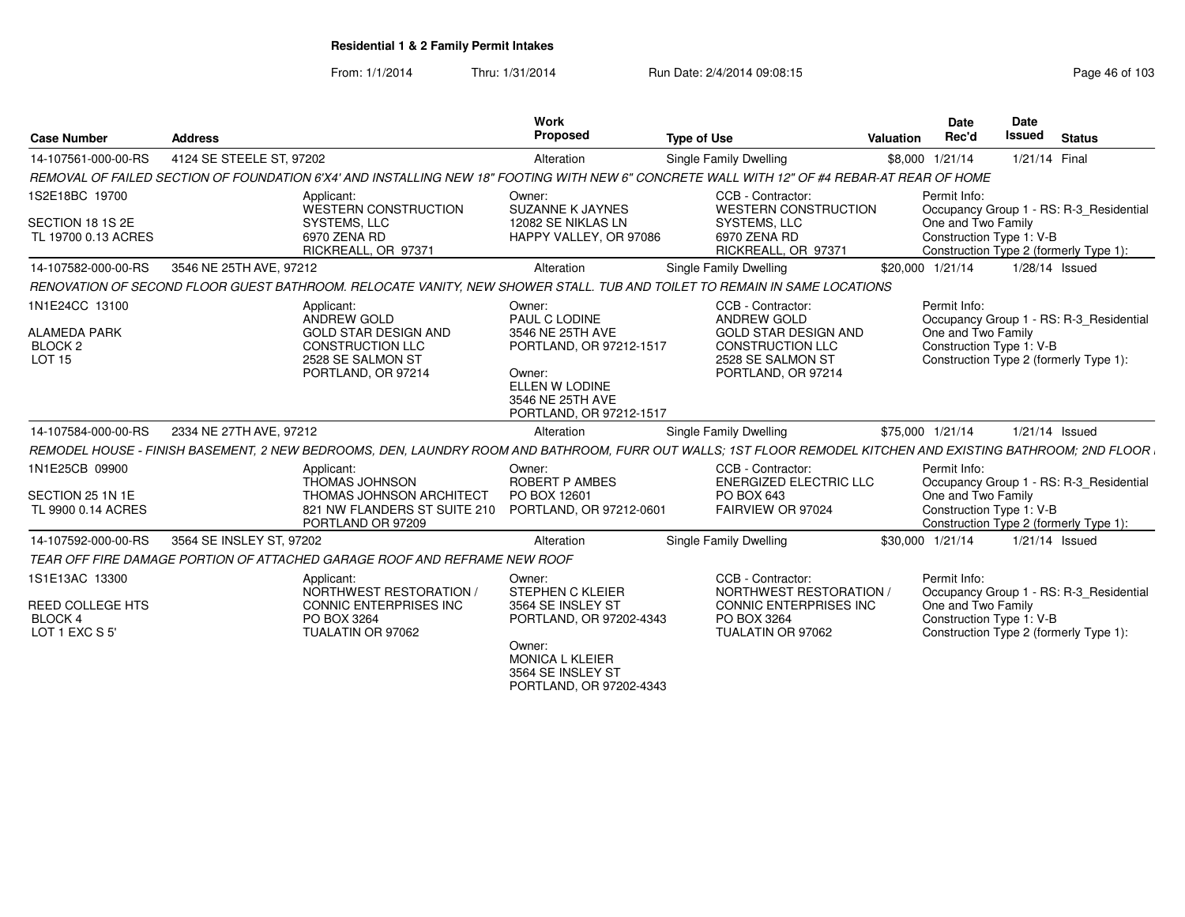From: 1/1/2014Thru: 1/31/2014 Run Date: 2/4/2014 09:08:15 Research 2010 103

| <b>Case Number</b>                                                           | <b>Address</b>                                                                                                                                                | Work<br>Proposed                                                                                                                                  | <b>Type of Use</b>                                                                                                                    | Valuation        | <b>Date</b><br>Rec'd                                                                                                                                | <b>Date</b><br><b>Issued</b> | <b>Status</b>  |  |
|------------------------------------------------------------------------------|---------------------------------------------------------------------------------------------------------------------------------------------------------------|---------------------------------------------------------------------------------------------------------------------------------------------------|---------------------------------------------------------------------------------------------------------------------------------------|------------------|-----------------------------------------------------------------------------------------------------------------------------------------------------|------------------------------|----------------|--|
| 14-107561-000-00-RS                                                          | 4124 SE STEELE ST. 97202                                                                                                                                      | Alteration                                                                                                                                        | Single Family Dwelling                                                                                                                |                  | \$8,000 1/21/14                                                                                                                                     |                              | 1/21/14 Final  |  |
|                                                                              | REMOVAL OF FAILED SECTION OF FOUNDATION 6'X4' AND INSTALLING NEW 18" FOOTING WITH NEW 6" CONCRETE WALL WITH 12" OF #4 REBAR-AT REAR OF HOME                   |                                                                                                                                                   |                                                                                                                                       |                  |                                                                                                                                                     |                              |                |  |
| 1S2E18BC 19700<br>SECTION 18 1S 2E<br>TL 19700 0.13 ACRES                    | Applicant:<br>WESTERN CONSTRUCTION<br>SYSTEMS, LLC<br>6970 ZENA RD<br>RICKREALL, OR 97371                                                                     | Owner:<br><b>SUZANNE K JAYNES</b><br>12082 SE NIKLAS LN<br>HAPPY VALLEY, OR 97086                                                                 | CCB - Contractor:<br><b>WESTERN CONSTRUCTION</b><br>SYSTEMS, LLC<br>6970 ZENA RD<br>RICKREALL, OR 97371                               |                  | Permit Info:<br>Occupancy Group 1 - RS: R-3 Residential<br>One and Two Family<br>Construction Type 1: V-B<br>Construction Type 2 (formerly Type 1): |                              |                |  |
| 14-107582-000-00-RS                                                          | 3546 NE 25TH AVE, 97212                                                                                                                                       | Alteration                                                                                                                                        | Single Family Dwelling                                                                                                                |                  | \$20,000 1/21/14                                                                                                                                    |                              | 1/28/14 Issued |  |
|                                                                              | RENOVATION OF SECOND FLOOR GUEST BATHROOM. RELOCATE VANITY. NEW SHOWER STALL. TUB AND TOILET TO REMAIN IN SAME LOCATIONS                                      |                                                                                                                                                   |                                                                                                                                       |                  |                                                                                                                                                     |                              |                |  |
| 1N1E24CC 13100<br><b>ALAMEDA PARK</b><br>BLOCK <sub>2</sub><br><b>LOT 15</b> | Applicant:<br>ANDREW GOLD<br><b>GOLD STAR DESIGN AND</b><br><b>CONSTRUCTION LLC</b><br>2528 SE SALMON ST<br>PORTLAND, OR 97214                                | Owner:<br>PAUL C LODINE<br>3546 NE 25TH AVE<br>PORTLAND, OR 97212-1517<br>Owner:<br>ELLEN W LODINE<br>3546 NE 25TH AVE<br>PORTLAND, OR 97212-1517 | CCB - Contractor:<br><b>ANDREW GOLD</b><br><b>GOLD STAR DESIGN AND</b><br>CONSTRUCTION LLC<br>2528 SE SALMON ST<br>PORTLAND, OR 97214 |                  | Permit Info:<br>Occupancy Group 1 - RS: R-3 Residential<br>One and Two Family<br>Construction Type 1: V-B<br>Construction Type 2 (formerly Type 1): |                              |                |  |
| 14-107584-000-00-RS                                                          | 2334 NE 27TH AVE, 97212                                                                                                                                       | Alteration                                                                                                                                        | Single Family Dwelling                                                                                                                | \$75,000 1/21/14 |                                                                                                                                                     |                              | 1/21/14 Issued |  |
|                                                                              | REMODEL HOUSE - FINISH BASEMENT, 2 NEW BEDROOMS, DEN, LAUNDRY ROOM AND BATHROOM, FURR OUT WALLS; 1ST FLOOR REMODEL KITCHEN AND EXISTING BATHROOM; 2ND FLOOR I |                                                                                                                                                   |                                                                                                                                       |                  |                                                                                                                                                     |                              |                |  |
| 1N1E25CB 09900<br>SECTION 25 1N 1E<br>TL 9900 0.14 ACRES                     | Applicant:<br><b>THOMAS JOHNSON</b><br>THOMAS JOHNSON ARCHITECT<br>821 NW FLANDERS ST SUITE 210<br>PORTLAND OR 97209                                          | Owner:<br>ROBERT P AMBES<br>PO BOX 12601<br>PORTLAND, OR 97212-0601                                                                               | CCB - Contractor:<br><b>ENERGIZED ELECTRIC LLC</b><br>PO BOX 643<br>FAIRVIEW OR 97024                                                 |                  | Permit Info:<br>Occupancy Group 1 - RS: R-3 Residential<br>One and Two Family<br>Construction Type 1: V-B<br>Construction Type 2 (formerly Type 1): |                              |                |  |
| 14-107592-000-00-RS                                                          | 3564 SE INSLEY ST, 97202                                                                                                                                      | Alteration                                                                                                                                        | Single Family Dwelling                                                                                                                |                  | \$30,000 1/21/14                                                                                                                                    |                              | 1/21/14 Issued |  |
|                                                                              | TEAR OFF FIRE DAMAGE PORTION OF ATTACHED GARAGE ROOF AND REFRAME NEW ROOF                                                                                     |                                                                                                                                                   |                                                                                                                                       |                  |                                                                                                                                                     |                              |                |  |
| 1S1E13AC 13300<br>REED COLLEGE HTS<br><b>BLOCK4</b><br>LOT 1 EXC S 5'        | Applicant:<br>NORTHWEST RESTORATION<br><b>CONNIC ENTERPRISES INC</b><br>PO BOX 3264<br>TUALATIN OR 97062                                                      | Owner:<br>STEPHEN C KLEIER<br>3564 SE INSLEY ST<br>PORTLAND, OR 97202-4343<br>Owner:<br><b>MONICA L KLEIER</b><br>3564 SE INSLEY ST               | CCB - Contractor:<br>NORTHWEST RESTORATION<br>CONNIC ENTERPRISES INC<br>PO BOX 3264<br>TUALATIN OR 97062                              |                  | Permit Info:<br>Occupancy Group 1 - RS: R-3 Residential<br>One and Two Family<br>Construction Type 1: V-B<br>Construction Type 2 (formerly Type 1): |                              |                |  |

PORTLAND, OR 97202-4343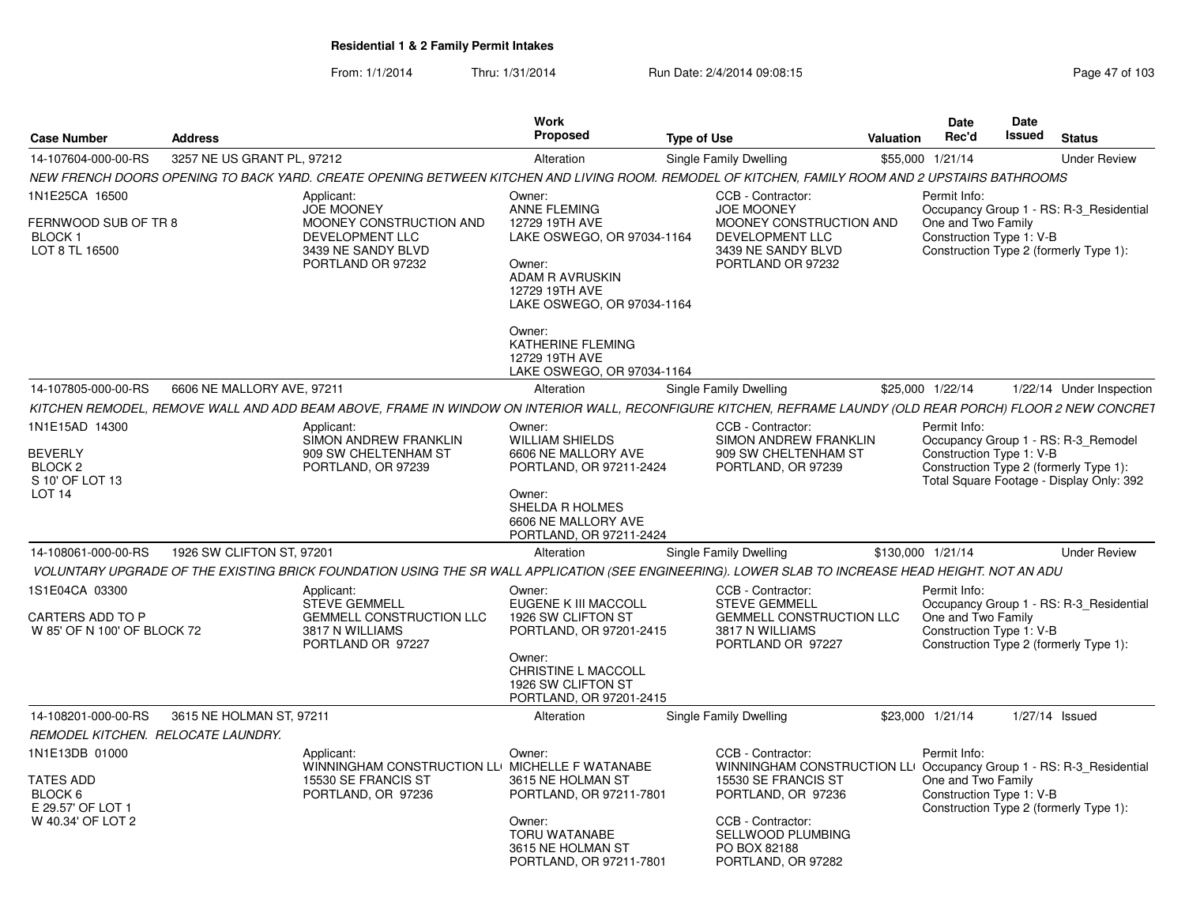|                                                                              |                            |                                                                                                                                                             | Work<br>Proposed                                                                                                                                    |                    |                                                                                                                                       |                   | <b>Date</b><br>Rec'd                                           | <b>Date</b><br>Issued | <b>Status</b>                                                                                                             |
|------------------------------------------------------------------------------|----------------------------|-------------------------------------------------------------------------------------------------------------------------------------------------------------|-----------------------------------------------------------------------------------------------------------------------------------------------------|--------------------|---------------------------------------------------------------------------------------------------------------------------------------|-------------------|----------------------------------------------------------------|-----------------------|---------------------------------------------------------------------------------------------------------------------------|
| <b>Case Number</b>                                                           | <b>Address</b>             |                                                                                                                                                             |                                                                                                                                                     | <b>Type of Use</b> |                                                                                                                                       | <b>Valuation</b>  |                                                                |                       |                                                                                                                           |
| 14-107604-000-00-RS                                                          | 3257 NE US GRANT PL, 97212 |                                                                                                                                                             | Alteration                                                                                                                                          |                    | Single Family Dwelling                                                                                                                |                   | \$55,000 1/21/14                                               |                       | <b>Under Review</b>                                                                                                       |
|                                                                              |                            | NEW FRENCH DOORS OPENING TO BACK YARD. CREATE OPENING BETWEEN KITCHEN AND LIVING ROOM. REMODEL OF KITCHEN, FAMILY ROOM AND 2 UPSTAIRS BATHROOMS             |                                                                                                                                                     |                    |                                                                                                                                       |                   |                                                                |                       |                                                                                                                           |
| 1N1E25CA 16500<br>FERNWOOD SUB OF TR 8<br><b>BLOCK1</b><br>LOT 8 TL 16500    |                            | Applicant:<br><b>JOE MOONEY</b><br>MOONEY CONSTRUCTION AND<br>DEVELOPMENT LLC<br>3439 NE SANDY BLVD<br>PORTLAND OR 97232                                    | Owner:<br>ANNE FLEMING<br>12729 19TH AVE<br>LAKE OSWEGO, OR 97034-1164<br>Owner:<br>ADAM R AVRUSKIN<br>12729 19TH AVE<br>LAKE OSWEGO, OR 97034-1164 |                    | CCB - Contractor:<br><b>JOE MOONEY</b><br>MOONEY CONSTRUCTION AND<br>DEVELOPMENT LLC<br>3439 NE SANDY BLVD<br>PORTLAND OR 97232       |                   | Permit Info:<br>One and Two Family<br>Construction Type 1: V-B |                       | Occupancy Group 1 - RS: R-3 Residential<br>Construction Type 2 (formerly Type 1):                                         |
|                                                                              |                            |                                                                                                                                                             | Owner:<br>KATHERINE FLEMING<br>12729 19TH AVE<br>LAKE OSWEGO, OR 97034-1164                                                                         |                    |                                                                                                                                       |                   |                                                                |                       |                                                                                                                           |
| 14-107805-000-00-RS                                                          | 6606 NE MALLORY AVE, 97211 |                                                                                                                                                             | Alteration                                                                                                                                          |                    | Single Family Dwelling                                                                                                                |                   | \$25,000 1/22/14                                               |                       | 1/22/14 Under Inspection                                                                                                  |
|                                                                              |                            | KITCHEN REMODEL, REMOVE WALL AND ADD BEAM ABOVE, FRAME IN WINDOW ON INTERIOR WALL, RECONFIGURE KITCHEN, REFRAME LAUNDY (OLD REAR PORCH) FLOOR 2 NEW CONCRET |                                                                                                                                                     |                    |                                                                                                                                       |                   |                                                                |                       |                                                                                                                           |
| 1N1E15AD 14300                                                               |                            | Applicant:                                                                                                                                                  | Owner:                                                                                                                                              |                    | CCB - Contractor:                                                                                                                     |                   | Permit Info:                                                   |                       |                                                                                                                           |
| <b>BEVERLY</b><br>BLOCK <sub>2</sub><br>S 10' OF LOT 13<br>LOT <sub>14</sub> |                            | SIMON ANDREW FRANKLIN<br>909 SW CHELTENHAM ST<br>PORTLAND, OR 97239                                                                                         | <b>WILLIAM SHIELDS</b><br>6606 NE MALLORY AVE<br>PORTLAND, OR 97211-2424<br>Owner:                                                                  |                    | SIMON ANDREW FRANKLIN<br>909 SW CHELTENHAM ST<br>PORTLAND, OR 97239                                                                   |                   | Construction Type 1: V-B                                       |                       | Occupancy Group 1 - RS: R-3_Remodel<br>Construction Type 2 (formerly Type 1):<br>Total Square Footage - Display Only: 392 |
|                                                                              |                            |                                                                                                                                                             | <b>SHELDA R HOLMES</b><br>6606 NE MALLORY AVE<br>PORTLAND, OR 97211-2424                                                                            |                    |                                                                                                                                       |                   |                                                                |                       |                                                                                                                           |
| 14-108061-000-00-RS                                                          | 1926 SW CLIFTON ST, 97201  |                                                                                                                                                             | Alteration                                                                                                                                          |                    | Single Family Dwelling                                                                                                                | \$130,000 1/21/14 |                                                                |                       | <b>Under Review</b>                                                                                                       |
|                                                                              |                            | VOLUNTARY UPGRADE OF THE EXISTING BRICK FOUNDATION USING THE SR WALL APPLICATION (SEE ENGINEERING). LOWER SLAB TO INCREASE HEAD HEIGHT. NOT AN ADU          |                                                                                                                                                     |                    |                                                                                                                                       |                   |                                                                |                       |                                                                                                                           |
| 1S1E04CA 03300<br>CARTERS ADD TO P<br>W 85' OF N 100' OF BLOCK 72            |                            | Applicant:<br><b>STEVE GEMMELL</b><br><b>GEMMELL CONSTRUCTION LLC</b><br>3817 N WILLIAMS<br>PORTLAND OR 97227                                               | Owner:<br><b>EUGENE K III MACCOLL</b><br>1926 SW CLIFTON ST<br>PORTLAND, OR 97201-2415                                                              |                    | CCB - Contractor:<br><b>STEVE GEMMELL</b><br><b>GEMMELL CONSTRUCTION LLC</b><br>3817 N WILLIAMS<br>PORTLAND OR 97227                  |                   | Permit Info:<br>One and Two Family<br>Construction Type 1: V-B |                       | Occupancy Group 1 - RS: R-3 Residential                                                                                   |
|                                                                              |                            |                                                                                                                                                             | Owner:<br>CHRISTINE L MACCOLL<br>1926 SW CLIFTON ST<br>PORTLAND, OR 97201-2415                                                                      |                    |                                                                                                                                       |                   |                                                                |                       | Construction Type 2 (formerly Type 1):                                                                                    |
| 14-108201-000-00-RS                                                          | 3615 NE HOLMAN ST, 97211   |                                                                                                                                                             | Alteration                                                                                                                                          |                    | Single Family Dwelling                                                                                                                |                   | \$23,000 1/21/14                                               |                       | $1/27/14$ Issued                                                                                                          |
| REMODEL KITCHEN. RELOCATE LAUNDRY.                                           |                            |                                                                                                                                                             |                                                                                                                                                     |                    |                                                                                                                                       |                   |                                                                |                       |                                                                                                                           |
| 1N1E13DB 01000<br><b>TATES ADD</b><br>BLOCK 6                                |                            | Applicant:<br>WINNINGHAM CONSTRUCTION LLI MICHELLE F WATANABE<br>15530 SE FRANCIS ST<br>PORTLAND, OR 97236                                                  | Owner:<br>3615 NE HOLMAN ST<br>PORTLAND, OR 97211-7801                                                                                              |                    | CCB - Contractor:<br>WINNINGHAM CONSTRUCTION LLI Occupancy Group 1 - RS: R-3_Residential<br>15530 SE FRANCIS ST<br>PORTLAND, OR 97236 |                   | Permit Info:<br>One and Two Family<br>Construction Type 1: V-B |                       |                                                                                                                           |
| E 29.57' OF LOT 1<br>W 40.34' OF LOT 2                                       |                            |                                                                                                                                                             | Owner:<br>TORU WATANABE<br>3615 NE HOLMAN ST<br>PORTLAND, OR 97211-7801                                                                             |                    | CCB - Contractor:<br><b>SELLWOOD PLUMBING</b><br>PO BOX 82188<br>PORTLAND, OR 97282                                                   |                   |                                                                |                       | Construction Type 2 (formerly Type 1):                                                                                    |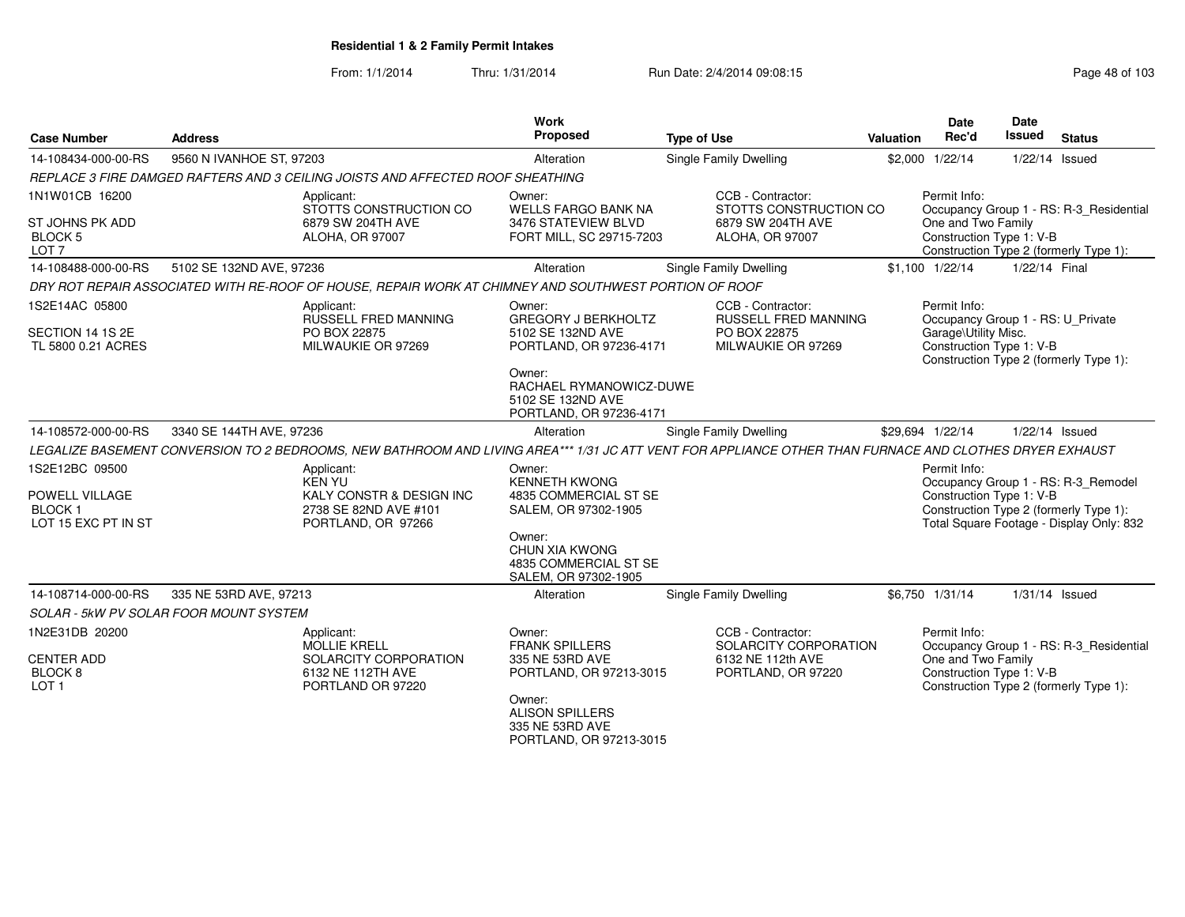| <b>Case Number</b>                                                       | <b>Address</b>                                                                                                                                          | <b>Work</b><br>Proposed                                                                                                                                         | <b>Type of Use</b>                                                                     | Valuation | <b>Date</b><br>Rec'd                                                                                  | <b>Date</b><br>Issued | <b>Status</b>                                                                                                             |
|--------------------------------------------------------------------------|---------------------------------------------------------------------------------------------------------------------------------------------------------|-----------------------------------------------------------------------------------------------------------------------------------------------------------------|----------------------------------------------------------------------------------------|-----------|-------------------------------------------------------------------------------------------------------|-----------------------|---------------------------------------------------------------------------------------------------------------------------|
| 14-108434-000-00-RS                                                      | 9560 N IVANHOE ST, 97203                                                                                                                                | Alteration                                                                                                                                                      | Single Family Dwelling                                                                 |           | \$2,000 1/22/14                                                                                       | 1/22/14 Issued        |                                                                                                                           |
|                                                                          | REPLACE 3 FIRE DAMGED RAFTERS AND 3 CEILING JOISTS AND AFFECTED ROOF SHEATHING                                                                          |                                                                                                                                                                 |                                                                                        |           |                                                                                                       |                       |                                                                                                                           |
| 1N1W01CB 16200<br>ST JOHNS PK ADD<br>BLOCK 5<br>LOT <sub>7</sub>         | Applicant:<br>STOTTS CONSTRUCTION CO<br>6879 SW 204TH AVE<br><b>ALOHA, OR 97007</b>                                                                     | Owner:<br><b>WELLS FARGO BANK NA</b><br>3476 STATEVIEW BLVD<br>FORT MILL, SC 29715-7203                                                                         | CCB - Contractor:<br>STOTTS CONSTRUCTION CO<br>6879 SW 204TH AVE<br>ALOHA, OR 97007    |           | Permit Info:<br>One and Two Family<br>Construction Type 1: V-B                                        |                       | Occupancy Group 1 - RS: R-3 Residential<br>Construction Type 2 (formerly Type 1):                                         |
| 14-108488-000-00-RS                                                      | 5102 SE 132ND AVE, 97236                                                                                                                                | Alteration                                                                                                                                                      | Single Family Dwelling                                                                 |           | \$1,100 1/22/14                                                                                       | 1/22/14 Final         |                                                                                                                           |
|                                                                          | DRY ROT REPAIR ASSOCIATED WITH RE-ROOF OF HOUSE, REPAIR WORK AT CHIMNEY AND SOUTHWEST PORTION OF ROOF                                                   |                                                                                                                                                                 |                                                                                        |           |                                                                                                       |                       |                                                                                                                           |
| 1S2E14AC 05800<br>SECTION 14 1S 2E<br>TL 5800 0.21 ACRES                 | Applicant:<br>RUSSELL FRED MANNING<br>PO BOX 22875<br>MILWAUKIE OR 97269                                                                                | Owner:<br><b>GREGORY J BERKHOLTZ</b><br>5102 SE 132ND AVE<br>PORTLAND, OR 97236-4171<br>Owner:<br>RACHAEL RYMANOWICZ-DUWE                                       | CCB - Contractor:<br><b>RUSSELL FRED MANNING</b><br>PO BOX 22875<br>MILWAUKIE OR 97269 |           | Permit Info:<br>Occupancy Group 1 - RS: U_Private<br>Garage\Utility Misc.<br>Construction Type 1: V-B |                       | Construction Type 2 (formerly Type 1):                                                                                    |
|                                                                          |                                                                                                                                                         | 5102 SE 132ND AVE<br>PORTLAND, OR 97236-4171                                                                                                                    |                                                                                        |           |                                                                                                       |                       |                                                                                                                           |
| 14-108572-000-00-RS                                                      | 3340 SE 144TH AVE, 97236                                                                                                                                | Alteration                                                                                                                                                      | Single Family Dwelling                                                                 |           | \$29,694 1/22/14                                                                                      | 1/22/14 Issued        |                                                                                                                           |
|                                                                          | LEGALIZE BASEMENT CONVERSION TO 2 BEDROOMS, NEW BATHROOM AND LIVING AREA*** 1/31 JC ATT VENT FOR APPLIANCE OTHER THAN FURNACE AND CLOTHES DRYER EXHAUST |                                                                                                                                                                 |                                                                                        |           |                                                                                                       |                       |                                                                                                                           |
| 1S2E12BC 09500<br>POWELL VILLAGE<br><b>BLOCK1</b><br>LOT 15 EXC PT IN ST | Applicant:<br><b>KEN YU</b><br>KALY CONSTR & DESIGN INC<br>2738 SE 82ND AVE #101<br>PORTLAND, OR 97266                                                  | Owner:<br><b>KENNETH KWONG</b><br>4835 COMMERCIAL ST SE<br>SALEM, OR 97302-1905<br>Owner:<br>CHUN XIA KWONG<br>4835 COMMERCIAL ST SE<br>SALEM, OR 97302-1905    |                                                                                        |           | Permit Info:<br>Construction Type 1: V-B                                                              |                       | Occupancy Group 1 - RS: R-3_Remodel<br>Construction Type 2 (formerly Type 1):<br>Total Square Footage - Display Only: 832 |
| 14-108714-000-00-RS                                                      | 335 NE 53RD AVE, 97213                                                                                                                                  | Alteration                                                                                                                                                      | Single Family Dwelling                                                                 |           | \$6,750 1/31/14                                                                                       | 1/31/14 Issued        |                                                                                                                           |
|                                                                          | <b>SOLAR - 5kW PV SOLAR FOOR MOUNT SYSTEM</b>                                                                                                           |                                                                                                                                                                 |                                                                                        |           |                                                                                                       |                       |                                                                                                                           |
| 1N2E31DB 20200<br><b>CENTER ADD</b><br>BLOCK 8<br>LOT <sub>1</sub>       | Applicant:<br><b>MOLLIE KRELL</b><br>SOLARCITY CORPORATION<br>6132 NE 112TH AVE<br>PORTLAND OR 97220                                                    | Owner:<br><b>FRANK SPILLERS</b><br>335 NE 53RD AVE<br>PORTLAND, OR 97213-3015<br>Owner:<br><b>ALISON SPILLERS</b><br>335 NE 53RD AVE<br>PORTLAND, OR 97213-3015 | CCB - Contractor:<br>SOLARCITY CORPORATION<br>6132 NE 112th AVE<br>PORTLAND, OR 97220  |           | Permit Info:<br>One and Two Family<br>Construction Type 1: V-B                                        |                       | Occupancy Group 1 - RS: R-3_Residential<br>Construction Type 2 (formerly Type 1):                                         |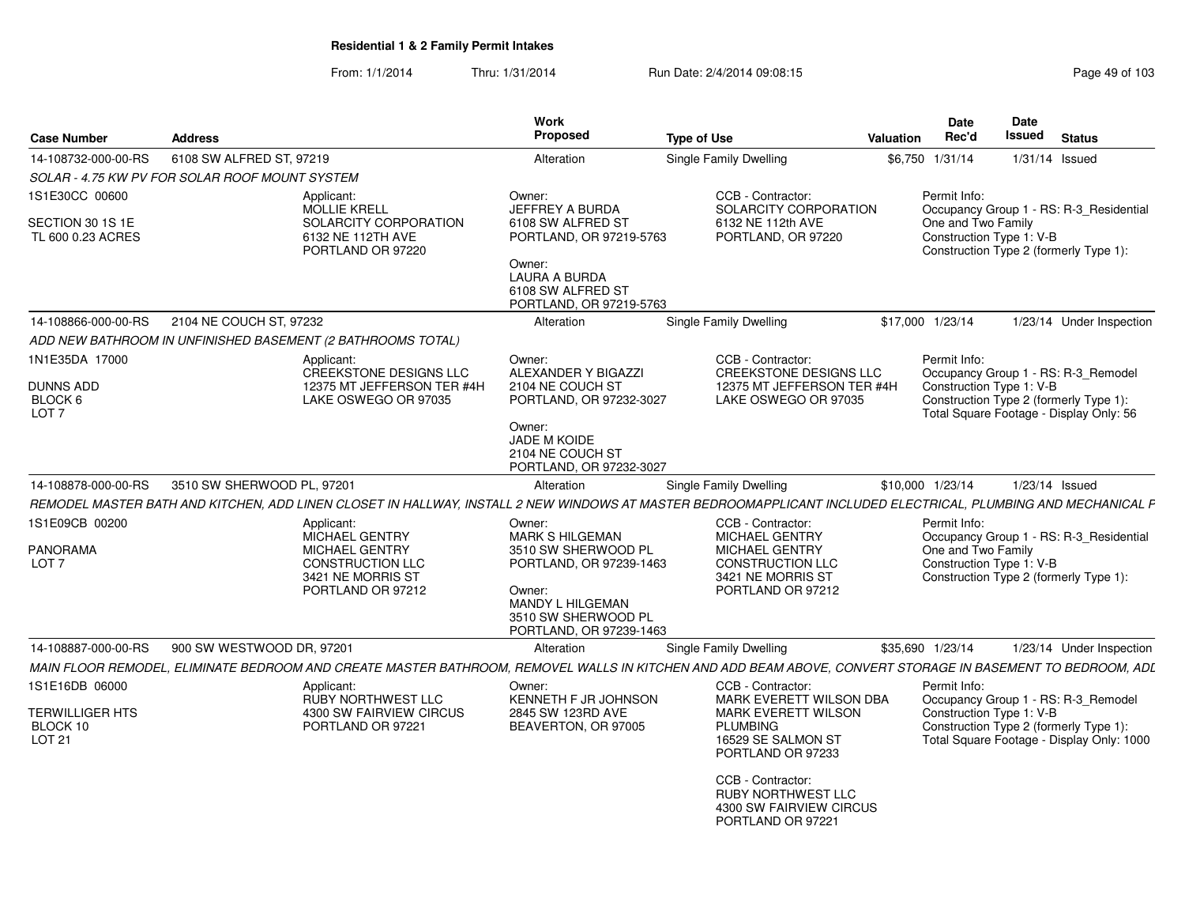| <b>Case Number</b>                                                | <b>Address</b>                                 |                                                                                                                                                               | Work<br><b>Proposed</b>                                                                                                                                            | <b>Type of Use</b>                                                                                                                       | Valuation | <b>Date</b><br>Rec'd                                                                                                                                                 | Date<br>Issued | <b>Status</b>    |                          |
|-------------------------------------------------------------------|------------------------------------------------|---------------------------------------------------------------------------------------------------------------------------------------------------------------|--------------------------------------------------------------------------------------------------------------------------------------------------------------------|------------------------------------------------------------------------------------------------------------------------------------------|-----------|----------------------------------------------------------------------------------------------------------------------------------------------------------------------|----------------|------------------|--------------------------|
| 14-108732-000-00-RS                                               | 6108 SW ALFRED ST, 97219                       |                                                                                                                                                               | Alteration                                                                                                                                                         | Single Family Dwelling                                                                                                                   |           | \$6,750 1/31/14                                                                                                                                                      |                | $1/31/14$ Issued |                          |
|                                                                   | SOLAR - 4.75 KW PV FOR SOLAR ROOF MOUNT SYSTEM |                                                                                                                                                               |                                                                                                                                                                    |                                                                                                                                          |           |                                                                                                                                                                      |                |                  |                          |
| 1S1E30CC 00600<br>SECTION 30 1S 1E<br>TL 600 0.23 ACRES           |                                                | Applicant:<br>MOLLIE KRELL<br>SOLARCITY CORPORATION<br>6132 NE 112TH AVE<br>PORTLAND OR 97220                                                                 | Owner:<br>JEFFREY A BURDA<br>6108 SW ALFRED ST<br>PORTLAND, OR 97219-5763<br>Owner:<br>LAURA A BURDA<br>6108 SW ALFRED ST<br>PORTLAND, OR 97219-5763               | CCB - Contractor:<br>SOLARCITY CORPORATION<br>6132 NE 112th AVE<br>PORTLAND, OR 97220                                                    |           | Permit Info:<br>Occupancy Group 1 - RS: R-3_Residential<br>One and Two Family<br>Construction Type 1: V-B<br>Construction Type 2 (formerly Type 1):                  |                |                  |                          |
| 14-108866-000-00-RS                                               | 2104 NE COUCH ST, 97232                        |                                                                                                                                                               | Alteration                                                                                                                                                         | Single Family Dwelling                                                                                                                   |           | \$17,000 1/23/14                                                                                                                                                     |                |                  | 1/23/14 Under Inspection |
|                                                                   |                                                | ADD NEW BATHROOM IN UNFINISHED BASEMENT (2 BATHROOMS TOTAL)                                                                                                   |                                                                                                                                                                    |                                                                                                                                          |           |                                                                                                                                                                      |                |                  |                          |
| 1N1E35DA 17000<br><b>DUNNS ADD</b><br>BLOCK 6<br>LOT <sub>7</sub> |                                                | Applicant<br>CREEKSTONE DESIGNS LLC<br>12375 MT JEFFERSON TER #4H<br>LAKE OSWEGO OR 97035                                                                     | Owner:<br>ALEXANDER Y BIGAZZI<br>2104 NE COUCH ST<br>PORTLAND, OR 97232-3027<br>Owner:                                                                             | CCB - Contractor:<br><b>CREEKSTONE DESIGNS LLC</b><br>12375 MT JEFFERSON TER #4H<br>LAKE OSWEGO OR 97035                                 |           | Permit Info:<br>Occupancy Group 1 - RS: R-3_Remodel<br>Construction Type 1: V-B<br>Construction Type 2 (formerly Type 1):<br>Total Square Footage - Display Only: 56 |                |                  |                          |
|                                                                   |                                                |                                                                                                                                                               | <b>JADE M KOIDE</b><br>2104 NE COUCH ST<br>PORTLAND, OR 97232-3027                                                                                                 |                                                                                                                                          |           |                                                                                                                                                                      |                |                  |                          |
| 14-108878-000-00-RS                                               | 3510 SW SHERWOOD PL, 97201                     |                                                                                                                                                               | Alteration                                                                                                                                                         | <b>Single Family Dwelling</b>                                                                                                            |           | \$10,000 1/23/14                                                                                                                                                     |                | 1/23/14 Issued   |                          |
|                                                                   |                                                | REMODEL MASTER BATH AND KITCHEN, ADD LINEN CLOSET IN HALLWAY, INSTALL 2 NEW WINDOWS AT MASTER BEDROOMAPPLICANT INCLUDED ELECTRICAL, PLUMBING AND MECHANICAL F |                                                                                                                                                                    |                                                                                                                                          |           |                                                                                                                                                                      |                |                  |                          |
| 1S1E09CB 00200<br><b>PANORAMA</b><br>LOT <sub>7</sub>             |                                                | Applicant:<br><b>MICHAEL GENTRY</b><br><b>MICHAEL GENTRY</b><br><b>CONSTRUCTION LLC</b><br>3421 NE MORRIS ST<br>PORTLAND OR 97212                             | Owner:<br><b>MARK S HILGEMAN</b><br>3510 SW SHERWOOD PL<br>PORTLAND, OR 97239-1463<br>Owner:<br>MANDY L HILGEMAN<br>3510 SW SHERWOOD PL<br>PORTLAND, OR 97239-1463 | CCB - Contractor:<br><b>MICHAEL GENTRY</b><br><b>MICHAEL GENTRY</b><br><b>CONSTRUCTION LLC</b><br>3421 NE MORRIS ST<br>PORTLAND OR 97212 |           | Permit Info:<br>Occupancy Group 1 - RS: R-3_Residential<br>One and Two Family<br>Construction Type 1: V-B<br>Construction Type 2 (formerly Type 1):                  |                |                  |                          |
| 14-108887-000-00-RS                                               | 900 SW WESTWOOD DR, 97201                      |                                                                                                                                                               | Alteration                                                                                                                                                         | Single Family Dwelling                                                                                                                   |           | \$35,690 1/23/14                                                                                                                                                     |                |                  | 1/23/14 Under Inspection |
|                                                                   |                                                | MAIN FLOOR REMODEL, ELIMINATE BEDROOM AND CREATE MASTER BATHROOM, REMOVEL WALLS IN KITCHEN AND ADD BEAM ABOVE, CONVERT STORAGE IN BASEMENT TO BEDROOM, ADL    |                                                                                                                                                                    |                                                                                                                                          |           |                                                                                                                                                                      |                |                  |                          |
| 1S1E16DB 06000                                                    |                                                | Applicant<br>RUBY NORTHWEST LLC                                                                                                                               | Owner:<br>KENNETH F JR JOHNSON                                                                                                                                     | CCB - Contractor:<br>MARK EVERETT WILSON DBA                                                                                             |           | Permit Info:<br>Occupancy Group 1 - RS: R-3 Remodel                                                                                                                  |                |                  |                          |
| <b>TERWILLIGER HTS</b><br>BLOCK 10<br><b>LOT 21</b>               |                                                | 4300 SW FAIRVIEW CIRCUS<br>PORTLAND OR 97221                                                                                                                  | 2845 SW 123RD AVE<br>BEAVERTON, OR 97005                                                                                                                           | <b>MARK EVERETT WILSON</b><br><b>PLUMBING</b><br>16529 SE SALMON ST<br>PORTLAND OR 97233                                                 |           | Construction Type 1: V-B<br>Construction Type 2 (formerly Type 1):<br>Total Square Footage - Display Only: 1000                                                      |                |                  |                          |
|                                                                   |                                                |                                                                                                                                                               |                                                                                                                                                                    | CCB - Contractor:<br><b>RUBY NORTHWEST LLC</b><br>4300 SW FAIRVIEW CIRCUS<br>PORTLAND OR 97221                                           |           |                                                                                                                                                                      |                |                  |                          |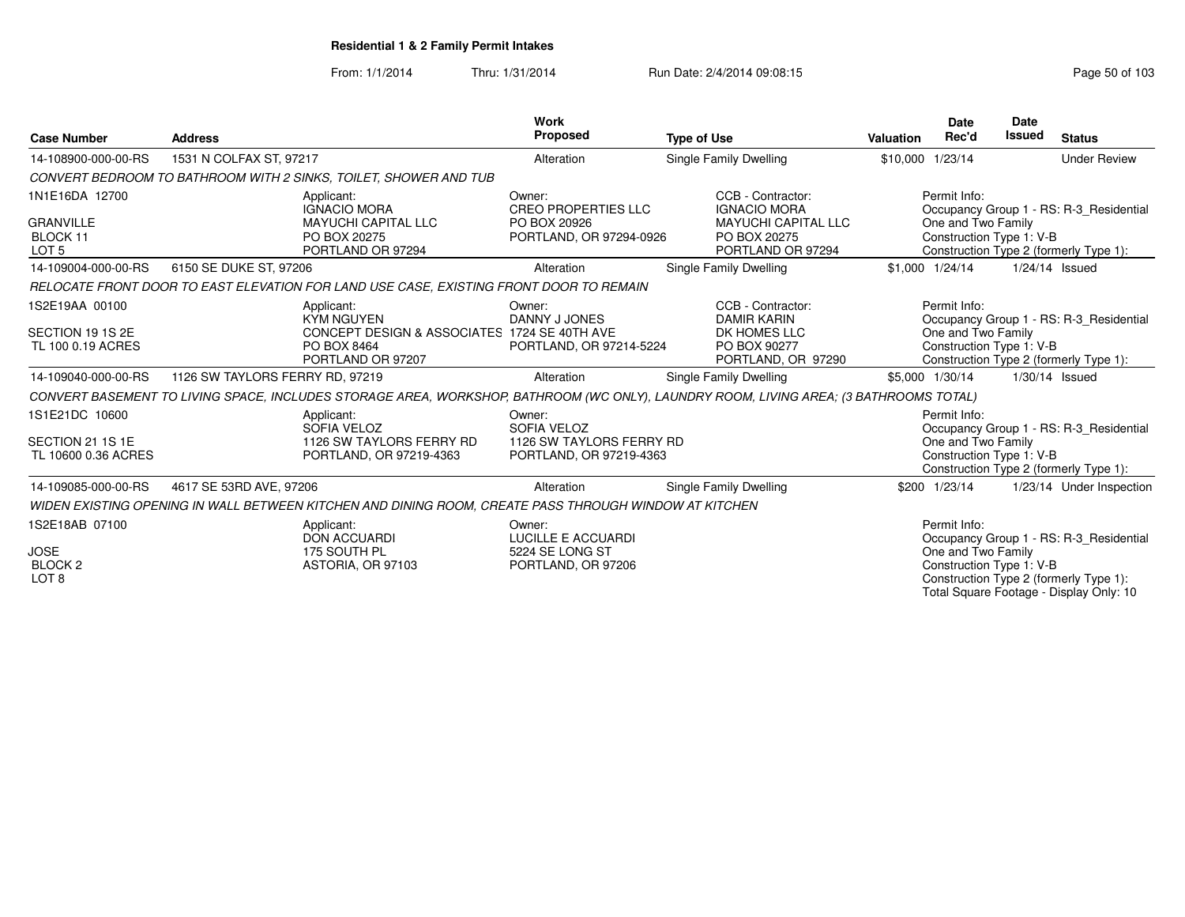From: 1/1/2014Thru: 1/31/2014 Run Date: 2/4/2014 09:08:15 Run Date: 2/4/2014 09:08:15

|                                                     |                                 |                                                                                                                                       | Work                                                                  |                                                                 |                  | <b>Date</b>                                                    | <b>Date</b>   |                                         |
|-----------------------------------------------------|---------------------------------|---------------------------------------------------------------------------------------------------------------------------------------|-----------------------------------------------------------------------|-----------------------------------------------------------------|------------------|----------------------------------------------------------------|---------------|-----------------------------------------|
| <b>Case Number</b>                                  | <b>Address</b>                  |                                                                                                                                       | Proposed                                                              | <b>Type of Use</b>                                              | <b>Valuation</b> | Rec'd                                                          | <b>Issued</b> | <b>Status</b>                           |
| 14-108900-000-00-RS                                 | 1531 N COLFAX ST, 97217         |                                                                                                                                       | Alteration                                                            | Single Family Dwelling                                          | \$10,000 1/23/14 |                                                                |               | <b>Under Review</b>                     |
|                                                     |                                 | CONVERT BEDROOM TO BATHROOM WITH 2 SINKS, TOILET, SHOWER AND TUB                                                                      |                                                                       |                                                                 |                  |                                                                |               |                                         |
| 1N1E16DA 12700                                      |                                 | Applicant:<br><b>IGNACIO MORA</b>                                                                                                     | Owner:<br><b>CREO PROPERTIES LLC</b>                                  | CCB - Contractor:<br><b>IGNACIO MORA</b>                        |                  | Permit Info:                                                   |               | Occupancy Group 1 - RS: R-3 Residential |
| <b>GRANVILLE</b><br>BLOCK 11<br>LOT <sub>5</sub>    |                                 | <b>MAYUCHI CAPITAL LLC</b><br>PO BOX 20275<br>PORTLAND OR 97294                                                                       | PO BOX 20926<br>PORTLAND, OR 97294-0926                               | <b>MAYUCHI CAPITAL LLC</b><br>PO BOX 20275<br>PORTLAND OR 97294 |                  | One and Two Family<br>Construction Type 1: V-B                 |               | Construction Type 2 (formerly Type 1):  |
| 14-109004-000-00-RS                                 | 6150 SE DUKE ST, 97206          |                                                                                                                                       | Alteration                                                            | Single Family Dwelling                                          |                  | \$1,000 1/24/14                                                |               | 1/24/14 Issued                          |
|                                                     |                                 | RELOCATE FRONT DOOR TO EAST ELEVATION FOR LAND USE CASE, EXISTING FRONT DOOR TO REMAIN                                                |                                                                       |                                                                 |                  |                                                                |               |                                         |
| 1S2E19AA 00100                                      |                                 | Applicant:<br><b>KYM NGUYEN</b>                                                                                                       | Owner:<br>DANNY J JONES                                               | CCB - Contractor:<br><b>DAMIR KARIN</b>                         |                  | Permit Info:                                                   |               | Occupancy Group 1 - RS: R-3 Residential |
| SECTION 19 1S 2E<br>TL 100 0.19 ACRES               |                                 | CONCEPT DESIGN & ASSOCIATES 1724 SE 40TH AVE<br>PO BOX 8464<br>PORTLAND OR 97207                                                      | PORTLAND, OR 97214-5224                                               | DK HOMES LLC<br>PO BOX 90277<br>PORTLAND, OR 97290              |                  | One and Two Family<br>Construction Type 1: V-B                 |               | Construction Type 2 (formerly Type 1):  |
| 14-109040-000-00-RS                                 | 1126 SW TAYLORS FERRY RD, 97219 |                                                                                                                                       | Alteration                                                            | Single Family Dwelling                                          |                  | \$5,000 1/30/14                                                |               | 1/30/14 Issued                          |
|                                                     |                                 | CONVERT BASEMENT TO LIVING SPACE, INCLUDES STORAGE AREA, WORKSHOP, BATHROOM (WC ONLY), LAUNDRY ROOM, LIVING AREA; (3 BATHROOMS TOTAL) |                                                                       |                                                                 |                  |                                                                |               |                                         |
| 1S1E21DC 10600                                      |                                 | Applicant:<br>SOFIA VELOZ                                                                                                             | Owner:<br>SOFIA VELOZ                                                 |                                                                 |                  | Permit Info:                                                   |               | Occupancy Group 1 - RS: R-3 Residential |
| SECTION 21 1S 1E<br>TL 10600 0.36 ACRES             |                                 | 1126 SW TAYLORS FERRY RD<br>PORTLAND, OR 97219-4363                                                                                   | 1126 SW TAYLORS FERRY RD<br>PORTLAND, OR 97219-4363                   |                                                                 |                  | One and Two Family<br>Construction Type 1: V-B                 |               | Construction Type 2 (formerly Type 1):  |
| 14-109085-000-00-RS                                 | 4617 SE 53RD AVE, 97206         |                                                                                                                                       | Alteration                                                            | Single Family Dwelling                                          |                  | \$200 1/23/14                                                  |               | 1/23/14 Under Inspection                |
|                                                     |                                 | WIDEN EXISTING OPENING IN WALL BETWEEN KITCHEN AND DINING ROOM, CREATE PASS THROUGH WINDOW AT KITCHEN                                 |                                                                       |                                                                 |                  |                                                                |               |                                         |
| 1S2E18AB 07100<br><b>JOSE</b><br>BLOCK <sub>2</sub> |                                 | Applicant:<br><b>DON ACCUARDI</b><br>175 SOUTH PL<br>ASTORIA, OR 97103                                                                | Owner:<br>LUCILLE E ACCUARDI<br>5224 SE LONG ST<br>PORTLAND, OR 97206 |                                                                 |                  | Permit Info:<br>One and Two Family<br>Construction Type 1: V-B |               | Occupancy Group 1 - RS: R-3 Residential |
| LOT <sub>8</sub>                                    |                                 |                                                                                                                                       |                                                                       |                                                                 |                  |                                                                |               | Construction Type 2 (formerly Type 1):  |

Construction Type 1: V-B Construction Type 2 (formerly Type 1): Total Square Footage - Display Only: 10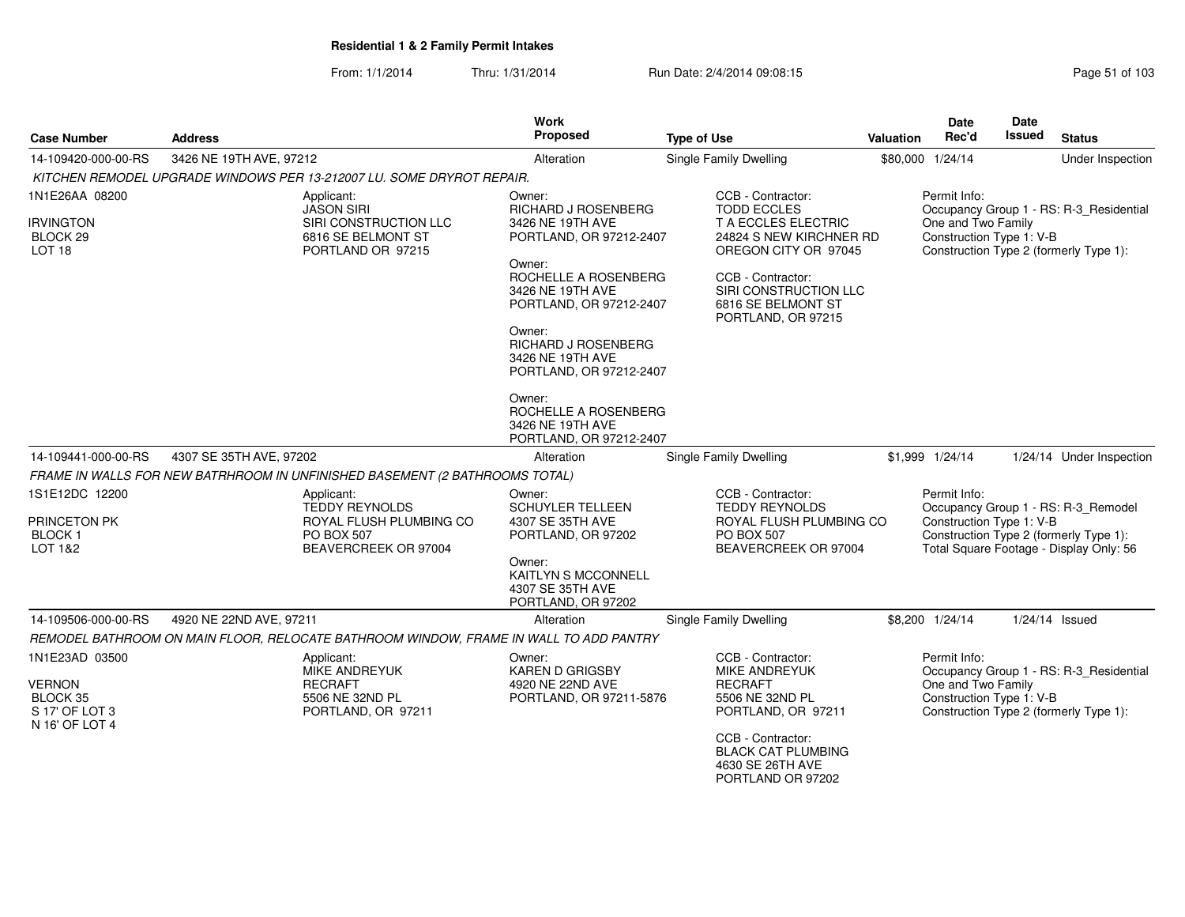| <b>Case Number</b>                                                              | <b>Address</b>          |                                                                                                      | <b>Work</b><br>Proposed                                                               | <b>Type of Use</b>                                                                                                 | Valuation | <b>Date</b><br>Rec'd                                           | Date<br>Issued | <b>Status</b>                                                                                                            |
|---------------------------------------------------------------------------------|-------------------------|------------------------------------------------------------------------------------------------------|---------------------------------------------------------------------------------------|--------------------------------------------------------------------------------------------------------------------|-----------|----------------------------------------------------------------|----------------|--------------------------------------------------------------------------------------------------------------------------|
| 14-109420-000-00-RS                                                             | 3426 NE 19TH AVE, 97212 |                                                                                                      | Alteration                                                                            | Single Family Dwelling                                                                                             |           | \$80,000 1/24/14                                               |                | Under Inspection                                                                                                         |
|                                                                                 |                         | KITCHEN REMODEL UPGRADE WINDOWS PER 13-212007 LU. SOME DRYROT REPAIR.                                |                                                                                       |                                                                                                                    |           |                                                                |                |                                                                                                                          |
| 1N1E26AA 08200                                                                  |                         | Applicant:<br><b>JASON SIRI</b>                                                                      | Owner:<br>RICHARD J ROSENBERG                                                         | CCB - Contractor:<br><b>TODD ECCLES</b>                                                                            |           | Permit Info:                                                   |                | Occupancy Group 1 - RS: R-3 Residential                                                                                  |
| <b>IRVINGTON</b><br>BLOCK 29<br>LOT <sub>18</sub>                               |                         | SIRI CONSTRUCTION LLC<br>6816 SE BELMONT ST<br>PORTLAND OR 97215                                     | 3426 NE 19TH AVE<br>PORTLAND, OR 97212-2407                                           | T A ECCLES ELECTRIC<br>24824 S NEW KIRCHNER RD<br>OREGON CITY OR 97045                                             |           | One and Two Family<br>Construction Type 1: V-B                 |                | Construction Type 2 (formerly Type 1):                                                                                   |
|                                                                                 |                         |                                                                                                      | Owner:<br>ROCHELLE A ROSENBERG<br>3426 NE 19TH AVE<br>PORTLAND, OR 97212-2407         | CCB - Contractor:<br>SIRI CONSTRUCTION LLC<br>6816 SE BELMONT ST<br>PORTLAND, OR 97215                             |           |                                                                |                |                                                                                                                          |
|                                                                                 |                         |                                                                                                      | Owner:<br><b>RICHARD J ROSENBERG</b><br>3426 NE 19TH AVE<br>PORTLAND, OR 97212-2407   |                                                                                                                    |           |                                                                |                |                                                                                                                          |
|                                                                                 |                         |                                                                                                      | Owner:<br>ROCHELLE A ROSENBERG<br>3426 NE 19TH AVE<br>PORTLAND, OR 97212-2407         |                                                                                                                    |           |                                                                |                |                                                                                                                          |
| 14-109441-000-00-RS                                                             | 4307 SE 35TH AVE, 97202 |                                                                                                      | Alteration                                                                            | Single Family Dwelling                                                                                             |           | \$1,999 1/24/14                                                |                | 1/24/14 Under Inspection                                                                                                 |
|                                                                                 |                         | FRAME IN WALLS FOR NEW BATRHROOM IN UNFINISHED BASEMENT (2 BATHROOMS TOTAL)                          |                                                                                       |                                                                                                                    |           |                                                                |                |                                                                                                                          |
| 1S1E12DC 12200<br>PRINCETON PK<br><b>BLOCK1</b><br>LOT 1&2                      |                         | Applicant:<br><b>TEDDY REYNOLDS</b><br>ROYAL FLUSH PLUMBING CO<br>PO BOX 507<br>BEAVERCREEK OR 97004 | Owner:<br><b>SCHUYLER TELLEEN</b><br>4307 SE 35TH AVE<br>PORTLAND, OR 97202<br>Owner: | CCB - Contractor:<br><b>TEDDY REYNOLDS</b><br>ROYAL FLUSH PLUMBING CO<br><b>PO BOX 507</b><br>BEAVERCREEK OR 97004 |           | Permit Info:<br>Construction Type 1: V-B                       |                | Occupancy Group 1 - RS: R-3_Remodel<br>Construction Type 2 (formerly Type 1):<br>Total Square Footage - Display Only: 56 |
|                                                                                 |                         |                                                                                                      | KAITLYN S MCCONNELL<br>4307 SE 35TH AVE<br>PORTLAND, OR 97202                         |                                                                                                                    |           |                                                                |                |                                                                                                                          |
| 14-109506-000-00-RS                                                             | 4920 NE 22ND AVE, 97211 |                                                                                                      | Alteration                                                                            | <b>Single Family Dwelling</b>                                                                                      |           | \$8,200 1/24/14                                                |                | $1/24/14$ Issued                                                                                                         |
|                                                                                 |                         | REMODEL BATHROOM ON MAIN FLOOR, RELOCATE BATHROOM WINDOW, FRAME IN WALL TO ADD PANTRY                |                                                                                       |                                                                                                                    |           |                                                                |                |                                                                                                                          |
| 1N1E23AD 03500<br><b>VERNON</b><br>BLOCK 35<br>S 17' OF LOT 3<br>N 16' OF LOT 4 |                         | Applicant:<br>MIKE ANDREYUK<br><b>RECRAFT</b><br>5506 NE 32ND PL<br>PORTLAND, OR 97211               | Owner:<br><b>KAREN D GRIGSBY</b><br>4920 NE 22ND AVE<br>PORTLAND, OR 97211-5876       | CCB - Contractor:<br>MIKE ANDREYUK<br><b>RECRAFT</b><br>5506 NE 32ND PL<br>PORTLAND, OR 97211                      |           | Permit Info:<br>One and Two Family<br>Construction Type 1: V-B |                | Occupancy Group 1 - RS: R-3_Residential<br>Construction Type 2 (formerly Type 1):                                        |
|                                                                                 |                         |                                                                                                      |                                                                                       | CCB - Contractor:<br><b>BLACK CAT PLUMBING</b><br>4630 SE 26TH AVE<br>PORTLAND OR 97202                            |           |                                                                |                |                                                                                                                          |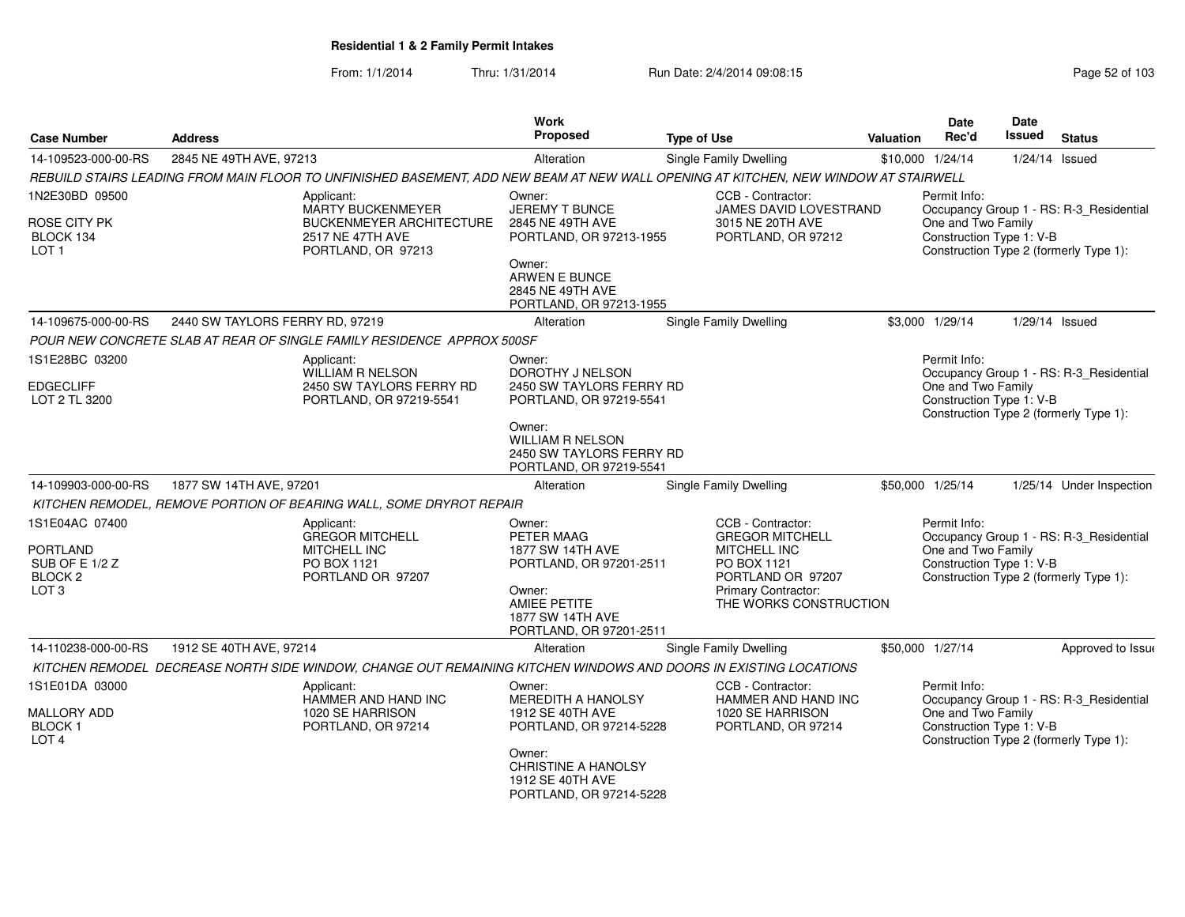| <b>Case Number</b>                                | <b>Address</b>                                                                                                                      | <b>Work</b><br><b>Proposed</b>                                                           | <b>Type of Use</b>                            | Valuation        | <b>Date</b><br>Rec'd                           | Date<br><b>Issued</b> | <b>Status</b>                           |
|---------------------------------------------------|-------------------------------------------------------------------------------------------------------------------------------------|------------------------------------------------------------------------------------------|-----------------------------------------------|------------------|------------------------------------------------|-----------------------|-----------------------------------------|
| 14-109523-000-00-RS                               | 2845 NE 49TH AVE, 97213                                                                                                             | Alteration                                                                               | <b>Single Family Dwelling</b>                 | \$10,000 1/24/14 |                                                | $1/24/14$ Issued      |                                         |
|                                                   | REBUILD STAIRS LEADING FROM MAIN FLOOR TO UNFINISHED BASEMENT, ADD NEW BEAM AT NEW WALL OPENING AT KITCHEN, NEW WINDOW AT STAIRWELL |                                                                                          |                                               |                  |                                                |                       |                                         |
| 1N2E30BD 09500                                    | Applicant:<br>MARTY BUCKENMEYER                                                                                                     | Owner:<br>JEREMY T BUNCE                                                                 | CCB - Contractor:<br>JAMES DAVID LOVESTRAND   |                  | Permit Info:                                   |                       | Occupancy Group 1 - RS: R-3_Residential |
| ROSE CITY PK<br>BLOCK 134<br>LOT <sub>1</sub>     | <b>BUCKENMEYER ARCHITECTURE</b><br>2517 NE 47TH AVE<br>PORTLAND, OR 97213                                                           | 2845 NE 49TH AVE<br>PORTLAND, OR 97213-1955                                              | 3015 NE 20TH AVE<br>PORTLAND, OR 97212        |                  | One and Two Family<br>Construction Type 1: V-B |                       | Construction Type 2 (formerly Type 1):  |
|                                                   |                                                                                                                                     | Owner:<br>ARWEN E BUNCE<br>2845 NE 49TH AVE<br>PORTLAND, OR 97213-1955                   |                                               |                  |                                                |                       |                                         |
| 14-109675-000-00-RS                               | 2440 SW TAYLORS FERRY RD, 97219                                                                                                     | Alteration                                                                               | <b>Single Family Dwelling</b>                 |                  | \$3,000 1/29/14                                | 1/29/14 Issued        |                                         |
|                                                   | POUR NEW CONCRETE SLAB AT REAR OF SINGLE FAMILY RESIDENCE APPROX 500SF                                                              |                                                                                          |                                               |                  |                                                |                       |                                         |
| 1S1E28BC 03200<br>EDGECLIFF                       | Applicant:<br><b>WILLIAM R NELSON</b><br>2450 SW TAYLORS FERRY RD                                                                   | Owner:<br>DOROTHY J NELSON<br>2450 SW TAYLORS FERRY RD                                   |                                               |                  | Permit Info:<br>One and Two Family             |                       | Occupancy Group 1 - RS: R-3_Residential |
| LOT 2 TL 3200                                     | PORTLAND, OR 97219-5541                                                                                                             | PORTLAND, OR 97219-5541                                                                  |                                               |                  | Construction Type 1: V-B                       |                       | Construction Type 2 (formerly Type 1):  |
|                                                   |                                                                                                                                     | Owner:<br><b>WILLIAM R NELSON</b><br>2450 SW TAYLORS FERRY RD<br>PORTLAND, OR 97219-5541 |                                               |                  |                                                |                       |                                         |
| 14-109903-000-00-RS                               | 1877 SW 14TH AVE, 97201                                                                                                             | Alteration                                                                               | Single Family Dwelling                        | \$50,000 1/25/14 |                                                |                       | 1/25/14 Under Inspection                |
|                                                   | KITCHEN REMODEL, REMOVE PORTION OF BEARING WALL, SOME DRYROT REPAIR                                                                 |                                                                                          |                                               |                  |                                                |                       |                                         |
| 1S1E04AC 07400                                    | Applicant:<br><b>GREGOR MITCHELL</b>                                                                                                | Owner:<br>PETER MAAG                                                                     | CCB - Contractor:<br><b>GREGOR MITCHELL</b>   |                  | Permit Info:                                   |                       | Occupancy Group 1 - RS: R-3_Residential |
| <b>PORTLAND</b>                                   | MITCHELL INC                                                                                                                        | 1877 SW 14TH AVE                                                                         | MITCHELL INC                                  |                  | One and Two Family                             |                       |                                         |
| SUB OF E 1/2 Z<br>BLOCK <sub>2</sub>              | PO BOX 1121<br>PORTLAND OR 97207                                                                                                    | PORTLAND, OR 97201-2511                                                                  | PO BOX 1121<br>PORTLAND OR 97207              |                  | Construction Type 1: V-B                       |                       | Construction Type 2 (formerly Type 1):  |
| LOT <sub>3</sub>                                  |                                                                                                                                     | Owner:<br><b>AMIEE PETITE</b><br><b>1877 SW 14TH AVE</b><br>PORTLAND, OR 97201-2511      | Primary Contractor:<br>THE WORKS CONSTRUCTION |                  |                                                |                       |                                         |
| 14-110238-000-00-RS                               | 1912 SE 40TH AVE, 97214                                                                                                             | Alteration                                                                               | Single Family Dwelling                        | \$50,000 1/27/14 |                                                |                       | Approved to Issue                       |
|                                                   | KITCHEN REMODEL DECREASE NORTH SIDE WINDOW, CHANGE OUT REMAINING KITCHEN WINDOWS AND DOORS IN EXISTING LOCATIONS                    |                                                                                          |                                               |                  |                                                |                       |                                         |
| 1S1E01DA 03000                                    | Applicant:<br>HAMMER AND HAND INC                                                                                                   | Owner:<br><b>MEREDITH A HANOLSY</b>                                                      | CCB - Contractor:<br>HAMMER AND HAND INC      |                  | Permit Info:                                   |                       | Occupancy Group 1 - RS: R-3_Residential |
| <b>MALLORY ADD</b><br>BLOCK 1<br>LOT <sub>4</sub> | 1020 SE HARRISON<br>PORTLAND, OR 97214                                                                                              | 1912 SE 40TH AVE<br>PORTLAND, OR 97214-5228                                              | 1020 SE HARRISON<br>PORTLAND, OR 97214        |                  | One and Two Family<br>Construction Type 1: V-B |                       | Construction Type 2 (formerly Type 1):  |
|                                                   |                                                                                                                                     | Owner:<br>CHRISTINE A HANOLSY<br>1912 SE 40TH AVE<br>PORTLAND, OR 97214-5228             |                                               |                  |                                                |                       |                                         |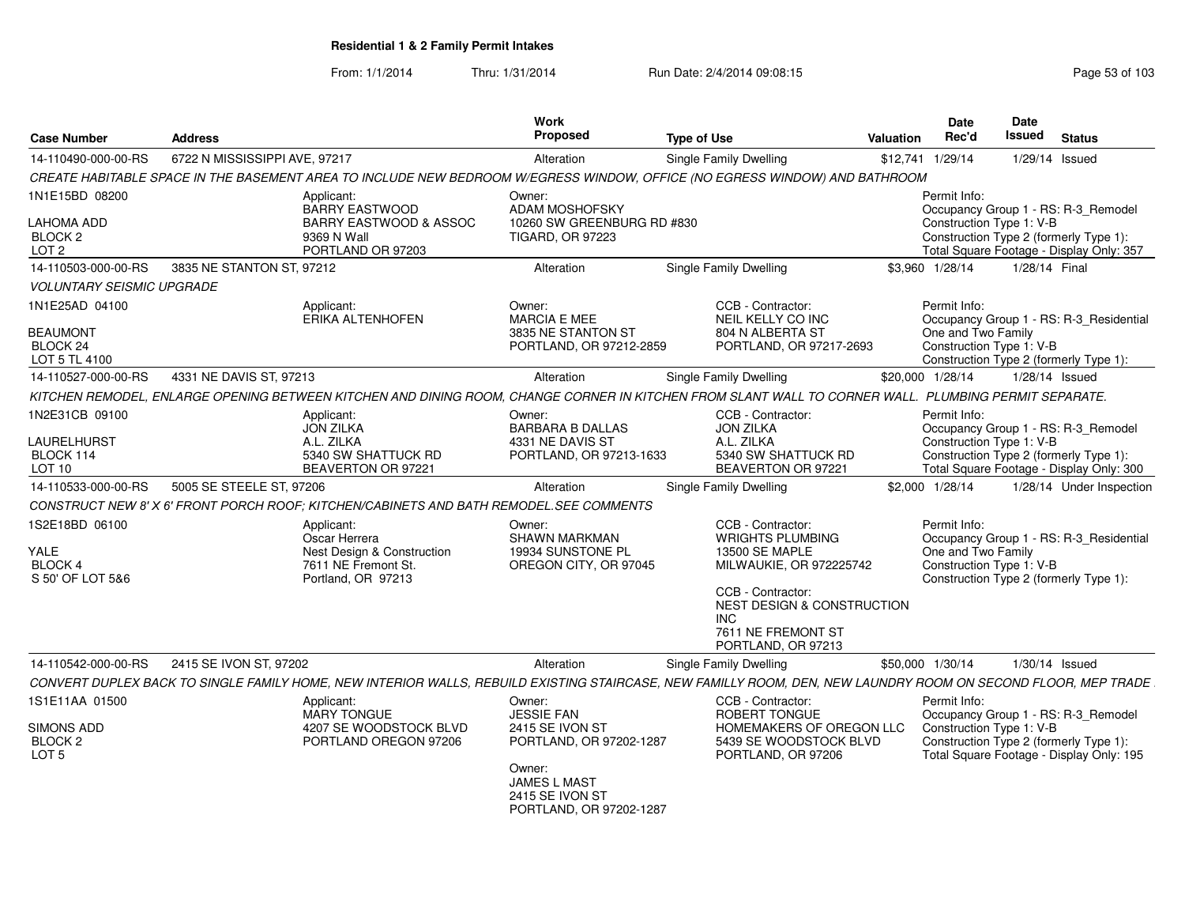| <b>Case Number</b>                               | <b>Address</b>                |                                                                                         | <b>Work</b><br><b>Proposed</b>                                              | <b>Type of Use</b>                                                                                                                                            | <b>Valuation</b> | <b>Date</b><br>Rec'd                           | Date<br>Issued | <b>Status</b>                                                                      |
|--------------------------------------------------|-------------------------------|-----------------------------------------------------------------------------------------|-----------------------------------------------------------------------------|---------------------------------------------------------------------------------------------------------------------------------------------------------------|------------------|------------------------------------------------|----------------|------------------------------------------------------------------------------------|
| 14-110490-000-00-RS                              | 6722 N MISSISSIPPI AVE, 97217 |                                                                                         | Alteration                                                                  | Single Family Dwelling                                                                                                                                        | \$12,741         | 1/29/14                                        |                | $1/29/14$ Issued                                                                   |
|                                                  |                               |                                                                                         |                                                                             | CREATE HABITABLE SPACE IN THE BASEMENT AREA TO INCLUDE NEW BEDROOM W/EGRESS WINDOW, OFFICE (NO EGRESS WINDOW) AND BATHROOM                                    |                  |                                                |                |                                                                                    |
| 1N1E15BD 08200                                   |                               | Applicant:<br><b>BARRY EASTWOOD</b>                                                     | Owner:<br><b>ADAM MOSHOFSKY</b>                                             |                                                                                                                                                               |                  | Permit Info:                                   |                | Occupancy Group 1 - RS: R-3 Remodel                                                |
| LAHOMA ADD<br><b>BLOCK 2</b><br>LOT <sub>2</sub> |                               | <b>BARRY EASTWOOD &amp; ASSOC</b><br>9369 N Wall<br>PORTLAND OR 97203                   | 10260 SW GREENBURG RD #830<br>TIGARD, OR 97223                              |                                                                                                                                                               |                  | Construction Type 1: V-B                       |                | Construction Type 2 (formerly Type 1):<br>Total Square Footage - Display Only: 357 |
| 14-110503-000-00-RS                              | 3835 NE STANTON ST, 97212     |                                                                                         | Alteration                                                                  | <b>Single Family Dwelling</b>                                                                                                                                 |                  | \$3.960 1/28/14                                | 1/28/14 Final  |                                                                                    |
| <b>VOLUNTARY SEISMIC UPGRADE</b>                 |                               |                                                                                         |                                                                             |                                                                                                                                                               |                  |                                                |                |                                                                                    |
| 1N1E25AD 04100                                   |                               | Applicant:<br><b>ERIKA ALTENHOFEN</b>                                                   | Owner:<br><b>MARCIA E MEE</b>                                               | CCB - Contractor:<br>NEIL KELLY CO INC                                                                                                                        |                  | Permit Info:                                   |                | Occupancy Group 1 - RS: R-3_Residential                                            |
| <b>BEAUMONT</b><br>BLOCK 24<br>LOT 5 TL 4100     |                               |                                                                                         | 3835 NE STANTON ST<br>PORTLAND, OR 97212-2859                               | 804 N ALBERTA ST<br>PORTLAND, OR 97217-2693                                                                                                                   |                  | One and Two Family<br>Construction Type 1: V-B |                | Construction Type 2 (formerly Type 1):                                             |
| 14-110527-000-00-RS                              | 4331 NE DAVIS ST, 97213       |                                                                                         | Alteration                                                                  | Single Family Dwelling                                                                                                                                        |                  | \$20,000 1/28/14                               |                | 1/28/14 Issued                                                                     |
|                                                  |                               |                                                                                         |                                                                             | KITCHEN REMODEL, ENLARGE OPENING BETWEEN KITCHEN AND DINING ROOM, CHANGE CORNER IN KITCHEN FROM SLANT WALL TO CORNER WALL. PLUMBING PERMIT SEPARATE.          |                  |                                                |                |                                                                                    |
| 1N2E31CB 09100                                   |                               | Applicant:<br><b>JON ZILKA</b>                                                          | Owner:<br><b>BARBARA B DALLAS</b>                                           | CCB - Contractor:<br><b>JON ZILKA</b>                                                                                                                         |                  | Permit Info:                                   |                | Occupancy Group 1 - RS: R-3_Remodel                                                |
| <b>LAURELHURST</b>                               |                               | A.L. ZILKA                                                                              | 4331 NE DAVIS ST                                                            | A.L. ZILKA                                                                                                                                                    |                  | Construction Type 1: V-B                       |                |                                                                                    |
| BLOCK 114<br>LOT 10                              |                               | 5340 SW SHATTUCK RD<br>BEAVERTON OR 97221                                               | PORTLAND, OR 97213-1633                                                     | 5340 SW SHATTUCK RD<br>BEAVERTON OR 97221                                                                                                                     |                  |                                                |                | Construction Type 2 (formerly Type 1):<br>Total Square Footage - Display Only: 300 |
| 14-110533-000-00-RS                              | 5005 SE STEELE ST, 97206      |                                                                                         | Alteration                                                                  | Single Family Dwelling                                                                                                                                        |                  | \$2,000 1/28/14                                |                | 1/28/14 Under Inspection                                                           |
|                                                  |                               | CONSTRUCT NEW 8' X 6' FRONT PORCH ROOF: KITCHEN/CABINETS AND BATH REMODEL. SEE COMMENTS |                                                                             |                                                                                                                                                               |                  |                                                |                |                                                                                    |
| 1S2E18BD 06100                                   |                               | Applicant:<br>Oscar Herrera                                                             | Owner:<br><b>SHAWN MARKMAN</b>                                              | CCB - Contractor:<br><b>WRIGHTS PLUMBING</b>                                                                                                                  |                  | Permit Info:                                   |                | Occupancy Group 1 - RS: R-3_Residential                                            |
| <b>YALE</b><br><b>BLOCK 4</b>                    |                               | Nest Design & Construction<br>7611 NE Fremont St.                                       | 19934 SUNSTONE PL<br>OREGON CITY, OR 97045                                  | 13500 SE MAPLE<br>MILWAUKIE, OR 972225742                                                                                                                     |                  | One and Two Family<br>Construction Type 1: V-B |                |                                                                                    |
| S 50' OF LOT 5&6                                 |                               | Portland, OR 97213                                                                      |                                                                             | CCB - Contractor:                                                                                                                                             |                  |                                                |                | Construction Type 2 (formerly Type 1):                                             |
|                                                  |                               |                                                                                         |                                                                             | NEST DESIGN & CONSTRUCTION<br><b>INC</b>                                                                                                                      |                  |                                                |                |                                                                                    |
|                                                  |                               |                                                                                         |                                                                             | 7611 NE FREMONT ST<br>PORTLAND, OR 97213                                                                                                                      |                  |                                                |                |                                                                                    |
| 14-110542-000-00-RS                              | 2415 SE IVON ST, 97202        |                                                                                         | Alteration                                                                  | Single Family Dwelling                                                                                                                                        |                  | \$50,000 1/30/14                               |                | $1/30/14$ Issued                                                                   |
|                                                  |                               |                                                                                         |                                                                             | CONVERT DUPLEX BACK TO SINGLE FAMILY HOME, NEW INTERIOR WALLS, REBUILD EXISTING STAIRCASE, NEW FAMILLY ROOM, DEN, NEW LAUNDRY ROOM ON SECOND FLOOR, MEP TRADE |                  |                                                |                |                                                                                    |
| 1S1E11AA 01500                                   |                               | Applicant:                                                                              | Owner:                                                                      | CCB - Contractor:                                                                                                                                             |                  | Permit Info:                                   |                |                                                                                    |
| <b>SIMONS ADD</b><br>BLOCK <sub>2</sub>          |                               | <b>MARY TONGUE</b><br>4207 SE WOODSTOCK BLVD<br>PORTLAND OREGON 97206                   | <b>JESSIE FAN</b><br>2415 SE IVON ST<br>PORTLAND, OR 97202-1287             | <b>ROBERT TONGUE</b><br>HOMEMAKERS OF OREGON LLC<br>5439 SE WOODSTOCK BLVD                                                                                    |                  | Construction Type 1: V-B                       |                | Occupancy Group 1 - RS: R-3_Remodel<br>Construction Type 2 (formerly Type 1):      |
| LOT <sub>5</sub>                                 |                               |                                                                                         | Owner:<br><b>JAMES L MAST</b><br>2415 SE IVON ST<br>PORTLAND, OR 97202-1287 | PORTLAND, OR 97206                                                                                                                                            |                  |                                                |                | Total Square Footage - Display Only: 195                                           |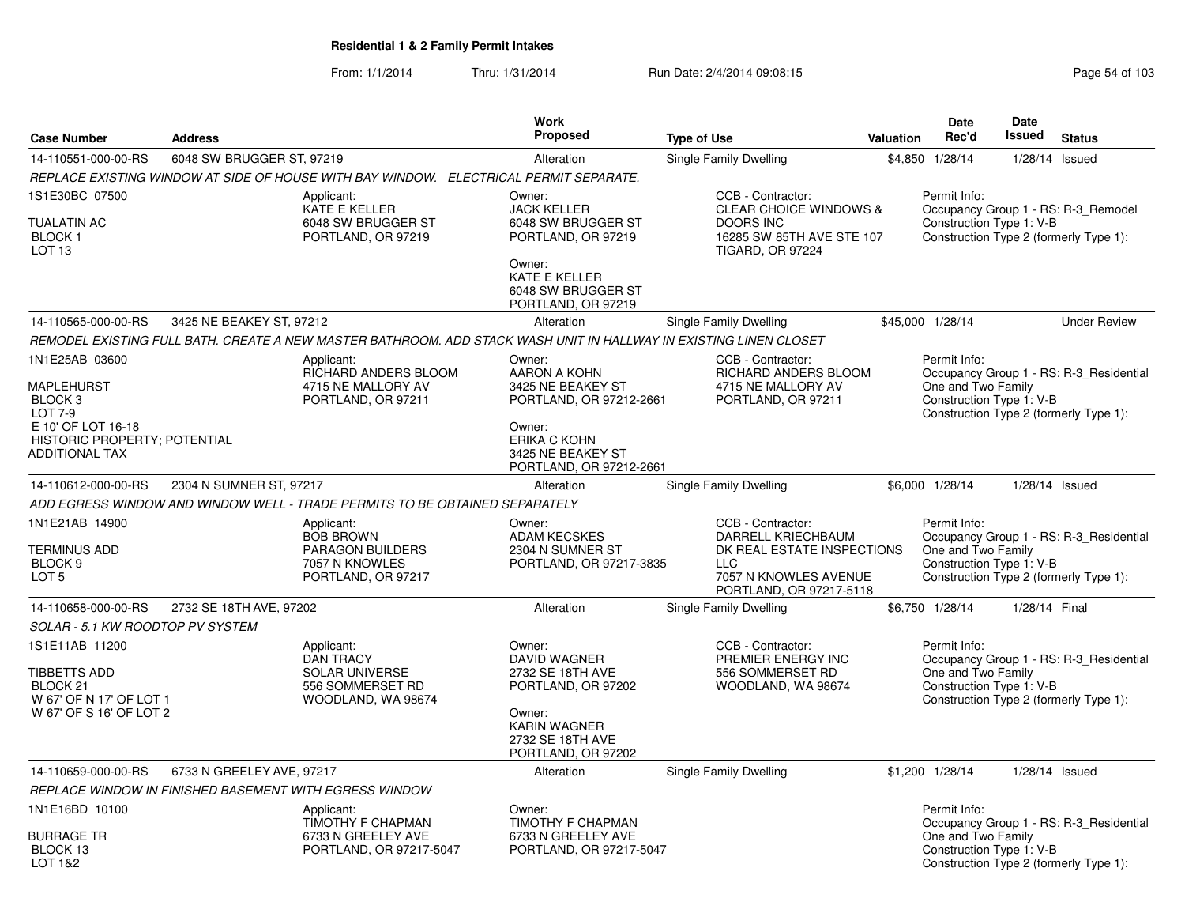| <b>Case Number</b>                                                                                                                           | <b>Address</b>            |                                                                                                   | <b>Work</b><br>Proposed                                                                                                                                | <b>Type of Use</b>                                                                                                                      | Valuation | Date<br>Rec'd                                                  | Date<br>Issued   | <b>Status</b>                                                                     |
|----------------------------------------------------------------------------------------------------------------------------------------------|---------------------------|---------------------------------------------------------------------------------------------------|--------------------------------------------------------------------------------------------------------------------------------------------------------|-----------------------------------------------------------------------------------------------------------------------------------------|-----------|----------------------------------------------------------------|------------------|-----------------------------------------------------------------------------------|
| 14-110551-000-00-RS                                                                                                                          | 6048 SW BRUGGER ST, 97219 |                                                                                                   | Alteration                                                                                                                                             | Single Family Dwelling                                                                                                                  | \$4,850   | 1/28/14                                                        | 1/28/14 Issued   |                                                                                   |
|                                                                                                                                              |                           | REPLACE EXISTING WINDOW AT SIDE OF HOUSE WITH BAY WINDOW. ELECTRICAL PERMIT SEPARATE.             |                                                                                                                                                        |                                                                                                                                         |           |                                                                |                  |                                                                                   |
| 1S1E30BC 07500<br><b>TUALATIN AC</b><br><b>BLOCK1</b><br>LOT <sub>13</sub>                                                                   |                           | Applicant:<br><b>KATE E KELLER</b><br>6048 SW BRUGGER ST<br>PORTLAND, OR 97219                    | Owner:<br><b>JACK KELLER</b><br>6048 SW BRUGGER ST<br>PORTLAND, OR 97219<br>Owner:<br><b>KATE E KELLER</b><br>6048 SW BRUGGER ST<br>PORTLAND, OR 97219 | CCB - Contractor:<br><b>CLEAR CHOICE WINDOWS &amp;</b><br><b>DOORS INC</b><br>16285 SW 85TH AVE STE 107<br><b>TIGARD, OR 97224</b>      |           | Permit Info:<br>Construction Type 1: V-B                       |                  | Occupancy Group 1 - RS: R-3_Remodel<br>Construction Type 2 (formerly Type 1):     |
| 14-110565-000-00-RS                                                                                                                          | 3425 NE BEAKEY ST, 97212  |                                                                                                   | Alteration                                                                                                                                             | Single Family Dwelling                                                                                                                  |           | \$45,000 1/28/14                                               |                  | <b>Under Review</b>                                                               |
|                                                                                                                                              |                           |                                                                                                   | REMODEL EXISTING FULL BATH. CREATE A NEW MASTER BATHROOM. ADD STACK WASH UNIT IN HALLWAY IN EXISTING LINEN CLOSET                                      |                                                                                                                                         |           |                                                                |                  |                                                                                   |
| 1N1E25AB 03600<br>MAPLEHURST<br>BLOCK <sub>3</sub><br><b>LOT 7-9</b><br>E 10' OF LOT 16-18<br>HISTORIC PROPERTY; POTENTIAL<br>ADDITIONAL TAX |                           | Applicant:<br>RICHARD ANDERS BLOOM<br>4715 NE MALLORY AV<br>PORTLAND, OR 97211                    | Owner:<br>AARON A KOHN<br>3425 NE BEAKEY ST<br>PORTLAND, OR 97212-2661<br>Owner:<br>ERIKA C KOHN<br>3425 NE BEAKEY ST<br>PORTLAND, OR 97212-2661       | CCB - Contractor:<br>RICHARD ANDERS BLOOM<br>4715 NE MALLORY AV<br>PORTLAND, OR 97211                                                   |           | Permit Info:<br>One and Two Family<br>Construction Type 1: V-B |                  | Occupancy Group 1 - RS: R-3 Residential<br>Construction Type 2 (formerly Type 1): |
| 14-110612-000-00-RS                                                                                                                          | 2304 N SUMNER ST, 97217   |                                                                                                   | Alteration                                                                                                                                             | Single Family Dwelling                                                                                                                  |           | \$6,000 1/28/14                                                | 1/28/14 Issued   |                                                                                   |
|                                                                                                                                              |                           | ADD EGRESS WINDOW AND WINDOW WELL - TRADE PERMITS TO BE OBTAINED SEPARATELY                       |                                                                                                                                                        |                                                                                                                                         |           |                                                                |                  |                                                                                   |
| 1N1E21AB 14900<br><b>TERMINUS ADD</b><br>BLOCK <sub>9</sub><br>LOT <sub>5</sub>                                                              |                           | Applicant:<br><b>BOB BROWN</b><br>PARAGON BUILDERS<br>7057 N KNOWLES<br>PORTLAND, OR 97217        | Owner:<br><b>ADAM KECSKES</b><br>2304 N SUMNER ST<br>PORTLAND, OR 97217-3835                                                                           | CCB - Contractor:<br>DARRELL KRIECHBAUM<br>DK REAL ESTATE INSPECTIONS<br><b>LLC</b><br>7057 N KNOWLES AVENUE<br>PORTLAND, OR 97217-5118 |           | Permit Info:<br>One and Two Family<br>Construction Type 1: V-B |                  | Occupancy Group 1 - RS: R-3 Residential<br>Construction Type 2 (formerly Type 1): |
| 14-110658-000-00-RS                                                                                                                          | 2732 SE 18TH AVE, 97202   |                                                                                                   | Alteration                                                                                                                                             | Single Family Dwelling                                                                                                                  |           | \$6,750 1/28/14                                                | 1/28/14 Final    |                                                                                   |
| SOLAR - 5.1 KW ROODTOP PV SYSTEM                                                                                                             |                           |                                                                                                   |                                                                                                                                                        |                                                                                                                                         |           |                                                                |                  |                                                                                   |
| 1S1E11AB 11200<br><b>TIBBETTS ADD</b><br>BLOCK <sub>21</sub><br>W 67' OF N 17' OF LOT 1<br>W 67' OF S 16' OF LOT 2                           |                           | Applicant:<br><b>DAN TRACY</b><br><b>SOLAR UNIVERSE</b><br>556 SOMMERSET RD<br>WOODLAND, WA 98674 | Owner:<br><b>DAVID WAGNER</b><br>2732 SE 18TH AVE<br>PORTLAND, OR 97202<br>Owner:<br><b>KARIN WAGNER</b><br>2732 SE 18TH AVE<br>PORTLAND, OR 97202     | CCB - Contractor:<br>PREMIER ENERGY INC<br>556 SOMMERSET RD<br>WOODLAND, WA 98674                                                       |           | Permit Info:<br>One and Two Family<br>Construction Type 1: V-B |                  | Occupancy Group 1 - RS: R-3_Residential<br>Construction Type 2 (formerly Type 1): |
| 14-110659-000-00-RS                                                                                                                          | 6733 N GREELEY AVE, 97217 |                                                                                                   | Alteration                                                                                                                                             | Single Family Dwelling                                                                                                                  |           | \$1,200 1/28/14                                                | $1/28/14$ Issued |                                                                                   |
|                                                                                                                                              |                           | REPLACE WINDOW IN FINISHED BASEMENT WITH EGRESS WINDOW                                            |                                                                                                                                                        |                                                                                                                                         |           |                                                                |                  |                                                                                   |
| 1N1E16BD 10100<br><b>BURRAGE TR</b><br>BLOCK 13<br>LOT 1&2                                                                                   |                           | Applicant:<br>TIMOTHY F CHAPMAN<br>6733 N GREELEY AVE<br>PORTLAND, OR 97217-5047                  | Owner:<br>TIMOTHY F CHAPMAN<br>6733 N GREELEY AVE<br>PORTLAND, OR 97217-5047                                                                           |                                                                                                                                         |           | Permit Info:<br>One and Two Family<br>Construction Type 1: V-B |                  | Occupancy Group 1 - RS: R-3_Residential<br>Construction Type 2 (formerly Type 1): |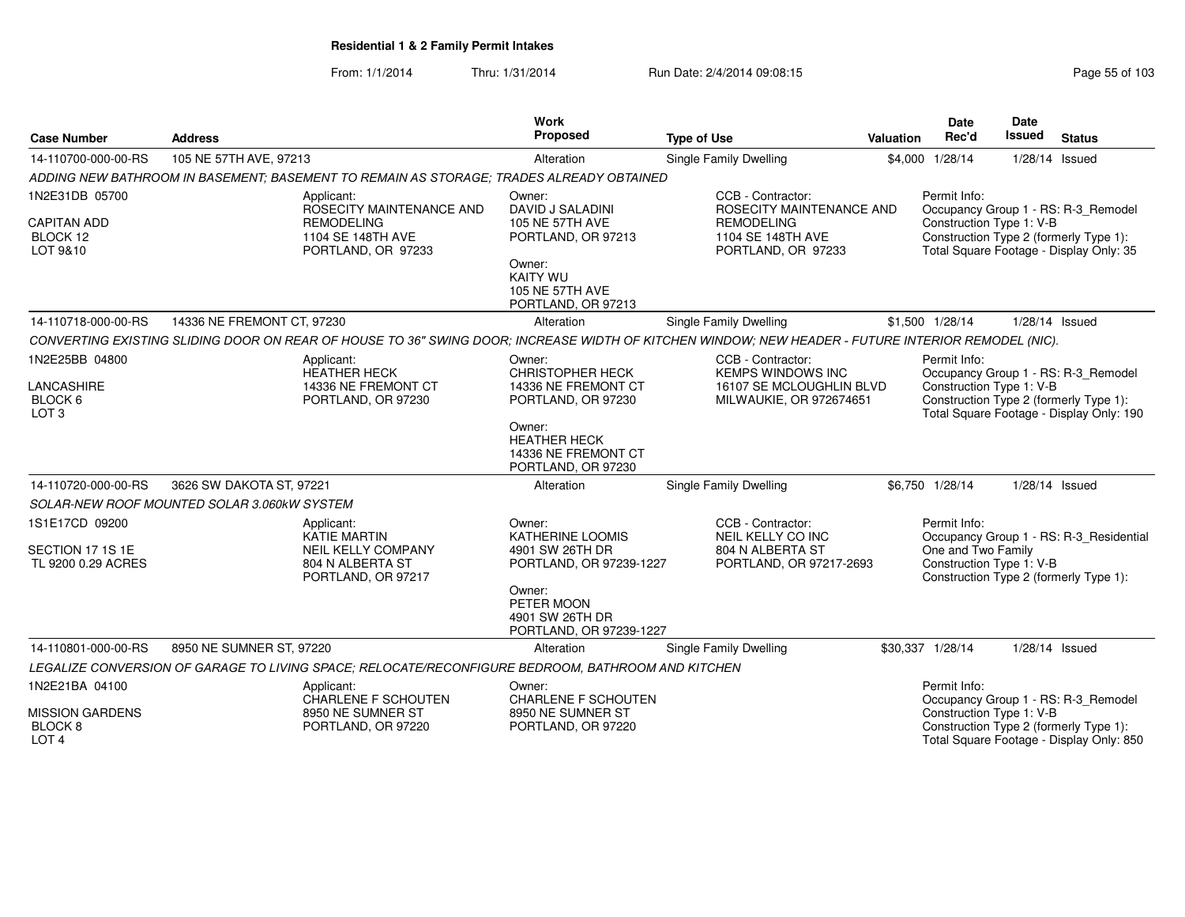| <b>Case Number</b>                                           | <b>Address</b>                              |                                                                                                          | Work<br>Proposed                                                                                                                                             | <b>Type of Use</b>                                                                                                                                 | Valuation | <b>Date</b><br>Rec'd                                           | Date<br>Issued   | <b>Status</b>                                                                                                             |
|--------------------------------------------------------------|---------------------------------------------|----------------------------------------------------------------------------------------------------------|--------------------------------------------------------------------------------------------------------------------------------------------------------------|----------------------------------------------------------------------------------------------------------------------------------------------------|-----------|----------------------------------------------------------------|------------------|---------------------------------------------------------------------------------------------------------------------------|
| 14-110700-000-00-RS                                          | 105 NE 57TH AVE, 97213                      |                                                                                                          | Alteration                                                                                                                                                   | <b>Single Family Dwelling</b>                                                                                                                      |           | \$4,000 1/28/14                                                | 1/28/14 Issued   |                                                                                                                           |
|                                                              |                                             | ADDING NEW BATHROOM IN BASEMENT; BASEMENT TO REMAIN AS STORAGE; TRADES ALREADY OBTAINED                  |                                                                                                                                                              |                                                                                                                                                    |           |                                                                |                  |                                                                                                                           |
| 1N2E31DB 05700<br><b>CAPITAN ADD</b><br>BLOCK 12<br>LOT 9&10 |                                             | Applicant:<br>ROSECITY MAINTENANCE AND<br><b>REMODELING</b><br>1104 SE 148TH AVE<br>PORTLAND, OR 97233   | Owner:<br>DAVID J SALADINI<br>105 NE 57TH AVE<br>PORTLAND, OR 97213<br>Owner:<br><b>KAITY WU</b><br>105 NE 57TH AVE                                          | CCB - Contractor:<br>ROSECITY MAINTENANCE AND<br><b>REMODELING</b><br>1104 SE 148TH AVE<br>PORTLAND, OR 97233                                      |           | Permit Info:<br>Construction Type 1: V-B                       |                  | Occupancy Group 1 - RS: R-3_Remodel<br>Construction Type 2 (formerly Type 1):<br>Total Square Footage - Display Only: 35  |
|                                                              |                                             |                                                                                                          | PORTLAND, OR 97213                                                                                                                                           |                                                                                                                                                    |           |                                                                |                  |                                                                                                                           |
| 14-110718-000-00-RS                                          | 14336 NE FREMONT CT, 97230                  |                                                                                                          | Alteration                                                                                                                                                   | Single Family Dwelling                                                                                                                             |           | \$1,500 1/28/14                                                | 1/28/14 Issued   |                                                                                                                           |
|                                                              |                                             |                                                                                                          |                                                                                                                                                              | CONVERTING EXISTING SLIDING DOOR ON REAR OF HOUSE TO 36" SWING DOOR; INCREASE WIDTH OF KITCHEN WINDOW; NEW HEADER - FUTURE INTERIOR REMODEL (NIC). |           |                                                                |                  |                                                                                                                           |
| 1N2E25BB 04800<br>LANCASHIRE<br>BLOCK 6<br>LOT <sub>3</sub>  |                                             | Applicant:<br><b>HEATHER HECK</b><br>14336 NE FREMONT CT<br>PORTLAND, OR 97230                           | Owner:<br><b>CHRISTOPHER HECK</b><br>14336 NE FREMONT CT<br>PORTLAND, OR 97230<br>Owner:<br><b>HEATHER HECK</b><br>14336 NE FREMONT CT<br>PORTLAND, OR 97230 | CCB - Contractor:<br><b>KEMPS WINDOWS INC</b><br>16107 SE MCLOUGHLIN BLVD<br>MILWAUKIE, OR 972674651                                               |           | Permit Info:<br>Construction Type 1: V-B                       |                  | Occupancy Group 1 - RS: R-3 Remodel<br>Construction Type 2 (formerly Type 1):<br>Total Square Footage - Display Only: 190 |
| 14-110720-000-00-RS                                          | 3626 SW DAKOTA ST, 97221                    |                                                                                                          | Alteration                                                                                                                                                   | <b>Single Family Dwelling</b>                                                                                                                      |           | \$6,750 1/28/14                                                | 1/28/14 Issued   |                                                                                                                           |
|                                                              | SOLAR-NEW ROOF MOUNTED SOLAR 3.060KW SYSTEM |                                                                                                          |                                                                                                                                                              |                                                                                                                                                    |           |                                                                |                  |                                                                                                                           |
| 1S1E17CD 09200<br>SECTION 17 1S 1E<br>TL 9200 0.29 ACRES     |                                             | Applicant:<br><b>KATIE MARTIN</b><br><b>NEIL KELLY COMPANY</b><br>804 N ALBERTA ST<br>PORTLAND, OR 97217 | Owner:<br><b>KATHERINE LOOMIS</b><br>4901 SW 26TH DR<br>PORTLAND, OR 97239-1227<br>Owner:<br>PETER MOON<br>4901 SW 26TH DR<br>PORTLAND, OR 97239-1227        | CCB - Contractor:<br>NEIL KELLY CO INC<br>804 N ALBERTA ST<br>PORTLAND, OR 97217-2693                                                              |           | Permit Info:<br>One and Two Family<br>Construction Type 1: V-B |                  | Occupancy Group 1 - RS: R-3_Residential<br>Construction Type 2 (formerly Type 1):                                         |
| 14-110801-000-00-RS                                          | 8950 NE SUMNER ST, 97220                    |                                                                                                          | Alteration                                                                                                                                                   | Single Family Dwelling                                                                                                                             |           | \$30,337 1/28/14                                               | $1/28/14$ Issued |                                                                                                                           |
|                                                              |                                             | LEGALIZE CONVERSION OF GARAGE TO LIVING SPACE; RELOCATE/RECONFIGURE BEDROOM, BATHROOM AND KITCHEN        |                                                                                                                                                              |                                                                                                                                                    |           |                                                                |                  |                                                                                                                           |
| 1N2E21BA 04100<br><b>MISSION GARDENS</b>                     |                                             | Applicant:<br><b>CHARLENE F SCHOUTEN</b><br>8950 NE SUMNER ST                                            | Owner:<br><b>CHARLENE F SCHOUTEN</b><br>8950 NE SUMNER ST                                                                                                    |                                                                                                                                                    |           | Permit Info:<br>Construction Type 1: V-B                       |                  | Occupancy Group 1 - RS: R-3_Remodel                                                                                       |
| BLOCK 8<br>LOT <sub>4</sub>                                  |                                             | PORTLAND, OR 97220                                                                                       | PORTLAND, OR 97220                                                                                                                                           |                                                                                                                                                    |           |                                                                |                  | Construction Type 2 (formerly Type 1):<br>Total Square Footage - Display Only: 850                                        |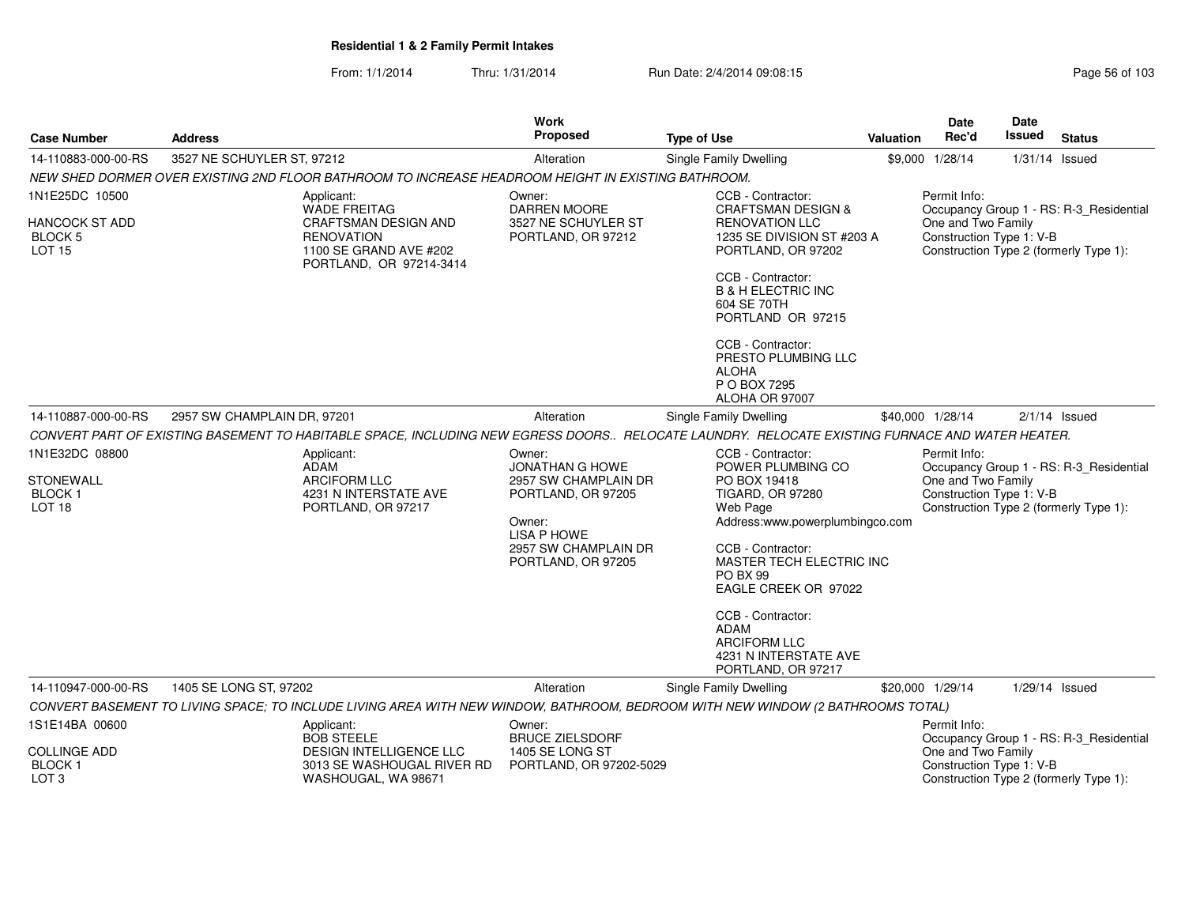| <b>Case Number</b>                                                                                   | <b>Address</b>                                                                                                                                 | <b>Work</b><br>Proposed                                                                                                                                             | <b>Type of Use</b>                                                                                                                                                                                                                                                                                                                                               | <b>Valuation</b> | <b>Date</b><br>Rec'd                                                               | <b>Date</b><br><b>Issued</b> | <b>Status</b>                                                                                         |
|------------------------------------------------------------------------------------------------------|------------------------------------------------------------------------------------------------------------------------------------------------|---------------------------------------------------------------------------------------------------------------------------------------------------------------------|------------------------------------------------------------------------------------------------------------------------------------------------------------------------------------------------------------------------------------------------------------------------------------------------------------------------------------------------------------------|------------------|------------------------------------------------------------------------------------|------------------------------|-------------------------------------------------------------------------------------------------------|
| 14-110883-000-00-RS                                                                                  | 3527 NE SCHUYLER ST, 97212                                                                                                                     | Alteration                                                                                                                                                          | Single Family Dwelling                                                                                                                                                                                                                                                                                                                                           |                  | \$9,000 1/28/14                                                                    |                              | $1/31/14$ Issued                                                                                      |
|                                                                                                      | NEW SHED DORMER OVER EXISTING 2ND FLOOR BATHROOM TO INCREASE HEADROOM HEIGHT IN EXISTING BATHROOM.                                             |                                                                                                                                                                     |                                                                                                                                                                                                                                                                                                                                                                  |                  |                                                                                    |                              |                                                                                                       |
| 1N1E25DC 10500                                                                                       | Applicant:<br>WADE FREITAG                                                                                                                     | Owner:<br>DARREN MOORE                                                                                                                                              | CCB - Contractor:<br><b>CRAFTSMAN DESIGN &amp;</b>                                                                                                                                                                                                                                                                                                               |                  | Permit Info:                                                                       |                              | Occupancy Group 1 - RS: R-3_Residential                                                               |
| <b>HANCOCK ST ADD</b><br>BLOCK 5<br><b>LOT 15</b>                                                    | CRAFTSMAN DESIGN AND<br><b>RENOVATION</b><br>1100 SE GRAND AVE #202<br>PORTLAND, OR 97214-3414                                                 | 3527 NE SCHUYLER ST<br>PORTLAND, OR 97212                                                                                                                           | <b>RENOVATION LLC</b><br>1235 SE DIVISION ST #203 A<br>PORTLAND, OR 97202                                                                                                                                                                                                                                                                                        |                  | One and Two Family<br>Construction Type 1: V-B                                     |                              | Construction Type 2 (formerly Type 1):                                                                |
|                                                                                                      |                                                                                                                                                |                                                                                                                                                                     | CCB - Contractor:<br><b>B &amp; H ELECTRIC INC</b><br>604 SE 70TH<br>PORTLAND OR 97215                                                                                                                                                                                                                                                                           |                  |                                                                                    |                              |                                                                                                       |
|                                                                                                      |                                                                                                                                                |                                                                                                                                                                     | CCB - Contractor:<br>PRESTO PLUMBING LLC<br><b>ALOHA</b><br>P O BOX 7295<br>ALOHA OR 97007                                                                                                                                                                                                                                                                       |                  |                                                                                    |                              |                                                                                                       |
| 14-110887-000-00-RS                                                                                  | 2957 SW CHAMPLAIN DR, 97201                                                                                                                    | Alteration                                                                                                                                                          | Single Family Dwelling                                                                                                                                                                                                                                                                                                                                           |                  | \$40,000 1/28/14                                                                   |                              | $2/1/14$ Issued                                                                                       |
|                                                                                                      | CONVERT PART OF EXISTING BASEMENT TO HABITABLE SPACE, INCLUDING NEW EGRESS DOORS RELOCATE LAUNDRY. RELOCATE EXISTING FURNACE AND WATER HEATER. |                                                                                                                                                                     |                                                                                                                                                                                                                                                                                                                                                                  |                  |                                                                                    |                              |                                                                                                       |
| 1N1E32DC 08800<br><b>STONEWALL</b><br>BLOCK <sub>1</sub><br>LOT <sub>18</sub><br>14-110947-000-00-RS | Applicant:<br>ADAM<br><b>ARCIFORM LLC</b><br>4231 N INTERSTATE AVE<br>PORTLAND, OR 97217<br>1405 SE LONG ST, 97202                             | Owner:<br><b>JONATHAN G HOWE</b><br>2957 SW CHAMPLAIN DR<br>PORTLAND, OR 97205<br>Owner:<br>LISA P HOWE<br>2957 SW CHAMPLAIN DR<br>PORTLAND, OR 97205<br>Alteration | CCB - Contractor:<br>POWER PLUMBING CO<br>PO BOX 19418<br><b>TIGARD, OR 97280</b><br>Web Page<br>Address:www.powerplumbingco.com<br>CCB - Contractor:<br>MASTER TECH ELECTRIC INC<br><b>PO BX 99</b><br>EAGLE CREEK OR 97022<br>CCB - Contractor:<br><b>ADAM</b><br><b>ARCIFORM LLC</b><br>4231 N INTERSTATE AVE<br>PORTLAND, OR 97217<br>Single Family Dwelling |                  | Permit Info:<br>One and Two Family<br>Construction Type 1: V-B<br>\$20,000 1/29/14 |                              | Occupancy Group 1 - RS: R-3_Residential<br>Construction Type 2 (formerly Type 1):<br>$1/29/14$ Issued |
|                                                                                                      | CONVERT BASEMENT TO LIVING SPACE; TO INCLUDE LIVING AREA WITH NEW WINDOW, BATHROOM, BEDROOM WITH NEW WINDOW (2 BATHROOMS TOTAL)                |                                                                                                                                                                     |                                                                                                                                                                                                                                                                                                                                                                  |                  |                                                                                    |                              |                                                                                                       |
| 1S1E14BA 00600                                                                                       | Applicant:                                                                                                                                     | Owner:                                                                                                                                                              |                                                                                                                                                                                                                                                                                                                                                                  |                  | Permit Info:                                                                       |                              |                                                                                                       |
| <b>COLLINGE ADD</b><br>BLOCK <sub>1</sub><br>LOT <sub>3</sub>                                        | <b>BOB STEELE</b><br><b>DESIGN INTELLIGENCE LLC</b><br>3013 SE WASHOUGAL RIVER RD<br>WASHOUGAL, WA 98671                                       | <b>BRUCE ZIELSDORF</b><br>1405 SE LONG ST<br>PORTLAND, OR 97202-5029                                                                                                |                                                                                                                                                                                                                                                                                                                                                                  |                  | One and Two Family<br>Construction Type 1: V-B                                     |                              | Occupancy Group 1 - RS: R-3_Residential<br>Construction Type 2 (formerly Type 1):                     |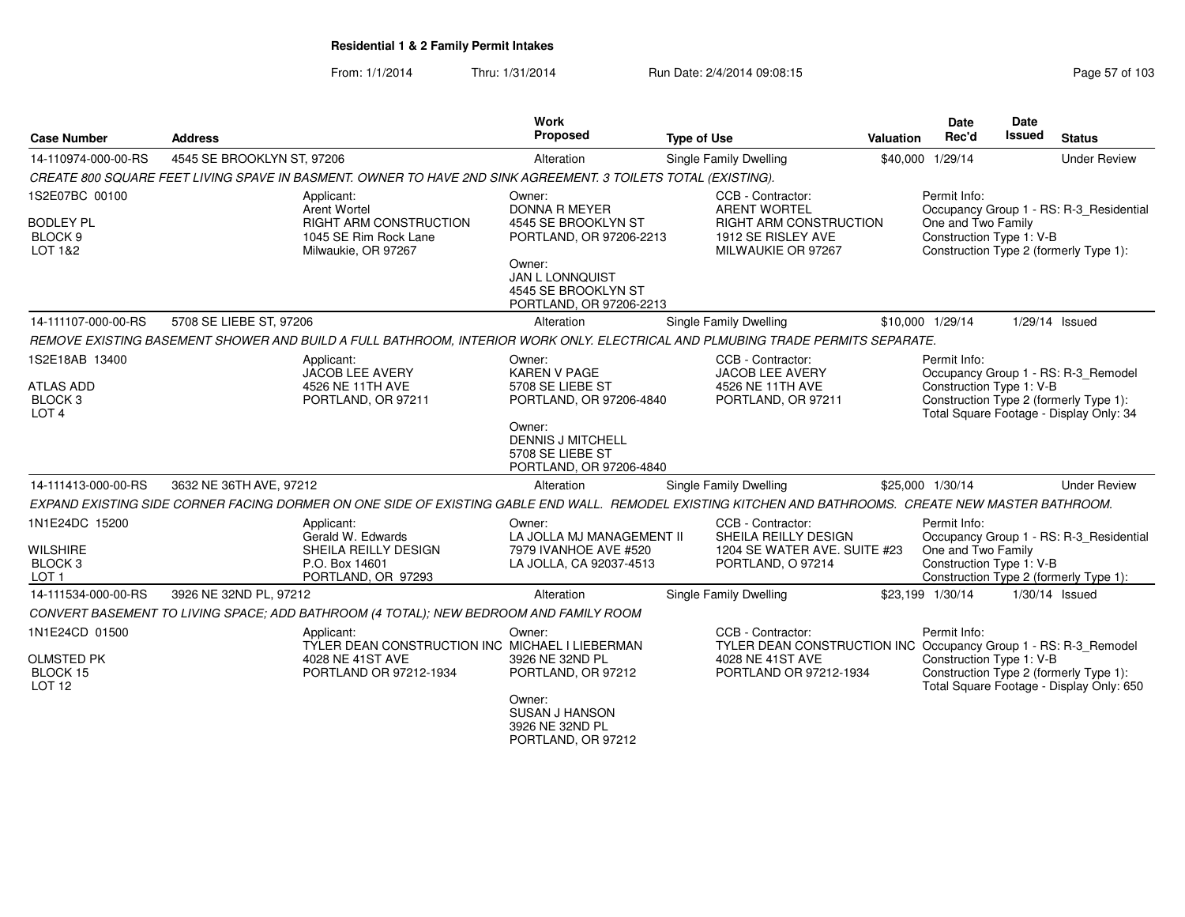| <b>Case Number</b>                                         | <b>Address</b>             |                                                                                                                                                       | Work<br>Proposed                                                                   | <b>Type of Use</b> |                                                                                          | <b>Valuation</b> | <b>Date</b><br>Rec'd                                           | Date<br>Issued | <b>Status</b>                                                                      |
|------------------------------------------------------------|----------------------------|-------------------------------------------------------------------------------------------------------------------------------------------------------|------------------------------------------------------------------------------------|--------------------|------------------------------------------------------------------------------------------|------------------|----------------------------------------------------------------|----------------|------------------------------------------------------------------------------------|
| 14-110974-000-00-RS                                        | 4545 SE BROOKLYN ST, 97206 |                                                                                                                                                       | Alteration                                                                         |                    | Single Family Dwelling                                                                   |                  | \$40,000 1/29/14                                               |                | <b>Under Review</b>                                                                |
|                                                            |                            | CREATE 800 SQUARE FEET LIVING SPAVE IN BASMENT. OWNER TO HAVE 2ND SINK AGREEMENT. 3 TOILETS TOTAL (EXISTING).                                         |                                                                                    |                    |                                                                                          |                  |                                                                |                |                                                                                    |
| 1S2E07BC 00100<br><b>BODLEY PL</b><br>BLOCK <sub>9</sub>   |                            | Applicant:<br>Arent Wortel<br>RIGHT ARM CONSTRUCTION<br>1045 SE Rim Rock Lane                                                                         | Owner:<br><b>DONNA R MEYER</b><br>4545 SE BROOKLYN ST<br>PORTLAND, OR 97206-2213   |                    | CCB - Contractor:<br><b>ARENT WORTEL</b><br>RIGHT ARM CONSTRUCTION<br>1912 SE RISLEY AVE |                  | Permit Info:<br>One and Two Family<br>Construction Type 1: V-B |                | Occupancy Group 1 - RS: R-3_Residential                                            |
| LOT 1&2                                                    |                            | Milwaukie, OR 97267                                                                                                                                   | Owner:<br><b>JAN L LONNQUIST</b><br>4545 SE BROOKLYN ST<br>PORTLAND, OR 97206-2213 |                    | MILWAUKIE OR 97267                                                                       |                  |                                                                |                | Construction Type 2 (formerly Type 1):                                             |
| 14-111107-000-00-RS                                        | 5708 SE LIEBE ST, 97206    |                                                                                                                                                       | Alteration                                                                         |                    | Single Family Dwelling                                                                   |                  | \$10,000 1/29/14                                               |                | 1/29/14 Issued                                                                     |
|                                                            |                            | REMOVE EXISTING BASEMENT SHOWER AND BUILD A FULL BATHROOM, INTERIOR WORK ONLY. ELECTRICAL AND PLMUBING TRADE PERMITS SEPARATE.                        |                                                                                    |                    |                                                                                          |                  |                                                                |                |                                                                                    |
| 1S2E18AB 13400                                             |                            | Applicant:<br><b>JACOB LEE AVERY</b>                                                                                                                  | Owner:<br><b>KAREN V PAGE</b>                                                      |                    | CCB - Contractor:<br><b>JACOB LEE AVERY</b>                                              |                  | Permit Info:                                                   |                | Occupancy Group 1 - RS: R-3_Remodel                                                |
| <b>ATLAS ADD</b><br>BLOCK <sub>3</sub><br>LOT <sub>4</sub> |                            | 4526 NE 11TH AVE<br>PORTLAND, OR 97211                                                                                                                | 5708 SE LIEBE ST<br>PORTLAND, OR 97206-4840                                        |                    | 4526 NE 11TH AVE<br>PORTLAND, OR 97211                                                   |                  | Construction Type 1: V-B                                       |                | Construction Type 2 (formerly Type 1):<br>Total Square Footage - Display Only: 34  |
|                                                            |                            |                                                                                                                                                       | Owner:<br><b>DENNIS J MITCHELL</b><br>5708 SE LIEBE ST<br>PORTLAND, OR 97206-4840  |                    |                                                                                          |                  |                                                                |                |                                                                                    |
| 14-111413-000-00-RS                                        | 3632 NE 36TH AVE, 97212    |                                                                                                                                                       | Alteration                                                                         |                    | Single Family Dwelling                                                                   |                  | \$25,000 1/30/14                                               |                | <b>Under Review</b>                                                                |
|                                                            |                            | EXPAND EXISTING SIDE CORNER FACING DORMER ON ONE SIDE OF EXISTING GABLE END WALL. REMODEL EXISTING KITCHEN AND BATHROOMS. CREATE NEW MASTER BATHROOM. |                                                                                    |                    |                                                                                          |                  |                                                                |                |                                                                                    |
| 1N1E24DC 15200                                             |                            | Applicant:<br>Gerald W. Edwards                                                                                                                       | Owner:<br>LA JOLLA MJ MANAGEMENT II                                                |                    | CCB - Contractor:<br>SHEILA REILLY DESIGN                                                |                  | Permit Info:                                                   |                | Occupancy Group 1 - RS: R-3_Residential                                            |
| <b>WILSHIRE</b><br>BLOCK <sub>3</sub><br>LOT <sub>1</sub>  |                            | SHEILA REILLY DESIGN<br>P.O. Box 14601<br>PORTLAND, OR 97293                                                                                          | 7979 IVANHOE AVE #520<br>LA JOLLA, CA 92037-4513                                   |                    | 1204 SE WATER AVE, SUITE #23<br>PORTLAND, O 97214                                        |                  | One and Two Family<br>Construction Type 1: V-B                 |                | Construction Type 2 (formerly Type 1):                                             |
| 14-111534-000-00-RS                                        | 3926 NE 32ND PL, 97212     |                                                                                                                                                       | Alteration                                                                         |                    | Single Family Dwelling                                                                   |                  | \$23,199 1/30/14                                               |                | 1/30/14 Issued                                                                     |
|                                                            |                            | CONVERT BASEMENT TO LIVING SPACE; ADD BATHROOM (4 TOTAL); NEW BEDROOM AND FAMILY ROOM                                                                 |                                                                                    |                    |                                                                                          |                  |                                                                |                |                                                                                    |
| 1N1E24CD 01500                                             |                            | Applicant:<br>TYLER DEAN CONSTRUCTION INC MICHAEL I LIEBERMAN                                                                                         | Owner:                                                                             |                    | CCB - Contractor:<br>TYLER DEAN CONSTRUCTION INC Occupancy Group 1 - RS: R-3_Remodel     |                  | Permit Info:                                                   |                |                                                                                    |
| <b>OLMSTED PK</b><br>BLOCK 15<br>LOT <sub>12</sub>         |                            | 4028 NE 41ST AVE<br>PORTLAND OR 97212-1934                                                                                                            | 3926 NE 32ND PL<br>PORTLAND, OR 97212                                              |                    | 4028 NE 41ST AVE<br>PORTLAND OR 97212-1934                                               |                  | Construction Type 1: V-B                                       |                | Construction Type 2 (formerly Type 1):<br>Total Square Footage - Display Only: 650 |
|                                                            |                            |                                                                                                                                                       | Owner:<br><b>SUSAN J HANSON</b><br>3926 NE 32ND PL<br>PORTLAND, OR 97212           |                    |                                                                                          |                  |                                                                |                |                                                                                    |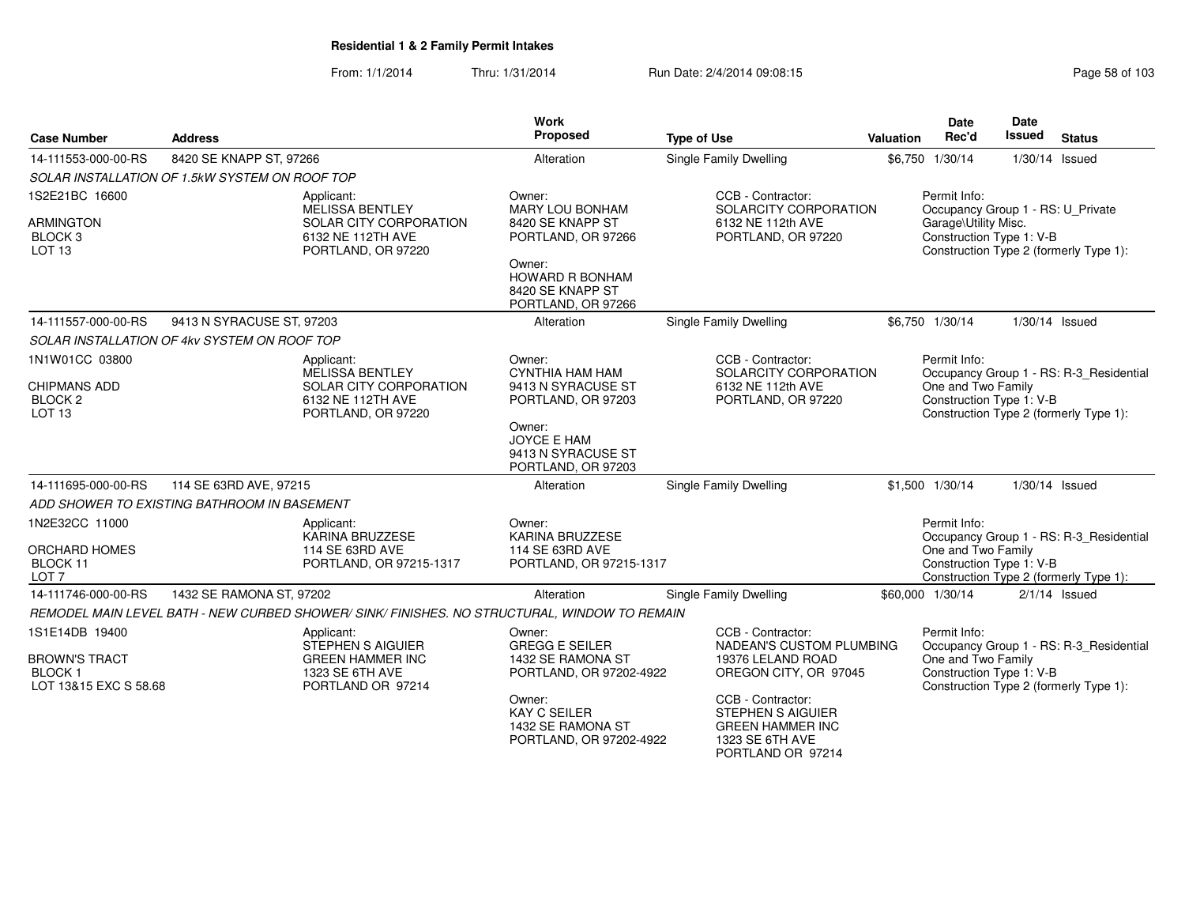From: 1/1/2014Thru: 1/31/2014 Run Date: 2/4/2014 09:08:15 Research 2010 103

| <b>Case Number</b>                                             | <b>Address</b>                                 |                                                                                              | <b>Work</b><br>Proposed                                                       | <b>Type of Use</b>                                                                                               | <b>Valuation</b> | <b>Date</b><br>Rec'd                                                                                  | <b>Date</b><br><b>Issued</b> | <b>Status</b>                           |
|----------------------------------------------------------------|------------------------------------------------|----------------------------------------------------------------------------------------------|-------------------------------------------------------------------------------|------------------------------------------------------------------------------------------------------------------|------------------|-------------------------------------------------------------------------------------------------------|------------------------------|-----------------------------------------|
| 14-111553-000-00-RS                                            | 8420 SE KNAPP ST, 97266                        |                                                                                              | Alteration                                                                    | <b>Single Family Dwelling</b>                                                                                    |                  | \$6,750 1/30/14                                                                                       | 1/30/14 Issued               |                                         |
|                                                                | SOLAR INSTALLATION OF 1.5kW SYSTEM ON ROOF TOP |                                                                                              |                                                                               |                                                                                                                  |                  |                                                                                                       |                              |                                         |
| 1S2E21BC 16600<br><b>ARMINGTON</b><br>BLOCK <sub>3</sub>       |                                                | Applicant:<br>MELISSA BENTLEY<br>SOLAR CITY CORPORATION<br>6132 NE 112TH AVE                 | Owner:<br><b>MARY LOU BONHAM</b><br>8420 SE KNAPP ST<br>PORTLAND, OR 97266    | CCB - Contractor:<br>SOLARCITY CORPORATION<br>6132 NE 112th AVE<br>PORTLAND, OR 97220                            |                  | Permit Info:<br>Occupancy Group 1 - RS: U_Private<br>Garage\Utility Misc.<br>Construction Type 1: V-B |                              |                                         |
| LOT <sub>13</sub>                                              |                                                | PORTLAND, OR 97220                                                                           | Owner:<br>HOWARD R BONHAM<br>8420 SE KNAPP ST<br>PORTLAND, OR 97266           |                                                                                                                  |                  |                                                                                                       |                              | Construction Type 2 (formerly Type 1):  |
| 14-111557-000-00-RS                                            | 9413 N SYRACUSE ST, 97203                      |                                                                                              | Alteration                                                                    | Single Family Dwelling                                                                                           |                  | \$6,750 1/30/14                                                                                       | 1/30/14 Issued               |                                         |
|                                                                | SOLAR INSTALLATION OF 4kv SYSTEM ON ROOF TOP   |                                                                                              |                                                                               |                                                                                                                  |                  |                                                                                                       |                              |                                         |
| 1N1W01CC 03800                                                 |                                                | Applicant:<br>MELISSA BENTLEY                                                                | Owner:<br><b>CYNTHIA HAM HAM</b>                                              | CCB - Contractor:<br>SOLARCITY CORPORATION                                                                       |                  | Permit Info:                                                                                          |                              | Occupancy Group 1 - RS: R-3_Residential |
| CHIPMANS ADD<br><b>BLOCK 2</b><br>LOT <sub>13</sub>            |                                                | SOLAR CITY CORPORATION<br>6132 NE 112TH AVE<br>PORTLAND, OR 97220                            | 9413 N SYRACUSE ST<br>PORTLAND, OR 97203                                      | 6132 NE 112th AVE<br>PORTLAND, OR 97220                                                                          |                  | One and Two Family<br>Construction Type 1: V-B                                                        |                              | Construction Type 2 (formerly Type 1):  |
|                                                                |                                                |                                                                                              | Owner:<br><b>JOYCE E HAM</b><br>9413 N SYRACUSE ST<br>PORTLAND, OR 97203      |                                                                                                                  |                  |                                                                                                       |                              |                                         |
| 14-111695-000-00-RS                                            | 114 SE 63RD AVE, 97215                         |                                                                                              | Alteration                                                                    | <b>Single Family Dwelling</b>                                                                                    |                  | \$1,500 1/30/14                                                                                       | 1/30/14 Issued               |                                         |
|                                                                | ADD SHOWER TO EXISTING BATHROOM IN BASEMENT    |                                                                                              |                                                                               |                                                                                                                  |                  |                                                                                                       |                              |                                         |
| 1N2E32CC 11000                                                 |                                                | Applicant:<br><b>KARINA BRUZZESE</b>                                                         | Owner:<br><b>KARINA BRUZZESE</b>                                              |                                                                                                                  |                  | Permit Info:                                                                                          |                              | Occupancy Group 1 - RS: R-3_Residential |
| ORCHARD HOMES<br>BLOCK 11<br>LOT <sub>7</sub>                  |                                                | 114 SE 63RD AVE<br>PORTLAND, OR 97215-1317                                                   | 114 SE 63RD AVE<br>PORTLAND, OR 97215-1317                                    |                                                                                                                  |                  | One and Two Family<br>Construction Type 1: V-B                                                        |                              | Construction Type 2 (formerly Type 1):  |
| 14-111746-000-00-RS                                            | 1432 SE RAMONA ST, 97202                       |                                                                                              | Alteration                                                                    | Single Family Dwelling                                                                                           |                  | \$60,000 1/30/14                                                                                      |                              | $2/1/14$ Issued                         |
|                                                                |                                                | REMODEL MAIN LEVEL BATH - NEW CURBED SHOWER/ SINK/ FINISHES. NO STRUCTURAL, WINDOW TO REMAIN |                                                                               |                                                                                                                  |                  |                                                                                                       |                              |                                         |
| 1S1E14DB 19400                                                 |                                                | Applicant:<br><b>STEPHEN S AIGUIER</b>                                                       | Owner:<br><b>GREGG E SEILER</b>                                               | CCB - Contractor:<br>NADEAN'S CUSTOM PLUMBING                                                                    |                  | Permit Info:                                                                                          |                              | Occupancy Group 1 - RS: R-3_Residential |
| <b>BROWN'S TRACT</b><br><b>BLOCK1</b><br>LOT 13&15 EXC S 58.68 |                                                | <b>GREEN HAMMER INC</b><br>1323 SE 6TH AVE<br>PORTLAND OR 97214                              | 1432 SE RAMONA ST<br>PORTLAND, OR 97202-4922                                  | 19376 LELAND ROAD<br>OREGON CITY, OR 97045                                                                       |                  | One and Two Family<br>Construction Type 1: V-B                                                        |                              | Construction Type 2 (formerly Type 1):  |
|                                                                |                                                |                                                                                              | Owner:<br><b>KAY C SEILER</b><br>1432 SE RAMONA ST<br>PORTLAND, OR 97202-4922 | CCB - Contractor:<br><b>STEPHEN S AIGUIER</b><br><b>GREEN HAMMER INC</b><br>1323 SE 6TH AVE<br>PORTLAND OR 97214 |                  |                                                                                                       |                              |                                         |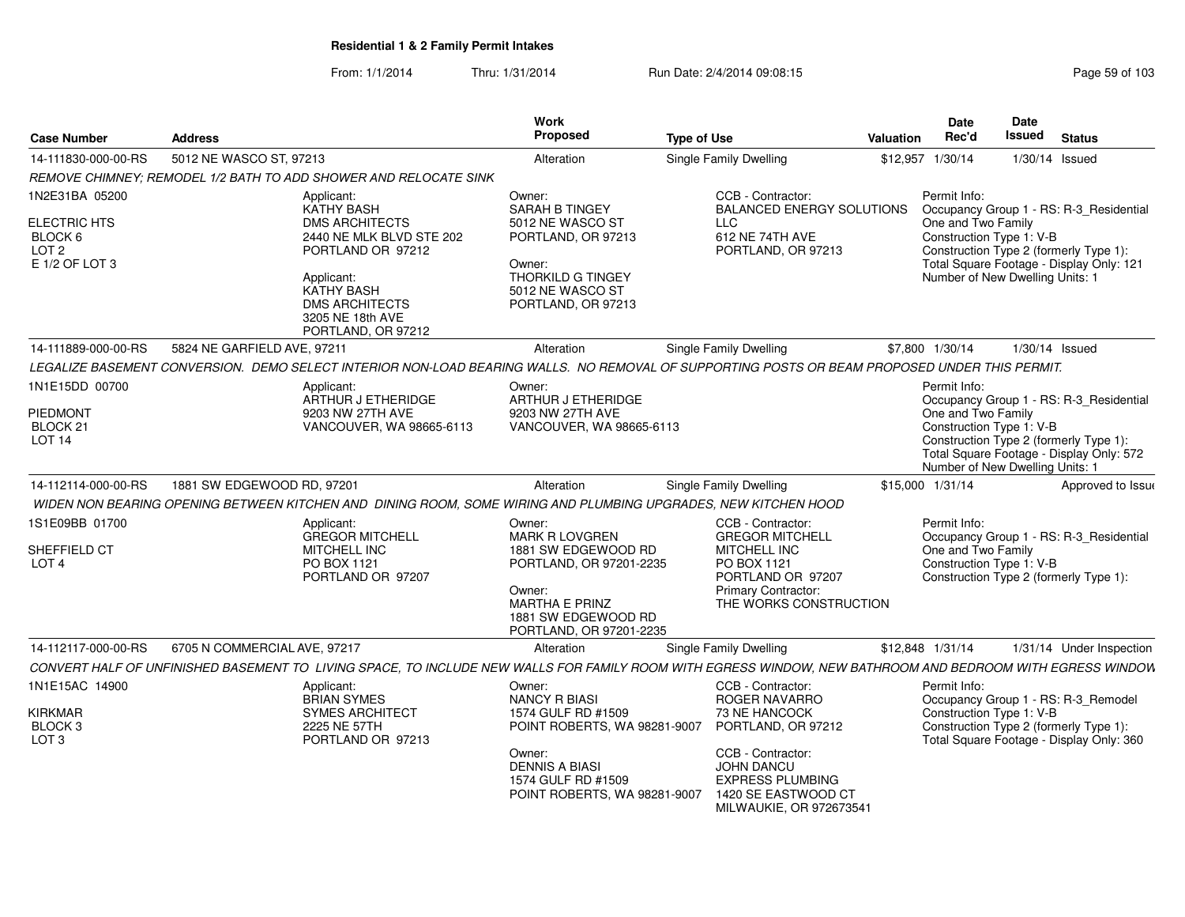| <b>Case Number</b>                                                              | <b>Address</b>                                                                                                                                                                                                  | Work<br><b>Proposed</b>                                                                                                                                                       | <b>Type of Use</b>                                                                                                                                                                        | <b>Valuation</b> | Date<br>Rec'd                                                                                     | Date<br><b>Issued</b> | <b>Status</b>                                                                                                                 |
|---------------------------------------------------------------------------------|-----------------------------------------------------------------------------------------------------------------------------------------------------------------------------------------------------------------|-------------------------------------------------------------------------------------------------------------------------------------------------------------------------------|-------------------------------------------------------------------------------------------------------------------------------------------------------------------------------------------|------------------|---------------------------------------------------------------------------------------------------|-----------------------|-------------------------------------------------------------------------------------------------------------------------------|
| 14-111830-000-00-RS                                                             | 5012 NE WASCO ST, 97213                                                                                                                                                                                         | Alteration                                                                                                                                                                    | <b>Single Family Dwelling</b>                                                                                                                                                             | \$12,957         | 1/30/14                                                                                           |                       | $1/30/14$ Issued                                                                                                              |
|                                                                                 | REMOVE CHIMNEY; REMODEL 1/2 BATH TO ADD SHOWER AND RELOCATE SINK                                                                                                                                                |                                                                                                                                                                               |                                                                                                                                                                                           |                  |                                                                                                   |                       |                                                                                                                               |
| 1N2E31BA 05200<br>ELECTRIC HTS<br>BLOCK 6<br>LOT <sub>2</sub><br>E 1/2 OF LOT 3 | Applicant:<br><b>KATHY BASH</b><br><b>DMS ARCHITECTS</b><br>2440 NE MLK BLVD STE 202<br>PORTLAND OR 97212<br>Applicant:<br><b>KATHY BASH</b><br><b>DMS ARCHITECTS</b><br>3205 NE 18th AVE<br>PORTLAND, OR 97212 | Owner:<br>SARAH B TINGEY<br>5012 NE WASCO ST<br>PORTLAND, OR 97213<br>Owner:<br><b>THORKILD G TINGEY</b><br>5012 NE WASCO ST<br>PORTLAND, OR 97213                            | CCB - Contractor:<br><b>BALANCED ENERGY SOLUTIONS</b><br><b>LLC</b><br>612 NE 74TH AVE<br>PORTLAND, OR 97213                                                                              |                  | Permit Info:<br>One and Two Family<br>Construction Type 1: V-B<br>Number of New Dwelling Units: 1 |                       | Occupancy Group 1 - RS: R-3_Residential<br>Construction Type 2 (formerly Type 1):<br>Total Square Footage - Display Only: 121 |
| 14-111889-000-00-RS                                                             | 5824 NE GARFIELD AVE, 97211                                                                                                                                                                                     | Alteration                                                                                                                                                                    | Single Family Dwelling                                                                                                                                                                    |                  | \$7,800 1/30/14                                                                                   |                       | 1/30/14 Issued                                                                                                                |
|                                                                                 | LEGALIZE BASEMENT CONVERSION. DEMO SELECT INTERIOR NON-LOAD BEARING WALLS. NO REMOVAL OF SUPPORTING POSTS OR BEAM PROPOSED UNDER THIS PERMIT.                                                                   |                                                                                                                                                                               |                                                                                                                                                                                           |                  |                                                                                                   |                       |                                                                                                                               |
| 1N1E15DD 00700<br>PIEDMONT<br>BLOCK <sub>21</sub><br>LOT <sub>14</sub>          | Applicant:<br>ARTHUR J ETHERIDGE<br>9203 NW 27TH AVE<br>VANCOUVER, WA 98665-6113                                                                                                                                | Owner:<br>ARTHUR J ETHERIDGE<br>9203 NW 27TH AVE<br>VANCOUVER, WA 98665-6113                                                                                                  |                                                                                                                                                                                           |                  | Permit Info:<br>One and Two Family<br>Construction Type 1: V-B<br>Number of New Dwelling Units: 1 |                       | Occupancy Group 1 - RS: R-3_Residential<br>Construction Type 2 (formerly Type 1):<br>Total Square Footage - Display Only: 572 |
| 14-112114-000-00-RS                                                             | 1881 SW EDGEWOOD RD, 97201                                                                                                                                                                                      | Alteration                                                                                                                                                                    | Single Family Dwelling                                                                                                                                                                    |                  | \$15,000 1/31/14                                                                                  |                       | Approved to Issue                                                                                                             |
|                                                                                 | WIDEN NON BEARING OPENING BETWEEN KITCHEN AND DINING ROOM, SOME WIRING AND PLUMBING UPGRADES, NEW KITCHEN HOOD                                                                                                  |                                                                                                                                                                               |                                                                                                                                                                                           |                  |                                                                                                   |                       |                                                                                                                               |
| 1S1E09BB 01700<br>SHEFFIELD CT<br>LOT 4                                         | Applicant:<br><b>GREGOR MITCHELL</b><br>MITCHELL INC<br>PO BOX 1121<br>PORTLAND OR 97207                                                                                                                        | Owner:<br>MARK R LOVGREN<br>1881 SW EDGEWOOD RD<br>PORTLAND, OR 97201-2235<br>Owner:<br>MARTHA E PRINZ<br>1881 SW EDGEWOOD RD<br>PORTLAND, OR 97201-2235                      | CCB - Contractor:<br><b>GREGOR MITCHELL</b><br>MITCHELL INC<br>PO BOX 1121<br>PORTLAND OR 97207<br>Primary Contractor:<br>THE WORKS CONSTRUCTION                                          |                  | Permit Info:<br>One and Two Family<br>Construction Type 1: V-B                                    |                       | Occupancy Group 1 - RS: R-3_Residential<br>Construction Type 2 (formerly Type 1):                                             |
| 14-112117-000-00-RS                                                             | 6705 N COMMERCIAL AVE, 97217                                                                                                                                                                                    | Alteration                                                                                                                                                                    | Single Family Dwelling                                                                                                                                                                    |                  | \$12,848 1/31/14                                                                                  |                       | 1/31/14 Under Inspection                                                                                                      |
|                                                                                 | CONVERT HALF OF UNFINISHED BASEMENT TO LIVING SPACE, TO INCLUDE NEW WALLS FOR FAMILY ROOM WITH EGRESS WINDOW, NEW BATHROOM AND BEDROOM WITH EGRESS WINDOW                                                       |                                                                                                                                                                               |                                                                                                                                                                                           |                  |                                                                                                   |                       |                                                                                                                               |
| 1N1E15AC 14900<br><b>KIRKMAR</b><br>BLOCK <sub>3</sub><br>LOT <sub>3</sub>      | Applicant:<br><b>BRIAN SYMES</b><br><b>SYMES ARCHITECT</b><br>2225 NE 57TH<br>PORTLAND OR 97213                                                                                                                 | Owner:<br><b>NANCY R BIASI</b><br>1574 GULF RD #1509<br>POINT ROBERTS, WA 98281-9007<br>Owner:<br><b>DENNIS A BIASI</b><br>1574 GULF RD #1509<br>POINT ROBERTS, WA 98281-9007 | CCB - Contractor:<br>ROGER NAVARRO<br>73 NE HANCOCK<br>PORTLAND, OR 97212<br>CCB - Contractor:<br>JOHN DANCU<br><b>EXPRESS PLUMBING</b><br>1420 SE EASTWOOD CT<br>MILWAUKIE, OR 972673541 |                  | Permit Info:<br>Construction Type 1: V-B                                                          |                       | Occupancy Group 1 - RS: R-3_Remodel<br>Construction Type 2 (formerly Type 1):<br>Total Square Footage - Display Only: 360     |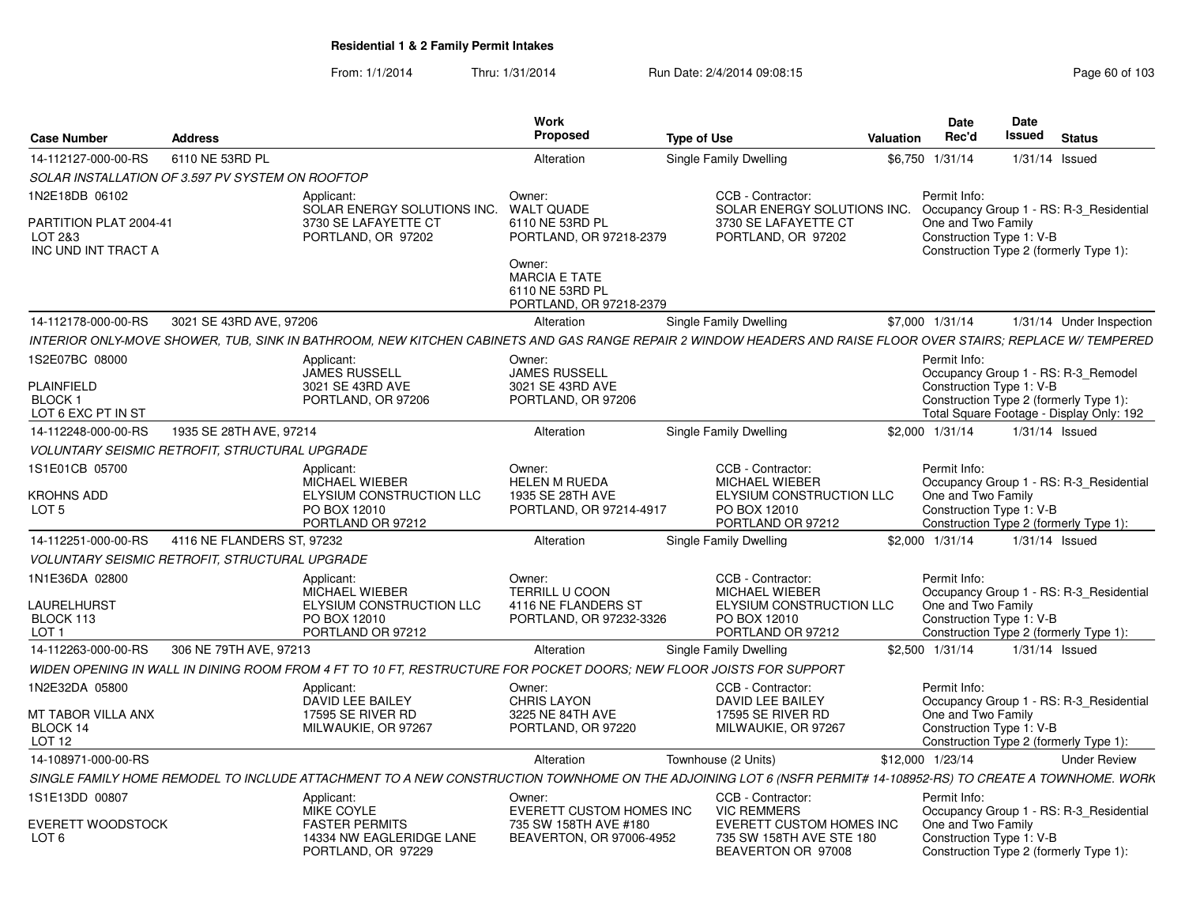| <b>Case Number</b>                                       | <b>Address</b>             |                                                                                                                                                               | Work<br>Proposed                                                             | <b>Type of Use</b>                                                                | Valuation | <b>Date</b><br>Rec'd | <b>Date</b><br>Issued    | <b>Status</b>                                                                      |
|----------------------------------------------------------|----------------------------|---------------------------------------------------------------------------------------------------------------------------------------------------------------|------------------------------------------------------------------------------|-----------------------------------------------------------------------------------|-----------|----------------------|--------------------------|------------------------------------------------------------------------------------|
| 14-112127-000-00-RS                                      | 6110 NE 53RD PL            |                                                                                                                                                               | Alteration                                                                   | Single Family Dwelling                                                            |           | \$6,750 1/31/14      |                          | $1/31/14$ Issued                                                                   |
| SOLAR INSTALLATION OF 3.597 PV SYSTEM ON ROOFTOP         |                            |                                                                                                                                                               |                                                                              |                                                                                   |           |                      |                          |                                                                                    |
| 1N2E18DB 06102                                           |                            | Applicant:<br>SOLAR ENERGY SOLUTIONS INC.                                                                                                                     | Owner:<br><b>WALT QUADE</b>                                                  | CCB - Contractor:<br>SOLAR ENERGY SOLUTIONS INC.                                  |           | Permit Info:         |                          | Occupancy Group 1 - RS: R-3_Residential                                            |
| PARTITION PLAT 2004-41<br>LOT 2&3<br>INC UND INT TRACT A |                            | 3730 SE LAFAYETTE CT<br>PORTLAND, OR 97202                                                                                                                    | 6110 NE 53RD PL<br>PORTLAND, OR 97218-2379                                   | 3730 SE LAFAYETTE CT<br>PORTLAND, OR 97202                                        |           | One and Two Family   | Construction Type 1: V-B | Construction Type 2 (formerly Type 1):                                             |
|                                                          |                            |                                                                                                                                                               | Owner:<br><b>MARCIA E TATE</b><br>6110 NE 53RD PL<br>PORTLAND, OR 97218-2379 |                                                                                   |           |                      |                          |                                                                                    |
| 14-112178-000-00-RS                                      | 3021 SE 43RD AVE, 97206    |                                                                                                                                                               | Alteration                                                                   | Single Family Dwelling                                                            |           | \$7,000 1/31/14      |                          | 1/31/14 Under Inspection                                                           |
|                                                          |                            | INTERIOR ONLY-MOVE SHOWER. TUB, SINK IN BATHROOM, NEW KITCHEN CABINETS AND GAS RANGE REPAIR 2 WINDOW HEADERS AND RAISE FLOOR OVER STAIRS: REPLACE W/ TEMPERED |                                                                              |                                                                                   |           |                      |                          |                                                                                    |
| 1S2E07BC 08000                                           |                            | Applicant:<br><b>JAMES RUSSELL</b>                                                                                                                            | Owner:<br><b>JAMES RUSSELL</b>                                               |                                                                                   |           | Permit Info:         |                          | Occupancy Group 1 - RS: R-3_Remodel                                                |
| PLAINFIELD<br><b>BLOCK1</b><br>LOT 6 EXC PT IN ST        |                            | 3021 SE 43RD AVE<br>PORTLAND, OR 97206                                                                                                                        | 3021 SE 43RD AVE<br>PORTLAND, OR 97206                                       |                                                                                   |           |                      | Construction Type 1: V-B | Construction Type 2 (formerly Type 1):<br>Total Square Footage - Display Only: 192 |
| 14-112248-000-00-RS                                      | 1935 SE 28TH AVE, 97214    |                                                                                                                                                               | Alteration                                                                   | Single Family Dwelling                                                            |           | \$2,000 1/31/14      |                          | $1/31/14$ Issued                                                                   |
| <b>VOLUNTARY SEISMIC RETROFIT, STRUCTURAL UPGRADE</b>    |                            |                                                                                                                                                               |                                                                              |                                                                                   |           |                      |                          |                                                                                    |
| 1S1E01CB 05700                                           |                            | Applicant:<br><b>MICHAEL WIEBER</b>                                                                                                                           | Owner:<br><b>HELEN M RUEDA</b>                                               | CCB - Contractor:<br>MICHAEL WIEBER                                               |           | Permit Info:         |                          | Occupancy Group 1 - RS: R-3 Residential                                            |
| <b>KROHNS ADD</b><br>LOT <sub>5</sub>                    |                            | ELYSIUM CONSTRUCTION LLC<br>PO BOX 12010<br>PORTLAND OR 97212                                                                                                 | 1935 SE 28TH AVE<br>PORTLAND, OR 97214-4917                                  | ELYSIUM CONSTRUCTION LLC<br>PO BOX 12010<br>PORTLAND OR 97212                     |           | One and Two Family   | Construction Type 1: V-B | Construction Type 2 (formerly Type 1):                                             |
| 14-112251-000-00-RS                                      | 4116 NE FLANDERS ST. 97232 |                                                                                                                                                               | Alteration                                                                   | Single Family Dwelling                                                            |           | \$2,000 1/31/14      |                          | $1/31/14$ Issued                                                                   |
| <b>VOLUNTARY SEISMIC RETROFIT. STRUCTURAL UPGRADE</b>    |                            |                                                                                                                                                               |                                                                              |                                                                                   |           |                      |                          |                                                                                    |
| 1N1E36DA 02800                                           |                            | Applicant:<br>MICHAEL WIEBER                                                                                                                                  | Owner:<br><b>TERRILL U COON</b>                                              | CCB - Contractor:<br><b>MICHAEL WIEBER</b>                                        |           | Permit Info:         |                          | Occupancy Group 1 - RS: R-3_Residential                                            |
| <b>LAURELHURST</b><br>BLOCK 113<br>LOT <sub>1</sub>      |                            | <b>ELYSIUM CONSTRUCTION LLC</b><br>PO BOX 12010<br>PORTLAND OR 97212                                                                                          | 4116 NE FLANDERS ST<br>PORTLAND, OR 97232-3326                               | ELYSIUM CONSTRUCTION LLC<br>PO BOX 12010<br>PORTLAND OR 97212                     |           | One and Two Family   | Construction Type 1: V-B | Construction Type 2 (formerly Type 1):                                             |
| 14-112263-000-00-RS                                      | 306 NE 79TH AVE, 97213     |                                                                                                                                                               | Alteration                                                                   | Single Family Dwelling                                                            |           | \$2,500 1/31/14      | 1/31/14 Issued           |                                                                                    |
|                                                          |                            | WIDEN OPENING IN WALL IN DINING ROOM FROM 4 FT TO 10 FT, RESTRUCTURE FOR POCKET DOORS; NEW FLOOR JOISTS FOR SUPPORT                                           |                                                                              |                                                                                   |           |                      |                          |                                                                                    |
| 1N2E32DA 05800                                           |                            | Applicant:<br>DAVID LEE BAILEY                                                                                                                                | Owner:<br><b>CHRIS LAYON</b>                                                 | CCB - Contractor:<br>DAVID LEE BAILEY                                             |           | Permit Info:         |                          | Occupancy Group 1 - RS: R-3 Residential                                            |
| MT TABOR VILLA ANX<br>BLOCK 14                           |                            | 17595 SE RIVER RD<br>MILWAUKIE, OR 97267                                                                                                                      | 3225 NE 84TH AVE<br>PORTLAND, OR 97220                                       | <b>17595 SE RIVER RD</b><br>MILWAUKIE, OR 97267                                   |           | One and Two Family   | Construction Type 1: V-B |                                                                                    |
| LOT <sub>12</sub>                                        |                            |                                                                                                                                                               |                                                                              |                                                                                   |           |                      |                          | Construction Type 2 (formerly Type 1):                                             |
| 14-108971-000-00-RS                                      |                            |                                                                                                                                                               | Alteration                                                                   | Townhouse (2 Units)                                                               |           | \$12,000 1/23/14     |                          | <b>Under Review</b>                                                                |
|                                                          |                            | SINGLE FAMILY HOME REMODEL TO INCLUDE ATTACHMENT TO A NEW CONSTRUCTION TOWNHOME ON THE ADJOINING LOT 6 (NSFR PERMIT# 14-108952-RS) TO CREATE A TOWNHOME. WORK |                                                                              |                                                                                   |           |                      |                          |                                                                                    |
| 1S1E13DD 00807                                           |                            | Applicant:<br><b>MIKE COYLE</b>                                                                                                                               | Owner:<br>EVERETT CUSTOM HOMES INC                                           | CCB - Contractor:<br><b>VIC REMMERS</b>                                           |           | Permit Info:         |                          | Occupancy Group 1 - RS: R-3 Residential                                            |
| EVERETT WOODSTOCK<br>LOT <sub>6</sub>                    |                            | <b>FASTER PERMITS</b><br>14334 NW EAGLERIDGE LANE<br>PORTLAND, OR 97229                                                                                       | 735 SW 158TH AVE #180<br>BEAVERTON, OR 97006-4952                            | <b>EVERETT CUSTOM HOMES INC</b><br>735 SW 158TH AVE STE 180<br>BEAVERTON OR 97008 |           | One and Two Family   | Construction Type 1: V-B | Construction Type 2 (formerly Type 1):                                             |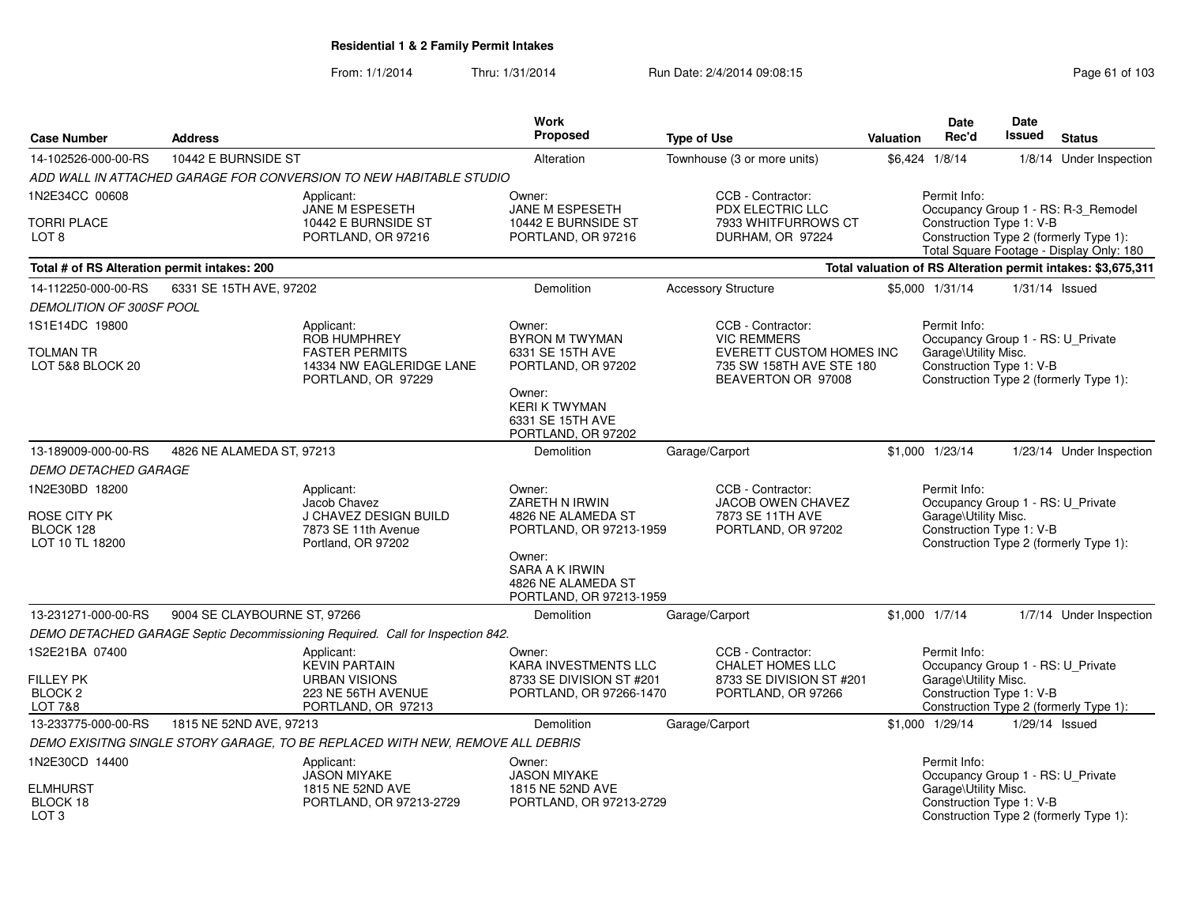| <b>Case Number</b>                              | <b>Address</b>               |                                                                                | <b>Work</b><br>Proposed                                                   | <b>Type of Use</b>                                                                      | <b>Valuation</b> | Date<br>Rec'd                                                                                         | <b>Date</b><br><b>Issued</b> | <b>Status</b>                                                                 |
|-------------------------------------------------|------------------------------|--------------------------------------------------------------------------------|---------------------------------------------------------------------------|-----------------------------------------------------------------------------------------|------------------|-------------------------------------------------------------------------------------------------------|------------------------------|-------------------------------------------------------------------------------|
| 14-102526-000-00-RS                             | 10442 E BURNSIDE ST          |                                                                                | Alteration                                                                | Townhouse (3 or more units)                                                             |                  | \$6,424 1/8/14                                                                                        |                              | 1/8/14 Under Inspection                                                       |
|                                                 |                              | ADD WALL IN ATTACHED GARAGE FOR CONVERSION TO NEW HABITABLE STUDIO             |                                                                           |                                                                                         |                  |                                                                                                       |                              |                                                                               |
| 1N2E34CC 00608                                  |                              | Applicant:                                                                     | Owner:                                                                    | CCB - Contractor:                                                                       |                  | Permit Info:                                                                                          |                              |                                                                               |
| <b>TORRI PLACE</b><br>LOT <sub>8</sub>          |                              | JANE M ESPESETH<br>10442 E BURNSIDE ST<br>PORTLAND, OR 97216                   | JANE M ESPESETH<br>10442 E BURNSIDE ST<br>PORTLAND, OR 97216              | PDX ELECTRIC LLC<br>7933 WHITFURROWS CT<br>DURHAM, OR 97224                             |                  | Construction Type 1: V-B                                                                              |                              | Occupancy Group 1 - RS: R-3_Remodel<br>Construction Type 2 (formerly Type 1): |
|                                                 |                              |                                                                                |                                                                           |                                                                                         |                  |                                                                                                       |                              | Total Square Footage - Display Only: 180                                      |
| Total # of RS Alteration permit intakes: 200    |                              |                                                                                |                                                                           |                                                                                         |                  |                                                                                                       |                              | Total valuation of RS Alteration permit intakes: \$3,675,311                  |
| 14-112250-000-00-RS                             | 6331 SE 15TH AVE, 97202      |                                                                                | Demolition                                                                | <b>Accessory Structure</b>                                                              |                  | \$5,000 1/31/14                                                                                       |                              | $1/31/14$ Issued                                                              |
| DEMOLITION OF 300SF POOL                        |                              |                                                                                |                                                                           |                                                                                         |                  |                                                                                                       |                              |                                                                               |
| 1S1E14DC 19800                                  |                              | Applicant:<br><b>ROB HUMPHREY</b>                                              | Owner:<br><b>BYRON M TWYMAN</b>                                           | CCB - Contractor:<br><b>VIC REMMERS</b>                                                 |                  | Permit Info:<br>Occupancy Group 1 - RS: U_Private                                                     |                              |                                                                               |
| <b>TOLMAN TR</b><br>LOT 5&8 BLOCK 20            |                              | <b>FASTER PERMITS</b><br>14334 NW EAGLERIDGE LANE<br>PORTLAND, OR 97229        | 6331 SE 15TH AVE<br>PORTLAND, OR 97202                                    | EVERETT CUSTOM HOMES INC<br>735 SW 158TH AVE STE 180<br>BEAVERTON OR 97008              |                  | Garage\Utility Misc.<br>Construction Type 1: V-B                                                      |                              | Construction Type 2 (formerly Type 1):                                        |
|                                                 |                              |                                                                                | Owner:<br><b>KERI K TWYMAN</b><br>6331 SE 15TH AVE<br>PORTLAND, OR 97202  |                                                                                         |                  |                                                                                                       |                              |                                                                               |
| 13-189009-000-00-RS                             | 4826 NE ALAMEDA ST. 97213    |                                                                                | Demolition                                                                | Garage/Carport                                                                          |                  | \$1,000 1/23/14                                                                                       |                              | 1/23/14 Under Inspection                                                      |
| <b>DEMO DETACHED GARAGE</b>                     |                              |                                                                                |                                                                           |                                                                                         |                  |                                                                                                       |                              |                                                                               |
| 1N2E30BD 18200<br>ROSE CITY PK<br>BLOCK 128     |                              | Applicant:<br>Jacob Chavez<br>J CHAVEZ DESIGN BUILD<br>7873 SE 11th Avenue     | Owner:<br>ZARETH N IRWIN<br>4826 NE ALAMEDA ST<br>PORTLAND, OR 97213-1959 | CCB - Contractor:<br><b>JACOB OWEN CHAVEZ</b><br>7873 SE 11TH AVE<br>PORTLAND, OR 97202 |                  | Permit Info:<br>Occupancy Group 1 - RS: U_Private<br>Garage\Utility Misc.<br>Construction Type 1: V-B |                              |                                                                               |
| LOT 10 TL 18200                                 |                              | Portland, OR 97202                                                             | Owner:<br>SARA A K IRWIN<br>4826 NE ALAMEDA ST<br>PORTLAND, OR 97213-1959 |                                                                                         |                  |                                                                                                       |                              | Construction Type 2 (formerly Type 1):                                        |
| 13-231271-000-00-RS                             | 9004 SE CLAYBOURNE ST, 97266 |                                                                                | Demolition                                                                | Garage/Carport                                                                          |                  | $$1,000$ $1/7/14$                                                                                     |                              | 1/7/14 Under Inspection                                                       |
|                                                 |                              | DEMO DETACHED GARAGE Septic Decommissioning Required. Call for Inspection 842. |                                                                           |                                                                                         |                  |                                                                                                       |                              |                                                                               |
| 1S2E21BA 07400                                  |                              | Applicant:<br><b>KEVIN PARTAIN</b>                                             | Owner:<br>KARA INVESTMENTS LLC                                            | CCB - Contractor:<br><b>CHALET HOMES LLC</b>                                            |                  | Permit Info:<br>Occupancy Group 1 - RS: U_Private                                                     |                              |                                                                               |
| <b>FILLEY PK</b>                                |                              | <b>URBAN VISIONS</b>                                                           | 8733 SE DIVISION ST #201                                                  | 8733 SE DIVISION ST #201                                                                |                  | Garage\Utility Misc.                                                                                  |                              |                                                                               |
| BLOCK <sub>2</sub><br><b>LOT 7&amp;8</b>        |                              | 223 NE 56TH AVENUE<br>PORTLAND, OR 97213                                       | PORTLAND, OR 97266-1470                                                   | PORTLAND, OR 97266                                                                      |                  | Construction Type 1: V-B                                                                              |                              | Construction Type 2 (formerly Type 1):                                        |
| 13-233775-000-00-RS                             | 1815 NE 52ND AVE, 97213      |                                                                                | Demolition                                                                | Garage/Carport                                                                          |                  | \$1,000 1/29/14                                                                                       |                              | 1/29/14 Issued                                                                |
|                                                 |                              | DEMO EXISITNG SINGLE STORY GARAGE, TO BE REPLACED WITH NEW, REMOVE ALL DEBRIS  |                                                                           |                                                                                         |                  |                                                                                                       |                              |                                                                               |
| 1N2E30CD 14400                                  |                              | Applicant:<br><b>JASON MIYAKE</b>                                              | Owner:<br><b>JASON MIYAKE</b>                                             |                                                                                         |                  | Permit Info:<br>Occupancy Group 1 - RS: U_Private                                                     |                              |                                                                               |
| <b>ELMHURST</b><br>BLOCK 18<br>LOT <sub>3</sub> |                              | 1815 NE 52ND AVE<br>PORTLAND, OR 97213-2729                                    | 1815 NE 52ND AVE<br>PORTLAND, OR 97213-2729                               |                                                                                         |                  | Garage\Utility Misc.<br>Construction Type 1: V-B                                                      |                              | Construction Type 2 (formerly Type 1):                                        |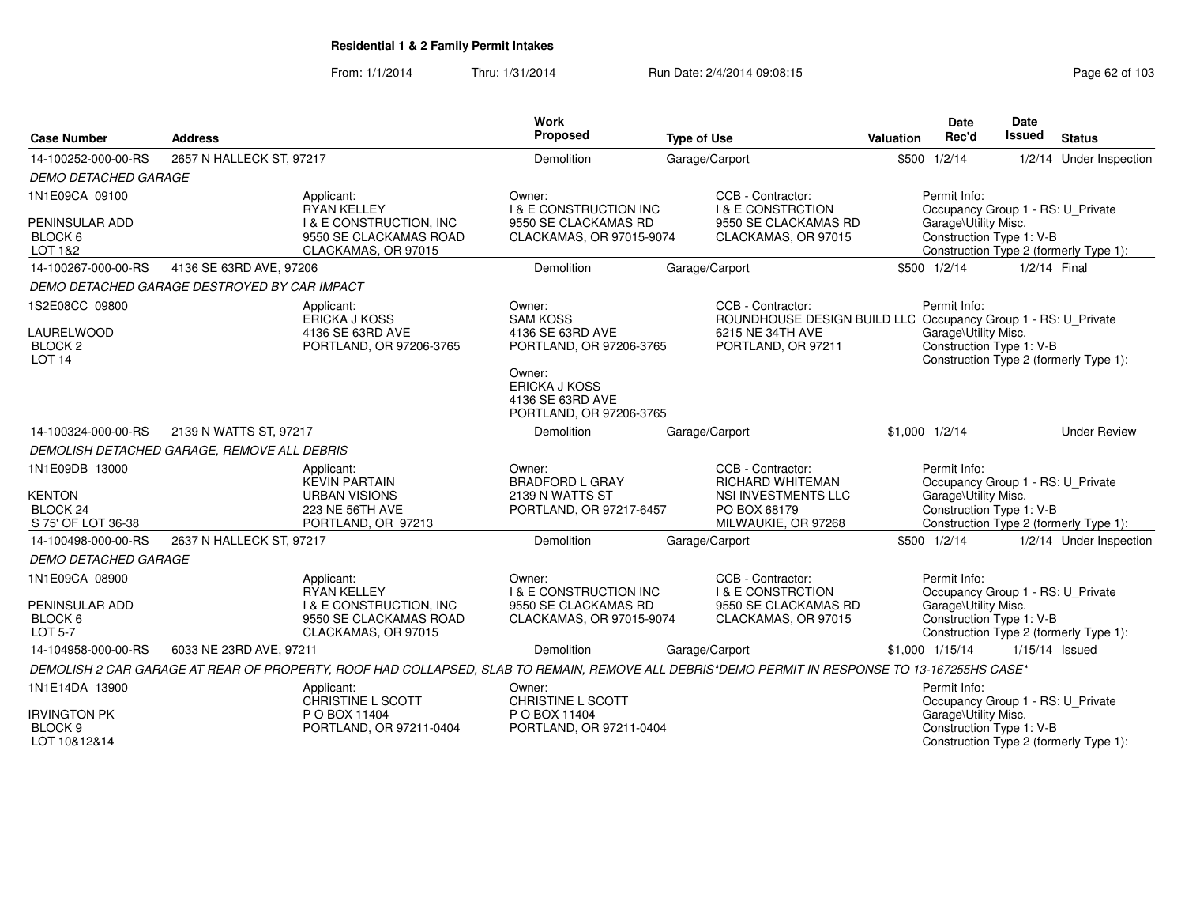| <b>Case Number</b>                                                             | <b>Address</b>                               |                                                                                                                                               | Work<br>Proposed                                                               | <b>Type of Use</b>                                                                                                | Date<br>Rec'd<br>Valuation                                                                            | <b>Date</b><br>Issued<br><b>Status</b>                                                                  |
|--------------------------------------------------------------------------------|----------------------------------------------|-----------------------------------------------------------------------------------------------------------------------------------------------|--------------------------------------------------------------------------------|-------------------------------------------------------------------------------------------------------------------|-------------------------------------------------------------------------------------------------------|---------------------------------------------------------------------------------------------------------|
| 14-100252-000-00-RS                                                            | 2657 N HALLECK ST, 97217                     |                                                                                                                                               | Demolition                                                                     | Garage/Carport                                                                                                    | \$500 1/2/14                                                                                          | 1/2/14 Under Inspection                                                                                 |
| <b>DEMO DETACHED GARAGE</b>                                                    |                                              |                                                                                                                                               |                                                                                |                                                                                                                   |                                                                                                       |                                                                                                         |
| 1N1E09CA 09100                                                                 |                                              | Applicant:<br><b>RYAN KELLEY</b>                                                                                                              | Owner:<br><b>I &amp; E CONSTRUCTION INC</b>                                    | CCB - Contractor:<br><b>I &amp; E CONSTRCTION</b>                                                                 | Permit Info:                                                                                          |                                                                                                         |
| PENINSULAR ADD<br>BLOCK 6<br>LOT 1&2                                           |                                              | <b>I &amp; E CONSTRUCTION, INC</b><br>9550 SE CLACKAMAS ROAD<br>CLACKAMAS, OR 97015                                                           | 9550 SE CLACKAMAS RD<br>CLACKAMAS, OR 97015-9074                               | 9550 SE CLACKAMAS RD<br>CLACKAMAS, OR 97015                                                                       | Garage\Utility Misc.                                                                                  | Occupancy Group 1 - RS: U_Private<br>Construction Type 1: V-B<br>Construction Type 2 (formerly Type 1): |
| 14-100267-000-00-RS                                                            | 4136 SE 63RD AVE, 97206                      |                                                                                                                                               | Demolition                                                                     | Garage/Carport                                                                                                    | \$500 1/2/14                                                                                          | 1/2/14 Final                                                                                            |
|                                                                                | DEMO DETACHED GARAGE DESTROYED BY CAR IMPACT |                                                                                                                                               |                                                                                |                                                                                                                   |                                                                                                       |                                                                                                         |
| 1S2E08CC 09800<br><b>LAURELWOOD</b><br>BLOCK <sub>2</sub><br>LOT <sub>14</sub> |                                              | Applicant:<br><b>ERICKA J KOSS</b><br>4136 SE 63RD AVE<br>PORTLAND, OR 97206-3765                                                             | Owner:<br><b>SAM KOSS</b><br>4136 SE 63RD AVE<br>PORTLAND, OR 97206-3765       | CCB - Contractor:<br>6215 NE 34TH AVE<br>PORTLAND, OR 97211                                                       | Permit Info:<br>ROUNDHOUSE DESIGN BUILD LLC Occupancy Group 1 - RS: U_Private<br>Garage\Utility Misc. | Construction Type 1: V-B<br>Construction Type 2 (formerly Type 1):                                      |
|                                                                                |                                              |                                                                                                                                               | Owner:<br><b>ERICKA J KOSS</b><br>4136 SE 63RD AVE<br>PORTLAND, OR 97206-3765  |                                                                                                                   |                                                                                                       |                                                                                                         |
| 14-100324-000-00-RS                                                            | 2139 N WATTS ST, 97217                       |                                                                                                                                               | Demolition                                                                     | Garage/Carport                                                                                                    | $$1,000$ $1/2/14$                                                                                     | <b>Under Review</b>                                                                                     |
|                                                                                | DEMOLISH DETACHED GARAGE, REMOVE ALL DEBRIS  |                                                                                                                                               |                                                                                |                                                                                                                   |                                                                                                       |                                                                                                         |
| 1N1E09DB 13000<br><b>KENTON</b><br>BLOCK <sub>24</sub><br>S 75' OF LOT 36-38   |                                              | Applicant:<br><b>KEVIN PARTAIN</b><br><b>URBAN VISIONS</b><br>223 NE 56TH AVE<br>PORTLAND, OR 97213                                           | Owner:<br><b>BRADFORD L GRAY</b><br>2139 N WATTS ST<br>PORTLAND, OR 97217-6457 | CCB - Contractor:<br><b>RICHARD WHITEMAN</b><br><b>NSI INVESTMENTS LLC</b><br>PO BOX 68179<br>MILWAUKIE, OR 97268 | Permit Info:<br>Garage\Utility Misc.                                                                  | Occupancy Group 1 - RS: U_Private<br>Construction Type 1: V-B<br>Construction Type 2 (formerly Type 1): |
| 14-100498-000-00-RS                                                            | 2637 N HALLECK ST, 97217                     |                                                                                                                                               | Demolition                                                                     | Garage/Carport                                                                                                    | \$500 1/2/14                                                                                          | 1/2/14 Under Inspection                                                                                 |
| <b>DEMO DETACHED GARAGE</b>                                                    |                                              |                                                                                                                                               |                                                                                |                                                                                                                   |                                                                                                       |                                                                                                         |
| 1N1E09CA 08900                                                                 |                                              | Applicant:<br><b>RYAN KELLEY</b>                                                                                                              | Owner:<br><b>I &amp; E CONSTRUCTION INC</b>                                    | CCB - Contractor:<br><b>I &amp; E CONSTRCTION</b>                                                                 | Permit Info:                                                                                          | Occupancy Group 1 - RS: U_Private                                                                       |
| PENINSULAR ADD<br>BLOCK <sub>6</sub><br><b>LOT 5-7</b>                         |                                              | <b>I &amp; E CONSTRUCTION, INC</b><br>9550 SE CLACKAMAS ROAD<br>CLACKAMAS, OR 97015                                                           | 9550 SE CLACKAMAS RD<br>CLACKAMAS, OR 97015-9074                               | 9550 SE CLACKAMAS RD<br>CLACKAMAS, OR 97015                                                                       | Garage\Utility Misc.                                                                                  | Construction Type 1: V-B<br>Construction Type 2 (formerly Type 1):                                      |
| 14-104958-000-00-RS                                                            | 6033 NE 23RD AVE, 97211                      |                                                                                                                                               | Demolition                                                                     | Garage/Carport                                                                                                    | \$1,000 1/15/14                                                                                       | 1/15/14 Issued                                                                                          |
|                                                                                |                                              | DEMOLISH 2 CAR GARAGE AT REAR OF PROPERTY, ROOF HAD COLLAPSED, SLAB TO REMAIN, REMOVE ALL DEBRIS*DEMO PERMIT IN RESPONSE TO 13-167255HS CASE* |                                                                                |                                                                                                                   |                                                                                                       |                                                                                                         |
| 1N1E14DA 13900                                                                 |                                              | Applicant:<br>CHRISTINE L SCOTT                                                                                                               | Owner:<br>CHRISTINE L SCOTT                                                    |                                                                                                                   | Permit Info:                                                                                          | Occupancy Group 1 - RS: U_Private                                                                       |
| <b>IRVINGTON PK</b><br>BLOCK <sub>9</sub><br>LOT 10&12&14                      |                                              | P O BOX 11404<br>PORTLAND, OR 97211-0404                                                                                                      | P O BOX 11404<br>PORTLAND, OR 97211-0404                                       |                                                                                                                   | Garage\Utility Misc.                                                                                  | Construction Type 1: V-B<br>Construction Type 2 (formerly Type 1):                                      |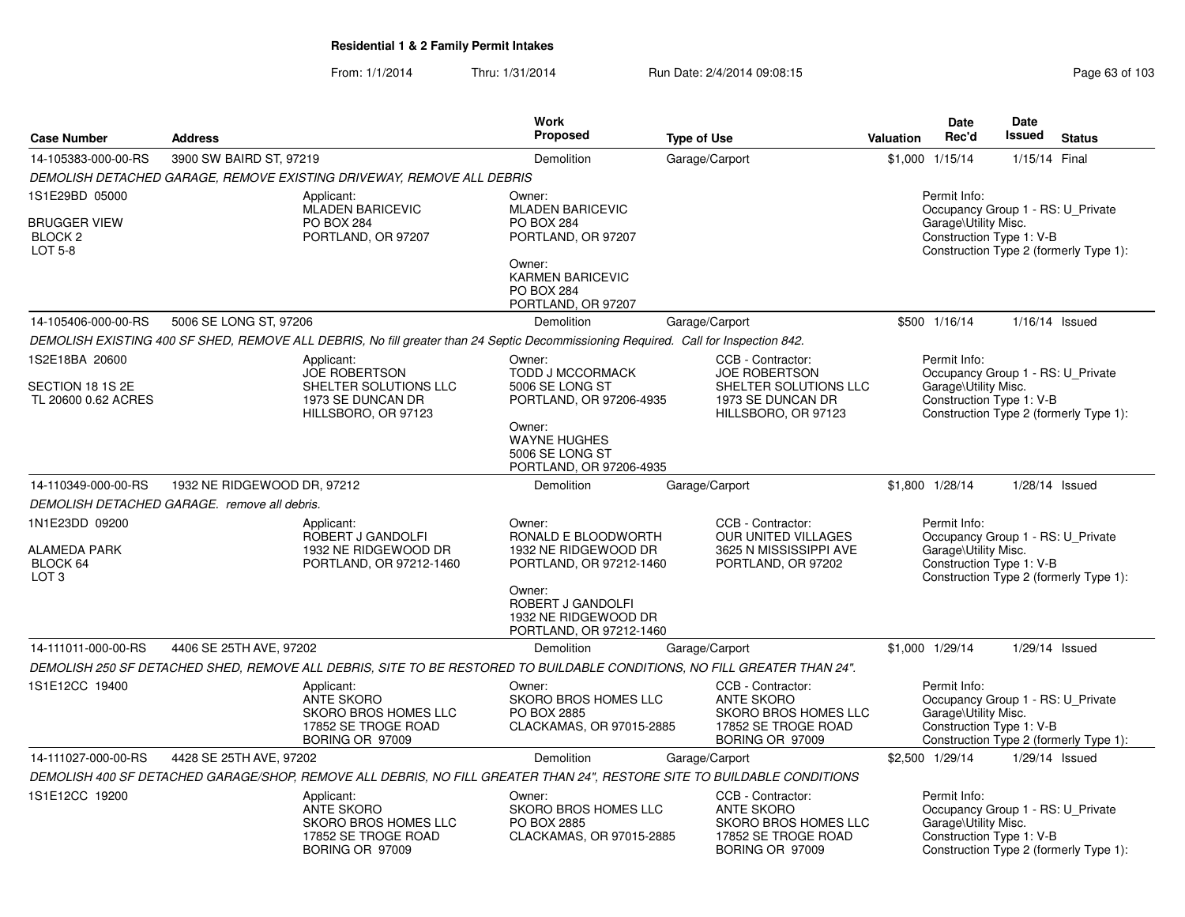| <b>Case Number</b>                                                     | <b>Address</b>              |                                                                                                                                     | Work<br><b>Proposed</b>                                                                                                                                            | <b>Type of Use</b>                                                                                                      | <b>Valuation</b> | <b>Date</b><br>Rec'd                                                                                  | Date<br>Issued   | <b>Status</b>                          |
|------------------------------------------------------------------------|-----------------------------|-------------------------------------------------------------------------------------------------------------------------------------|--------------------------------------------------------------------------------------------------------------------------------------------------------------------|-------------------------------------------------------------------------------------------------------------------------|------------------|-------------------------------------------------------------------------------------------------------|------------------|----------------------------------------|
| 14-105383-000-00-RS                                                    | 3900 SW BAIRD ST, 97219     |                                                                                                                                     | Demolition                                                                                                                                                         | Garage/Carport                                                                                                          | \$1,000          | 1/15/14                                                                                               | 1/15/14 Final    |                                        |
|                                                                        |                             | DEMOLISH DETACHED GARAGE, REMOVE EXISTING DRIVEWAY, REMOVE ALL DEBRIS                                                               |                                                                                                                                                                    |                                                                                                                         |                  |                                                                                                       |                  |                                        |
| 1S1E29BD 05000<br><b>BRUGGER VIEW</b><br>BLOCK <sub>2</sub><br>LOT 5-8 |                             | Applicant:<br><b>MLADEN BARICEVIC</b><br>PO BOX 284<br>PORTLAND, OR 97207                                                           | Owner:<br><b>MLADEN BARICEVIC</b><br><b>PO BOX 284</b><br>PORTLAND, OR 97207<br>Owner:<br><b>KARMEN BARICEVIC</b><br><b>PO BOX 284</b><br>PORTLAND, OR 97207       |                                                                                                                         |                  | Permit Info:<br>Occupancy Group 1 - RS: U_Private<br>Garage\Utility Misc.<br>Construction Type 1: V-B |                  | Construction Type 2 (formerly Type 1): |
| 14-105406-000-00-RS                                                    | 5006 SE LONG ST, 97206      |                                                                                                                                     | Demolition                                                                                                                                                         | Garage/Carport                                                                                                          |                  | \$500 1/16/14                                                                                         | $1/16/14$ Issued |                                        |
|                                                                        |                             | DEMOLISH EXISTING 400 SF SHED, REMOVE ALL DEBRIS, No fill greater than 24 Septic Decommissioning Required. Call for Inspection 842. |                                                                                                                                                                    |                                                                                                                         |                  |                                                                                                       |                  |                                        |
| 1S2E18BA 20600<br>SECTION 18 1S 2E<br>TL 20600 0.62 ACRES              |                             | Applicant:<br><b>JOE ROBERTSON</b><br>SHELTER SOLUTIONS LLC<br>1973 SE DUNCAN DR<br>HILLSBORO, OR 97123                             | Owner:<br><b>TODD J MCCORMACK</b><br>5006 SE LONG ST<br>PORTLAND, OR 97206-4935<br>Owner:<br><b>WAYNE HUGHES</b><br>5006 SE LONG ST<br>PORTLAND, OR 97206-4935     | CCB - Contractor:<br><b>JOE ROBERTSON</b><br>SHELTER SOLUTIONS LLC<br>1973 SE DUNCAN DR<br>HILLSBORO, OR 97123          |                  | Permit Info:<br>Occupancy Group 1 - RS: U Private<br>Garage\Utility Misc.<br>Construction Type 1: V-B |                  | Construction Type 2 (formerly Type 1): |
| 14-110349-000-00-RS                                                    | 1932 NE RIDGEWOOD DR, 97212 |                                                                                                                                     | Demolition                                                                                                                                                         | Garage/Carport                                                                                                          |                  | \$1,800 1/28/14                                                                                       |                  | $1/28/14$ Issued                       |
| DEMOLISH DETACHED GARAGE. remove all debris.                           |                             |                                                                                                                                     |                                                                                                                                                                    |                                                                                                                         |                  |                                                                                                       |                  |                                        |
| 1N1E23DD 09200<br><b>ALAMEDA PARK</b><br>BLOCK 64<br>LOT <sub>3</sub>  |                             | Applicant:<br>ROBERT J GANDOLFI<br>1932 NE RIDGEWOOD DR<br>PORTLAND, OR 97212-1460                                                  | Owner:<br>RONALD E BLOODWORTH<br>1932 NE RIDGEWOOD DR<br>PORTLAND, OR 97212-1460<br>Owner:<br>ROBERT J GANDOLFI<br>1932 NE RIDGEWOOD DR<br>PORTLAND, OR 97212-1460 | CCB - Contractor:<br>OUR UNITED VILLAGES<br>3625 N MISSISSIPPI AVE<br>PORTLAND, OR 97202                                |                  | Permit Info:<br>Occupancy Group 1 - RS: U Private<br>Garage\Utility Misc.<br>Construction Type 1: V-B |                  | Construction Type 2 (formerly Type 1): |
| 14-111011-000-00-RS                                                    | 4406 SE 25TH AVE, 97202     |                                                                                                                                     | Demolition                                                                                                                                                         | Garage/Carport                                                                                                          |                  | \$1,000 1/29/14                                                                                       |                  | 1/29/14 Issued                         |
|                                                                        |                             | DEMOLISH 250 SF DETACHED SHED, REMOVE ALL DEBRIS, SITE TO BE RESTORED TO BUILDABLE CONDITIONS, NO FILL GREATER THAN 24".            |                                                                                                                                                                    |                                                                                                                         |                  |                                                                                                       |                  |                                        |
| 1S1E12CC 19400                                                         |                             | Applicant:<br><b>ANTE SKORO</b><br>SKORO BROS HOMES LLC<br>17852 SE TROGE ROAD<br>BORING OR 97009                                   | Owner:<br>SKORO BROS HOMES LLC<br>PO BOX 2885<br>CLACKAMAS, OR 97015-2885                                                                                          | CCB - Contractor:<br><b>ANTE SKORO</b><br>SKORO BROS HOMES LLC<br>17852 SE TROGE ROAD<br>BORING OR 97009                |                  | Permit Info:<br>Occupancy Group 1 - RS: U Private<br>Garage\Utility Misc.<br>Construction Type 1: V-B |                  | Construction Type 2 (formerly Type 1): |
| 14-111027-000-00-RS                                                    | 4428 SE 25TH AVE, 97202     |                                                                                                                                     | Demolition                                                                                                                                                         | Garage/Carport                                                                                                          |                  | \$2,500 1/29/14                                                                                       | 1/29/14 Issued   |                                        |
|                                                                        |                             |                                                                                                                                     |                                                                                                                                                                    | DEMOLISH 400 SF DETACHED GARAGE/SHOP, REMOVE ALL DEBRIS, NO FILL GREATER THAN 24", RESTORE SITE TO BUILDABLE CONDITIONS |                  |                                                                                                       |                  |                                        |
| 1S1E12CC 19200                                                         |                             | Applicant:<br>ANTE SKORO<br>SKORO BROS HOMES LLC<br>17852 SE TROGE ROAD<br>BORING OR 97009                                          | Owner:<br>SKORO BROS HOMES LLC<br><b>PO BOX 2885</b><br>CLACKAMAS, OR 97015-2885                                                                                   | CCB - Contractor:<br><b>ANTE SKORO</b><br>SKORO BROS HOMES LLC<br>17852 SE TROGE ROAD<br>BORING OR 97009                |                  | Permit Info:<br>Occupancy Group 1 - RS: U_Private<br>Garage\Utility Misc.<br>Construction Type 1: V-B |                  | Construction Type 2 (formerly Type 1): |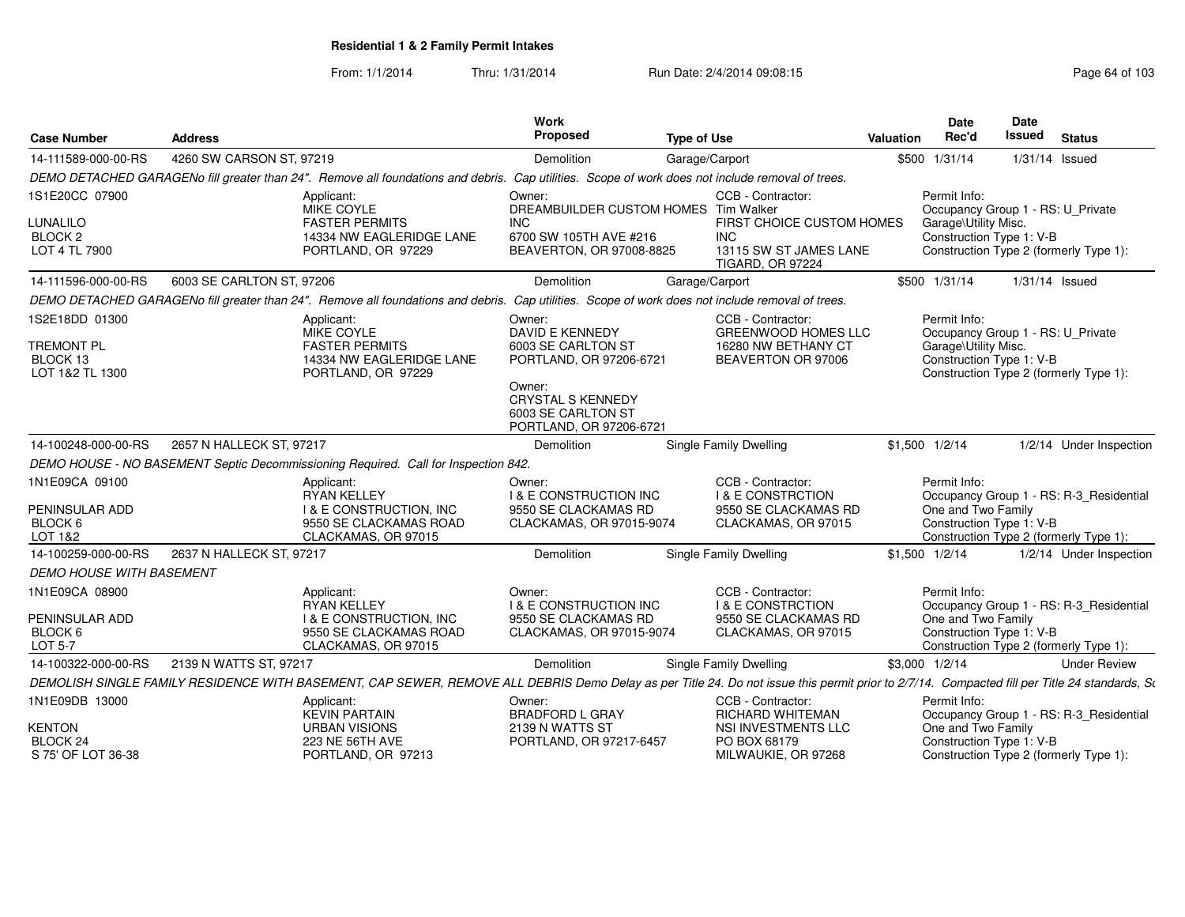From: 1/1/2014Thru: 1/31/2014 Run Date: 2/4/2014 09:08:15 Research 2010 103

|                                                                    |                           |                                                                                                                                                                                              | Work                                                                                                                                                                     |                    |                                                                                                             |                  | Date                                                                                                  | Date           |                                                                                   |
|--------------------------------------------------------------------|---------------------------|----------------------------------------------------------------------------------------------------------------------------------------------------------------------------------------------|--------------------------------------------------------------------------------------------------------------------------------------------------------------------------|--------------------|-------------------------------------------------------------------------------------------------------------|------------------|-------------------------------------------------------------------------------------------------------|----------------|-----------------------------------------------------------------------------------|
| <b>Case Number</b>                                                 | <b>Address</b>            |                                                                                                                                                                                              | Proposed                                                                                                                                                                 | <b>Type of Use</b> |                                                                                                             | <b>Valuation</b> | Rec'd                                                                                                 | Issued         | <b>Status</b>                                                                     |
| 14-111589-000-00-RS                                                | 4260 SW CARSON ST, 97219  |                                                                                                                                                                                              | Demolition                                                                                                                                                               | Garage/Carport     |                                                                                                             |                  | \$500 1/31/14                                                                                         | 1/31/14 Issued |                                                                                   |
|                                                                    |                           | DEMO DETACHED GARAGENo fill greater than 24". Remove all foundations and debris. Cap utilities. Scope of work does not include removal of trees.                                             |                                                                                                                                                                          |                    |                                                                                                             |                  |                                                                                                       |                |                                                                                   |
| 1S1E20CC 07900<br>LUNALILO<br>BLOCK <sub>2</sub><br>LOT 4 TL 7900  |                           | Applicant:<br>MIKE COYLE<br><b>FASTER PERMITS</b><br>14334 NW EAGLERIDGE LANE<br>PORTLAND, OR 97229                                                                                          | Owner:<br>DREAMBUILDER CUSTOM HOMES Tim Walker<br><b>INC</b><br>6700 SW 105TH AVE #216<br>BEAVERTON, OR 97008-8825                                                       |                    | CCB - Contractor:<br>FIRST CHOICE CUSTOM HOMES<br>INC.<br>13115 SW ST JAMES LANE<br><b>TIGARD, OR 97224</b> |                  | Permit Info:<br>Occupancy Group 1 - RS: U Private<br>Garage\Utility Misc.<br>Construction Type 1: V-B |                | Construction Type 2 (formerly Type 1):                                            |
| 14-111596-000-00-RS                                                | 6003 SE CARLTON ST, 97206 |                                                                                                                                                                                              | Demolition                                                                                                                                                               | Garage/Carport     |                                                                                                             |                  | \$500 1/31/14                                                                                         | 1/31/14 Issued |                                                                                   |
|                                                                    |                           | DEMO DETACHED GARAGENo fill greater than 24". Remove all foundations and debris. Cap utilities. Scope of work does not include removal of trees.                                             |                                                                                                                                                                          |                    |                                                                                                             |                  |                                                                                                       |                |                                                                                   |
| 1S2E18DD 01300<br><b>TREMONT PL</b><br>BLOCK 13<br>LOT 1&2 TL 1300 |                           | Applicant:<br>MIKE COYLE<br><b>FASTER PERMITS</b><br>14334 NW EAGLERIDGE LANE<br>PORTLAND, OR 97229                                                                                          | Owner:<br><b>DAVID E KENNEDY</b><br>6003 SE CARLTON ST<br>PORTLAND, OR 97206-6721<br>Owner:<br><b>CRYSTAL S KENNEDY</b><br>6003 SE CARLTON ST<br>PORTLAND, OR 97206-6721 |                    | CCB - Contractor:<br>GREENWOOD HOMES LLC<br>16280 NW BETHANY CT<br>BEAVERTON OR 97006                       |                  | Permit Info:<br>Occupancy Group 1 - RS: U_Private<br>Garage\Utility Misc.<br>Construction Type 1: V-B |                | Construction Type 2 (formerly Type 1):                                            |
| 14-100248-000-00-RS                                                | 2657 N HALLECK ST, 97217  |                                                                                                                                                                                              | Demolition                                                                                                                                                               |                    | <b>Single Family Dwelling</b>                                                                               |                  | $$1.500$ $1/2/14$                                                                                     |                | 1/2/14 Under Inspection                                                           |
|                                                                    |                           | DEMO HOUSE - NO BASEMENT Septic Decommissioning Required. Call for Inspection 842.                                                                                                           |                                                                                                                                                                          |                    |                                                                                                             |                  |                                                                                                       |                |                                                                                   |
| 1N1E09CA 09100<br>PENINSULAR ADD<br>BLOCK 6<br>LOT 1&2             |                           | Applicant:<br><b>RYAN KELLEY</b><br><b>I &amp; E CONSTRUCTION. INC</b><br>9550 SE CLACKAMAS ROAD<br>CLACKAMAS, OR 97015                                                                      | Owner:<br><b>I &amp; E CONSTRUCTION INC</b><br>9550 SE CLACKAMAS RD<br>CLACKAMAS, OR 97015-9074                                                                          |                    | CCB - Contractor:<br><b>I &amp; E CONSTRCTION</b><br>9550 SE CLACKAMAS RD<br>CLACKAMAS, OR 97015            |                  | Permit Info:<br>One and Two Family<br>Construction Type 1: V-B                                        |                | Occupancy Group 1 - RS: R-3_Residential<br>Construction Type 2 (formerly Type 1): |
| 14-100259-000-00-RS                                                | 2637 N HALLECK ST, 97217  |                                                                                                                                                                                              | Demolition                                                                                                                                                               |                    | <b>Single Family Dwelling</b>                                                                               |                  | $$1.500$ $1/2/14$                                                                                     |                | 1/2/14 Under Inspection                                                           |
| <b>DEMO HOUSE WITH BASEMENT</b>                                    |                           |                                                                                                                                                                                              |                                                                                                                                                                          |                    |                                                                                                             |                  |                                                                                                       |                |                                                                                   |
| 1N1E09CA 08900<br>PENINSULAR ADD<br>BLOCK 6<br>LOT 5-7             |                           | Applicant:<br><b>RYAN KELLEY</b><br><b>I &amp; E CONSTRUCTION, INC</b><br>9550 SE CLACKAMAS ROAD<br>CLACKAMAS, OR 97015                                                                      | Owner:<br><b>I &amp; E CONSTRUCTION INC</b><br>9550 SE CLACKAMAS RD<br>CLACKAMAS, OR 97015-9074                                                                          |                    | CCB - Contractor:<br><b>I &amp; E CONSTRCTION</b><br>9550 SE CLACKAMAS RD<br>CLACKAMAS, OR 97015            |                  | Permit Info:<br>One and Two Family<br>Construction Type 1: V-B                                        |                | Occupancy Group 1 - RS: R-3 Residential<br>Construction Type 2 (formerly Type 1): |
| 14-100322-000-00-RS                                                | 2139 N WATTS ST, 97217    |                                                                                                                                                                                              | Demolition                                                                                                                                                               |                    | Single Family Dwelling                                                                                      |                  | \$3,000 1/2/14                                                                                        |                | <b>Under Review</b>                                                               |
|                                                                    |                           | DEMOLISH SINGLE FAMILY RESIDENCE WITH BASEMENT, CAP SEWER, REMOVE ALL DEBRIS Demo Delay as per Title 24. Do not issue this permit prior to 2/7/14. Compacted fill per Title 24 standards, So |                                                                                                                                                                          |                    |                                                                                                             |                  |                                                                                                       |                |                                                                                   |
| 1N1E09DB 13000                                                     |                           | Applicant:<br><b>KEVIN PARTAIN</b>                                                                                                                                                           | Owner:<br><b>BRADFORD L GRAY</b>                                                                                                                                         |                    | CCB - Contractor:<br><b>RICHARD WHITEMAN</b>                                                                |                  | Permit Info:                                                                                          |                | Occupancy Group 1 - RS: R-3_Residential                                           |
| <b>KENTON</b><br>BLOCK 24<br>S 75' OF LOT 36-38                    |                           | <b>URBAN VISIONS</b><br>223 NE 56TH AVE<br>PORTLAND, OR 97213                                                                                                                                | 2139 N WATTS ST<br>PORTLAND, OR 97217-6457                                                                                                                               |                    | <b>NSI INVESTMENTS LLC</b><br>PO BOX 68179<br>MILWAUKIE, OR 97268                                           |                  | One and Two Family<br>Construction Type 1: V-B                                                        |                | Construction Type 2 (formerly Type 1):                                            |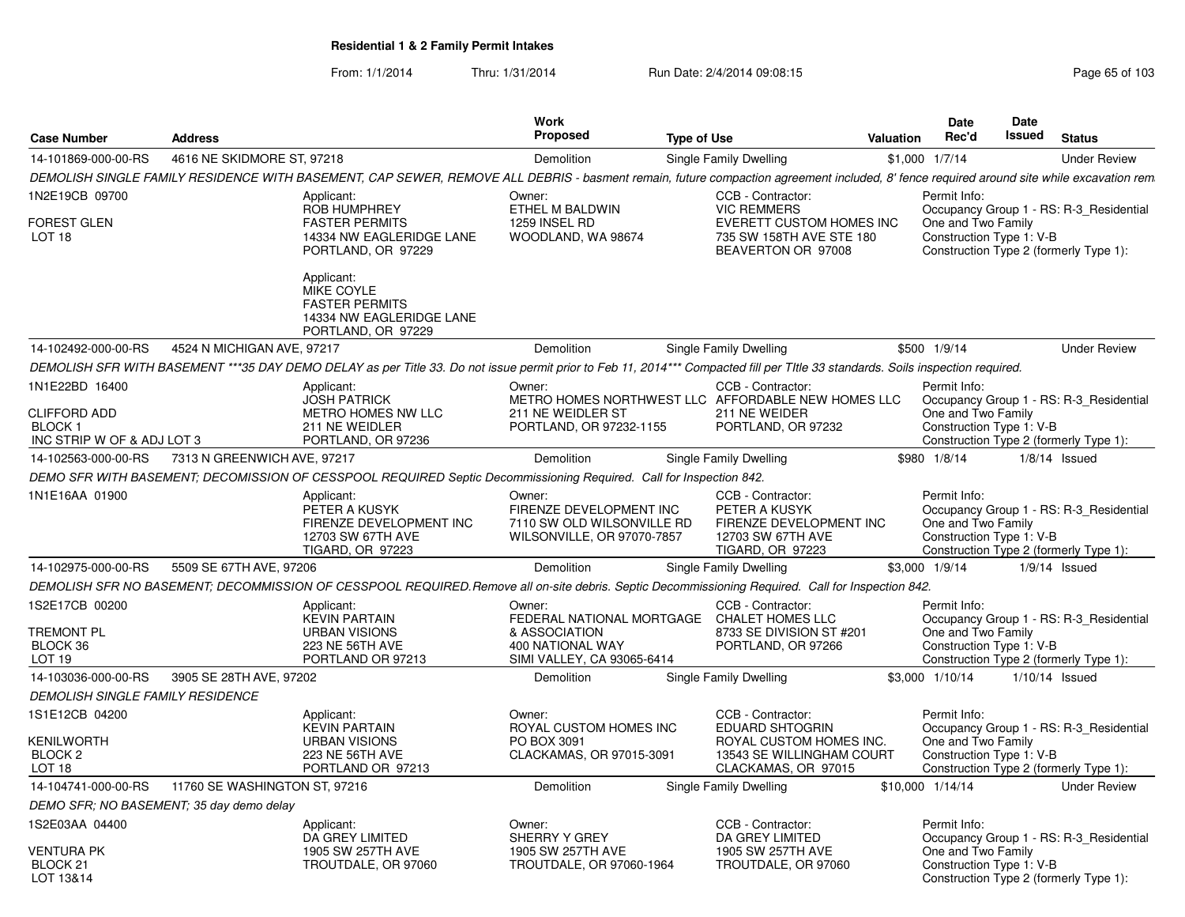| <b>Case Number</b>                                                                   | <b>Address</b>                |                                                                                                                                                                                         | <b>Work</b><br>Proposed                                                                                                 | <b>Type of Use</b> |                                                                                                                       | Valuation | Date<br>Rec'd                                                  | Date<br>Issued | <b>Status</b>                                                                     |
|--------------------------------------------------------------------------------------|-------------------------------|-----------------------------------------------------------------------------------------------------------------------------------------------------------------------------------------|-------------------------------------------------------------------------------------------------------------------------|--------------------|-----------------------------------------------------------------------------------------------------------------------|-----------|----------------------------------------------------------------|----------------|-----------------------------------------------------------------------------------|
| 14-101869-000-00-RS                                                                  | 4616 NE SKIDMORE ST, 97218    |                                                                                                                                                                                         | Demolition                                                                                                              |                    | Single Family Dwelling                                                                                                |           | $$1,000$ $1/7/14$                                              |                | <b>Under Review</b>                                                               |
|                                                                                      |                               | DEMOLISH SINGLE FAMILY RESIDENCE WITH BASEMENT, CAP SEWER, REMOVE ALL DEBRIS - basment remain, future compaction agreement included, 8' fence required around site while excavation rem |                                                                                                                         |                    |                                                                                                                       |           |                                                                |                |                                                                                   |
| 1N2E19CB 09700<br><b>FOREST GLEN</b><br>LOT <sub>18</sub>                            |                               | Applicant:<br><b>ROB HUMPHREY</b><br><b>FASTER PERMITS</b><br>14334 NW EAGLERIDGE LANE<br>PORTLAND, OR 97229<br>Applicant:                                                              | Owner:<br>ETHEL M BALDWIN<br>1259 INSEL RD<br>WOODLAND, WA 98674                                                        |                    | CCB - Contractor:<br><b>VIC REMMERS</b><br>EVERETT CUSTOM HOMES INC<br>735 SW 158TH AVE STE 180<br>BEAVERTON OR 97008 |           | Permit Info:<br>One and Two Family<br>Construction Type 1: V-B |                | Occupancy Group 1 - RS: R-3 Residential<br>Construction Type 2 (formerly Type 1): |
|                                                                                      |                               | <b>MIKE COYLE</b><br><b>FASTER PERMITS</b><br>14334 NW EAGLERIDGE LANE<br>PORTLAND, OR 97229                                                                                            |                                                                                                                         |                    |                                                                                                                       |           |                                                                |                |                                                                                   |
| 14-102492-000-00-RS                                                                  | 4524 N MICHIGAN AVE, 97217    |                                                                                                                                                                                         | <b>Demolition</b>                                                                                                       |                    | Single Family Dwelling                                                                                                |           | \$500 1/9/14                                                   |                | <b>Under Review</b>                                                               |
|                                                                                      |                               | DEMOLISH SFR WITH BASEMENT ***35 DAY DEMO DELAY as per Title 33. Do not issue permit prior to Feb 11, 2014*** Compacted fill per Title 33 standards. Soils inspection required.         |                                                                                                                         |                    |                                                                                                                       |           |                                                                |                |                                                                                   |
| 1N1E22BD 16400<br><b>CLIFFORD ADD</b><br><b>BLOCK1</b><br>INC STRIP W OF & ADJ LOT 3 |                               | Applicant:<br><b>JOSH PATRICK</b><br>METRO HOMES NW LLC<br>211 NE WEIDLER<br>PORTLAND, OR 97236                                                                                         | Owner:<br>211 NE WEIDLER ST<br>PORTLAND, OR 97232-1155                                                                  |                    | CCB - Contractor:<br>METRO HOMES NORTHWEST LLC AFFORDABLE NEW HOMES LLC<br>211 NE WEIDER<br>PORTLAND, OR 97232        |           | Permit Info:<br>One and Two Family<br>Construction Type 1: V-B |                | Occupancy Group 1 - RS: R-3_Residential<br>Construction Type 2 (formerly Type 1): |
| 14-102563-000-00-RS                                                                  | 7313 N GREENWICH AVE, 97217   |                                                                                                                                                                                         | <b>Demolition</b>                                                                                                       |                    | Single Family Dwelling                                                                                                |           | \$980 1/8/14                                                   |                | $1/8/14$ Issued                                                                   |
|                                                                                      |                               | DEMO SFR WITH BASEMENT; DECOMISSION OF CESSPOOL REQUIRED Septic Decommissioning Required. Call for Inspection 842.                                                                      |                                                                                                                         |                    |                                                                                                                       |           |                                                                |                |                                                                                   |
| 1N1E16AA 01900                                                                       |                               | Applicant:<br>PETER A KUSYK<br>FIRENZE DEVELOPMENT INC<br>12703 SW 67TH AVE<br>TIGARD, OR 97223                                                                                         | Owner:<br>FIRENZE DEVELOPMENT INC<br>7110 SW OLD WILSONVILLE RD<br>WILSONVILLE, OR 97070-7857                           |                    | CCB - Contractor:<br>PETER A KUSYK<br>FIRENZE DEVELOPMENT INC<br>12703 SW 67TH AVE<br>TIGARD, OR 97223                |           | Permit Info:<br>One and Two Family<br>Construction Type 1: V-B |                | Occupancy Group 1 - RS: R-3 Residential<br>Construction Type 2 (formerly Type 1): |
| 14-102975-000-00-RS                                                                  | 5509 SE 67TH AVE, 97206       |                                                                                                                                                                                         | <b>Demolition</b>                                                                                                       |                    | Single Family Dwelling                                                                                                |           | \$3,000 1/9/14                                                 |                | $1/9/14$ Issued                                                                   |
|                                                                                      |                               | DEMOLISH SFR NO BASEMENT; DECOMMISSION OF CESSPOOL REQUIRED. Remove all on-site debris. Septic Decommissioning Required. Call for Inspection 842.                                       |                                                                                                                         |                    |                                                                                                                       |           |                                                                |                |                                                                                   |
| 1S2E17CB 00200<br><b>TREMONT PL</b><br>BLOCK 36<br>LOT <sub>19</sub>                 |                               | Applicant:<br><b>KEVIN PARTAIN</b><br><b>URBAN VISIONS</b><br>223 NE 56TH AVE<br>PORTLAND OR 97213                                                                                      | Owner:<br>FEDERAL NATIONAL MORTGAGE CHALET HOMES LLC<br>& ASSOCIATION<br>400 NATIONAL WAY<br>SIMI VALLEY, CA 93065-6414 |                    | CCB - Contractor:<br>8733 SE DIVISION ST #201<br>PORTLAND, OR 97266                                                   |           | Permit Info:<br>One and Two Family<br>Construction Type 1: V-B |                | Occupancy Group 1 - RS: R-3 Residential<br>Construction Type 2 (formerly Type 1): |
| 14-103036-000-00-RS                                                                  | 3905 SE 28TH AVE, 97202       |                                                                                                                                                                                         | Demolition                                                                                                              |                    | Single Family Dwelling                                                                                                |           | \$3,000 1/10/14                                                |                | $1/10/14$ Issued                                                                  |
| <b>DEMOLISH SINGLE FAMILY RESIDENCE</b>                                              |                               |                                                                                                                                                                                         |                                                                                                                         |                    |                                                                                                                       |           |                                                                |                |                                                                                   |
| 1S1E12CB 04200                                                                       |                               | Applicant:<br><b>KEVIN PARTAIN</b>                                                                                                                                                      | Owner:<br>ROYAL CUSTOM HOMES INC                                                                                        |                    | CCB - Contractor:<br><b>EDUARD SHTOGRIN</b>                                                                           |           | Permit Info:                                                   |                | Occupancy Group 1 - RS: R-3_Residential                                           |
| <b>KENILWORTH</b><br>BLOCK <sub>2</sub><br>LOT <sub>18</sub>                         |                               | <b>URBAN VISIONS</b><br>223 NE 56TH AVE<br>PORTLAND OR 97213                                                                                                                            | PO BOX 3091<br>CLACKAMAS, OR 97015-3091                                                                                 |                    | ROYAL CUSTOM HOMES INC.<br>13543 SE WILLINGHAM COURT<br>CLACKAMAS, OR 97015                                           |           | One and Two Family<br>Construction Type 1: V-B                 |                | Construction Type 2 (formerly Type 1):                                            |
| 14-104741-000-00-RS                                                                  | 11760 SE WASHINGTON ST, 97216 |                                                                                                                                                                                         | Demolition                                                                                                              |                    | Single Family Dwelling                                                                                                |           | \$10,000 1/14/14                                               |                | <b>Under Review</b>                                                               |
| DEMO SFR; NO BASEMENT; 35 day demo delay                                             |                               |                                                                                                                                                                                         |                                                                                                                         |                    |                                                                                                                       |           |                                                                |                |                                                                                   |
| 1S2E03AA 04400<br>VENTURA PK<br>BLOCK 21<br>LOT 13&14                                |                               | Applicant:<br>DA GREY LIMITED<br>1905 SW 257TH AVE<br>TROUTDALE, OR 97060                                                                                                               | Owner:<br>SHERRY Y GREY<br>1905 SW 257TH AVE<br>TROUTDALE, OR 97060-1964                                                |                    | CCB - Contractor:<br>DA GREY LIMITED<br>1905 SW 257TH AVE<br>TROUTDALE, OR 97060                                      |           | Permit Info:<br>One and Two Family<br>Construction Type 1: V-B |                | Occupancy Group 1 - RS: R-3_Residential<br>Construction Type 2 (formerly Type 1): |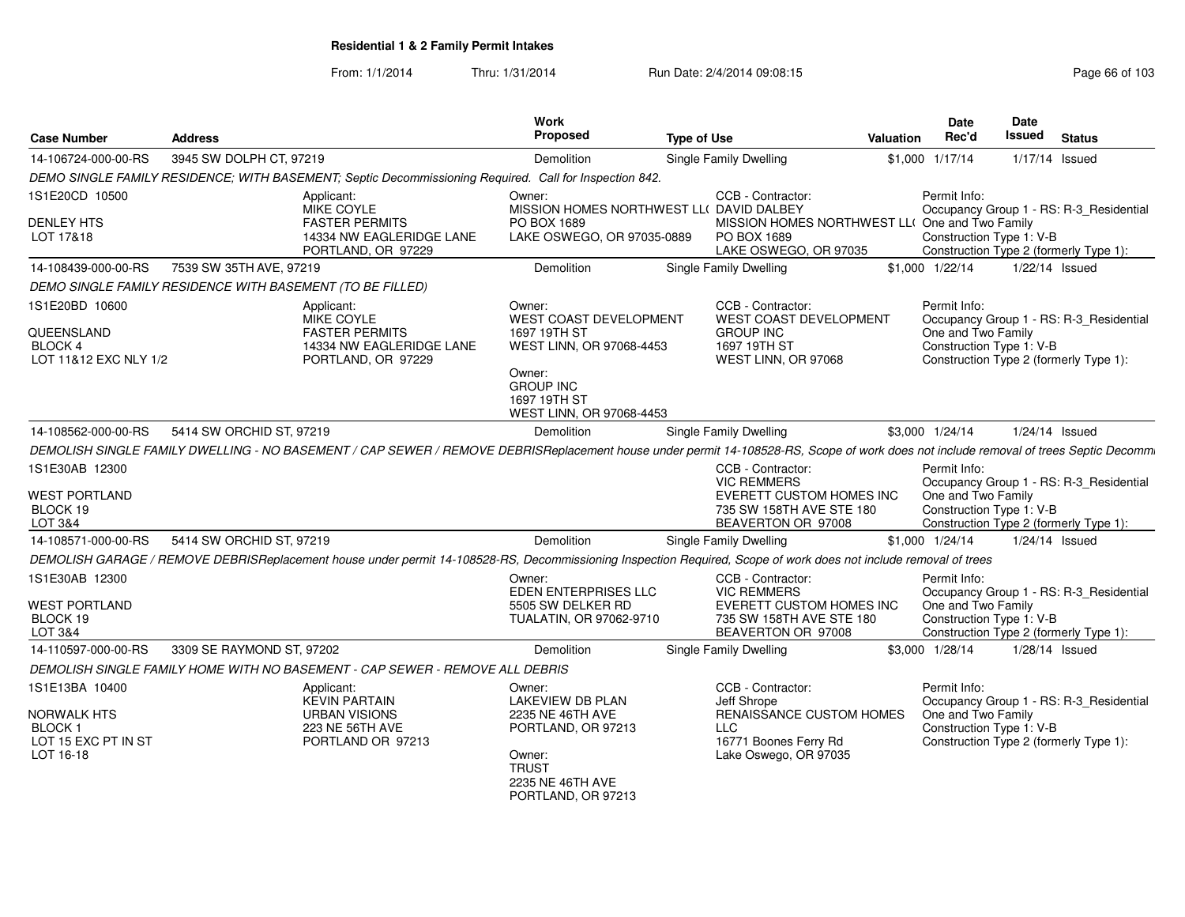From: 1/1/2014Thru: 1/31/2014 Run Date: 2/4/2014 09:08:15 Research 2010 103

| <b>Case Number</b>                                                                 | <b>Address</b>                                                                                                                                                                       | Work<br><b>Proposed</b>                                                                                                                                | <b>Type of Use</b>                                                                                                    | Valuation | <b>Date</b><br>Rec'd                                           | Date<br><b>Issued</b> | <b>Status</b>                                                                     |
|------------------------------------------------------------------------------------|--------------------------------------------------------------------------------------------------------------------------------------------------------------------------------------|--------------------------------------------------------------------------------------------------------------------------------------------------------|-----------------------------------------------------------------------------------------------------------------------|-----------|----------------------------------------------------------------|-----------------------|-----------------------------------------------------------------------------------|
| 14-106724-000-00-RS                                                                | 3945 SW DOLPH CT, 97219                                                                                                                                                              | Demolition                                                                                                                                             | Single Family Dwelling                                                                                                | \$1,000   | 1/17/14                                                        | 1/17/14 Issued        |                                                                                   |
|                                                                                    | DEMO SINGLE FAMILY RESIDENCE; WITH BASEMENT; Septic Decommissioning Required. Call for Inspection 842.                                                                               |                                                                                                                                                        |                                                                                                                       |           |                                                                |                       |                                                                                   |
| 1S1E20CD 10500                                                                     | Applicant:<br>MIKE COYLE                                                                                                                                                             | Owner:<br>MISSION HOMES NORTHWEST LL( DAVID DALBEY                                                                                                     | CCB - Contractor:                                                                                                     |           | Permit Info:                                                   |                       | Occupancy Group 1 - RS: R-3 Residential                                           |
| <b>DENLEY HTS</b><br>LOT 17&18                                                     | <b>FASTER PERMITS</b><br>14334 NW EAGLERIDGE LANE<br>PORTLAND, OR 97229                                                                                                              | PO BOX 1689<br>LAKE OSWEGO, OR 97035-0889                                                                                                              | MISSION HOMES NORTHWEST LL( One and Two Family<br>PO BOX 1689<br>LAKE OSWEGO, OR 97035                                |           | Construction Type 1: V-B                                       |                       | Construction Type 2 (formerly Type 1):                                            |
| 14-108439-000-00-RS                                                                | 7539 SW 35TH AVE, 97219                                                                                                                                                              | Demolition                                                                                                                                             | Single Family Dwelling                                                                                                |           | \$1,000 1/22/14                                                |                       | $1/22/14$ Issued                                                                  |
|                                                                                    | DEMO SINGLE FAMILY RESIDENCE WITH BASEMENT (TO BE FILLED)                                                                                                                            |                                                                                                                                                        |                                                                                                                       |           |                                                                |                       |                                                                                   |
| 1S1E20BD 10600<br>QUEENSLAND<br><b>BLOCK 4</b><br>LOT 11&12 EXC NLY 1/2            | Applicant:<br>MIKE COYLE<br><b>FASTER PERMITS</b><br>14334 NW EAGLERIDGE LANE<br>PORTLAND, OR 97229                                                                                  | Owner:<br>WEST COAST DEVELOPMENT<br>1697 19TH ST<br>WEST LINN, OR 97068-4453<br>Owner:<br><b>GROUP INC</b><br>1697 19TH ST<br>WEST LINN, OR 97068-4453 | CCB - Contractor:<br>WEST COAST DEVELOPMENT<br><b>GROUP INC</b><br>1697 19TH ST<br>WEST LINN, OR 97068                |           | Permit Info:<br>One and Two Family<br>Construction Type 1: V-B |                       | Occupancy Group 1 - RS: R-3_Residential<br>Construction Type 2 (formerly Type 1): |
| 14-108562-000-00-RS                                                                | 5414 SW ORCHID ST, 97219                                                                                                                                                             | Demolition                                                                                                                                             | <b>Single Family Dwelling</b>                                                                                         |           | \$3,000 1/24/14                                                | $1/24/14$ Issued      |                                                                                   |
|                                                                                    | DEMOLISH SINGLE FAMILY DWELLING - NO BASEMENT / CAP SEWER / REMOVE DEBRISReplacement house under permit 14-108528-RS, Scope of work does not include removal of trees Septic Decomm. |                                                                                                                                                        |                                                                                                                       |           |                                                                |                       |                                                                                   |
| 1S1E30AB 12300<br><b>WEST PORTLAND</b><br>BLOCK 19<br>LOT 3&4                      |                                                                                                                                                                                      |                                                                                                                                                        | CCB - Contractor:<br><b>VIC REMMERS</b><br>EVERETT CUSTOM HOMES INC<br>735 SW 158TH AVE STE 180<br>BEAVERTON OR 97008 |           | Permit Info:<br>One and Two Family<br>Construction Type 1: V-B |                       | Occupancy Group 1 - RS: R-3_Residential<br>Construction Type 2 (formerly Type 1): |
| 14-108571-000-00-RS                                                                | 5414 SW ORCHID ST, 97219                                                                                                                                                             | Demolition                                                                                                                                             | <b>Single Family Dwelling</b>                                                                                         |           | \$1,000 1/24/14                                                | 1/24/14 Issued        |                                                                                   |
|                                                                                    | DEMOLISH GARAGE / REMOVE DEBRISReplacement house under permit 14-108528-RS, Decommissioning Inspection Required, Scope of work does not include removal of trees                     |                                                                                                                                                        |                                                                                                                       |           |                                                                |                       |                                                                                   |
| 1S1E30AB 12300<br><b>WEST PORTLAND</b><br>BLOCK 19<br>LOT 3&4                      |                                                                                                                                                                                      | Owner:<br>EDEN ENTERPRISES LLC<br>5505 SW DELKER RD<br>TUALATIN, OR 97062-9710                                                                         | CCB - Contractor:<br><b>VIC REMMERS</b><br>EVERETT CUSTOM HOMES INC<br>735 SW 158TH AVE STE 180<br>BEAVERTON OR 97008 |           | Permit Info:<br>One and Two Family<br>Construction Type 1: V-B |                       | Occupancy Group 1 - RS: R-3_Residential<br>Construction Type 2 (formerly Type 1): |
| 14-110597-000-00-RS                                                                | 3309 SE RAYMOND ST, 97202                                                                                                                                                            | Demolition                                                                                                                                             | Single Family Dwelling                                                                                                |           | \$3,000 1/28/14                                                | $1/28/14$ Issued      |                                                                                   |
|                                                                                    | DEMOLISH SINGLE FAMILY HOME WITH NO BASEMENT - CAP SEWER - REMOVE ALL DEBRIS                                                                                                         |                                                                                                                                                        |                                                                                                                       |           |                                                                |                       |                                                                                   |
| 1S1E13BA 10400<br>NORWALK HTS<br><b>BLOCK1</b><br>LOT 15 EXC PT IN ST<br>LOT 16-18 | Applicant:<br><b>KEVIN PARTAIN</b><br><b>URBAN VISIONS</b><br>223 NE 56TH AVE<br>PORTLAND OR 97213                                                                                   | Owner:<br><b>LAKEVIEW DB PLAN</b><br>2235 NE 46TH AVE<br>PORTLAND, OR 97213<br>Owner:<br><b>TRUST</b><br>2235 NE 46TH AVE<br>PORTLAND, OR 97213        | CCB - Contractor:<br>Jeff Shrope<br>RENAISSANCE CUSTOM HOMES<br>LLC<br>16771 Boones Ferry Rd<br>Lake Oswego, OR 97035 |           | Permit Info:<br>One and Two Family<br>Construction Type 1: V-B |                       | Occupancy Group 1 - RS: R-3 Residential<br>Construction Type 2 (formerly Type 1): |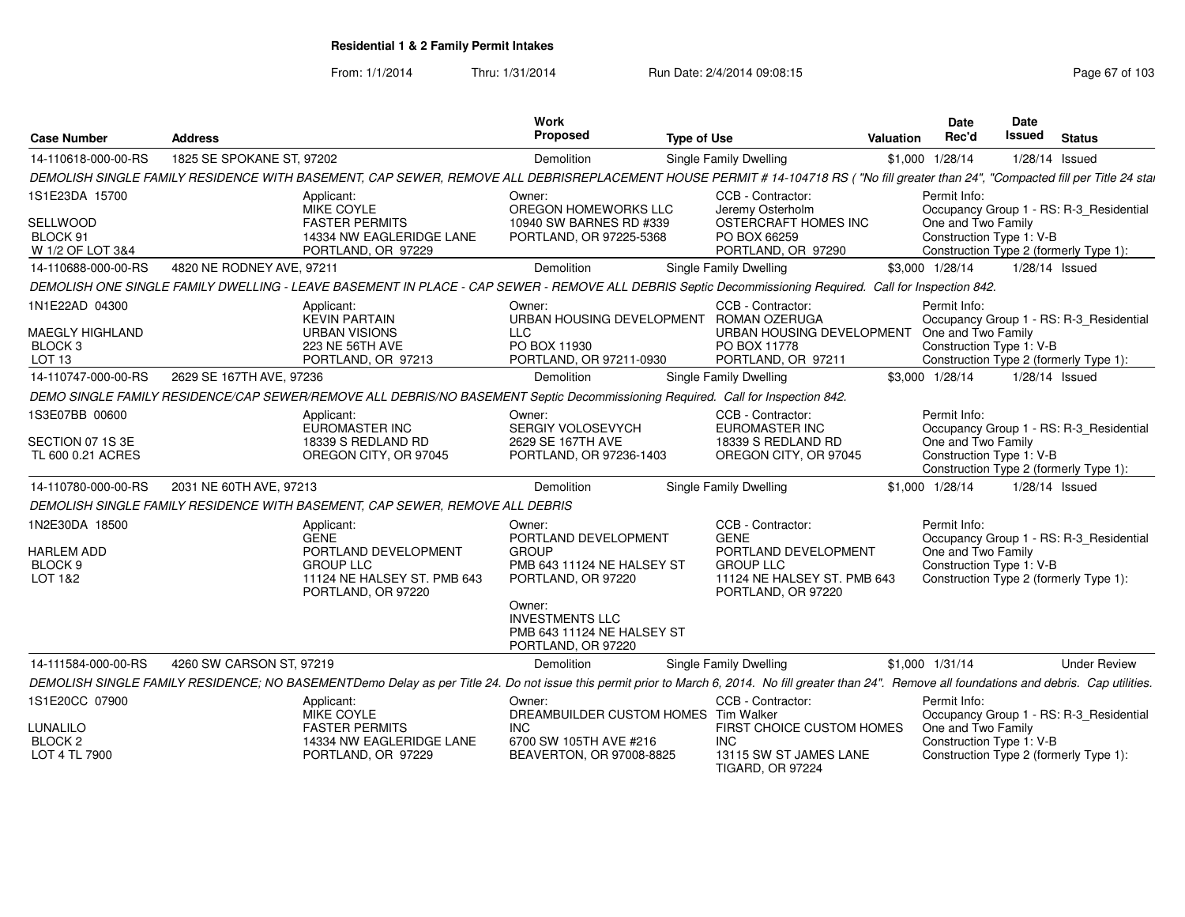| <b>Case Number</b>                                                | <b>Address</b>                                                                                                                                                                                        | Work<br>Proposed                                                                            | <b>Type of Use</b>                                                    | <b>Valuation</b> | Date<br>Rec'd                      | <b>Date</b><br><b>Issued</b> | <b>Status</b>                           |
|-------------------------------------------------------------------|-------------------------------------------------------------------------------------------------------------------------------------------------------------------------------------------------------|---------------------------------------------------------------------------------------------|-----------------------------------------------------------------------|------------------|------------------------------------|------------------------------|-----------------------------------------|
| 14-110618-000-00-RS                                               | 1825 SE SPOKANE ST, 97202                                                                                                                                                                             | Demolition                                                                                  | Single Family Dwelling                                                |                  | \$1,000 1/28/14                    |                              | 1/28/14 Issued                          |
|                                                                   | DEMOLISH SINGLE FAMILY RESIDENCE WITH BASEMENT, CAP SEWER, REMOVE ALL DEBRISREPLACEMENT HOUSE PERMIT # 14-104718 RS ("No fill greater than 24", "Compacted fill per Title 24 stal                     |                                                                                             |                                                                       |                  |                                    |                              |                                         |
| 1S1E23DA 15700                                                    | Applicant:<br>MIKE COYLE                                                                                                                                                                              | Owner:<br>OREGON HOMEWORKS LLC                                                              | CCB - Contractor:<br>Jeremy Osterholm                                 |                  | Permit Info:                       |                              | Occupancy Group 1 - RS: R-3 Residential |
| SELLWOOD<br>BLOCK 91<br>W 1/2 OF LOT 3&4                          | <b>FASTER PERMITS</b><br>14334 NW EAGLERIDGE LANE<br>PORTLAND, OR 97229                                                                                                                               | 10940 SW BARNES RD #339<br>PORTLAND, OR 97225-5368                                          | OSTERCRAFT HOMES INC<br>PO BOX 66259<br>PORTLAND, OR 97290            |                  | One and Two Family                 | Construction Type 1: V-B     | Construction Type 2 (formerly Type 1):  |
| 14-110688-000-00-RS                                               | 4820 NE RODNEY AVE, 97211                                                                                                                                                                             | Demolition                                                                                  | Single Family Dwelling                                                |                  | \$3,000 1/28/14                    |                              | 1/28/14 Issued                          |
|                                                                   | DEMOLISH ONE SINGLE FAMILY DWELLING - LEAVE BASEMENT IN PLACE - CAP SEWER - REMOVE ALL DEBRIS Septic Decommissioning Required. Call for Inspection 842.                                               |                                                                                             |                                                                       |                  |                                    |                              |                                         |
| 1N1E22AD 04300                                                    | Applicant:<br><b>KEVIN PARTAIN</b>                                                                                                                                                                    | Owner:<br>URBAN HOUSING DEVELOPMENT ROMAN OZERUGA                                           | CCB - Contractor:                                                     |                  | Permit Info:                       |                              | Occupancy Group 1 - RS: R-3_Residential |
| <b>MAEGLY HIGHLAND</b><br>BLOCK <sub>3</sub><br>LOT <sub>13</sub> | <b>URBAN VISIONS</b><br>223 NE 56TH AVE<br>PORTLAND, OR 97213                                                                                                                                         | <b>LLC</b><br>PO BOX 11930<br>PORTLAND, OR 97211-0930                                       | URBAN HOUSING DEVELOPMENT<br>PO BOX 11778<br>PORTLAND, OR 97211       |                  | One and Two Family                 | Construction Type 1: V-B     | Construction Type 2 (formerly Type 1):  |
| 14-110747-000-00-RS                                               | 2629 SE 167TH AVE, 97236                                                                                                                                                                              | Demolition                                                                                  | Single Family Dwelling                                                |                  | \$3,000 1/28/14                    |                              | $1/28/14$ Issued                        |
|                                                                   | DEMO SINGLE FAMILY RESIDENCE/CAP SEWER/REMOVE ALL DEBRIS/NO BASEMENT Septic Decommissioning Required. Call for Inspection 842.                                                                        |                                                                                             |                                                                       |                  |                                    |                              |                                         |
| 1S3E07BB 00600                                                    | Applicant:<br>EUROMASTER INC                                                                                                                                                                          | Owner:<br><b>SERGIY VOLOSEVYCH</b>                                                          | CCB - Contractor:<br>EUROMASTER INC                                   |                  | Permit Info:                       |                              | Occupancy Group 1 - RS: R-3 Residential |
| SECTION 07 1S 3E<br>TL 600 0.21 ACRES                             | 18339 S REDLAND RD<br>OREGON CITY, OR 97045                                                                                                                                                           | 2629 SE 167TH AVE<br>PORTLAND, OR 97236-1403                                                | 18339 S REDLAND RD<br>OREGON CITY, OR 97045                           |                  | One and Two Family                 | Construction Type 1: V-B     | Construction Type 2 (formerly Type 1):  |
| 14-110780-000-00-RS                                               | 2031 NE 60TH AVE, 97213                                                                                                                                                                               | Demolition                                                                                  | Single Family Dwelling                                                |                  | \$1,000 1/28/14                    |                              | $1/28/14$ Issued                        |
|                                                                   | DEMOLISH SINGLE FAMILY RESIDENCE WITH BASEMENT, CAP SEWER, REMOVE ALL DEBRIS                                                                                                                          |                                                                                             |                                                                       |                  |                                    |                              |                                         |
| 1N2E30DA 18500<br><b>HARLEM ADD</b>                               | Applicant:<br><b>GENE</b><br>PORTLAND DEVELOPMENT                                                                                                                                                     | Owner:<br>PORTLAND DEVELOPMENT<br><b>GROUP</b>                                              | CCB - Contractor:<br><b>GENE</b><br>PORTLAND DEVELOPMENT              |                  | Permit Info:<br>One and Two Family |                              | Occupancy Group 1 - RS: R-3_Residential |
| BLOCK <sub>9</sub><br>LOT 1&2                                     | <b>GROUP LLC</b><br>11124 NE HALSEY ST. PMB 643<br>PORTLAND, OR 97220                                                                                                                                 | <b>PMB 643 11124 NE HALSEY ST</b><br>PORTLAND, OR 97220                                     | <b>GROUP LLC</b><br>11124 NE HALSEY ST. PMB 643<br>PORTLAND, OR 97220 |                  |                                    | Construction Type 1: V-B     | Construction Type 2 (formerly Type 1):  |
|                                                                   |                                                                                                                                                                                                       | Owner:<br><b>INVESTMENTS LLC</b><br><b>PMB 643 11124 NE HALSEY ST</b><br>PORTLAND, OR 97220 |                                                                       |                  |                                    |                              |                                         |
| 14-111584-000-00-RS                                               | 4260 SW CARSON ST, 97219                                                                                                                                                                              | Demolition                                                                                  | Single Family Dwelling                                                |                  | $$1,000$ $1/31/14$                 |                              | <b>Under Review</b>                     |
|                                                                   | DEMOLISH SINGLE FAMILY RESIDENCE; NO BASEMENTDemo Delay as per Title 24. Do not issue this permit prior to March 6, 2014. No fill greater than 24". Remove all foundations and debris. Cap utilities. |                                                                                             |                                                                       |                  |                                    |                              |                                         |
| 1S1E20CC 07900                                                    | Applicant:<br><b>MIKE COYLE</b>                                                                                                                                                                       | Owner:<br>DREAMBUILDER CUSTOM HOMES Tim Walker                                              | CCB - Contractor:                                                     |                  | Permit Info:                       |                              | Occupancy Group 1 - RS: R-3_Residential |
| LUNALILO                                                          | <b>FASTER PERMITS</b>                                                                                                                                                                                 | <b>INC</b>                                                                                  | FIRST CHOICE CUSTOM HOMES                                             |                  | One and Two Family                 |                              |                                         |
| BLOCK <sub>2</sub><br>LOT 4 TL 7900                               | 14334 NW EAGLERIDGE LANE<br>PORTLAND, OR 97229                                                                                                                                                        | 6700 SW 105TH AVE #216<br>BEAVERTON, OR 97008-8825                                          | <b>INC</b><br>13115 SW ST JAMES LANE                                  |                  |                                    | Construction Type 1: V-B     |                                         |
|                                                                   |                                                                                                                                                                                                       |                                                                                             | <b>TIGARD, OR 97224</b>                                               |                  |                                    |                              | Construction Type 2 (formerly Type 1):  |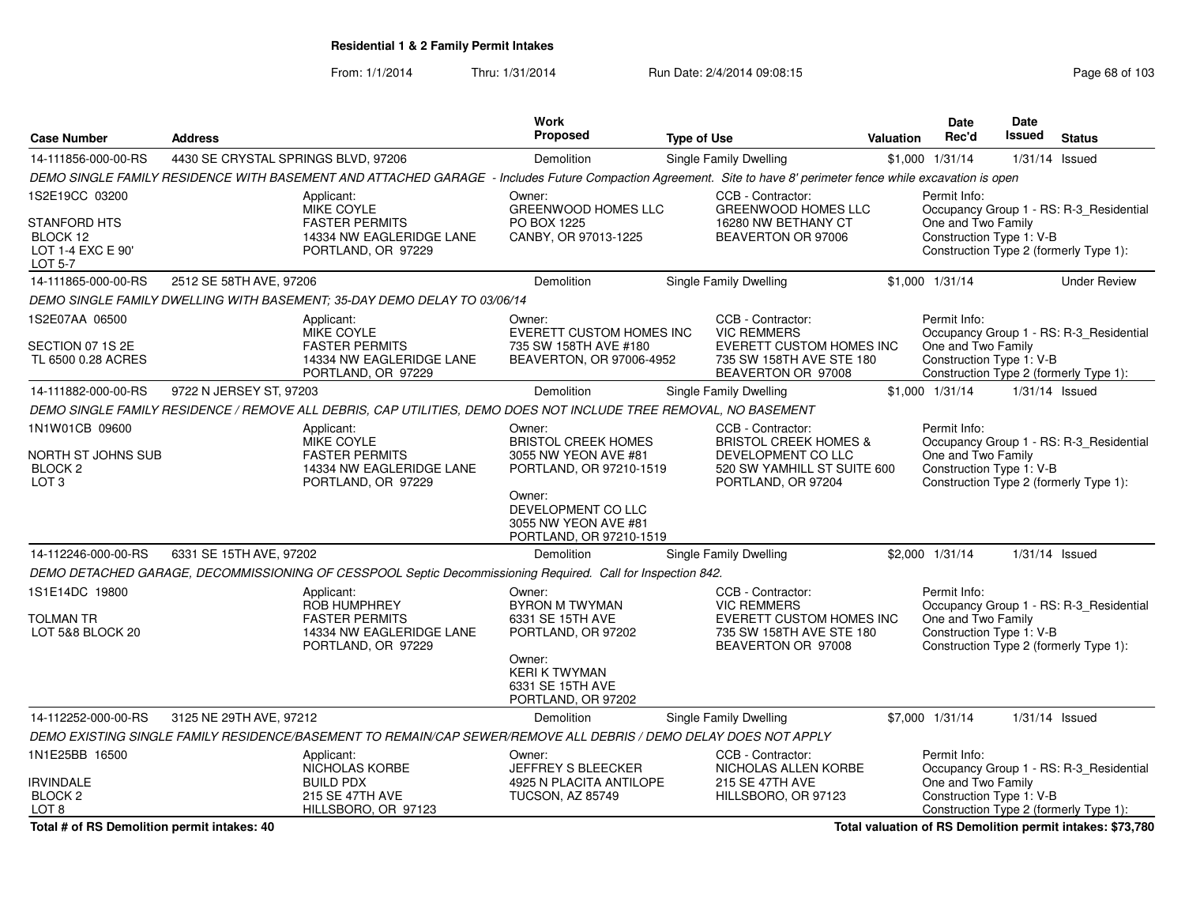From: 1/1/2014Thru: 1/31/2014 Run Date: 2/4/2014 09:08:15 Run Date: 2/4/2014 09:08:15

|                                        |                                     |                                                                                                                                                                 | <b>Work</b>                                        |                    |                                                       |           | <b>Date</b>                                    | Date             |                                         |
|----------------------------------------|-------------------------------------|-----------------------------------------------------------------------------------------------------------------------------------------------------------------|----------------------------------------------------|--------------------|-------------------------------------------------------|-----------|------------------------------------------------|------------------|-----------------------------------------|
| <b>Case Number</b>                     | <b>Address</b>                      |                                                                                                                                                                 | Proposed                                           | <b>Type of Use</b> |                                                       | Valuation | Rec'd                                          | Issued           | <b>Status</b>                           |
| 14-111856-000-00-RS                    | 4430 SE CRYSTAL SPRINGS BLVD, 97206 |                                                                                                                                                                 | <b>Demolition</b>                                  |                    | Single Family Dwelling                                |           | \$1,000 1/31/14                                | $1/31/14$ Issued |                                         |
|                                        |                                     | DEMO SINGLE FAMILY RESIDENCE WITH BASEMENT AND ATTACHED GARAGE - Includes Future Compaction Agreement. Site to have 8' perimeter fence while excavation is open |                                                    |                    |                                                       |           |                                                |                  |                                         |
| 1S2E19CC 03200                         |                                     | Applicant:                                                                                                                                                      | Owner:                                             |                    | CCB - Contractor:                                     |           | Permit Info:                                   |                  |                                         |
| STANFORD HTS                           |                                     | <b>MIKE COYLE</b><br><b>FASTER PERMITS</b>                                                                                                                      | GREENWOOD HOMES LLC<br>PO BOX 1225                 |                    | <b>GREENWOOD HOMES LLC</b><br>16280 NW BETHANY CT     |           | One and Two Family                             |                  | Occupancy Group 1 - RS: R-3_Residential |
| BLOCK 12                               |                                     | 14334 NW EAGLERIDGE LANE                                                                                                                                        | CANBY, OR 97013-1225                               |                    | BEAVERTON OR 97006                                    |           | Construction Type 1: V-B                       |                  |                                         |
| LOT 1-4 EXC E 90'                      |                                     | PORTLAND, OR 97229                                                                                                                                              |                                                    |                    |                                                       |           |                                                |                  | Construction Type 2 (formerly Type 1):  |
| LOT 5-7                                |                                     |                                                                                                                                                                 |                                                    |                    |                                                       |           |                                                |                  |                                         |
| 14-111865-000-00-RS                    | 2512 SE 58TH AVE, 97206             |                                                                                                                                                                 | <b>Demolition</b>                                  |                    | Single Family Dwelling                                |           | \$1,000 1/31/14                                |                  | <b>Under Review</b>                     |
|                                        |                                     | DEMO SINGLE FAMILY DWELLING WITH BASEMENT; 35-DAY DEMO DELAY TO 03/06/14                                                                                        |                                                    |                    |                                                       |           |                                                |                  |                                         |
| 1S2E07AA 06500                         |                                     | Applicant:<br>MIKE COYLE                                                                                                                                        | Owner:<br>EVERETT CUSTOM HOMES INC                 |                    | CCB - Contractor:<br><b>VIC REMMERS</b>               |           | Permit Info:                                   |                  | Occupancy Group 1 - RS: R-3_Residential |
| SECTION 07 1S 2E                       |                                     | <b>FASTER PERMITS</b>                                                                                                                                           | 735 SW 158TH AVE #180                              |                    | EVERETT CUSTOM HOMES INC                              |           | One and Two Family                             |                  |                                         |
| TL 6500 0.28 ACRES                     |                                     | 14334 NW EAGLERIDGE LANE                                                                                                                                        | BEAVERTON, OR 97006-4952                           |                    | 735 SW 158TH AVE STE 180                              |           | Construction Type 1: V-B                       |                  |                                         |
| 14-111882-000-00-RS                    | 9722 N JERSEY ST, 97203             | PORTLAND, OR 97229                                                                                                                                              | Demolition                                         |                    | BEAVERTON OR 97008<br>Single Family Dwelling          |           | $$1,000$ $1/31/14$                             | $1/31/14$ Issued | Construction Type 2 (formerly Type 1):  |
|                                        |                                     | DEMO SINGLE FAMILY RESIDENCE / REMOVE ALL DEBRIS, CAP UTILITIES, DEMO DOES NOT INCLUDE TREE REMOVAL, NO BASEMENT                                                |                                                    |                    |                                                       |           |                                                |                  |                                         |
| 1N1W01CB 09600                         |                                     |                                                                                                                                                                 |                                                    |                    |                                                       |           |                                                |                  |                                         |
|                                        |                                     | Applicant:<br>MIKE COYLE                                                                                                                                        | Owner:<br><b>BRISTOL CREEK HOMES</b>               |                    | CCB - Contractor:<br><b>BRISTOL CREEK HOMES &amp;</b> |           | Permit Info:                                   |                  | Occupancy Group 1 - RS: R-3_Residential |
| NORTH ST JOHNS SUB                     |                                     | <b>FASTER PERMITS</b>                                                                                                                                           | 3055 NW YEON AVE #81                               |                    | DEVELOPMENT CO LLC                                    |           | One and Two Family                             |                  |                                         |
| BLOCK 2<br>LOT <sub>3</sub>            |                                     | 14334 NW EAGLERIDGE LANE<br>PORTLAND, OR 97229                                                                                                                  | PORTLAND, OR 97210-1519                            |                    | 520 SW YAMHILL ST SUITE 600<br>PORTLAND, OR 97204     |           | Construction Type 1: V-B                       |                  | Construction Type 2 (formerly Type 1):  |
|                                        |                                     |                                                                                                                                                                 | Owner:                                             |                    |                                                       |           |                                                |                  |                                         |
|                                        |                                     |                                                                                                                                                                 | DEVELOPMENT CO LLC<br>3055 NW YEON AVE #81         |                    |                                                       |           |                                                |                  |                                         |
|                                        |                                     |                                                                                                                                                                 | PORTLAND, OR 97210-1519                            |                    |                                                       |           |                                                |                  |                                         |
| 14-112246-000-00-RS                    | 6331 SE 15TH AVE, 97202             |                                                                                                                                                                 | <b>Demolition</b>                                  |                    | Single Family Dwelling                                |           | \$2,000 1/31/14                                | 1/31/14 Issued   |                                         |
|                                        |                                     | DEMO DETACHED GARAGE, DECOMMISSIONING OF CESSPOOL Septic Decommissioning Required. Call for Inspection 842.                                                     |                                                    |                    |                                                       |           |                                                |                  |                                         |
| 1S1E14DC 19800                         |                                     | Applicant:                                                                                                                                                      | Owner:                                             |                    | CCB - Contractor:                                     |           | Permit Info:                                   |                  |                                         |
|                                        |                                     | ROB HUMPHREY                                                                                                                                                    | <b>BYRON M TWYMAN</b>                              |                    | <b>VIC REMMERS</b>                                    |           |                                                |                  | Occupancy Group 1 - RS: R-3 Residential |
| TOLMAN TR<br>LOT 5&8 BLOCK 20          |                                     | <b>FASTER PERMITS</b><br>14334 NW EAGLERIDGE LANE                                                                                                               | 6331 SE 15TH AVE<br>PORTLAND, OR 97202             |                    | EVERETT CUSTOM HOMES INC<br>735 SW 158TH AVE STE 180  |           | One and Two Family<br>Construction Type 1: V-B |                  |                                         |
|                                        |                                     | PORTLAND, OR 97229                                                                                                                                              |                                                    |                    | BEAVERTON OR 97008                                    |           |                                                |                  | Construction Type 2 (formerly Type 1):  |
|                                        |                                     |                                                                                                                                                                 | Owner:                                             |                    |                                                       |           |                                                |                  |                                         |
|                                        |                                     |                                                                                                                                                                 | <b>KERI K TWYMAN</b><br>6331 SE 15TH AVE           |                    |                                                       |           |                                                |                  |                                         |
|                                        |                                     |                                                                                                                                                                 | PORTLAND, OR 97202                                 |                    |                                                       |           |                                                |                  |                                         |
| 14-112252-000-00-RS                    | 3125 NE 29TH AVE, 97212             |                                                                                                                                                                 | Demolition                                         |                    | Single Family Dwelling                                |           | \$7,000 1/31/14                                | $1/31/14$ Issued |                                         |
|                                        |                                     | DEMO EXISTING SINGLE FAMILY RESIDENCE/BASEMENT TO REMAIN/CAP SEWER/REMOVE ALL DEBRIS / DEMO DELAY DOES NOT APPLY                                                |                                                    |                    |                                                       |           |                                                |                  |                                         |
| 1N1E25BB 16500                         |                                     | Applicant:                                                                                                                                                      | Owner:                                             |                    | CCB - Contractor:                                     |           | Permit Info:                                   |                  |                                         |
|                                        |                                     | NICHOLAS KORBE                                                                                                                                                  | JEFFREY S BLEECKER                                 |                    | NICHOLAS ALLEN KORBE                                  |           |                                                |                  | Occupancy Group 1 - RS: R-3_Residential |
| <b>IRVINDALE</b><br>BLOCK <sub>2</sub> |                                     | <b>BUILD PDX</b><br>215 SE 47TH AVE                                                                                                                             | 4925 N PLACITA ANTILOPE<br><b>TUCSON, AZ 85749</b> |                    | <b>215 SE 47TH AVE</b><br>HILLSBORO, OR 97123         |           | One and Two Family<br>Construction Type 1: V-B |                  |                                         |
| LOT <sub>8</sub>                       |                                     | HILLSBORO, OR 97123                                                                                                                                             |                                                    |                    |                                                       |           |                                                |                  | Construction Type 2 (formerly Type 1):  |

**Total # of RS Demolition permit intakes: 40**

**Total valuation of RS Demolition permit intakes: \$73,780**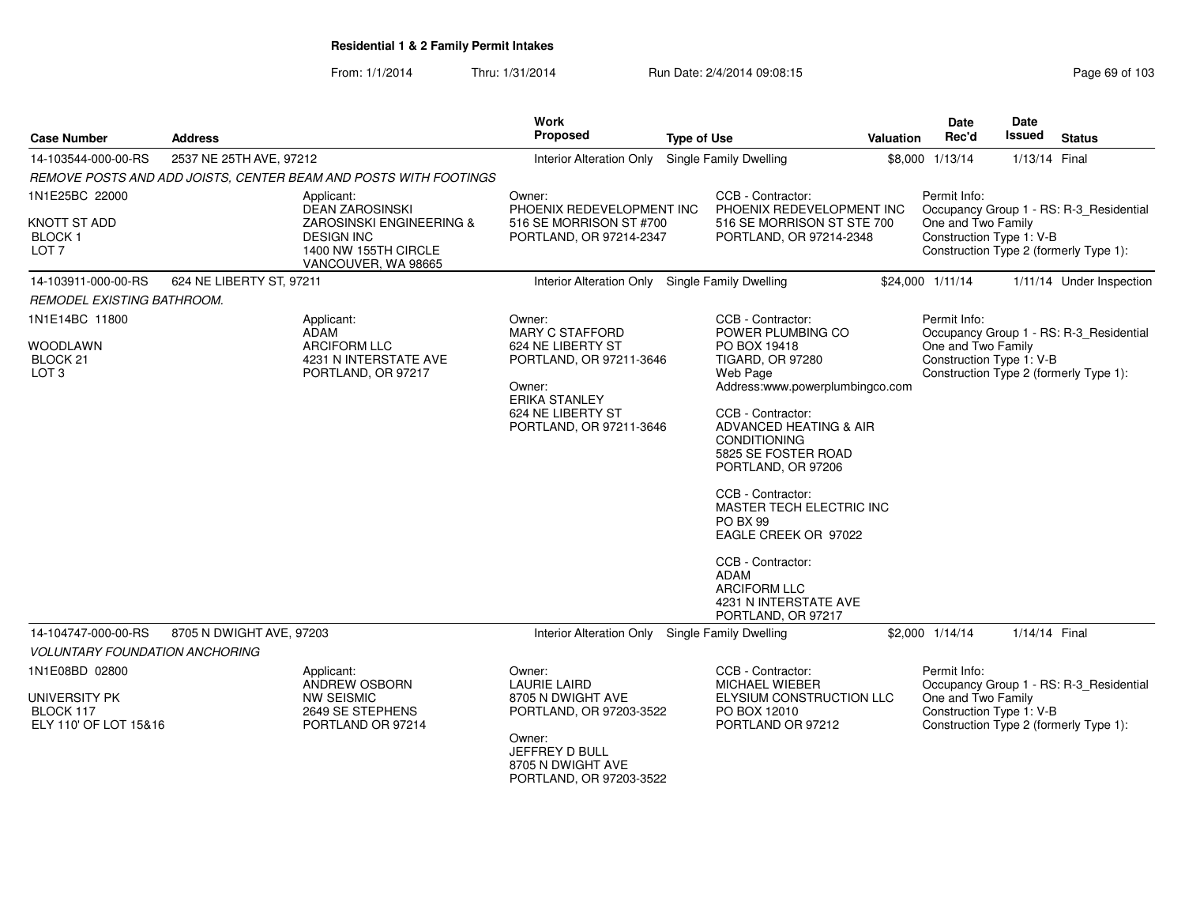| <b>Case Number</b>                                       | <b>Address</b>           |                                                                                              | <b>Work</b><br>Proposed                                                        | <b>Type of Use</b> |                                                                                                                                                                                     | <b>Valuation</b> | <b>Date</b><br>Rec'd                                           | Date<br>Issued | <b>Status</b>                           |
|----------------------------------------------------------|--------------------------|----------------------------------------------------------------------------------------------|--------------------------------------------------------------------------------|--------------------|-------------------------------------------------------------------------------------------------------------------------------------------------------------------------------------|------------------|----------------------------------------------------------------|----------------|-----------------------------------------|
| 14-103544-000-00-RS                                      | 2537 NE 25TH AVE, 97212  |                                                                                              | Interior Alteration Only Single Family Dwelling                                |                    |                                                                                                                                                                                     |                  | \$8,000 1/13/14                                                | 1/13/14 Final  |                                         |
|                                                          |                          | REMOVE POSTS AND ADD JOISTS, CENTER BEAM AND POSTS WITH FOOTINGS                             |                                                                                |                    |                                                                                                                                                                                     |                  |                                                                |                |                                         |
| 1N1E25BC 22000                                           |                          | Applicant:<br><b>DEAN ZAROSINSKI</b>                                                         | Owner:<br>PHOENIX REDEVELOPMENT INC                                            |                    | CCB - Contractor:<br>PHOENIX REDEVELOPMENT INC                                                                                                                                      |                  | Permit Info:                                                   |                | Occupancy Group 1 - RS: R-3 Residential |
| <b>KNOTT ST ADD</b><br><b>BLOCK1</b><br>LOT <sub>7</sub> |                          | ZAROSINSKI ENGINEERING &<br><b>DESIGN INC</b><br>1400 NW 155TH CIRCLE<br>VANCOUVER, WA 98665 | 516 SE MORRISON ST #700<br>PORTLAND, OR 97214-2347                             |                    | 516 SE MORRISON ST STE 700<br>PORTLAND, OR 97214-2348                                                                                                                               |                  | One and Two Family<br>Construction Type 1: V-B                 |                | Construction Type 2 (formerly Type 1):  |
| 14-103911-000-00-RS                                      | 624 NE LIBERTY ST, 97211 |                                                                                              | Interior Alteration Only Single Family Dwelling                                |                    |                                                                                                                                                                                     |                  | \$24,000 1/11/14                                               |                | 1/11/14 Under Inspection                |
| REMODEL EXISTING BATHROOM.                               |                          |                                                                                              |                                                                                |                    |                                                                                                                                                                                     |                  |                                                                |                |                                         |
| 1N1E14BC 11800<br><b>WOODLAWN</b><br>BLOCK 21            |                          | Applicant:<br>ADAM<br><b>ARCIFORM LLC</b><br>4231 N INTERSTATE AVE                           | Owner:<br>MARY C STAFFORD<br>624 NE LIBERTY ST<br>PORTLAND, OR 97211-3646      |                    | CCB - Contractor:<br>POWER PLUMBING CO<br>PO BOX 19418<br><b>TIGARD, OR 97280</b>                                                                                                   |                  | Permit Info:<br>One and Two Family<br>Construction Type 1: V-B |                | Occupancy Group 1 - RS: R-3_Residential |
| LOT <sub>3</sub>                                         |                          | PORTLAND, OR 97217                                                                           | Owner:<br><b>ERIKA STANLEY</b><br>624 NE LIBERTY ST<br>PORTLAND, OR 97211-3646 |                    | Web Page<br>Address:www.powerplumbingco.com<br>CCB - Contractor:<br>ADVANCED HEATING & AIR<br><b>CONDITIONING</b><br>5825 SE FOSTER ROAD<br>PORTLAND, OR 97206<br>CCB - Contractor: |                  |                                                                |                | Construction Type 2 (formerly Type 1):  |
|                                                          |                          |                                                                                              |                                                                                |                    | MASTER TECH ELECTRIC INC<br><b>PO BX 99</b><br>EAGLE CREEK OR 97022<br>CCB - Contractor:<br>ADAM<br><b>ARCIFORM LLC</b><br>4231 N INTERSTATE AVE<br>PORTLAND, OR 97217              |                  |                                                                |                |                                         |
| 14-104747-000-00-RS                                      | 8705 N DWIGHT AVE, 97203 |                                                                                              | Interior Alteration Only Single Family Dwelling                                |                    |                                                                                                                                                                                     |                  | \$2,000 1/14/14                                                | 1/14/14 Final  |                                         |
| <b>VOLUNTARY FOUNDATION ANCHORING</b>                    |                          |                                                                                              |                                                                                |                    |                                                                                                                                                                                     |                  |                                                                |                |                                         |
| 1N1E08BD 02800                                           |                          | Applicant:<br>ANDREW OSBORN                                                                  | Owner:<br><b>LAURIE LAIRD</b>                                                  |                    | CCB - Contractor:<br><b>MICHAEL WIEBER</b>                                                                                                                                          |                  | Permit Info:                                                   |                | Occupancy Group 1 - RS: R-3_Residential |
| UNIVERSITY PK<br>BLOCK 117<br>ELY 110' OF LOT 15&16      |                          | NW SEISMIC<br>2649 SE STEPHENS<br>PORTLAND OR 97214                                          | 8705 N DWIGHT AVE<br>PORTLAND, OR 97203-3522                                   |                    | ELYSIUM CONSTRUCTION LLC<br>PO BOX 12010<br>PORTLAND OR 97212                                                                                                                       |                  | One and Two Family<br>Construction Type 1: V-B                 |                | Construction Type 2 (formerly Type 1):  |
|                                                          |                          |                                                                                              | Owner:<br>JEFFREY D BULL<br>8705 N DWIGHT AVE<br>PORTLAND, OR 97203-3522       |                    |                                                                                                                                                                                     |                  |                                                                |                |                                         |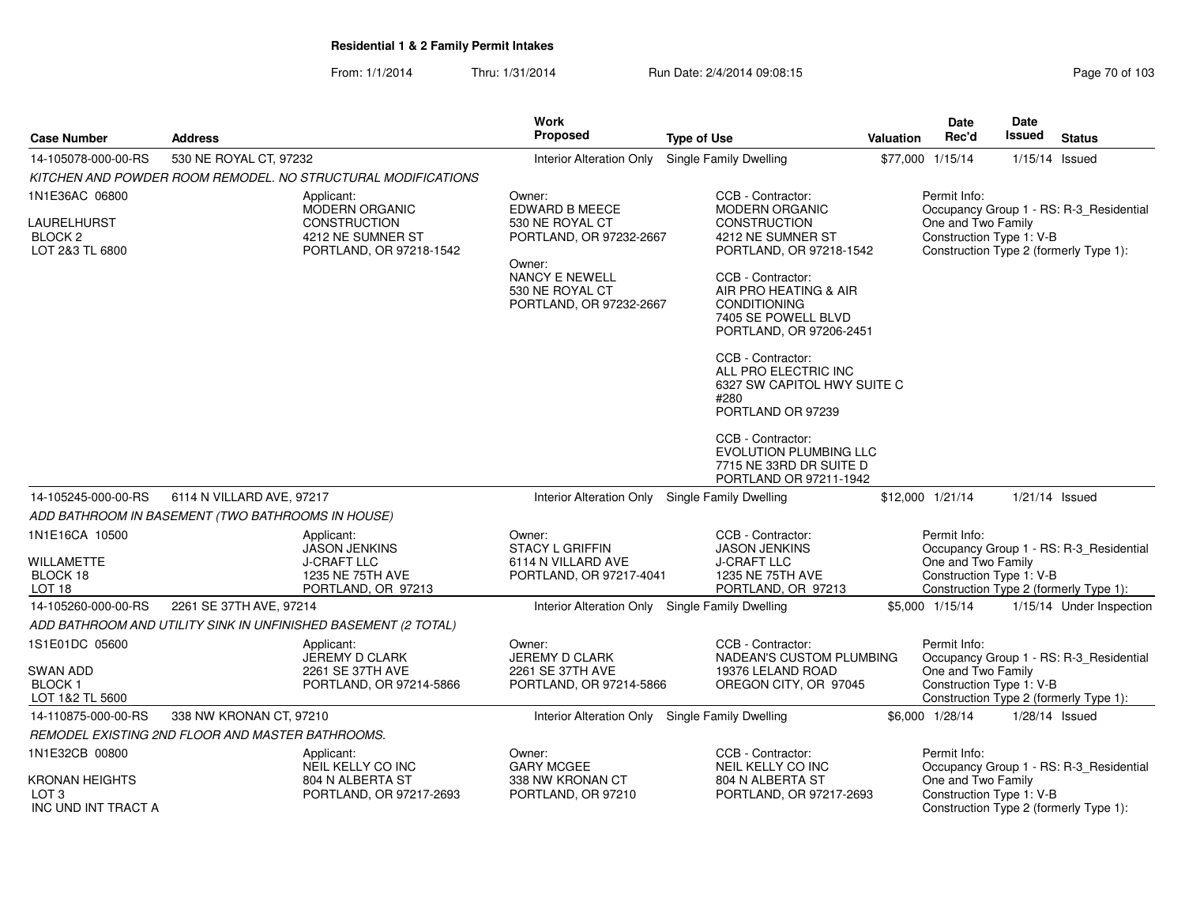|                                                                  |                                                                                       | Work                                                                   |                                                                                                                     |           | <b>Date</b>                                    | Date   |                                                                                   |
|------------------------------------------------------------------|---------------------------------------------------------------------------------------|------------------------------------------------------------------------|---------------------------------------------------------------------------------------------------------------------|-----------|------------------------------------------------|--------|-----------------------------------------------------------------------------------|
| <b>Case Number</b>                                               | <b>Address</b>                                                                        | <b>Proposed</b>                                                        | <b>Type of Use</b>                                                                                                  | Valuation | Rec'd                                          | Issued | <b>Status</b>                                                                     |
| 14-105078-000-00-RS                                              | 530 NE ROYAL CT, 97232                                                                | Interior Alteration Only                                               | Single Family Dwelling                                                                                              |           | \$77,000 1/15/14                               |        | $1/15/14$ Issued                                                                  |
|                                                                  | KITCHEN AND POWDER ROOM REMODEL. NO STRUCTURAL MODIFICATIONS                          |                                                                        |                                                                                                                     |           |                                                |        |                                                                                   |
| 1N1E36AC 06800                                                   | Applicant:                                                                            | Owner:                                                                 | CCB - Contractor:                                                                                                   |           | Permit Info:                                   |        |                                                                                   |
| LAURELHURST<br>BLOCK <sub>2</sub><br>LOT 2&3 TL 6800             | MODERN ORGANIC<br><b>CONSTRUCTION</b><br>4212 NE SUMNER ST<br>PORTLAND, OR 97218-1542 | EDWARD B MEECE<br>530 NE ROYAL CT<br>PORTLAND, OR 97232-2667<br>Owner: | MODERN ORGANIC<br><b>CONSTRUCTION</b><br>4212 NE SUMNER ST<br>PORTLAND, OR 97218-1542                               |           | One and Two Family<br>Construction Type 1: V-B |        | Occupancy Group 1 - RS: R-3_Residential<br>Construction Type 2 (formerly Type 1): |
|                                                                  |                                                                                       | <b>NANCY E NEWELL</b><br>530 NE ROYAL CT<br>PORTLAND, OR 97232-2667    | CCB - Contractor:<br>AIR PRO HEATING & AIR<br><b>CONDITIONING</b><br>7405 SE POWELL BLVD<br>PORTLAND, OR 97206-2451 |           |                                                |        |                                                                                   |
|                                                                  |                                                                                       |                                                                        | CCB - Contractor:<br>ALL PRO ELECTRIC INC<br>6327 SW CAPITOL HWY SUITE C<br>#280<br>PORTLAND OR 97239               |           |                                                |        |                                                                                   |
|                                                                  |                                                                                       |                                                                        | CCB - Contractor:<br>EVOLUTION PLUMBING LLC<br>7715 NE 33RD DR SUITE D<br>PORTLAND OR 97211-1942                    |           |                                                |        |                                                                                   |
| 14-105245-000-00-RS                                              | 6114 N VILLARD AVE, 97217                                                             | Interior Alteration Only Single Family Dwelling                        |                                                                                                                     |           | \$12,000 1/21/14                               |        | $1/21/14$ Issued                                                                  |
|                                                                  | ADD BATHROOM IN BASEMENT (TWO BATHROOMS IN HOUSE)                                     |                                                                        |                                                                                                                     |           |                                                |        |                                                                                   |
| 1N1E16CA 10500                                                   | Applicant:<br><b>JASON JENKINS</b>                                                    | Owner:<br><b>STACY L GRIFFIN</b>                                       | CCB - Contractor:<br><b>JASON JENKINS</b>                                                                           |           | Permit Info:                                   |        | Occupancy Group 1 - RS: R-3_Residential                                           |
| <b>WILLAMETTE</b><br>BLOCK 18<br>LOT <sub>18</sub>               | <b>J-CRAFT LLC</b><br>1235 NE 75TH AVE<br>PORTLAND, OR 97213                          | 6114 N VILLARD AVE<br>PORTLAND, OR 97217-4041                          | <b>J-CRAFT LLC</b><br>1235 NE 75TH AVE<br>PORTLAND, OR 97213                                                        |           | One and Two Family<br>Construction Type 1: V-B |        | Construction Type 2 (formerly Type 1):                                            |
| 14-105260-000-00-RS                                              | 2261 SE 37TH AVE, 97214                                                               | Interior Alteration Only Single Family Dwelling                        |                                                                                                                     |           | \$5,000 1/15/14                                |        | 1/15/14 Under Inspection                                                          |
|                                                                  | ADD BATHROOM AND UTILITY SINK IN UNFINISHED BASEMENT (2 TOTAL)                        |                                                                        |                                                                                                                     |           |                                                |        |                                                                                   |
| 1S1E01DC 05600                                                   | Applicant:<br>JEREMY D CLARK                                                          | Owner:<br>JEREMY D CLARK                                               | CCB - Contractor:<br>NADEAN'S CUSTOM PLUMBING                                                                       |           | Permit Info:                                   |        | Occupancy Group 1 - RS: R-3_Residential                                           |
| SWAN ADD<br><b>BLOCK1</b><br>LOT 1&2 TL 5600                     | 2261 SE 37TH AVE<br>PORTLAND, OR 97214-5866                                           | 2261 SE 37TH AVE<br>PORTLAND, OR 97214-5866                            | 19376 LELAND ROAD<br>OREGON CITY, OR 97045                                                                          |           | One and Two Family<br>Construction Type 1: V-B |        | Construction Type 2 (formerly Type 1):                                            |
| 14-110875-000-00-RS                                              | 338 NW KRONAN CT, 97210                                                               | Interior Alteration Only Single Family Dwelling                        |                                                                                                                     |           | \$6,000 1/28/14                                |        | $1/28/14$ Issued                                                                  |
|                                                                  | REMODEL EXISTING 2ND FLOOR AND MASTER BATHROOMS.                                      |                                                                        |                                                                                                                     |           |                                                |        |                                                                                   |
| 1N1E32CB 00800                                                   | Applicant:<br>NEIL KELLY CO INC                                                       | Owner:<br><b>GARY MCGEE</b>                                            | CCB - Contractor:<br>NEIL KELLY CO INC                                                                              |           | Permit Info:                                   |        | Occupancy Group 1 - RS: R-3_Residential                                           |
| <b>KRONAN HEIGHTS</b><br>LOT <sub>3</sub><br>INC UND INT TRACT A | 804 N ALBERTA ST<br>PORTLAND, OR 97217-2693                                           | 338 NW KRONAN CT<br>PORTLAND, OR 97210                                 | 804 N ALBERTA ST<br>PORTLAND, OR 97217-2693                                                                         |           | One and Two Family<br>Construction Type 1: V-B |        | Construction Type 2 (formerly Type 1):                                            |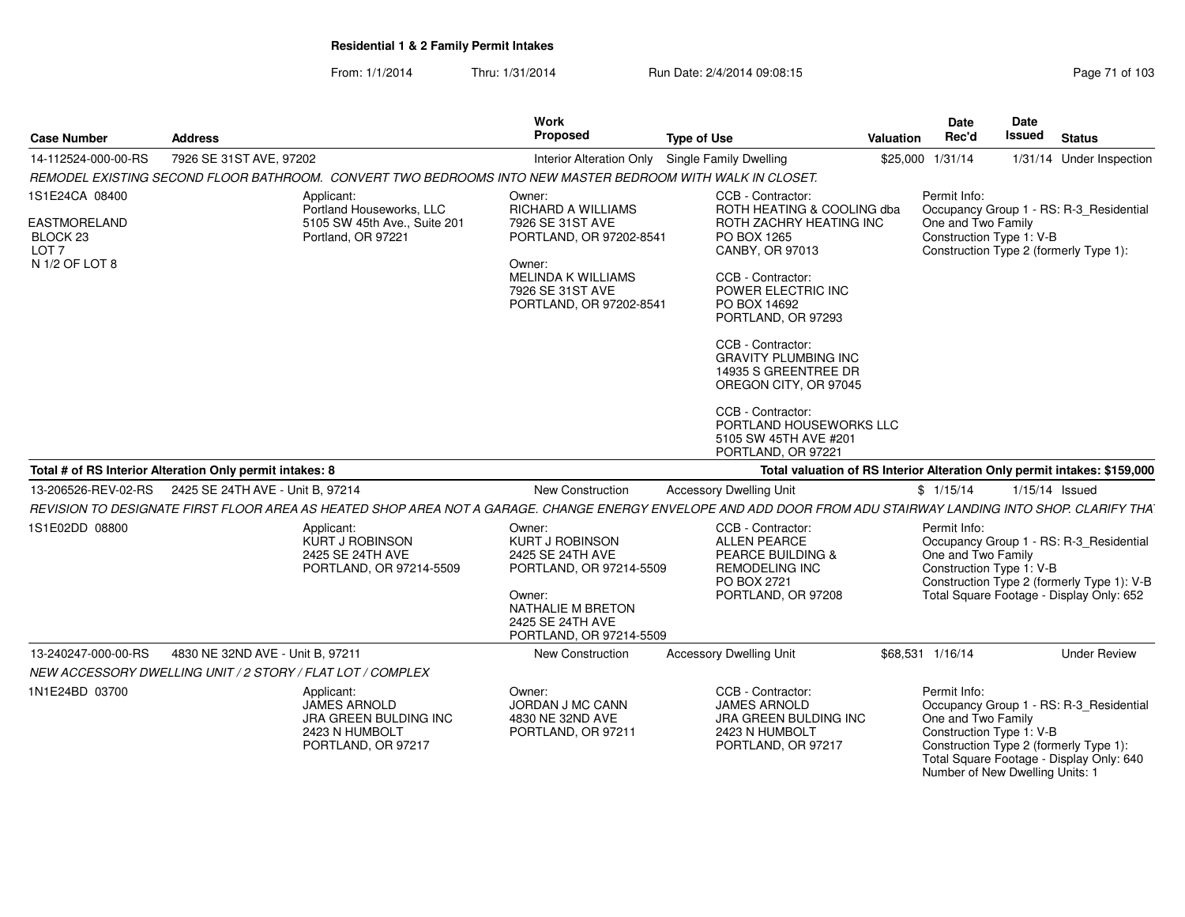| <b>Case Number</b>                                             | <b>Address</b>                                                                                                                                                | Work<br>Proposed                                                                                                                                              | <b>Type of Use</b>                                                                                                                     | <b>Valuation</b> | <b>Date</b><br>Rec'd               | <b>Date</b><br><b>Issued</b>                                                                                                                                                                 | <b>Status</b>            |
|----------------------------------------------------------------|---------------------------------------------------------------------------------------------------------------------------------------------------------------|---------------------------------------------------------------------------------------------------------------------------------------------------------------|----------------------------------------------------------------------------------------------------------------------------------------|------------------|------------------------------------|----------------------------------------------------------------------------------------------------------------------------------------------------------------------------------------------|--------------------------|
| 14-112524-000-00-RS                                            | 7926 SE 31ST AVE, 97202                                                                                                                                       | <b>Interior Alteration Only</b>                                                                                                                               | <b>Single Family Dwelling</b>                                                                                                          |                  | \$25,000 1/31/14                   |                                                                                                                                                                                              | 1/31/14 Under Inspection |
|                                                                | REMODEL EXISTING SECOND FLOOR BATHROOM. CONVERT TWO BEDROOMS INTO NEW MASTER BEDROOM WITH WALK IN CLOSET.                                                     |                                                                                                                                                               |                                                                                                                                        |                  |                                    |                                                                                                                                                                                              |                          |
| 1S1E24CA 08400                                                 | Applicant:<br>Portland Houseworks, LLC                                                                                                                        | Owner:<br>RICHARD A WILLIAMS                                                                                                                                  | CCB - Contractor:<br>ROTH HEATING & COOLING dba                                                                                        |                  | Permit Info:                       | Occupancy Group 1 - RS: R-3 Residential                                                                                                                                                      |                          |
| <b>EASTMORELAND</b><br>BLOCK <sub>23</sub><br>LOT <sub>7</sub> | 5105 SW 45th Ave., Suite 201<br>Portland, OR 97221                                                                                                            | 7926 SE 31ST AVE<br>PORTLAND, OR 97202-8541                                                                                                                   | ROTH ZACHRY HEATING INC<br>PO BOX 1265<br>CANBY, OR 97013                                                                              |                  | One and Two Family                 | Construction Type 1: V-B<br>Construction Type 2 (formerly Type 1):                                                                                                                           |                          |
| N 1/2 OF LOT 8                                                 |                                                                                                                                                               | Owner:<br><b>MELINDA K WILLIAMS</b><br>7926 SE 31ST AVE<br>PORTLAND, OR 97202-8541                                                                            | CCB - Contractor:<br>POWER ELECTRIC INC<br>PO BOX 14692<br>PORTLAND, OR 97293                                                          |                  |                                    |                                                                                                                                                                                              |                          |
|                                                                |                                                                                                                                                               |                                                                                                                                                               | CCB - Contractor:<br><b>GRAVITY PLUMBING INC</b><br>14935 S GREENTREE DR<br>OREGON CITY, OR 97045                                      |                  |                                    |                                                                                                                                                                                              |                          |
|                                                                |                                                                                                                                                               |                                                                                                                                                               | CCB - Contractor:<br>PORTLAND HOUSEWORKS LLC<br>5105 SW 45TH AVE #201<br>PORTLAND, OR 97221                                            |                  |                                    |                                                                                                                                                                                              |                          |
|                                                                | Total # of RS Interior Alteration Only permit intakes: 8                                                                                                      |                                                                                                                                                               | Total valuation of RS Interior Alteration Only permit intakes: \$159,000                                                               |                  |                                    |                                                                                                                                                                                              |                          |
| 13-206526-REV-02-RS                                            | 2425 SE 24TH AVE - Unit B, 97214                                                                                                                              | <b>New Construction</b>                                                                                                                                       | <b>Accessory Dwelling Unit</b>                                                                                                         |                  | \$1/15/14                          | $1/15/14$ Issued                                                                                                                                                                             |                          |
|                                                                | REVISION TO DESIGNATE FIRST FLOOR AREA AS HEATED SHOP AREA NOT A GARAGE. CHANGE ENERGY ENVELOPE AND ADD DOOR FROM ADU STAIRWAY LANDING INTO SHOP. CLARIFY THA |                                                                                                                                                               |                                                                                                                                        |                  |                                    |                                                                                                                                                                                              |                          |
| 1S1E02DD 08800                                                 | Applicant:<br><b>KURT J ROBINSON</b><br>2425 SE 24TH AVE<br>PORTLAND, OR 97214-5509                                                                           | Owner:<br><b>KURT J ROBINSON</b><br>2425 SE 24TH AVE<br>PORTLAND, OR 97214-5509<br>Owner:<br>NATHALIE M BRETON<br>2425 SE 24TH AVE<br>PORTLAND, OR 97214-5509 | CCB - Contractor:<br><b>ALLEN PEARCE</b><br><b>PEARCE BUILDING &amp;</b><br><b>REMODELING INC</b><br>PO BOX 2721<br>PORTLAND, OR 97208 |                  | Permit Info:<br>One and Two Family | Occupancy Group 1 - RS: R-3_Residential<br>Construction Type 1: V-B<br>Construction Type 2 (formerly Type 1): V-B<br>Total Square Footage - Display Only: 652                                |                          |
| 13-240247-000-00-RS                                            | 4830 NE 32ND AVE - Unit B, 97211                                                                                                                              | <b>New Construction</b>                                                                                                                                       | <b>Accessory Dwelling Unit</b>                                                                                                         |                  | \$68,531 1/16/14                   |                                                                                                                                                                                              | <b>Under Review</b>      |
|                                                                | NEW ACCESSORY DWELLING UNIT / 2 STORY / FLAT LOT / COMPLEX                                                                                                    |                                                                                                                                                               |                                                                                                                                        |                  |                                    |                                                                                                                                                                                              |                          |
| 1N1E24BD 03700                                                 | Applicant:<br>JAMES ARNOLD<br>JRA GREEN BULDING INC<br>2423 N HUMBOLT<br>PORTLAND, OR 97217                                                                   | Owner:<br>JORDAN J MC CANN<br>4830 NE 32ND AVE<br>PORTLAND, OR 97211                                                                                          | CCB - Contractor:<br><b>JAMES ARNOLD</b><br>JRA GREEN BULDING INC<br>2423 N HUMBOLT<br>PORTLAND, OR 97217                              |                  | Permit Info:<br>One and Two Family | Occupancy Group 1 - RS: R-3_Residential<br>Construction Type 1: V-B<br>Construction Type 2 (formerly Type 1):<br>Total Square Footage - Display Only: 640<br>Number of New Dwelling Units: 1 |                          |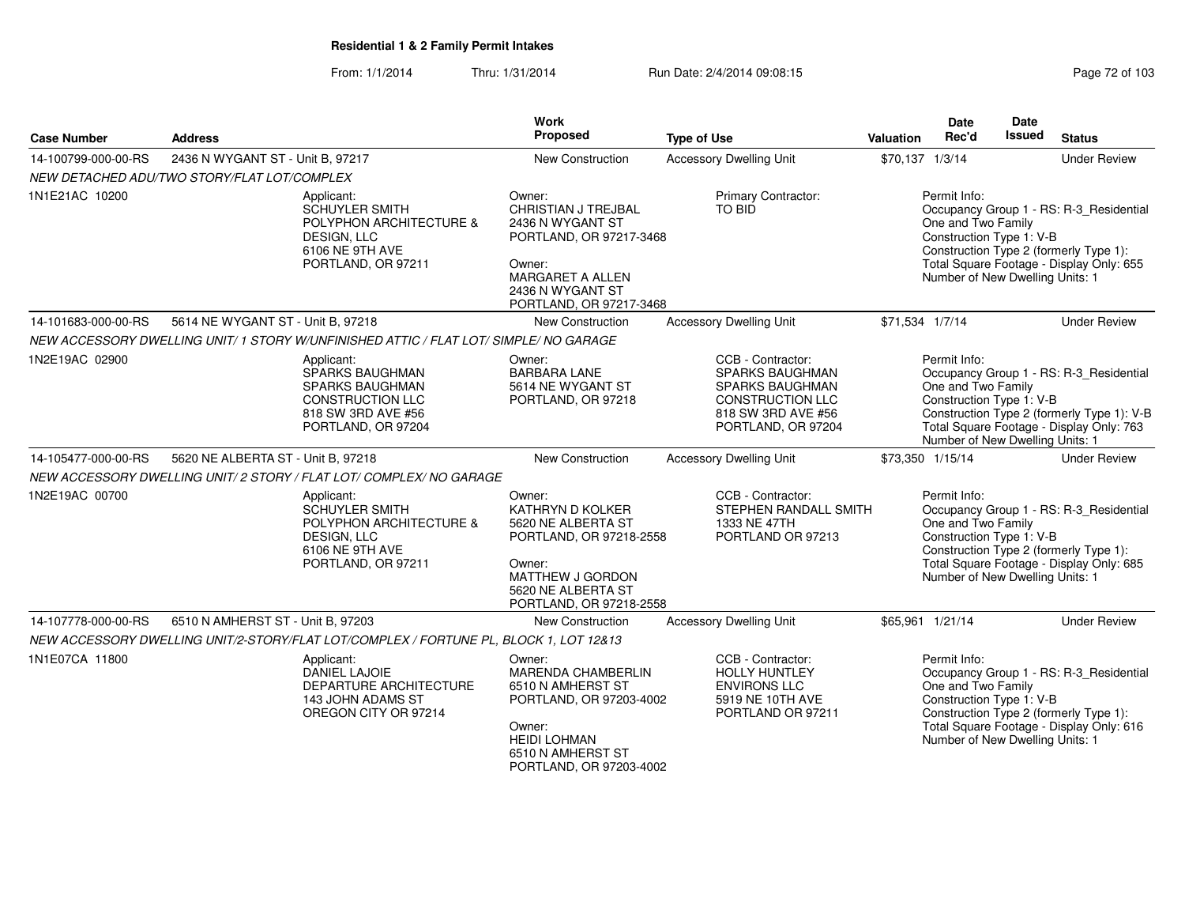From: 1/1/2014Thru: 1/31/2014 Run Date: 2/4/2014 09:08:15 Research 2010 2014 09:08:15

| <b>Case Number</b>  | Work<br>Proposed<br><b>Type of Use</b><br><b>Address</b>                                                                              |                                                                                                                                                                         |                                                                                                                                       | Date<br>Rec'd<br><b>Valuation</b>  | <b>Date</b><br>Issued<br><b>Status</b>                                                                                                                                                           |
|---------------------|---------------------------------------------------------------------------------------------------------------------------------------|-------------------------------------------------------------------------------------------------------------------------------------------------------------------------|---------------------------------------------------------------------------------------------------------------------------------------|------------------------------------|--------------------------------------------------------------------------------------------------------------------------------------------------------------------------------------------------|
| 14-100799-000-00-RS | 2436 N WYGANT ST - Unit B, 97217                                                                                                      | New Construction                                                                                                                                                        | <b>Accessory Dwelling Unit</b>                                                                                                        | \$70,137 1/3/14                    | <b>Under Review</b>                                                                                                                                                                              |
|                     | NEW DETACHED ADU/TWO STORY/FLAT LOT/COMPLEX                                                                                           |                                                                                                                                                                         |                                                                                                                                       |                                    |                                                                                                                                                                                                  |
| 1N1E21AC 10200      | Applicant:<br><b>SCHUYLER SMITH</b><br>POLYPHON ARCHITECTURE &<br>DESIGN, LLC<br>6106 NE 9TH AVE<br>PORTLAND, OR 97211                | Owner:<br><b>CHRISTIAN J TREJBAL</b><br>2436 N WYGANT ST<br>PORTLAND, OR 97217-3468<br>Owner:<br><b>MARGARET A ALLEN</b><br>2436 N WYGANT ST<br>PORTLAND, OR 97217-3468 | Primary Contractor:<br>TO BID                                                                                                         | Permit Info:<br>One and Two Family | Occupancy Group 1 - RS: R-3_Residential<br>Construction Type 1: V-B<br>Construction Type 2 (formerly Type 1):<br>Total Square Footage - Display Only: 655<br>Number of New Dwelling Units: 1     |
| 14-101683-000-00-RS | 5614 NE WYGANT ST - Unit B, 97218                                                                                                     | New Construction                                                                                                                                                        | <b>Accessory Dwelling Unit</b>                                                                                                        | \$71,534 1/7/14                    | <b>Under Review</b>                                                                                                                                                                              |
|                     | NEW ACCESSORY DWELLING UNIT/ 1 STORY W/UNFINISHED ATTIC / FLAT LOT/ SIMPLE/ NO GARAGE                                                 |                                                                                                                                                                         |                                                                                                                                       |                                    |                                                                                                                                                                                                  |
| 1N2E19AC 02900      | Applicant:<br><b>SPARKS BAUGHMAN</b><br><b>SPARKS BAUGHMAN</b><br><b>CONSTRUCTION LLC</b><br>818 SW 3RD AVE #56<br>PORTLAND, OR 97204 | Owner:<br><b>BARBARA LANE</b><br>5614 NE WYGANT ST<br>PORTLAND, OR 97218                                                                                                | CCB - Contractor:<br>SPARKS BAUGHMAN<br><b>SPARKS BAUGHMAN</b><br><b>CONSTRUCTION LLC</b><br>818 SW 3RD AVE #56<br>PORTLAND, OR 97204 | Permit Info:<br>One and Two Family | Occupancy Group 1 - RS: R-3_Residential<br>Construction Type 1: V-B<br>Construction Type 2 (formerly Type 1): V-B<br>Total Square Footage - Display Only: 763<br>Number of New Dwelling Units: 1 |
| 14-105477-000-00-RS | 5620 NE ALBERTA ST - Unit B, 97218                                                                                                    | <b>New Construction</b>                                                                                                                                                 | <b>Accessory Dwelling Unit</b>                                                                                                        | \$73,350 1/15/14                   | <b>Under Review</b>                                                                                                                                                                              |
|                     | NEW ACCESSORY DWELLING UNIT/ 2 STORY / FLAT LOT/ COMPLEX/ NO GARAGE                                                                   |                                                                                                                                                                         |                                                                                                                                       |                                    |                                                                                                                                                                                                  |
| 1N2E19AC 00700      | Applicant:<br><b>SCHUYLER SMITH</b><br>POLYPHON ARCHITECTURE &<br>DESIGN, LLC<br>6106 NE 9TH AVE<br>PORTLAND, OR 97211                | Owner:<br>KATHRYN D KOLKER<br>5620 NE ALBERTA ST<br>PORTLAND, OR 97218-2558<br>Owner:<br>MATTHEW J GORDON<br>5620 NE ALBERTA ST<br>PORTLAND, OR 97218-2558              | CCB - Contractor:<br><b>STEPHEN RANDALL SMITH</b><br>1333 NE 47TH<br>PORTLAND OR 97213                                                | Permit Info:<br>One and Two Family | Occupancy Group 1 - RS: R-3_Residential<br>Construction Type 1: V-B<br>Construction Type 2 (formerly Type 1):<br>Total Square Footage - Display Only: 685<br>Number of New Dwelling Units: 1     |
| 14-107778-000-00-RS | 6510 N AMHERST ST - Unit B, 97203                                                                                                     | New Construction                                                                                                                                                        | <b>Accessory Dwelling Unit</b>                                                                                                        | \$65,961 1/21/14                   | <b>Under Review</b>                                                                                                                                                                              |
|                     | NEW ACCESSORY DWELLING UNIT/2-STORY/FLAT LOT/COMPLEX / FORTUNE PL, BLOCK 1, LOT 12&13                                                 |                                                                                                                                                                         |                                                                                                                                       |                                    |                                                                                                                                                                                                  |
| 1N1E07CA 11800      | Applicant:<br>DANIEL LAJOIE<br><b>DEPARTURE ARCHITECTURE</b><br>143 JOHN ADAMS ST<br>OREGON CITY OR 97214                             | Owner:<br>MARENDA CHAMBERLIN<br>6510 N AMHERST ST<br>PORTLAND, OR 97203-4002<br>Owner:<br><b>HEIDI LOHMAN</b><br>6510 N AMHERST ST<br>PORTLAND, OR 97203-4002           | CCB - Contractor:<br><b>HOLLY HUNTLEY</b><br><b>ENVIRONS LLC</b><br>5919 NE 10TH AVE<br>PORTLAND OR 97211                             | Permit Info:<br>One and Two Family | Occupancy Group 1 - RS: R-3_Residential<br>Construction Type 1: V-B<br>Construction Type 2 (formerly Type 1):<br>Total Square Footage - Display Only: 616<br>Number of New Dwelling Units: 1     |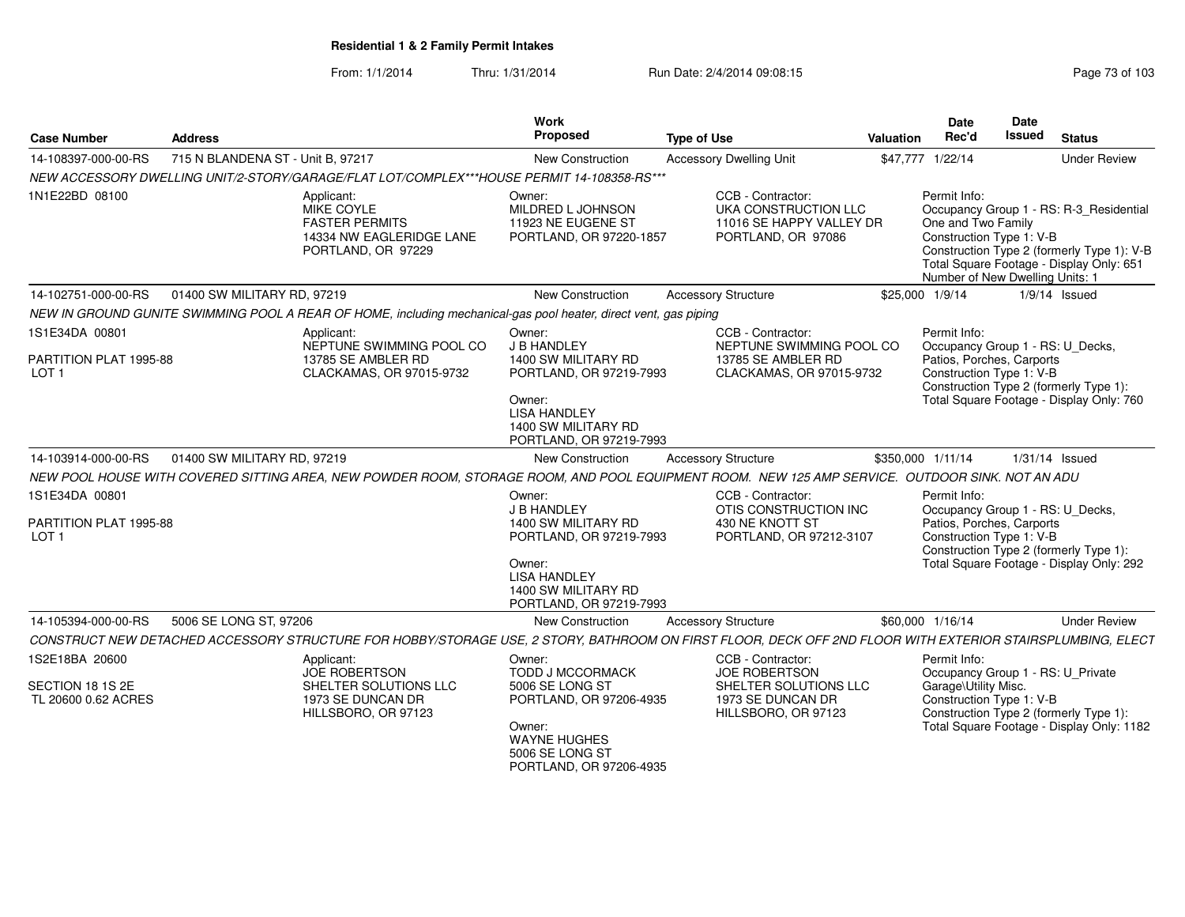| <b>Case Number</b>                                        | <b>Address</b>                    |                                                                                                                                                            | Work<br><b>Proposed</b>                                                                                                                                 | <b>Type of Use</b>                                                                                      | Valuation | Date<br>Rec'd                                                                                     | Date<br><b>Issued</b> | <b>Status</b>                                                                                                                     |
|-----------------------------------------------------------|-----------------------------------|------------------------------------------------------------------------------------------------------------------------------------------------------------|---------------------------------------------------------------------------------------------------------------------------------------------------------|---------------------------------------------------------------------------------------------------------|-----------|---------------------------------------------------------------------------------------------------|-----------------------|-----------------------------------------------------------------------------------------------------------------------------------|
| 14-108397-000-00-RS                                       | 715 N BLANDENA ST - Unit B, 97217 |                                                                                                                                                            | <b>New Construction</b>                                                                                                                                 | <b>Accessory Dwelling Unit</b>                                                                          |           | \$47,777 1/22/14                                                                                  |                       | <b>Under Review</b>                                                                                                               |
|                                                           |                                   | NEW ACCESSORY DWELLING UNIT/2-STORY/GARAGE/FLAT LOT/COMPLEX***HOUSE PERMIT 14-108358-RS***                                                                 |                                                                                                                                                         |                                                                                                         |           |                                                                                                   |                       |                                                                                                                                   |
| 1N1E22BD 08100                                            |                                   | Applicant:<br>MIKE COYLE<br><b>FASTER PERMITS</b><br>14334 NW EAGLERIDGE LANE<br>PORTLAND, OR 97229                                                        | Owner:<br>MILDRED L JOHNSON<br>11923 NE EUGENE ST<br>PORTLAND, OR 97220-1857                                                                            | CCB - Contractor:<br>UKA CONSTRUCTION LLC<br>11016 SE HAPPY VALLEY DR<br>PORTLAND, OR 97086             |           | Permit Info:<br>One and Two Family<br>Construction Type 1: V-B<br>Number of New Dwelling Units: 1 |                       | Occupancy Group 1 - RS: R-3 Residential<br>Construction Type 2 (formerly Type 1): V-B<br>Total Square Footage - Display Only: 651 |
| 14-102751-000-00-RS                                       | 01400 SW MILITARY RD, 97219       |                                                                                                                                                            | New Construction                                                                                                                                        | <b>Accessory Structure</b>                                                                              |           | \$25,000 1/9/14                                                                                   |                       | $1/9/14$ Issued                                                                                                                   |
|                                                           |                                   | NEW IN GROUND GUNITE SWIMMING POOL A REAR OF HOME, including mechanical-gas pool heater, direct vent, gas piping                                           |                                                                                                                                                         |                                                                                                         |           |                                                                                                   |                       |                                                                                                                                   |
| 1S1E34DA 00801                                            |                                   | Applicant:                                                                                                                                                 | Owner:                                                                                                                                                  | CCB - Contractor:                                                                                       |           | Permit Info:                                                                                      |                       |                                                                                                                                   |
| PARTITION PLAT 1995-88<br>LOT <sub>1</sub>                |                                   | NEPTUNE SWIMMING POOL CO<br>13785 SE AMBLER RD<br>CLACKAMAS, OR 97015-9732                                                                                 | J B HANDLEY<br>1400 SW MILITARY RD<br>PORTLAND, OR 97219-7993<br>Owner:<br><b>LISA HANDLEY</b><br>1400 SW MILITARY RD<br>PORTLAND, OR 97219-7993        | NEPTUNE SWIMMING POOL CO<br>13785 SE AMBLER RD<br>CLACKAMAS, OR 97015-9732                              |           | Occupancy Group 1 - RS: U_Decks,<br>Patios, Porches, Carports<br>Construction Type 1: V-B         |                       | Construction Type 2 (formerly Type 1):<br>Total Square Footage - Display Only: 760                                                |
| 14-103914-000-00-RS                                       | 01400 SW MILITARY RD, 97219       |                                                                                                                                                            | New Construction                                                                                                                                        | <b>Accessory Structure</b>                                                                              |           | \$350,000 1/11/14                                                                                 |                       | $1/31/14$ Issued                                                                                                                  |
|                                                           |                                   | NEW POOL HOUSE WITH COVERED SITTING AREA, NEW POWDER ROOM, STORAGE ROOM, AND POOL EQUIPMENT ROOM. NEW 125 AMP SERVICE. OUTDOOR SINK. NOT AN ADU            |                                                                                                                                                         |                                                                                                         |           |                                                                                                   |                       |                                                                                                                                   |
| 1S1E34DA 00801                                            |                                   |                                                                                                                                                            | Owner:                                                                                                                                                  | CCB - Contractor:                                                                                       |           | Permit Info:                                                                                      |                       |                                                                                                                                   |
| PARTITION PLAT 1995-88<br>LOT <sub>1</sub>                |                                   |                                                                                                                                                            | J B HANDLEY<br>1400 SW MILITARY RD<br>PORTLAND, OR 97219-7993<br>Owner:<br><b>LISA HANDLEY</b><br>1400 SW MILITARY RD<br>PORTLAND, OR 97219-7993        | OTIS CONSTRUCTION INC<br>430 NE KNOTT ST<br>PORTLAND, OR 97212-3107                                     |           | Occupancy Group 1 - RS: U_Decks,<br>Patios, Porches, Carports<br>Construction Type 1: V-B         |                       | Construction Type 2 (formerly Type 1):<br>Total Square Footage - Display Only: 292                                                |
| 14-105394-000-00-RS                                       | 5006 SE LONG ST, 97206            |                                                                                                                                                            | New Construction                                                                                                                                        | <b>Accessory Structure</b>                                                                              |           | \$60,000 1/16/14                                                                                  |                       | <b>Under Review</b>                                                                                                               |
|                                                           |                                   | CONSTRUCT NEW DETACHED ACCESSORY STRUCTURE FOR HOBBY/STORAGE USE, 2 STORY, BATHROOM ON FIRST FLOOR, DECK OFF 2ND FLOOR WITH EXTERIOR STAIRSPLUMBING, ELECT |                                                                                                                                                         |                                                                                                         |           |                                                                                                   |                       |                                                                                                                                   |
| 1S2E18BA 20600<br>SECTION 18 1S 2E<br>TL 20600 0.62 ACRES |                                   | Applicant:<br><b>JOE ROBERTSON</b><br>SHELTER SOLUTIONS LLC<br>1973 SE DUNCAN DR<br>HILLSBORO, OR 97123                                                    | Owner:<br><b>TODD J MCCORMACK</b><br>5006 SE LONG ST<br>PORTLAND, OR 97206-4935<br>Owner:<br>WAYNE HUGHES<br>5006 SE LONG ST<br>PORTLAND, OR 97206-4935 | CCB - Contractor:<br>JOE ROBERTSON<br>SHELTER SOLUTIONS LLC<br>1973 SE DUNCAN DR<br>HILLSBORO, OR 97123 |           | Permit Info:<br>Garage\Utility Misc.<br>Construction Type 1: V-B                                  |                       | Occupancy Group 1 - RS: U Private<br>Construction Type 2 (formerly Type 1):<br>Total Square Footage - Display Only: 1182          |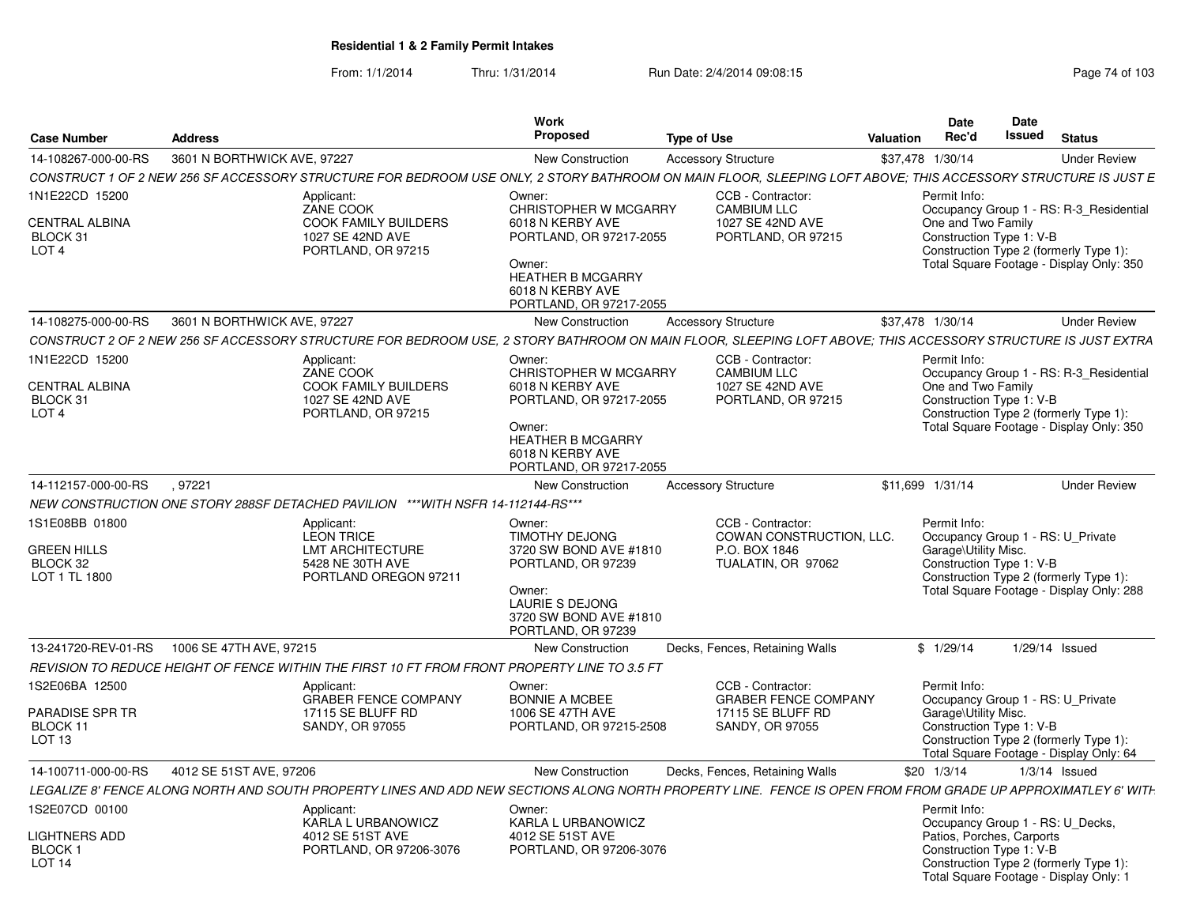From: 1/1/2014Thru: 1/31/2014 Run Date: 2/4/2014 09:08:15 Research 2010 103

|                                                |                             |                                                                                                                                                               | Work                                                                              |                                         |                  | Date                                                  | Date   |                                                                                   |
|------------------------------------------------|-----------------------------|---------------------------------------------------------------------------------------------------------------------------------------------------------------|-----------------------------------------------------------------------------------|-----------------------------------------|------------------|-------------------------------------------------------|--------|-----------------------------------------------------------------------------------|
| <b>Case Number</b>                             | <b>Address</b>              |                                                                                                                                                               | <b>Proposed</b>                                                                   | <b>Type of Use</b>                      | <b>Valuation</b> | Rec'd                                                 | Issued | <b>Status</b>                                                                     |
| 14-108267-000-00-RS                            | 3601 N BORTHWICK AVE, 97227 |                                                                                                                                                               | New Construction                                                                  | <b>Accessory Structure</b>              |                  | \$37,478 1/30/14                                      |        | <b>Under Review</b>                                                               |
|                                                |                             | CONSTRUCT 1 OF 2 NEW 256 SF ACCESSORY STRUCTURE FOR BEDROOM USE ONLY, 2 STORY BATHROOM ON MAIN FLOOR, SLEEPING LOFT ABOVE; THIS ACCESSORY STRUCTURE IS JUST E |                                                                                   |                                         |                  |                                                       |        |                                                                                   |
| 1N1E22CD 15200                                 |                             | Applicant:<br>ZANE COOK                                                                                                                                       | Owner:<br><b>CHRISTOPHER W MCGARRY</b>                                            | CCB - Contractor:<br><b>CAMBIUM LLC</b> |                  | Permit Info:                                          |        | Occupancy Group 1 - RS: R-3 Residential                                           |
| CENTRAL ALBINA<br>BLOCK 31<br>LOT <sub>4</sub> |                             | COOK FAMILY BUILDERS<br>1027 SE 42ND AVE<br>PORTLAND, OR 97215                                                                                                | 6018 N KERBY AVE<br>PORTLAND, OR 97217-2055                                       | 1027 SE 42ND AVE<br>PORTLAND, OR 97215  |                  | One and Two Family<br>Construction Type 1: V-B        |        | Construction Type 2 (formerly Type 1):                                            |
|                                                |                             |                                                                                                                                                               | Owner:<br><b>HEATHER B MCGARRY</b><br>6018 N KERBY AVE<br>PORTLAND, OR 97217-2055 |                                         |                  |                                                       |        | Total Square Footage - Display Only: 350                                          |
| 14-108275-000-00-RS                            | 3601 N BORTHWICK AVE, 97227 |                                                                                                                                                               | New Construction                                                                  | <b>Accessory Structure</b>              |                  | \$37,478 1/30/14                                      |        | <b>Under Review</b>                                                               |
|                                                |                             | CONSTRUCT 2 OF 2 NEW 256 SF ACCESSORY STRUCTURE FOR BEDROOM USE, 2 STORY BATHROOM ON MAIN FLOOR, SLEEPING LOFT ABOVE; THIS ACCESSORY STRUCTURE IS JUST EXTRA  |                                                                                   |                                         |                  |                                                       |        |                                                                                   |
| 1N1E22CD 15200                                 |                             | Applicant:                                                                                                                                                    | Owner:                                                                            | CCB - Contractor:                       |                  | Permit Info:                                          |        |                                                                                   |
| CENTRAL ALBINA                                 |                             | ZANE COOK<br>COOK FAMILY BUILDERS                                                                                                                             | <b>CHRISTOPHER W MCGARRY</b><br>6018 N KERBY AVE                                  | <b>CAMBIUM LLC</b><br>1027 SE 42ND AVE  |                  | One and Two Family                                    |        | Occupancy Group 1 - RS: R-3 Residential                                           |
| BLOCK 31                                       |                             | 1027 SE 42ND AVE                                                                                                                                              | PORTLAND, OR 97217-2055                                                           | PORTLAND, OR 97215                      |                  | Construction Type 1: V-B                              |        |                                                                                   |
| LOT <sub>4</sub>                               |                             | PORTLAND, OR 97215                                                                                                                                            |                                                                                   |                                         |                  |                                                       |        | Construction Type 2 (formerly Type 1):                                            |
|                                                |                             |                                                                                                                                                               | Owner:<br><b>HEATHER B MCGARRY</b><br>6018 N KERBY AVE<br>PORTLAND, OR 97217-2055 |                                         |                  |                                                       |        | Total Square Footage - Display Only: 350                                          |
| 14-112157-000-00-RS                            | .97221                      |                                                                                                                                                               | New Construction                                                                  | <b>Accessory Structure</b>              |                  | \$11.699 1/31/14                                      |        | <b>Under Review</b>                                                               |
|                                                |                             | NEW CONSTRUCTION ONE STORY 288SF DETACHED PAVILION ***WITH NSFR 14-112144-RS***                                                                               |                                                                                   |                                         |                  |                                                       |        |                                                                                   |
| 1S1E08BB 01800                                 |                             | Applicant:                                                                                                                                                    | Owner:                                                                            | CCB - Contractor:                       |                  | Permit Info:                                          |        |                                                                                   |
|                                                |                             | <b>LEON TRICE</b>                                                                                                                                             | <b>TIMOTHY DEJONG</b>                                                             | COWAN CONSTRUCTION, LLC.                |                  |                                                       |        | Occupancy Group 1 - RS: U_Private                                                 |
| <b>GREEN HILLS</b><br>BLOCK 32                 |                             | <b>LMT ARCHITECTURE</b><br>5428 NE 30TH AVE                                                                                                                   | 3720 SW BOND AVE #1810<br>PORTLAND, OR 97239                                      | P.O. BOX 1846<br>TUALATIN, OR 97062     |                  | Garage\Utility Misc.<br>Construction Type 1: V-B      |        |                                                                                   |
| LOT 1 TL 1800                                  |                             | PORTLAND OREGON 97211                                                                                                                                         |                                                                                   |                                         |                  |                                                       |        | Construction Type 2 (formerly Type 1):                                            |
|                                                |                             |                                                                                                                                                               | Owner:<br><b>LAURIE S DEJONG</b><br>3720 SW BOND AVE #1810<br>PORTLAND, OR 97239  |                                         |                  |                                                       |        | Total Square Footage - Display Only: 288                                          |
| 13-241720-REV-01-RS                            | 1006 SE 47TH AVE, 97215     |                                                                                                                                                               | <b>New Construction</b>                                                           | Decks, Fences, Retaining Walls          |                  | \$1/29/14                                             |        | $1/29/14$ Issued                                                                  |
|                                                |                             | REVISION TO REDUCE HEIGHT OF FENCE WITHIN THE FIRST 10 FT FROM FRONT PROPERTY LINE TO 3.5 FT                                                                  |                                                                                   |                                         |                  |                                                       |        |                                                                                   |
| 1S2E06BA 12500                                 |                             | Applicant:                                                                                                                                                    | Owner:                                                                            | CCB - Contractor:                       |                  | Permit Info:                                          |        |                                                                                   |
|                                                |                             | <b>GRABER FENCE COMPANY</b>                                                                                                                                   | <b>BONNIE A MCBEE</b>                                                             | <b>GRABER FENCE COMPANY</b>             |                  |                                                       |        | Occupancy Group 1 - RS: U_Private                                                 |
| PARADISE SPR TR<br>BLOCK 11                    |                             | 17115 SE BLUFF RD<br>SANDY, OR 97055                                                                                                                          | 1006 SE 47TH AVE<br>PORTLAND, OR 97215-2508                                       | 17115 SE BLUFF RD<br>SANDY, OR 97055    |                  | Garage\Utility Misc.<br>Construction Type 1: V-B      |        |                                                                                   |
| LOT 13                                         |                             |                                                                                                                                                               |                                                                                   |                                         |                  |                                                       |        | Construction Type 2 (formerly Type 1):<br>Total Square Footage - Display Only: 64 |
| 14-100711-000-00-RS                            | 4012 SE 51ST AVE, 97206     |                                                                                                                                                               | New Construction                                                                  | Decks, Fences, Retaining Walls          |                  | \$20 1/3/14                                           |        | $1/3/14$ Issued                                                                   |
|                                                |                             | LEGALIZE 8' FENCE ALONG NORTH AND SOUTH PROPERTY LINES AND ADD NEW SECTIONS ALONG NORTH PROPERTY LINE. FENCE IS OPEN FROM FROM GRADE UP APPROXIMATLEY 6' WITH |                                                                                   |                                         |                  |                                                       |        |                                                                                   |
| 1S2E07CD 00100                                 |                             | Applicant:                                                                                                                                                    | Owner:                                                                            |                                         |                  | Permit Info:                                          |        |                                                                                   |
|                                                |                             | KARLA L URBANOWICZ                                                                                                                                            | KARLA L URBANOWICZ                                                                |                                         |                  |                                                       |        | Occupancy Group 1 - RS: U Decks,                                                  |
| <b>LIGHTNERS ADD</b><br><b>BLOCK1</b>          |                             | 4012 SE 51ST AVE<br>PORTLAND, OR 97206-3076                                                                                                                   | 4012 SE 51ST AVE<br>PORTLAND, OR 97206-3076                                       |                                         |                  | Patios, Porches, Carports<br>Construction Type 1: V-B |        |                                                                                   |
| LOT <sub>14</sub>                              |                             |                                                                                                                                                               |                                                                                   |                                         |                  |                                                       |        | Construction Type 2 (formerly Type 1):<br>Total Square Footage - Display Only: 1  |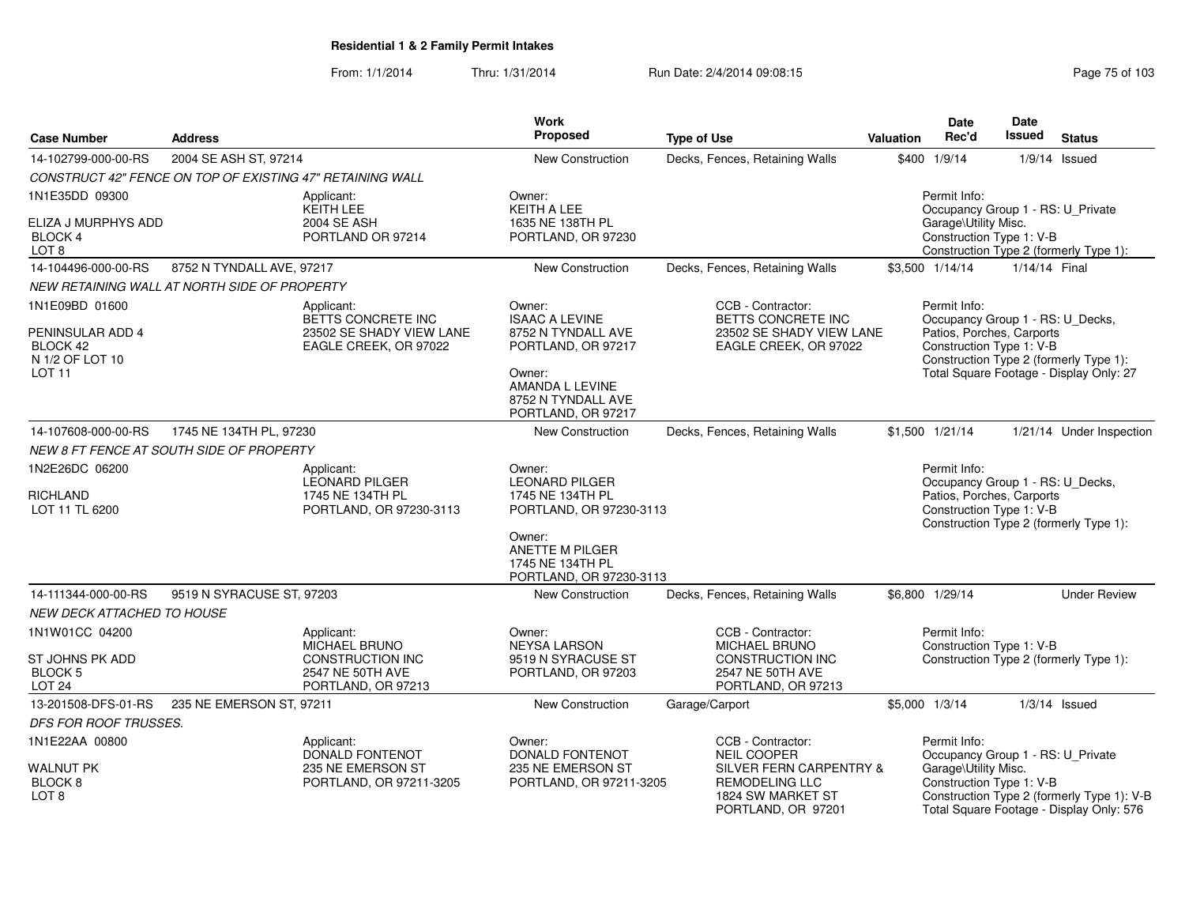| <b>Case Number</b>                                                                 | <b>Address</b>                                            |                                                                                           | <b>Work</b><br><b>Proposed</b>                                                                                                                       | <b>Type of Use</b>                                                                                                                     | <b>Valuation</b> | <b>Date</b><br>Rec'd                                                                                      | Date<br><b>Issued</b> | <b>Status</b>                                                                          |
|------------------------------------------------------------------------------------|-----------------------------------------------------------|-------------------------------------------------------------------------------------------|------------------------------------------------------------------------------------------------------------------------------------------------------|----------------------------------------------------------------------------------------------------------------------------------------|------------------|-----------------------------------------------------------------------------------------------------------|-----------------------|----------------------------------------------------------------------------------------|
| 14-102799-000-00-RS                                                                | 2004 SE ASH ST, 97214                                     |                                                                                           | New Construction                                                                                                                                     | Decks, Fences, Retaining Walls                                                                                                         |                  | \$400 1/9/14                                                                                              |                       | $1/9/14$ Issued                                                                        |
|                                                                                    | CONSTRUCT 42" FENCE ON TOP OF EXISTING 47" RETAINING WALL |                                                                                           |                                                                                                                                                      |                                                                                                                                        |                  |                                                                                                           |                       |                                                                                        |
| 1N1E35DD 09300<br>ELIZA J MURPHYS ADD<br>BLOCK 4<br>LOT <sub>8</sub>               |                                                           | Applicant:<br><b>KEITH LEE</b><br>2004 SE ASH<br>PORTLAND OR 97214                        | Owner:<br>KEITH A LEE<br>1635 NE 138TH PL<br>PORTLAND, OR 97230                                                                                      |                                                                                                                                        |                  | Permit Info:<br>Occupancy Group 1 - RS: U_Private<br>Garage\Utility Misc.<br>Construction Type 1: V-B     |                       | Construction Type 2 (formerly Type 1):                                                 |
| 14-104496-000-00-RS                                                                | 8752 N TYNDALL AVE, 97217                                 |                                                                                           | New Construction                                                                                                                                     | Decks, Fences, Retaining Walls                                                                                                         |                  | \$3,500 1/14/14                                                                                           | 1/14/14 Final         |                                                                                        |
|                                                                                    | NEW RETAINING WALL AT NORTH SIDE OF PROPERTY              |                                                                                           |                                                                                                                                                      |                                                                                                                                        |                  |                                                                                                           |                       |                                                                                        |
| 1N1E09BD 01600<br>PENINSULAR ADD 4<br>BLOCK 42<br>N 1/2 OF LOT 10<br><b>LOT 11</b> |                                                           | Applicant:<br>BETTS CONCRETE INC<br>23502 SE SHADY VIEW LANE<br>EAGLE CREEK, OR 97022     | Owner:<br><b>ISAAC A LEVINE</b><br>8752 N TYNDALL AVE<br>PORTLAND, OR 97217<br>Owner:<br>AMANDA L LEVINE<br>8752 N TYNDALL AVE<br>PORTLAND, OR 97217 | CCB - Contractor:<br>BETTS CONCRETE INC<br>23502 SE SHADY VIEW LANE<br>EAGLE CREEK, OR 97022                                           |                  | Permit Info:<br>Occupancy Group 1 - RS: U_Decks,<br>Patios, Porches, Carports<br>Construction Type 1: V-B |                       | Construction Type 2 (formerly Type 1):<br>Total Square Footage - Display Only: 27      |
| 14-107608-000-00-RS                                                                | 1745 NE 134TH PL, 97230                                   |                                                                                           | New Construction                                                                                                                                     | Decks, Fences, Retaining Walls                                                                                                         |                  | \$1,500 1/21/14                                                                                           |                       | 1/21/14 Under Inspection                                                               |
|                                                                                    | NEW 8 FT FENCE AT SOUTH SIDE OF PROPERTY                  |                                                                                           |                                                                                                                                                      |                                                                                                                                        |                  |                                                                                                           |                       |                                                                                        |
| 1N2E26DC 06200<br>RICHLAND<br>LOT 11 TL 6200                                       |                                                           | Applicant:<br><b>LEONARD PILGER</b><br>1745 NE 134TH PL<br>PORTLAND, OR 97230-3113        | Owner:<br><b>LEONARD PILGER</b><br>1745 NE 134TH PL<br>PORTLAND, OR 97230-3113<br>Owner:<br>ANETTE M PILGER                                          |                                                                                                                                        |                  | Permit Info:<br>Occupancy Group 1 - RS: U_Decks,<br>Patios, Porches, Carports<br>Construction Type 1: V-B |                       | Construction Type 2 (formerly Type 1):                                                 |
|                                                                                    |                                                           |                                                                                           | 1745 NE 134TH PL<br>PORTLAND, OR 97230-3113                                                                                                          |                                                                                                                                        |                  |                                                                                                           |                       |                                                                                        |
| 14-111344-000-00-RS                                                                | 9519 N SYRACUSE ST, 97203                                 |                                                                                           | New Construction                                                                                                                                     | Decks, Fences, Retaining Walls                                                                                                         |                  | \$6,800 1/29/14                                                                                           |                       | <b>Under Review</b>                                                                    |
| <b>NEW DECK ATTACHED TO HOUSE</b>                                                  |                                                           |                                                                                           |                                                                                                                                                      |                                                                                                                                        |                  |                                                                                                           |                       |                                                                                        |
| 1N1W01CC 04200<br>ST JOHNS PK ADD<br>BLOCK 5<br><b>LOT 24</b>                      |                                                           | Applicant:<br>MICHAEL BRUNO<br>CONSTRUCTION INC<br>2547 NE 50TH AVE<br>PORTLAND, OR 97213 | Owner:<br><b>NEYSA LARSON</b><br>9519 N SYRACUSE ST<br>PORTLAND, OR 97203                                                                            | CCB - Contractor:<br>MICHAEL BRUNO<br><b>CONSTRUCTION INC</b><br>2547 NE 50TH AVE<br>PORTLAND, OR 97213                                |                  | Permit Info:<br>Construction Type 1: V-B                                                                  |                       | Construction Type 2 (formerly Type 1):                                                 |
| 13-201508-DFS-01-RS                                                                | 235 NE EMERSON ST, 97211                                  |                                                                                           | New Construction                                                                                                                                     | Garage/Carport                                                                                                                         |                  | \$5,000 1/3/14                                                                                            |                       | $1/3/14$ Issued                                                                        |
| <b>DFS FOR ROOF TRUSSES.</b>                                                       |                                                           |                                                                                           |                                                                                                                                                      |                                                                                                                                        |                  |                                                                                                           |                       |                                                                                        |
| 1N1E22AA 00800<br><b>WALNUT PK</b><br>BLOCK <sub>8</sub><br>LOT <sub>8</sub>       |                                                           | Applicant:<br>DONALD FONTENOT<br>235 NE EMERSON ST<br>PORTLAND, OR 97211-3205             | Owner:<br>DONALD FONTENOT<br>235 NE EMERSON ST<br>PORTLAND, OR 97211-3205                                                                            | CCB - Contractor:<br><b>NEIL COOPER</b><br>SILVER FERN CARPENTRY &<br><b>REMODELING LLC</b><br>1824 SW MARKET ST<br>PORTLAND, OR 97201 |                  | Permit Info:<br>Occupancy Group 1 - RS: U_Private<br>Garage\Utility Misc.<br>Construction Type 1: V-B     |                       | Construction Type 2 (formerly Type 1): V-B<br>Total Square Footage - Display Only: 576 |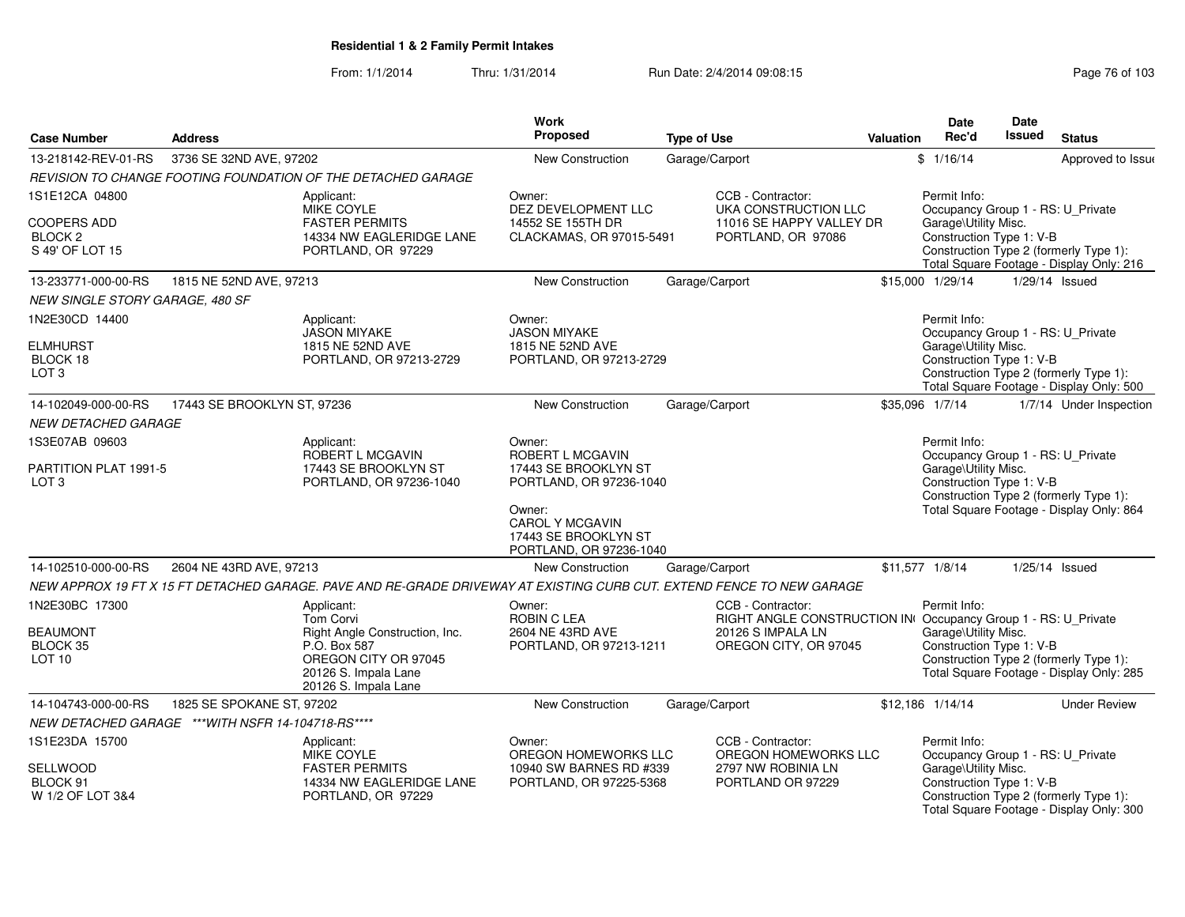| <b>Case Number</b>                                                 | <b>Address</b>                                     |                                                                                                                                                   | <b>Work</b><br>Proposed                                                                                                                                              | <b>Type of Use</b> |                                                                                                                                  | <b>Valuation</b> | <b>Date</b><br>Rec'd                                                                                  | Date<br><b>Issued</b> | <b>Status</b>                                                                      |
|--------------------------------------------------------------------|----------------------------------------------------|---------------------------------------------------------------------------------------------------------------------------------------------------|----------------------------------------------------------------------------------------------------------------------------------------------------------------------|--------------------|----------------------------------------------------------------------------------------------------------------------------------|------------------|-------------------------------------------------------------------------------------------------------|-----------------------|------------------------------------------------------------------------------------|
| 13-218142-REV-01-RS                                                | 3736 SE 32ND AVE, 97202                            |                                                                                                                                                   | New Construction                                                                                                                                                     | Garage/Carport     |                                                                                                                                  |                  | \$1/16/14                                                                                             |                       | Approved to Issue                                                                  |
|                                                                    |                                                    | REVISION TO CHANGE FOOTING FOUNDATION OF THE DETACHED GARAGE                                                                                      |                                                                                                                                                                      |                    |                                                                                                                                  |                  |                                                                                                       |                       |                                                                                    |
| 1S1E12CA 04800                                                     |                                                    | Applicant:                                                                                                                                        | Owner:                                                                                                                                                               |                    | CCB - Contractor:                                                                                                                |                  | Permit Info:                                                                                          |                       |                                                                                    |
| COOPERS ADD<br>BLOCK <sub>2</sub><br>S 49' OF LOT 15               |                                                    | MIKE COYLE<br><b>FASTER PERMITS</b><br>14334 NW EAGLERIDGE LANE<br>PORTLAND, OR 97229                                                             | DEZ DEVELOPMENT LLC<br>14552 SE 155TH DR<br>CLACKAMAS, OR 97015-5491                                                                                                 |                    | UKA CONSTRUCTION LLC<br>11016 SE HAPPY VALLEY DR<br>PORTLAND, OR 97086                                                           |                  | Occupancy Group 1 - RS: U_Private<br>Garage\Utility Misc.<br>Construction Type 1: V-B                 |                       | Construction Type 2 (formerly Type 1):<br>Total Square Footage - Display Only: 216 |
| 13-233771-000-00-RS                                                | 1815 NE 52ND AVE, 97213                            |                                                                                                                                                   | <b>New Construction</b>                                                                                                                                              | Garage/Carport     |                                                                                                                                  |                  | \$15,000 1/29/14                                                                                      |                       | $1/29/14$ Issued                                                                   |
| NEW SINGLE STORY GARAGE, 480 SF                                    |                                                    |                                                                                                                                                   |                                                                                                                                                                      |                    |                                                                                                                                  |                  |                                                                                                       |                       |                                                                                    |
| 1N2E30CD 14400<br><b>ELMHURST</b><br>BLOCK 18<br>LOT <sub>3</sub>  |                                                    | Applicant:<br><b>JASON MIYAKE</b><br>1815 NE 52ND AVE<br>PORTLAND, OR 97213-2729                                                                  | Owner:<br><b>JASON MIYAKE</b><br>1815 NE 52ND AVE<br>PORTLAND, OR 97213-2729                                                                                         |                    |                                                                                                                                  |                  | Permit Info:<br>Occupancy Group 1 - RS: U_Private<br>Garage\Utility Misc.<br>Construction Type 1: V-B |                       | Construction Type 2 (formerly Type 1):<br>Total Square Footage - Display Only: 500 |
| 14-102049-000-00-RS                                                | 17443 SE BROOKLYN ST, 97236                        |                                                                                                                                                   | New Construction                                                                                                                                                     | Garage/Carport     |                                                                                                                                  |                  | \$35,096 1/7/14                                                                                       |                       | 1/7/14 Under Inspection                                                            |
| <i>NEW DETACHED GARAGE</i>                                         |                                                    |                                                                                                                                                   |                                                                                                                                                                      |                    |                                                                                                                                  |                  |                                                                                                       |                       |                                                                                    |
| 1S3E07AB 09603<br>PARTITION PLAT 1991-5<br>LOT <sub>3</sub>        |                                                    | Applicant:<br>ROBERT L MCGAVIN<br>17443 SE BROOKLYN ST<br>PORTLAND, OR 97236-1040                                                                 | Owner:<br>ROBERT L MCGAVIN<br>17443 SE BROOKLYN ST<br>PORTLAND, OR 97236-1040<br>Owner:<br><b>CAROL Y MCGAVIN</b><br>17443 SE BROOKLYN ST<br>PORTLAND, OR 97236-1040 |                    |                                                                                                                                  |                  | Permit Info:<br>Occupancy Group 1 - RS: U_Private<br>Garage\Utility Misc.<br>Construction Type 1: V-B |                       | Construction Type 2 (formerly Type 1):<br>Total Square Footage - Display Only: 864 |
| 14-102510-000-00-RS                                                | 2604 NE 43RD AVE, 97213                            |                                                                                                                                                   | <b>New Construction</b>                                                                                                                                              | Garage/Carport     |                                                                                                                                  |                  | \$11,577 1/8/14                                                                                       |                       | $1/25/14$ Issued                                                                   |
|                                                                    |                                                    | NEW APPROX 19 FT X 15 FT DETACHED GARAGE. PAVE AND RE-GRADE DRIVEWAY AT EXISTING CURB CUT. EXTEND FENCE TO NEW GARAGE                             |                                                                                                                                                                      |                    |                                                                                                                                  |                  |                                                                                                       |                       |                                                                                    |
| 1N2E30BC 17300<br><b>BEAUMONT</b><br>BLOCK 35<br>LOT <sub>10</sub> |                                                    | Applicant:<br>Tom Corvi<br>Right Angle Construction, Inc.<br>P.O. Box 587<br>OREGON CITY OR 97045<br>20126 S. Impala Lane<br>20126 S. Impala Lane | Owner:<br>ROBIN C LEA<br>2604 NE 43RD AVE<br>PORTLAND, OR 97213-1211                                                                                                 |                    | CCB - Contractor:<br>RIGHT ANGLE CONSTRUCTION IN Occupancy Group 1 - RS: U Private<br>20126 S IMPALA LN<br>OREGON CITY, OR 97045 |                  | Permit Info:<br>Garage\Utility Misc.<br>Construction Type 1: V-B                                      |                       | Construction Type 2 (formerly Type 1):<br>Total Square Footage - Display Only: 285 |
| 14-104743-000-00-RS                                                | 1825 SE SPOKANE ST, 97202                          |                                                                                                                                                   | New Construction                                                                                                                                                     | Garage/Carport     |                                                                                                                                  |                  | \$12.186 1/14/14                                                                                      |                       | <b>Under Review</b>                                                                |
|                                                                    | NEW DETACHED GARAGE *** WITH NSFR 14-104718-RS**** |                                                                                                                                                   |                                                                                                                                                                      |                    |                                                                                                                                  |                  |                                                                                                       |                       |                                                                                    |
| 1S1E23DA 15700<br>SELLWOOD<br>BLOCK 91<br>W 1/2 OF LOT 3&4         |                                                    | Applicant:<br>MIKE COYLE<br><b>FASTER PERMITS</b><br>14334 NW EAGLERIDGE LANE<br>PORTLAND, OR 97229                                               | Owner:<br>OREGON HOMEWORKS LLC<br>10940 SW BARNES RD #339<br>PORTLAND, OR 97225-5368                                                                                 |                    | CCB - Contractor:<br>OREGON HOMEWORKS LLC<br>2797 NW ROBINIA LN<br>PORTLAND OR 97229                                             |                  | Permit Info:<br>Occupancy Group 1 - RS: U_Private<br>Garage\Utility Misc.<br>Construction Type 1: V-B |                       | Construction Type 2 (formerly Type 1):<br>Total Square Footage - Display Only: 300 |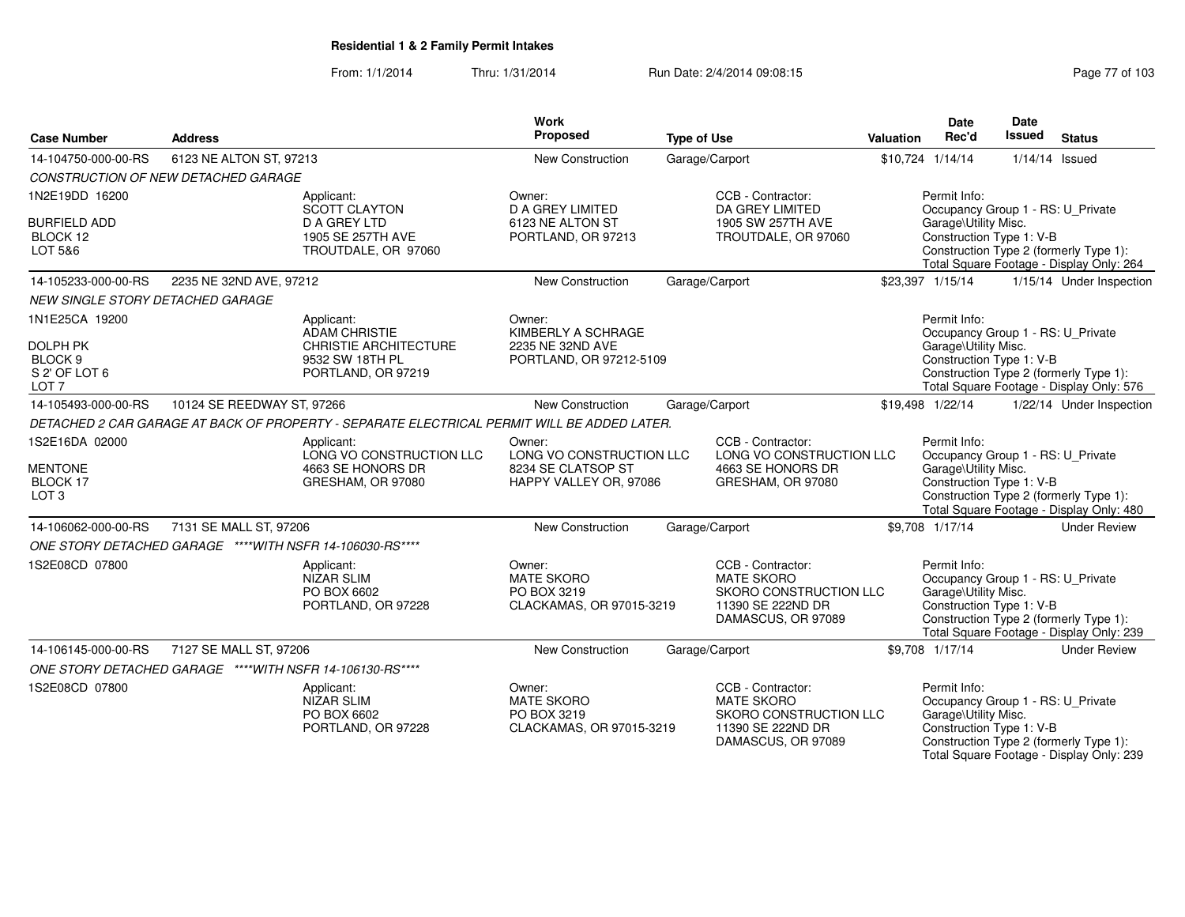| <b>Case Number</b>                             | <b>Address</b>                                           |                                                                                             | Work<br>Proposed                                                       | <b>Type of Use</b> |                                                                                                             | <b>Valuation</b> | <b>Date</b><br>Rec'd                                                                                  | Date<br><b>Issued</b> | <b>Status</b>                                                                      |
|------------------------------------------------|----------------------------------------------------------|---------------------------------------------------------------------------------------------|------------------------------------------------------------------------|--------------------|-------------------------------------------------------------------------------------------------------------|------------------|-------------------------------------------------------------------------------------------------------|-----------------------|------------------------------------------------------------------------------------|
| 14-104750-000-00-RS                            | 6123 NE ALTON ST, 97213                                  |                                                                                             | <b>New Construction</b>                                                |                    | Garage/Carport                                                                                              |                  | \$10,724 1/14/14                                                                                      |                       | $1/14/14$ Issued                                                                   |
|                                                | CONSTRUCTION OF NEW DETACHED GARAGE                      |                                                                                             |                                                                        |                    |                                                                                                             |                  |                                                                                                       |                       |                                                                                    |
| 1N2E19DD 16200                                 |                                                          | Applicant:<br><b>SCOTT CLAYTON</b>                                                          | Owner:<br><b>D A GREY LIMITED</b>                                      |                    | CCB - Contractor:<br>DA GREY LIMITED                                                                        |                  | Permit Info:<br>Occupancy Group 1 - RS: U_Private                                                     |                       |                                                                                    |
| <b>BURFIELD ADD</b><br>BLOCK 12<br>LOT 5&6     |                                                          | D A GREY LTD<br>1905 SE 257TH AVE<br>TROUTDALE, OR 97060                                    | 6123 NE ALTON ST<br>PORTLAND, OR 97213                                 |                    | 1905 SW 257TH AVE<br>TROUTDALE, OR 97060                                                                    |                  | Garage\Utility Misc.<br>Construction Type 1: V-B                                                      |                       | Construction Type 2 (formerly Type 1):<br>Total Square Footage - Display Only: 264 |
| 14-105233-000-00-RS                            | 2235 NE 32ND AVE, 97212                                  |                                                                                             | New Construction                                                       |                    | Garage/Carport                                                                                              |                  | \$23,397 1/15/14                                                                                      |                       | 1/15/14 Under Inspection                                                           |
| <b>NEW SINGLE STORY DETACHED GARAGE</b>        |                                                          |                                                                                             |                                                                        |                    |                                                                                                             |                  |                                                                                                       |                       |                                                                                    |
| 1N1E25CA 19200                                 |                                                          | Applicant:<br><b>ADAM CHRISTIE</b>                                                          | Owner:<br>KIMBERLY A SCHRAGE                                           |                    |                                                                                                             |                  | Permit Info:<br>Occupancy Group 1 - RS: U_Private                                                     |                       |                                                                                    |
| <b>DOLPH PK</b><br>BLOCK <sub>9</sub>          |                                                          | CHRISTIE ARCHITECTURE<br>9532 SW 18TH PL                                                    | 2235 NE 32ND AVE<br>PORTLAND, OR 97212-5109                            |                    |                                                                                                             |                  | Garage\Utility Misc.<br>Construction Type 1: V-B                                                      |                       |                                                                                    |
| S 2' OF LOT 6<br>LOT 7                         |                                                          | PORTLAND, OR 97219                                                                          |                                                                        |                    |                                                                                                             |                  |                                                                                                       |                       | Construction Type 2 (formerly Type 1):<br>Total Square Footage - Display Only: 576 |
| 14-105493-000-00-RS                            | 10124 SE REEDWAY ST, 97266                               |                                                                                             | New Construction                                                       |                    | Garage/Carport                                                                                              |                  | \$19,498 1/22/14                                                                                      |                       | 1/22/14 Under Inspection                                                           |
|                                                |                                                          | DETACHED 2 CAR GARAGE AT BACK OF PROPERTY - SEPARATE ELECTRICAL PERMIT WILL BE ADDED LATER. |                                                                        |                    |                                                                                                             |                  |                                                                                                       |                       |                                                                                    |
| 1S2E16DA 02000                                 |                                                          | Applicant:<br>LONG VO CONSTRUCTION LLC                                                      | Owner:<br>LONG VO CONSTRUCTION LLC                                     |                    | CCB - Contractor:<br>LONG VO CONSTRUCTION LLC                                                               |                  | Permit Info:<br>Occupancy Group 1 - RS: U_Private                                                     |                       |                                                                                    |
| <b>MENTONE</b><br>BLOCK 17<br>LOT <sub>3</sub> |                                                          | 4663 SE HONORS DR<br>GRESHAM, OR 97080                                                      | 8234 SE CLATSOP ST<br>HAPPY VALLEY OR, 97086                           |                    | 4663 SE HONORS DR<br>GRESHAM, OR 97080                                                                      |                  | Garage\Utility Misc.<br>Construction Type 1: V-B                                                      |                       | Construction Type 2 (formerly Type 1):<br>Total Square Footage - Display Only: 480 |
| 14-106062-000-00-RS                            | 7131 SE MALL ST, 97206                                   |                                                                                             | New Construction                                                       |                    | Garage/Carport                                                                                              |                  | \$9,708 1/17/14                                                                                       |                       | <b>Under Review</b>                                                                |
|                                                | ONE STORY DETACHED GARAGE ****WITH NSFR 14-106030-RS**** |                                                                                             |                                                                        |                    |                                                                                                             |                  |                                                                                                       |                       |                                                                                    |
| 1S2E08CD 07800                                 |                                                          | Applicant:<br>NIZAR SLIM<br>PO BOX 6602<br>PORTLAND, OR 97228                               | Owner:<br><b>MATE SKORO</b><br>PO BOX 3219<br>CLACKAMAS, OR 97015-3219 |                    | CCB - Contractor:<br><b>MATE SKORO</b><br>SKORO CONSTRUCTION LLC<br>11390 SE 222ND DR<br>DAMASCUS, OR 97089 |                  | Permit Info:<br>Occupancy Group 1 - RS: U_Private<br>Garage\Utility Misc.<br>Construction Type 1: V-B |                       | Construction Type 2 (formerly Type 1):<br>Total Square Footage - Display Only: 239 |
| 14-106145-000-00-RS                            | 7127 SE MALL ST, 97206                                   |                                                                                             | New Construction                                                       |                    | Garage/Carport                                                                                              |                  | \$9,708 1/17/14                                                                                       |                       | <b>Under Review</b>                                                                |
|                                                | ONE STORY DETACHED GARAGE ****WITH NSFR 14-106130-RS**** |                                                                                             |                                                                        |                    |                                                                                                             |                  |                                                                                                       |                       |                                                                                    |
| 1S2E08CD 07800                                 |                                                          | Applicant:<br><b>NIZAR SLIM</b><br>PO BOX 6602<br>PORTLAND, OR 97228                        | Owner:<br><b>MATE SKORO</b><br>PO BOX 3219<br>CLACKAMAS, OR 97015-3219 |                    | CCB - Contractor:<br><b>MATE SKORO</b><br>SKORO CONSTRUCTION LLC<br>11390 SE 222ND DR<br>DAMASCUS, OR 97089 |                  | Permit Info:<br>Occupancy Group 1 - RS: U_Private<br>Garage\Utility Misc.<br>Construction Type 1: V-B |                       | Construction Type 2 (formerly Type 1):<br>Total Square Footage - Display Only: 239 |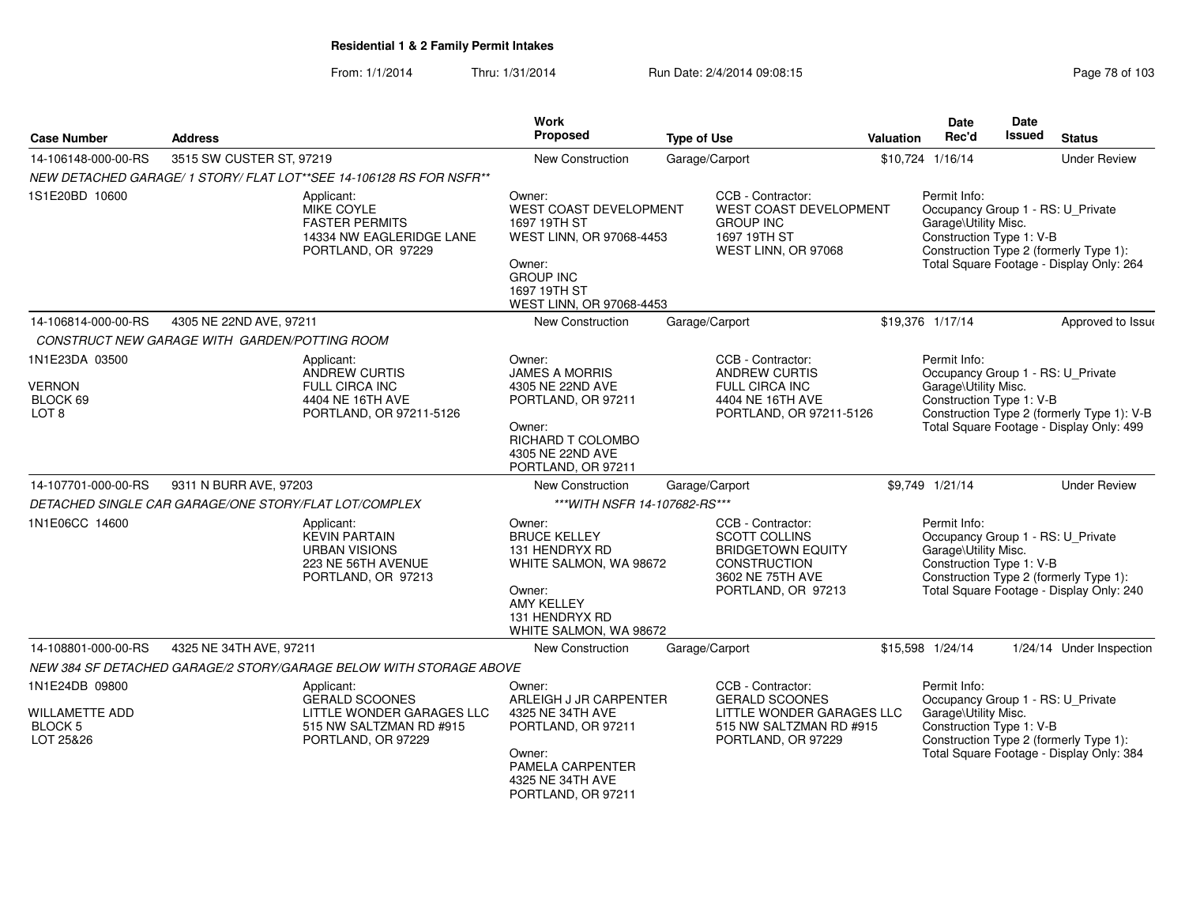From: 1/1/2014Thru: 1/31/2014 Run Date: 2/4/2014 09:08:15

| Page 78 of 103 |  |  |
|----------------|--|--|
|----------------|--|--|

|                                                                        |                                                                                                                   | Work                                                                                                                                                          |                                                                                                                                 |           | Date                                                                                                  | Date          |                                                                                        |
|------------------------------------------------------------------------|-------------------------------------------------------------------------------------------------------------------|---------------------------------------------------------------------------------------------------------------------------------------------------------------|---------------------------------------------------------------------------------------------------------------------------------|-----------|-------------------------------------------------------------------------------------------------------|---------------|----------------------------------------------------------------------------------------|
| <b>Case Number</b>                                                     | <b>Address</b>                                                                                                    | Proposed                                                                                                                                                      | <b>Type of Use</b>                                                                                                              | Valuation | Rec'd                                                                                                 | <b>Issued</b> | <b>Status</b>                                                                          |
| 14-106148-000-00-RS                                                    | 3515 SW CUSTER ST, 97219                                                                                          | New Construction                                                                                                                                              | Garage/Carport                                                                                                                  |           | \$10,724 1/16/14                                                                                      |               | <b>Under Review</b>                                                                    |
|                                                                        | NEW DETACHED GARAGE/ 1 STORY/ FLAT LOT**SEE 14-106128 RS FOR NSFR**                                               |                                                                                                                                                               |                                                                                                                                 |           |                                                                                                       |               |                                                                                        |
| 1S1E20BD 10600                                                         | Applicant:<br><b>MIKE COYLE</b><br><b>FASTER PERMITS</b><br>14334 NW EAGLERIDGE LANE<br>PORTLAND, OR 97229        | Owner:<br><b>WEST COAST DEVELOPMENT</b><br>1697 19TH ST<br>WEST LINN, OR 97068-4453<br>Owner:<br><b>GROUP INC</b><br>1697 19TH ST<br>WEST LINN, OR 97068-4453 | CCB - Contractor:<br>WEST COAST DEVELOPMENT<br><b>GROUP INC</b><br>1697 19TH ST<br>WEST LINN, OR 97068                          |           | Permit Info:<br>Occupancy Group 1 - RS: U_Private<br>Garage\Utility Misc.<br>Construction Type 1: V-B |               | Construction Type 2 (formerly Type 1):<br>Total Square Footage - Display Only: 264     |
| 14-106814-000-00-RS                                                    | 4305 NE 22ND AVE, 97211                                                                                           | <b>New Construction</b>                                                                                                                                       | Garage/Carport                                                                                                                  |           | \$19,376 1/17/14                                                                                      |               | Approved to Issur                                                                      |
|                                                                        | CONSTRUCT NEW GARAGE WITH GARDEN/POTTING ROOM                                                                     |                                                                                                                                                               |                                                                                                                                 |           |                                                                                                       |               |                                                                                        |
| 1N1E23DA 03500<br><b>VERNON</b><br>BLOCK 69<br>LOT 8                   | Applicant:<br><b>ANDREW CURTIS</b><br><b>FULL CIRCA INC</b><br>4404 NE 16TH AVE<br>PORTLAND, OR 97211-5126        | Owner:<br><b>JAMES A MORRIS</b><br>4305 NE 22ND AVE<br>PORTLAND, OR 97211<br>Owner:<br>RICHARD T COLOMBO<br>4305 NE 22ND AVE<br>PORTLAND, OR 97211            | CCB - Contractor:<br><b>ANDREW CURTIS</b><br>FULL CIRCA INC<br>4404 NE 16TH AVE<br>PORTLAND, OR 97211-5126                      |           | Permit Info:<br>Occupancy Group 1 - RS: U_Private<br>Garage\Utility Misc.<br>Construction Type 1: V-B |               | Construction Type 2 (formerly Type 1): V-B<br>Total Square Footage - Display Only: 499 |
| 14-107701-000-00-RS                                                    | 9311 N BURR AVE, 97203                                                                                            | <b>New Construction</b>                                                                                                                                       | Garage/Carport                                                                                                                  |           | \$9,749 1/21/14                                                                                       |               | <b>Under Review</b>                                                                    |
|                                                                        | DETACHED SINGLE CAR GARAGE/ONE STORY/FLAT LOT/COMPLEX                                                             | *** WITH NSFR 14-107682-RS***                                                                                                                                 |                                                                                                                                 |           |                                                                                                       |               |                                                                                        |
| 1N1E06CC 14600                                                         | Applicant:<br><b>KEVIN PARTAIN</b><br><b>URBAN VISIONS</b><br>223 NE 56TH AVENUE<br>PORTLAND, OR 97213            | Owner:<br><b>BRUCE KELLEY</b><br>131 HENDRYX RD<br>WHITE SALMON, WA 98672<br>Owner:<br><b>AMY KELLEY</b><br>131 HENDRYX RD<br>WHITE SALMON, WA 98672          | CCB - Contractor:<br><b>SCOTT COLLINS</b><br><b>BRIDGETOWN EQUITY</b><br>CONSTRUCTION<br>3602 NE 75TH AVE<br>PORTLAND, OR 97213 |           | Permit Info:<br>Occupancy Group 1 - RS: U Private<br>Garage\Utility Misc.<br>Construction Type 1: V-B |               | Construction Type 2 (formerly Type 1):<br>Total Square Footage - Display Only: 240     |
| 14-108801-000-00-RS                                                    | 4325 NE 34TH AVE, 97211                                                                                           | New Construction                                                                                                                                              | Garage/Carport                                                                                                                  |           | \$15,598 1/24/14                                                                                      |               | 1/24/14 Under Inspection                                                               |
|                                                                        | NEW 384 SF DETACHED GARAGE/2 STORY/GARAGE BELOW WITH STORAGE ABOVE                                                |                                                                                                                                                               |                                                                                                                                 |           |                                                                                                       |               |                                                                                        |
| 1N1E24DB 09800<br><b>WILLAMETTE ADD</b><br><b>BLOCK 5</b><br>LOT 25&26 | Applicant:<br><b>GERALD SCOONES</b><br>LITTLE WONDER GARAGES LLC<br>515 NW SALTZMAN RD #915<br>PORTLAND, OR 97229 | Owner:<br>ARLEIGH J JR CARPENTER<br>4325 NE 34TH AVE<br>PORTLAND, OR 97211<br>Owner:<br>PAMELA CARPENTER<br>4325 NE 34TH AVE<br>PORTLAND, OR 97211            | CCB - Contractor:<br><b>GERALD SCOONES</b><br>LITTLE WONDER GARAGES LLC<br>515 NW SALTZMAN RD #915<br>PORTLAND, OR 97229        |           | Permit Info:<br>Occupancy Group 1 - RS: U Private<br>Garage\Utility Misc.<br>Construction Type 1: V-B |               | Construction Type 2 (formerly Type 1):<br>Total Square Footage - Display Only: 384     |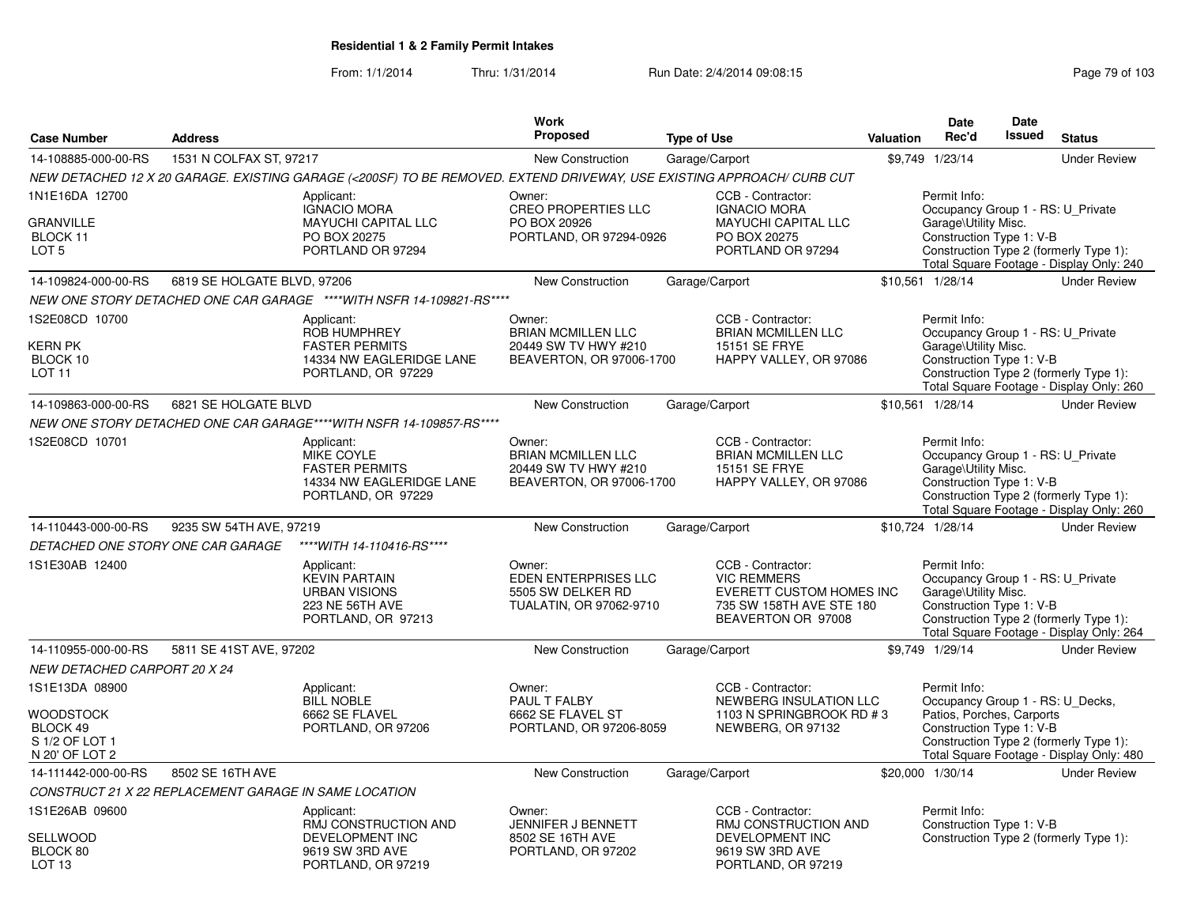|                                                                                    |                                                       |                                                                                                                       | Work                                                                                    |                    |                                                                                                                       |                  | <b>Date</b>                                                                                               | Date          |                                                                                    |
|------------------------------------------------------------------------------------|-------------------------------------------------------|-----------------------------------------------------------------------------------------------------------------------|-----------------------------------------------------------------------------------------|--------------------|-----------------------------------------------------------------------------------------------------------------------|------------------|-----------------------------------------------------------------------------------------------------------|---------------|------------------------------------------------------------------------------------|
| <b>Case Number</b>                                                                 | <b>Address</b>                                        |                                                                                                                       | Proposed                                                                                | <b>Type of Use</b> |                                                                                                                       | <b>Valuation</b> | Rec'd                                                                                                     | <b>Issued</b> | <b>Status</b>                                                                      |
| 14-108885-000-00-RS                                                                | 1531 N COLFAX ST, 97217                               |                                                                                                                       | <b>New Construction</b>                                                                 | Garage/Carport     |                                                                                                                       |                  | \$9,749 1/23/14                                                                                           |               | <b>Under Review</b>                                                                |
|                                                                                    |                                                       | NEW DETACHED 12 X 20 GARAGE. EXISTING GARAGE (<200SF) TO BE REMOVED. EXTEND DRIVEWAY, USE EXISTING APPROACH/ CURB CUT |                                                                                         |                    |                                                                                                                       |                  |                                                                                                           |               |                                                                                    |
| 1N1E16DA 12700<br>GRANVILLE<br>BLOCK 11<br>LOT <sub>5</sub>                        |                                                       | Applicant:<br><b>IGNACIO MORA</b><br><b>MAYUCHI CAPITAL LLC</b><br>PO BOX 20275<br>PORTLAND OR 97294                  | Owner:<br>CREO PROPERTIES LLC<br>PO BOX 20926<br>PORTLAND, OR 97294-0926                |                    | CCB - Contractor:<br><b>IGNACIO MORA</b><br><b>MAYUCHI CAPITAL LLC</b><br>PO BOX 20275<br>PORTLAND OR 97294           |                  | Permit Info:<br>Occupancy Group 1 - RS: U_Private<br>Garage\Utility Misc.<br>Construction Type 1: V-B     |               | Construction Type 2 (formerly Type 1):<br>Total Square Footage - Display Only: 240 |
| 14-109824-000-00-RS                                                                | 6819 SE HOLGATE BLVD, 97206                           |                                                                                                                       | <b>New Construction</b>                                                                 | Garage/Carport     |                                                                                                                       |                  | \$10,561 1/28/14                                                                                          |               | <b>Under Review</b>                                                                |
|                                                                                    |                                                       | NEW ONE STORY DETACHED ONE CAR GARAGE ****WITH NSFR 14-109821-RS****                                                  |                                                                                         |                    |                                                                                                                       |                  |                                                                                                           |               |                                                                                    |
| 1S2E08CD 10700<br>KERN PK<br>BLOCK 10<br>LOT <sub>11</sub>                         |                                                       | Applicant:<br><b>ROB HUMPHREY</b><br><b>FASTER PERMITS</b><br>14334 NW EAGLERIDGE LANE<br>PORTLAND, OR 97229          | Owner:<br><b>BRIAN MCMILLEN LLC</b><br>20449 SW TV HWY #210<br>BEAVERTON, OR 97006-1700 |                    | CCB - Contractor:<br><b>BRIAN MCMILLEN LLC</b><br>15151 SE FRYE<br>HAPPY VALLEY, OR 97086                             |                  | Permit Info:<br>Occupancy Group 1 - RS: U_Private<br>Garage\Utility Misc.<br>Construction Type 1: V-B     |               | Construction Type 2 (formerly Type 1):<br>Total Square Footage - Display Only: 260 |
| 14-109863-000-00-RS                                                                | 6821 SE HOLGATE BLVD                                  |                                                                                                                       | <b>New Construction</b>                                                                 | Garage/Carport     |                                                                                                                       |                  | \$10,561 1/28/14                                                                                          |               | <b>Under Review</b>                                                                |
|                                                                                    |                                                       | NEW ONE STORY DETACHED ONE CAR GARAGE****WITH NSFR 14-109857-RS****                                                   |                                                                                         |                    |                                                                                                                       |                  |                                                                                                           |               |                                                                                    |
| 1S2E08CD 10701                                                                     |                                                       | Applicant:<br><b>MIKE COYLE</b><br><b>FASTER PERMITS</b><br>14334 NW EAGLERIDGE LANE<br>PORTLAND, OR 97229            | Owner:<br><b>BRIAN MCMILLEN LLC</b><br>20449 SW TV HWY #210<br>BEAVERTON, OR 97006-1700 |                    | CCB - Contractor:<br><b>BRIAN MCMILLEN LLC</b><br>15151 SE FRYE<br>HAPPY VALLEY, OR 97086                             |                  | Permit Info:<br>Occupancy Group 1 - RS: U Private<br>Garage\Utility Misc.<br>Construction Type 1: V-B     |               | Construction Type 2 (formerly Type 1):<br>Total Square Footage - Display Only: 260 |
| 14-110443-000-00-RS                                                                | 9235 SW 54TH AVE, 97219                               |                                                                                                                       | <b>New Construction</b>                                                                 | Garage/Carport     |                                                                                                                       |                  | \$10,724 1/28/14                                                                                          |               | <b>Under Review</b>                                                                |
| DETACHED ONE STORY ONE CAR GARAGE                                                  |                                                       | ****WITH 14-110416-RS****                                                                                             |                                                                                         |                    |                                                                                                                       |                  |                                                                                                           |               |                                                                                    |
| 1S1E30AB 12400                                                                     |                                                       | Applicant:<br><b>KEVIN PARTAIN</b><br><b>URBAN VISIONS</b><br>223 NE 56TH AVE<br>PORTLAND, OR 97213                   | Owner:<br><b>EDEN ENTERPRISES LLC</b><br>5505 SW DELKER RD<br>TUALATIN, OR 97062-9710   |                    | CCB - Contractor:<br><b>VIC REMMERS</b><br>EVERETT CUSTOM HOMES INC<br>735 SW 158TH AVE STE 180<br>BEAVERTON OR 97008 |                  | Permit Info:<br>Occupancy Group 1 - RS: U_Private<br>Garage\Utility Misc.<br>Construction Type 1: V-B     |               | Construction Type 2 (formerly Type 1):<br>Total Square Footage - Display Only: 264 |
| 14-110955-000-00-RS                                                                | 5811 SE 41ST AVE, 97202                               |                                                                                                                       | <b>New Construction</b>                                                                 | Garage/Carport     |                                                                                                                       |                  | \$9,749 1/29/14                                                                                           |               | <b>Under Review</b>                                                                |
| NEW DETACHED CARPORT 20 X 24                                                       |                                                       |                                                                                                                       |                                                                                         |                    |                                                                                                                       |                  |                                                                                                           |               |                                                                                    |
| 1S1E13DA 08900<br><b>WOODSTOCK</b><br>BLOCK 49<br>S 1/2 OF LOT 1<br>N 20' OF LOT 2 |                                                       | Applicant:<br><b>BILL NOBLE</b><br>6662 SE FLAVEL<br>PORTLAND, OR 97206                                               | Owner:<br>PAUL T FALBY<br>6662 SE FLAVEL ST<br>PORTLAND, OR 97206-8059                  |                    | CCB - Contractor:<br>NEWBERG INSULATION LLC<br>1103 N SPRINGBROOK RD #3<br>NEWBERG, OR 97132                          |                  | Permit Info:<br>Occupancy Group 1 - RS: U_Decks,<br>Patios, Porches, Carports<br>Construction Type 1: V-B |               | Construction Type 2 (formerly Type 1):<br>Total Square Footage - Display Only: 480 |
| 14-111442-000-00-RS                                                                | 8502 SE 16TH AVE                                      |                                                                                                                       | <b>New Construction</b>                                                                 | Garage/Carport     |                                                                                                                       |                  | \$20,000 1/30/14                                                                                          |               | <b>Under Review</b>                                                                |
|                                                                                    | CONSTRUCT 21 X 22 REPLACEMENT GARAGE IN SAME LOCATION |                                                                                                                       |                                                                                         |                    |                                                                                                                       |                  |                                                                                                           |               |                                                                                    |
| 1S1E26AB 09600<br>SELLWOOD<br>BLOCK 80<br>LOT <sub>13</sub>                        |                                                       | Applicant:<br>RMJ CONSTRUCTION AND<br>DEVELOPMENT INC<br>9619 SW 3RD AVE<br>PORTLAND, OR 97219                        | Owner:<br>JENNIFER J BENNETT<br>8502 SE 16TH AVE<br>PORTLAND, OR 97202                  |                    | CCB - Contractor:<br>RMJ CONSTRUCTION AND<br>DEVELOPMENT INC<br>9619 SW 3RD AVE<br>PORTLAND, OR 97219                 |                  | Permit Info:<br>Construction Type 1: V-B                                                                  |               | Construction Type 2 (formerly Type 1):                                             |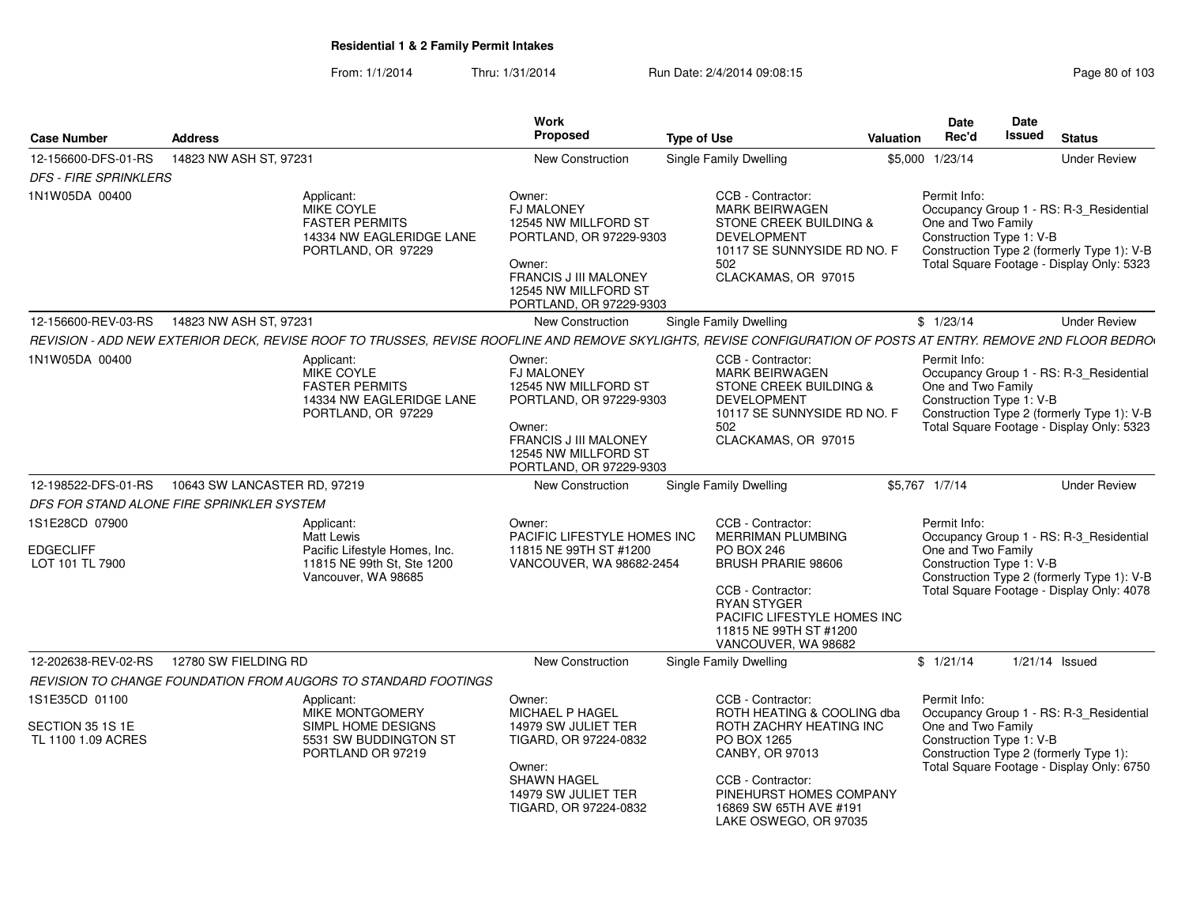| <b>Case Number</b>                                       | <b>Address</b>                                                                                                                                                 | Work<br>Proposed                                                                                                                                                            | <b>Type of Use</b>                                                                                                                                                                                              | Valuation       | <b>Date</b><br>Rec'd                                           | Date<br><b>Issued</b> | <b>Status</b>                                                                                                                      |
|----------------------------------------------------------|----------------------------------------------------------------------------------------------------------------------------------------------------------------|-----------------------------------------------------------------------------------------------------------------------------------------------------------------------------|-----------------------------------------------------------------------------------------------------------------------------------------------------------------------------------------------------------------|-----------------|----------------------------------------------------------------|-----------------------|------------------------------------------------------------------------------------------------------------------------------------|
| 12-156600-DFS-01-RS                                      | 14823 NW ASH ST, 97231                                                                                                                                         | New Construction                                                                                                                                                            | Single Family Dwelling                                                                                                                                                                                          | \$5,000 1/23/14 |                                                                |                       | <b>Under Review</b>                                                                                                                |
| <b>DFS - FIRE SPRINKLERS</b>                             |                                                                                                                                                                |                                                                                                                                                                             |                                                                                                                                                                                                                 |                 |                                                                |                       |                                                                                                                                    |
| 1N1W05DA 00400                                           | Applicant:<br><b>MIKE COYLE</b><br><b>FASTER PERMITS</b><br>14334 NW EAGLERIDGE LANE<br>PORTLAND, OR 97229                                                     | Owner:<br><b>FJ MALONEY</b><br>12545 NW MILLFORD ST<br>PORTLAND, OR 97229-9303<br>Owner:<br><b>FRANCIS J III MALONEY</b><br>12545 NW MILLFORD ST<br>PORTLAND, OR 97229-9303 | CCB - Contractor:<br><b>MARK BEIRWAGEN</b><br>STONE CREEK BUILDING &<br><b>DEVELOPMENT</b><br>10117 SE SUNNYSIDE RD NO. F<br>502<br>CLACKAMAS, OR 97015                                                         |                 | Permit Info:<br>One and Two Family<br>Construction Type 1: V-B |                       | Occupancy Group 1 - RS: R-3_Residential<br>Construction Type 2 (formerly Type 1): V-B<br>Total Square Footage - Display Only: 5323 |
| 12-156600-REV-03-RS                                      | 14823 NW ASH ST, 97231                                                                                                                                         | New Construction                                                                                                                                                            | Single Family Dwelling                                                                                                                                                                                          |                 | \$1/23/14                                                      |                       | <b>Under Review</b>                                                                                                                |
|                                                          | REVISION - ADD NEW EXTERIOR DECK, REVISE ROOF TO TRUSSES, REVISE ROOFLINE AND REMOVE SKYLIGHTS, REVISE CONFIGURATION OF POSTS AT ENTRY. REMOVE 2ND FLOOR BEDRO |                                                                                                                                                                             |                                                                                                                                                                                                                 |                 |                                                                |                       |                                                                                                                                    |
| 1N1W05DA 00400                                           | Applicant:<br><b>MIKE COYLE</b><br><b>FASTER PERMITS</b><br>14334 NW EAGLERIDGE LANE<br>PORTLAND, OR 97229                                                     | Owner:<br><b>FJ MALONEY</b><br>12545 NW MILLFORD ST<br>PORTLAND, OR 97229-9303<br>Owner:<br><b>FRANCIS J III MALONEY</b><br>12545 NW MILLFORD ST<br>PORTLAND, OR 97229-9303 | CCB - Contractor:<br><b>MARK BEIRWAGEN</b><br>STONE CREEK BUILDING &<br><b>DEVELOPMENT</b><br>10117 SE SUNNYSIDE RD NO. F<br>502<br>CLACKAMAS, OR 97015                                                         |                 | Permit Info:<br>One and Two Family<br>Construction Type 1: V-B |                       | Occupancy Group 1 - RS: R-3_Residential<br>Construction Type 2 (formerly Type 1): V-B<br>Total Square Footage - Display Only: 5323 |
| 12-198522-DFS-01-RS                                      | 10643 SW LANCASTER RD, 97219                                                                                                                                   | New Construction                                                                                                                                                            | Single Family Dwelling                                                                                                                                                                                          | \$5,767 1/7/14  |                                                                |                       | <b>Under Review</b>                                                                                                                |
|                                                          | DFS FOR STAND ALONE FIRE SPRINKLER SYSTEM                                                                                                                      |                                                                                                                                                                             |                                                                                                                                                                                                                 |                 |                                                                |                       |                                                                                                                                    |
| 1S1E28CD 07900                                           | Applicant:                                                                                                                                                     | Owner:                                                                                                                                                                      | CCB - Contractor:                                                                                                                                                                                               |                 | Permit Info:                                                   |                       |                                                                                                                                    |
| <b>EDGECLIFF</b><br>LOT 101 TL 7900                      | Matt Lewis<br>Pacific Lifestyle Homes, Inc.<br>11815 NE 99th St, Ste 1200<br>Vancouver, WA 98685                                                               | PACIFIC LIFESTYLE HOMES INC<br>11815 NE 99TH ST #1200<br>VANCOUVER, WA 98682-2454                                                                                           | <b>MERRIMAN PLUMBING</b><br><b>PO BOX 246</b><br><b>BRUSH PRARIE 98606</b><br>CCB - Contractor:<br><b>RYAN STYGER</b><br>PACIFIC LIFESTYLE HOMES INC<br>11815 NE 99TH ST #1200<br>VANCOUVER, WA 98682           |                 | One and Two Family<br>Construction Type 1: V-B                 |                       | Occupancy Group 1 - RS: R-3_Residential<br>Construction Type 2 (formerly Type 1): V-B<br>Total Square Footage - Display Only: 4078 |
| 12-202638-REV-02-RS                                      | 12780 SW FIELDING RD                                                                                                                                           | New Construction                                                                                                                                                            | Single Family Dwelling                                                                                                                                                                                          |                 | \$1/21/14                                                      |                       | $1/21/14$ Issued                                                                                                                   |
|                                                          | REVISION TO CHANGE FOUNDATION FROM AUGORS TO STANDARD FOOTINGS                                                                                                 |                                                                                                                                                                             |                                                                                                                                                                                                                 |                 |                                                                |                       |                                                                                                                                    |
| 1S1E35CD 01100<br>SECTION 35 1S 1E<br>TL 1100 1.09 ACRES | Applicant:<br>MIKE MONTGOMERY<br>SIMPL HOME DESIGNS<br>5531 SW BUDDINGTON ST<br>PORTLAND OR 97219                                                              | Owner:<br>MICHAEL P HAGEL<br>14979 SW JULIET TER<br>TIGARD, OR 97224-0832<br>Owner:<br><b>SHAWN HAGEL</b><br>14979 SW JULIET TER<br>TIGARD, OR 97224-0832                   | CCB - Contractor:<br>ROTH HEATING & COOLING dba<br>ROTH ZACHRY HEATING INC<br>PO BOX 1265<br>CANBY, OR 97013<br>CCB - Contractor:<br>PINEHURST HOMES COMPANY<br>16869 SW 65TH AVE #191<br>LAKE OSWEGO, OR 97035 |                 | Permit Info:<br>One and Two Family<br>Construction Type 1: V-B |                       | Occupancy Group 1 - RS: R-3_Residential<br>Construction Type 2 (formerly Type 1):<br>Total Square Footage - Display Only: 6750     |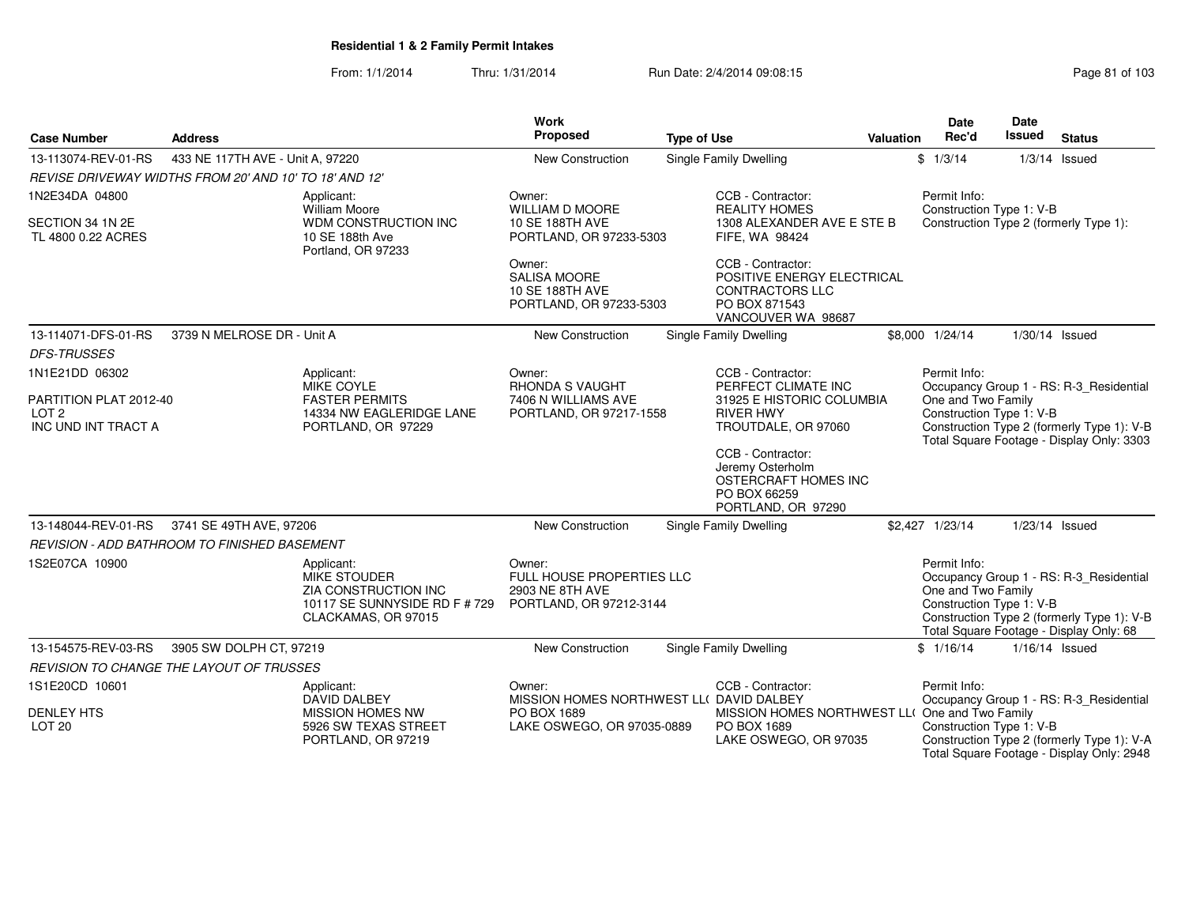| <b>Case Number</b>                                                | <b>Address</b>                                         |                                                                                                                   | <b>Work</b><br>Proposed                                                               | <b>Type of Use</b>                                                                                                                                                                                 | Valuation | Date<br>Rec'd                                                  | <b>Date</b><br><b>Issued</b> | <b>Status</b>                                                                                                                      |
|-------------------------------------------------------------------|--------------------------------------------------------|-------------------------------------------------------------------------------------------------------------------|---------------------------------------------------------------------------------------|----------------------------------------------------------------------------------------------------------------------------------------------------------------------------------------------------|-----------|----------------------------------------------------------------|------------------------------|------------------------------------------------------------------------------------------------------------------------------------|
| 13-113074-REV-01-RS                                               | 433 NE 117TH AVE - Unit A, 97220                       |                                                                                                                   | New Construction                                                                      | <b>Single Family Dwelling</b>                                                                                                                                                                      |           | \$1/3/14                                                       |                              | $1/3/14$ Issued                                                                                                                    |
|                                                                   | REVISE DRIVEWAY WIDTHS FROM 20' AND 10' TO 18' AND 12' |                                                                                                                   |                                                                                       |                                                                                                                                                                                                    |           |                                                                |                              |                                                                                                                                    |
| 1N2E34DA 04800<br>SECTION 34 1N 2E<br>TL 4800 0.22 ACRES          |                                                        | Applicant:<br><b>William Moore</b><br>WDM CONSTRUCTION INC<br>10 SE 188th Ave<br>Portland, OR 97233               | Owner:<br><b>WILLIAM D MOORE</b><br>10 SE 188TH AVE<br>PORTLAND, OR 97233-5303        | CCB - Contractor:<br><b>REALITY HOMES</b><br>1308 ALEXANDER AVE E STE B<br>FIFE, WA 98424                                                                                                          |           | Permit Info:<br>Construction Type 1: V-B                       |                              | Construction Type 2 (formerly Type 1):                                                                                             |
|                                                                   |                                                        |                                                                                                                   | Owner:<br><b>SALISA MOORE</b><br>10 SE 188TH AVE<br>PORTLAND, OR 97233-5303           | CCB - Contractor:<br>POSITIVE ENERGY ELECTRICAL<br><b>CONTRACTORS LLC</b><br>PO BOX 871543<br>VANCOUVER WA 98687                                                                                   |           |                                                                |                              |                                                                                                                                    |
| 13-114071-DFS-01-RS<br><b>DFS-TRUSSES</b>                         | 3739 N MELROSE DR - Unit A                             |                                                                                                                   | New Construction                                                                      | Single Family Dwelling                                                                                                                                                                             |           | \$8,000 1/24/14                                                | 1/30/14 Issued               |                                                                                                                                    |
| 1N1E21DD 06302                                                    |                                                        | Applicant:                                                                                                        | Owner:                                                                                | CCB - Contractor:                                                                                                                                                                                  |           | Permit Info:                                                   |                              |                                                                                                                                    |
| PARTITION PLAT 2012-40<br>LOT <sub>2</sub><br>INC UND INT TRACT A |                                                        | MIKE COYLE<br><b>FASTER PERMITS</b><br>14334 NW EAGLERIDGE LANE<br>PORTLAND, OR 97229                             | <b>RHONDA S VAUGHT</b><br>7406 N WILLIAMS AVE<br>PORTLAND, OR 97217-1558              | PERFECT CLIMATE INC<br>31925 E HISTORIC COLUMBIA<br><b>RIVER HWY</b><br>TROUTDALE, OR 97060<br>CCB - Contractor:<br>Jeremy Osterholm<br>OSTERCRAFT HOMES INC<br>PO BOX 66259<br>PORTLAND, OR 97290 |           | One and Two Family<br>Construction Type 1: V-B                 |                              | Occupancy Group 1 - RS: R-3_Residential<br>Construction Type 2 (formerly Type 1): V-B<br>Total Square Footage - Display Only: 3303 |
| 13-148044-REV-01-RS                                               | 3741 SE 49TH AVE, 97206                                |                                                                                                                   | New Construction                                                                      | <b>Single Family Dwelling</b>                                                                                                                                                                      |           | \$2,427 1/23/14                                                | 1/23/14 Issued               |                                                                                                                                    |
|                                                                   | <b>REVISION - ADD BATHROOM TO FINISHED BASEMENT</b>    |                                                                                                                   |                                                                                       |                                                                                                                                                                                                    |           |                                                                |                              |                                                                                                                                    |
| 1S2E07CA 10900                                                    |                                                        | Applicant:<br><b>MIKE STOUDER</b><br>ZIA CONSTRUCTION INC<br>10117 SE SUNNYSIDE RD F # 729<br>CLACKAMAS, OR 97015 | Owner:<br>FULL HOUSE PROPERTIES LLC<br>2903 NE 8TH AVE<br>PORTLAND, OR 97212-3144     |                                                                                                                                                                                                    |           | Permit Info:<br>One and Two Family<br>Construction Type 1: V-B |                              | Occupancy Group 1 - RS: R-3 Residential<br>Construction Type 2 (formerly Type 1): V-B<br>Total Square Footage - Display Only: 68   |
| 13-154575-REV-03-RS                                               | 3905 SW DOLPH CT, 97219                                |                                                                                                                   | New Construction                                                                      | <b>Single Family Dwelling</b>                                                                                                                                                                      |           | \$1/16/14                                                      | 1/16/14 Issued               |                                                                                                                                    |
|                                                                   | REVISION TO CHANGE THE LAYOUT OF TRUSSES               |                                                                                                                   |                                                                                       |                                                                                                                                                                                                    |           |                                                                |                              |                                                                                                                                    |
| 1S1E20CD 10601                                                    |                                                        | Applicant:                                                                                                        | Owner:                                                                                | CCB - Contractor:                                                                                                                                                                                  |           | Permit Info:                                                   |                              |                                                                                                                                    |
| <b>DENLEY HTS</b><br><b>LOT 20</b>                                |                                                        | DAVID DALBEY<br><b>MISSION HOMES NW</b><br>5926 SW TEXAS STREET<br>PORTLAND, OR 97219                             | MISSION HOMES NORTHWEST LL( DAVID DALBEY<br>PO BOX 1689<br>LAKE OSWEGO, OR 97035-0889 | MISSION HOMES NORTHWEST LL( One and Two Family<br>PO BOX 1689<br>LAKE OSWEGO, OR 97035                                                                                                             |           | Construction Type 1: V-B                                       |                              | Occupancy Group 1 - RS: R-3_Residential<br>Construction Type 2 (formerly Type 1): V-A<br>Total Square Footage - Display Only: 2948 |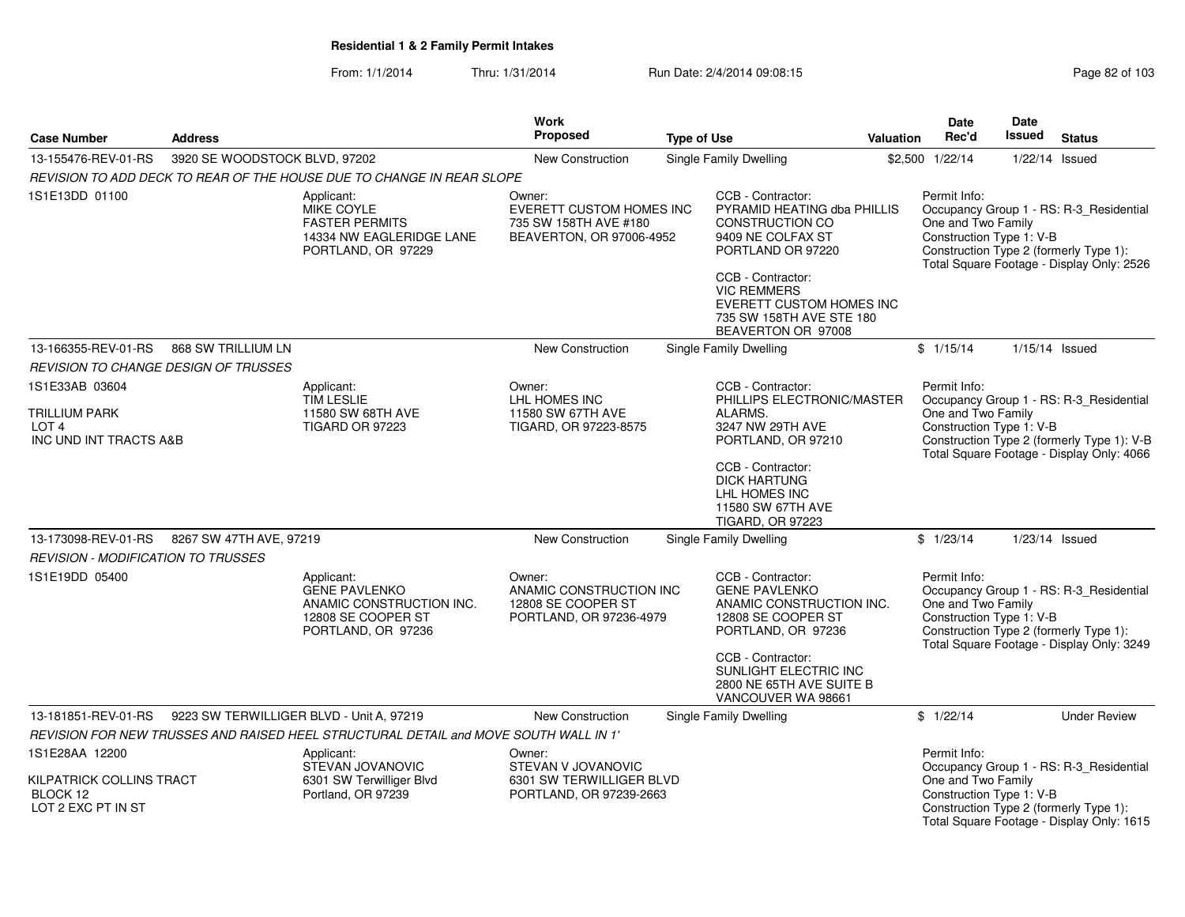| <b>Case Number</b>                                                                   | <b>Address</b>                |                                                                                                            | <b>Work</b><br><b>Proposed</b>                                                                 | <b>Type of Use</b> |                                                                                                                                                                                                                                               | Valuation | <b>Date</b><br>Rec'd                                           | Date<br><b>Issued</b> | <b>Status</b>                                                                                                                      |
|--------------------------------------------------------------------------------------|-------------------------------|------------------------------------------------------------------------------------------------------------|------------------------------------------------------------------------------------------------|--------------------|-----------------------------------------------------------------------------------------------------------------------------------------------------------------------------------------------------------------------------------------------|-----------|----------------------------------------------------------------|-----------------------|------------------------------------------------------------------------------------------------------------------------------------|
| 13-155476-REV-01-RS                                                                  | 3920 SE WOODSTOCK BLVD, 97202 |                                                                                                            | <b>New Construction</b>                                                                        |                    | Single Family Dwelling                                                                                                                                                                                                                        |           | \$2,500 1/22/14                                                |                       | $1/22/14$ Issued                                                                                                                   |
|                                                                                      |                               | REVISION TO ADD DECK TO REAR OF THE HOUSE DUE TO CHANGE IN REAR SLOPE                                      |                                                                                                |                    |                                                                                                                                                                                                                                               |           |                                                                |                       |                                                                                                                                    |
| 1S1E13DD 01100                                                                       |                               | Applicant:<br>MIKE COYLE<br><b>FASTER PERMITS</b><br>14334 NW EAGLERIDGE LANE<br>PORTLAND, OR 97229        | Owner:<br><b>EVERETT CUSTOM HOMES INC</b><br>735 SW 158TH AVE #180<br>BEAVERTON, OR 97006-4952 |                    | CCB - Contractor:<br>PYRAMID HEATING dba PHILLIS<br><b>CONSTRUCTION CO</b><br>9409 NE COLFAX ST<br>PORTLAND OR 97220<br>CCB - Contractor:<br><b>VIC REMMERS</b><br>EVERETT CUSTOM HOMES INC<br>735 SW 158TH AVE STE 180<br>BEAVERTON OR 97008 |           | Permit Info:<br>One and Two Family<br>Construction Type 1: V-B |                       | Occupancy Group 1 - RS: R-3_Residential<br>Construction Type 2 (formerly Type 1):<br>Total Square Footage - Display Only: 2526     |
| 13-166355-REV-01-RS                                                                  | 868 SW TRILLIUM LN            |                                                                                                            | <b>New Construction</b>                                                                        |                    | <b>Single Family Dwelling</b>                                                                                                                                                                                                                 |           | \$1/15/14                                                      | $1/15/14$ Issued      |                                                                                                                                    |
| <b>REVISION TO CHANGE DESIGN OF TRUSSES</b>                                          |                               |                                                                                                            |                                                                                                |                    |                                                                                                                                                                                                                                               |           |                                                                |                       |                                                                                                                                    |
| 1S1E33AB 03604<br><b>TRILLIUM PARK</b><br>LOT <sub>4</sub><br>INC UND INT TRACTS A&B |                               | Applicant:<br><b>TIM LESLIE</b><br>11580 SW 68TH AVE<br><b>TIGARD OR 97223</b>                             | Owner:<br>LHL HOMES INC<br>11580 SW 67TH AVE<br>TIGARD, OR 97223-8575                          |                    | CCB - Contractor:<br>PHILLIPS ELECTRONIC/MASTER<br>ALARMS.<br>3247 NW 29TH AVE<br>PORTLAND, OR 97210<br>CCB - Contractor:<br><b>DICK HARTUNG</b>                                                                                              |           | Permit Info:<br>One and Two Family<br>Construction Type 1: V-B |                       | Occupancy Group 1 - RS: R-3_Residential<br>Construction Type 2 (formerly Type 1): V-B<br>Total Square Footage - Display Only: 4066 |
|                                                                                      |                               |                                                                                                            |                                                                                                |                    | LHL HOMES INC<br>11580 SW 67TH AVE<br><b>TIGARD, OR 97223</b>                                                                                                                                                                                 |           |                                                                |                       |                                                                                                                                    |
| 13-173098-REV-01-RS<br><b>REVISION - MODIFICATION TO TRUSSES</b>                     | 8267 SW 47TH AVE, 97219       |                                                                                                            | New Construction                                                                               |                    | Single Family Dwelling                                                                                                                                                                                                                        |           | \$1/23/14                                                      |                       | 1/23/14 Issued                                                                                                                     |
| 1S1E19DD 05400                                                                       |                               | Applicant:<br><b>GENE PAVLENKO</b><br>ANAMIC CONSTRUCTION INC.<br>12808 SE COOPER ST<br>PORTLAND, OR 97236 | Owner:<br>ANAMIC CONSTRUCTION INC<br>12808 SE COOPER ST<br>PORTLAND, OR 97236-4979             |                    | CCB - Contractor:<br><b>GENE PAVLENKO</b><br>ANAMIC CONSTRUCTION INC.<br>12808 SE COOPER ST<br>PORTLAND, OR 97236<br>CCB - Contractor:<br>SUNLIGHT ELECTRIC INC                                                                               |           | Permit Info:<br>One and Two Family<br>Construction Type 1: V-B |                       | Occupancy Group 1 - RS: R-3_Residential<br>Construction Type 2 (formerly Type 1):<br>Total Square Footage - Display Only: 3249     |
|                                                                                      |                               |                                                                                                            |                                                                                                |                    | 2800 NE 65TH AVE SUITE B<br>VANCOUVER WA 98661                                                                                                                                                                                                |           |                                                                |                       |                                                                                                                                    |
| 13-181851-REV-01-RS                                                                  |                               | 9223 SW TERWILLIGER BLVD - Unit A, 97219                                                                   | <b>New Construction</b>                                                                        |                    | Single Family Dwelling                                                                                                                                                                                                                        |           | \$1/22/14                                                      |                       | <b>Under Review</b>                                                                                                                |
|                                                                                      |                               | REVISION FOR NEW TRUSSES AND RAISED HEEL STRUCTURAL DETAIL and MOVE SOUTH WALL IN 1'                       |                                                                                                |                    |                                                                                                                                                                                                                                               |           |                                                                |                       |                                                                                                                                    |
| 1S1E28AA 12200<br>KILPATRICK COLLINS TRACT<br>BLOCK 12<br>LOT 2 EXC PT IN ST         |                               | Applicant:<br>STEVAN JOVANOVIC<br>6301 SW Terwilliger Blvd<br>Portland, OR 97239                           | Owner:<br>STEVAN V JOVANOVIC<br>6301 SW TERWILLIGER BLVD<br>PORTLAND, OR 97239-2663            |                    |                                                                                                                                                                                                                                               |           | Permit Info:<br>One and Two Family<br>Construction Type 1: V-B |                       | Occupancy Group 1 - RS: R-3_Residential<br>Construction Type 2 (formerly Type 1):<br>Total Square Footage - Display Only: 1615     |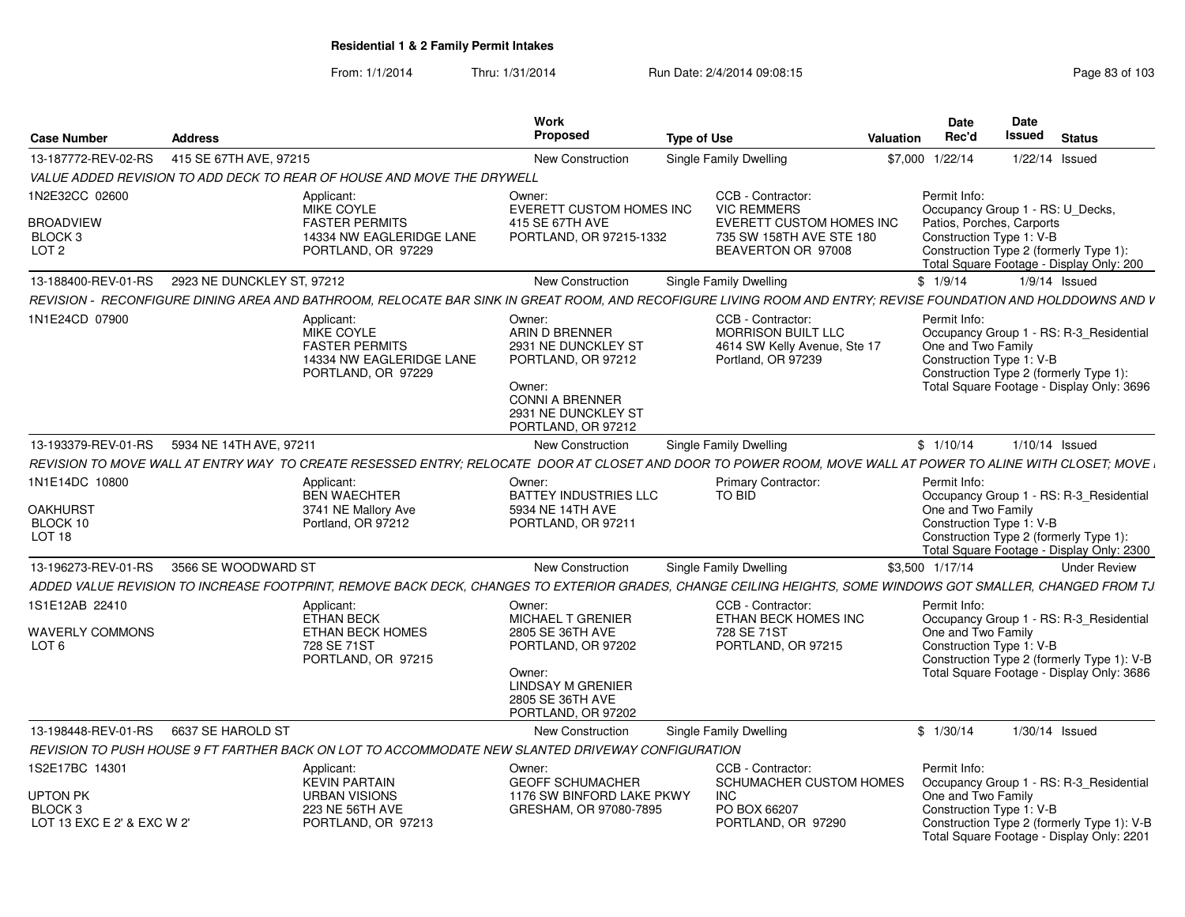From: 1/1/2014Thru: 1/31/2014 Run Date: 2/4/2014 09:08:15 Research 2010 103

| Case Number                                                        | <b>Address</b>                                                                                                                                                | <b>Work</b><br>Proposed                                                                                                                         | <b>Type of Use</b><br>Valuation                                                                  | Date<br>Rec'd                      | <b>Date</b><br>Issued<br><b>Status</b>                                                                                                                                          |
|--------------------------------------------------------------------|---------------------------------------------------------------------------------------------------------------------------------------------------------------|-------------------------------------------------------------------------------------------------------------------------------------------------|--------------------------------------------------------------------------------------------------|------------------------------------|---------------------------------------------------------------------------------------------------------------------------------------------------------------------------------|
| 13-187772-REV-02-RS                                                | 415 SE 67TH AVE, 97215                                                                                                                                        | <b>New Construction</b>                                                                                                                         | <b>Single Family Dwelling</b>                                                                    | \$7,000 1/22/14                    | 1/22/14 Issued                                                                                                                                                                  |
|                                                                    | VALUE ADDED REVISION TO ADD DECK TO REAR OF HOUSE AND MOVE THE DRYWELL                                                                                        |                                                                                                                                                 |                                                                                                  |                                    |                                                                                                                                                                                 |
| 1N2E32CC 02600                                                     | Applicant:                                                                                                                                                    | Owner:                                                                                                                                          | CCB - Contractor:                                                                                | Permit Info:                       |                                                                                                                                                                                 |
| <b>BROADVIEW</b><br>BLOCK 3<br>LOT <sub>2</sub>                    | MIKE COYLE<br><b>FASTER PERMITS</b><br>14334 NW EAGLERIDGE LANE<br>PORTLAND, OR 97229                                                                         | EVERETT CUSTOM HOMES INC<br>415 SE 67TH AVE<br>PORTLAND, OR 97215-1332                                                                          | <b>VIC REMMERS</b><br>EVERETT CUSTOM HOMES INC<br>735 SW 158TH AVE STE 180<br>BEAVERTON OR 97008 |                                    | Occupancy Group 1 - RS: U Decks,<br>Patios, Porches, Carports<br>Construction Type 1: V-B<br>Construction Type 2 (formerly Type 1):<br>Total Square Footage - Display Only: 200 |
|                                                                    | 13-188400-REV-01-RS 2923 NE DUNCKLEY ST, 97212                                                                                                                | <b>New Construction</b>                                                                                                                         | Single Family Dwelling                                                                           | \$1/9/14                           | 1/9/14 Issued                                                                                                                                                                   |
|                                                                    | REVISION - RECONFIGURE DINING AREA AND BATHROOM. RELOCATE BAR SINK IN GREAT ROOM. AND RECOFIGURE LIVING ROOM AND ENTRY: REVISE FOUNDATION AND HOLDDOWNS AND V |                                                                                                                                                 |                                                                                                  |                                    |                                                                                                                                                                                 |
| 1N1E24CD 07900                                                     | Applicant:<br>MIKE COYLE<br><b>FASTER PERMITS</b><br>14334 NW EAGLERIDGE LANE<br>PORTLAND, OR 97229                                                           | Owner:<br>ARIN D BRENNER<br>2931 NE DUNCKLEY ST<br>PORTLAND, OR 97212<br>Owner:<br>CONNI A BRENNER<br>2931 NE DUNCKLEY ST<br>PORTLAND, OR 97212 | CCB - Contractor:<br>MORRISON BUILT LLC<br>4614 SW Kelly Avenue, Ste 17<br>Portland, OR 97239    | Permit Info:<br>One and Two Family | Occupancy Group 1 - RS: R-3 Residential<br>Construction Type 1: V-B<br>Construction Type 2 (formerly Type 1):<br>Total Square Footage - Display Only: 3696                      |
| 13-193379-REV-01-RS                                                | 5934 NE 14TH AVE, 97211                                                                                                                                       | <b>New Construction</b>                                                                                                                         | <b>Single Family Dwelling</b>                                                                    | \$1/10/14                          | $1/10/14$ Issued                                                                                                                                                                |
|                                                                    | REVISION TO MOVE WALL AT ENTRY WAY TO CREATE RESESSED ENTRY: RELOCATE DOOR AT CLOSET AND DOOR TO POWER ROOM. MOVE WALL AT POWER TO ALINE WITH CLOSET: MOVE L  |                                                                                                                                                 |                                                                                                  |                                    |                                                                                                                                                                                 |
| 1N1E14DC 10800<br><b>OAKHURST</b><br>BLOCK 10<br>LOT <sub>18</sub> | Applicant:<br><b>BEN WAECHTER</b><br>3741 NE Mallory Ave<br>Portland, OR 97212                                                                                | Owner:<br><b>BATTEY INDUSTRIES LLC</b><br>5934 NE 14TH AVE<br>PORTLAND, OR 97211                                                                | <b>Primary Contractor:</b><br>TO BID                                                             | Permit Info:<br>One and Two Family | Occupancy Group 1 - RS: R-3_Residential<br>Construction Type 1: V-B<br>Construction Type 2 (formerly Type 1):                                                                   |
|                                                                    |                                                                                                                                                               |                                                                                                                                                 |                                                                                                  |                                    | Total Square Footage - Display Only: 2300                                                                                                                                       |
| 13-196273-REV-01-RS                                                | 3566 SE WOODWARD ST                                                                                                                                           | New Construction                                                                                                                                | <b>Single Family Dwelling</b>                                                                    | \$3.500 1/17/14                    | <b>Under Review</b>                                                                                                                                                             |
|                                                                    | ADDED VALUE REVISION TO INCREASE FOOTPRINT, REMOVE BACK DECK, CHANGES TO EXTERIOR GRADES, CHANGE CEILING HEIGHTS, SOME WINDOWS GOT SMALLER, CHANGED FROM TJ   |                                                                                                                                                 |                                                                                                  |                                    |                                                                                                                                                                                 |
| 1S1E12AB 22410                                                     | Applicant:<br>ETHAN BECK                                                                                                                                      | Owner:<br><b>MICHAEL T GRENIER</b>                                                                                                              | CCB - Contractor:<br>ETHAN BECK HOMES INC                                                        | Permit Info:                       | Occupancy Group 1 - RS: R-3_Residential                                                                                                                                         |
| <b>WAVERLY COMMONS</b><br>LOT <sub>6</sub>                         | <b>ETHAN BECK HOMES</b><br>728 SE 71ST<br>PORTLAND, OR 97215                                                                                                  | 2805 SE 36TH AVE<br>PORTLAND, OR 97202<br>Owner:<br><b>LINDSAY M GRENIER</b><br>2805 SE 36TH AVE<br>PORTLAND, OR 97202                          | 728 SE 71ST<br>PORTLAND, OR 97215                                                                | One and Two Family                 | Construction Type 1: V-B<br>Construction Type 2 (formerly Type 1): V-B<br>Total Square Footage - Display Only: 3686                                                             |
| 13-198448-REV-01-RS   6637 SE HAROLD ST                            |                                                                                                                                                               | <b>New Construction</b>                                                                                                                         | <b>Single Family Dwelling</b>                                                                    | \$1/30/14                          | $1/30/14$ Issued                                                                                                                                                                |
|                                                                    | REVISION TO PUSH HOUSE 9 FT FARTHER BACK ON LOT TO ACCOMMODATE NEW SLANTED DRIVEWAY CONFIGURATION                                                             |                                                                                                                                                 |                                                                                                  |                                    |                                                                                                                                                                                 |
| 1S2E17BC 14301                                                     | Applicant:<br><b>KEVIN PARTAIN</b>                                                                                                                            | Owner:<br><b>GEOFF SCHUMACHER</b>                                                                                                               | CCB - Contractor:<br>SCHUMACHER CUSTOM HOMES                                                     | Permit Info:                       | Occupancy Group 1 - RS: R-3 Residential                                                                                                                                         |
| UPTON PK<br>BLOCK 3<br>LOT 13 EXC E 2' & EXC W 2'                  | <b>URBAN VISIONS</b><br>223 NE 56TH AVE<br>PORTLAND, OR 97213                                                                                                 | 1176 SW BINFORD LAKE PKWY<br>GRESHAM, OR 97080-7895                                                                                             | INC.<br>PO BOX 66207<br>PORTLAND, OR 97290                                                       | One and Two Family                 | Construction Type 1: V-B<br>Construction Type 2 (formerly Type 1): V-B<br>Total Square Footage - Display Only: 2201                                                             |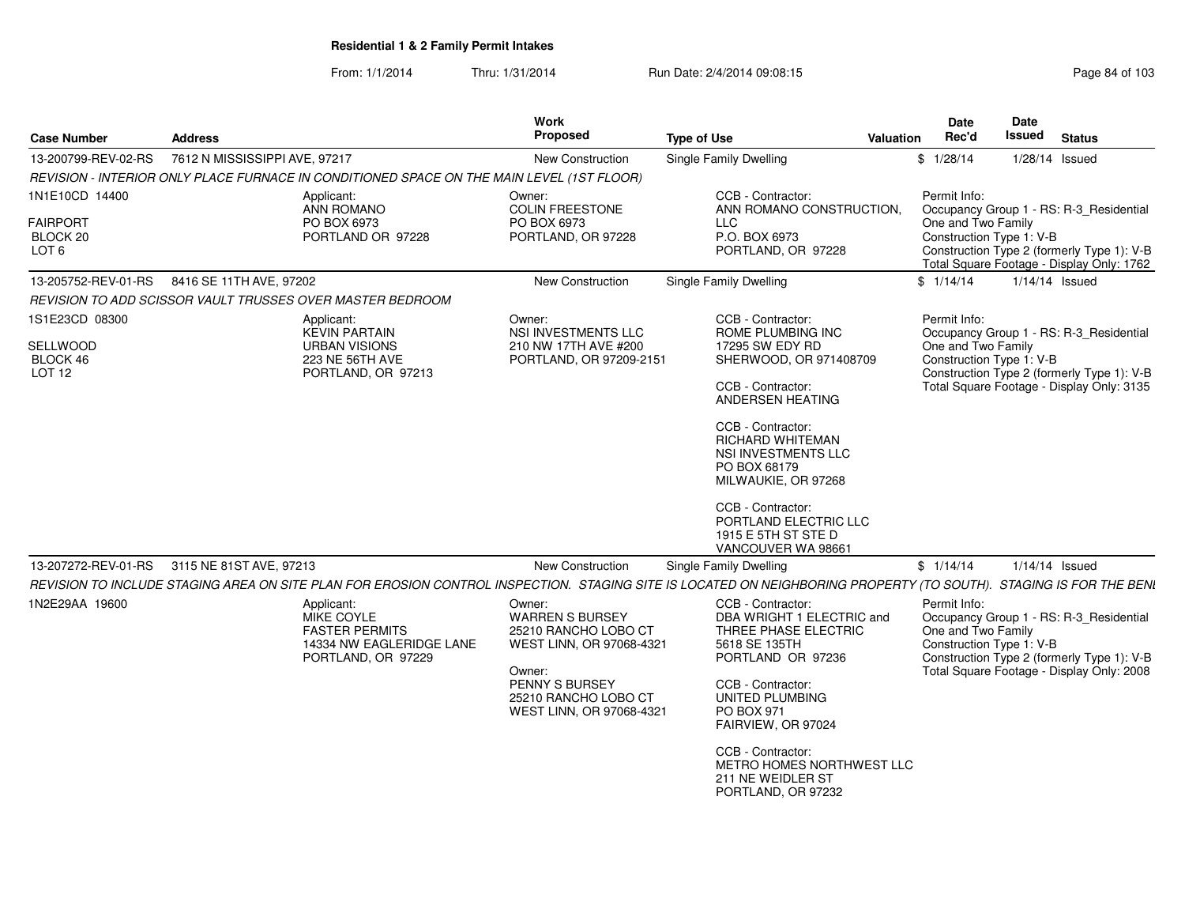| <b>Case Number</b>                                                    | <b>Address</b>                |                                                                                                     | Work<br><b>Proposed</b>                                                                                                                                              | <b>Type of Use</b><br><b>Valuation</b>                                                                                                                                                                                                                                                                                                | Date<br>Rec'd                      | Date<br><b>Issued</b>    | <b>Status</b>                                                                                                                      |
|-----------------------------------------------------------------------|-------------------------------|-----------------------------------------------------------------------------------------------------|----------------------------------------------------------------------------------------------------------------------------------------------------------------------|---------------------------------------------------------------------------------------------------------------------------------------------------------------------------------------------------------------------------------------------------------------------------------------------------------------------------------------|------------------------------------|--------------------------|------------------------------------------------------------------------------------------------------------------------------------|
| 13-200799-REV-02-RS                                                   | 7612 N MISSISSIPPI AVE, 97217 |                                                                                                     | <b>New Construction</b>                                                                                                                                              | <b>Single Family Dwelling</b>                                                                                                                                                                                                                                                                                                         | \$1/28/14                          |                          | 1/28/14 Issued                                                                                                                     |
|                                                                       |                               | REVISION - INTERIOR ONLY PLACE FURNACE IN CONDITIONED SPACE ON THE MAIN LEVEL (1ST FLOOR)           |                                                                                                                                                                      |                                                                                                                                                                                                                                                                                                                                       |                                    |                          |                                                                                                                                    |
| 1N1E10CD 14400<br>FAIRPORT<br>BLOCK <sub>20</sub><br>LOT <sub>6</sub> |                               | Applicant:<br>ANN ROMANO<br>PO BOX 6973<br>PORTLAND OR 97228                                        | Owner:<br>COLIN FREESTONE<br>PO BOX 6973<br>PORTLAND, OR 97228                                                                                                       | CCB - Contractor:<br>ANN ROMANO CONSTRUCTION,<br>LLC.<br>P.O. BOX 6973<br>PORTLAND, OR 97228                                                                                                                                                                                                                                          | Permit Info:<br>One and Two Family | Construction Type 1: V-B | Occupancy Group 1 - RS: R-3_Residential<br>Construction Type 2 (formerly Type 1): V-B<br>Total Square Footage - Display Only: 1762 |
| 13-205752-REV-01-RS 8416 SE 11TH AVE, 97202                           |                               |                                                                                                     | <b>New Construction</b>                                                                                                                                              | Single Family Dwelling                                                                                                                                                                                                                                                                                                                | \$1/14/14                          |                          | 1/14/14 Issued                                                                                                                     |
|                                                                       |                               | REVISION TO ADD SCISSOR VAULT TRUSSES OVER MASTER BEDROOM                                           |                                                                                                                                                                      |                                                                                                                                                                                                                                                                                                                                       |                                    |                          |                                                                                                                                    |
| 1S1E23CD 08300<br>SELLWOOD<br>BLOCK 46<br>LOT <sub>12</sub>           |                               | Applicant:<br><b>KEVIN PARTAIN</b><br><b>URBAN VISIONS</b><br>223 NE 56TH AVE<br>PORTLAND, OR 97213 | Owner:<br>NSI INVESTMENTS LLC<br>210 NW 17TH AVE #200<br>PORTLAND, OR 97209-2151                                                                                     | CCB - Contractor:<br>ROME PLUMBING INC<br>17295 SW EDY RD<br>SHERWOOD, OR 971408709<br>CCB - Contractor:<br>ANDERSEN HEATING<br>CCB - Contractor:<br><b>RICHARD WHITEMAN</b><br>NSI INVESTMENTS LLC<br>PO BOX 68179<br>MILWAUKIE, OR 97268<br>CCB - Contractor:<br>PORTLAND ELECTRIC LLC<br>1915 E 5TH ST STE D<br>VANCOUVER WA 98661 | Permit Info:<br>One and Two Family | Construction Type 1: V-B | Occupancy Group 1 - RS: R-3 Residential<br>Construction Type 2 (formerly Type 1): V-B<br>Total Square Footage - Display Only: 3135 |
| 13-207272-REV-01-RS 3115 NE 81ST AVE, 97213                           |                               |                                                                                                     | <b>New Construction</b>                                                                                                                                              | Single Family Dwelling                                                                                                                                                                                                                                                                                                                | \$1/14/14                          |                          | $1/14/14$ Issued                                                                                                                   |
|                                                                       |                               |                                                                                                     |                                                                                                                                                                      | REVISION TO INCLUDE STAGING AREA ON SITE PLAN FOR EROSION CONTROL INSPECTION. STAGING SITE IS LOCATED ON NEIGHBORING PROPERTY (TO SOUTH). STAGING IS FOR THE BENI                                                                                                                                                                     |                                    |                          |                                                                                                                                    |
| 1N2E29AA 19600                                                        |                               | Applicant:<br>MIKE COYLE<br><b>FASTER PERMITS</b><br>14334 NW EAGLERIDGE LANE<br>PORTLAND, OR 97229 | Owner:<br><b>WARREN S BURSEY</b><br>25210 RANCHO LOBO CT<br>WEST LINN, OR 97068-4321<br>Owner:<br>PENNY S BURSEY<br>25210 RANCHO LOBO CT<br>WEST LINN, OR 97068-4321 | CCB - Contractor:<br>DBA WRIGHT 1 ELECTRIC and<br>THREE PHASE ELECTRIC<br>5618 SE 135TH<br>PORTLAND OR 97236<br>CCB - Contractor:<br>UNITED PLUMBING<br>PO BOX 971<br>FAIRVIEW, OR 97024<br>CCB - Contractor:<br>METRO HOMES NORTHWEST LLC<br>211 NE WEIDLER ST<br>PORTLAND, OR 97232                                                 | Permit Info:<br>One and Two Family | Construction Type 1: V-B | Occupancy Group 1 - RS: R-3_Residential<br>Construction Type 2 (formerly Type 1): V-B<br>Total Square Footage - Display Only: 2008 |
|                                                                       |                               |                                                                                                     |                                                                                                                                                                      |                                                                                                                                                                                                                                                                                                                                       |                                    |                          |                                                                                                                                    |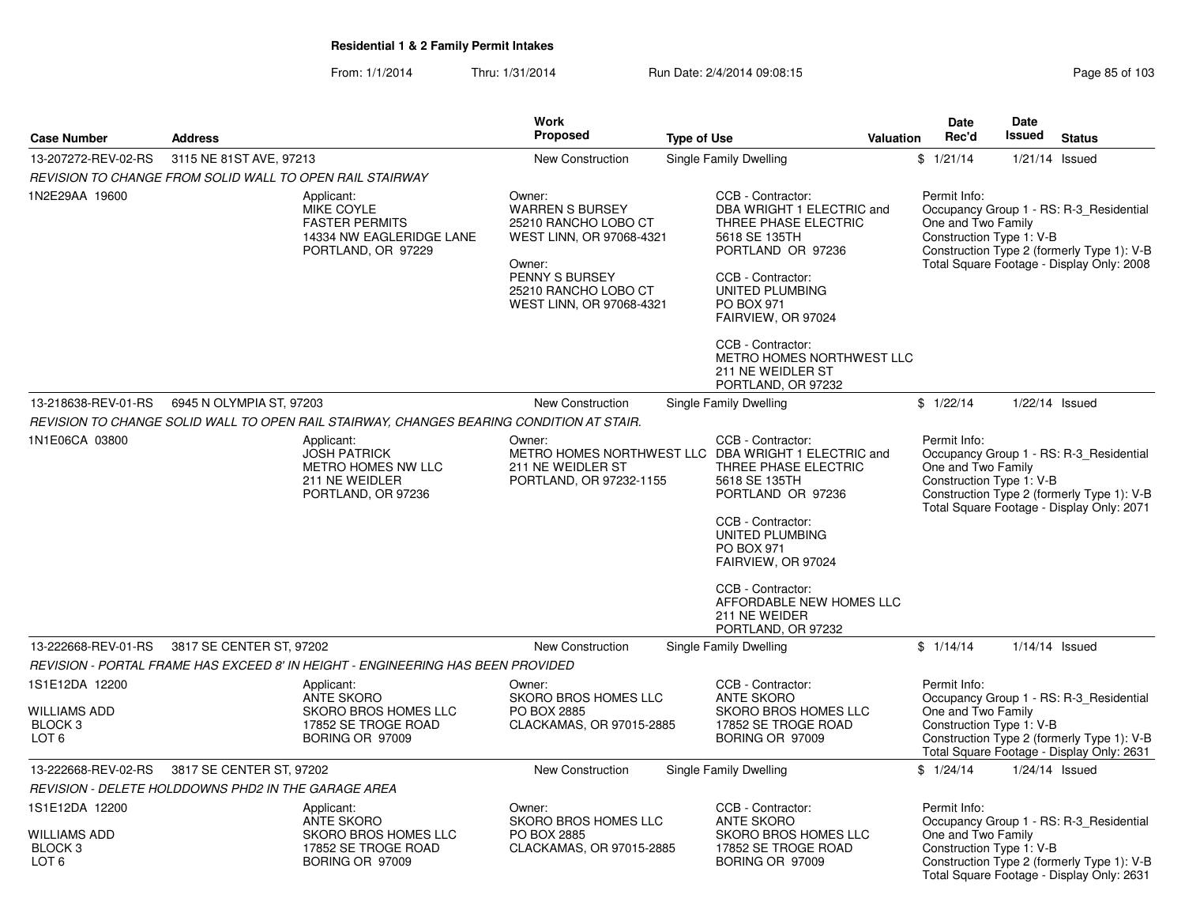|                                                                                 |                                                                                                            | Work                                                                                                                                                                 |                                                                                                                                                                                                                                                                                                            | <b>Date</b>                        | <b>Date</b>                                                                                                                                                    |
|---------------------------------------------------------------------------------|------------------------------------------------------------------------------------------------------------|----------------------------------------------------------------------------------------------------------------------------------------------------------------------|------------------------------------------------------------------------------------------------------------------------------------------------------------------------------------------------------------------------------------------------------------------------------------------------------------|------------------------------------|----------------------------------------------------------------------------------------------------------------------------------------------------------------|
| <b>Case Number</b>                                                              | <b>Address</b>                                                                                             | Proposed                                                                                                                                                             | <b>Type of Use</b>                                                                                                                                                                                                                                                                                         | Rec'd<br><b>Valuation</b>          | Issued<br><b>Status</b>                                                                                                                                        |
| 13-207272-REV-02-RS                                                             | 3115 NE 81ST AVE, 97213                                                                                    | New Construction                                                                                                                                                     | Single Family Dwelling                                                                                                                                                                                                                                                                                     | \$1/21/14                          | $1/21/14$ Issued                                                                                                                                               |
|                                                                                 | REVISION TO CHANGE FROM SOLID WALL TO OPEN RAIL STAIRWAY                                                   |                                                                                                                                                                      |                                                                                                                                                                                                                                                                                                            |                                    |                                                                                                                                                                |
| 1N2E29AA 19600                                                                  | Applicant:<br><b>MIKE COYLE</b><br><b>FASTER PERMITS</b><br>14334 NW EAGLERIDGE LANE<br>PORTLAND, OR 97229 | Owner:<br><b>WARREN S BURSEY</b><br>25210 RANCHO LOBO CT<br>WEST LINN, OR 97068-4321<br>Owner:<br>PENNY S BURSEY<br>25210 RANCHO LOBO CT<br>WEST LINN, OR 97068-4321 | CCB - Contractor:<br>DBA WRIGHT 1 ELECTRIC and<br>THREE PHASE ELECTRIC<br>5618 SE 135TH<br>PORTLAND OR 97236<br>CCB - Contractor:<br>UNITED PLUMBING<br>PO BOX 971<br>FAIRVIEW, OR 97024<br>CCB - Contractor:                                                                                              | Permit Info:<br>One and Two Family | Occupancy Group 1 - RS: R-3_Residential<br>Construction Type 1: V-B<br>Construction Type 2 (formerly Type 1): V-B<br>Total Square Footage - Display Only: 2008 |
|                                                                                 |                                                                                                            |                                                                                                                                                                      | METRO HOMES NORTHWEST LLC<br>211 NE WEIDLER ST<br>PORTLAND, OR 97232                                                                                                                                                                                                                                       |                                    |                                                                                                                                                                |
| 13-218638-REV-01-RS                                                             | 6945 N OLYMPIA ST, 97203                                                                                   | New Construction                                                                                                                                                     | Single Family Dwelling                                                                                                                                                                                                                                                                                     | \$1/22/14                          | $1/22/14$ Issued                                                                                                                                               |
|                                                                                 | REVISION TO CHANGE SOLID WALL TO OPEN RAIL STAIRWAY, CHANGES BEARING CONDITION AT STAIR.                   |                                                                                                                                                                      |                                                                                                                                                                                                                                                                                                            |                                    |                                                                                                                                                                |
| 1N1E06CA 03800                                                                  | Applicant:<br><b>JOSH PATRICK</b><br>METRO HOMES NW LLC<br>211 NE WEIDLER<br>PORTLAND, OR 97236            | Owner:<br>211 NE WEIDLER ST<br>PORTLAND, OR 97232-1155                                                                                                               | CCB - Contractor:<br>METRO HOMES NORTHWEST LLC DBA WRIGHT 1 ELECTRIC and<br>THREE PHASE ELECTRIC<br>5618 SE 135TH<br>PORTLAND OR 97236<br>CCB - Contractor:<br>UNITED PLUMBING<br>PO BOX 971<br>FAIRVIEW, OR 97024<br>CCB - Contractor:<br>AFFORDABLE NEW HOMES LLC<br>211 NE WEIDER<br>PORTLAND, OR 97232 | Permit Info:<br>One and Two Family | Occupancy Group 1 - RS: R-3_Residential<br>Construction Type 1: V-B<br>Construction Type 2 (formerly Type 1): V-B<br>Total Square Footage - Display Only: 2071 |
| 13-222668-REV-01-RS                                                             | 3817 SE CENTER ST, 97202                                                                                   | <b>New Construction</b>                                                                                                                                              | Single Family Dwelling                                                                                                                                                                                                                                                                                     | \$1/14/14                          | $1/14/14$ Issued                                                                                                                                               |
|                                                                                 | REVISION - PORTAL FRAME HAS EXCEED 8' IN HEIGHT - ENGINEERING HAS BEEN PROVIDED                            |                                                                                                                                                                      |                                                                                                                                                                                                                                                                                                            |                                    |                                                                                                                                                                |
| 1S1E12DA 12200<br><b>WILLIAMS ADD</b><br>BLOCK <sub>3</sub><br>LOT <sub>6</sub> | Applicant:<br><b>ANTE SKORO</b><br><b>SKORO BROS HOMES LLC</b><br>17852 SE TROGE ROAD<br>BORING OR 97009   | Owner:<br><b>SKORO BROS HOMES LLC</b><br>PO BOX 2885<br>CLACKAMAS, OR 97015-2885                                                                                     | CCB - Contractor:<br><b>ANTE SKORO</b><br>SKORO BROS HOMES LLC<br>17852 SE TROGE ROAD<br>BORING OR 97009                                                                                                                                                                                                   | Permit Info:<br>One and Two Family | Occupancy Group 1 - RS: R-3 Residential<br>Construction Type 1: V-B<br>Construction Type 2 (formerly Type 1): V-B<br>Total Square Footage - Display Only: 2631 |
| 13-222668-REV-02-RS                                                             | 3817 SE CENTER ST, 97202                                                                                   | New Construction                                                                                                                                                     | <b>Single Family Dwelling</b>                                                                                                                                                                                                                                                                              | \$1/24/14                          | $1/24/14$ Issued                                                                                                                                               |
|                                                                                 | REVISION - DELETE HOLDDOWNS PHD2 IN THE GARAGE AREA                                                        |                                                                                                                                                                      |                                                                                                                                                                                                                                                                                                            |                                    |                                                                                                                                                                |
| 1S1E12DA 12200<br><b>WILLIAMS ADD</b><br>BLOCK <sub>3</sub><br>LOT <sub>6</sub> | Applicant:<br>ANTE SKORO<br>SKORO BROS HOMES LLC<br>17852 SE TROGE ROAD<br>BORING OR 97009                 | Owner:<br><b>SKORO BROS HOMES LLC</b><br>PO BOX 2885<br>CLACKAMAS, OR 97015-2885                                                                                     | CCB - Contractor:<br><b>ANTE SKORO</b><br>SKORO BROS HOMES LLC<br>17852 SE TROGE ROAD<br>BORING OR 97009                                                                                                                                                                                                   | Permit Info:<br>One and Two Family | Occupancy Group 1 - RS: R-3_Residential<br>Construction Type 1: V-B<br>Construction Type 2 (formerly Type 1): V-B<br>Total Square Footage - Display Only: 2631 |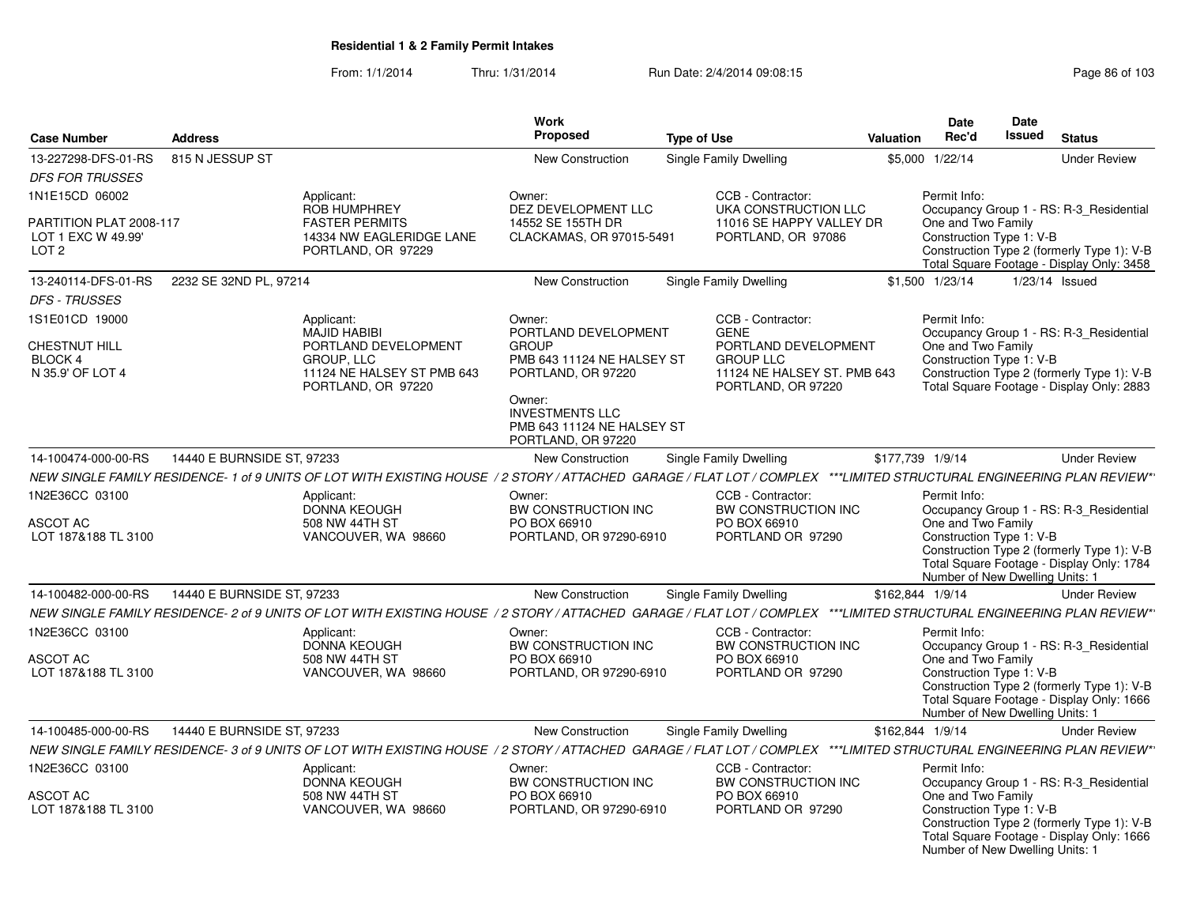|                                                                   |                            |                                                                                                                                                                       | Work                                                                                                                                                                             |                                                                                                              |                  | Date                                                                              | Date          |                                                                                                                                    |
|-------------------------------------------------------------------|----------------------------|-----------------------------------------------------------------------------------------------------------------------------------------------------------------------|----------------------------------------------------------------------------------------------------------------------------------------------------------------------------------|--------------------------------------------------------------------------------------------------------------|------------------|-----------------------------------------------------------------------------------|---------------|------------------------------------------------------------------------------------------------------------------------------------|
| <b>Case Number</b>                                                | <b>Address</b>             |                                                                                                                                                                       | <b>Proposed</b>                                                                                                                                                                  | <b>Type of Use</b>                                                                                           | Valuation        | Rec'd                                                                             | <b>Issued</b> | <b>Status</b>                                                                                                                      |
| 13-227298-DFS-01-RS                                               | 815 N JESSUP ST            |                                                                                                                                                                       | New Construction                                                                                                                                                                 | Single Family Dwelling                                                                                       |                  | \$5,000 1/22/14                                                                   |               | <b>Under Review</b>                                                                                                                |
| <b>DFS FOR TRUSSES</b>                                            |                            |                                                                                                                                                                       |                                                                                                                                                                                  |                                                                                                              |                  |                                                                                   |               |                                                                                                                                    |
| 1N1E15CD 06002                                                    |                            | Applicant:                                                                                                                                                            | Owner:                                                                                                                                                                           | CCB - Contractor:                                                                                            |                  | Permit Info:                                                                      |               |                                                                                                                                    |
| PARTITION PLAT 2008-117<br>LOT 1 EXC W 49.99'<br>LOT <sub>2</sub> |                            | <b>ROB HUMPHREY</b><br><b>FASTER PERMITS</b><br>14334 NW EAGLERIDGE LANE<br>PORTLAND, OR 97229                                                                        | DEZ DEVELOPMENT LLC<br>14552 SE 155TH DR<br>CLACKAMAS, OR 97015-5491                                                                                                             | UKA CONSTRUCTION LLC<br>11016 SE HAPPY VALLEY DR<br>PORTLAND, OR 97086                                       |                  | One and Two Family<br>Construction Type 1: V-B                                    |               | Occupancy Group 1 - RS: R-3 Residential<br>Construction Type 2 (formerly Type 1): V-B<br>Total Square Footage - Display Only: 3458 |
| 13-240114-DFS-01-RS                                               | 2232 SE 32ND PL, 97214     |                                                                                                                                                                       | <b>New Construction</b>                                                                                                                                                          | Single Family Dwelling                                                                                       |                  | \$1,500 1/23/14                                                                   |               | 1/23/14 Issued                                                                                                                     |
| <b>DFS - TRUSSES</b>                                              |                            |                                                                                                                                                                       |                                                                                                                                                                                  |                                                                                                              |                  |                                                                                   |               |                                                                                                                                    |
| 1S1E01CD 19000                                                    |                            | Applicant:                                                                                                                                                            | Owner:                                                                                                                                                                           | CCB - Contractor:                                                                                            |                  | Permit Info:                                                                      |               |                                                                                                                                    |
| <b>CHESTNUT HILL</b><br>BLOCK 4<br>N 35.9' OF LOT 4               |                            | <b>MAJID HABIBI</b><br>PORTLAND DEVELOPMENT<br><b>GROUP. LLC</b><br>11124 NE HALSEY ST PMB 643<br>PORTLAND, OR 97220                                                  | PORTLAND DEVELOPMENT<br><b>GROUP</b><br>PMB 643 11124 NE HALSEY ST<br>PORTLAND, OR 97220<br>Owner:<br><b>INVESTMENTS LLC</b><br>PMB 643 11124 NE HALSEY ST<br>PORTLAND, OR 97220 | <b>GENE</b><br>PORTLAND DEVELOPMENT<br><b>GROUP LLC</b><br>11124 NE HALSEY ST. PMB 643<br>PORTLAND, OR 97220 |                  | One and Two Family<br>Construction Type 1: V-B                                    |               | Occupancy Group 1 - RS: R-3_Residential<br>Construction Type 2 (formerly Type 1): V-B<br>Total Square Footage - Display Only: 2883 |
| 14-100474-000-00-RS                                               | 14440 E BURNSIDE ST, 97233 |                                                                                                                                                                       | New Construction                                                                                                                                                                 | Single Family Dwelling                                                                                       | \$177,739 1/9/14 |                                                                                   |               | <b>Under Review</b>                                                                                                                |
|                                                                   |                            | NEW SINGLE FAMILY RESIDENCE-1 of 9 UNITS OF LOT WITH EXISTING HOUSE / 2 STORY / ATTACHED GARAGE / FLAT LOT / COMPLEX ***LIMITED STRUCTURAL ENGINEERING PLAN REVIEW**  |                                                                                                                                                                                  |                                                                                                              |                  |                                                                                   |               |                                                                                                                                    |
| 1N2E36CC 03100                                                    |                            | Applicant:<br><b>DONNA KEOUGH</b>                                                                                                                                     | Owner:<br><b>BW CONSTRUCTION INC</b>                                                                                                                                             | CCB - Contractor:<br>BW CONSTRUCTION INC                                                                     |                  | Permit Info:                                                                      |               | Occupancy Group 1 - RS: R-3_Residential                                                                                            |
| <b>ASCOT AC</b><br>LOT 187&188 TL 3100                            |                            | 508 NW 44TH ST<br>VANCOUVER, WA 98660                                                                                                                                 | PO BOX 66910<br>PORTLAND, OR 97290-6910                                                                                                                                          | PO BOX 66910<br>PORTLAND OR 97290                                                                            |                  | One and Two Family<br>Construction Type 1: V-B<br>Number of New Dwelling Units: 1 |               | Construction Type 2 (formerly Type 1): V-B<br>Total Square Footage - Display Only: 1784                                            |
| 14-100482-000-00-RS                                               | 14440 E BURNSIDE ST, 97233 |                                                                                                                                                                       | New Construction                                                                                                                                                                 | Single Family Dwelling                                                                                       | \$162,844 1/9/14 |                                                                                   |               | <b>Under Review</b>                                                                                                                |
|                                                                   |                            | NEW SINGLE FAMILY RESIDENCE- 2 of 9 UNITS OF LOT WITH EXISTING HOUSE / 2 STORY / ATTACHED GARAGE / FLAT LOT / COMPLEX ***LIMITED STRUCTURAL ENGINEERING PLAN REVIEW** |                                                                                                                                                                                  |                                                                                                              |                  |                                                                                   |               |                                                                                                                                    |
| 1N2E36CC 03100                                                    |                            | Applicant:<br><b>DONNA KEOUGH</b>                                                                                                                                     | Owner:<br><b>BW CONSTRUCTION INC</b>                                                                                                                                             | CCB - Contractor:<br>BW CONSTRUCTION INC                                                                     |                  | Permit Info:                                                                      |               | Occupancy Group 1 - RS: R-3 Residential                                                                                            |
| ASCOT AC<br>LOT 187&188 TL 3100                                   |                            | 508 NW 44TH ST<br>VANCOUVER, WA 98660                                                                                                                                 | PO BOX 66910<br>PORTLAND, OR 97290-6910                                                                                                                                          | PO BOX 66910<br>PORTLAND OR 97290                                                                            |                  | One and Two Family<br>Construction Type 1: V-B<br>Number of New Dwelling Units: 1 |               | Construction Type 2 (formerly Type 1): V-B<br>Total Square Footage - Display Only: 1666                                            |
| 14-100485-000-00-RS                                               | 14440 E BURNSIDE ST, 97233 |                                                                                                                                                                       | New Construction                                                                                                                                                                 | Single Family Dwelling                                                                                       | \$162,844 1/9/14 |                                                                                   |               | <b>Under Review</b>                                                                                                                |
|                                                                   |                            | NEW SINGLE FAMILY RESIDENCE- 3 of 9 UNITS OF LOT WITH EXISTING HOUSE / 2 STORY / ATTACHED GARAGE / FLAT LOT / COMPLEX ***LIMITED STRUCTURAL ENGINEERING PLAN REVIEW*  |                                                                                                                                                                                  |                                                                                                              |                  |                                                                                   |               |                                                                                                                                    |
| 1N2E36CC 03100                                                    |                            | Applicant:<br><b>DONNA KEOUGH</b>                                                                                                                                     | Owner:<br>BW CONSTRUCTION INC                                                                                                                                                    | CCB - Contractor:<br>BW CONSTRUCTION INC                                                                     |                  | Permit Info:                                                                      |               | Occupancy Group 1 - RS: R-3_Residential                                                                                            |
| ASCOT AC<br>LOT 187&188 TL 3100                                   |                            | 508 NW 44TH ST<br>VANCOUVER, WA 98660                                                                                                                                 | PO BOX 66910<br>PORTLAND, OR 97290-6910                                                                                                                                          | PO BOX 66910<br>PORTLAND OR 97290                                                                            |                  | One and Two Family<br>Construction Type 1: V-B<br>Number of New Dwelling Units: 1 |               | Construction Type 2 (formerly Type 1): V-B<br>Total Square Footage - Display Only: 1666                                            |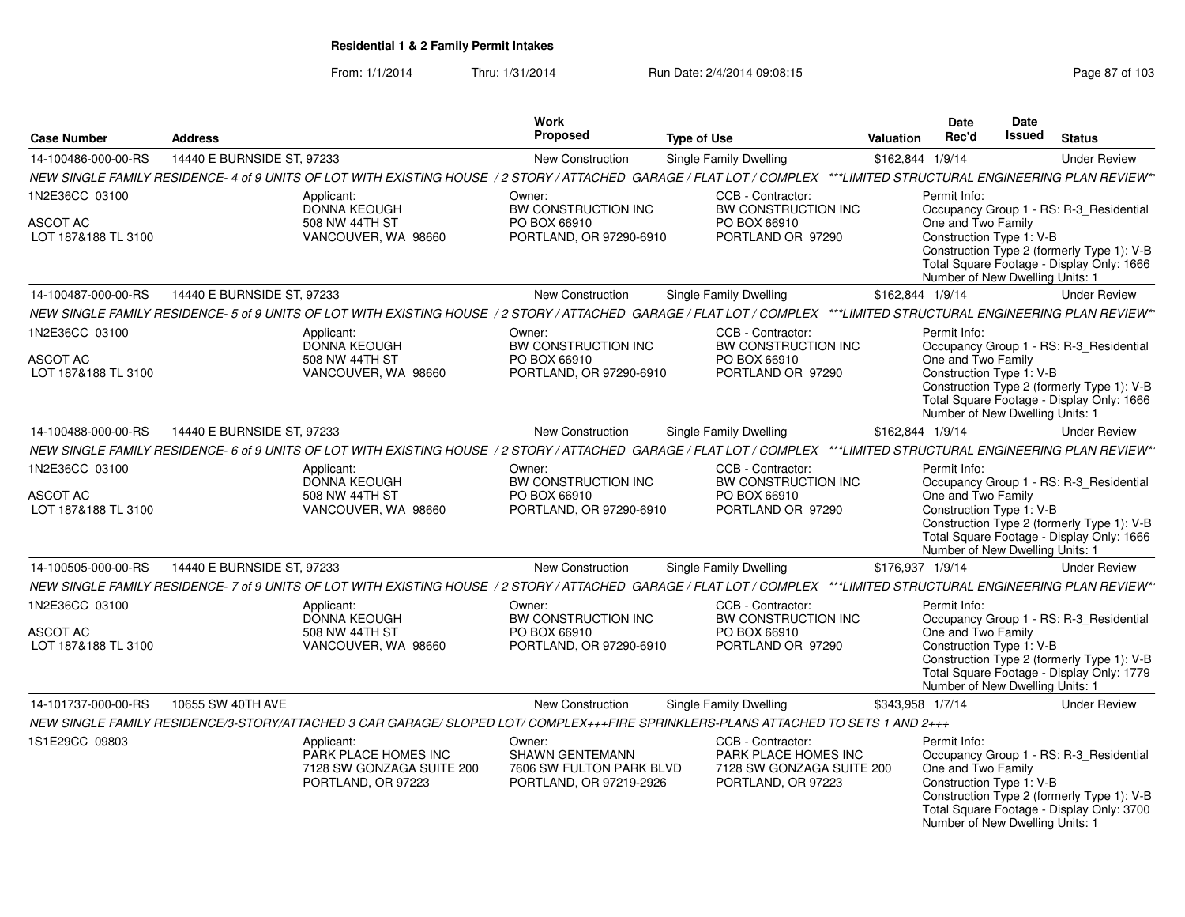|                                                          |                            |                                                                                       | Work                                                                             |                                                                                                                                                                       |                  | Date                                                                                              | Date   |                                                                                                                                    |
|----------------------------------------------------------|----------------------------|---------------------------------------------------------------------------------------|----------------------------------------------------------------------------------|-----------------------------------------------------------------------------------------------------------------------------------------------------------------------|------------------|---------------------------------------------------------------------------------------------------|--------|------------------------------------------------------------------------------------------------------------------------------------|
| <b>Case Number</b>                                       | <b>Address</b>             |                                                                                       | <b>Proposed</b>                                                                  | <b>Type of Use</b>                                                                                                                                                    | <b>Valuation</b> | Rec'd                                                                                             | Issued | <b>Status</b>                                                                                                                      |
| 14-100486-000-00-RS                                      | 14440 E BURNSIDE ST, 97233 |                                                                                       | New Construction                                                                 | Single Family Dwelling                                                                                                                                                | \$162,844 1/9/14 |                                                                                                   |        | <b>Under Review</b>                                                                                                                |
|                                                          |                            |                                                                                       |                                                                                  | NEW SINGLE FAMILY RESIDENCE- 4 of 9 UNITS OF LOT WITH EXISTING HOUSE / 2 STORY / ATTACHED GARAGE / FLAT LOT / COMPLEX ***LIMITED STRUCTURAL ENGINEERING PLAN REVIEW*  |                  |                                                                                                   |        |                                                                                                                                    |
| 1N2E36CC 03100<br><b>ASCOT AC</b><br>LOT 187&188 TL 3100 |                            | Applicant:<br><b>DONNA KEOUGH</b><br>508 NW 44TH ST<br>VANCOUVER, WA 98660            | Owner:<br>BW CONSTRUCTION INC<br>PO BOX 66910<br>PORTLAND, OR 97290-6910         | CCB - Contractor:<br>BW CONSTRUCTION INC<br>PO BOX 66910<br>PORTLAND OR 97290                                                                                         |                  | Permit Info:<br>One and Two Family<br>Construction Type 1: V-B<br>Number of New Dwelling Units: 1 |        | Occupancy Group 1 - RS: R-3 Residential<br>Construction Type 2 (formerly Type 1): V-B<br>Total Square Footage - Display Only: 1666 |
| 14-100487-000-00-RS                                      | 14440 E BURNSIDE ST, 97233 |                                                                                       | <b>New Construction</b>                                                          | <b>Single Family Dwelling</b>                                                                                                                                         | \$162,844 1/9/14 |                                                                                                   |        | <b>Under Review</b>                                                                                                                |
|                                                          |                            |                                                                                       |                                                                                  | NEW SINGLE FAMILY RESIDENCE- 5 of 9 UNITS OF LOT WITH EXISTING HOUSE / 2 STORY / ATTACHED GARAGE / FLAT LOT / COMPLEX ***LIMITED STRUCTURAL ENGINEERING PLAN REVIEW*  |                  |                                                                                                   |        |                                                                                                                                    |
| 1N2E36CC 03100<br><b>ASCOT AC</b><br>LOT 187&188 TL 3100 |                            | Applicant:<br>DONNA KEOUGH<br>508 NW 44TH ST<br>VANCOUVER, WA 98660                   | Owner:<br>BW CONSTRUCTION INC<br>PO BOX 66910<br>PORTLAND, OR 97290-6910         | CCB - Contractor:<br>BW CONSTRUCTION INC<br>PO BOX 66910<br>PORTLAND OR 97290                                                                                         |                  | Permit Info:<br>One and Two Family<br>Construction Type 1: V-B<br>Number of New Dwelling Units: 1 |        | Occupancy Group 1 - RS: R-3_Residential<br>Construction Type 2 (formerly Type 1): V-B<br>Total Square Footage - Display Only: 1666 |
| 14-100488-000-00-RS                                      | 14440 E BURNSIDE ST, 97233 |                                                                                       | New Construction                                                                 | <b>Single Family Dwelling</b>                                                                                                                                         | \$162,844 1/9/14 |                                                                                                   |        | <b>Under Review</b>                                                                                                                |
|                                                          |                            |                                                                                       |                                                                                  | NEW SINGLE FAMILY RESIDENCE- 6 of 9 UNITS OF LOT WITH EXISTING HOUSE / 2 STORY / ATTACHED GARAGE / FLAT LOT / COMPLEX ***LIMITED STRUCTURAL ENGINEERING PLAN REVIEW** |                  |                                                                                                   |        |                                                                                                                                    |
| 1N2E36CC 03100<br><b>ASCOT AC</b><br>LOT 187&188 TL 3100 |                            | Applicant:<br><b>DONNA KEOUGH</b><br>508 NW 44TH ST<br>VANCOUVER, WA 98660            | Owner:<br><b>BW CONSTRUCTION INC</b><br>PO BOX 66910<br>PORTLAND, OR 97290-6910  | CCB - Contractor:<br><b>BW CONSTRUCTION INC</b><br>PO BOX 66910<br>PORTLAND OR 97290                                                                                  |                  | Permit Info:<br>One and Two Family<br>Construction Type 1: V-B<br>Number of New Dwelling Units: 1 |        | Occupancy Group 1 - RS: R-3 Residential<br>Construction Type 2 (formerly Type 1): V-B<br>Total Square Footage - Display Only: 1666 |
| 14-100505-000-00-RS                                      | 14440 E BURNSIDE ST, 97233 |                                                                                       | New Construction                                                                 | <b>Single Family Dwelling</b>                                                                                                                                         | \$176,937 1/9/14 |                                                                                                   |        | <b>Under Review</b>                                                                                                                |
|                                                          |                            |                                                                                       |                                                                                  | NEW SINGLE FAMILY RESIDENCE- 7 of 9 UNITS OF LOT WITH EXISTING HOUSE / 2 STORY / ATTACHED GARAGE / FLAT LOT / COMPLEX ***LIMITED STRUCTURAL ENGINEERING PLAN REVIEW*  |                  |                                                                                                   |        |                                                                                                                                    |
| 1N2E36CC 03100<br><b>ASCOT AC</b><br>LOT 187&188 TL 3100 |                            | Applicant:<br>DONNA KEOUGH<br>508 NW 44TH ST<br>VANCOUVER, WA 98660                   | Owner:<br>BW CONSTRUCTION INC<br>PO BOX 66910<br>PORTLAND, OR 97290-6910         | CCB - Contractor:<br>BW CONSTRUCTION INC<br>PO BOX 66910<br>PORTLAND OR 97290                                                                                         |                  | Permit Info:<br>One and Two Family<br>Construction Type 1: V-B<br>Number of New Dwelling Units: 1 |        | Occupancy Group 1 - RS: R-3_Residential<br>Construction Type 2 (formerly Type 1): V-B<br>Total Square Footage - Display Only: 1779 |
| 14-101737-000-00-RS                                      | 10655 SW 40TH AVE          |                                                                                       | New Construction                                                                 | <b>Single Family Dwelling</b>                                                                                                                                         | \$343,958 1/7/14 |                                                                                                   |        | <b>Under Review</b>                                                                                                                |
|                                                          |                            |                                                                                       |                                                                                  | NEW SINGLE FAMILY RESIDENCE/3-STORY/ATTACHED 3 CAR GARAGE/ SLOPED LOT/ COMPLEX+++FIRE SPRINKLERS-PLANS ATTACHED TO SETS 1 AND 2+++                                    |                  |                                                                                                   |        |                                                                                                                                    |
| 1S1E29CC 09803                                           |                            | Applicant:<br>PARK PLACE HOMES INC<br>7128 SW GONZAGA SUITE 200<br>PORTLAND, OR 97223 | Owner:<br>SHAWN GENTEMANN<br>7606 SW FULTON PARK BLVD<br>PORTLAND, OR 97219-2926 | CCB - Contractor:<br>PARK PLACE HOMES INC<br>7128 SW GONZAGA SUITE 200<br>PORTLAND, OR 97223                                                                          |                  | Permit Info:<br>One and Two Family<br>Construction Type 1: V-B<br>Number of New Dwelling Units: 1 |        | Occupancy Group 1 - RS: R-3_Residential<br>Construction Type 2 (formerly Type 1): V-B<br>Total Square Footage - Display Only: 3700 |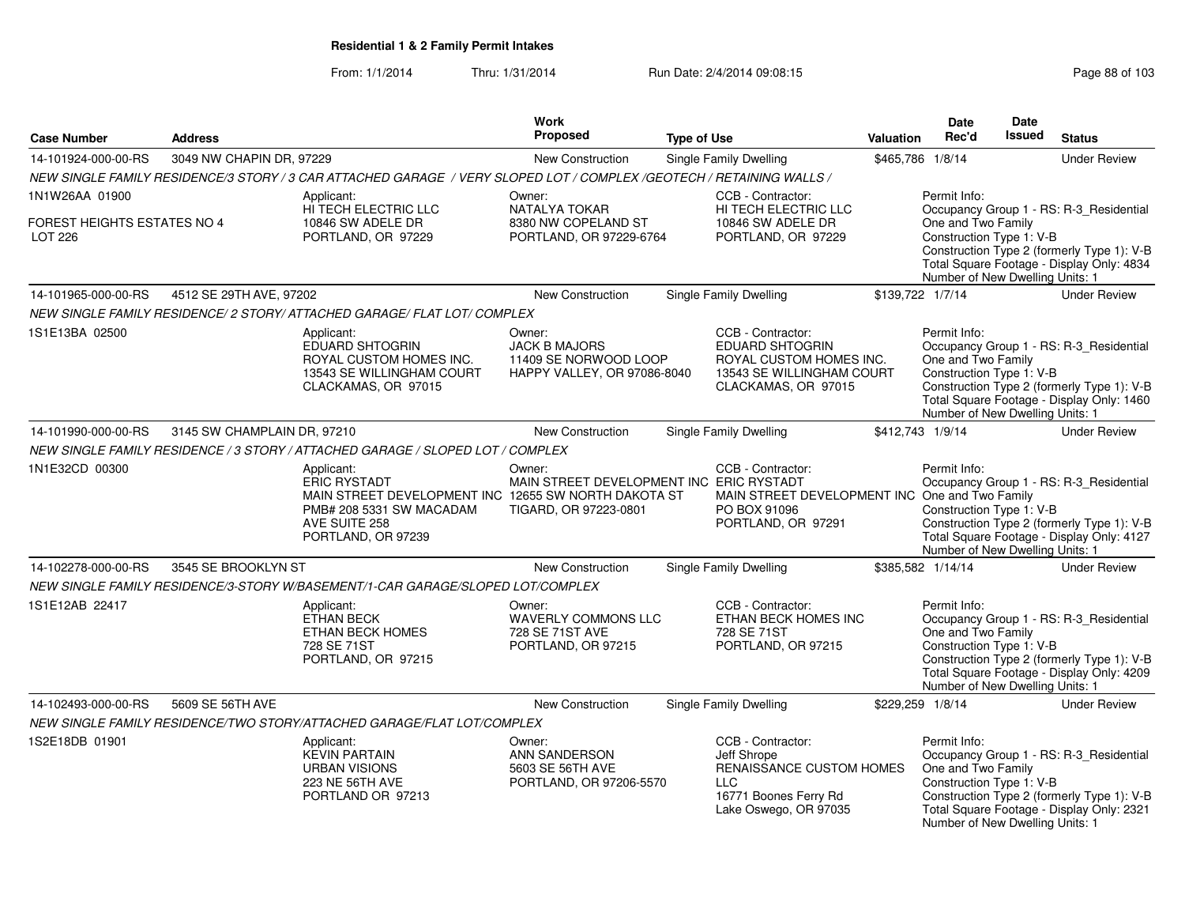#### From: 1/1/2014Thru: 1/31/2014 Run Date: 2/4/2014 09:08:15

|                                                                 |                             |                                                                                                                                                              | Work                                                                                   |                    |                                                                                                                              |                  | Date                                                                                              | Date          |                                                                                                                                    |
|-----------------------------------------------------------------|-----------------------------|--------------------------------------------------------------------------------------------------------------------------------------------------------------|----------------------------------------------------------------------------------------|--------------------|------------------------------------------------------------------------------------------------------------------------------|------------------|---------------------------------------------------------------------------------------------------|---------------|------------------------------------------------------------------------------------------------------------------------------------|
| <b>Case Number</b>                                              | <b>Address</b>              |                                                                                                                                                              | Proposed                                                                               | <b>Type of Use</b> |                                                                                                                              | <b>Valuation</b> | Rec'd                                                                                             | <b>Issued</b> | <b>Status</b>                                                                                                                      |
| 14-101924-000-00-RS                                             | 3049 NW CHAPIN DR, 97229    |                                                                                                                                                              | New Construction                                                                       |                    | Single Family Dwelling                                                                                                       |                  | \$465,786 1/8/14                                                                                  |               | <b>Under Review</b>                                                                                                                |
|                                                                 |                             | NEW SINGLE FAMILY RESIDENCE/3 STORY / 3 CAR ATTACHED GARAGE / VERY SLOPED LOT / COMPLEX /GEOTECH / RETAINING WALLS /                                         |                                                                                        |                    |                                                                                                                              |                  |                                                                                                   |               |                                                                                                                                    |
| 1N1W26AA 01900<br><b>FOREST HEIGHTS ESTATES NO 4</b><br>LOT 226 |                             | Applicant:<br>HI TECH ELECTRIC LLC<br>10846 SW ADELE DR<br>PORTLAND, OR 97229                                                                                | Owner:<br>NATALYA TOKAR<br>8380 NW COPELAND ST<br>PORTLAND, OR 97229-6764              |                    | CCB - Contractor:<br>HI TECH ELECTRIC LLC<br>10846 SW ADELE DR<br>PORTLAND, OR 97229                                         |                  | Permit Info:<br>One and Two Family<br>Construction Type 1: V-B<br>Number of New Dwelling Units: 1 |               | Occupancy Group 1 - RS: R-3_Residential<br>Construction Type 2 (formerly Type 1): V-B<br>Total Square Footage - Display Only: 4834 |
| 14-101965-000-00-RS                                             | 4512 SE 29TH AVE, 97202     |                                                                                                                                                              | New Construction                                                                       |                    | Single Family Dwelling                                                                                                       |                  | \$139,722 1/7/14                                                                                  |               | <b>Under Review</b>                                                                                                                |
|                                                                 |                             | NEW SINGLE FAMILY RESIDENCE/ 2 STORY/ ATTACHED GARAGE/ FLAT LOT/ COMPLEX                                                                                     |                                                                                        |                    |                                                                                                                              |                  |                                                                                                   |               |                                                                                                                                    |
| 1S1E13BA 02500                                                  |                             | Applicant:<br><b>EDUARD SHTOGRIN</b><br>ROYAL CUSTOM HOMES INC.<br>13543 SE WILLINGHAM COURT<br>CLACKAMAS, OR 97015                                          | Owner:<br><b>JACK B MAJORS</b><br>11409 SE NORWOOD LOOP<br>HAPPY VALLEY, OR 97086-8040 |                    | CCB - Contractor:<br>EDUARD SHTOGRIN<br>ROYAL CUSTOM HOMES INC.<br>13543 SE WILLINGHAM COURT<br>CLACKAMAS, OR 97015          |                  | Permit Info:<br>One and Two Family<br>Construction Type 1: V-B<br>Number of New Dwelling Units: 1 |               | Occupancy Group 1 - RS: R-3_Residential<br>Construction Type 2 (formerly Type 1): V-B<br>Total Square Footage - Display Only: 1460 |
| 14-101990-000-00-RS                                             | 3145 SW CHAMPLAIN DR, 97210 |                                                                                                                                                              | New Construction                                                                       |                    | Single Family Dwelling                                                                                                       |                  | \$412,743 1/9/14                                                                                  |               | <b>Under Review</b>                                                                                                                |
|                                                                 |                             | NEW SINGLE FAMILY RESIDENCE / 3 STORY / ATTACHED GARAGE / SLOPED LOT / COMPLEX                                                                               |                                                                                        |                    |                                                                                                                              |                  |                                                                                                   |               |                                                                                                                                    |
| 1N1E32CD 00300                                                  |                             | Applicant:<br><b>ERIC RYSTADT</b><br>MAIN STREET DEVELOPMENT INC 12655 SW NORTH DAKOTA ST<br>PMB# 208 5331 SW MACADAM<br>AVE SUITE 258<br>PORTLAND, OR 97239 | Owner:<br>MAIN STREET DEVELOPMENT INC ERIC RYSTADT<br>TIGARD, OR 97223-0801            |                    | CCB - Contractor:<br>MAIN STREET DEVELOPMENT INC One and Two Family<br>PO BOX 91096<br>PORTLAND, OR 97291                    |                  | Permit Info:<br>Construction Type 1: V-B<br>Number of New Dwelling Units: 1                       |               | Occupancy Group 1 - RS: R-3 Residential<br>Construction Type 2 (formerly Type 1): V-B<br>Total Square Footage - Display Only: 4127 |
| 14-102278-000-00-RS                                             | 3545 SE BROOKLYN ST         |                                                                                                                                                              | New Construction                                                                       |                    | Single Family Dwelling                                                                                                       |                  | \$385,582 1/14/14                                                                                 |               | <b>Under Review</b>                                                                                                                |
|                                                                 |                             | NEW SINGLE FAMILY RESIDENCE/3-STORY W/BASEMENT/1-CAR GARAGE/SLOPED LOT/COMPLEX                                                                               |                                                                                        |                    |                                                                                                                              |                  |                                                                                                   |               |                                                                                                                                    |
| 1S1E12AB 22417                                                  |                             | Applicant:<br><b>ETHAN BECK</b><br>ETHAN BECK HOMES<br>728 SE 71ST<br>PORTLAND, OR 97215                                                                     | Owner:<br><b>WAVERLY COMMONS LLC</b><br>728 SE 71ST AVE<br>PORTLAND, OR 97215          |                    | CCB - Contractor:<br>ETHAN BECK HOMES INC<br>728 SE 71ST<br>PORTLAND, OR 97215                                               |                  | Permit Info:<br>One and Two Family<br>Construction Type 1: V-B<br>Number of New Dwelling Units: 1 |               | Occupancy Group 1 - RS: R-3 Residential<br>Construction Type 2 (formerly Type 1): V-B<br>Total Square Footage - Display Only: 4209 |
| 14-102493-000-00-RS                                             | 5609 SE 56TH AVE            |                                                                                                                                                              | New Construction                                                                       |                    | <b>Single Family Dwelling</b>                                                                                                |                  | \$229,259 1/8/14                                                                                  |               | <b>Under Review</b>                                                                                                                |
|                                                                 |                             | NEW SINGLE FAMILY RESIDENCE/TWO STORY/ATTACHED GARAGE/FLAT LOT/COMPLEX                                                                                       |                                                                                        |                    |                                                                                                                              |                  |                                                                                                   |               |                                                                                                                                    |
| 1S2E18DB 01901                                                  |                             | Applicant:<br><b>KEVIN PARTAIN</b><br><b>URBAN VISIONS</b><br>223 NE 56TH AVE<br>PORTLAND OR 97213                                                           | Owner:<br><b>ANN SANDERSON</b><br>5603 SE 56TH AVE<br>PORTLAND, OR 97206-5570          |                    | CCB - Contractor:<br>Jeff Shrope<br>RENAISSANCE CUSTOM HOMES<br><b>LLC</b><br>16771 Boones Ferry Rd<br>Lake Oswego, OR 97035 |                  | Permit Info:<br>One and Two Family<br>Construction Type 1: V-B<br>Number of New Dwelling Units: 1 |               | Occupancy Group 1 - RS: R-3_Residential<br>Construction Type 2 (formerly Type 1): V-B<br>Total Square Footage - Display Only: 2321 |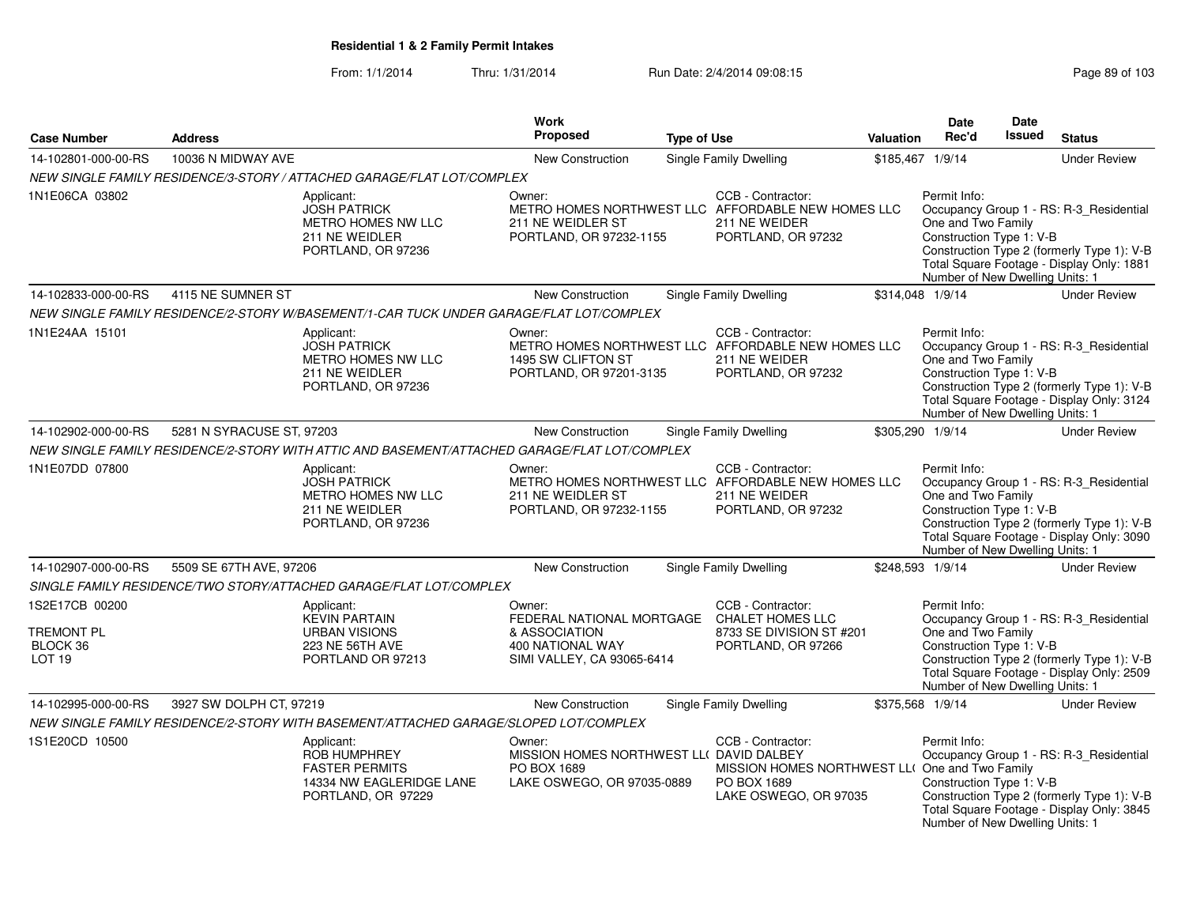| <b>Case Number</b>                                 | <b>Address</b>            |                                                                                                              | Work<br>Proposed                                                                                                               | <b>Type of Use</b> |                                                                                                                | Valuation | <b>Date</b><br>Rec'd                                                                              | <b>Date</b><br><b>Issued</b> | <b>Status</b>                                                                                                                      |
|----------------------------------------------------|---------------------------|--------------------------------------------------------------------------------------------------------------|--------------------------------------------------------------------------------------------------------------------------------|--------------------|----------------------------------------------------------------------------------------------------------------|-----------|---------------------------------------------------------------------------------------------------|------------------------------|------------------------------------------------------------------------------------------------------------------------------------|
| 14-102801-000-00-RS                                | 10036 N MIDWAY AVE        |                                                                                                              | New Construction                                                                                                               |                    | Single Family Dwelling                                                                                         |           | \$185,467 1/9/14                                                                                  |                              | <b>Under Review</b>                                                                                                                |
|                                                    |                           | NEW SINGLE FAMILY RESIDENCE/3-STORY / ATTACHED GARAGE/FLAT LOT/COMPLEX                                       |                                                                                                                                |                    |                                                                                                                |           |                                                                                                   |                              |                                                                                                                                    |
| 1N1E06CA 03802                                     |                           | Applicant:<br><b>JOSH PATRICK</b><br>METRO HOMES NW LLC<br>211 NE WEIDLER<br>PORTLAND, OR 97236              | Owner:<br>211 NE WEIDLER ST<br>PORTLAND, OR 97232-1155                                                                         |                    | CCB - Contractor:<br>METRO HOMES NORTHWEST LLC AFFORDABLE NEW HOMES LLC<br>211 NE WEIDER<br>PORTLAND, OR 97232 |           | Permit Info:<br>One and Two Family<br>Construction Type 1: V-B<br>Number of New Dwelling Units: 1 |                              | Occupancy Group 1 - RS: R-3_Residential<br>Construction Type 2 (formerly Type 1): V-B<br>Total Square Footage - Display Only: 1881 |
| 14-102833-000-00-RS                                | 4115 NE SUMNER ST         |                                                                                                              | New Construction                                                                                                               |                    | Single Family Dwelling                                                                                         |           | \$314,048 1/9/14                                                                                  |                              | <b>Under Review</b>                                                                                                                |
|                                                    |                           | NEW SINGLE FAMILY RESIDENCE/2-STORY W/BASEMENT/1-CAR TUCK UNDER GARAGE/FLAT LOT/COMPLEX                      |                                                                                                                                |                    |                                                                                                                |           |                                                                                                   |                              |                                                                                                                                    |
| 1N1E24AA 15101                                     |                           | Applicant:<br><b>JOSH PATRICK</b><br>METRO HOMES NW LLC<br>211 NE WEIDLER<br>PORTLAND, OR 97236              | Owner:<br>1495 SW CLIFTON ST<br>PORTLAND, OR 97201-3135                                                                        |                    | CCB - Contractor:<br>METRO HOMES NORTHWEST LLC AFFORDABLE NEW HOMES LLC<br>211 NE WEIDER<br>PORTLAND, OR 97232 |           | Permit Info:<br>One and Two Family<br>Construction Type 1: V-B<br>Number of New Dwelling Units: 1 |                              | Occupancy Group 1 - RS: R-3_Residential<br>Construction Type 2 (formerly Type 1): V-B<br>Total Square Footage - Display Only: 3124 |
| 14-102902-000-00-RS                                | 5281 N SYRACUSE ST, 97203 |                                                                                                              | New Construction                                                                                                               |                    | <b>Single Family Dwelling</b>                                                                                  |           | \$305,290 1/9/14                                                                                  |                              | <b>Under Review</b>                                                                                                                |
|                                                    |                           | NEW SINGLE FAMILY RESIDENCE/2-STORY WITH ATTIC AND BASEMENT/ATTACHED GARAGE/FLAT LOT/COMPLEX                 |                                                                                                                                |                    |                                                                                                                |           |                                                                                                   |                              |                                                                                                                                    |
| 1N1E07DD 07800                                     |                           | Applicant:<br><b>JOSH PATRICK</b><br>METRO HOMES NW LLC<br>211 NE WEIDLER<br>PORTLAND, OR 97236              | Owner:<br>211 NE WEIDLER ST<br>PORTLAND, OR 97232-1155                                                                         |                    | CCB - Contractor:<br>METRO HOMES NORTHWEST LLC AFFORDABLE NEW HOMES LLC<br>211 NE WEIDER<br>PORTLAND, OR 97232 |           | Permit Info:<br>One and Two Family<br>Construction Type 1: V-B<br>Number of New Dwelling Units: 1 |                              | Occupancy Group 1 - RS: R-3_Residential<br>Construction Type 2 (formerly Type 1): V-B<br>Total Square Footage - Display Only: 3090 |
| 14-102907-000-00-RS                                | 5509 SE 67TH AVE, 97206   |                                                                                                              | New Construction                                                                                                               |                    | Single Family Dwelling                                                                                         |           | \$248,593 1/9/14                                                                                  |                              | <b>Under Review</b>                                                                                                                |
|                                                    |                           | SINGLE FAMILY RESIDENCE/TWO STORY/ATTACHED GARAGE/FLAT LOT/COMPLEX                                           |                                                                                                                                |                    |                                                                                                                |           |                                                                                                   |                              |                                                                                                                                    |
| 1S2E17CB 00200<br>TREMONT PL<br>BLOCK 36<br>LOT 19 |                           | Applicant:<br><b>KEVIN PARTAIN</b><br><b>URBAN VISIONS</b><br><b>223 NE 56TH AVE</b><br>PORTLAND OR 97213    | Owner:<br>FEDERAL NATIONAL MORTGAGE CHALET HOMES LLC<br>& ASSOCIATION<br><b>400 NATIONAL WAY</b><br>SIMI VALLEY, CA 93065-6414 |                    | CCB - Contractor:<br>8733 SE DIVISION ST #201<br>PORTLAND, OR 97266                                            |           | Permit Info:<br>One and Two Family<br>Construction Type 1: V-B<br>Number of New Dwelling Units: 1 |                              | Occupancy Group 1 - RS: R-3_Residential<br>Construction Type 2 (formerly Type 1): V-B<br>Total Square Footage - Display Only: 2509 |
| 14-102995-000-00-RS                                | 3927 SW DOLPH CT, 97219   |                                                                                                              | New Construction                                                                                                               |                    | Single Family Dwelling                                                                                         |           | \$375,568 1/9/14                                                                                  |                              | <b>Under Review</b>                                                                                                                |
|                                                    |                           | NEW SINGLE FAMILY RESIDENCE/2-STORY WITH BASEMENT/ATTACHED GARAGE/SLOPED LOT/COMPLEX                         |                                                                                                                                |                    |                                                                                                                |           |                                                                                                   |                              |                                                                                                                                    |
| 1S1E20CD 10500                                     |                           | Applicant:<br><b>ROB HUMPHREY</b><br><b>FASTER PERMITS</b><br>14334 NW EAGLERIDGE LANE<br>PORTLAND, OR 97229 | Owner:<br>MISSION HOMES NORTHWEST LL( DAVID DALBEY<br>PO BOX 1689<br>LAKE OSWEGO, OR 97035-0889                                |                    | CCB - Contractor:<br>MISSION HOMES NORTHWEST LL( One and Two Family<br>PO BOX 1689<br>LAKE OSWEGO, OR 97035    |           | Permit Info:<br>Construction Type 1: V-B<br>Number of New Dwelling Units: 1                       |                              | Occupancy Group 1 - RS: R-3_Residential<br>Construction Type 2 (formerly Type 1): V-B<br>Total Square Footage - Display Only: 3845 |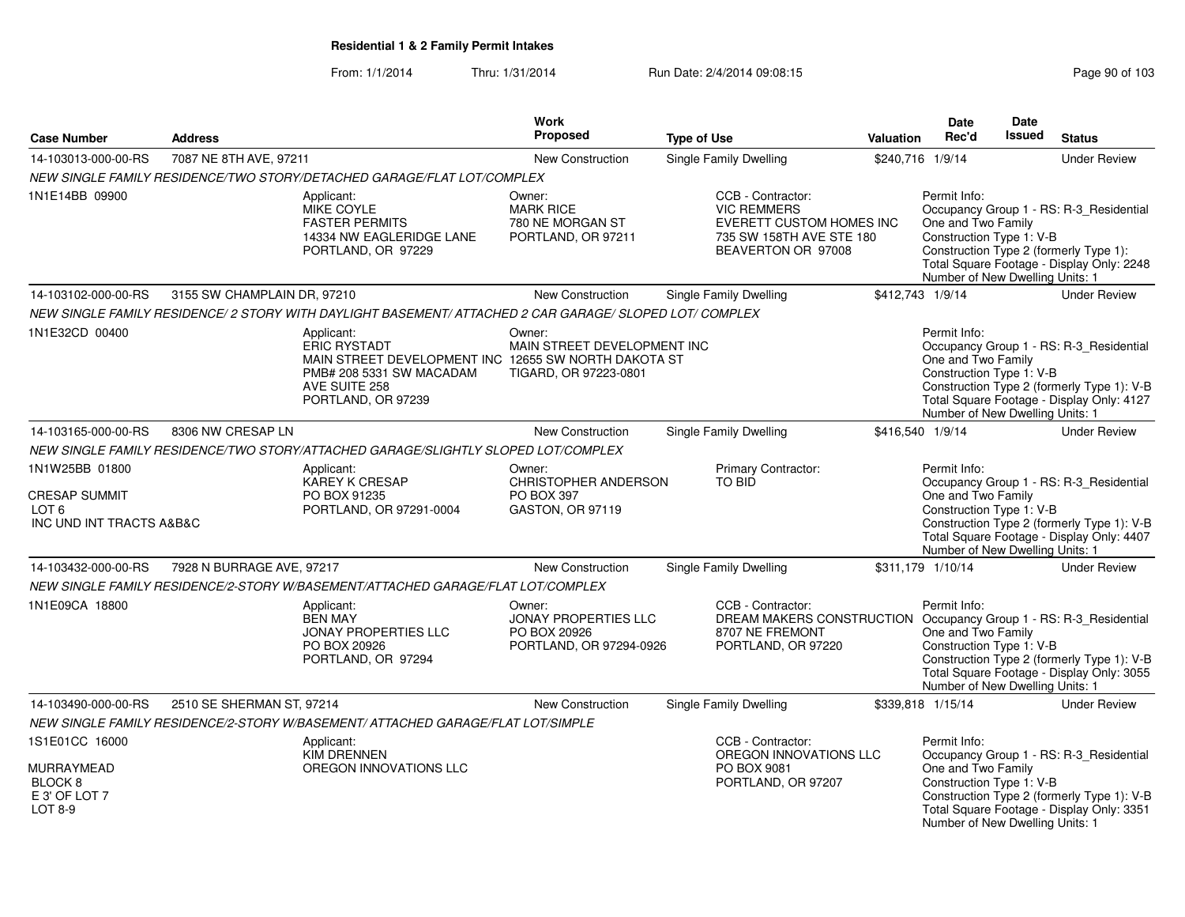| <b>Case Number</b>                                                                     | <b>Address</b>              |                                                                                                                                                              | Work<br><b>Proposed</b>                                                          | <b>Type of Use</b>                                                                                                              | <b>Valuation</b> | <b>Date</b><br>Rec'd                                                                              | Date<br>Issued | <b>Status</b>                                                                                                                      |
|----------------------------------------------------------------------------------------|-----------------------------|--------------------------------------------------------------------------------------------------------------------------------------------------------------|----------------------------------------------------------------------------------|---------------------------------------------------------------------------------------------------------------------------------|------------------|---------------------------------------------------------------------------------------------------|----------------|------------------------------------------------------------------------------------------------------------------------------------|
| 14-103013-000-00-RS                                                                    | 7087 NE 8TH AVE, 97211      |                                                                                                                                                              | New Construction                                                                 | Single Family Dwelling                                                                                                          |                  | \$240,716 1/9/14                                                                                  |                | <b>Under Review</b>                                                                                                                |
|                                                                                        |                             | NEW SINGLE FAMILY RESIDENCE/TWO STORY/DETACHED GARAGE/FLAT LOT/COMPLEX                                                                                       |                                                                                  |                                                                                                                                 |                  |                                                                                                   |                |                                                                                                                                    |
| 1N1E14BB 09900                                                                         |                             | Applicant:<br><b>MIKE COYLE</b><br><b>FASTER PERMITS</b><br>14334 NW EAGLERIDGE LANE<br>PORTLAND, OR 97229                                                   | Owner:<br><b>MARK RICE</b><br>780 NE MORGAN ST<br>PORTLAND, OR 97211             | CCB - Contractor:<br><b>VIC REMMERS</b><br>EVERETT CUSTOM HOMES INC<br>735 SW 158TH AVE STE 180<br>BEAVERTON OR 97008           |                  | Permit Info:<br>One and Two Family<br>Construction Type 1: V-B<br>Number of New Dwelling Units: 1 |                | Occupancy Group 1 - RS: R-3_Residential<br>Construction Type 2 (formerly Type 1):<br>Total Square Footage - Display Only: 2248     |
| 14-103102-000-00-RS                                                                    | 3155 SW CHAMPLAIN DR, 97210 |                                                                                                                                                              | New Construction                                                                 | Single Family Dwelling                                                                                                          |                  | \$412,743 1/9/14                                                                                  |                | <b>Under Review</b>                                                                                                                |
|                                                                                        |                             | NEW SINGLE FAMILY RESIDENCE/ 2 STORY WITH DAYLIGHT BASEMENT/ ATTACHED 2 CAR GARAGE/ SLOPED LOT/ COMPLEX                                                      |                                                                                  |                                                                                                                                 |                  |                                                                                                   |                |                                                                                                                                    |
| 1N1E32CD 00400                                                                         |                             | Applicant:<br><b>ERIC RYSTADT</b><br>MAIN STREET DEVELOPMENT INC 12655 SW NORTH DAKOTA ST<br>PMB# 208 5331 SW MACADAM<br>AVE SUITE 258<br>PORTLAND, OR 97239 | Owner:<br>MAIN STREET DEVELOPMENT INC<br>TIGARD, OR 97223-0801                   |                                                                                                                                 |                  | Permit Info:<br>One and Two Family<br>Construction Type 1: V-B<br>Number of New Dwelling Units: 1 |                | Occupancy Group 1 - RS: R-3_Residential<br>Construction Type 2 (formerly Type 1): V-B<br>Total Square Footage - Display Only: 4127 |
| 14-103165-000-00-RS                                                                    | 8306 NW CRESAP LN           |                                                                                                                                                              | New Construction                                                                 | Single Family Dwelling                                                                                                          |                  | \$416,540 1/9/14                                                                                  |                | <b>Under Review</b>                                                                                                                |
|                                                                                        |                             | NEW SINGLE FAMILY RESIDENCE/TWO STORY/ATTACHED GARAGE/SLIGHTLY SLOPED LOT/COMPLEX                                                                            |                                                                                  |                                                                                                                                 |                  |                                                                                                   |                |                                                                                                                                    |
| 1N1W25BB 01800<br><b>CRESAP SUMMIT</b><br>LOT <sub>6</sub><br>INC UND INT TRACTS A&B&C |                             | Applicant:<br><b>KAREY K CRESAP</b><br>PO BOX 91235<br>PORTLAND, OR 97291-0004                                                                               | Owner:<br><b>CHRISTOPHER ANDERSON</b><br>PO BOX 397<br>GASTON, OR 97119          | Primary Contractor:<br><b>TO BID</b>                                                                                            |                  | Permit Info:<br>One and Two Family<br>Construction Type 1: V-B<br>Number of New Dwelling Units: 1 |                | Occupancy Group 1 - RS: R-3 Residential<br>Construction Type 2 (formerly Type 1): V-B<br>Total Square Footage - Display Only: 4407 |
| 14-103432-000-00-RS                                                                    | 7928 N BURRAGE AVE, 97217   |                                                                                                                                                              | New Construction                                                                 | Single Family Dwelling                                                                                                          |                  | \$311,179 1/10/14                                                                                 |                | <b>Under Review</b>                                                                                                                |
|                                                                                        |                             | NEW SINGLE FAMILY RESIDENCE/2-STORY W/BASEMENT/ATTACHED GARAGE/FLAT LOT/COMPLEX                                                                              |                                                                                  |                                                                                                                                 |                  |                                                                                                   |                |                                                                                                                                    |
| 1N1E09CA 18800                                                                         |                             | Applicant:<br><b>BEN MAY</b><br><b>JONAY PROPERTIES LLC</b><br>PO BOX 20926<br>PORTLAND, OR 97294                                                            | Owner:<br><b>JONAY PROPERTIES LLC</b><br>PO BOX 20926<br>PORTLAND, OR 97294-0926 | CCB - Contractor:<br>DREAM MAKERS CONSTRUCTION Occupancy Group 1 - RS: R-3_Residential<br>8707 NE FREMONT<br>PORTLAND, OR 97220 |                  | Permit Info:<br>One and Two Family<br>Construction Type 1: V-B<br>Number of New Dwelling Units: 1 |                | Construction Type 2 (formerly Type 1): V-B<br>Total Square Footage - Display Only: 3055                                            |
| 14-103490-000-00-RS                                                                    | 2510 SE SHERMAN ST, 97214   |                                                                                                                                                              | <b>New Construction</b>                                                          | <b>Single Family Dwelling</b>                                                                                                   |                  | \$339,818 1/15/14                                                                                 |                | <b>Under Review</b>                                                                                                                |
|                                                                                        |                             | NEW SINGLE FAMILY RESIDENCE/2-STORY W/BASEMENT/ ATTACHED GARAGE/FLAT LOT/SIMPLE                                                                              |                                                                                  |                                                                                                                                 |                  |                                                                                                   |                |                                                                                                                                    |
| 1S1E01CC 16000<br><b>MURRAYMEAD</b><br>BLOCK 8<br>E 3' OF LOT 7<br>LOT 8-9             |                             | Applicant:<br><b>KIM DRENNEN</b><br>OREGON INNOVATIONS LLC                                                                                                   |                                                                                  | CCB - Contractor:<br>OREGON INNOVATIONS LLC<br>PO BOX 9081<br>PORTLAND, OR 97207                                                |                  | Permit Info:<br>One and Two Family<br>Construction Type 1: V-B<br>Number of New Dwelling Units: 1 |                | Occupancy Group 1 - RS: R-3_Residential<br>Construction Type 2 (formerly Type 1): V-B<br>Total Square Footage - Display Only: 3351 |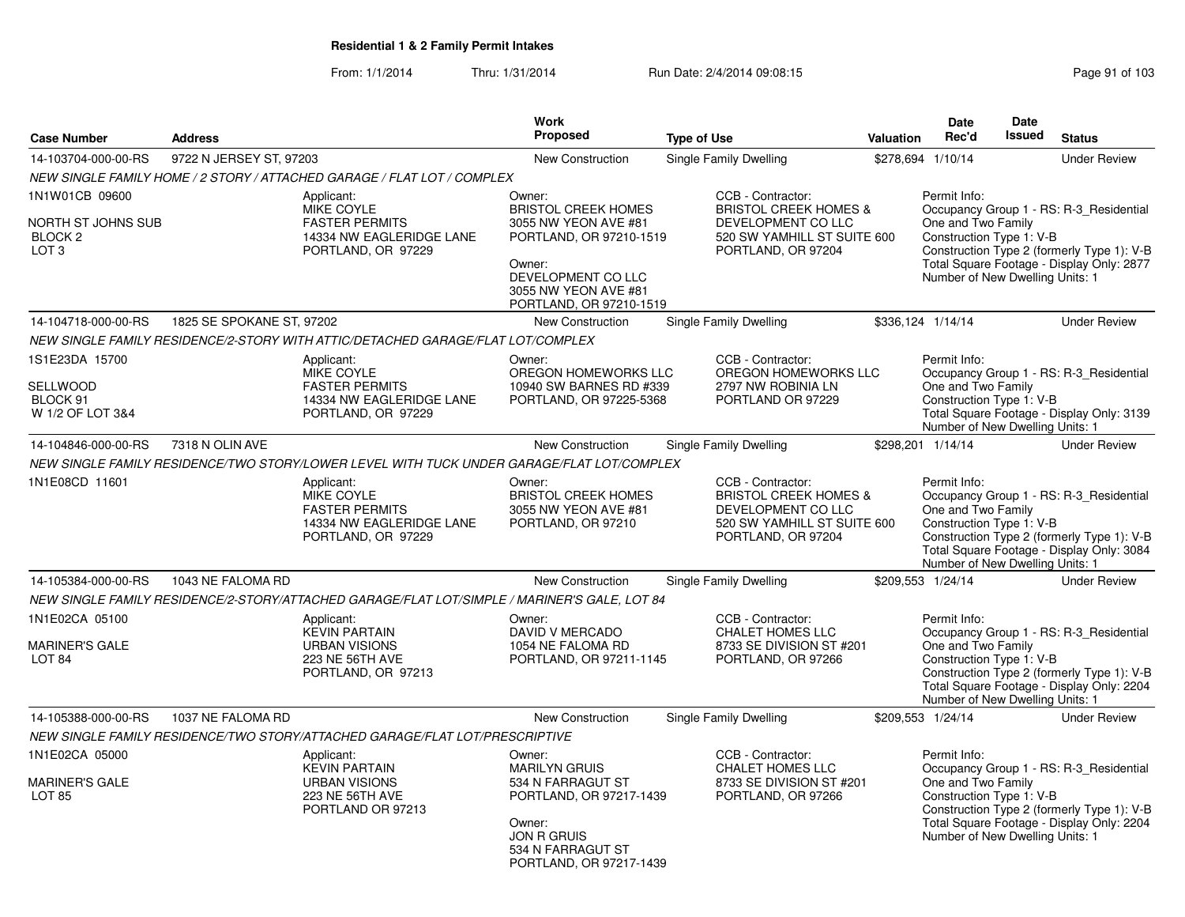|                                                                                |                           |                                                                                                            | <b>Work</b>                                                                                                                                                                |                                                                                                                                  |                  | Date                                                                                              | Date          |                                                                                                                                    |
|--------------------------------------------------------------------------------|---------------------------|------------------------------------------------------------------------------------------------------------|----------------------------------------------------------------------------------------------------------------------------------------------------------------------------|----------------------------------------------------------------------------------------------------------------------------------|------------------|---------------------------------------------------------------------------------------------------|---------------|------------------------------------------------------------------------------------------------------------------------------------|
| <b>Case Number</b>                                                             | <b>Address</b>            |                                                                                                            | Proposed                                                                                                                                                                   | <b>Type of Use</b>                                                                                                               | <b>Valuation</b> | Rec'd                                                                                             | <b>Issued</b> | <b>Status</b>                                                                                                                      |
| 14-103704-000-00-RS                                                            | 9722 N JERSEY ST, 97203   |                                                                                                            | <b>New Construction</b>                                                                                                                                                    | Single Family Dwelling                                                                                                           |                  | \$278,694 1/10/14                                                                                 |               | <b>Under Review</b>                                                                                                                |
|                                                                                |                           | NEW SINGLE FAMILY HOME / 2 STORY / ATTACHED GARAGE / FLAT LOT / COMPLEX                                    |                                                                                                                                                                            |                                                                                                                                  |                  |                                                                                                   |               |                                                                                                                                    |
| 1N1W01CB 09600<br>NORTH ST JOHNS SUB<br>BLOCK <sub>2</sub><br>LOT <sub>3</sub> |                           | Applicant:<br>MIKE COYLE<br><b>FASTER PERMITS</b><br>14334 NW EAGLERIDGE LANE<br>PORTLAND, OR 97229        | Owner:<br><b>BRISTOL CREEK HOMES</b><br>3055 NW YEON AVE #81<br>PORTLAND, OR 97210-1519<br>Owner:<br>DEVELOPMENT CO LLC<br>3055 NW YEON AVE #81<br>PORTLAND, OR 97210-1519 | CCB - Contractor:<br><b>BRISTOL CREEK HOMES &amp;</b><br>DEVELOPMENT CO LLC<br>520 SW YAMHILL ST SUITE 600<br>PORTLAND, OR 97204 |                  | Permit Info:<br>One and Two Family<br>Construction Type 1: V-B<br>Number of New Dwelling Units: 1 |               | Occupancy Group 1 - RS: R-3_Residential<br>Construction Type 2 (formerly Type 1): V-B<br>Total Square Footage - Display Only: 2877 |
| 14-104718-000-00-RS                                                            | 1825 SE SPOKANE ST, 97202 |                                                                                                            | New Construction                                                                                                                                                           | <b>Single Family Dwelling</b>                                                                                                    |                  | \$336,124 1/14/14                                                                                 |               | <b>Under Review</b>                                                                                                                |
|                                                                                |                           | NEW SINGLE FAMILY RESIDENCE/2-STORY WITH ATTIC/DETACHED GARAGE/FLAT LOT/COMPLEX                            |                                                                                                                                                                            |                                                                                                                                  |                  |                                                                                                   |               |                                                                                                                                    |
| 1S1E23DA 15700<br>SELLWOOD<br>BLOCK 91<br>W 1/2 OF LOT 3&4                     |                           | Applicant:<br><b>MIKE COYLE</b><br><b>FASTER PERMITS</b><br>14334 NW EAGLERIDGE LANE<br>PORTLAND, OR 97229 | Owner:<br>OREGON HOMEWORKS LLC<br>10940 SW BARNES RD #339<br>PORTLAND, OR 97225-5368                                                                                       | CCB - Contractor:<br>OREGON HOMEWORKS LLC<br>2797 NW ROBINIA LN<br>PORTLAND OR 97229                                             |                  | Permit Info:<br>One and Two Family<br>Construction Type 1: V-B<br>Number of New Dwelling Units: 1 |               | Occupancy Group 1 - RS: R-3 Residential<br>Total Square Footage - Display Only: 3139                                               |
| 14-104846-000-00-RS                                                            | 7318 N OLIN AVE           |                                                                                                            | <b>New Construction</b>                                                                                                                                                    | Single Family Dwelling                                                                                                           |                  | \$298,201 1/14/14                                                                                 |               | <b>Under Review</b>                                                                                                                |
|                                                                                |                           | NEW SINGLE FAMILY RESIDENCE/TWO STORY/LOWER LEVEL WITH TUCK UNDER GARAGE/FLAT LOT/COMPLEX                  |                                                                                                                                                                            |                                                                                                                                  |                  |                                                                                                   |               |                                                                                                                                    |
| 1N1E08CD 11601                                                                 |                           | Applicant:<br>MIKE COYLE<br><b>FASTER PERMITS</b><br>14334 NW EAGLERIDGE LANE<br>PORTLAND, OR 97229        | Owner:<br><b>BRISTOL CREEK HOMES</b><br>3055 NW YEON AVE #81<br>PORTLAND, OR 97210                                                                                         | CCB - Contractor:<br><b>BRISTOL CREEK HOMES &amp;</b><br>DEVELOPMENT CO LLC<br>520 SW YAMHILL ST SUITE 600<br>PORTLAND, OR 97204 |                  | Permit Info:<br>One and Two Family<br>Construction Type 1: V-B<br>Number of New Dwelling Units: 1 |               | Occupancy Group 1 - RS: R-3 Residential<br>Construction Type 2 (formerly Type 1): V-B<br>Total Square Footage - Display Only: 3084 |
| 14-105384-000-00-RS                                                            | 1043 NE FALOMA RD         |                                                                                                            | <b>New Construction</b>                                                                                                                                                    | Single Family Dwelling                                                                                                           |                  | \$209,553 1/24/14                                                                                 |               | <b>Under Review</b>                                                                                                                |
|                                                                                |                           | NEW SINGLE FAMILY RESIDENCE/2-STORY/ATTACHED GARAGE/FLAT LOT/SIMPLE / MARINER'S GALE, LOT 84               |                                                                                                                                                                            |                                                                                                                                  |                  |                                                                                                   |               |                                                                                                                                    |
| 1N1E02CA 05100<br><b>MARINER'S GALE</b><br>LOT <sub>84</sub>                   |                           | Applicant:<br><b>KEVIN PARTAIN</b><br><b>URBAN VISIONS</b><br>223 NE 56TH AVE<br>PORTLAND, OR 97213        | Owner:<br>DAVID V MERCADO<br>1054 NE FALOMA RD<br>PORTLAND, OR 97211-1145                                                                                                  | CCB - Contractor:<br><b>CHALET HOMES LLC</b><br>8733 SE DIVISION ST #201<br>PORTLAND, OR 97266                                   |                  | Permit Info:<br>One and Two Family<br>Construction Type 1: V-B<br>Number of New Dwelling Units: 1 |               | Occupancy Group 1 - RS: R-3 Residential<br>Construction Type 2 (formerly Type 1): V-B<br>Total Square Footage - Display Only: 2204 |
| 14-105388-000-00-RS                                                            | 1037 NE FALOMA RD         |                                                                                                            | New Construction                                                                                                                                                           | Single Family Dwelling                                                                                                           |                  | \$209,553 1/24/14                                                                                 |               | <b>Under Review</b>                                                                                                                |
|                                                                                |                           | NEW SINGLE FAMILY RESIDENCE/TWO STORY/ATTACHED GARAGE/FLAT LOT/PRESCRIPTIVE                                |                                                                                                                                                                            |                                                                                                                                  |                  |                                                                                                   |               |                                                                                                                                    |
| 1N1E02CA 05000                                                                 |                           | Applicant:<br><b>KEVIN PARTAIN</b>                                                                         | Owner:<br><b>MARILYN GRUIS</b>                                                                                                                                             | CCB - Contractor:<br>CHALET HOMES LLC                                                                                            |                  | Permit Info:                                                                                      |               | Occupancy Group 1 - RS: R-3 Residential                                                                                            |
| <b>MARINER'S GALE</b><br><b>LOT 85</b>                                         |                           | <b>URBAN VISIONS</b><br>223 NE 56TH AVE<br>PORTLAND OR 97213                                               | 534 N FARRAGUT ST<br>PORTLAND, OR 97217-1439<br>Owner:<br><b>JON R GRUIS</b><br>534 N FARRAGUT ST<br>PORTLAND, OR 97217-1439                                               | 8733 SE DIVISION ST #201<br>PORTLAND, OR 97266                                                                                   |                  | One and Two Family<br>Construction Type 1: V-B<br>Number of New Dwelling Units: 1                 |               | Construction Type 2 (formerly Type 1): V-B<br>Total Square Footage - Display Only: 2204                                            |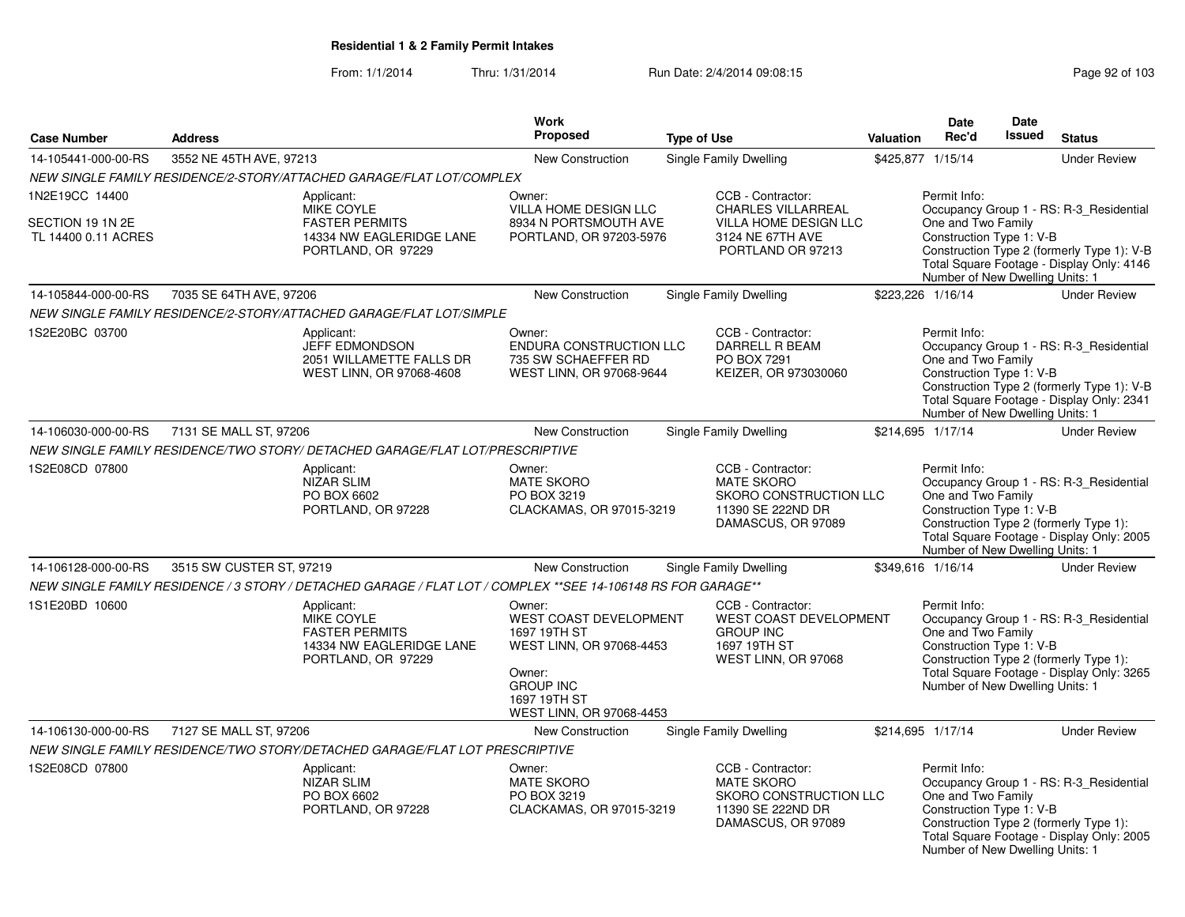| <b>Case Number</b>                                        | <b>Address</b>           |                                                                                                              | Work<br><b>Proposed</b>                                                                                                                                | <b>Type of Use</b> |                                                                                                                  | Valuation | <b>Date</b><br>Rec'd                                                                              | <b>Date</b><br>Issued | <b>Status</b>                                                                                                                      |
|-----------------------------------------------------------|--------------------------|--------------------------------------------------------------------------------------------------------------|--------------------------------------------------------------------------------------------------------------------------------------------------------|--------------------|------------------------------------------------------------------------------------------------------------------|-----------|---------------------------------------------------------------------------------------------------|-----------------------|------------------------------------------------------------------------------------------------------------------------------------|
| 14-105441-000-00-RS                                       | 3552 NE 45TH AVE, 97213  |                                                                                                              | New Construction                                                                                                                                       |                    | <b>Single Family Dwelling</b>                                                                                    |           | \$425,877 1/15/14                                                                                 |                       | <b>Under Review</b>                                                                                                                |
|                                                           |                          | NEW SINGLE FAMILY RESIDENCE/2-STORY/ATTACHED GARAGE/FLAT LOT/COMPLEX                                         |                                                                                                                                                        |                    |                                                                                                                  |           |                                                                                                   |                       |                                                                                                                                    |
| 1N2E19CC 14400<br>SECTION 19 1N 2E<br>TL 14400 0.11 ACRES |                          | Applicant:<br>MIKE COYLE<br><b>FASTER PERMITS</b><br>14334 NW EAGLERIDGE LANE<br>PORTLAND, OR 97229          | Owner:<br>VILLA HOME DESIGN LLC<br>8934 N PORTSMOUTH AVE<br>PORTLAND, OR 97203-5976                                                                    |                    | CCB - Contractor:<br><b>CHARLES VILLARREAL</b><br>VILLA HOME DESIGN LLC<br>3124 NE 67TH AVE<br>PORTLAND OR 97213 |           | Permit Info:<br>One and Two Family<br>Construction Type 1: V-B<br>Number of New Dwelling Units: 1 |                       | Occupancy Group 1 - RS: R-3_Residential<br>Construction Type 2 (formerly Type 1): V-B<br>Total Square Footage - Display Only: 4146 |
| 14-105844-000-00-RS                                       | 7035 SE 64TH AVE, 97206  |                                                                                                              | New Construction                                                                                                                                       |                    | Single Family Dwelling                                                                                           |           | \$223,226 1/16/14                                                                                 |                       | <b>Under Review</b>                                                                                                                |
|                                                           |                          | NEW SINGLE FAMILY RESIDENCE/2-STORY/ATTACHED GARAGE/FLAT LOT/SIMPLE                                          |                                                                                                                                                        |                    |                                                                                                                  |           |                                                                                                   |                       |                                                                                                                                    |
| 1S2E20BC 03700                                            |                          | Applicant:<br>JEFF EDMONDSON<br>2051 WILLAMETTE FALLS DR<br>WEST LINN, OR 97068-4608                         | Owner:<br>ENDURA CONSTRUCTION LLC<br>735 SW SCHAEFFER RD<br>WEST LINN, OR 97068-9644                                                                   |                    | CCB - Contractor:<br>DARRELL R BEAM<br>PO BOX 7291<br>KEIZER, OR 973030060                                       |           | Permit Info:<br>One and Two Family<br>Construction Type 1: V-B<br>Number of New Dwelling Units: 1 |                       | Occupancy Group 1 - RS: R-3 Residential<br>Construction Type 2 (formerly Type 1): V-B<br>Total Square Footage - Display Only: 2341 |
| 14-106030-000-00-RS                                       | 7131 SE MALL ST, 97206   |                                                                                                              | New Construction                                                                                                                                       |                    | Single Family Dwelling                                                                                           |           | \$214,695 1/17/14                                                                                 |                       | <b>Under Review</b>                                                                                                                |
|                                                           |                          | NEW SINGLE FAMILY RESIDENCE/TWO STORY/ DETACHED GARAGE/FLAT LOT/PRESCRIPTIVE                                 |                                                                                                                                                        |                    |                                                                                                                  |           |                                                                                                   |                       |                                                                                                                                    |
| 1S2E08CD 07800                                            |                          | Applicant:<br><b>NIZAR SLIM</b><br>PO BOX 6602<br>PORTLAND, OR 97228                                         | Owner:<br><b>MATE SKORO</b><br>PO BOX 3219<br>CLACKAMAS, OR 97015-3219                                                                                 |                    | CCB - Contractor:<br><b>MATE SKORO</b><br>SKORO CONSTRUCTION LLC<br>11390 SE 222ND DR<br>DAMASCUS, OR 97089      |           | Permit Info:<br>One and Two Family<br>Construction Type 1: V-B<br>Number of New Dwelling Units: 1 |                       | Occupancy Group 1 - RS: R-3_Residential<br>Construction Type 2 (formerly Type 1):<br>Total Square Footage - Display Only: 2005     |
| 14-106128-000-00-RS                                       | 3515 SW CUSTER ST, 97219 |                                                                                                              | <b>New Construction</b>                                                                                                                                |                    | Single Family Dwelling                                                                                           |           | \$349,616 1/16/14                                                                                 |                       | <b>Under Review</b>                                                                                                                |
|                                                           |                          | NEW SINGLE FAMILY RESIDENCE / 3 STORY / DETACHED GARAGE / FLAT LOT / COMPLEX **SEE 14-106148 RS FOR GARAGE** |                                                                                                                                                        |                    |                                                                                                                  |           |                                                                                                   |                       |                                                                                                                                    |
| 1S1E20BD 10600                                            |                          | Applicant:<br>MIKE COYLE<br><b>FASTER PERMITS</b><br>14334 NW EAGLERIDGE LANE<br>PORTLAND, OR 97229          | Owner:<br>WEST COAST DEVELOPMENT<br>1697 19TH ST<br>WEST LINN, OR 97068-4453<br>Owner:<br><b>GROUP INC</b><br>1697 19TH ST<br>WEST LINN, OR 97068-4453 |                    | CCB - Contractor:<br>WEST COAST DEVELOPMENT<br><b>GROUP INC</b><br>1697 19TH ST<br>WEST LINN, OR 97068           |           | Permit Info:<br>One and Two Family<br>Construction Type 1: V-B<br>Number of New Dwelling Units: 1 |                       | Occupancy Group 1 - RS: R-3_Residential<br>Construction Type 2 (formerly Type 1):<br>Total Square Footage - Display Only: 3265     |
| 14-106130-000-00-RS                                       | 7127 SE MALL ST, 97206   |                                                                                                              | New Construction                                                                                                                                       |                    | Single Family Dwelling                                                                                           |           | \$214,695 1/17/14                                                                                 |                       | <b>Under Review</b>                                                                                                                |
|                                                           |                          | NEW SINGLE FAMILY RESIDENCE/TWO STORY/DETACHED GARAGE/FLAT LOT PRESCRIPTIVE                                  |                                                                                                                                                        |                    |                                                                                                                  |           |                                                                                                   |                       |                                                                                                                                    |
| 1S2E08CD 07800                                            |                          | Applicant:<br><b>NIZAR SLIM</b><br>PO BOX 6602<br>PORTLAND, OR 97228                                         | Owner:<br><b>MATE SKORO</b><br>PO BOX 3219<br>CLACKAMAS, OR 97015-3219                                                                                 |                    | CCB - Contractor:<br><b>MATE SKORO</b><br>SKORO CONSTRUCTION LLC<br>11390 SE 222ND DR<br>DAMASCUS, OR 97089      |           | Permit Info:<br>One and Two Family<br>Construction Type 1: V-B<br>Number of New Dwelling Units: 1 |                       | Occupancy Group 1 - RS: R-3_Residential<br>Construction Type 2 (formerly Type 1):<br>Total Square Footage - Display Only: 2005     |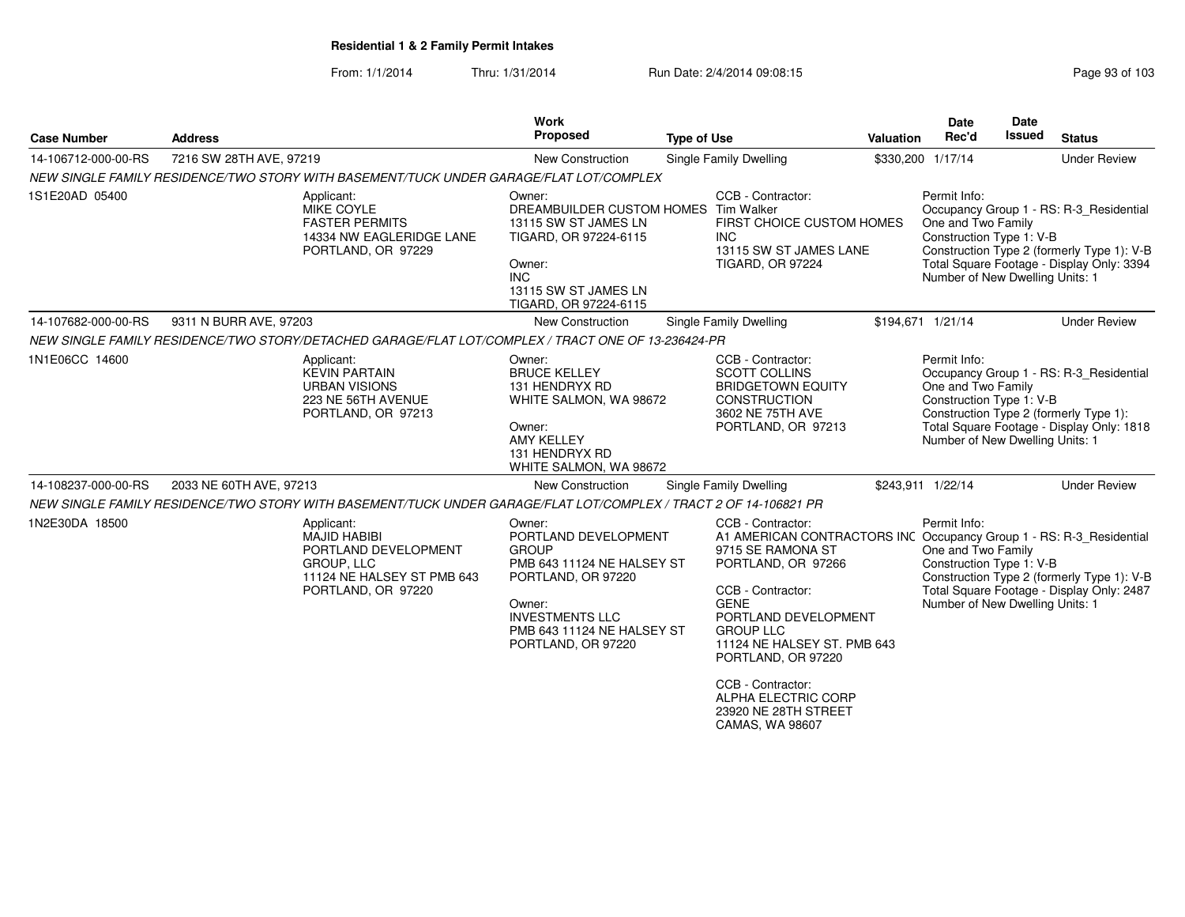From: 1/1/2014Thru: 1/31/2014 Run Date: 2/4/2014 09:08:15 Research 2010 103

| <b>Case Number</b>  | <b>Address</b>                                                                                                              | Work<br>Proposed                                                                                                                                                                                  | <b>Type of Use</b>                                                                                                                                                                                                                                                                                                                                              | Valuation | <b>Date</b><br>Rec'd                                                                              | <b>Date</b><br><b>Issued</b> | <b>Status</b>                                                                                                                      |
|---------------------|-----------------------------------------------------------------------------------------------------------------------------|---------------------------------------------------------------------------------------------------------------------------------------------------------------------------------------------------|-----------------------------------------------------------------------------------------------------------------------------------------------------------------------------------------------------------------------------------------------------------------------------------------------------------------------------------------------------------------|-----------|---------------------------------------------------------------------------------------------------|------------------------------|------------------------------------------------------------------------------------------------------------------------------------|
| 14-106712-000-00-RS | 7216 SW 28TH AVE, 97219                                                                                                     | <b>New Construction</b>                                                                                                                                                                           | Single Family Dwelling                                                                                                                                                                                                                                                                                                                                          |           | \$330,200 1/17/14                                                                                 |                              | <b>Under Review</b>                                                                                                                |
|                     | NEW SINGLE FAMILY RESIDENCE/TWO STORY WITH BASEMENT/TUCK UNDER GARAGE/FLAT LOT/COMPLEX                                      |                                                                                                                                                                                                   |                                                                                                                                                                                                                                                                                                                                                                 |           |                                                                                                   |                              |                                                                                                                                    |
| 1S1E20AD 05400      | Applicant:<br>MIKE COYLE<br><b>FASTER PERMITS</b><br>14334 NW EAGLERIDGE LANE<br>PORTLAND, OR 97229                         | Owner:<br>DREAMBUILDER CUSTOM HOMES Tim Walker<br>13115 SW ST JAMES LN<br>TIGARD, OR 97224-6115<br>Owner:<br><b>INC</b><br>13115 SW ST JAMES LN<br>TIGARD, OR 97224-6115                          | CCB - Contractor:<br>FIRST CHOICE CUSTOM HOMES<br><b>INC</b><br>13115 SW ST JAMES LANE<br><b>TIGARD, OR 97224</b>                                                                                                                                                                                                                                               |           | Permit Info:<br>One and Two Family<br>Construction Type 1: V-B<br>Number of New Dwelling Units: 1 |                              | Occupancy Group 1 - RS: R-3_Residential<br>Construction Type 2 (formerly Type 1): V-B<br>Total Square Footage - Display Only: 3394 |
| 14-107682-000-00-RS | 9311 N BURR AVE, 97203                                                                                                      | <b>New Construction</b>                                                                                                                                                                           | Single Family Dwelling                                                                                                                                                                                                                                                                                                                                          |           | \$194,671 1/21/14                                                                                 |                              | <b>Under Review</b>                                                                                                                |
|                     | NEW SINGLE FAMILY RESIDENCE/TWO STORY/DETACHED GARAGE/FLAT LOT/COMPLEX / TRACT ONE OF 13-236424-PR                          |                                                                                                                                                                                                   |                                                                                                                                                                                                                                                                                                                                                                 |           |                                                                                                   |                              |                                                                                                                                    |
| 1N1E06CC 14600      | Applicant:<br><b>KEVIN PARTAIN</b><br><b>URBAN VISIONS</b><br>223 NE 56TH AVENUE<br>PORTLAND, OR 97213                      | Owner:<br><b>BRUCE KELLEY</b><br>131 HENDRYX RD<br>WHITE SALMON, WA 98672<br>Owner:<br><b>AMY KELLEY</b><br>131 HENDRYX RD<br>WHITE SALMON, WA 98672                                              | CCB - Contractor:<br><b>SCOTT COLLINS</b><br><b>BRIDGETOWN EQUITY</b><br><b>CONSTRUCTION</b><br>3602 NE 75TH AVE<br>PORTLAND, OR 97213                                                                                                                                                                                                                          |           | Permit Info:<br>One and Two Family<br>Construction Type 1: V-B<br>Number of New Dwelling Units: 1 |                              | Occupancy Group 1 - RS: R-3_Residential<br>Construction Type 2 (formerly Type 1):<br>Total Square Footage - Display Only: 1818     |
| 14-108237-000-00-RS | 2033 NE 60TH AVE, 97213                                                                                                     | <b>New Construction</b>                                                                                                                                                                           | Single Family Dwelling                                                                                                                                                                                                                                                                                                                                          |           | \$243,911 1/22/14                                                                                 |                              | <b>Under Review</b>                                                                                                                |
|                     | NEW SINGLE FAMILY RESIDENCE/TWO STORY WITH BASEMENT/TUCK UNDER GARAGE/FLAT LOT/COMPLEX / TRACT 2 OF 14-106821 PR            |                                                                                                                                                                                                   |                                                                                                                                                                                                                                                                                                                                                                 |           |                                                                                                   |                              |                                                                                                                                    |
| 1N2E30DA 18500      | Applicant:<br><b>MAJID HABIBI</b><br>PORTLAND DEVELOPMENT<br>GROUP, LLC<br>11124 NE HALSEY ST PMB 643<br>PORTLAND, OR 97220 | Owner:<br>PORTLAND DEVELOPMENT<br><b>GROUP</b><br>PMB 643 11124 NE HALSEY ST<br>PORTLAND, OR 97220<br>Owner:<br><b>INVESTMENTS LLC</b><br><b>PMB 643 11124 NE HALSEY ST</b><br>PORTLAND, OR 97220 | CCB - Contractor:<br>A1 AMERICAN CONTRACTORS INC Occupancy Group 1 - RS: R-3_Residential<br>9715 SE RAMONA ST<br>PORTLAND, OR 97266<br>CCB - Contractor:<br><b>GENE</b><br>PORTLAND DEVELOPMENT<br><b>GROUP LLC</b><br>11124 NE HALSEY ST. PMB 643<br>PORTLAND, OR 97220<br>CCB - Contractor:<br>ALPHA ELECTRIC CORP<br>23920 NE 28TH STREET<br>CAMAS, WA 98607 |           | Permit Info:<br>One and Two Family<br>Construction Type 1: V-B<br>Number of New Dwelling Units: 1 |                              | Construction Type 2 (formerly Type 1): V-B<br>Total Square Footage - Display Only: 2487                                            |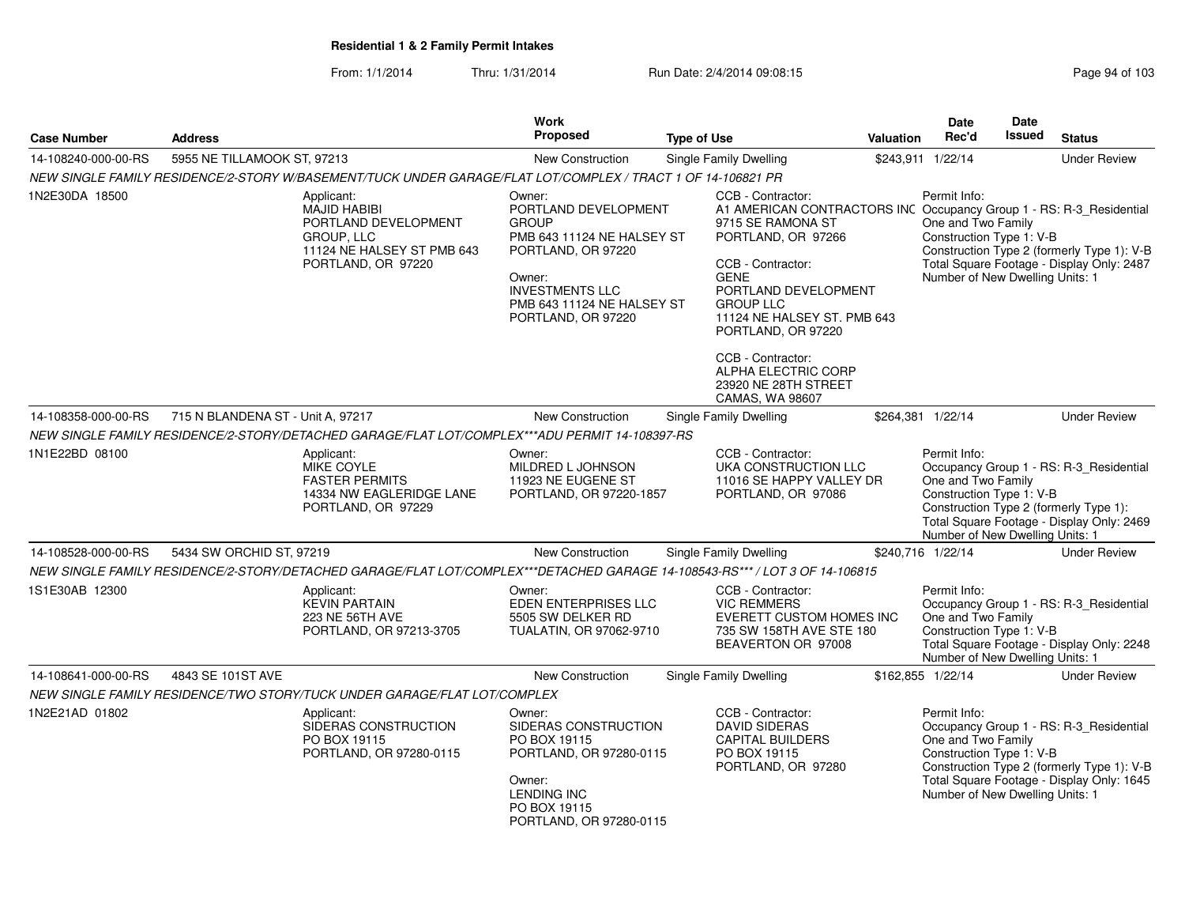From: 1/1/2014Thru: 1/31/2014 Run Date: 2/4/2014 09:08:15

| Page 94 of 10 |  |  |
|---------------|--|--|
|               |  |  |

|                     |                                   |                                                                                                                             | <b>Work</b>                                                                                                                                                                                |                    |                                                                                                                                                                                                                                                                                                                                                                 |                  | Date                                                                                              | Date          |                                                                                                                                    |
|---------------------|-----------------------------------|-----------------------------------------------------------------------------------------------------------------------------|--------------------------------------------------------------------------------------------------------------------------------------------------------------------------------------------|--------------------|-----------------------------------------------------------------------------------------------------------------------------------------------------------------------------------------------------------------------------------------------------------------------------------------------------------------------------------------------------------------|------------------|---------------------------------------------------------------------------------------------------|---------------|------------------------------------------------------------------------------------------------------------------------------------|
| <b>Case Number</b>  | <b>Address</b>                    |                                                                                                                             | <b>Proposed</b>                                                                                                                                                                            | <b>Type of Use</b> |                                                                                                                                                                                                                                                                                                                                                                 | <b>Valuation</b> | Rec'd                                                                                             | <b>Issued</b> | <b>Status</b>                                                                                                                      |
| 14-108240-000-00-RS | 5955 NE TILLAMOOK ST, 97213       |                                                                                                                             | <b>New Construction</b>                                                                                                                                                                    |                    | Single Family Dwelling                                                                                                                                                                                                                                                                                                                                          |                  | \$243,911 1/22/14                                                                                 |               | <b>Under Review</b>                                                                                                                |
|                     |                                   | NEW SINGLE FAMILY RESIDENCE/2-STORY W/BASEMENT/TUCK UNDER GARAGE/FLAT LOT/COMPLEX / TRACT 1 OF 14-106821 PR                 |                                                                                                                                                                                            |                    |                                                                                                                                                                                                                                                                                                                                                                 |                  |                                                                                                   |               |                                                                                                                                    |
| 1N2E30DA 18500      |                                   | Applicant:<br><b>MAJID HABIBI</b><br>PORTLAND DEVELOPMENT<br>GROUP, LLC<br>11124 NE HALSEY ST PMB 643<br>PORTLAND, OR 97220 | Owner:<br>PORTLAND DEVELOPMENT<br><b>GROUP</b><br>PMB 643 11124 NE HALSEY ST<br>PORTLAND, OR 97220<br>Owner:<br><b>INVESTMENTS LLC</b><br>PMB 643 11124 NE HALSEY ST<br>PORTLAND, OR 97220 |                    | CCB - Contractor:<br>A1 AMERICAN CONTRACTORS INC Occupancy Group 1 - RS: R-3_Residential<br>9715 SE RAMONA ST<br>PORTLAND, OR 97266<br>CCB - Contractor:<br><b>GENE</b><br>PORTLAND DEVELOPMENT<br><b>GROUP LLC</b><br>11124 NE HALSEY ST. PMB 643<br>PORTLAND, OR 97220<br>CCB - Contractor:<br>ALPHA ELECTRIC CORP<br>23920 NE 28TH STREET<br>CAMAS, WA 98607 |                  | Permit Info:<br>One and Two Family<br>Construction Type 1: V-B<br>Number of New Dwelling Units: 1 |               | Construction Type 2 (formerly Type 1): V-B<br>Total Square Footage - Display Only: 2487                                            |
| 14-108358-000-00-RS | 715 N BLANDENA ST - Unit A, 97217 |                                                                                                                             | <b>New Construction</b>                                                                                                                                                                    |                    | Single Family Dwelling                                                                                                                                                                                                                                                                                                                                          |                  | \$264,381 1/22/14                                                                                 |               | <b>Under Review</b>                                                                                                                |
|                     |                                   | NEW SINGLE FAMILY RESIDENCE/2-STORY/DETACHED GARAGE/FLAT LOT/COMPLEX***ADU PERMIT 14-108397-RS                              |                                                                                                                                                                                            |                    |                                                                                                                                                                                                                                                                                                                                                                 |                  |                                                                                                   |               |                                                                                                                                    |
| 1N1E22BD 08100      |                                   | Applicant:<br>MIKE COYLE<br><b>FASTER PERMITS</b><br>14334 NW EAGLERIDGE LANE<br>PORTLAND, OR 97229                         | Owner:<br>MILDRED L JOHNSON<br>11923 NE EUGENE ST<br>PORTLAND, OR 97220-1857                                                                                                               |                    | CCB - Contractor:<br>UKA CONSTRUCTION LLC<br>11016 SE HAPPY VALLEY DR<br>PORTLAND, OR 97086                                                                                                                                                                                                                                                                     |                  | Permit Info:<br>One and Two Family<br>Construction Type 1: V-B<br>Number of New Dwelling Units: 1 |               | Occupancy Group 1 - RS: R-3 Residential<br>Construction Type 2 (formerly Type 1):<br>Total Square Footage - Display Only: 2469     |
| 14-108528-000-00-RS | 5434 SW ORCHID ST, 97219          |                                                                                                                             | New Construction                                                                                                                                                                           |                    | Single Family Dwelling                                                                                                                                                                                                                                                                                                                                          |                  | \$240,716 1/22/14                                                                                 |               | <b>Under Review</b>                                                                                                                |
|                     |                                   | NEW SINGLE FAMILY RESIDENCE/2-STORY/DETACHED GARAGE/FLAT LOT/COMPLEX***DETACHED GARAGE 14-108543-RS*** / LOT 3 OF 14-106815 |                                                                                                                                                                                            |                    |                                                                                                                                                                                                                                                                                                                                                                 |                  |                                                                                                   |               |                                                                                                                                    |
| 1S1E30AB 12300      |                                   | Applicant:<br><b>KEVIN PARTAIN</b><br>223 NE 56TH AVE<br>PORTLAND, OR 97213-3705                                            | Owner:<br>EDEN ENTERPRISES LLC<br>5505 SW DELKER RD<br>TUALATIN, OR 97062-9710                                                                                                             |                    | CCB - Contractor:<br><b>VIC REMMERS</b><br>EVERETT CUSTOM HOMES INC<br>735 SW 158TH AVE STE 180<br>BEAVERTON OR 97008                                                                                                                                                                                                                                           |                  | Permit Info:<br>One and Two Family<br>Construction Type 1: V-B<br>Number of New Dwelling Units: 1 |               | Occupancy Group 1 - RS: R-3_Residential<br>Total Square Footage - Display Only: 2248                                               |
| 14-108641-000-00-RS | 4843 SE 101ST AVE                 |                                                                                                                             | New Construction                                                                                                                                                                           |                    | Single Family Dwelling                                                                                                                                                                                                                                                                                                                                          |                  | \$162,855 1/22/14                                                                                 |               | <b>Under Review</b>                                                                                                                |
|                     |                                   | NEW SINGLE FAMILY RESIDENCE/TWO STORY/TUCK UNDER GARAGE/FLAT LOT/COMPLEX                                                    |                                                                                                                                                                                            |                    |                                                                                                                                                                                                                                                                                                                                                                 |                  |                                                                                                   |               |                                                                                                                                    |
| 1N2E21AD 01802      |                                   | Applicant:<br>SIDERAS CONSTRUCTION<br>PO BOX 19115<br>PORTLAND, OR 97280-0115                                               | Owner:<br>SIDERAS CONSTRUCTION<br>PO BOX 19115<br>PORTLAND, OR 97280-0115<br>Owner:<br><b>LENDING INC</b><br>PO BOX 19115<br>PORTLAND, OR 97280-0115                                       |                    | CCB - Contractor:<br><b>DAVID SIDERAS</b><br>CAPITAL BUILDERS<br>PO BOX 19115<br>PORTLAND, OR 97280                                                                                                                                                                                                                                                             |                  | Permit Info:<br>One and Two Family<br>Construction Type 1: V-B<br>Number of New Dwelling Units: 1 |               | Occupancy Group 1 - RS: R-3 Residential<br>Construction Type 2 (formerly Type 1): V-B<br>Total Square Footage - Display Only: 1645 |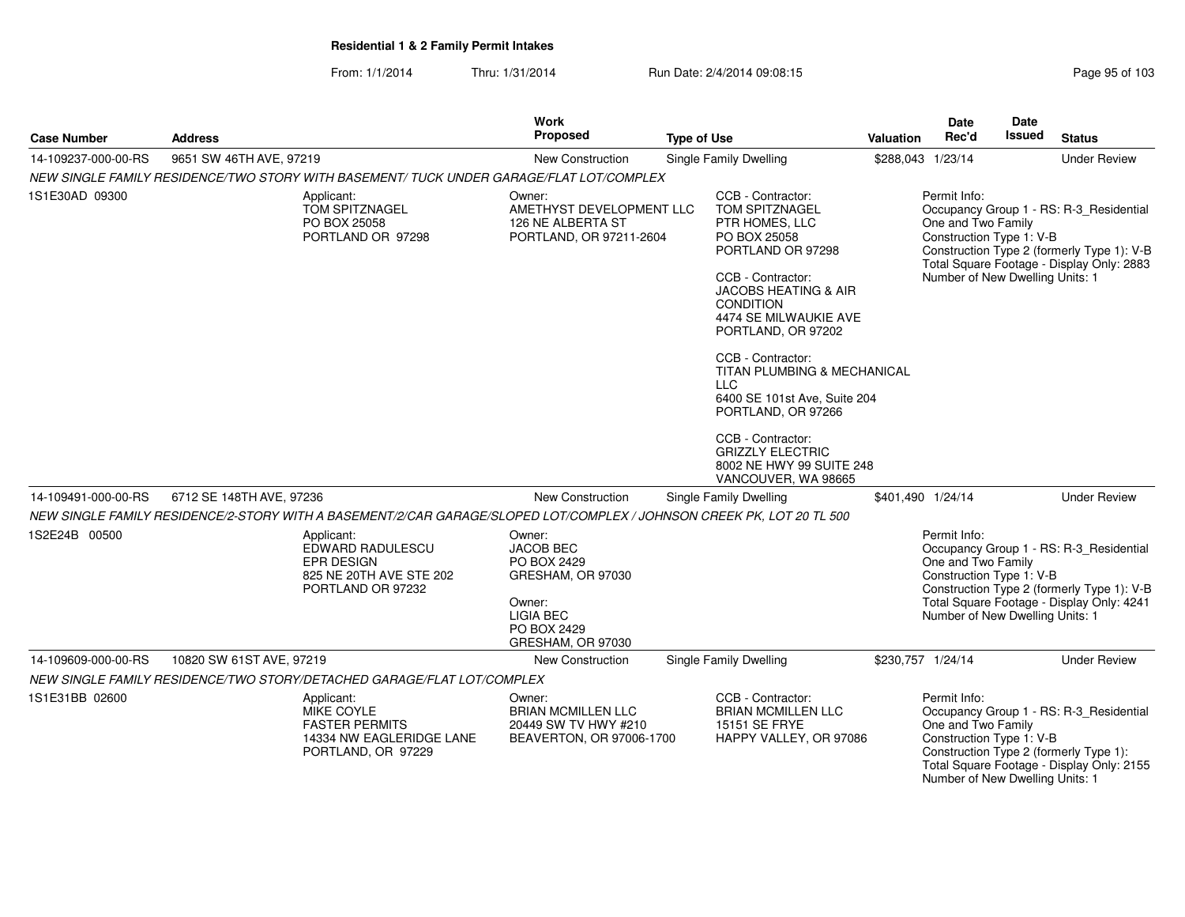| <b>Case Number</b>  | <b>Address</b>                                                                                                        | <b>Work</b><br><b>Proposed</b>                                                                                            | <b>Type of Use</b>                                                                                                                                                                                                                                                                                                                                                                                                               | <b>Valuation</b> | <b>Date</b><br>Rec'd                                                                              | Date<br>Issued | <b>Status</b>                                                                                                                      |
|---------------------|-----------------------------------------------------------------------------------------------------------------------|---------------------------------------------------------------------------------------------------------------------------|----------------------------------------------------------------------------------------------------------------------------------------------------------------------------------------------------------------------------------------------------------------------------------------------------------------------------------------------------------------------------------------------------------------------------------|------------------|---------------------------------------------------------------------------------------------------|----------------|------------------------------------------------------------------------------------------------------------------------------------|
| 14-109237-000-00-RS | 9651 SW 46TH AVE, 97219                                                                                               | New Construction                                                                                                          | Single Family Dwelling                                                                                                                                                                                                                                                                                                                                                                                                           |                  | \$288,043 1/23/14                                                                                 |                | <b>Under Review</b>                                                                                                                |
|                     | NEW SINGLE FAMILY RESIDENCE/TWO STORY WITH BASEMENT/ TUCK UNDER GARAGE/FLAT LOT/COMPLEX                               |                                                                                                                           |                                                                                                                                                                                                                                                                                                                                                                                                                                  |                  |                                                                                                   |                |                                                                                                                                    |
| 1S1E30AD 09300      | Applicant:<br>TOM SPITZNAGEL<br>PO BOX 25058<br>PORTLAND OR 97298                                                     | Owner:<br>AMETHYST DEVELOPMENT LLC<br>126 NE ALBERTA ST<br>PORTLAND, OR 97211-2604                                        | CCB - Contractor:<br><b>TOM SPITZNAGEL</b><br>PTR HOMES, LLC<br>PO BOX 25058<br>PORTLAND OR 97298<br>CCB - Contractor:<br><b>JACOBS HEATING &amp; AIR</b><br><b>CONDITION</b><br>4474 SE MILWAUKIE AVE<br>PORTLAND, OR 97202<br>CCB - Contractor:<br>TITAN PLUMBING & MECHANICAL<br><b>LLC</b><br>6400 SE 101st Ave, Suite 204<br>PORTLAND, OR 97266<br>CCB - Contractor:<br><b>GRIZZLY ELECTRIC</b><br>8002 NE HWY 99 SUITE 248 |                  | Permit Info:<br>One and Two Family<br>Construction Type 1: V-B<br>Number of New Dwelling Units: 1 |                | Occupancy Group 1 - RS: R-3_Residential<br>Construction Type 2 (formerly Type 1): V-B<br>Total Square Footage - Display Only: 2883 |
| 14-109491-000-00-RS | 6712 SE 148TH AVE, 97236                                                                                              | New Construction                                                                                                          | VANCOUVER, WA 98665<br>Single Family Dwelling                                                                                                                                                                                                                                                                                                                                                                                    |                  | \$401,490 1/24/14                                                                                 |                | <b>Under Review</b>                                                                                                                |
|                     | NEW SINGLE FAMILY RESIDENCE/2-STORY WITH A BASEMENT/2/CAR GARAGE/SLOPED LOT/COMPLEX / JOHNSON CREEK PK, LOT 20 TL 500 |                                                                                                                           |                                                                                                                                                                                                                                                                                                                                                                                                                                  |                  |                                                                                                   |                |                                                                                                                                    |
| 1S2E24B 00500       | Applicant:<br>EDWARD RADULESCU<br><b>EPR DESIGN</b><br>825 NE 20TH AVE STE 202<br>PORTLAND OR 97232                   | Owner:<br>JACOB BEC<br>PO BOX 2429<br>GRESHAM, OR 97030<br>Owner:<br><b>LIGIA BEC</b><br>PO BOX 2429<br>GRESHAM, OR 97030 |                                                                                                                                                                                                                                                                                                                                                                                                                                  |                  | Permit Info:<br>One and Two Family<br>Construction Type 1: V-B<br>Number of New Dwelling Units: 1 |                | Occupancy Group 1 - RS: R-3_Residential<br>Construction Type 2 (formerly Type 1): V-B<br>Total Square Footage - Display Only: 4241 |
| 14-109609-000-00-RS | 10820 SW 61ST AVE, 97219                                                                                              | New Construction                                                                                                          | Single Family Dwelling                                                                                                                                                                                                                                                                                                                                                                                                           |                  | \$230,757 1/24/14                                                                                 |                | <b>Under Review</b>                                                                                                                |
|                     | NEW SINGLE FAMILY RESIDENCE/TWO STORY/DETACHED GARAGE/FLAT LOT/COMPLEX                                                |                                                                                                                           |                                                                                                                                                                                                                                                                                                                                                                                                                                  |                  |                                                                                                   |                |                                                                                                                                    |
| 1S1E31BB 02600      | Applicant:<br>MIKE COYLE<br><b>FASTER PERMITS</b><br>14334 NW EAGLERIDGE LANE<br>PORTLAND, OR 97229                   | Owner:<br><b>BRIAN MCMILLEN LLC</b><br>20449 SW TV HWY #210<br>BEAVERTON, OR 97006-1700                                   | CCB - Contractor:<br><b>BRIAN MCMILLEN LLC</b><br><b>15151 SE FRYE</b><br>HAPPY VALLEY, OR 97086                                                                                                                                                                                                                                                                                                                                 |                  | Permit Info:<br>One and Two Family<br>Construction Type 1: V-B<br>Number of New Dwelling Units: 1 |                | Occupancy Group 1 - RS: R-3_Residential<br>Construction Type 2 (formerly Type 1):<br>Total Square Footage - Display Only: 2155     |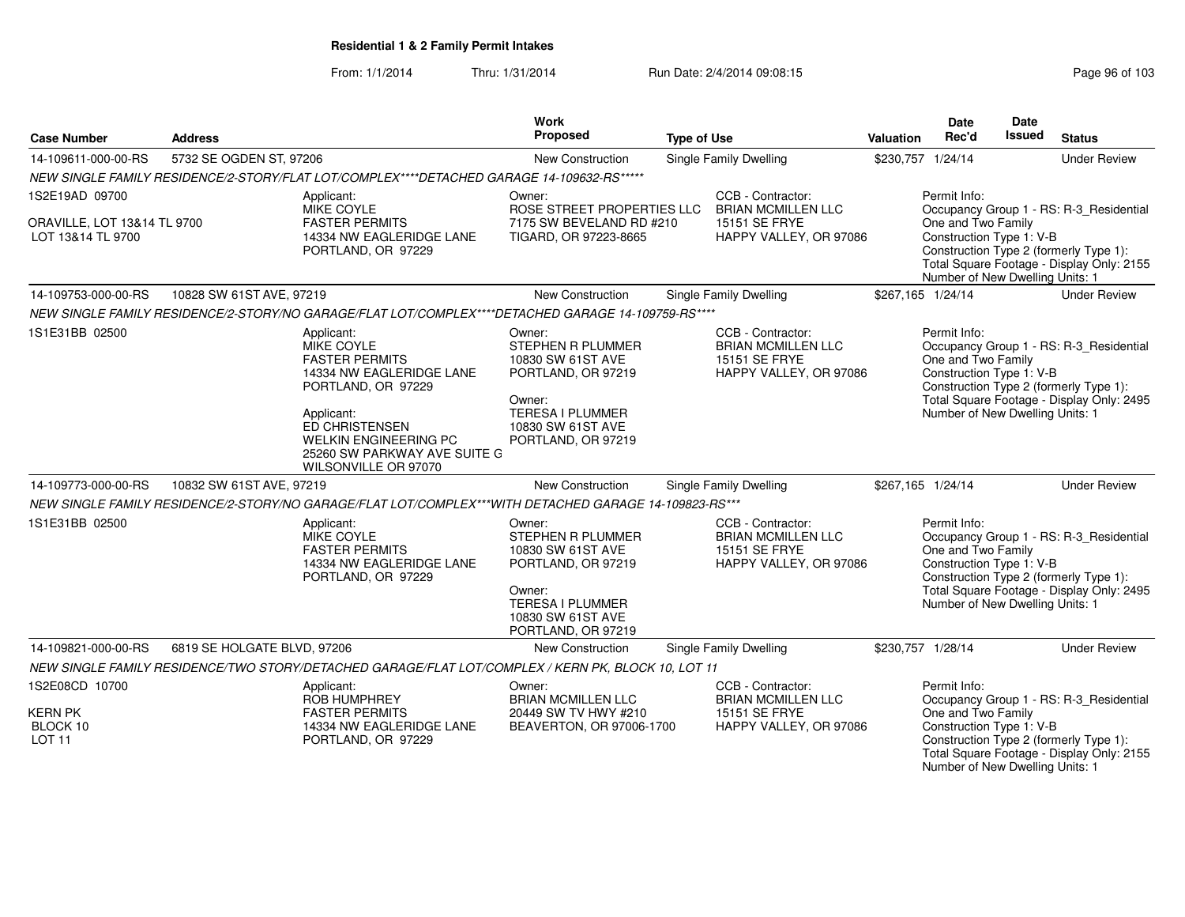From: 1/1/2014Thru: 1/31/2014 Run Date: 2/4/2014 09:08:15 Run Date: 2/4/2014 09:08:15

| <b>Case Number</b>                                                 | <b>Address</b>              |                                                                                                                                                                                                                             | <b>Work</b><br>Proposed                                                                                                                                       | <b>Type of Use</b> |                                                                                           | Valuation | Date<br>Rec'd                                                                                     | Date<br><b>Issued</b> | <b>Status</b>                                                                                                                  |
|--------------------------------------------------------------------|-----------------------------|-----------------------------------------------------------------------------------------------------------------------------------------------------------------------------------------------------------------------------|---------------------------------------------------------------------------------------------------------------------------------------------------------------|--------------------|-------------------------------------------------------------------------------------------|-----------|---------------------------------------------------------------------------------------------------|-----------------------|--------------------------------------------------------------------------------------------------------------------------------|
| 14-109611-000-00-RS                                                | 5732 SE OGDEN ST, 97206     |                                                                                                                                                                                                                             | New Construction                                                                                                                                              |                    | <b>Single Family Dwelling</b>                                                             |           | \$230,757 1/24/14                                                                                 |                       | <b>Under Review</b>                                                                                                            |
|                                                                    |                             | NEW SINGLE FAMILY RESIDENCE/2-STORY/FLAT LOT/COMPLEX****DETACHED GARAGE 14-109632-RS*****                                                                                                                                   |                                                                                                                                                               |                    |                                                                                           |           |                                                                                                   |                       |                                                                                                                                |
| 1S2E19AD 09700<br>ORAVILLE, LOT 13&14 TL 9700<br>LOT 13&14 TL 9700 |                             | Applicant:<br><b>MIKE COYLE</b><br><b>FASTER PERMITS</b><br>14334 NW EAGLERIDGE LANE<br>PORTLAND, OR 97229                                                                                                                  | Owner:<br>ROSE STREET PROPERTIES LLC<br>7175 SW BEVELAND RD #210<br>TIGARD, OR 97223-8665                                                                     |                    | CCB - Contractor:<br><b>BRIAN MCMILLEN LLC</b><br>15151 SE FRYE<br>HAPPY VALLEY, OR 97086 |           | Permit Info:<br>One and Two Family<br>Construction Type 1: V-B<br>Number of New Dwelling Units: 1 |                       | Occupancy Group 1 - RS: R-3_Residential<br>Construction Type 2 (formerly Type 1):<br>Total Square Footage - Display Only: 2155 |
| 14-109753-000-00-RS                                                | 10828 SW 61ST AVE, 97219    |                                                                                                                                                                                                                             | New Construction                                                                                                                                              |                    | <b>Single Family Dwelling</b>                                                             |           | \$267,165 1/24/14                                                                                 |                       | <b>Under Review</b>                                                                                                            |
|                                                                    |                             | NEW SINGLE FAMILY RESIDENCE/2-STORY/NO GARAGE/FLAT LOT/COMPLEX****DETACHED GARAGE 14-109759-RS****                                                                                                                          |                                                                                                                                                               |                    |                                                                                           |           |                                                                                                   |                       |                                                                                                                                |
| 1S1E31BB 02500                                                     |                             | Applicant:<br>MIKE COYLE<br><b>FASTER PERMITS</b><br>14334 NW EAGLERIDGE LANE<br>PORTLAND, OR 97229<br>Applicant:<br>ED CHRISTENSEN<br><b>WELKIN ENGINEERING PC</b><br>25260 SW PARKWAY AVE SUITE G<br>WILSONVILLE OR 97070 | Owner:<br><b>STEPHEN R PLUMMER</b><br>10830 SW 61ST AVE<br>PORTLAND, OR 97219<br>Owner:<br><b>TERESA I PLUMMER</b><br>10830 SW 61ST AVE<br>PORTLAND, OR 97219 |                    | CCB - Contractor:<br><b>BRIAN MCMILLEN LLC</b><br>15151 SE FRYE<br>HAPPY VALLEY, OR 97086 |           | Permit Info:<br>One and Two Family<br>Construction Type 1: V-B<br>Number of New Dwelling Units: 1 |                       | Occupancy Group 1 - RS: R-3_Residential<br>Construction Type 2 (formerly Type 1):<br>Total Square Footage - Display Only: 2495 |
| 14-109773-000-00-RS                                                | 10832 SW 61ST AVE, 97219    |                                                                                                                                                                                                                             | <b>New Construction</b>                                                                                                                                       |                    | Single Family Dwelling                                                                    |           | \$267,165 1/24/14                                                                                 |                       | <b>Under Review</b>                                                                                                            |
|                                                                    |                             | NEW SINGLE FAMILY RESIDENCE/2-STORY/NO GARAGE/FLAT LOT/COMPLEX***WITH DETACHED GARAGE 14-109823-RS***                                                                                                                       |                                                                                                                                                               |                    |                                                                                           |           |                                                                                                   |                       |                                                                                                                                |
| 1S1E31BB 02500                                                     |                             | Applicant:<br>MIKE COYLE<br><b>FASTER PERMITS</b><br>14334 NW EAGLERIDGE LANE<br>PORTLAND, OR 97229                                                                                                                         | Owner:<br><b>STEPHEN R PLUMMER</b><br>10830 SW 61ST AVE<br>PORTLAND, OR 97219<br>Owner:<br><b>TERESA I PLUMMER</b><br>10830 SW 61ST AVE<br>PORTLAND, OR 97219 |                    | CCB - Contractor:<br><b>BRIAN MCMILLEN LLC</b><br>15151 SE FRYE<br>HAPPY VALLEY, OR 97086 |           | Permit Info:<br>One and Two Family<br>Construction Type 1: V-B<br>Number of New Dwelling Units: 1 |                       | Occupancy Group 1 - RS: R-3_Residential<br>Construction Type 2 (formerly Type 1):<br>Total Square Footage - Display Only: 2495 |
| 14-109821-000-00-RS                                                | 6819 SE HOLGATE BLVD, 97206 |                                                                                                                                                                                                                             | <b>New Construction</b>                                                                                                                                       |                    | Single Family Dwelling                                                                    |           | \$230,757 1/28/14                                                                                 |                       | <b>Under Review</b>                                                                                                            |
|                                                                    |                             | NEW SINGLE FAMILY RESIDENCE/TWO STORY/DETACHED GARAGE/FLAT LOT/COMPLEX / KERN PK, BLOCK 10, LOT 11                                                                                                                          |                                                                                                                                                               |                    |                                                                                           |           |                                                                                                   |                       |                                                                                                                                |
| 1S2E08CD 10700<br><b>KERN PK</b><br>BLOCK 10<br><b>LOT 11</b>      |                             | Applicant:<br><b>ROB HUMPHREY</b><br><b>FASTER PERMITS</b><br>14334 NW EAGLERIDGE LANE<br>PORTLAND, OR 97229                                                                                                                | Owner:<br><b>BRIAN MCMILLEN LLC</b><br>20449 SW TV HWY #210<br>BEAVERTON, OR 97006-1700                                                                       |                    | CCB - Contractor:<br><b>BRIAN MCMILLEN LLC</b><br>15151 SE FRYE<br>HAPPY VALLEY, OR 97086 |           | Permit Info:<br>One and Two Family<br>Construction Type 1: V-B                                    |                       | Occupancy Group 1 - RS: R-3_Residential<br>Construction Type 2 (formerly Type 1):<br>Total Square Footage - Display Only: 2155 |

Number of New Dwelling Units: 1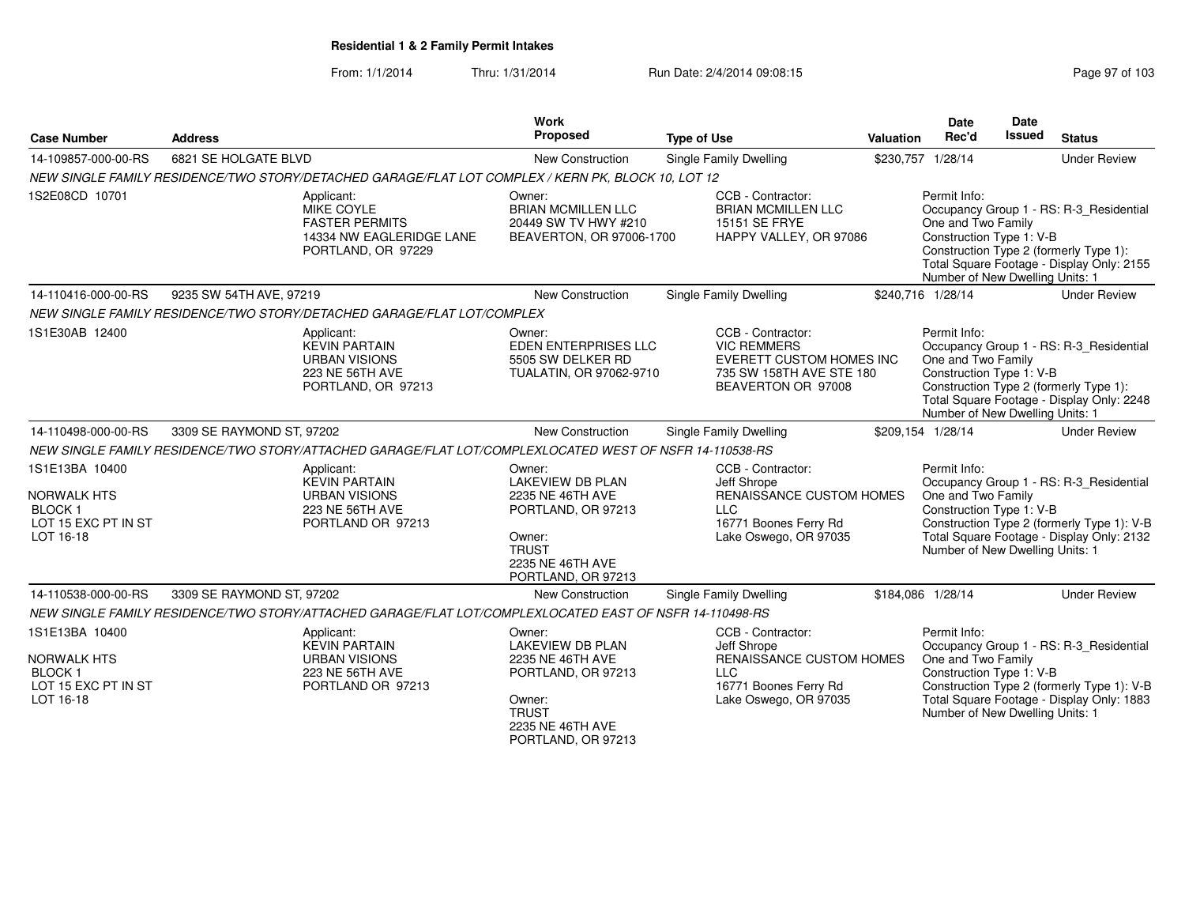From: 1/1/2014Thru: 1/31/2014 Run Date: 2/4/2014 09:08:15 Research 2010 103

| <b>Case Number</b>                                                                        | <b>Address</b>                                                                                          | Work<br>Proposed                                                                                                                                | <b>Type of Use</b>                                                                                                           | Valuation | <b>Date</b><br>Rec'd                                                                              | <b>Date</b><br><b>Issued</b> | <b>Status</b>                                                                                                                      |
|-------------------------------------------------------------------------------------------|---------------------------------------------------------------------------------------------------------|-------------------------------------------------------------------------------------------------------------------------------------------------|------------------------------------------------------------------------------------------------------------------------------|-----------|---------------------------------------------------------------------------------------------------|------------------------------|------------------------------------------------------------------------------------------------------------------------------------|
| 14-109857-000-00-RS                                                                       | 6821 SE HOLGATE BLVD                                                                                    | New Construction                                                                                                                                | Single Family Dwelling                                                                                                       |           | \$230,757 1/28/14                                                                                 |                              | <b>Under Review</b>                                                                                                                |
|                                                                                           | NEW SINGLE FAMILY RESIDENCE/TWO STORY/DETACHED GARAGE/FLAT LOT COMPLEX / KERN PK, BLOCK 10, LOT 12      |                                                                                                                                                 |                                                                                                                              |           |                                                                                                   |                              |                                                                                                                                    |
| 1S2E08CD 10701                                                                            | Applicant:<br>MIKE COYLE<br><b>FASTER PERMITS</b><br>14334 NW EAGLERIDGE LANE<br>PORTLAND, OR 97229     | Owner:<br><b>BRIAN MCMILLEN LLC</b><br>20449 SW TV HWY #210<br>BEAVERTON, OR 97006-1700                                                         | CCB - Contractor:<br><b>BRIAN MCMILLEN LLC</b><br>15151 SE FRYE<br>HAPPY VALLEY, OR 97086                                    |           | Permit Info:<br>One and Two Family<br>Construction Type 1: V-B<br>Number of New Dwelling Units: 1 |                              | Occupancy Group 1 - RS: R-3 Residential<br>Construction Type 2 (formerly Type 1):<br>Total Square Footage - Display Only: 2155     |
| 14-110416-000-00-RS                                                                       | 9235 SW 54TH AVE, 97219                                                                                 | <b>New Construction</b>                                                                                                                         | Single Family Dwelling                                                                                                       |           | \$240,716 1/28/14                                                                                 |                              | <b>Under Review</b>                                                                                                                |
|                                                                                           | NEW SINGLE FAMILY RESIDENCE/TWO STORY/DETACHED GARAGE/FLAT LOT/COMPLEX                                  |                                                                                                                                                 |                                                                                                                              |           |                                                                                                   |                              |                                                                                                                                    |
| 1S1E30AB 12400                                                                            | Applicant:<br><b>KEVIN PARTAIN</b><br><b>URBAN VISIONS</b><br>223 NE 56TH AVE<br>PORTLAND, OR 97213     | Owner:<br>EDEN ENTERPRISES LLC<br>5505 SW DELKER RD<br>TUALATIN, OR 97062-9710                                                                  | CCB - Contractor:<br><b>VIC REMMERS</b><br><b>EVERETT CUSTOM HOMES INC</b><br>735 SW 158TH AVE STE 180<br>BEAVERTON OR 97008 |           | Permit Info:<br>One and Two Family<br>Construction Type 1: V-B<br>Number of New Dwelling Units: 1 |                              | Occupancy Group 1 - RS: R-3_Residential<br>Construction Type 2 (formerly Type 1):<br>Total Square Footage - Display Only: 2248     |
| 14-110498-000-00-RS                                                                       | 3309 SE RAYMOND ST, 97202                                                                               | New Construction                                                                                                                                | <b>Single Family Dwelling</b>                                                                                                |           | \$209,154 1/28/14                                                                                 |                              | <b>Under Review</b>                                                                                                                |
|                                                                                           | NEW SINGLE FAMILY RESIDENCE/TWO STORY/ATTACHED GARAGE/FLAT LOT/COMPLEXLOCATED WEST OF NSFR 14-110538-RS |                                                                                                                                                 |                                                                                                                              |           |                                                                                                   |                              |                                                                                                                                    |
| 1S1E13BA 10400<br><b>NORWALK HTS</b><br><b>BLOCK1</b><br>LOT 15 EXC PT IN ST<br>LOT 16-18 | Applicant:<br><b>KEVIN PARTAIN</b><br><b>URBAN VISIONS</b><br>223 NE 56TH AVE<br>PORTLAND OR 97213      | Owner:<br><b>LAKEVIEW DB PLAN</b><br>2235 NE 46TH AVE<br>PORTLAND, OR 97213<br>Owner:<br><b>TRUST</b><br>2235 NE 46TH AVE<br>PORTLAND, OR 97213 | CCB - Contractor:<br>Jeff Shrope<br>RENAISSANCE CUSTOM HOMES<br><b>LLC</b><br>16771 Boones Ferry Rd<br>Lake Oswego, OR 97035 |           | Permit Info:<br>One and Two Family<br>Construction Type 1: V-B<br>Number of New Dwelling Units: 1 |                              | Occupancy Group 1 - RS: R-3_Residential<br>Construction Type 2 (formerly Type 1): V-B<br>Total Square Footage - Display Only: 2132 |
| 14-110538-000-00-RS                                                                       | 3309 SE RAYMOND ST, 97202                                                                               | New Construction                                                                                                                                | Single Family Dwelling                                                                                                       |           | \$184,086 1/28/14                                                                                 |                              | <b>Under Review</b>                                                                                                                |
|                                                                                           | NEW SINGLE FAMILY RESIDENCE/TWO STORY/ATTACHED GARAGE/FLAT LOT/COMPLEXLOCATED EAST OF NSFR 14-110498-RS |                                                                                                                                                 |                                                                                                                              |           |                                                                                                   |                              |                                                                                                                                    |
| 1S1E13BA 10400<br>NORWALK HTS<br><b>BLOCK1</b><br>LOT 15 EXC PT IN ST<br>LOT 16-18        | Applicant:<br><b>KEVIN PARTAIN</b><br><b>URBAN VISIONS</b><br>223 NE 56TH AVE<br>PORTLAND OR 97213      | Owner:<br><b>LAKEVIEW DB PLAN</b><br>2235 NE 46TH AVE<br>PORTLAND, OR 97213<br>Owner:<br><b>TRUST</b><br>2235 NE 46TH AVE<br>PORTLAND, OR 97213 | CCB - Contractor:<br>Jeff Shrope<br>RENAISSANCE CUSTOM HOMES<br><b>LLC</b><br>16771 Boones Ferry Rd<br>Lake Oswego, OR 97035 |           | Permit Info:<br>One and Two Family<br>Construction Type 1: V-B<br>Number of New Dwelling Units: 1 |                              | Occupancy Group 1 - RS: R-3_Residential<br>Construction Type 2 (formerly Type 1): V-B<br>Total Square Footage - Display Only: 1883 |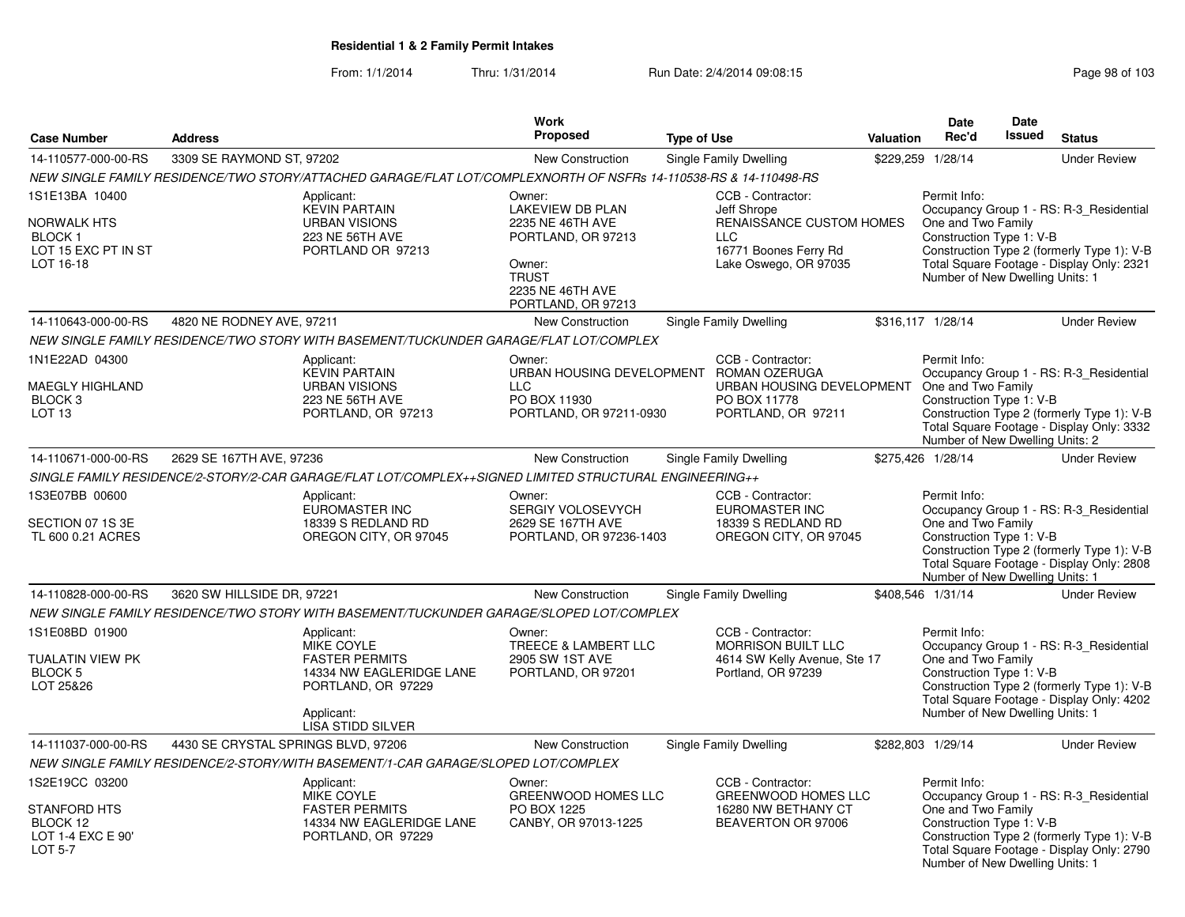|                                                                                          |                                     |                                                                                                                                                      | <b>Work</b>                                                                                                                                     |                    |                                                                                                                              |                  | Date                                                                                              | Date          |                                                                                                                                    |
|------------------------------------------------------------------------------------------|-------------------------------------|------------------------------------------------------------------------------------------------------------------------------------------------------|-------------------------------------------------------------------------------------------------------------------------------------------------|--------------------|------------------------------------------------------------------------------------------------------------------------------|------------------|---------------------------------------------------------------------------------------------------|---------------|------------------------------------------------------------------------------------------------------------------------------------|
| <b>Case Number</b>                                                                       | <b>Address</b>                      |                                                                                                                                                      | <b>Proposed</b>                                                                                                                                 | <b>Type of Use</b> |                                                                                                                              | <b>Valuation</b> | Rec'd                                                                                             | <b>Issued</b> | <b>Status</b>                                                                                                                      |
| 14-110577-000-00-RS                                                                      | 3309 SE RAYMOND ST, 97202           |                                                                                                                                                      | New Construction                                                                                                                                |                    | Single Family Dwelling                                                                                                       |                  | \$229,259 1/28/14                                                                                 |               | <b>Under Review</b>                                                                                                                |
|                                                                                          |                                     | NEW SINGLE FAMILY RESIDENCE/TWO STORY/ATTACHED GARAGE/FLAT LOT/COMPLEXNORTH OF NSFRs 14-110538-RS & 14-110498-RS                                     |                                                                                                                                                 |                    |                                                                                                                              |                  |                                                                                                   |               |                                                                                                                                    |
| 1S1E13BA 10400<br>NORWALK HTS<br>BLOCK 1<br>LOT 15 EXC PT IN ST<br>LOT 16-18             |                                     | Applicant:<br><b>KEVIN PARTAIN</b><br><b>URBAN VISIONS</b><br>223 NE 56TH AVE<br>PORTLAND OR 97213                                                   | Owner:<br><b>LAKEVIEW DB PLAN</b><br>2235 NE 46TH AVE<br>PORTLAND, OR 97213<br>Owner:<br><b>TRUST</b><br>2235 NE 46TH AVE<br>PORTLAND, OR 97213 |                    | CCB - Contractor:<br>Jeff Shrope<br>RENAISSANCE CUSTOM HOMES<br><b>LLC</b><br>16771 Boones Ferry Rd<br>Lake Oswego, OR 97035 |                  | Permit Info:<br>One and Two Family<br>Construction Type 1: V-B<br>Number of New Dwelling Units: 1 |               | Occupancy Group 1 - RS: R-3 Residential<br>Construction Type 2 (formerly Type 1): V-B<br>Total Square Footage - Display Only: 2321 |
| 14-110643-000-00-RS                                                                      | 4820 NE RODNEY AVE, 97211           |                                                                                                                                                      | <b>New Construction</b>                                                                                                                         |                    | Single Family Dwelling                                                                                                       |                  | \$316,117 1/28/14                                                                                 |               | <b>Under Review</b>                                                                                                                |
|                                                                                          |                                     | NEW SINGLE FAMILY RESIDENCE/TWO STORY WITH BASEMENT/TUCKUNDER GARAGE/FLAT LOT/COMPLEX                                                                |                                                                                                                                                 |                    |                                                                                                                              |                  |                                                                                                   |               |                                                                                                                                    |
| 1N1E22AD 04300<br>MAEGLY HIGHLAND<br>BLOCK 3<br>LOT <sub>13</sub>                        |                                     | Applicant:<br><b>KEVIN PARTAIN</b><br><b>URBAN VISIONS</b><br>223 NE 56TH AVE<br>PORTLAND, OR 97213                                                  | Owner:<br>URBAN HOUSING DEVELOPMENT ROMAN OZERUGA<br><b>LLC</b><br>PO BOX 11930<br>PORTLAND, OR 97211-0930                                      |                    | CCB - Contractor:<br>URBAN HOUSING DEVELOPMENT<br>PO BOX 11778<br>PORTLAND, OR 97211                                         |                  | Permit Info:<br>One and Two Family<br>Construction Type 1: V-B<br>Number of New Dwelling Units: 2 |               | Occupancy Group 1 - RS: R-3 Residential<br>Construction Type 2 (formerly Type 1): V-B<br>Total Square Footage - Display Only: 3332 |
| 14-110671-000-00-RS                                                                      | 2629 SE 167TH AVE, 97236            |                                                                                                                                                      | <b>New Construction</b>                                                                                                                         |                    | Single Family Dwelling                                                                                                       |                  | \$275,426 1/28/14                                                                                 |               | <b>Under Review</b>                                                                                                                |
|                                                                                          |                                     | SINGLE FAMILY RESIDENCE/2-STORY/2-CAR GARAGE/FLAT LOT/COMPLEX++SIGNED LIMITED STRUCTURAL ENGINEERING++                                               |                                                                                                                                                 |                    |                                                                                                                              |                  |                                                                                                   |               |                                                                                                                                    |
| 1S3E07BB 00600<br>SECTION 07 1S 3E<br>TL 600 0.21 ACRES                                  |                                     | Applicant:<br><b>EUROMASTER INC</b><br>18339 S REDLAND RD<br>OREGON CITY, OR 97045                                                                   | Owner:<br>SERGIY VOLOSEVYCH<br>2629 SE 167TH AVE<br>PORTLAND, OR 97236-1403                                                                     |                    | CCB - Contractor:<br><b>EUROMASTER INC</b><br>18339 S REDLAND RD<br>OREGON CITY, OR 97045                                    |                  | Permit Info:<br>One and Two Family<br>Construction Type 1: V-B<br>Number of New Dwelling Units: 1 |               | Occupancy Group 1 - RS: R-3_Residential<br>Construction Type 2 (formerly Type 1): V-B<br>Total Square Footage - Display Only: 2808 |
| 14-110828-000-00-RS                                                                      | 3620 SW HILLSIDE DR, 97221          |                                                                                                                                                      | <b>New Construction</b>                                                                                                                         |                    | Single Family Dwelling                                                                                                       |                  | \$408.546 1/31/14                                                                                 |               | <b>Under Review</b>                                                                                                                |
|                                                                                          |                                     | NEW SINGLE FAMILY RESIDENCE/TWO STORY WITH BASEMENT/TUCKUNDER GARAGE/SLOPED LOT/COMPLEX                                                              |                                                                                                                                                 |                    |                                                                                                                              |                  |                                                                                                   |               |                                                                                                                                    |
| 1S1E08BD 01900<br>TUALATIN VIEW PK<br><b>BLOCK 5</b><br>LOT 25&26                        |                                     | Applicant:<br><b>MIKE COYLE</b><br><b>FASTER PERMITS</b><br>14334 NW EAGLERIDGE LANE<br>PORTLAND, OR 97229<br>Applicant:<br><b>LISA STIDD SILVER</b> | Owner:<br>TREECE & LAMBERT LLC<br>2905 SW 1ST AVE<br>PORTLAND, OR 97201                                                                         |                    | CCB - Contractor:<br><b>MORRISON BUILT LLC</b><br>4614 SW Kelly Avenue, Ste 17<br>Portland, OR 97239                         |                  | Permit Info:<br>One and Two Family<br>Construction Type 1: V-B<br>Number of New Dwelling Units: 1 |               | Occupancy Group 1 - RS: R-3 Residential<br>Construction Type 2 (formerly Type 1): V-B<br>Total Square Footage - Display Only: 4202 |
| 14-111037-000-00-RS                                                                      | 4430 SE CRYSTAL SPRINGS BLVD, 97206 |                                                                                                                                                      | New Construction                                                                                                                                |                    | Single Family Dwelling                                                                                                       |                  | \$282,803 1/29/14                                                                                 |               | <b>Under Review</b>                                                                                                                |
|                                                                                          |                                     | NEW SINGLE FAMILY RESIDENCE/2-STORY/WITH BASEMENT/1-CAR GARAGE/SLOPED LOT/COMPLEX                                                                    |                                                                                                                                                 |                    |                                                                                                                              |                  |                                                                                                   |               |                                                                                                                                    |
| 1S2E19CC 03200<br><b>STANFORD HTS</b><br>BLOCK 12<br>LOT 1-4 EXC E 90'<br><b>LOT 5-7</b> |                                     | Applicant:<br>MIKE COYLE<br><b>FASTER PERMITS</b><br>14334 NW EAGLERIDGE LANE<br>PORTLAND, OR 97229                                                  | Owner:<br><b>GREENWOOD HOMES LLC</b><br>PO BOX 1225<br>CANBY, OR 97013-1225                                                                     |                    | CCB - Contractor:<br><b>GREENWOOD HOMES LLC</b><br>16280 NW BETHANY CT<br>BEAVERTON OR 97006                                 |                  | Permit Info:<br>One and Two Family<br>Construction Type 1: V-B                                    |               | Occupancy Group 1 - RS: R-3_Residential<br>Construction Type 2 (formerly Type 1): V-B<br>Total Square Footage - Display Only: 2790 |
|                                                                                          |                                     |                                                                                                                                                      |                                                                                                                                                 |                    |                                                                                                                              |                  | Number of New Dwelling Units: 1                                                                   |               |                                                                                                                                    |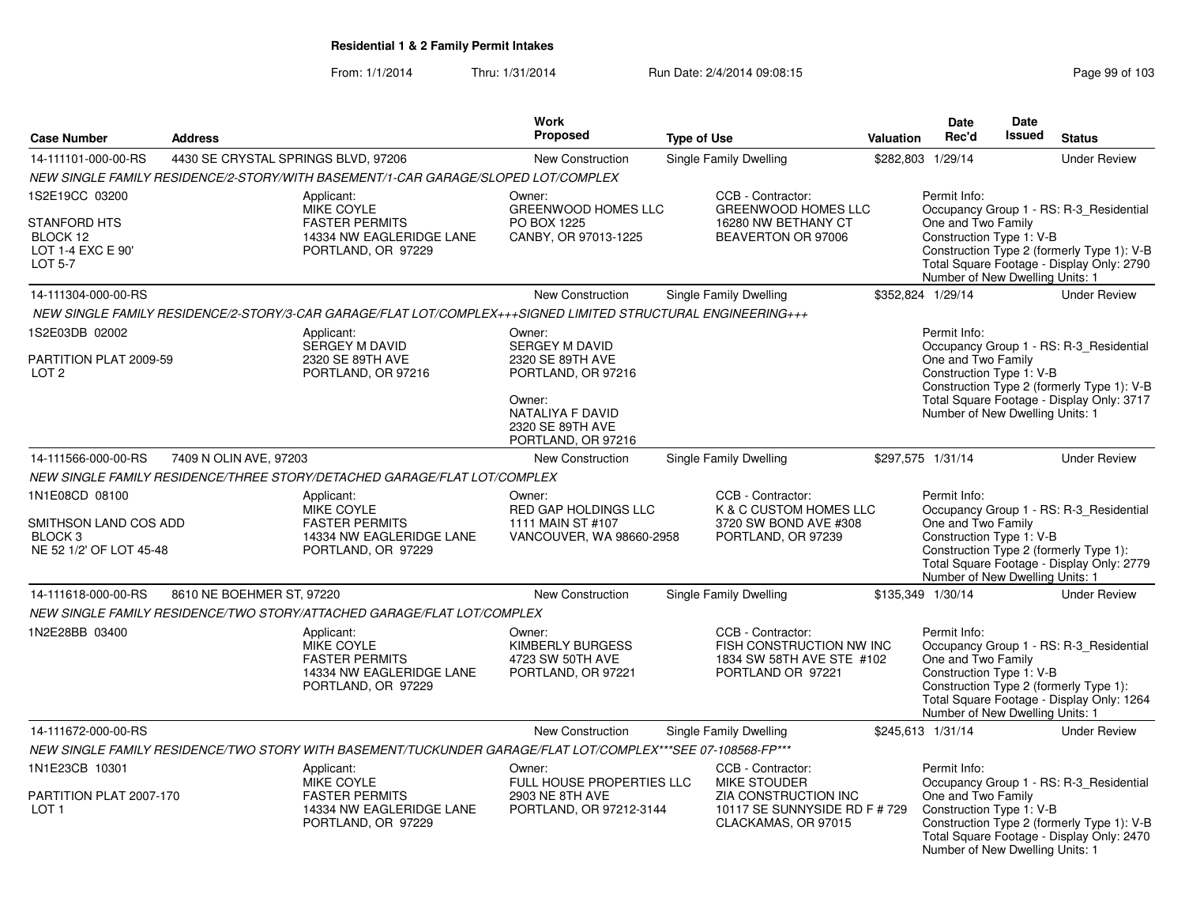|                                                                                          |                                     |                                                                                                              | Work<br>Proposed                                                                                                                                  |                                                                                                 |                   | Date<br>Rec'd                                                                                     | <b>Date</b><br><b>Issued</b> |                                                                                                                                    |
|------------------------------------------------------------------------------------------|-------------------------------------|--------------------------------------------------------------------------------------------------------------|---------------------------------------------------------------------------------------------------------------------------------------------------|-------------------------------------------------------------------------------------------------|-------------------|---------------------------------------------------------------------------------------------------|------------------------------|------------------------------------------------------------------------------------------------------------------------------------|
| <b>Case Number</b>                                                                       | <b>Address</b>                      |                                                                                                              |                                                                                                                                                   | <b>Type of Use</b>                                                                              | <b>Valuation</b>  |                                                                                                   |                              | <b>Status</b>                                                                                                                      |
| 14-111101-000-00-RS                                                                      | 4430 SE CRYSTAL SPRINGS BLVD, 97206 |                                                                                                              | <b>New Construction</b>                                                                                                                           | Single Family Dwelling                                                                          | \$282,803 1/29/14 |                                                                                                   |                              | <b>Under Review</b>                                                                                                                |
|                                                                                          |                                     | NEW SINGLE FAMILY RESIDENCE/2-STORY/WITH BASEMENT/1-CAR GARAGE/SLOPED LOT/COMPLEX                            |                                                                                                                                                   |                                                                                                 |                   |                                                                                                   |                              |                                                                                                                                    |
| 1S2E19CC 03200<br>STANFORD HTS<br>BLOCK 12<br>LOT 1-4 EXC E 90'<br><b>LOT 5-7</b>        |                                     | Applicant:<br>MIKE COYLE<br><b>FASTER PERMITS</b><br>14334 NW EAGLERIDGE LANE<br>PORTLAND, OR 97229          | Owner:<br><b>GREENWOOD HOMES LLC</b><br>PO BOX 1225<br>CANBY, OR 97013-1225                                                                       | CCB - Contractor:<br><b>GREENWOOD HOMES LLC</b><br>16280 NW BETHANY CT<br>BEAVERTON OR 97006    |                   | Permit Info:<br>One and Two Family<br>Construction Type 1: V-B<br>Number of New Dwelling Units: 1 |                              | Occupancy Group 1 - RS: R-3_Residential<br>Construction Type 2 (formerly Type 1): V-B<br>Total Square Footage - Display Only: 2790 |
| 14-111304-000-00-RS                                                                      |                                     |                                                                                                              | New Construction                                                                                                                                  | Single Family Dwelling                                                                          | \$352,824 1/29/14 |                                                                                                   |                              | <b>Under Review</b>                                                                                                                |
|                                                                                          |                                     | NEW SINGLE FAMILY RESIDENCE/2-STORY/3-CAR GARAGE/FLAT LOT/COMPLEX+++SIGNED LIMITED STRUCTURAL ENGINEERING+++ |                                                                                                                                                   |                                                                                                 |                   |                                                                                                   |                              |                                                                                                                                    |
| 1S2E03DB 02002<br>PARTITION PLAT 2009-59<br>LOT <sub>2</sub>                             |                                     | Applicant:<br><b>SERGEY M DAVID</b><br>2320 SE 89TH AVE<br>PORTLAND, OR 97216                                | Owner:<br><b>SERGEY M DAVID</b><br>2320 SE 89TH AVE<br>PORTLAND, OR 97216<br>Owner:<br>NATALIYA F DAVID<br>2320 SE 89TH AVE<br>PORTLAND, OR 97216 |                                                                                                 |                   | Permit Info:<br>One and Two Family<br>Construction Type 1: V-B<br>Number of New Dwelling Units: 1 |                              | Occupancy Group 1 - RS: R-3_Residential<br>Construction Type 2 (formerly Type 1): V-B<br>Total Square Footage - Display Only: 3717 |
| 14-111566-000-00-RS                                                                      | 7409 N OLIN AVE, 97203              |                                                                                                              | <b>New Construction</b>                                                                                                                           | Single Family Dwelling                                                                          | \$297,575 1/31/14 |                                                                                                   |                              | <b>Under Review</b>                                                                                                                |
|                                                                                          |                                     | NEW SINGLE FAMILY RESIDENCE/THREE STORY/DETACHED GARAGE/FLAT LOT/COMPLEX                                     |                                                                                                                                                   |                                                                                                 |                   |                                                                                                   |                              |                                                                                                                                    |
| 1N1E08CD 08100<br>SMITHSON LAND COS ADD<br>BLOCK <sub>3</sub><br>NE 52 1/2' OF LOT 45-48 |                                     | Applicant:<br><b>MIKE COYLE</b><br><b>FASTER PERMITS</b><br>14334 NW EAGLERIDGE LANE<br>PORTLAND, OR 97229   | Owner:<br><b>RED GAP HOLDINGS LLC</b><br>1111 MAIN ST #107<br>VANCOUVER, WA 98660-2958                                                            | CCB - Contractor:<br>K & C CUSTOM HOMES LLC<br>3720 SW BOND AVE #308<br>PORTLAND, OR 97239      |                   | Permit Info:<br>One and Two Family<br>Construction Type 1: V-B<br>Number of New Dwelling Units: 1 |                              | Occupancy Group 1 - RS: R-3_Residential<br>Construction Type 2 (formerly Type 1):<br>Total Square Footage - Display Only: 2779     |
| 14-111618-000-00-RS                                                                      | 8610 NE BOEHMER ST, 97220           |                                                                                                              | <b>New Construction</b>                                                                                                                           | Single Family Dwelling                                                                          | \$135,349 1/30/14 |                                                                                                   |                              | <b>Under Review</b>                                                                                                                |
|                                                                                          |                                     | NEW SINGLE FAMILY RESIDENCE/TWO STORY/ATTACHED GARAGE/FLAT LOT/COMPLEX                                       |                                                                                                                                                   |                                                                                                 |                   |                                                                                                   |                              |                                                                                                                                    |
| 1N2E28BB 03400                                                                           |                                     | Applicant:<br>MIKE COYLE<br><b>FASTER PERMITS</b><br>14334 NW EAGLERIDGE LANE<br>PORTLAND, OR 97229          | Owner:<br>KIMBERLY BURGESS<br>4723 SW 50TH AVE<br>PORTLAND, OR 97221                                                                              | CCB - Contractor:<br>FISH CONSTRUCTION NW INC<br>1834 SW 58TH AVE STE #102<br>PORTLAND OR 97221 |                   | Permit Info:<br>One and Two Family<br>Construction Type 1: V-B<br>Number of New Dwelling Units: 1 |                              | Occupancy Group 1 - RS: R-3 Residential<br>Construction Type 2 (formerly Type 1):<br>Total Square Footage - Display Only: 1264     |
| 14-111672-000-00-RS                                                                      |                                     |                                                                                                              | New Construction                                                                                                                                  | Single Family Dwelling                                                                          | \$245,613 1/31/14 |                                                                                                   |                              | <b>Under Review</b>                                                                                                                |
|                                                                                          |                                     | NEW SINGLE FAMILY RESIDENCE/TWO STORY WITH BASEMENT/TUCKUNDER GARAGE/FLAT LOT/COMPLEX***SEE 07-108568-FP***  |                                                                                                                                                   |                                                                                                 |                   |                                                                                                   |                              |                                                                                                                                    |
| 1N1E23CB 10301                                                                           |                                     | Applicant:<br>MIKE COYLE                                                                                     | Owner:<br>FULL HOUSE PROPERTIES LLC                                                                                                               | CCB - Contractor:<br><b>MIKE STOUDER</b>                                                        |                   | Permit Info:                                                                                      |                              | Occupancy Group 1 - RS: R-3_Residential                                                                                            |
| PARTITION PLAT 2007-170<br>LOT <sub>1</sub>                                              |                                     | <b>FASTER PERMITS</b><br>14334 NW EAGLERIDGE LANE<br>PORTLAND, OR 97229                                      | 2903 NE 8TH AVE<br>PORTLAND, OR 97212-3144                                                                                                        | ZIA CONSTRUCTION INC<br>10117 SE SUNNYSIDE RD F # 729<br>CLACKAMAS, OR 97015                    |                   | One and Two Family<br>Construction Type 1: V-B<br>Number of New Dwelling Units: 1                 |                              | Construction Type 2 (formerly Type 1): V-B<br>Total Square Footage - Display Only: 2470                                            |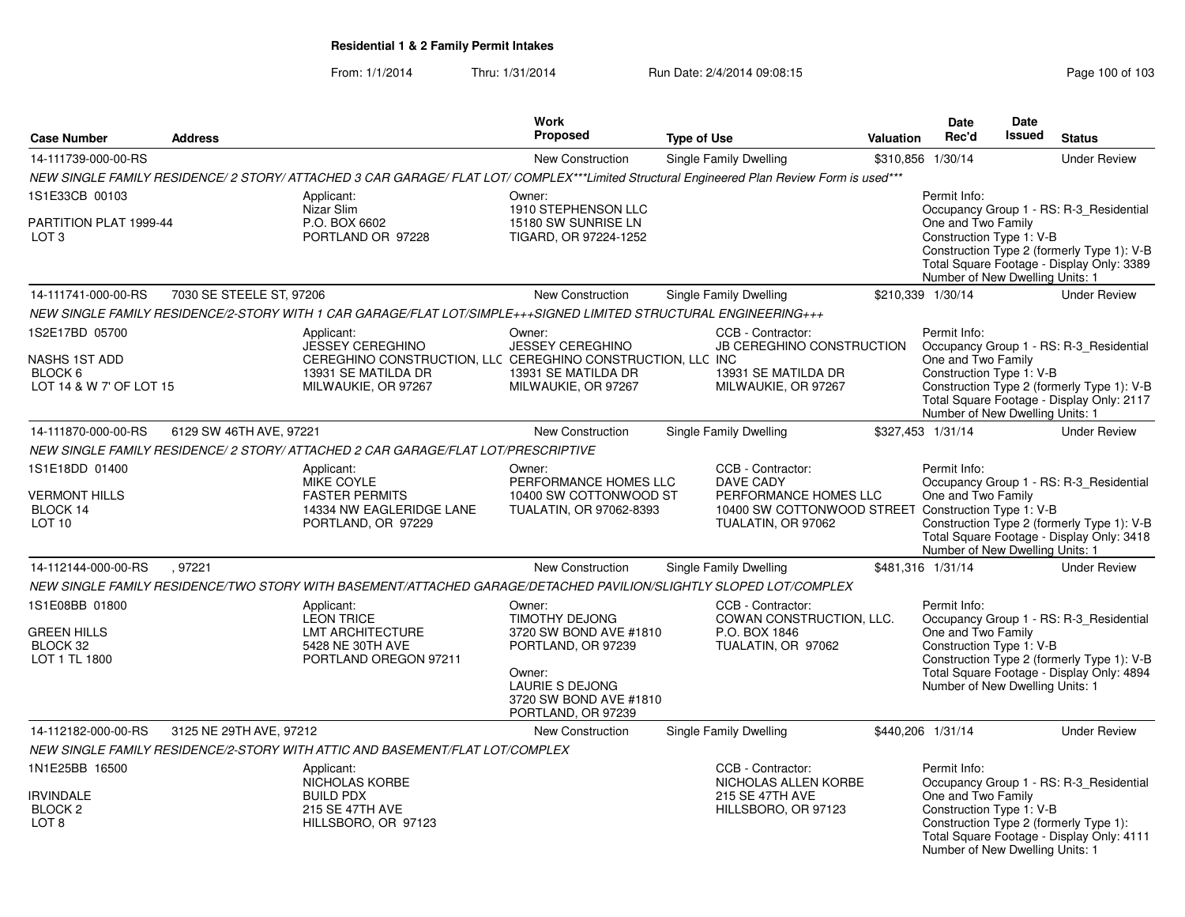| <b>Case Number</b>                                                                  | <b>Address</b>           |                                                                                                                                                                                                 | Work<br>Proposed                                                                                                                                             | <b>Type of Use</b>                                                                                                                                                    | <b>Valuation</b> | <b>Date</b><br>Rec'd                                                                              | Date<br>Issued | <b>Status</b>                                                                                                                                             |
|-------------------------------------------------------------------------------------|--------------------------|-------------------------------------------------------------------------------------------------------------------------------------------------------------------------------------------------|--------------------------------------------------------------------------------------------------------------------------------------------------------------|-----------------------------------------------------------------------------------------------------------------------------------------------------------------------|------------------|---------------------------------------------------------------------------------------------------|----------------|-----------------------------------------------------------------------------------------------------------------------------------------------------------|
| 14-111739-000-00-RS                                                                 |                          |                                                                                                                                                                                                 | New Construction                                                                                                                                             | <b>Single Family Dwelling</b>                                                                                                                                         |                  | \$310,856 1/30/14                                                                                 |                | <b>Under Review</b>                                                                                                                                       |
|                                                                                     |                          | NEW SINGLE FAMILY RESIDENCE/ 2 STORY/ ATTACHED 3 CAR GARAGE/ FLAT LOT/ COMPLEX***Limited Structural Engineered Plan Review Form is used***                                                      |                                                                                                                                                              |                                                                                                                                                                       |                  |                                                                                                   |                |                                                                                                                                                           |
| 1S1E33CB 00103<br>PARTITION PLAT 1999-44<br>LOT 3                                   |                          | Applicant:<br>Nizar Slim<br>P.O. BOX 6602<br>PORTLAND OR 97228                                                                                                                                  | Owner:<br>1910 STEPHENSON LLC<br>15180 SW SUNRISE LN<br>TIGARD, OR 97224-1252                                                                                |                                                                                                                                                                       |                  | Permit Info:<br>One and Two Family<br>Construction Type 1: V-B<br>Number of New Dwelling Units: 1 |                | Occupancy Group 1 - RS: R-3_Residential<br>Construction Type 2 (formerly Type 1): V-B<br>Total Square Footage - Display Only: 3389                        |
| 14-111741-000-00-RS                                                                 | 7030 SE STEELE ST, 97206 |                                                                                                                                                                                                 | New Construction                                                                                                                                             | <b>Single Family Dwelling</b>                                                                                                                                         |                  | \$210,339 1/30/14                                                                                 |                | <b>Under Review</b>                                                                                                                                       |
|                                                                                     |                          | NEW SINGLE FAMILY RESIDENCE/2-STORY WITH 1 CAR GARAGE/FLAT LOT/SIMPLE+++SIGNED LIMITED STRUCTURAL ENGINEERING+++                                                                                |                                                                                                                                                              |                                                                                                                                                                       |                  |                                                                                                   |                |                                                                                                                                                           |
| 1S2E17BD 05700<br><b>NASHS 1ST ADD</b><br>BLOCK 6<br>LOT 14 & W 7' OF LOT 15        |                          | Applicant:<br><b>JESSEY CEREGHINO</b><br>CEREGHINO CONSTRUCTION, LLC CEREGHINO CONSTRUCTION, LLC INC<br>13931 SE MATILDA DR<br>MILWAUKIE, OR 97267                                              | Owner:<br><b>JESSEY CEREGHINO</b><br>13931 SE MATILDA DR<br>MILWAUKIE, OR 97267                                                                              | CCB - Contractor:<br><b>JB CEREGHINO CONSTRUCTION</b><br>13931 SE MATILDA DR<br>MILWAUKIE, OR 97267                                                                   |                  | Permit Info:<br>One and Two Family<br>Construction Type 1: V-B<br>Number of New Dwelling Units: 1 |                | Occupancy Group 1 - RS: R-3_Residential<br>Construction Type 2 (formerly Type 1): V-B<br>Total Square Footage - Display Only: 2117                        |
| 14-111870-000-00-RS                                                                 | 6129 SW 46TH AVE, 97221  |                                                                                                                                                                                                 | New Construction                                                                                                                                             | <b>Single Family Dwelling</b>                                                                                                                                         |                  | \$327,453 1/31/14                                                                                 |                | <b>Under Review</b>                                                                                                                                       |
| 1S1E18DD 01400<br><b>VERMONT HILLS</b><br>BLOCK 14<br>LOT 10<br>14-112144-000-00-RS | .97221                   | NEW SINGLE FAMILY RESIDENCE/ 2 STORY/ ATTACHED 2 CAR GARAGE/FLAT LOT/PRESCRIPTIVE<br>Applicant:<br><b>MIKE COYLE</b><br><b>FASTER PERMITS</b><br>14334 NW EAGLERIDGE LANE<br>PORTLAND, OR 97229 | Owner:<br>PERFORMANCE HOMES LLC<br>10400 SW COTTONWOOD ST<br>TUALATIN, OR 97062-8393<br><b>New Construction</b>                                              | CCB - Contractor:<br><b>DAVE CADY</b><br>PERFORMANCE HOMES LLC<br>10400 SW COTTONWOOD STREET Construction Type 1: V-B<br>TUALATIN, OR 97062<br>Single Family Dwelling |                  | Permit Info:<br>One and Two Family<br>Number of New Dwelling Units: 1<br>\$481,316 1/31/14        |                | Occupancy Group 1 - RS: R-3_Residential<br>Construction Type 2 (formerly Type 1): V-B<br>Total Square Footage - Display Only: 3418<br><b>Under Review</b> |
|                                                                                     |                          | NEW SINGLE FAMILY RESIDENCE/TWO STORY WITH BASEMENT/ATTACHED GARAGE/DETACHED PAVILION/SLIGHTLY SLOPED LOT/COMPLEX                                                                               |                                                                                                                                                              |                                                                                                                                                                       |                  |                                                                                                   |                |                                                                                                                                                           |
| 1S1E08BB 01800<br><b>GREEN HILLS</b><br>BLOCK 32<br>LOT 1 TL 1800                   |                          | Applicant:<br><b>LEON TRICE</b><br>LMT ARCHITECTURE<br>5428 NE 30TH AVE<br>PORTLAND OREGON 97211                                                                                                | Owner:<br><b>TIMOTHY DEJONG</b><br>3720 SW BOND AVE #1810<br>PORTLAND, OR 97239<br>Owner:<br>LAURIE S DEJONG<br>3720 SW BOND AVE #1810<br>PORTLAND, OR 97239 | CCB - Contractor:<br>COWAN CONSTRUCTION, LLC.<br>P.O. BOX 1846<br>TUALATIN, OR 97062                                                                                  |                  | Permit Info:<br>One and Two Family<br>Construction Type 1: V-B<br>Number of New Dwelling Units: 1 |                | Occupancy Group 1 - RS: R-3_Residential<br>Construction Type 2 (formerly Type 1): V-B<br>Total Square Footage - Display Only: 4894                        |
| 14-112182-000-00-RS                                                                 | 3125 NE 29TH AVE, 97212  |                                                                                                                                                                                                 | <b>New Construction</b>                                                                                                                                      | Single Family Dwelling                                                                                                                                                |                  | \$440,206 1/31/14                                                                                 |                | <b>Under Review</b>                                                                                                                                       |
|                                                                                     |                          | NEW SINGLE FAMILY RESIDENCE/2-STORY WITH ATTIC AND BASEMENT/FLAT LOT/COMPLEX                                                                                                                    |                                                                                                                                                              |                                                                                                                                                                       |                  |                                                                                                   |                |                                                                                                                                                           |
| 1N1E25BB 16500<br><b>IRVINDALE</b><br>BLOCK <sub>2</sub><br>LOT <sub>8</sub>        |                          | Applicant:<br>NICHOLAS KORBE<br><b>BUILD PDX</b><br>215 SE 47TH AVE<br>HILLSBORO, OR 97123                                                                                                      |                                                                                                                                                              | CCB - Contractor:<br>NICHOLAS ALLEN KORBE<br>215 SE 47TH AVE<br>HILLSBORO, OR 97123                                                                                   |                  | Permit Info:<br>One and Two Family<br>Construction Type 1: V-B<br>Number of New Dwelling Units: 1 |                | Occupancy Group 1 - RS: R-3_Residential<br>Construction Type 2 (formerly Type 1):<br>Total Square Footage - Display Only: 4111                            |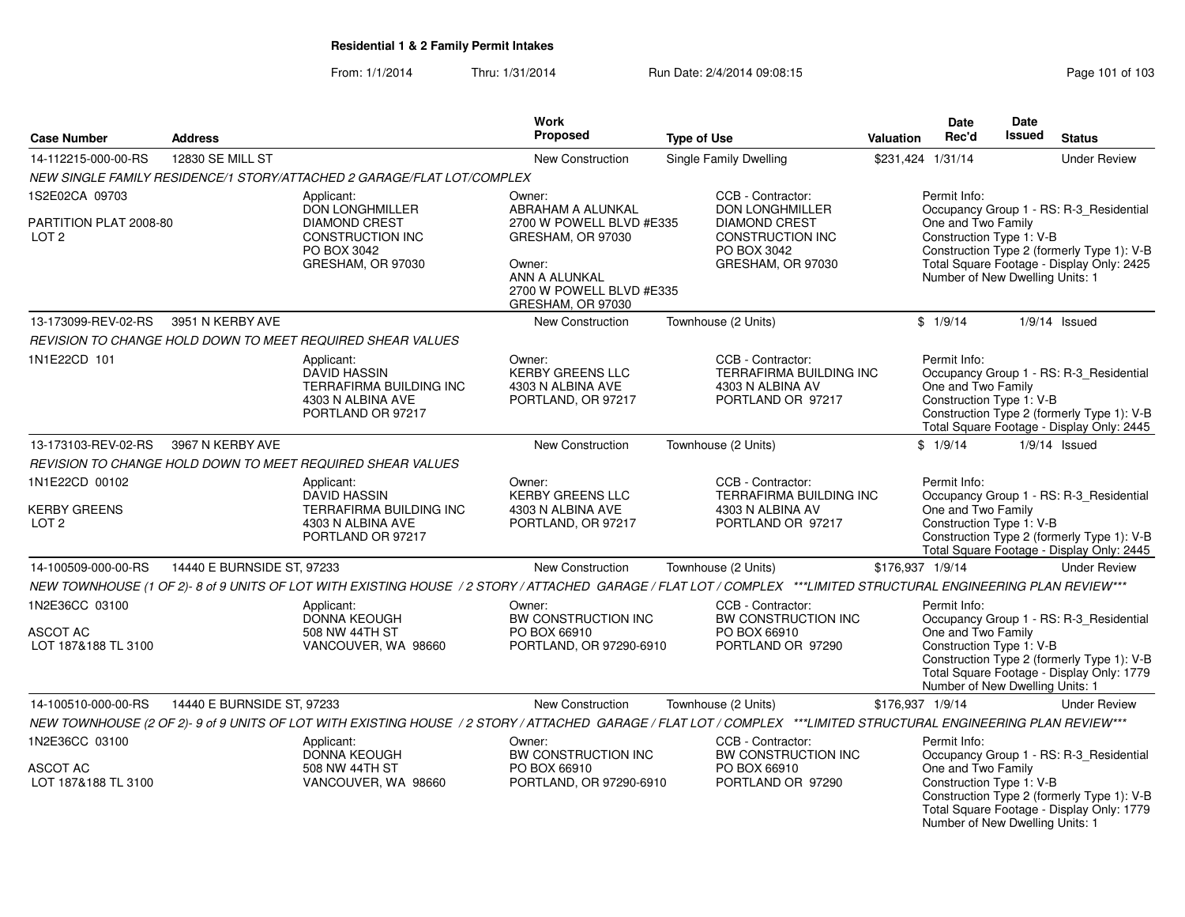#### From: 1/1/2014Thru: 1/31/2014 Run Date: 2/4/2014 09:08:15 Research 2010 103

| <b>Case Number</b>                                | <b>Address</b>             |                                                                                                        | Work<br><b>Proposed</b>                                                                                                                        | <b>Type of Use</b>                                                                                                                                               | Valuation        | <b>Date</b><br>Rec'd                                                                              | <b>Date</b><br>Issued | <b>Status</b>                                                                                                                      |
|---------------------------------------------------|----------------------------|--------------------------------------------------------------------------------------------------------|------------------------------------------------------------------------------------------------------------------------------------------------|------------------------------------------------------------------------------------------------------------------------------------------------------------------|------------------|---------------------------------------------------------------------------------------------------|-----------------------|------------------------------------------------------------------------------------------------------------------------------------|
| 14-112215-000-00-RS                               | 12830 SE MILL ST           |                                                                                                        | <b>New Construction</b>                                                                                                                        | <b>Single Family Dwelling</b>                                                                                                                                    |                  | \$231,424 1/31/14                                                                                 |                       | <b>Under Review</b>                                                                                                                |
|                                                   |                            | NEW SINGLE FAMILY RESIDENCE/1 STORY/ATTACHED 2 GARAGE/FLAT LOT/COMPLEX                                 |                                                                                                                                                |                                                                                                                                                                  |                  |                                                                                                   |                       |                                                                                                                                    |
| 1S2E02CA 09703                                    |                            | Applicant:                                                                                             | Owner:                                                                                                                                         | CCB - Contractor:                                                                                                                                                |                  | Permit Info:                                                                                      |                       |                                                                                                                                    |
| PARTITION PLAT 2008-80<br>LOT <sub>2</sub>        |                            | <b>DON LONGHMILLER</b><br><b>DIAMOND CREST</b><br>CONSTRUCTION INC<br>PO BOX 3042<br>GRESHAM, OR 97030 | ABRAHAM A ALUNKAL<br>2700 W POWELL BLVD #E335<br>GRESHAM, OR 97030<br>Owner:<br>ANN A ALUNKAL<br>2700 W POWELL BLVD #E335<br>GRESHAM, OR 97030 | <b>DON LONGHMILLER</b><br><b>DIAMOND CREST</b><br>CONSTRUCTION INC<br>PO BOX 3042<br>GRESHAM, OR 97030                                                           |                  | One and Two Family<br>Construction Type 1: V-B<br>Number of New Dwelling Units: 1                 |                       | Occupancy Group 1 - RS: R-3_Residential<br>Construction Type 2 (formerly Type 1): V-B<br>Total Square Footage - Display Only: 2425 |
| 13-173099-REV-02-RS                               | 3951 N KERBY AVE           |                                                                                                        | <b>New Construction</b>                                                                                                                        | Townhouse (2 Units)                                                                                                                                              |                  | \$1/9/14                                                                                          |                       | $1/9/14$ Issued                                                                                                                    |
|                                                   |                            | REVISION TO CHANGE HOLD DOWN TO MEET REQUIRED SHEAR VALUES                                             |                                                                                                                                                |                                                                                                                                                                  |                  |                                                                                                   |                       |                                                                                                                                    |
| 1N1E22CD 101                                      |                            | Applicant:<br><b>DAVID HASSIN</b><br>TERRAFIRMA BUILDING INC<br>4303 N ALBINA AVE<br>PORTLAND OR 97217 | Owner:<br><b>KERBY GREENS LLC</b><br>4303 N ALBINA AVE<br>PORTLAND, OR 97217                                                                   | CCB - Contractor:<br>TERRAFIRMA BUILDING INC<br>4303 N ALBINA AV<br>PORTLAND OR 97217                                                                            |                  | Permit Info:<br>One and Two Family<br>Construction Type 1: V-B                                    |                       | Occupancy Group 1 - RS: R-3_Residential<br>Construction Type 2 (formerly Type 1): V-B<br>Total Square Footage - Display Only: 2445 |
| 13-173103-REV-02-RS                               | 3967 N KERBY AVE           |                                                                                                        | <b>New Construction</b>                                                                                                                        | Townhouse (2 Units)                                                                                                                                              |                  | \$1/9/14                                                                                          |                       | $1/9/14$ Issued                                                                                                                    |
|                                                   |                            | REVISION TO CHANGE HOLD DOWN TO MEET REQUIRED SHEAR VALUES                                             |                                                                                                                                                |                                                                                                                                                                  |                  |                                                                                                   |                       |                                                                                                                                    |
| 1N1E22CD 00102                                    |                            | Applicant:                                                                                             | Owner:                                                                                                                                         | CCB - Contractor:                                                                                                                                                |                  | Permit Info:                                                                                      |                       |                                                                                                                                    |
| <b>KERBY GREENS</b><br>LOT <sub>2</sub>           |                            | <b>DAVID HASSIN</b><br>TERRAFIRMA BUILDING INC<br>4303 N ALBINA AVE<br>PORTLAND OR 97217               | <b>KERBY GREENS LLC</b><br>4303 N ALBINA AVE<br>PORTLAND, OR 97217                                                                             | <b>TERRAFIRMA BUILDING INC</b><br>4303 N ALBINA AV<br>PORTLAND OR 97217                                                                                          |                  | One and Two Family<br>Construction Type 1: V-B                                                    |                       | Occupancy Group 1 - RS: R-3_Residential<br>Construction Type 2 (formerly Type 1): V-B<br>Total Square Footage - Display Only: 2445 |
| 14-100509-000-00-RS                               | 14440 E BURNSIDE ST, 97233 |                                                                                                        | <b>New Construction</b>                                                                                                                        | Townhouse (2 Units)                                                                                                                                              | \$176,937 1/9/14 |                                                                                                   |                       | <b>Under Review</b>                                                                                                                |
|                                                   |                            |                                                                                                        |                                                                                                                                                | NEW TOWNHOUSE (1 OF 2)-8 of 9 UNITS OF LOT WITH EXISTING HOUSE / 2 STORY / ATTACHED GARAGE / FLAT LOT / COMPLEX ***LIMITED STRUCTURAL ENGINEERING PLAN REVIEW*** |                  |                                                                                                   |                       |                                                                                                                                    |
| 1N2E36CC 03100<br>ASCOT AC<br>LOT 187&188 TL 3100 |                            | Applicant:<br><b>DONNA KEOUGH</b><br>508 NW 44TH ST<br>VANCOUVER, WA 98660                             | Owner:<br>BW CONSTRUCTION INC<br>PO BOX 66910<br>PORTLAND, OR 97290-6910                                                                       | CCB - Contractor:<br>BW CONSTRUCTION INC<br>PO BOX 66910<br>PORTLAND OR 97290                                                                                    |                  | Permit Info:<br>One and Two Family<br>Construction Type 1: V-B<br>Number of New Dwelling Units: 1 |                       | Occupancy Group 1 - RS: R-3_Residential<br>Construction Type 2 (formerly Type 1): V-B<br>Total Square Footage - Display Only: 1779 |
| 14-100510-000-00-RS                               | 14440 E BURNSIDE ST, 97233 |                                                                                                        | <b>New Construction</b>                                                                                                                        | Townhouse (2 Units)                                                                                                                                              | \$176,937 1/9/14 |                                                                                                   |                       | <b>Under Review</b>                                                                                                                |
|                                                   |                            |                                                                                                        |                                                                                                                                                | NEW TOWNHOUSE (2 OF 2)-9 of 9 UNITS OF LOT WITH EXISTING HOUSE / 2 STORY / ATTACHED GARAGE / FLAT LOT / COMPLEX ***LIMITED STRUCTURAL ENGINEERING PLAN REVIEW*** |                  |                                                                                                   |                       |                                                                                                                                    |
| 1N2E36CC 03100<br>ASCOT AC<br>LOT 187&188 TL 3100 |                            | Applicant:<br><b>DONNA KEOUGH</b><br>508 NW 44TH ST<br>VANCOUVER, WA 98660                             | Owner:<br>BW CONSTRUCTION INC<br>PO BOX 66910<br>PORTLAND, OR 97290-6910                                                                       | CCB - Contractor:<br>BW CONSTRUCTION INC<br>PO BOX 66910<br>PORTLAND OR 97290                                                                                    |                  | Permit Info:<br>One and Two Family<br>Construction Type 1: V-B<br>Number of New Dwelling Units: 1 |                       | Occupancy Group 1 - RS: R-3_Residential<br>Construction Type 2 (formerly Type 1): V-B<br>Total Square Footage - Display Only: 1779 |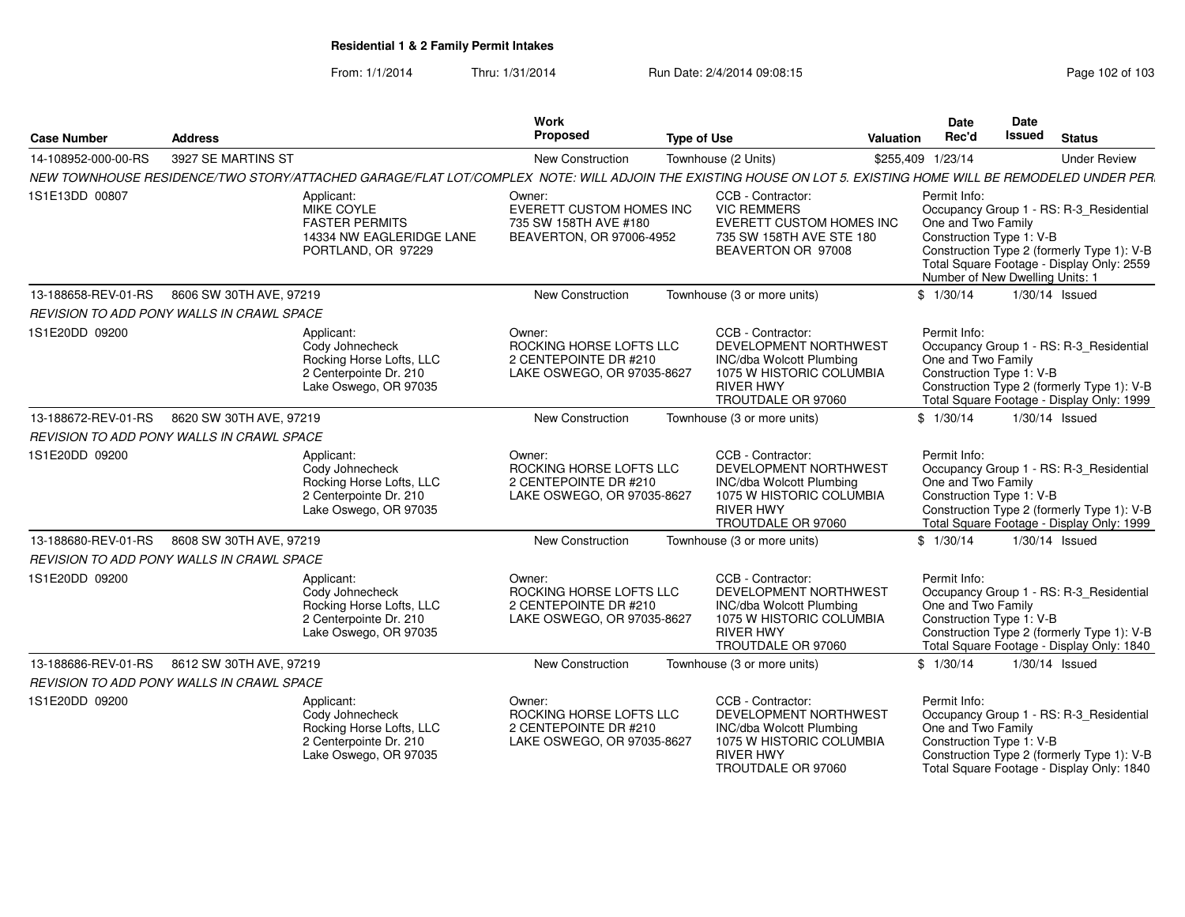From: 1/1/2014Thru: 1/31/2014 Run Date: 2/4/2014 09:08:15 Research 2010 2010 2010 2010 2010 2010 2011 03

| <b>Case Number</b>  | <b>Address</b>                                   |                                                                                                                                                             | Work<br>Proposed                                                                         | <b>Type of Use</b> |                                                                                                                                                     | <b>Valuation</b>  | <b>Date</b><br>Rec'd                                                                              | Date<br><b>Issued</b> | <b>Status</b>                                                                                                                      |
|---------------------|--------------------------------------------------|-------------------------------------------------------------------------------------------------------------------------------------------------------------|------------------------------------------------------------------------------------------|--------------------|-----------------------------------------------------------------------------------------------------------------------------------------------------|-------------------|---------------------------------------------------------------------------------------------------|-----------------------|------------------------------------------------------------------------------------------------------------------------------------|
| 14-108952-000-00-RS | 3927 SE MARTINS ST                               |                                                                                                                                                             | New Construction                                                                         |                    | Townhouse (2 Units)                                                                                                                                 | \$255,409 1/23/14 |                                                                                                   |                       | <b>Under Review</b>                                                                                                                |
|                     |                                                  | NEW TOWNHOUSE RESIDENCE/TWO STORY/ATTACHED GARAGE/FLAT LOT/COMPLEX NOTE: WILL ADJOIN THE EXISTING HOUSE ON LOT 5. EXISTING HOME WILL BE REMODELED UNDER PER |                                                                                          |                    |                                                                                                                                                     |                   |                                                                                                   |                       |                                                                                                                                    |
| 1S1E13DD 00807      |                                                  | Applicant:<br>MIKE COYLE<br><b>FASTER PERMITS</b><br>14334 NW EAGLERIDGE LANE<br>PORTLAND, OR 97229                                                         | Owner:<br>EVERETT CUSTOM HOMES INC<br>735 SW 158TH AVE #180<br>BEAVERTON, OR 97006-4952  |                    | CCB - Contractor:<br><b>VIC REMMERS</b><br>EVERETT CUSTOM HOMES INC<br>735 SW 158TH AVE STE 180<br>BEAVERTON OR 97008                               |                   | Permit Info:<br>One and Two Family<br>Construction Type 1: V-B<br>Number of New Dwelling Units: 1 |                       | Occupancy Group 1 - RS: R-3_Residential<br>Construction Type 2 (formerly Type 1): V-B<br>Total Square Footage - Display Only: 2559 |
| 13-188658-REV-01-RS | 8606 SW 30TH AVE, 97219                          |                                                                                                                                                             | <b>New Construction</b>                                                                  |                    | Townhouse (3 or more units)                                                                                                                         |                   | \$1/30/14                                                                                         |                       | 1/30/14 Issued                                                                                                                     |
|                     | REVISION TO ADD PONY WALLS IN CRAWL SPACE        |                                                                                                                                                             |                                                                                          |                    |                                                                                                                                                     |                   |                                                                                                   |                       |                                                                                                                                    |
| 1S1E20DD 09200      |                                                  | Applicant:<br>Cody Johnecheck<br>Rocking Horse Lofts, LLC<br>2 Centerpointe Dr. 210<br>Lake Oswego, OR 97035                                                | Owner:<br>ROCKING HORSE LOFTS LLC<br>2 CENTEPOINTE DR #210<br>LAKE OSWEGO, OR 97035-8627 |                    | CCB - Contractor:<br>DEVELOPMENT NORTHWEST<br><b>INC/dba Wolcott Plumbing</b><br>1075 W HISTORIC COLUMBIA<br><b>RIVER HWY</b><br>TROUTDALE OR 97060 |                   | Permit Info:<br>One and Two Family<br>Construction Type 1: V-B                                    |                       | Occupancy Group 1 - RS: R-3_Residential<br>Construction Type 2 (formerly Type 1): V-B<br>Total Square Footage - Display Only: 1999 |
| 13-188672-REV-01-RS | 8620 SW 30TH AVE, 97219                          |                                                                                                                                                             | New Construction                                                                         |                    | Townhouse (3 or more units)                                                                                                                         |                   | \$1/30/14                                                                                         |                       | $1/30/14$ Issued                                                                                                                   |
|                     | REVISION TO ADD PONY WALLS IN CRAWL SPACE        |                                                                                                                                                             |                                                                                          |                    |                                                                                                                                                     |                   |                                                                                                   |                       |                                                                                                                                    |
| 1S1E20DD 09200      |                                                  | Applicant:<br>Cody Johnecheck<br>Rocking Horse Lofts, LLC<br>2 Centerpointe Dr. 210<br>Lake Oswego, OR 97035                                                | Owner:<br>ROCKING HORSE LOFTS LLC<br>2 CENTEPOINTE DR #210<br>LAKE OSWEGO, OR 97035-8627 |                    | CCB - Contractor:<br>DEVELOPMENT NORTHWEST<br><b>INC/dba Wolcott Plumbing</b><br>1075 W HISTORIC COLUMBIA<br><b>RIVER HWY</b><br>TROUTDALE OR 97060 |                   | Permit Info:<br>One and Two Family<br>Construction Type 1: V-B                                    |                       | Occupancy Group 1 - RS: R-3_Residential<br>Construction Type 2 (formerly Type 1): V-B<br>Total Square Footage - Display Only: 1999 |
| 13-188680-REV-01-RS | 8608 SW 30TH AVE, 97219                          |                                                                                                                                                             | <b>New Construction</b>                                                                  |                    | Townhouse (3 or more units)                                                                                                                         |                   | \$1/30/14                                                                                         |                       | $1/30/14$ Issued                                                                                                                   |
|                     | REVISION TO ADD PONY WALLS IN CRAWL SPACE        |                                                                                                                                                             |                                                                                          |                    |                                                                                                                                                     |                   |                                                                                                   |                       |                                                                                                                                    |
| 1S1E20DD 09200      |                                                  | Applicant:<br>Cody Johnecheck<br>Rocking Horse Lofts, LLC<br>2 Centerpointe Dr. 210<br>Lake Oswego, OR 97035                                                | Owner:<br>ROCKING HORSE LOFTS LLC<br>2 CENTEPOINTE DR #210<br>LAKE OSWEGO, OR 97035-8627 |                    | CCB - Contractor:<br>DEVELOPMENT NORTHWEST<br><b>INC/dba Wolcott Plumbing</b><br>1075 W HISTORIC COLUMBIA<br><b>RIVER HWY</b><br>TROUTDALE OR 97060 |                   | Permit Info:<br>One and Two Family<br>Construction Type 1: V-B                                    |                       | Occupancy Group 1 - RS: R-3_Residential<br>Construction Type 2 (formerly Type 1): V-B<br>Total Square Footage - Display Only: 1840 |
| 13-188686-REV-01-RS | 8612 SW 30TH AVE, 97219                          |                                                                                                                                                             | New Construction                                                                         |                    | Townhouse (3 or more units)                                                                                                                         |                   | \$1/30/14                                                                                         |                       | 1/30/14 Issued                                                                                                                     |
|                     | <b>REVISION TO ADD PONY WALLS IN CRAWL SPACE</b> |                                                                                                                                                             |                                                                                          |                    |                                                                                                                                                     |                   |                                                                                                   |                       |                                                                                                                                    |
| 1S1E20DD 09200      |                                                  | Applicant:<br>Cody Johnecheck<br>Rocking Horse Lofts, LLC<br>2 Centerpointe Dr. 210<br>Lake Oswego, OR 97035                                                | Owner:<br>ROCKING HORSE LOFTS LLC<br>2 CENTEPOINTE DR #210<br>LAKE OSWEGO, OR 97035-8627 |                    | CCB - Contractor:<br>DEVELOPMENT NORTHWEST<br>INC/dba Wolcott Plumbing<br>1075 W HISTORIC COLUMBIA<br><b>RIVER HWY</b><br>TROUTDALE OR 97060        |                   | Permit Info:<br>One and Two Family<br>Construction Type 1: V-B                                    |                       | Occupancy Group 1 - RS: R-3_Residential<br>Construction Type 2 (formerly Type 1): V-B<br>Total Square Footage - Display Only: 1840 |